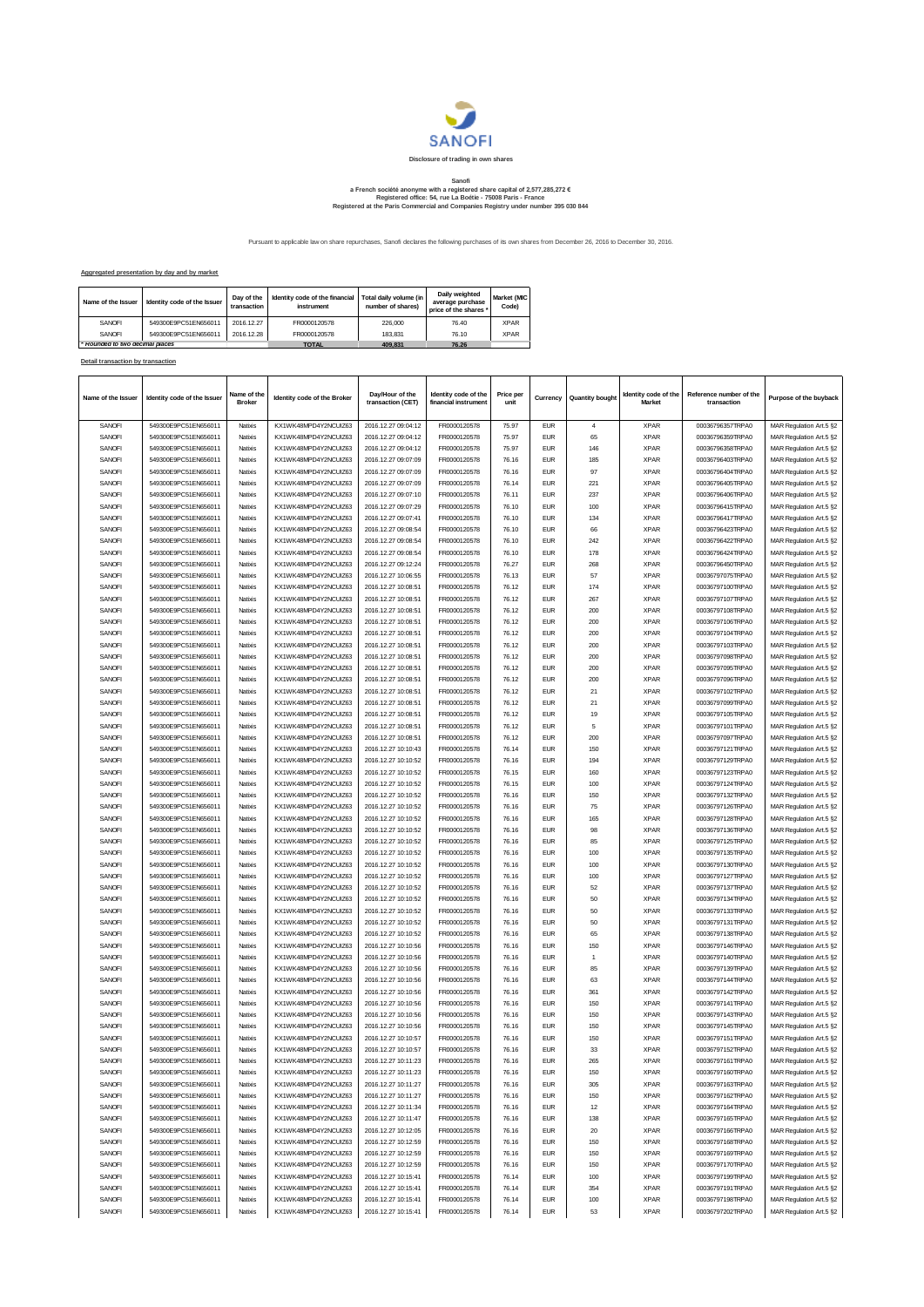

## Sanofi<br>a French société anonyme with a registered share capital of 2,577,285,272 €<br>Registered office: 54, rue La Boétie - 75008 Paris - France<br>Registered at the Paris Commercial and Companies Registry under number 395 030

Pursuant to applicable law on share repurchases, Sanofi declares the following purchases of its own shares from December 26, 2016 to December 30, 2016.

## **Aggregated presentation by day and by market**

| Name of the Issuer            | Identity code of the Issuer | Day of the<br>transaction | Identity code of the financial<br>instrument | Total daily volume (in<br>number of shares) | Daily weighted<br>average purchase<br>price of the shares * | Market (MIC<br>Code) |
|-------------------------------|-----------------------------|---------------------------|----------------------------------------------|---------------------------------------------|-------------------------------------------------------------|----------------------|
| SANOFI                        | 549300E9PC51EN656011        | 2016.12.27                | FR0000120578                                 | 226,000                                     | 76.40                                                       | <b>XPAR</b>          |
| SANOFI                        | 549300E9PC51EN656011        | 2016.12.28                | FR0000120578                                 | 183.831                                     | 76.10                                                       | <b>XPAR</b>          |
| Rounded to two decimal places |                             |                           | <b>TOTAL</b>                                 | 409.831                                     | 76.26                                                       |                      |

## **Detail transaction by transaction**

| Name of the Issuer | Identity code of the Issuer                  | Name of th<br><b>Broker</b> | Identity code of the Broker                   | Day/Hour of the<br>transaction (CET)       | Identity code of the<br>financial instrument | Price per<br>unit | Currency                 | <b>Quantity bought</b> | Identity code of the<br><b>Market</b> | Reference number of the<br>transaction | Purpose of the buyback                             |
|--------------------|----------------------------------------------|-----------------------------|-----------------------------------------------|--------------------------------------------|----------------------------------------------|-------------------|--------------------------|------------------------|---------------------------------------|----------------------------------------|----------------------------------------------------|
| SANOFI             | 549300E9PC51EN656011                         | Natixis                     | KX1WK48MPD4Y2NCUIZ63                          | 2016.12.27 09:04:12                        | FR0000120578                                 | 75.97             | <b>EUR</b>               | $\overline{4}$         | <b>XPAR</b>                           | 00036796357TRPA0                       | MAR Regulation Art.5 §2                            |
| SANOFI             | 549300E9PC51EN656011                         | Natixis                     | KX1WK48MPD4Y2NCUIZ63                          | 2016.12.27 09:04:12                        | FR0000120578                                 | 75.97             | <b>EUR</b>               | 65                     | <b>XPAR</b>                           | 00036796359TRPA0                       | MAR Regulation Art.5 §2                            |
| SANOFI             | 549300E9PC51EN656011                         | Natixis                     | KX1WK48MPD4Y2NCUIZ63                          | 2016.12.27 09:04:12                        | FR0000120578                                 | 75.97             | <b>EUR</b>               | 146                    | <b>XPAR</b>                           | 00036796358TRPA0                       | MAR Regulation Art.5 §2                            |
| SANOFI             | 549300E9PC51EN656011                         | Natixis                     | KX1WK48MPD4Y2NCUIZ63                          | 2016.12.27 09:07:09                        | FR0000120578                                 | 76.16             | <b>EUR</b>               | 185                    | <b>XPAR</b>                           | 00036796403TRPA0                       | MAR Regulation Art.5 §2                            |
| SANOFI             | 549300E9PC51EN656011                         | Natixis                     | KX1WK48MPD4Y2NCUIZ63                          | 2016.12.27 09:07:09                        | FR0000120578                                 | 76.16             | <b>EUR</b>               | 97                     | <b>XPAR</b>                           | 00036796404TRPA0                       | MAR Regulation Art.5 §2                            |
| SANOFI             | 549300E9PC51EN656011                         | Natixis                     | KX1WK48MPD4Y2NCUIZ63                          | 2016.12.27 09:07:09                        | FR0000120578                                 | 76.14             | <b>EUR</b>               | 221                    | <b>XPAR</b>                           | 00036796405TRPA0                       | MAR Regulation Art.5 §2                            |
| SANOFI             | 549300E9PC51EN656011                         | Natixis                     | KX1WK48MPD4Y2NCUIZ63                          | 2016.12.27 09:07:10                        | FR0000120578                                 | 76.11             | <b>EUR</b>               | 237                    | <b>XPAR</b>                           | 00036796406TRPA0                       | MAR Regulation Art.5 §2                            |
| SANOFI             | 549300E9PC51EN656011                         | Natixis                     | KX1WK48MPD4Y2NCUIZ63                          | 2016.12.27 09:07:29                        | FR0000120578                                 | 76.10             | <b>EUR</b>               | 100                    | <b>XPAR</b>                           | 00036796415TRPA0                       | MAR Regulation Art.5 §2                            |
| SANOFI             | 549300E9PC51EN656011                         | Natixis                     | KX1WK48MPD4Y2NCUIZ63                          | 2016.12.27 09:07:41                        | FR0000120578                                 | 76.10             | <b>EUR</b>               | 134                    | <b>XPAR</b>                           | 00036796417TRPA0                       | MAR Regulation Art.5 §2                            |
| SANOFI             | 549300E9PC51EN656011                         | Natixis                     | KX1WK48MPD4Y2NCUIZ63                          | 2016.12.27 09:08:54                        | FR0000120578                                 | 76.10             | <b>EUR</b>               | 66                     | <b>XPAR</b>                           | 00036796423TRPA0                       | MAR Regulation Art.5 §2                            |
| SANOFI             | 549300E9PC51EN656011                         | Natixis                     | KX1WK48MPD4Y2NCUIZ63                          | 2016.12.27 09:08:54                        | FR0000120578                                 | 76.10             | <b>EUR</b>               | 242                    | <b>XPAR</b>                           | 00036796422TRPA0                       | MAR Regulation Art.5 §2                            |
| SANOFI             | 549300E9PC51EN656011                         | Natixis                     | KX1WK48MPD4Y2NCUIZ63                          | 2016.12.27 09:08:54                        | FR0000120578                                 | 76.10             | <b>EUR</b>               | 178                    | <b>XPAR</b>                           | 00036796424TRPA0                       | MAR Regulation Art.5 §2                            |
| SANOFI             | 549300E9PC51EN656011                         | Natixis                     | KX1WK48MPD4Y2NCUIZ63                          | 2016.12.27 09:12:24                        | FR0000120578                                 | 76.27             | <b>EUR</b>               | 268                    | <b>XPAR</b>                           | 00036796450TRPA0                       | MAR Regulation Art.5 §2                            |
| SANOFI             | 549300E9PC51EN656011                         | Natixis                     | KX1WK48MPD4Y2NCUIZ63                          | 2016.12.27 10:06:55                        | FR0000120578                                 | 76.13             | <b>EUR</b>               | 57                     | <b>XPAR</b>                           | 00036797075TRPA0                       | MAR Regulation Art.5 §2                            |
| SANOFI             | 549300E9PC51EN656011                         | Natixis                     | KX1WK48MPD4Y2NCUIZ63                          | 2016.12.27 10:08:51                        | FR0000120578                                 | 76.12             | <b>EUR</b>               | 174                    | <b>XPAR</b>                           | 00036797100TRPA0                       | MAR Regulation Art.5 §2                            |
| SANOFI             | 549300E9PC51EN656011                         | Natixis                     | KX1WK48MPD4Y2NCUIZ63                          | 2016.12.27 10:08:51                        | FR0000120578                                 | 76.12             | <b>EUR</b>               | 267                    | <b>XPAR</b>                           | 00036797107TRPA0                       | MAR Regulation Art.5 §2                            |
| SANOFI             | 549300E9PC51EN656011                         | Natixis                     | KX1WK48MPD4Y2NCUIZ63                          | 2016.12.27 10:08:51                        | FR0000120578                                 | 76.12             | <b>EUR</b>               | 200                    | <b>XPAR</b>                           | 00036797108TRPA0                       | MAR Regulation Art.5 §2                            |
| SANOFI             | 549300E9PC51EN656011                         | Natixis                     | KX1WK48MPD4Y2NCUIZ63                          | 2016.12.27 10:08:51                        | FR0000120578                                 | 76.12             | <b>EUR</b>               | 200                    | <b>XPAR</b>                           | 00036797106TRPA0                       | MAR Regulation Art.5 §2                            |
| SANOFI             | 549300E9PC51EN656011                         | Natixis                     | KX1WK48MPD4Y2NCUIZ63                          | 2016.12.27 10:08:51                        | FR0000120578                                 | 76.12             | <b>EUR</b>               | 200                    | <b>XPAR</b>                           | 00036797104TRPA0                       | MAR Regulation Art.5 §2                            |
| SANOFI             | 549300E9PC51EN656011                         | Natixis                     | KX1WK48MPD4Y2NCUIZ63                          | 2016.12.27 10:08:51                        | FR0000120578                                 | 76.12             | <b>EUR</b>               | 200                    | <b>XPAR</b>                           | 00036797103TRPA0                       | MAR Regulation Art.5 §2                            |
| SANOFI             | 549300E9PC51EN656011                         | Natixis                     | KX1WK48MPD4Y2NCUIZ63                          | 2016.12.27 10:08:51                        | FR0000120578                                 | 76.12             | <b>EUR</b>               | 200                    | <b>XPAR</b>                           | 00036797098TRPA0                       | MAR Regulation Art.5 §2                            |
| SANOFI             | 549300E9PC51EN656011                         | Natixis                     | KX1WK48MPD4Y2NCUIZ63                          | 2016.12.27 10:08:51                        | FR0000120578                                 | 76.12             | <b>EUR</b>               | 200                    | <b>XPAR</b>                           | 00036797095TRPA0                       | MAR Regulation Art.5 §2                            |
| SANOFI             | 549300E9PC51EN656011                         | Natixis                     | KX1WK48MPD4Y2NCUIZ63                          | 2016.12.27 10:08:51                        | FR0000120578                                 | 76.12             | <b>EUR</b>               | 200                    | <b>XPAR</b>                           | 00036797096TRPA0                       | MAR Regulation Art.5 §2                            |
| SANOFI             | 549300E9PC51EN656011                         | Natixis                     | KX1WK48MPD4Y2NCUIZ63                          | 2016.12.27 10:08:51                        | FR0000120578                                 | 76.12             | <b>EUR</b>               | 21                     | <b>XPAR</b>                           | 00036797102TRPA0                       | MAR Regulation Art.5 §2                            |
| SANOFI             | 549300E9PC51EN656011                         | Natixis                     | KX1WK48MPD4Y2NCUIZ63                          | 2016.12.27 10:08:51                        | FR0000120578                                 | 76.12             | <b>EUR</b>               | 21                     | <b>XPAR</b>                           | 00036797099TRPA0                       | MAR Regulation Art.5 §2                            |
| SANOFI             | 549300E9PC51EN656011                         | Natixis                     | KX1WK48MPD4Y2NCUIZ63                          | 2016.12.27 10:08:51                        | FR0000120578                                 | 76.12             | <b>EUR</b>               | 19                     | <b>XPAR</b>                           | 00036797105TRPA0                       | MAR Regulation Art.5 §2                            |
| SANOFI             | 549300E9PC51EN656011                         | Natixis                     | KX1WK48MPD4Y2NCLIIZ63                         | 2016 12:27 10:08:51                        | FR0000120578                                 | 76.12             | <b>EUR</b>               | $\sqrt{5}$             | <b>XPAR</b>                           | 00036797101TRPA0                       | MAR Regulation Art.5 §2                            |
| SANOFI             | 549300E9PC51EN656011                         | Natixis                     | KX1WK48MPD4Y2NCUIZ63                          | 2016.12.27 10:08:51                        | FR0000120578                                 | 76.12             | <b>EUR</b>               | 200                    | <b>XPAR</b>                           | 00036797097TRPA0                       | MAR Regulation Art.5 §2                            |
| SANOFI             | 549300E9PC51EN656011                         | Natixis                     | KX1WK48MPD4Y2NCUIZ63                          | 2016.12.27 10:10:43                        | FR0000120578                                 | 76.14             | <b>EUR</b>               | 150                    | <b>XPAR</b>                           | 00036797121TRPA0                       | MAR Regulation Art.5 §2                            |
| SANOFI             | 549300E9PC51EN656011                         | Natixis                     | KX1WK48MPD4Y2NCUIZ63                          | 2016.12.27 10:10:52                        | FR0000120578                                 | 76.16             | <b>EUR</b>               | 194                    | <b>XPAR</b>                           | 00036797129TRPA0                       | MAR Regulation Art.5 §2                            |
| SANOFI             | 549300E9PC51EN656011                         | Natixis                     | KX1WK48MPD4Y2NCUIZ63                          | 2016 12:27 10:10:52                        | FR0000120578                                 | 76.15             | <b>EUR</b>               | 160                    | <b>XPAR</b>                           | 00036797123TRPA0                       | MAR Regulation Art.5 §2                            |
| SANOFI             | 549300E9PC51EN656011                         | Natixis                     | KX1WK48MPD4Y2NCUIZ63                          | 2016.12.27 10:10:52                        | FR0000120578                                 | 76.15             | <b>EUR</b>               | 100                    | <b>XPAR</b>                           | 00036797124TRPA0                       | MAR Regulation Art.5 §2                            |
| SANOFI             | 549300E9PC51EN656011                         | Natixis                     | KX1WK48MPD4Y2NCUIZ63                          | 2016.12.27 10:10:52                        | FR0000120578                                 | 76.16             | <b>EUR</b>               | 150                    | <b>XPAR</b>                           | 00036797132TRPA0                       | MAR Regulation Art.5 §2                            |
| SANOFI             | 549300E9PC51EN656011                         | Natixis                     | KX1WK48MPD4Y2NCUIZ63                          | 2016.12.27 10:10:52                        | FR0000120578                                 | 76.16             | <b>EUR</b>               | 75                     | <b>XPAR</b>                           | 00036797126TRPA0                       | MAR Regulation Art.5 §2                            |
| SANOFI             | 549300E9PC51EN656011                         | Natixis                     | KX1WK48MPD4Y2NCUIZ63                          | 2016.12.27 10:10:52                        | FR0000120578                                 | 76.16             | <b>EUR</b>               | 165                    | <b>XPAR</b>                           | 00036797128TRPA0                       | MAR Regulation Art.5 §2                            |
| SANOFI             | 549300E9PC51EN656011                         | Natixis                     | KX1WK48MPD4Y2NCUIZ63                          | 2016.12.27 10:10:52                        | FR0000120578                                 | 76.16             | <b>EUR</b>               | 98                     | <b>XPAR</b>                           | 00036797136TRPA0                       | MAR Regulation Art.5 §2                            |
| SANOFI             | 549300E9PC51EN656011                         | Natixis                     | KX1WK48MPD4Y2NCUIZ63                          | 2016.12.27 10:10:52                        | FR0000120578                                 | 76.16             | <b>EUR</b>               | 85                     | <b>XPAR</b>                           | 00036797125TRPA0                       | MAR Regulation Art.5 §2                            |
| SANOFI             | 549300E9PC51EN656011                         | Natixis                     | KX1WK48MPD4Y2NCUIZ63                          | 2016.12.27 10:10:52                        | FR0000120578                                 | 76.16             | <b>EUR</b>               | 100                    | <b>XPAR</b>                           | 00036797135TRPA0                       | MAR Regulation Art.5 §2                            |
| SANOFI             | 549300E9PC51EN656011                         | Natixis                     | KX1WK48MPD4Y2NCUIZ63                          | 2016.12.27 10:10:52                        | FR0000120578                                 | 76.16             | <b>EUR</b>               | 100                    | <b>XPAR</b>                           | 00036797130TRPA0                       | MAR Regulation Art.5 §2                            |
| SANOFI             | 549300E9PC51EN656011                         | Natixis                     | KX1WK48MPD4Y2NCUIZ63                          | 2016.12.27 10:10:52                        | FR0000120578                                 | 76.16             | <b>EUR</b>               | 100                    | <b>XPAR</b>                           | 00036797127TRPA0                       | MAR Regulation Art.5 §2                            |
| SANOFI             | 549300E9PC51EN656011                         | Natixis                     | KX1WK48MPD4Y2NCUIZ63                          | 2016.12.27 10:10:52                        | FR0000120578                                 | 76.16             | <b>EUR</b>               | 52                     | <b>XPAR</b>                           | 00036797137TRPA0                       | MAR Regulation Art.5 §2                            |
| SANOFI             | 549300E9PC51EN656011                         | Natixis                     | KX1WK48MPD4Y2NCUIZ63                          | 2016.12.27 10:10:52                        | FR0000120578                                 | 76.16             | <b>EUR</b>               | 50                     | <b>XPAR</b>                           | 00036797134TRPA0                       | MAR Regulation Art.5 §2                            |
| SANOFI             | 549300E9PC51EN656011                         | Natixis                     | KX1WK48MPD4Y2NCUIZ63                          | 2016.12.27 10:10:52                        | FR0000120578                                 | 76.16             | <b>EUR</b>               | 50                     | <b>XPAR</b>                           | 00036797133TRPA0                       | MAR Regulation Art.5 §2                            |
| SANOFI             | 549300E9PC51EN656011                         | Natixis                     | KX1WK48MPD4Y2NCUIZ63                          | 2016.12.27 10:10:52                        | FR0000120578                                 | 76.16             | <b>EUR</b>               | 50                     | <b>XPAR</b>                           | 00036797131TRPA0                       | MAR Regulation Art.5 §2                            |
| SANOFI             | 549300E9PC51EN656011                         | Natixis                     | KX1WK48MPD4Y2NCUIZ63                          | 2016.12.27 10:10:52                        | FR0000120578                                 | 76.16             | <b>EUR</b>               | 65                     | <b>XPAR</b>                           | 00036797138TRPA0                       | MAR Regulation Art.5 §2                            |
| SANOFI             | 549300E9PC51EN656011                         | Natixis                     | KX1WK48MPD4Y2NCUIZ63                          | 2016.12.27 10:10:56                        | FR0000120578                                 | 76.16             | <b>EUR</b>               | 150                    | <b>XPAR</b>                           | 00036797146TRPA0                       | MAR Regulation Art.5 §2                            |
| SANOFI<br>SANOFI   | 549300E9PC51EN656011<br>549300E9PC51EN656011 | Natixis                     | KX1WK48MPD4Y2NCUIZ63<br>KX1WK48MPD4Y2NCUIZ63  | 2016.12.27 10:10:56                        | FR0000120578                                 | 76.16             | <b>EUR</b><br><b>EUR</b> | 1                      | <b>XPAR</b><br><b>XPAR</b>            | 00036797140TRPA0                       | MAR Regulation Art.5 §2                            |
| SANOFI             | 549300E9PC51EN656011                         | Natixis                     |                                               | 2016.12.27 10:10:56                        | FR0000120578                                 | 76.16             |                          | 85                     |                                       | 00036797139TRPA0                       | MAR Regulation Art.5 §2                            |
|                    | 549300E9PC51EN656011                         | Natixis                     | KX1WK48MPD4Y2NCUIZ63<br>KX1WK48MPD4Y2NCLIIZ63 | 2016.12.27 10:10:56                        | FR0000120578<br>FR0000120578                 | 76.16             | <b>EUR</b>               | 63                     | <b>XPAR</b><br><b>XPAR</b>            | 00036797144TRPA0<br>00036797142TRPA0   | MAR Regulation Art.5 §2                            |
| SANOFI             |                                              | Natixis                     | KX1WK48MPD4Y2NCUIZ63                          | 2016.12.27 10:10:56                        |                                              | 76.16             | <b>EUR</b><br><b>EUR</b> | 361                    |                                       | 00036797141TRPA0                       | MAR Regulation Art.5 §2                            |
| SANOFI<br>SANOFI   | 549300E9PC51EN656011<br>549300E9PC51EN656011 | Natixis<br>Natixis          | KX1WK48MPD4Y2NCLIIZ63                         | 2016.12.27 10:10:56<br>2016.12.27 10:10:56 | FR0000120578                                 | 76.16             | <b>EUR</b>               | 150<br>150             | <b>XPAR</b><br><b>XPAR</b>            |                                        | MAR Regulation Art.5 §2                            |
| SANOFI             | 549300E9PC51EN656011                         | Natixis                     | KX1WK48MPD4Y2NCUIZ63                          | 2016.12.27 10:10:56                        | FR0000120578<br>FR0000120578                 | 76.16<br>76.16    | <b>EUR</b>               | 150                    | <b>XPAR</b>                           | 00036797143TRPA0<br>00036797145TRPA0   | MAR Regulation Art.5 §2<br>MAR Regulation Art.5 §2 |
| SANOFI             | 549300E9PC51EN656011                         | Natixis                     | KX1WK48MPD4Y2NCLIIZ63                         | 2016 12:27 10:10:57                        | FR0000120578                                 | 76.16             | <b>EUR</b>               | 150                    | <b>XPAR</b>                           | 00036797151TRPA0                       | MAR Regulation Art.5 §2                            |
| SANOFI             | 549300E9PC51EN656011                         | Natixis                     | KX1WK48MPD4Y2NCLIIZ63                         |                                            | FR0000120578                                 | 76.16             | <b>EUR</b>               | 33                     | <b>XPAR</b>                           | 00036797152TRPA0                       |                                                    |
|                    |                                              | Natixis                     |                                               | 2016.12.27 10:10:57                        |                                              | 76.16             | <b>EUR</b>               | 265                    | <b>XPAR</b>                           | 00036797161TRPA0                       | MAR Regulation Art.5 §2                            |
| SANOFI<br>SANOFI   | 549300E9PC51EN656011<br>549300E9PC51EN656011 | Natixis                     | KX1WK48MPD4Y2NCUIZ63<br>KX1WK48MPD4Y2NCLIIZ63 | 2016.12.27 10:11:23<br>2016 12:27 10:11:23 | FR0000120578<br>FR0000120578                 | 76.16             | <b>FUR</b>               |                        | <b>XPAR</b>                           | 00036797160TRPA0                       | MAR Regulation Art.5 §2                            |
| SANOFI             |                                              | Natixis                     | KX1WK48MPD4Y2NCUIZ63                          |                                            | FR0000120578                                 | 76.16             | <b>EUR</b>               | 305                    | <b>XPAR</b>                           |                                        | MAR Regulation Art.5 §2                            |
| SANOFI             | 549300E9PC51EN656011<br>549300E9PC51EN656011 | Natixis                     | KX1WK48MPD4Y2NCUIZ63                          | 2016.12.27 10:11:27<br>2016.12.27 10:11:27 | FR0000120578                                 | 76.16             | <b>EUR</b>               | 150                    | <b>XPAR</b>                           | 00036797163TRPA0<br>00036797162TRPA0   | MAR Regulation Art.5 §2                            |
| SANOFI             | 549300E9PC51EN656011                         |                             |                                               |                                            | FR0000120578                                 |                   |                          |                        |                                       |                                        | MAR Regulation Art.5 §2                            |
|                    |                                              | Natixis                     | KX1WK48MPD4Y2NCUIZ63                          | 2016.12.27 10:11:34                        |                                              | 76.16             | <b>EUR</b>               | 12                     | <b>XPAR</b>                           | 00036797164TRPA0                       | MAR Regulation Art.5 §2                            |
| SANOFI             | 549300E9PC51EN656011                         | Natixis                     | KX1WK48MPD4Y2NCUIZ63                          | 2016.12.27 10:11:47                        | FR0000120578                                 | 76.16             | <b>EUR</b>               | 138                    | <b>XPAR</b>                           | 00036797165TRPA0                       | MAR Regulation Art.5 §2                            |
| SANOFI             | 549300E9PC51EN656011<br>549300E9PC51EN656011 | Natixis                     | KX1WK48MPD4Y2NCUIZ63                          | 2016.12.27 10:12:05                        | FR0000120578                                 | 76.16             | <b>EUR</b>               | 20                     | <b>XPAR</b>                           | 00036797166TRPA0                       | MAR Regulation Art.5 §2                            |
| SANOFI             | 549300E9PC51EN656011                         | Natixis                     | KX1WK48MPD4Y2NCUIZ63                          | 2016.12.27 10:12:59                        | FR0000120578                                 | 76.16             | <b>EUR</b>               | 150                    | <b>XPAR</b>                           | 00036797168TRPA0                       | MAR Regulation Art.5 §2                            |
| SANOFI             | 549300E9PC51EN656011                         | Natixis                     | KX1WK48MPD4Y2NCUIZ63                          | 2016.12.27 10:12:59                        | FR0000120578                                 | 76.16             | <b>EUR</b>               | 150                    | <b>XPAR</b>                           | 00036797169TRPA0                       | MAR Regulation Art.5 §2                            |
| SANOFI<br>SANOFI   | 549300E9PC51EN656011                         | Natixis<br>Natixis          | KX1WK48MPD4Y2NCUIZ63<br>KX1WK48MPD4Y2NCUIZ63  | 2016.12.27 10:12:59                        | FR0000120578<br>FR0000120578                 | 76.16<br>76.14    | <b>EUR</b><br><b>EUR</b> | 150<br>100             | <b>XPAR</b><br><b>XPAR</b>            | 00036797170TRPA0<br>00036797199TRPA0   | MAR Regulation Art.5 §2                            |
| SANOFI             | 549300E9PC51EN656011                         | Natixis                     | KX1WK48MPD4Y2NCUIZ63                          | 2016.12.27 10:15:41                        | FR0000120578                                 | 76.14             | <b>EUR</b>               | 354                    | <b>XPAR</b>                           | 00036797191TRPA0                       | MAR Regulation Art.5 §2                            |
| SANOFI             | 549300E9PC51EN656011                         | Natixis                     | KX1WK48MPD4Y2NCUIZ63                          | 2016.12.27 10:15:41<br>2016.12.27 10:15:41 | FR0000120578                                 | 76.14             | <b>EUR</b>               | 100                    | <b>XPAR</b>                           | 00036797198TRPA0                       | MAR Regulation Art.5 §2<br>MAR Regulation Art.5 §2 |
| SANOFI             | 549300E9PC51EN656011                         | Natixis                     | KX1WK48MPD4Y2NCUIZ63                          | 2016.12.27 10:15:41                        | FR0000120578                                 | 76.14             | EUR                      | 53                     | <b>XPAR</b>                           | 00036797202TRPA0                       |                                                    |
|                    |                                              |                             |                                               |                                            |                                              |                   |                          |                        |                                       |                                        | MAR Regulation Art.5 §2                            |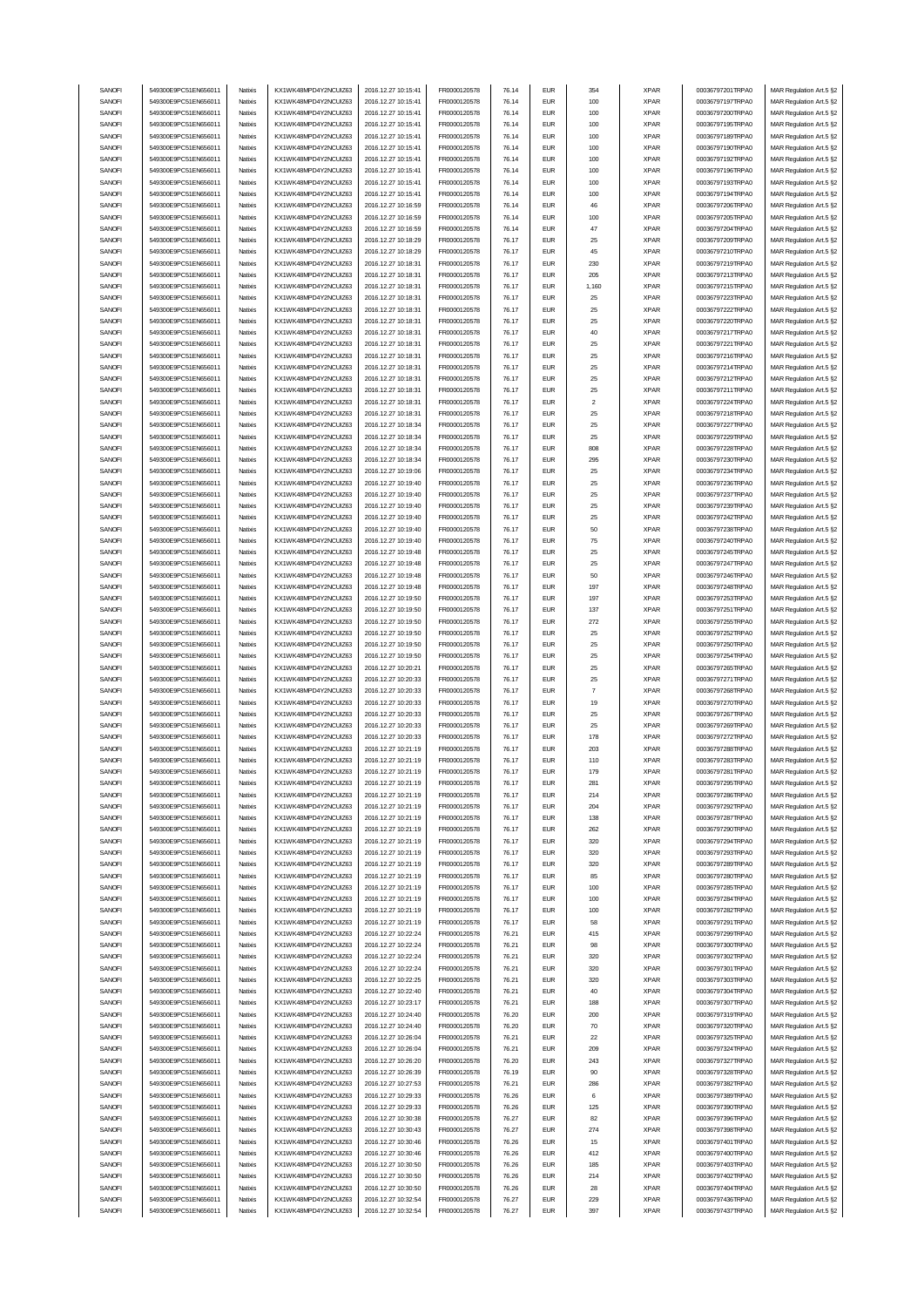| SANOFI |                      |          |                       |                     |                     |       |                             |                |             |                  |                         |
|--------|----------------------|----------|-----------------------|---------------------|---------------------|-------|-----------------------------|----------------|-------------|------------------|-------------------------|
|        | 549300E9PC51EN656011 | Natixis  | KX1WK48MPD4Y2NCUIZ63  | 2016.12.27 10:15:41 | FR0000120578        | 76.14 | <b>EUR</b>                  | 354            | <b>XPAR</b> | 00036797201TRPA0 | MAR Regulation Art.5 §2 |
|        |                      |          |                       |                     |                     |       |                             |                |             |                  |                         |
| SANOFI | 549300E9PC51EN656011 | Natixis  | KX1WK48MPD4Y2NCUIZ63  | 2016.12.27 10:15:41 | FR0000120578        | 76.14 | <b>EUR</b>                  | 100            | <b>XPAR</b> | 00036797197TRPA0 | MAR Regulation Art.5 §2 |
| SANOFI | 549300E9PC51EN656011 | Natixis  | KX1WK48MPD4Y2NCUIZ63  | 2016.12.27 10:15:41 | FR0000120578        | 76.14 | <b>EUR</b>                  | 100            | <b>XPAR</b> | 00036797200TRPA0 | MAR Regulation Art.5 §2 |
| SANOFI | 549300E9PC51EN656011 | Natixis  | KX1WK48MPD4Y2NCUIZ63  | 2016.12.27 10:15:41 | FR0000120578        | 76.14 | <b>EUR</b>                  | 100            | <b>XPAR</b> | 00036797195TRPA0 | MAR Regulation Art.5 §2 |
| SANOFI | 549300E9PC51EN656011 | Natixis  | KX1WK48MPD4Y2NCUIZ63  | 2016.12.27 10:15:41 | FR0000120578        | 76.14 | <b>EUR</b>                  | 100            | <b>XPAR</b> | 00036797189TRPA0 | MAR Regulation Art.5 §2 |
|        |                      |          |                       |                     |                     |       |                             |                |             |                  |                         |
| SANOFI | 549300E9PC51EN656011 | Natixis  | KX1WK48MPD4Y2NCUIZ63  | 2016.12.27 10:15:41 | FR0000120578        | 76.14 | <b>EUR</b>                  | 100            | <b>XPAR</b> | 00036797190TRPA0 | MAR Regulation Art.5 §2 |
| SANOFI | 549300E9PC51EN656011 | Natixis  | KX1WK48MPD4Y2NCUIZ63  | 2016.12.27 10:15:41 | FR0000120578        | 76.14 | <b>EUR</b>                  | 100            | <b>XPAR</b> | 00036797192TRPA0 | MAR Regulation Art.5 §2 |
| SANOFI | 549300E9PC51EN656011 | Natixis  | KX1WK48MPD4Y2NCUIZ63  | 2016.12.27 10:15:41 | FR0000120578        | 76.14 | <b>EUR</b>                  | 100            | <b>XPAR</b> | 00036797196TRPA0 | MAR Regulation Art.5 §2 |
|        |                      |          |                       |                     |                     |       |                             |                |             |                  |                         |
| SANOFI | 549300E9PC51EN656011 | Natixis  | KX1WK48MPD4Y2NCUIZ63  | 2016.12.27 10:15:41 | FR0000120578        | 76.14 | <b>EUR</b>                  | 100            | <b>XPAR</b> | 00036797193TRPA0 | MAR Regulation Art.5 §2 |
| SANOFI | 549300E9PC51EN656011 | Natixis  | KX1WK48MPD4Y2NCUIZ63  | 2016.12.27 10:15:41 | FR0000120578        | 76.14 | <b>EUR</b>                  | 100            | <b>XPAR</b> | 00036797194TRPA0 | MAR Regulation Art.5 §2 |
| SANOFI | 549300E9PC51EN656011 | Natixis  | KX1WK48MPD4Y2NCUIZ63  | 2016.12.27 10:16:59 | FR0000120578        | 76.14 | <b>EUR</b>                  | 46             | <b>XPAR</b> | 00036797206TRPA0 | MAR Regulation Art.5 §2 |
|        |                      |          |                       |                     |                     |       |                             |                |             |                  |                         |
| SANOFI | 549300E9PC51EN656011 | Natixis  | KX1WK48MPD4Y2NCUIZ63  | 2016.12.27 10:16:59 | FR0000120578        | 76.14 | <b>EUR</b>                  | 100            | <b>XPAR</b> | 00036797205TRPA0 | MAR Regulation Art.5 §2 |
| SANOFI | 549300E9PC51EN656011 | Natixis  | KX1WK48MPD4Y2NCUIZ63  | 2016.12.27 10:16:59 | FR0000120578        | 76.14 | <b>EUR</b>                  | 47             | <b>XPAR</b> | 00036797204TRPA0 | MAR Regulation Art.5 §2 |
|        |                      |          | KX1WK48MPD4Y2NCUIZ63  | 2016.12.27 10:18:29 |                     |       |                             |                |             |                  |                         |
| SANOFI | 549300E9PC51EN656011 | Natixis  |                       |                     | FR0000120578        | 76.17 | <b>EUR</b>                  | 25             | <b>XPAR</b> | 00036797209TRPA0 | MAR Regulation Art.5 §2 |
| SANOFI | 549300E9PC51EN656011 | Natixis  | KX1WK48MPD4Y2NCUIZ63  | 2016.12.27 10:18:29 | FR0000120578        | 76.17 | <b>EUR</b>                  | 45             | <b>XPAR</b> | 00036797210TRPA0 | MAR Regulation Art.5 §2 |
| SANOFI | 549300E9PC51EN656011 | Natixis  | KX1WK48MPD4Y2NCUIZ63  | 2016.12.27 10:18:31 | FR0000120578        | 76.17 | <b>EUR</b>                  | 230            | <b>XPAR</b> | 00036797219TRPA0 | MAR Regulation Art.5 §2 |
| SANOFI | 549300E9PC51EN656011 | Natixis  | KX1WK48MPD4Y2NCUIZ63  | 2016.12.27 10:18:31 | FR0000120578        | 76.17 | <b>EUR</b>                  | 205            | <b>XPAR</b> | 00036797213TRPA0 | MAR Regulation Art.5 §2 |
|        |                      |          |                       |                     |                     |       |                             |                |             |                  |                         |
| SANOFI | 549300E9PC51EN656011 | Natixis  | KX1WK48MPD4Y2NCUIZ63  | 2016.12.27 10:18:31 | FR0000120578        | 76.17 | <b>EUR</b>                  | 1,160          | <b>XPAR</b> | 00036797215TRPA0 | MAR Regulation Art.5 §2 |
| SANOFI | 549300E9PC51EN656011 | Natixis  | KX1WK48MPD4Y2NCUIZ63  | 2016.12.27 10:18:31 | FR0000120578        | 76.17 | <b>EUR</b>                  | 25             | <b>XPAR</b> | 00036797223TRPA0 | MAR Regulation Art.5 §2 |
| SANOFI | 549300E9PC51EN656011 | Natixis  | KX1WK48MPD4Y2NCUIZ63  | 2016.12.27 10:18:31 | FR0000120578        | 76.17 | <b>EUR</b>                  | 25             | <b>XPAR</b> | 00036797222TRPA0 | MAR Regulation Art.5 §2 |
|        | 549300E9PC51EN656011 |          |                       |                     |                     |       | <b>EUR</b>                  | 25             |             |                  |                         |
| SANOFI |                      | Natixis  | KX1WK48MPD4Y2NCUIZ63  | 2016.12.27 10:18:31 | FR0000120578        | 76.17 |                             |                | <b>XPAR</b> | 00036797220TRPA0 | MAR Regulation Art.5 §2 |
| SANOFI | 549300E9PC51EN656011 | Natixis  | KX1WK48MPD4Y2NCUIZ63  | 2016.12.27 10:18:31 | FR0000120578        | 76.17 | <b>EUR</b>                  | 40             | <b>XPAR</b> | 00036797217TRPA0 | MAR Regulation Art.5 §2 |
| SANOFI | 549300E9PC51EN656011 | Natixis  | KX1WK48MPD4Y2NCUIZ63  | 2016.12.27 10:18:31 | FR0000120578        | 76.17 | <b>EUR</b>                  | 25             | <b>XPAR</b> | 00036797221TRPA0 | MAR Regulation Art.5 §2 |
| SANOFI | 549300E9PC51EN656011 | Natixis  | KX1WK48MPD4Y2NCUIZ63  | 2016.12.27 10:18:31 | FR0000120578        | 76.17 | <b>EUR</b>                  | 25             | <b>XPAR</b> | 00036797216TRPA0 | MAR Regulation Art.5 §2 |
|        |                      |          |                       |                     |                     |       |                             |                |             |                  |                         |
| SANOFI | 549300E9PC51EN656011 | Natixis  | KX1WK48MPD4Y2NCUIZ63  | 2016.12.27 10:18:31 | FR0000120578        | 76.17 | <b>EUR</b>                  | 25             | <b>XPAR</b> | 00036797214TRPA0 | MAR Regulation Art.5 §2 |
| SANOFI | 549300E9PC51EN656011 | Natixis  | KX1WK48MPD4Y2NCUIZ63  | 2016.12.27 10:18:31 | FR0000120578        | 76.17 | <b>EUR</b>                  | 25             | <b>XPAR</b> | 00036797212TRPA0 | MAR Regulation Art.5 §2 |
| SANOFI | 549300E9PC51EN656011 | Natixis  | KX1WK48MPD4Y2NCUIZ63  | 2016.12.27 10:18:31 | FR0000120578        | 76.17 | <b>EUR</b>                  | 25             | <b>XPAR</b> | 00036797211TRPA0 | MAR Regulation Art.5 §2 |
|        |                      |          |                       |                     |                     |       |                             |                |             |                  |                         |
| SANOFI | 549300E9PC51EN656011 | Natixis  | KX1WK48MPD4Y2NCUIZ63  | 2016.12.27 10:18:31 | FR0000120578        | 76.17 | <b>EUR</b>                  | $\overline{2}$ | <b>XPAR</b> | 00036797224TRPA0 | MAR Regulation Art.5 §2 |
| SANOFI | 549300E9PC51EN656011 | Natixis  | KX1WK48MPD4Y2NCLIIZ63 | 2016.12.27 10:18:31 | FR0000120578        | 76.17 | <b>EUR</b>                  | 25             | <b>XPAR</b> | 00036797218TRPA0 | MAR Regulation Art.5 §2 |
| SANOFI | 549300E9PC51EN656011 | Natixis  | KX1WK48MPD4Y2NCUIZ63  | 2016.12.27 10:18:34 | FR0000120578        | 76.17 | <b>EUR</b>                  | 25             | <b>XPAR</b> | 00036797227TRPA0 | MAR Regulation Art.5 §2 |
|        |                      |          |                       |                     |                     |       |                             |                |             |                  |                         |
| SANOFI | 549300E9PC51EN656011 | Natixis  | KX1WK48MPD4Y2NCUIZ63  | 2016.12.27 10:18:34 | FR0000120578        | 76.17 | <b>EUR</b>                  | 25             | <b>XPAR</b> | 00036797229TRPA0 | MAR Regulation Art.5 §2 |
| SANOFI | 549300E9PC51EN656011 | Natixis  | KX1WK48MPD4Y2NCUIZ63  | 2016.12.27 10:18:34 | FR0000120578        | 76.17 | <b>EUR</b>                  | 808            | <b>XPAR</b> | 00036797228TRPA0 | MAR Regulation Art.5 §2 |
| SANOFI | 549300E9PC51EN656011 | Natixis  | KX1WK48MPD4Y2NCUIZ63  | 2016.12.27 10:18:34 | FR0000120578        | 76.17 | <b>EUR</b>                  | 295            | <b>XPAR</b> | 00036797230TRPA0 | MAR Regulation Art.5 §2 |
|        |                      |          |                       |                     |                     |       |                             |                |             |                  |                         |
| SANOFI | 549300E9PC51EN656011 | Natixis  | KX1WK48MPD4Y2NCUIZ63  | 2016.12.27 10:19:06 | FR0000120578        | 76.17 | <b>EUR</b>                  | 25             | <b>XPAR</b> | 00036797234TRPA0 | MAR Regulation Art.5 §2 |
| SANOFI | 549300E9PC51EN656011 | Natixis  | KX1WK48MPD4Y2NCUIZ63  | 2016.12.27 10:19:40 | FR0000120578        | 76.17 | <b>EUR</b>                  | 25             | <b>XPAR</b> | 00036797236TRPA0 | MAR Regulation Art.5 §2 |
| SANOFI | 549300E9PC51EN656011 | Natixis  | KX1WK48MPD4Y2NCUIZ63  | 2016.12.27 10:19:40 | FR0000120578        | 76.17 | <b>EUR</b>                  | 25             | <b>XPAR</b> | 00036797237TRPA0 | MAR Regulation Art.5 §2 |
| SANOFI | 549300E9PC51EN656011 | Natixis  | KX1WK48MPD4Y2NCUIZ63  | 2016.12.27 10:19:40 | FR0000120578        | 76.17 | <b>EUR</b>                  | 25             | <b>XPAR</b> | 00036797239TRPA0 | MAR Regulation Art.5 §2 |
|        |                      |          |                       |                     |                     |       |                             |                |             |                  |                         |
| SANOFI | 549300E9PC51EN656011 | Natixis  | KX1WK48MPD4Y2NCUIZ63  | 2016.12.27 10:19:40 | FR0000120578        | 76.17 | <b>EUR</b>                  | 25             | <b>XPAR</b> | 00036797242TRPA0 | MAR Regulation Art.5 §2 |
| SANOFI | 549300E9PC51EN656011 | Natixis  | KX1WK48MPD4Y2NCUIZ63  | 2016.12.27 10:19:40 | FR0000120578        | 76.17 | <b>EUR</b>                  | 50             | <b>XPAR</b> | 00036797238TRPA0 | MAR Regulation Art.5 §2 |
|        |                      |          |                       |                     |                     |       |                             |                |             |                  |                         |
| SANOFI | 549300E9PC51EN656011 | Natixis  | KX1WK48MPD4Y2NCUIZ63  | 2016.12.27 10:19:40 | FR0000120578        | 76.17 | <b>EUR</b>                  | 75             | <b>XPAR</b> | 00036797240TRPA0 | MAR Regulation Art.5 §2 |
| SANOFI | 549300E9PC51EN656011 | Natixis  | KX1WK48MPD4Y2NCUIZ63  | 2016.12.27 10:19:48 | FR0000120578        | 76.17 | <b>EUR</b>                  | 25             | <b>XPAR</b> | 00036797245TRPA0 | MAR Regulation Art.5 §2 |
| SANOFI | 549300E9PC51EN656011 | Natixis  | KX1WK48MPD4Y2NCUIZ63  | 2016.12.27 10:19:48 | FR0000120578        | 76.17 | <b>EUR</b>                  | 25             | <b>XPAR</b> | 00036797247TRPA0 | MAR Regulation Art.5 §2 |
| SANOFI | 549300E9PC51EN656011 | Natixis  | KX1WK48MPD4Y2NCUIZ63  | 2016.12.27 10:19:48 | FR0000120578        | 76.17 | <b>EUR</b>                  | 50             | <b>XPAR</b> | 00036797246TRPA0 | MAR Regulation Art.5 §2 |
|        |                      |          |                       |                     |                     |       |                             |                |             |                  |                         |
| SANOFI | 549300E9PC51EN656011 | Natixis  | KX1WK48MPD4Y2NCUIZ63  | 2016.12.27 10:19:48 | FR0000120578        | 76.17 | <b>EUR</b>                  | 197            | <b>XPAR</b> | 00036797248TRPA0 | MAR Regulation Art.5 §2 |
| SANOFI | 549300E9PC51EN656011 | Natixis  | KX1WK48MPD4Y2NCUIZ63  | 2016.12.27 10:19:50 | FR0000120578        | 76.17 | <b>EUR</b>                  | 197            | <b>XPAR</b> | 00036797253TRPA0 | MAR Regulation Art.5 §2 |
| SANOFI | 549300E9PC51EN656011 | Natixis  | KX1WK48MPD4Y2NCUIZ63  | 2016.12.27 10:19:50 | FR0000120578        | 76.17 | <b>EUR</b>                  | 137            | <b>XPAR</b> | 00036797251TRPA0 | MAR Regulation Art.5 §2 |
| SANOFI | 549300E9PC51EN656011 |          |                       |                     |                     |       | <b>EUR</b>                  |                |             |                  |                         |
|        |                      | Natixis  | KX1WK48MPD4Y2NCUIZ63  | 2016.12.27 10:19:50 | FR0000120578        | 76.17 |                             | 272            | <b>XPAR</b> | 00036797255TRPA0 | MAR Regulation Art.5 §2 |
| SANOFI | 549300E9PC51EN656011 | Natixis  | KX1WK48MPD4Y2NCUIZ63  | 2016.12.27 10:19:50 | FR0000120578        | 76.17 | <b>EUR</b>                  | 25             | <b>XPAR</b> | 00036797252TRPA0 | MAR Regulation Art.5 §2 |
| SANOFI | 549300E9PC51EN656011 | Natixis  | KX1WK48MPD4Y2NCUIZ63  | 2016.12.27 10:19:50 | FR0000120578        | 76.17 | <b>EUR</b>                  | 25             | <b>XPAR</b> | 00036797250TRPA0 | MAR Regulation Art.5 §2 |
| SANOFI | 549300E9PC51EN656011 | Natixis  |                       |                     |                     | 76.17 | <b>EUR</b>                  | 25             | <b>XPAR</b> |                  |                         |
|        |                      |          | KX1WK48MPD4Y2NCUIZ63  | 2016.12.27 10:19:50 | FR0000120578        |       |                             |                |             | 00036797254TRPA0 | MAR Regulation Art.5 §2 |
| SANOFI | 549300E9PC51EN656011 | Natixis  | KX1WK48MPD4Y2NCUIZ63  | 2016.12.27 10:20:21 | FR0000120578        | 76.17 | <b>EUR</b>                  | 25             | <b>XPAR</b> | 00036797265TRPA0 | MAR Regulation Art.5 §2 |
| SANOFI | 549300E9PC51EN656011 | Natixis  | KX1WK48MPD4Y2NCUIZ63  | 2016.12.27 10:20:33 | FR0000120578        | 76.17 | <b>EUR</b>                  | 25             | <b>XPAR</b> | 00036797271TRPA0 | MAR Regulation Art.5 §2 |
| SANOFI | 549300E9PC51EN656011 | Natixis  | KX1WK48MPD4Y2NCUIZ63  | 2016.12.27 10:20:33 | FR0000120578        | 76.17 | <b>EUR</b>                  | $\overline{7}$ | <b>XPAR</b> | 00036797268TRPA0 | MAR Regulation Art.5 §2 |
|        |                      |          |                       |                     |                     |       |                             |                |             |                  |                         |
| SANOFI | 549300E9PC51EN656011 | Natixis  | KX1WK48MPD4Y2NCUIZ63  | 2016.12.27 10:20:33 | FR0000120578        | 76.17 | <b>EUR</b>                  | 19             | <b>XPAR</b> | 00036797270TRPA0 | MAR Regulation Art.5 §2 |
| SANOFI | 549300E9PC51EN656011 | Natixis  | KX1WK48MPD4Y2NCUIZ63  |                     |                     |       |                             | 25             |             |                  |                         |
| SANOFI | 549300E9PC51EN656011 |          |                       | 2016.12.27 10:20:33 | FR0000120578        | 76.17 | <b>EUR</b>                  |                | <b>XPAR</b> | 00036797267TRPA0 | MAR Regulation Art.5 §2 |
|        |                      |          |                       |                     |                     |       |                             |                |             |                  |                         |
|        |                      | Natixis  | KX1WK48MPD4Y2NCUIZ63  | 2016.12.27 10:20:33 | FR0000120578        | 76.17 | <b>EUR</b>                  | 25             | <b>XPAR</b> | 00036797269TRPA0 | MAR Regulation Art.5 §2 |
| SANOFI | 549300E9PC51EN656011 | Natixis  | KX1WK48MPD4Y2NCUIZ63  | 2016.12.27 10:20:33 | FR0000120578        | 76.17 | <b>EUR</b>                  | 178            | <b>XPAR</b> | 00036797272TRPA0 | MAR Regulation Art.5 §2 |
| SANOFI | 549300E9PC51EN656011 | Natixis  | KX1WK48MPD4Y2NCUIZ63  | 2016.12.27 10:21:19 | FR0000120578        | 76.17 | <b>EUR</b>                  | 203            | <b>XPAR</b> | 00036797288TRPA0 | MAR Regulation Art.5 §2 |
|        |                      | Natixis  |                       |                     |                     | 76.17 | <b>EUR</b>                  | 110            | <b>XPAR</b> |                  |                         |
| SANOFI | 549300E9PC51EN656011 |          | KX1WK48MPD4Y2NCUIZ63  | 2016.12.27 10:21:19 | FR0000120578        |       |                             |                |             | 00036797283TRPA0 | MAR Regulation Art.5 §2 |
| SANUH  | 549300E9PC51EN656011 | rvatixis | KX1WK48MPD4Y2NCUIZ63  | 2016.12.27 10:21:19 | <b>FR00001205/8</b> | 76.17 | EUM                         | 179            | <b>XPAR</b> | 00036797281TRPA0 | MAR Regulation Art.5 §2 |
| SANOFI | 549300E9PC51EN656011 | Natixis  | KX1WK48MPD4Y2NCUIZ63  | 2016.12.27 10:21:19 | FR0000120578        | 76.17 | <b>EUR</b>                  | 281            | <b>XPAR</b> | 00036797295TRPA0 | MAR Regulation Art.5 §2 |
| SANOFI | 549300E9PC51EN656011 | Natixis  | KX1WK48MPD4Y2NCUIZ63  | 2016.12.27 10:21:19 | FR0000120578        | 76.17 | <b>EUR</b>                  | 214            | <b>XPAR</b> | 00036797286TRPA0 | MAR Regulation Art.5 §2 |
|        |                      |          |                       |                     |                     |       |                             |                |             |                  |                         |
| SANOFI | 549300E9PC51EN656011 | Natixis  | KX1WK48MPD4Y2NCUIZ63  | 2016.12.27 10:21:19 | FR0000120578        | 76.17 | <b>EUR</b>                  | 204            | <b>XPAR</b> | 00036797292TRPA0 | MAR Regulation Art.5 §2 |
| SANOFI | 549300E9PC51EN656011 | Natixis  | KX1WK48MPD4Y2NCUIZ63  | 2016.12.27 10:21:19 | FR0000120578        | 76.17 | <b>EUR</b>                  | 138            | <b>XPAR</b> | 00036797287TRPA0 | MAR Regulation Art.5 §2 |
| SANOFI | 549300E9PC51EN656011 | Natixis  | KX1WK48MPD4Y2NCUIZ63  | 2016.12.27 10:21:19 | FR0000120578        | 76.17 | <b>EUR</b>                  | 262            | <b>XPAR</b> | 00036797290TRPA0 | MAR Regulation Art.5 §2 |
|        |                      |          | KX1WK48MPD4Y2NCUIZ63  |                     |                     |       |                             |                |             |                  |                         |
| SANOFI | 549300E9PC51EN656011 | Natixis  |                       | 2016.12.27 10:21:19 | FR0000120578        | 76.17 | <b>EUR</b>                  | 320            | <b>XPAR</b> | 00036797294TRPA0 | MAR Regulation Art.5 §2 |
| SANOFI | 549300E9PC51EN656011 | Natixis  | KX1WK48MPD4Y2NCUIZ63  | 2016.12.27 10:21:19 | FR0000120578        | 76.17 | <b>EUR</b>                  | 320            | <b>XPAR</b> | 00036797293TRPA0 | MAR Regulation Art.5 §2 |
| SANOFI | 549300E9PC51EN656011 | Natixis  | KX1WK48MPD4Y2NCUIZ63  | 2016.12.27 10:21:19 | FR0000120578        | 76.17 | <b>EUR</b>                  | 320            | <b>XPAR</b> | 00036797289TRPA0 | MAR Regulation Art.5 §2 |
| SANOFI | 549300E9PC51EN656011 | Natixis  | KX1WK48MPD4Y2NCUIZ63  | 2016.12.27 10:21:19 | FR0000120578        | 76.17 | <b>EUR</b>                  | 85             | <b>XPAR</b> | 00036797280TRPA0 | MAR Regulation Art.5 §2 |
|        |                      |          |                       |                     |                     |       |                             |                |             |                  |                         |
| SANOFI | 549300E9PC51EN656011 | Natixis  | KX1WK48MPD4Y2NCUIZ63  | 2016.12.27 10:21:19 | FR0000120578        | 76.17 | <b>EUR</b>                  | 100            | <b>XPAR</b> | 00036797285TRPA0 | MAR Regulation Art.5 §2 |
| SANOFI | 549300E9PC51EN656011 | Natixis  | KX1WK48MPD4Y2NCUIZ63  | 2016.12.27 10:21:19 | FR0000120578        | 76.17 | <b>EUR</b>                  | 100            | <b>XPAR</b> | 00036797284TRPA0 | MAR Regulation Art.5 §2 |
| SANOFI | 549300E9PC51EN656011 | Natixis  | KX1WK48MPD4Y2NCUIZ63  | 2016.12.27 10:21:19 | FR0000120578        | 76.17 | <b>EUR</b>                  | 100            | <b>XPAR</b> | 00036797282TRPA0 | MAR Regulation Art.5 §2 |
| SANOFI | 549300E9PC51EN656011 | Natixis  | KX1WK48MPD4Y2NCUIZ63  | 2016.12.27 10:21:19 | FR0000120578        | 76.17 | <b>EUR</b>                  | 58             | <b>XPAR</b> | 00036797291TRPA0 |                         |
|        |                      |          |                       |                     |                     |       |                             |                |             |                  | MAR Regulation Art.5 §2 |
| SANOFI | 549300E9PC51EN656011 | Natixis  | KX1WK48MPD4Y2NCUIZ63  | 2016.12.27 10:22:24 | FR0000120578        | 76.21 | <b>EUR</b>                  | 415            | <b>XPAR</b> | 00036797299TRPA0 | MAR Regulation Art.5 §2 |
| SANOFI | 549300E9PC51EN656011 | Natixis  | KX1WK48MPD4Y2NCUIZ63  | 2016.12.27 10:22:24 | FR0000120578        | 76.21 | <b>EUR</b>                  | 98             | <b>XPAR</b> | 00036797300TRPA0 | MAR Regulation Art.5 §2 |
| SANOFI | 549300E9PC51EN656011 | Natixis  | KX1WK48MPD4Y2NCUIZ63  | 2016.12.27 10:22:24 | FR0000120578        | 76.21 | <b>EUR</b>                  | 320            | <b>XPAR</b> | 00036797302TRPA0 | MAR Regulation Art.5 §2 |
|        |                      |          |                       |                     |                     |       |                             |                |             |                  |                         |
| SANOFI | 549300E9PC51EN656011 | Natixis  | KX1WK48MPD4Y2NCUIZ63  | 2016.12.27 10:22:24 | FR0000120578        | 76.21 | <b>EUR</b>                  | 320            | <b>XPAR</b> | 00036797301TRPA0 | MAR Regulation Art.5 §2 |
| SANOFI | 549300E9PC51EN656011 | Natixis  | KX1WK48MPD4Y2NCUIZ63  | 2016.12.27 10:22:25 | FR0000120578        | 76.21 | <b>EUR</b>                  | 320            | <b>XPAR</b> | 00036797303TRPA0 | MAR Regulation Art.5 §2 |
| SANOFI | 549300E9PC51EN656011 | Natixis  | KX1WK48MPD4Y2NCUIZ63  | 2016.12.27 10:22:40 | FR0000120578        | 76.21 | $\ensuremath{\mathsf{EUR}}$ | 40             | <b>XPAR</b> | 00036797304TRPA0 | MAR Regulation Art.5 §2 |
| SANOFI | 549300E9PC51EN656011 | Natixis  | KX1WK48MPD4Y2NCUIZ63  | 2016.12.27 10:23:17 | FR0000120578        | 76.21 | <b>EUR</b>                  | 188            | <b>XPAR</b> | 00036797307TRPA0 | MAR Regulation Art.5 §2 |
|        |                      |          |                       |                     |                     |       |                             |                |             |                  |                         |
| SANOFI | 549300E9PC51EN656011 | Natixis  | KX1WK48MPD4Y2NCUIZ63  | 2016.12.27 10:24:40 | FR0000120578        | 76.20 | <b>EUR</b>                  | 200            | <b>XPAR</b> | 00036797319TRPA0 | MAR Regulation Art.5 §2 |
| SANOFI | 549300E9PC51EN656011 | Natixis  | KX1WK48MPD4Y2NCUIZ63  | 2016.12.27 10:24:40 | FR0000120578        | 76.20 | <b>EUR</b>                  | 70             | <b>XPAR</b> | 00036797320TRPA0 | MAR Regulation Art.5 §2 |
| SANOFI | 549300E9PC51EN656011 | Natixis  | KX1WK48MPD4Y2NCUIZ63  | 2016.12.27 10:26:04 | FR0000120578        | 76.21 | <b>EUR</b>                  | 22             | <b>XPAR</b> | 00036797325TRPA0 | MAR Regulation Art.5 §2 |
| SANOFI | 549300E9PC51EN656011 | Natixis  | KX1WK48MPD4Y2NCUIZ63  | 2016.12.27 10:26:04 | FR0000120578        | 76.21 | <b>EUR</b>                  | 209            | <b>XPAR</b> | 00036797324TRPA0 | MAR Regulation Art.5 §2 |
|        |                      |          |                       |                     |                     |       |                             |                |             |                  |                         |
| SANOFI | 549300E9PC51EN656011 | Natixis  | KX1WK48MPD4Y2NCUIZ63  | 2016.12.27 10:26:20 | FR0000120578        | 76.20 | <b>EUR</b>                  | 243            | <b>XPAR</b> | 00036797327TRPA0 | MAR Regulation Art.5 §2 |
| SANOFI | 549300E9PC51EN656011 | Natixis  | KX1WK48MPD4Y2NCUIZ63  | 2016.12.27 10:26:39 | FR0000120578        | 76.19 | <b>EUR</b>                  | 90             | <b>XPAR</b> | 00036797328TRPA0 | MAR Regulation Art.5 §2 |
| SANOFI | 549300E9PC51EN656011 | Natixis  | KX1WK48MPD4Y2NCUIZ63  | 2016.12.27 10:27:53 | FR0000120578        | 76.21 | <b>EUR</b>                  | 286            | <b>XPAR</b> | 00036797382TRPA0 | MAR Regulation Art.5 §2 |
|        |                      |          |                       |                     |                     |       |                             |                |             |                  |                         |
| SANOFI | 549300E9PC51EN656011 | Natixis  | KX1WK48MPD4Y2NCUIZ63  | 2016.12.27 10:29:33 | FR0000120578        | 76.26 | <b>EUR</b>                  | 6              | <b>XPAR</b> | 00036797389TRPA0 | MAR Regulation Art.5 §2 |
| SANOFI | 549300E9PC51EN656011 | Natixis  | KX1WK48MPD4Y2NCUIZ63  | 2016.12.27 10:29:33 | FR0000120578        | 76.26 | <b>EUR</b>                  | 125            | <b>XPAR</b> | 00036797390TRPA0 | MAR Regulation Art.5 §2 |
| SANOFI | 549300E9PC51EN656011 | Natixis  | KX1WK48MPD4Y2NCUIZ63  | 2016.12.27 10:30:38 | FR0000120578        | 76.27 | <b>EUR</b>                  | 82             | <b>XPAR</b> | 00036797396TRPA0 | MAR Regulation Art.5 §2 |
|        |                      |          |                       |                     |                     |       |                             |                |             |                  |                         |
| SANOFI | 549300E9PC51EN656011 | Natixis  | KX1WK48MPD4Y2NCUIZ63  | 2016.12.27 10:30:43 | FR0000120578        | 76.27 | <b>EUR</b>                  | 274            | <b>XPAR</b> | 00036797398TRPA0 | MAR Regulation Art.5 §2 |
| SANOFI | 549300E9PC51EN656011 | Natixis  | KX1WK48MPD4Y2NCUIZ63  | 2016.12.27 10:30:46 | FR0000120578        | 76.26 | <b>EUR</b>                  | 15             | <b>XPAR</b> | 00036797401TRPA0 | MAR Regulation Art.5 §2 |
| SANOFI | 549300E9PC51EN656011 | Natixis  | KX1WK48MPD4Y2NCUIZ63  | 2016.12.27 10:30:46 | FR0000120578        | 76.26 | <b>EUR</b>                  | 412            | <b>XPAR</b> | 00036797400TRPA0 | MAR Regulation Art.5 §2 |
| SANOFI | 549300E9PC51EN656011 | Natixis  | KX1WK48MPD4Y2NCUIZ63  | 2016.12.27 10:30:50 | FR0000120578        | 76.26 | <b>EUR</b>                  | 185            | <b>XPAR</b> | 00036797403TRPA0 | MAR Regulation Art.5 §2 |
|        |                      |          |                       |                     |                     |       |                             |                |             |                  |                         |
| SANOFI | 549300E9PC51EN656011 | Natixis  | KX1WK48MPD4Y2NCUIZ63  | 2016.12.27 10:30:50 | FR0000120578        | 76.26 | <b>EUR</b>                  | 214            | <b>XPAR</b> | 00036797402TRPA0 | MAR Regulation Art.5 §2 |
| SANOFI | 549300E9PC51EN656011 | Natixis  | KX1WK48MPD4Y2NCUIZ63  | 2016.12.27 10:30:50 | FR0000120578        | 76.26 | <b>EUR</b>                  | 28             | <b>XPAR</b> | 00036797404TRPA0 | MAR Regulation Art.5 §2 |
| SANOFI | 549300E9PC51EN656011 | Natixis  | KX1WK48MPD4Y2NCUIZ63  | 2016.12.27 10:32:54 | FR0000120578        | 76.27 | $\ensuremath{\mathsf{EUR}}$ | 229            | <b>XPAR</b> | 00036797436TRPA0 | MAR Regulation Art.5 §2 |
| SANOFI | 549300E9PC51EN656011 | Natixis  | KX1WK48MPD4Y2NCUIZ63  | 2016.12.27 10:32:54 | FR0000120578        | 76.27 | <b>EUR</b>                  | 397            | <b>XPAR</b> | 00036797437TRPA0 | MAR Regulation Art.5 §2 |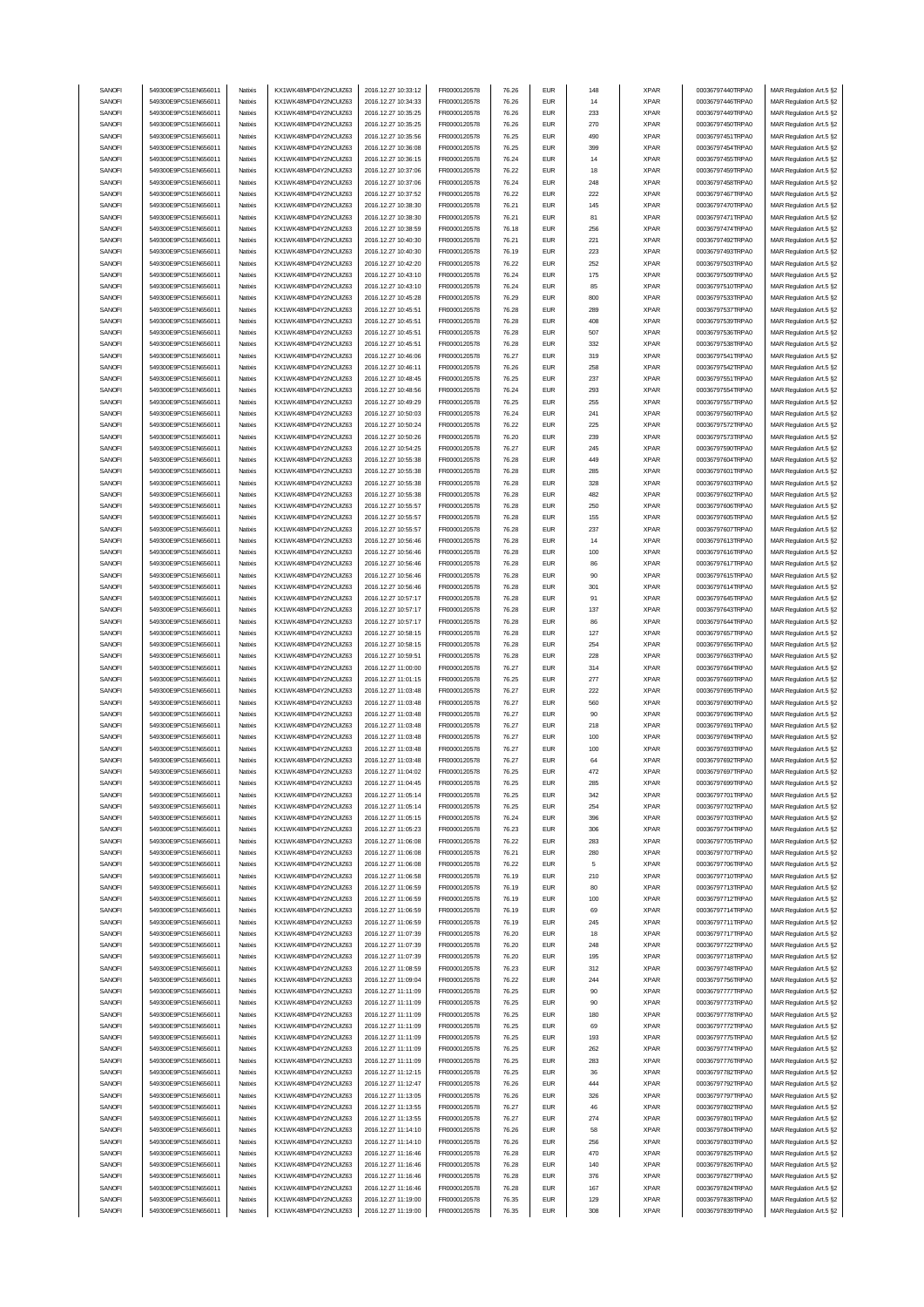| SANOFI | 549300E9PC51EN656011 | Natixis  | KX1WK48MPD4Y2NCUIZ63 | 2016.12.27 10:33:12 | FR0000120578        | 76.26 | <b>EUR</b>  | 148 | <b>XPAR</b> | 00036797440TRPA0 | MAR Regulation Art.5 §2 |
|--------|----------------------|----------|----------------------|---------------------|---------------------|-------|-------------|-----|-------------|------------------|-------------------------|
| SANOFI | 549300E9PC51EN656011 | Natixis  | KX1WK48MPD4Y2NCUIZ63 | 2016.12.27 10:34:33 | FR0000120578        | 76.26 | <b>EUR</b>  | 14  | <b>XPAR</b> | 00036797446TRPA0 | MAR Regulation Art.5 §2 |
| SANOFI |                      |          | KX1WK48MPD4Y2NCUIZ63 |                     |                     |       | <b>EUR</b>  | 233 | <b>XPAR</b> |                  |                         |
|        | 549300E9PC51EN656011 | Natixis  |                      | 2016.12.27 10:35:25 | FR0000120578        | 76.26 |             |     |             | 00036797449TRPA0 | MAR Regulation Art.5 §2 |
| SANOFI | 549300E9PC51EN656011 | Natixis  | KX1WK48MPD4Y2NCUIZ63 | 2016.12.27 10:35:25 | FR0000120578        | 76.26 | <b>EUR</b>  | 270 | <b>XPAR</b> | 00036797450TRPA0 | MAR Regulation Art.5 §2 |
| SANOFI | 549300E9PC51EN656011 | Natixis  | KX1WK48MPD4Y2NCUIZ63 | 2016.12.27 10:35:56 | FR0000120578        | 76.25 | <b>EUR</b>  | 490 | <b>XPAR</b> | 00036797451TRPA0 | MAR Regulation Art.5 §2 |
| SANOFI | 549300E9PC51EN656011 | Natixis  | KX1WK48MPD4Y2NCUIZ63 | 2016.12.27 10:36:08 | FR0000120578        | 76.25 | <b>EUR</b>  | 399 | <b>XPAR</b> | 00036797454TRPA0 | MAR Regulation Art.5 §2 |
| SANOFI | 549300E9PC51EN656011 | Natixis  | KX1WK48MPD4Y2NCUIZ63 | 2016.12.27 10:36:15 | FR0000120578        | 76.24 | <b>EUR</b>  | 14  | <b>XPAR</b> | 00036797455TRPA0 | MAR Regulation Art.5 §2 |
| SANOFI | 549300E9PC51EN656011 | Natixis  | KX1WK48MPD4Y2NCUIZ63 | 2016.12.27 10:37:06 | FR0000120578        | 76.22 | <b>EUR</b>  | 18  | <b>XPAR</b> | 00036797459TRPA0 | MAR Regulation Art.5 §2 |
|        | 549300E9PC51EN656011 |          | KX1WK48MPD4Y2NCUIZ63 | 2016.12.27 10:37:06 |                     |       | <b>EUR</b>  | 248 |             |                  |                         |
| SANOFI |                      | Natixis  |                      |                     | FR0000120578        | 76.24 |             |     | <b>XPAR</b> | 00036797458TRPA0 | MAR Regulation Art.5 §2 |
| SANOFI | 549300E9PC51EN656011 | Natixis  | KX1WK48MPD4Y2NCUIZ63 | 2016.12.27 10:37:52 | FR0000120578        | 76.22 | <b>EUR</b>  | 222 | <b>XPAR</b> | 00036797467TRPA0 | MAR Regulation Art.5 §2 |
| SANOFI | 549300E9PC51EN656011 | Natixis  | KX1WK48MPD4Y2NCUIZ63 | 2016.12.27 10:38:30 | FR0000120578        | 76.21 | <b>EUR</b>  | 145 | <b>XPAR</b> | 00036797470TRPA0 | MAR Regulation Art.5 §2 |
| SANOFI | 549300E9PC51EN656011 | Natixis  | KX1WK48MPD4Y2NCUIZ63 | 2016.12.27 10:38:30 | FR0000120578        | 76.21 | <b>EUR</b>  | 81  | <b>XPAR</b> | 00036797471TRPA0 | MAR Regulation Art.5 §2 |
| SANOFI | 549300E9PC51EN656011 | Natixis  | KX1WK48MPD4Y2NCUIZ63 | 2016.12.27 10:38:59 | FR0000120578        | 76.18 | <b>EUR</b>  | 256 | <b>XPAR</b> | 00036797474TRPA0 | MAR Regulation Art.5 §2 |
| SANOFI | 549300E9PC51EN656011 | Natixis  | KX1WK48MPD4Y2NCUIZ63 | 2016.12.27 10:40:30 | FR0000120578        | 76.21 | <b>EUR</b>  | 221 | <b>XPAR</b> | 00036797492TRPA0 | MAR Regulation Art.5 §2 |
|        |                      |          |                      |                     |                     |       |             |     |             |                  |                         |
| SANOFI | 549300E9PC51EN656011 | Natixis  | KX1WK48MPD4Y2NCUIZ63 | 2016.12.27 10:40:30 | FR0000120578        | 76.19 | <b>EUR</b>  | 223 | <b>XPAR</b> | 00036797493TRPA0 | MAR Regulation Art.5 §2 |
| SANOFI | 549300E9PC51EN656011 | Natixis  | KX1WK48MPD4Y2NCUIZ63 | 2016.12.27 10:42:20 | FR0000120578        | 76.22 | <b>EUR</b>  | 252 | <b>XPAR</b> | 00036797503TRPA0 | MAR Regulation Art.5 §2 |
| SANOFI | 549300E9PC51EN656011 | Natixis  | KX1WK48MPD4Y2NCUIZ63 | 2016.12.27 10:43:10 | FR0000120578        | 76.24 | <b>EUR</b>  | 175 | <b>XPAR</b> | 00036797509TRPA0 | MAR Regulation Art.5 §2 |
| SANOFI | 549300E9PC51EN656011 | Natixis  | KX1WK48MPD4Y2NCUIZ63 | 2016.12.27 10:43:10 | FR0000120578        | 76.24 | <b>EUR</b>  | 85  | <b>XPAR</b> | 00036797510TRPA0 | MAR Regulation Art.5 §2 |
| SANOFI | 549300E9PC51EN656011 | Natixis  | KX1WK48MPD4Y2NCUIZ63 | 2016.12.27 10:45:28 | FR0000120578        | 76.29 | <b>EUR</b>  | 800 | <b>XPAR</b> | 00036797533TRPA0 | MAR Regulation Art.5 §2 |
| SANOFI | 549300E9PC51EN656011 | Natixis  | KX1WK48MPD4Y2NCUIZ63 | 2016.12.27 10:45:51 | FR0000120578        | 76.28 | <b>EUR</b>  | 289 | <b>XPAR</b> | 00036797537TRPA0 | MAR Regulation Art.5 §2 |
| SANOFI | 549300E9PC51EN656011 | Natixis  | KX1WK48MPD4Y2NCUIZ63 | 2016.12.27 10:45:51 | FR0000120578        | 76.28 | <b>EUR</b>  | 408 | <b>XPAR</b> | 00036797539TRPA0 | MAR Regulation Art.5 §2 |
|        |                      |          |                      |                     |                     |       |             |     |             |                  |                         |
| SANOFI | 549300E9PC51EN656011 | Natixis  | KX1WK48MPD4Y2NCUIZ63 | 2016.12.27 10:45:51 | FR0000120578        | 76.28 | <b>EUR</b>  | 507 | <b>XPAR</b> | 00036797536TRPA0 | MAR Regulation Art.5 §2 |
| SANOFI | 549300E9PC51EN656011 | Natixis  | KX1WK48MPD4Y2NCUIZ63 | 2016.12.27 10:45:51 | FR0000120578        | 76.28 | <b>EUR</b>  | 332 | <b>XPAR</b> | 00036797538TRPA0 | MAR Regulation Art.5 §2 |
| SANOFI | 549300E9PC51EN656011 | Natixis  | KX1WK48MPD4Y2NCUIZ63 | 2016.12.27 10:46:06 | FR0000120578        | 76.27 | <b>EUR</b>  | 319 | <b>XPAR</b> | 00036797541TRPA0 | MAR Regulation Art.5 §2 |
| SANOFI | 549300E9PC51EN656011 | Natixis  | KX1WK48MPD4Y2NCUIZ63 | 2016.12.27 10:46:11 | FR0000120578        | 76.26 | <b>EUR</b>  | 258 | <b>XPAR</b> | 00036797542TRPA0 | MAR Regulation Art.5 §2 |
| SANOFI | 549300E9PC51EN656011 | Natixis  | KX1WK48MPD4Y2NCUIZ63 | 2016.12.27 10:48:45 | FR0000120578        | 76.25 | <b>EUR</b>  | 237 | <b>XPAR</b> | 00036797551TRPA0 | MAR Regulation Art.5 §2 |
| SANOFI | 549300E9PC51EN656011 | Natixis  | KX1WK48MPD4Y2NCUIZ63 | 2016.12.27 10:48:56 | FR0000120578        | 76.24 | <b>EUR</b>  | 293 | <b>XPAR</b> | 00036797554TRPA0 | MAR Regulation Art.5 §2 |
| SANOFI | 549300E9PC51EN656011 | Natixis  | KX1WK48MPD4Y2NCUIZ63 | 2016.12.27 10:49:29 |                     | 76.25 | <b>EUR</b>  | 255 | <b>XPAR</b> | 00036797557TRPA0 | MAR Regulation Art.5 §2 |
|        |                      |          |                      |                     | FR0000120578        |       |             |     |             |                  |                         |
| SANOFI | 549300E9PC51EN656011 | Natixis  | KX1WK48MPD4Y2NCUIZ63 | 2016.12.27 10:50:03 | FR0000120578        | 76.24 | <b>EUR</b>  | 241 | <b>XPAR</b> | 00036797560TRPA0 | MAR Regulation Art.5 §2 |
| SANOFI | 549300E9PC51EN656011 | Natixis  | KX1WK48MPD4Y2NCUIZ63 | 2016.12.27 10:50:24 | FR0000120578        | 76.22 | <b>EUR</b>  | 225 | <b>XPAR</b> | 00036797572TRPA0 | MAR Regulation Art.5 §2 |
| SANOFI | 549300E9PC51EN656011 | Natixis  | KX1WK48MPD4Y2NCUIZ63 | 2016.12.27 10:50:26 | FR0000120578        | 76.20 | <b>EUR</b>  | 239 | <b>XPAR</b> | 00036797573TRPA0 | MAR Regulation Art.5 §2 |
| SANOFI | 549300E9PC51EN656011 | Natixis  | KX1WK48MPD4Y2NCUIZ63 | 2016.12.27 10:54:25 | FR0000120578        | 76.27 | <b>EUR</b>  | 245 | <b>XPAR</b> | 00036797590TRPA0 | MAR Regulation Art.5 §2 |
| SANOFI | 549300E9PC51EN656011 | Natixis  | KX1WK48MPD4Y2NCUIZ63 | 2016.12.27 10:55:38 | FR0000120578        | 76.28 | <b>EUR</b>  | 449 | <b>XPAR</b> | 00036797604TRPA0 | MAR Regulation Art.5 §2 |
| SANOFI | 549300E9PC51EN656011 | Natixis  | KX1WK48MPD4Y2NCUIZ63 | 2016.12.27 10:55:38 | FR0000120578        | 76.28 | <b>EUR</b>  | 285 | <b>XPAR</b> | 00036797601TRPA0 | MAR Regulation Art.5 §2 |
| SANOFI | 549300E9PC51EN656011 | Natixis  |                      | 2016.12.27 10:55:38 | FR0000120578        | 76.28 | <b>EUR</b>  | 328 |             |                  |                         |
|        |                      |          | KX1WK48MPD4Y2NCUIZ63 |                     |                     |       |             |     | <b>XPAR</b> | 00036797603TRPA0 | MAR Regulation Art.5 §2 |
| SANOFI | 549300E9PC51EN656011 | Natixis  | KX1WK48MPD4Y2NCUIZ63 | 2016.12.27 10:55:38 | FR0000120578        | 76.28 | <b>EUR</b>  | 482 | <b>XPAR</b> | 00036797602TRPA0 | MAR Regulation Art.5 §2 |
| SANOFI | 549300E9PC51EN656011 | Natixis  | KX1WK48MPD4Y2NCUIZ63 | 2016.12.27 10:55:57 | FR0000120578        | 76.28 | <b>EUR</b>  | 250 | <b>XPAR</b> | 00036797606TRPA0 | MAR Regulation Art.5 §2 |
| SANOFI | 549300E9PC51EN656011 | Natixis  | KX1WK48MPD4Y2NCUIZ63 | 2016.12.27 10:55:57 | FR0000120578        | 76.28 | <b>EUR</b>  | 155 | <b>XPAR</b> | 00036797605TRPA0 | MAR Regulation Art.5 §2 |
| SANOFI | 549300E9PC51EN656011 | Natixis  | KX1WK48MPD4Y2NCUIZ63 | 2016.12.27 10:55:57 | FR0000120578        | 76.28 | <b>EUR</b>  | 237 | <b>XPAR</b> | 00036797607TRPA0 | MAR Regulation Art.5 §2 |
| SANOFI | 549300E9PC51EN656011 | Natixis  | KX1WK48MPD4Y2NCUIZ63 | 2016.12.27 10:56:46 | FR0000120578        | 76.28 | <b>EUR</b>  | 14  | <b>XPAR</b> | 00036797613TRPA0 | MAR Regulation Art.5 §2 |
| SANOFI | 549300E9PC51EN656011 | Natixis  | KX1WK48MPD4Y2NCUIZ63 | 2016.12.27 10:56:46 | FR0000120578        | 76.28 | <b>EUR</b>  | 100 | <b>XPAR</b> | 00036797616TRPA0 | MAR Regulation Art.5 §2 |
|        |                      |          |                      |                     |                     |       |             |     |             |                  |                         |
| SANOFI | 549300E9PC51EN656011 | Natixis  | KX1WK48MPD4Y2NCUIZ63 | 2016.12.27 10:56:46 | FR0000120578        | 76.28 | <b>EUR</b>  | 86  | <b>XPAR</b> | 00036797617TRPA0 | MAR Regulation Art.5 §2 |
| SANOFI | 549300E9PC51EN656011 | Natixis  | KX1WK48MPD4Y2NCUIZ63 | 2016.12.27 10:56:46 | FR0000120578        | 76.28 | <b>EUR</b>  | 90  | <b>XPAR</b> | 00036797615TRPA0 | MAR Regulation Art.5 §2 |
| SANOFI | 549300E9PC51EN656011 | Natixis  | KX1WK48MPD4Y2NCUIZ63 | 2016.12.27 10:56:46 | FR0000120578        | 76.28 | <b>EUR</b>  | 301 | <b>XPAR</b> | 00036797614TRPA0 | MAR Regulation Art.5 §2 |
| SANOFI | 549300E9PC51EN656011 | Natixis  | KX1WK48MPD4Y2NCUIZ63 | 2016.12.27 10:57:17 | FR0000120578        | 76.28 | <b>EUR</b>  | 91  | <b>XPAR</b> | 00036797645TRPA0 | MAR Regulation Art.5 §2 |
| SANOFI | 549300E9PC51EN656011 | Natixis  | KX1WK48MPD4Y2NCUIZ63 | 2016.12.27 10:57:17 | FR0000120578        | 76.28 | <b>EUR</b>  | 137 | <b>XPAR</b> | 00036797643TRPA0 | MAR Regulation Art.5 §2 |
| SANOFI | 549300E9PC51EN656011 | Natixis  | KX1WK48MPD4Y2NCUIZ63 | 2016.12.27 10:57:17 | FR0000120578        | 76.28 | <b>EUR</b>  | 86  | <b>XPAR</b> | 00036797644TRPA0 | MAR Regulation Art.5 §2 |
| SANOFI | 549300E9PC51EN656011 | Natixis  | KX1WK48MPD4Y2NCUIZ63 | 2016.12.27 10:58:15 | FR0000120578        | 76.28 | <b>EUR</b>  | 127 | <b>XPAR</b> | 00036797657TRPA0 | MAR Regulation Art.5 §2 |
|        |                      |          |                      |                     |                     |       |             |     |             |                  |                         |
|        |                      |          |                      |                     |                     |       |             |     |             |                  |                         |
| SANOFI | 549300E9PC51EN656011 | Natixis  | KX1WK48MPD4Y2NCUIZ63 | 2016.12.27 10:58:15 | FR0000120578        | 76.28 | <b>EUR</b>  | 254 | <b>XPAR</b> | 00036797656TRPA0 | MAR Regulation Art.5 §2 |
| SANOFI | 549300E9PC51EN656011 | Natixis  | KX1WK48MPD4Y2NCUIZ63 | 2016.12.27 10:59:51 | FR0000120578        | 76.28 | <b>EUR</b>  | 228 | <b>XPAR</b> | 00036797663TRPA0 | MAR Regulation Art.5 §2 |
| SANOFI | 549300E9PC51EN656011 | Natixis  | KX1WK48MPD4Y2NCUIZ63 | 2016.12.27 11:00:00 | FR0000120578        | 76.27 | <b>EUR</b>  | 314 | <b>XPAR</b> | 00036797664TRPA0 | MAR Regulation Art.5 §2 |
| SANOFI | 549300E9PC51EN656011 | Natixis  | KX1WK48MPD4Y2NCUIZ63 | 2016.12.27 11:01:15 | FR0000120578        | 76.25 | <b>EUR</b>  | 277 | <b>XPAR</b> | 00036797669TRPA0 | MAR Regulation Art.5 §2 |
| SANOFI | 549300E9PC51EN656011 | Natixis  | KX1WK48MPD4Y2NCUIZ63 | 2016.12.27 11:03:48 | FR0000120578        | 76.27 | <b>EUR</b>  | 222 | <b>XPAR</b> | 00036797695TRPA0 | MAR Regulation Art.5 §2 |
| SANOFI | 549300E9PC51EN656011 | Natixis  | KX1WK48MPD4Y2NCUIZ63 | 2016.12.27 11:03:48 | FR0000120578        | 76.27 | <b>EUR</b>  | 560 | <b>XPAR</b> | 00036797690TRPA0 | MAR Regulation Art.5 §2 |
| SANOFI | 549300E9PC51EN656011 | Natixis  | KX1WK48MPD4Y2NCUIZ63 | 2016.12.27 11:03:48 | FR0000120578        | 76.27 | <b>EUR</b>  | 90  | <b>XPAR</b> | 00036797696TRPA0 | MAR Regulation Art.5 §2 |
| SANOFI | 549300E9PC51EN656011 | Natixis  | KX1WK48MPD4Y2NCUIZ63 | 2016.12.27 11:03:48 | FR0000120578        | 76.27 | <b>EUR</b>  | 218 | <b>XPAR</b> | 00036797691TRPA0 |                         |
|        |                      |          |                      |                     |                     |       |             |     |             |                  | MAR Regulation Art.5 §2 |
| SANOFI | 549300E9PC51EN656011 | Natixis  | KX1WK48MPD4Y2NCUIZ63 | 2016.12.27 11:03:48 | FR0000120578        | 76.27 | <b>EUR</b>  | 100 | <b>XPAR</b> | 00036797694TRPA0 | MAR Regulation Art.5 §2 |
| SANOFI | 549300E9PC51EN656011 | Natixis  | KX1WK48MPD4Y2NCUIZ63 | 2016.12.27 11:03:48 | FR0000120578        | 76.27 | <b>EUR</b>  | 100 | <b>XPAR</b> | 00036797693TRPA0 | MAR Regulation Art.5 §2 |
| SANOFI | 549300E9PC51EN656011 | Natixis  | KX1WK48MPD4Y2NCUIZ63 | 2016.12.27 11:03:48 | FR0000120578        | 76.27 | <b>EUR</b>  | 64  | <b>XPAR</b> | 00036797692TRPA0 | MAR Regulation Art.5 §2 |
| SANUH  | 549300E9PC51EN656011 | rvatixis | KX1WK48MPD4Y2NCUIZ63 | 2016.12.27 11:04:02 | <b>FR00001205/8</b> | 16.25 | EUM         | 472 | <b>XPAR</b> | 00036797697TRPAU | MAR Regulation Art.5 §2 |
| SANOFI | 549300E9PC51EN656011 | Natixis  | KX1WK48MPD4Y2NCUIZ63 | 2016.12.27 11:04:45 | FR0000120578        | 76.25 | <b>EUR</b>  | 285 | <b>XPAR</b> | 00036797699TRPA0 | MAR Regulation Art.5 §2 |
| SANOFI | 549300E9PC51EN656011 | Natixis  | KX1WK48MPD4Y2NCUIZ63 | 2016.12.27 11:05:14 | FR0000120578        | 76.25 | <b>EUR</b>  | 342 | <b>XPAR</b> | 00036797701TRPA0 | MAR Regulation Art.5 §2 |
|        | 549300E9PC51EN656011 | Natixis  |                      |                     |                     | 76.25 | <b>EUR</b>  |     |             | 00036797702TRPA0 |                         |
| SANOFI |                      |          | KX1WK48MPD4Y2NCUIZ63 | 2016.12.27 11:05:14 | FR0000120578        |       |             | 254 | <b>XPAR</b> |                  | MAR Regulation Art.5 §2 |
| SANOFI | 549300E9PC51EN656011 | Natixis  | KX1WK48MPD4Y2NCUIZ63 | 2016.12.27 11:05:15 | FR0000120578        | 76.24 | <b>EUR</b>  | 396 | <b>XPAR</b> | 00036797703TRPA0 | MAR Regulation Art.5 §2 |
| SANOFI | 549300E9PC51EN656011 | Natixis  | KX1WK48MPD4Y2NCUIZ63 | 2016.12.27 11:05:23 | FR0000120578        | 76.23 | <b>EUR</b>  | 306 | <b>XPAR</b> | 00036797704TRPA0 | MAR Regulation Art.5 §2 |
| SANOFI | 549300E9PC51EN656011 | Natixis  | KX1WK48MPD4Y2NCUIZ63 | 2016.12.27 11:06:08 | FR0000120578        | 76.22 | <b>EUR</b>  | 283 | <b>XPAR</b> | 00036797705TRPA0 | MAR Regulation Art.5 §2 |
| SANOFI | 549300E9PC51EN656011 | Natixis  | KX1WK48MPD4Y2NCUIZ63 | 2016.12.27 11:06:08 | FR0000120578        | 76.21 | <b>EUR</b>  | 280 | <b>XPAR</b> | 00036797707TRPA0 | MAR Regulation Art.5 §2 |
| SANOFI | 549300E9PC51EN656011 | Natixis  | KX1WK48MPD4Y2NCUIZ63 | 2016.12.27 11:06:08 | FR0000120578        | 76.22 | <b>EUR</b>  | 5   | <b>XPAR</b> | 00036797706TRPA0 | MAR Regulation Art.5 §2 |
| SANOFI | 549300E9PC51EN656011 | Natixis  | KX1WK48MPD4Y2NCUIZ63 | 2016.12.27 11:06:58 | FR0000120578        | 76.19 | <b>EUR</b>  | 210 | <b>XPAR</b> | 00036797710TRPA0 | MAR Regulation Art.5 §2 |
| SANOFI | 549300E9PC51EN656011 | Natixis  | KX1WK48MPD4Y2NCUIZ63 | 2016.12.27 11:06:59 | FR0000120578        | 76.19 | <b>EUR</b>  | 80  | <b>XPAR</b> | 00036797713TRPA0 | MAR Regulation Art.5 §2 |
| SANOFI | 549300E9PC51EN656011 | Natixis  | KX1WK48MPD4Y2NCUIZ63 | 2016.12.27 11:06:59 | FR0000120578        | 76.19 | <b>EUR</b>  | 100 | <b>XPAR</b> | 00036797712TRPA0 |                         |
|        |                      |          |                      |                     |                     |       |             |     |             |                  | MAR Regulation Art.5 §2 |
| SANOFI | 549300E9PC51EN656011 | Natixis  | KX1WK48MPD4Y2NCUIZ63 | 2016.12.27 11:06:59 | FR0000120578        | 76.19 | <b>EUR</b>  | 69  | <b>XPAR</b> | 00036797714TRPA0 | MAR Regulation Art.5 §2 |
| SANOFI | 549300E9PC51EN656011 | Natixis  | KX1WK48MPD4Y2NCUIZ63 | 2016.12.27 11:06:59 | FR0000120578        | 76.19 | <b>EUR</b>  | 245 | <b>XPAR</b> | 00036797711TRPA0 | MAR Regulation Art.5 §2 |
| SANOFI | 549300E9PC51EN656011 | Natixis  | KX1WK48MPD4Y2NCUIZ63 | 2016.12.27 11:07:39 | FR0000120578        | 76.20 | <b>EUR</b>  | 18  | <b>XPAR</b> | 00036797717TRPA0 | MAR Regulation Art.5 §2 |
| SANOFI | 549300E9PC51EN656011 | Natixis  | KX1WK48MPD4Y2NCUIZ63 | 2016.12.27 11:07:39 | FR0000120578        | 76.20 | <b>EUR</b>  | 248 | <b>XPAR</b> | 00036797722TRPA0 | MAR Regulation Art.5 §2 |
| SANOFI | 549300E9PC51EN656011 | Natixis  | KX1WK48MPD4Y2NCUIZ63 | 2016.12.27 11:07:39 | FR0000120578        | 76.20 | <b>EUR</b>  | 195 | <b>XPAR</b> | 00036797718TRPA0 | MAR Regulation Art.5 §2 |
| SANOFI | 549300E9PC51EN656011 | Natixis  | KX1WK48MPD4Y2NCUIZ63 | 2016.12.27 11:08:59 | FR0000120578        | 76.23 | <b>EUR</b>  | 312 | <b>XPAR</b> | 00036797748TRPA0 | MAR Regulation Art.5 §2 |
| SANOFI | 549300E9PC51EN656011 | Natixis  | KX1WK48MPD4Y2NCUIZ63 | 2016.12.27 11:09:04 | FR0000120578        | 76.22 | <b>EUR</b>  | 244 | <b>XPAR</b> | 00036797756TRPA0 |                         |
|        |                      |          |                      |                     |                     |       |             |     |             |                  | MAR Regulation Art.5 §2 |
| SANOFI | 549300E9PC51EN656011 | Natixis  | KX1WK48MPD4Y2NCUIZ63 | 2016.12.27 11:11:09 | FR0000120578        | 76.25 | <b>EUR</b>  | 90  | <b>XPAR</b> | 00036797777TRPA0 | MAR Regulation Art.5 §2 |
| SANOFI | 549300E9PC51EN656011 | Natixis  | KX1WK48MPD4Y2NCUIZ63 | 2016.12.27 11:11:09 | FR0000120578        | 76.25 | <b>EUR</b>  | 90  | <b>XPAR</b> | 00036797773TRPA0 | MAR Regulation Art.5 §2 |
| SANOFI | 549300E9PC51EN656011 | Natixis  | KX1WK48MPD4Y2NCUIZ63 | 2016.12.27 11:11:09 | FR0000120578        | 76.25 | <b>EUR</b>  | 180 | <b>XPAR</b> | 00036797778TRPA0 | MAR Regulation Art.5 §2 |
| SANOFI | 549300E9PC51EN656011 | Natixis  | KX1WK48MPD4Y2NCUIZ63 | 2016.12.27 11:11:09 | FR0000120578        | 76.25 | <b>EUR</b>  | 69  | <b>XPAR</b> | 00036797772TRPA0 | MAR Regulation Art.5 §2 |
| SANOFI | 549300E9PC51EN656011 | Natixis  | KX1WK48MPD4Y2NCUIZ63 | 2016.12.27 11:11:09 | FR0000120578        | 76.25 | <b>EUR</b>  | 193 | <b>XPAR</b> | 00036797775TRPA0 | MAR Regulation Art.5 §2 |
| SANOFI | 549300E9PC51EN656011 | Natixis  | KX1WK48MPD4Y2NCUIZ63 | 2016.12.27 11:11:09 | FR0000120578        | 76.25 | <b>EUR</b>  | 262 | <b>XPAR</b> | 00036797774TRPA0 | MAR Regulation Art.5 §2 |
| SANOFI | 549300E9PC51EN656011 | Natixis  | KX1WK48MPD4Y2NCUIZ63 | 2016.12.27 11:11:09 | FR0000120578        | 76.25 | <b>EUR</b>  | 283 | <b>XPAR</b> | 00036797776TRPA0 | MAR Regulation Art.5 §2 |
| SANOFI | 549300E9PC51EN656011 | Natixis  | KX1WK48MPD4Y2NCUIZ63 | 2016.12.27 11:12:15 | FR0000120578        | 76.25 | <b>EUR</b>  | 36  | <b>XPAR</b> | 00036797782TRPA0 | MAR Regulation Art.5 §2 |
| SANOFI | 549300E9PC51EN656011 | Natixis  | KX1WK48MPD4Y2NCUIZ63 | 2016.12.27 11:12:47 | FR0000120578        | 76.26 | <b>EUR</b>  | 444 | <b>XPAR</b> | 00036797792TRPA0 | MAR Regulation Art.5 §2 |
|        |                      |          |                      |                     |                     |       | <b>EUR</b>  | 326 |             |                  |                         |
| SANOFI | 549300E9PC51EN656011 | Natixis  | KX1WK48MPD4Y2NCUIZ63 | 2016.12.27 11:13:05 | FR0000120578        | 76.26 |             |     | <b>XPAR</b> | 00036797797TRPA0 | MAR Regulation Art.5 §2 |
| SANOFI | 549300E9PC51EN656011 | Natixis  | KX1WK48MPD4Y2NCUIZ63 | 2016.12.27 11:13:55 | FR0000120578        | 76.27 | <b>EUR</b>  | 46  | <b>XPAR</b> | 00036797802TRPA0 | MAR Regulation Art.5 §2 |
| SANOFI | 549300E9PC51EN656011 | Natixis  | KX1WK48MPD4Y2NCUIZ63 | 2016.12.27 11:13:55 | FR0000120578        | 76.27 | <b>EUR</b>  | 274 | <b>XPAR</b> | 00036797801TRPA0 | MAR Regulation Art.5 §2 |
| SANOFI | 549300E9PC51EN656011 | Natixis  | KX1WK48MPD4Y2NCUIZ63 | 2016.12.27 11:14:10 | FR0000120578        | 76.26 | <b>EUR</b>  | 58  | <b>XPAR</b> | 00036797804TRPA0 | MAR Regulation Art.5 §2 |
| SANOFI | 549300E9PC51EN656011 | Natixis  | KX1WK48MPD4Y2NCUIZ63 | 2016.12.27 11:14:10 | FR0000120578        | 76.26 | <b>EUR</b>  | 256 | <b>XPAR</b> | 00036797803TRPA0 | MAR Regulation Art.5 §2 |
| SANOFI | 549300E9PC51EN656011 | Natixis  | KX1WK48MPD4Y2NCUIZ63 | 2016.12.27 11:16:46 | FR0000120578        | 76.28 | <b>EUR</b>  | 470 | <b>XPAR</b> | 00036797825TRPA0 | MAR Regulation Art.5 §2 |
| SANOFI | 549300E9PC51EN656011 | Natixis  | KX1WK48MPD4Y2NCUIZ63 | 2016.12.27 11:16:46 | FR0000120578        | 76.28 | <b>EUR</b>  | 140 | <b>XPAR</b> | 00036797826TRPA0 | MAR Regulation Art.5 §2 |
| SANOFI | 549300E9PC51EN656011 | Natixis  | KX1WK48MPD4Y2NCUIZ63 | 2016.12.27 11:16:46 | FR0000120578        | 76.28 | <b>EUR</b>  | 376 | <b>XPAR</b> | 00036797827TRPA0 | MAR Regulation Art.5 §2 |
| SANOFI | 549300E9PC51EN656011 | Natixis  | KX1WK48MPD4Y2NCUIZ63 | 2016.12.27 11:16:46 | FR0000120578        | 76.28 | <b>EUR</b>  | 167 | <b>XPAR</b> | 00036797824TRPA0 | MAR Regulation Art.5 §2 |
| SANOFI | 549300E9PC51EN656011 | Natixis  | KX1WK48MPD4Y2NCUIZ63 | 2016.12.27 11:19:00 | FR0000120578        | 76.35 | <b>EUR</b>  | 129 | <b>XPAR</b> | 00036797838TRPA0 | MAR Regulation Art.5 §2 |
| SANOFI | 549300E9PC51EN656011 | Natixis  | KX1WK48MPD4Y2NCUIZ63 | 2016.12.27 11:19:00 | FR0000120578        | 76.35 | ${\sf EUR}$ | 308 | <b>XPAR</b> | 00036797839TRPA0 | MAR Regulation Art.5 §2 |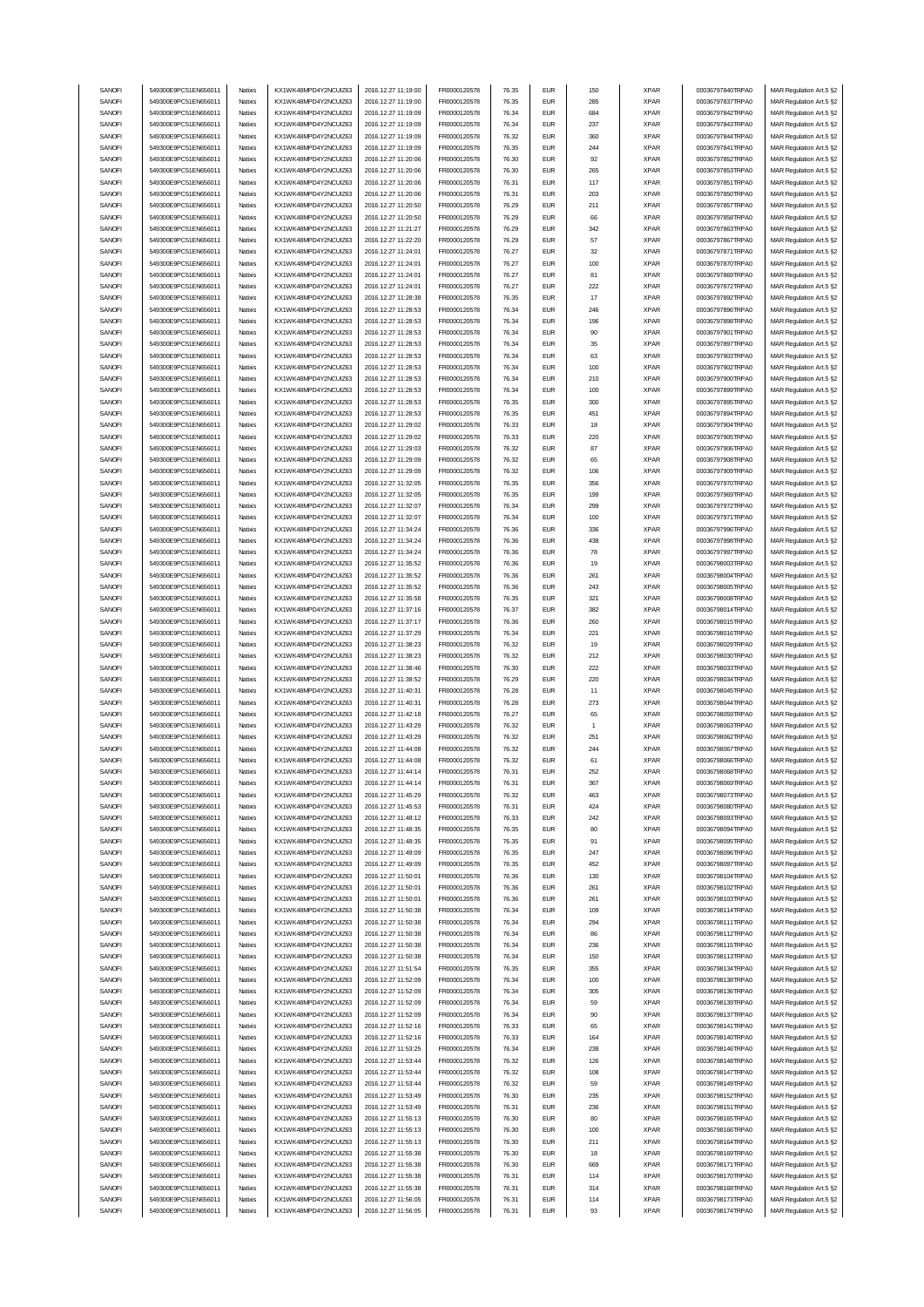| SANOFI           | 549300E9PC51EN656011                         | Natixis            | KX1WK48MPD4Y2NCUIZ63                         | 2016.12.27 11:19:00                        | FR0000120578                 | 76.35          | <b>EUR</b>               | 150       | <b>XPAR</b>                | 00036797840TRPA0                     | MAR Regulation Art.5 §2                            |
|------------------|----------------------------------------------|--------------------|----------------------------------------------|--------------------------------------------|------------------------------|----------------|--------------------------|-----------|----------------------------|--------------------------------------|----------------------------------------------------|
| SANOFI           | 549300E9PC51EN656011                         | Natixis            | KX1WK48MPD4Y2NCUIZ63                         | 2016.12.27 11:19:00                        | FR0000120578                 | 76.35          | <b>EUR</b>               | 285       | <b>XPAR</b>                | 00036797837TRPA0                     | MAR Regulation Art.5 §2                            |
| SANOFI           |                                              |                    |                                              |                                            |                              |                | <b>EUR</b>               |           | <b>XPAR</b>                |                                      |                                                    |
|                  | 549300E9PC51EN656011                         | Natixis            | KX1WK48MPD4Y2NCUIZ63                         | 2016.12.27 11:19:09                        | FR0000120578                 | 76.34          |                          | 684       |                            | 00036797842TRPA0                     | MAR Regulation Art.5 §2                            |
| SANOFI           | 549300E9PC51EN656011                         | Natixis            | KX1WK48MPD4Y2NCUIZ63                         | 2016.12.27 11:19:09                        | FR0000120578                 | 76.34          | <b>EUR</b>               | 237       | <b>XPAR</b>                | 00036797843TRPA0                     | MAR Regulation Art.5 §2                            |
| SANOFI           | 549300E9PC51EN656011                         | Natixis            | KX1WK48MPD4Y2NCUIZ63                         | 2016.12.27 11:19:09                        | FR0000120578                 | 76.32          | <b>EUR</b>               | 360       | <b>XPAR</b>                | 00036797844TRPA0                     | MAR Regulation Art.5 §2                            |
| SANOFI           | 549300E9PC51EN656011                         | Natixis            | KX1WK48MPD4Y2NCUIZ63                         | 2016.12.27 11:19:09                        | FR0000120578                 | 76.35          | <b>EUR</b>               | 244       | <b>XPAR</b>                | 00036797841TRPA0                     | MAR Regulation Art.5 §2                            |
| SANOFI           | 549300E9PC51EN656011                         | Natixis            | KX1WK48MPD4Y2NCUIZ63                         | 2016.12.27 11:20:06                        | FR0000120578                 | 76.30          | <b>EUR</b>               | 92        | <b>XPAR</b>                | 00036797852TRPA0                     | MAR Regulation Art.5 §2                            |
| SANOFI           | 549300E9PC51EN656011                         | Natixis            | KX1WK48MPD4Y2NCUIZ63                         | 2016.12.27 11:20:06                        | FR0000120578                 | 76.30          | <b>EUR</b>               | 265       | <b>XPAR</b>                | 00036797853TRPA0                     | MAR Regulation Art.5 §2                            |
|                  | 549300E9PC51EN656011                         |                    | KX1WK48MPD4Y2NCUIZ63                         | 2016.12.27 11:20:06                        |                              | 76.31          | <b>EUR</b>               | 117       |                            |                                      |                                                    |
| SANOFI           |                                              | Natixis            |                                              |                                            | FR0000120578                 |                |                          |           | <b>XPAR</b>                | 00036797851TRPA0                     | MAR Regulation Art.5 §2                            |
| SANOFI           | 549300E9PC51EN656011                         | Natixis            | KX1WK48MPD4Y2NCUIZ63                         | 2016.12.27 11:20:06                        | FR0000120578                 | 76.31          | <b>EUR</b>               | 203       | <b>XPAR</b>                | 00036797850TRPA0                     | MAR Regulation Art.5 §2                            |
| SANOFI           | 549300E9PC51EN656011                         | Natixis            | KX1WK48MPD4Y2NCUIZ63                         | 2016.12.27 11:20:50                        | FR0000120578                 | 76.29          | <b>EUR</b>               | 211       | <b>XPAR</b>                | 00036797857TRPA0                     | MAR Regulation Art.5 §2                            |
| SANOFI           | 549300E9PC51EN656011                         | Natixis            | KX1WK48MPD4Y2NCUIZ63                         | 2016.12.27 11:20:50                        | FR0000120578                 | 76.29          | <b>EUR</b>               | 66        | <b>XPAR</b>                | 00036797858TRPA0                     | MAR Regulation Art.5 §2                            |
| SANOFI           | 549300E9PC51EN656011                         | Natixis            | KX1WK48MPD4Y2NCUIZ63                         | 2016.12.27 11:21:27                        | FR0000120578                 | 76.29          | <b>EUR</b>               | 342       | <b>XPAR</b>                | 00036797863TRPA0                     | MAR Regulation Art.5 §2                            |
| SANOFI           | 549300E9PC51EN656011                         | Natixis            | KX1WK48MPD4Y2NCUIZ63                         | 2016.12.27 11:22:20                        | FR0000120578                 | 76.29          | <b>EUR</b>               | 57        | <b>XPAR</b>                | 00036797867TRPA0                     | MAR Regulation Art.5 §2                            |
|                  |                                              |                    |                                              |                                            |                              |                |                          |           |                            |                                      |                                                    |
| SANOFI           | 549300E9PC51EN656011                         | Natixis            | KX1WK48MPD4Y2NCUIZ63                         | 2016.12.27 11:24:01                        | FR0000120578                 | 76.27          | <b>EUR</b>               | 32        | <b>XPAR</b>                | 00036797871TRPA0                     | MAR Regulation Art.5 §2                            |
| SANOFI           | 549300E9PC51EN656011                         | Natixis            | KX1WK48MPD4Y2NCUIZ63                         | 2016.12.27 11:24:01                        | FR0000120578                 | 76.27          | <b>EUR</b>               | 100       | <b>XPAR</b>                | 00036797870TRPA0                     | MAR Regulation Art.5 §2                            |
| SANOFI           | 549300E9PC51EN656011                         | Natixis            | KX1WK48MPD4Y2NCUIZ63                         | 2016.12.27 11:24:01                        | FR0000120578                 | 76.27          | <b>EUR</b>               | 81        | <b>XPAR</b>                | 00036797869TRPA0                     | MAR Regulation Art.5 §2                            |
| SANOFI           | 549300E9PC51EN656011                         | Natixis            | KX1WK48MPD4Y2NCUIZ63                         | 2016.12.27 11:24:01                        | FR0000120578                 | 76.27          | <b>EUR</b>               | 222       | <b>XPAR</b>                | 00036797872TRPA0                     | MAR Regulation Art.5 §2                            |
| SANOFI           | 549300E9PC51EN656011                         | Natixis            | KX1WK48MPD4Y2NCUIZ63                         | 2016.12.27 11:28:38                        | FR0000120578                 | 76.35          | <b>EUR</b>               | 17        | <b>XPAR</b>                | 00036797892TRPA0                     | MAR Regulation Art.5 §2                            |
| SANOFI           | 549300E9PC51EN656011                         | Natixis            | KX1WK48MPD4Y2NCUIZ63                         | 2016.12.27 11:28:53                        | FR0000120578                 | 76.34          | <b>EUR</b>               | 246       | <b>XPAR</b>                | 00036797896TRPA0                     | MAR Regulation Art.5 §2                            |
| SANOFI           | 549300E9PC51EN656011                         | Natixis            | KX1WK48MPD4Y2NCUIZ63                         | 2016.12.27 11:28:53                        | FR0000120578                 | 76.34          | <b>EUR</b>               | 196       | <b>XPAR</b>                | 00036797898TRPA0                     | MAR Regulation Art.5 §2                            |
|                  |                                              |                    |                                              |                                            |                              |                |                          |           |                            |                                      |                                                    |
| SANOFI           | 549300E9PC51EN656011                         | Natixis            | KX1WK48MPD4Y2NCUIZ63                         | 2016.12.27 11:28:53                        | FR0000120578                 | 76.34          | <b>EUR</b>               | 90        | <b>XPAR</b>                | 00036797901TRPA0                     | MAR Regulation Art.5 §2                            |
| SANOFI           | 549300E9PC51EN656011                         | Natixis            | KX1WK48MPD4Y2NCUIZ63                         | 2016.12.27 11:28:53                        | FR0000120578                 | 76.34          | <b>EUR</b>               | 35        | <b>XPAR</b>                | 00036797897TRPA0                     | MAR Regulation Art.5 §2                            |
| SANOFI           | 549300E9PC51EN656011                         | Natixis            | KX1WK48MPD4Y2NCUIZ63                         | 2016.12.27 11:28:53                        | FR0000120578                 | 76.34          | <b>EUR</b>               | 63        | <b>XPAR</b>                | 00036797903TRPA0                     | MAR Regulation Art.5 §2                            |
| SANOFI           | 549300E9PC51EN656011                         | Natixis            | KX1WK48MPD4Y2NCUIZ63                         | 2016.12.27 11:28:53                        | FR0000120578                 | 76.34          | <b>EUR</b>               | 100       | <b>XPAR</b>                | 00036797902TRPA0                     | MAR Regulation Art.5 §2                            |
| SANOFI           | 549300E9PC51EN656011                         | Natixis            | KX1WK48MPD4Y2NCUIZ63                         | 2016.12.27 11:28:53                        | FR0000120578                 | 76.34          | <b>EUR</b>               | 210       | <b>XPAR</b>                | 00036797900TRPA0                     | MAR Regulation Art.5 §2                            |
| SANOFI           | 549300E9PC51EN656011                         | Natixis            | KX1WK48MPD4Y2NCUIZ63                         | 2016.12.27 11:28:53                        | FR0000120578                 | 76.34          | <b>EUR</b>               | 100       | <b>XPAR</b>                | 00036797899TRPA0                     | MAR Regulation Art.5 §2                            |
| SANOFI           | 549300E9PC51EN656011                         | Natixis            | KX1WK48MPD4Y2NCUIZ63                         | 2016.12.27 11:28:53                        | FR0000120578                 | 76.35          | <b>EUR</b>               | 300       | <b>XPAR</b>                |                                      | MAR Regulation Art.5 §2                            |
|                  |                                              |                    |                                              |                                            |                              |                |                          |           |                            | 00036797895TRPA0                     |                                                    |
| SANOFI           | 549300E9PC51EN656011                         | Natixis            | KX1WK48MPD4Y2NCUIZ63                         | 2016.12.27 11:28:53                        | FR0000120578                 | 76.35          | <b>EUR</b>               | 451       | <b>XPAR</b>                | 00036797894TRPA0                     | MAR Regulation Art.5 §2                            |
| SANOFI           | 549300E9PC51EN656011                         | Natixis            | KX1WK48MPD4Y2NCUIZ63                         | 2016.12.27 11:29:02                        | FR0000120578                 | 76.33          | <b>EUR</b>               | 18        | <b>XPAR</b>                | 00036797904TRPA0                     | MAR Regulation Art.5 §2                            |
| SANOFI           | 549300E9PC51EN656011                         | Natixis            | KX1WK48MPD4Y2NCUIZ63                         | 2016.12.27 11:29:02                        | FR0000120578                 | 76.33          | <b>EUR</b>               | 220       | <b>XPAR</b>                | 00036797905TRPA0                     | MAR Regulation Art.5 §2                            |
| SANOFI           | 549300E9PC51EN656011                         | Natixis            | KX1WK48MPD4Y2NCUIZ63                         | 2016.12.27 11:29:03                        | FR0000120578                 | 76.32          | <b>EUR</b>               | 87        | <b>XPAR</b>                | 00036797906TRPA0                     | MAR Regulation Art.5 §2                            |
| SANOFI           | 549300E9PC51EN656011                         | Natixis            | KX1WK48MPD4Y2NCUIZ63                         | 2016.12.27 11:29:09                        | FR0000120578                 | 76.32          | <b>EUR</b>               | 65        | <b>XPAR</b>                | 00036797908TRPA0                     | MAR Regulation Art.5 §2                            |
| SANOFI           | 549300E9PC51EN656011                         | Natixis            | KX1WK48MPD4Y2NCUIZ63                         | 2016.12.27 11:29:09                        | FR0000120578                 | 76.32          | <b>EUR</b>               | 106       | <b>XPAR</b>                | 00036797909TRPA0                     | MAR Regulation Art.5 §2                            |
|                  |                                              |                    |                                              |                                            |                              |                |                          |           |                            |                                      |                                                    |
| SANOFI           | 549300E9PC51EN656011                         | Natixis            | KX1WK48MPD4Y2NCUIZ63                         | 2016.12.27 11:32:05                        | FR0000120578                 | 76.35          | <b>EUR</b>               | 356       | <b>XPAR</b>                | 00036797970TRPA0                     | MAR Regulation Art.5 §2                            |
| SANOFI           | 549300E9PC51EN656011                         | Natixis            | KX1WK48MPD4Y2NCUIZ63                         | 2016.12.27 11:32:05                        | FR0000120578                 | 76.35          | <b>EUR</b>               | 199       | <b>XPAR</b>                | 00036797969TRPA0                     | MAR Regulation Art.5 §2                            |
| SANOFI           | 549300E9PC51EN656011                         | Natixis            | KX1WK48MPD4Y2NCUIZ63                         | 2016.12.27 11:32:07                        | FR0000120578                 | 76.34          | <b>EUR</b>               | 299       | <b>XPAR</b>                | 00036797972TRPA0                     | MAR Regulation Art.5 §2                            |
| SANOFI           | 549300E9PC51EN656011                         | Natixis            | KX1WK48MPD4Y2NCUIZ63                         | 2016.12.27 11:32:07                        | FR0000120578                 | 76.34          | <b>EUR</b>               | 100       | <b>XPAR</b>                | 00036797971TRPA0                     | MAR Regulation Art.5 §2                            |
| SANOFI           | 549300E9PC51EN656011                         | Natixis            | KX1WK48MPD4Y2NCUIZ63                         | 2016.12.27 11:34:24                        | FR0000120578                 | 76.36          | <b>EUR</b>               | 336       | <b>XPAR</b>                | 00036797996TRPA0                     | MAR Regulation Art.5 §2                            |
| SANOFI           | 549300E9PC51EN656011                         | Natixis            | KX1WK48MPD4Y2NCUIZ63                         | 2016.12.27 11:34:24                        | FR0000120578                 | 76.36          | <b>EUR</b>               | 438       | <b>XPAR</b>                | 00036797998TRPA0                     | MAR Regulation Art.5 §2                            |
| SANOFI           | 549300E9PC51EN656011                         | Natixis            | KX1WK48MPD4Y2NCUIZ63                         | 2016.12.27 11:34:24                        | FR0000120578                 | 76.36          | <b>EUR</b>               | 78        | <b>XPAR</b>                | 00036797997TRPA0                     | MAR Regulation Art.5 §2                            |
|                  |                                              |                    |                                              |                                            |                              |                |                          |           |                            |                                      |                                                    |
| SANOFI           | 549300E9PC51EN656011                         | Natixis            | KX1WK48MPD4Y2NCUIZ63                         | 2016.12.27 11:35:52                        | FR0000120578                 | 76.36          | <b>EUR</b>               | 19        | <b>XPAR</b>                | 00036798003TRPA0                     | MAR Regulation Art.5 §2                            |
| SANOFI           | 549300E9PC51EN656011                         | Natixis            | KX1WK48MPD4Y2NCUIZ63                         | 2016.12.27 11:35:52                        | FR0000120578                 | 76.36          | <b>EUR</b>               | 261       | <b>XPAR</b>                | 00036798004TRPA0                     | MAR Regulation Art.5 §2                            |
| SANOFI           | 549300E9PC51EN656011                         | Natixis            | KX1WK48MPD4Y2NCUIZ63                         | 2016.12.27 11:35:52                        | FR0000120578                 | 76.36          | <b>EUR</b>               | 243       | <b>XPAR</b>                | 00036798005TRPA0                     | MAR Regulation Art.5 §2                            |
| SANOFI           | 549300E9PC51EN656011                         | Natixis            | KX1WK48MPD4Y2NCUIZ63                         | 2016.12.27 11:35:58                        | FR0000120578                 | 76.35          | <b>EUR</b>               | 321       | <b>XPAR</b>                | 00036798008TRPA0                     | MAR Regulation Art.5 §2                            |
| SANOFI           | 549300E9PC51EN656011                         | Natixis            | KX1WK48MPD4Y2NCUIZ63                         | 2016.12.27 11:37:16                        | FR0000120578                 | 76.37          | <b>EUR</b>               | 382       | <b>XPAR</b>                | 00036798014TRPA0                     | MAR Regulation Art.5 §2                            |
| SANOFI           | 549300E9PC51EN656011                         | Natixis            | KX1WK48MPD4Y2NCUIZ63                         | 2016.12.27 11:37:17                        | FR0000120578                 | 76.36          | <b>EUR</b>               | 260       | <b>XPAR</b>                | 00036798015TRPA0                     | MAR Regulation Art.5 §2                            |
| SANOFI           | 549300E9PC51EN656011                         | Natixis            | KX1WK48MPD4Y2NCUIZ63                         | 2016.12.27 11:37:29                        | FR0000120578                 | 76.34          | <b>EUR</b>               | 221       | <b>XPAR</b>                | 00036798016TRPA0                     | MAR Regulation Art.5 §2                            |
|                  |                                              |                    |                                              |                                            |                              |                |                          |           |                            |                                      |                                                    |
|                  |                                              |                    |                                              |                                            |                              |                |                          |           |                            |                                      |                                                    |
| SANOFI           | 549300E9PC51EN656011                         | Natixis            | KX1WK48MPD4Y2NCUIZ63                         | 2016.12.27 11:38:23                        | FR0000120578                 | 76.32          | <b>EUR</b>               | 19        | <b>XPAR</b>                | 00036798029TRPA0                     | MAR Regulation Art.5 §2                            |
| SANOFI           | 549300E9PC51EN656011                         | Natixis            | KX1WK48MPD4Y2NCUIZ63                         | 2016.12.27 11:38:23                        | FR0000120578                 | 76.32          | <b>EUR</b>               | 212       | <b>XPAR</b>                | 00036798030TRPA0                     | MAR Regulation Art.5 §2                            |
| SANOFI           | 549300E9PC51EN656011                         | Natixis            | KX1WK48MPD4Y2NCUIZ63                         | 2016.12.27 11:38:46                        | FR0000120578                 | 76.30          | <b>EUR</b>               | 222       | <b>XPAR</b>                | 00036798033TRPA0                     | MAR Regulation Art.5 §2                            |
| SANOFI           | 549300E9PC51EN656011                         | Natixis            | KX1WK48MPD4Y2NCUIZ63                         | 2016.12.27 11:38:52                        | FR0000120578                 | 76.29          | <b>EUR</b>               | 220       | <b>XPAR</b>                | 00036798034TRPA0                     | MAR Regulation Art.5 §2                            |
| SANOFI           | 549300E9PC51EN656011                         | Natixis            | KX1WK48MPD4Y2NCUIZ63                         | 2016.12.27 11:40:31                        | FR0000120578                 | 76.28          | <b>EUR</b>               | 11        | <b>XPAR</b>                | 00036798045TRPA0                     | MAR Regulation Art.5 §2                            |
| SANOFI           | 549300E9PC51EN656011                         | Natixis            | KX1WK48MPD4Y2NCUIZ63                         | 2016.12.27 11:40:31                        | FR0000120578                 | 76.28          | <b>EUR</b>               | 273       | <b>XPAR</b>                | 00036798044TRPA0                     | MAR Regulation Art.5 §2                            |
| SANOFI           | 549300E9PC51EN656011                         | Natixis            | KX1WK48MPD4Y2NCUIZ63                         | 2016.12.27 11:42:18                        | FR0000120578                 | 76.27          | <b>EUR</b>               | 65        | <b>XPAR</b>                | 00036798059TRPA0                     | MAR Regulation Art.5 §2                            |
| SANOFI           | 549300E9PC51EN656011                         | Natixis            | KX1WK48MPD4Y2NCUIZ63                         | 2016.12.27 11:43:29                        | FR0000120578                 | 76.32          | <b>EUR</b>               | -1        | <b>XPAR</b>                | 00036798063TRPA0                     |                                                    |
|                  |                                              |                    |                                              |                                            |                              |                |                          |           |                            |                                      | MAR Regulation Art.5 §2                            |
| SANOFI           | 549300E9PC51EN656011                         | Natixis            | KX1WK48MPD4Y2NCUIZ63                         | 2016.12.27 11:43:29                        | FR0000120578                 | 76.32          | <b>EUR</b>               | 251       | <b>XPAR</b>                | 00036798062TRPA0                     | MAR Regulation Art.5 §2                            |
| SANOFI           | 549300E9PC51EN656011                         | Natixis            | KX1WK48MPD4Y2NCUIZ63                         | 2016.12.27 11:44:08                        | FR0000120578                 | 76.32          | <b>EUR</b>               | 244       | <b>XPAR</b>                | 00036798067TRPA0                     | MAR Regulation Art.5 §2                            |
| SANOFI           | 549300E9PC51EN656011                         | Natixis            | KX1WK48MPD4Y2NCUIZ63                         | 2016.12.27 11:44:08                        | FR0000120578                 | 76.32          | <b>EUR</b>               | 61        | <b>XPAR</b>                | 00036798066TRPA0                     | MAR Regulation Art.5 §2                            |
| SANUH            | 549300E9PC51EN656011                         | rvatixis           | KX1WK48MPD4Y2NCUIZ63                         | 2016.12.27 11:44:14                        | <b>FR00001205/8</b>          | 76.31          | EUM                      | 252       | <b>XPAR</b>                | 00036798068TRPAU                     | MAR Regulation Art.5 §2                            |
| SANOFI           | 549300E9PC51EN656011                         | Natixis            | KX1WK48MPD4Y2NCUIZ63                         | 2016.12.27 11:44:14                        | FR0000120578                 | 76.31          | <b>EUR</b>               | 367       | <b>XPAR</b>                | 00036798069TRPA0                     | MAR Regulation Art.5 §2                            |
| SANOFI           | 549300E9PC51EN656011                         | Natixis            | KX1WK48MPD4Y2NCUIZ63                         | 2016.12.27 11:45:29                        | FR0000120578                 | 76.32          | <b>EUR</b>               | 463       | <b>XPAR</b>                | 00036798073TRPA0                     | MAR Regulation Art.5 §2                            |
|                  | 549300E9PC51EN656011                         | Natixis            |                                              | 2016.12.27 11:45:53                        |                              | 76.31          | <b>EUR</b>               |           |                            | 00036798080TRPA0                     |                                                    |
| SANOFI           |                                              |                    | KX1WK48MPD4Y2NCUIZ63                         |                                            | FR0000120578                 |                |                          | 424       | <b>XPAR</b>                |                                      | MAR Regulation Art.5 §2                            |
| SANOFI           | 549300E9PC51EN656011                         | Natixis            | KX1WK48MPD4Y2NCUIZ63                         | 2016.12.27 11:48:12                        | FR0000120578                 | 76.33          | <b>EUR</b>               | 242       | <b>XPAR</b>                | 00036798093TRPA0                     | MAR Regulation Art.5 §2                            |
| SANOFI           | 549300E9PC51EN656011                         | Natixis            | KX1WK48MPD4Y2NCUIZ63                         | 2016.12.27 11:48:35                        | FR0000120578                 | 76.35          | <b>EUR</b>               | 80        | <b>XPAR</b>                | 00036798094TRPA0                     | MAR Regulation Art.5 §2                            |
| SANOFI           | 549300E9PC51EN656011                         | Natixis            | KX1WK48MPD4Y2NCUIZ63                         | 2016.12.27 11:48:35                        | FR0000120578                 | 76.35          | <b>EUR</b>               | 91        | <b>XPAR</b>                | 00036798095TRPA0                     | MAR Regulation Art.5 §2                            |
| SANOFI           | 549300E9PC51EN656011                         | Natixis            | KX1WK48MPD4Y2NCUIZ63                         | 2016.12.27 11:49:09                        | FR0000120578                 | 76.35          | <b>EUR</b>               | 247       | <b>XPAR</b>                | 00036798096TRPA0                     | MAR Regulation Art.5 §2                            |
| SANOFI           | 549300E9PC51EN656011                         | Natixis            | KX1WK48MPD4Y2NCUIZ63                         | 2016.12.27 11:49:09                        | FR0000120578                 | 76.35          | <b>EUR</b>               | 452       | <b>XPAR</b>                | 00036798097TRPA0                     | MAR Regulation Art.5 §2                            |
| SANOFI           | 549300E9PC51EN656011                         | Natixis            | KX1WK48MPD4Y2NCUIZ63                         | 2016.12.27 11:50:01                        | FR0000120578                 | 76.36          | <b>EUR</b>               | 130       | <b>XPAR</b>                | 00036798104TRPA0                     | MAR Regulation Art.5 §2                            |
| SANOFI           | 549300E9PC51EN656011                         | Natixis            | KX1WK48MPD4Y2NCUIZ63                         | 2016.12.27 11:50:01                        | FR0000120578                 | 76.36          | <b>EUR</b>               | 261       | <b>XPAR</b>                | 00036798102TRPA0                     | MAR Regulation Art.5 §2                            |
| SANOFI           | 549300E9PC51EN656011                         | Natixis            | KX1WK48MPD4Y2NCUIZ63                         | 2016.12.27 11:50:01                        | FR0000120578                 | 76.36          | <b>EUR</b>               | 261       | <b>XPAR</b>                | 00036798103TRPA0                     |                                                    |
|                  |                                              |                    |                                              |                                            |                              |                |                          |           |                            |                                      | MAR Regulation Art.5 §2                            |
| SANOFI           | 549300E9PC51EN656011                         | Natixis            | KX1WK48MPD4Y2NCUIZ63                         | 2016.12.27 11:50:38                        | FR0000120578                 | 76.34          | <b>EUR</b>               | 109       | <b>XPAR</b>                | 00036798114TRPA0                     | MAR Regulation Art.5 §2                            |
| SANOFI           | 549300E9PC51EN656011                         | Natixis            | KX1WK48MPD4Y2NCUIZ63                         | 2016.12.27 11:50:38                        | FR0000120578                 | 76.34          | <b>EUR</b>               | 294       | <b>XPAR</b>                | 00036798111TRPA0                     | MAR Regulation Art.5 §2                            |
| SANOFI           | 549300E9PC51EN656011                         | Natixis            | KX1WK48MPD4Y2NCUIZ63                         | 2016.12.27 11:50:38                        | FR0000120578                 | 76.34          | <b>EUR</b>               | 86        | <b>XPAR</b>                | 00036798112TRPA0                     | MAR Regulation Art.5 §2                            |
| SANOFI           | 549300E9PC51EN656011                         | Natixis            | KX1WK48MPD4Y2NCUIZ63                         | 2016.12.27 11:50:38                        | FR0000120578                 | 76.34          | <b>EUR</b>               | 236       | <b>XPAR</b>                | 00036798115TRPA0                     | MAR Regulation Art.5 §2                            |
| SANOFI           | 549300E9PC51EN656011                         | Natixis            | KX1WK48MPD4Y2NCUIZ63                         | 2016.12.27 11:50:38                        | FR0000120578                 | 76.34          | <b>EUR</b>               | 150       | <b>XPAR</b>                | 00036798113TRPA0                     | MAR Regulation Art.5 §2                            |
| SANOFI           | 549300E9PC51EN656011                         | Natixis            | KX1WK48MPD4Y2NCUIZ63                         | 2016.12.27 11:51:54                        | FR0000120578                 | 76.35          | <b>EUR</b>               | 355       | <b>XPAR</b>                | 00036798134TRPA0                     | MAR Regulation Art.5 §2                            |
|                  |                                              | Natixis            |                                              |                                            |                              | 76.34          |                          |           |                            | 00036798138TRPA0                     |                                                    |
| SANOFI           | 549300E9PC51EN656011                         |                    | KX1WK48MPD4Y2NCUIZ63                         | 2016.12.27 11:52:09                        | FR0000120578                 |                | <b>EUR</b>               | 100       | <b>XPAR</b>                |                                      | MAR Regulation Art.5 §2                            |
| SANOFI           | 549300E9PC51EN656011                         | Natixis            | KX1WK48MPD4Y2NCUIZ63                         | 2016.12.27 11:52:09                        | FR0000120578                 | 76.34          | <b>EUR</b>               | 305       | <b>XPAR</b>                | 00036798136TRPA0                     | MAR Regulation Art.5 §2                            |
| SANOFI           | 549300E9PC51EN656011                         | Natixis            | KX1WK48MPD4Y2NCUIZ63                         | 2016.12.27 11:52:09                        | FR0000120578                 | 76.34          | <b>EUR</b>               | 59        | <b>XPAR</b>                | 00036798139TRPA0                     | MAR Regulation Art.5 §2                            |
| SANOFI           | 549300E9PC51EN656011                         | Natixis            | KX1WK48MPD4Y2NCUIZ63                         | 2016.12.27 11:52:09                        | FR0000120578                 | 76.34          | <b>EUR</b>               | 90        | <b>XPAR</b>                | 00036798137TRPA0                     | MAR Regulation Art.5 §2                            |
| SANOFI           | 549300E9PC51EN656011                         | Natixis            | KX1WK48MPD4Y2NCUIZ63                         | 2016.12.27 11:52:16                        | FR0000120578                 | 76.33          | <b>EUR</b>               | 65        | <b>XPAR</b>                | 00036798141TRPA0                     | MAR Regulation Art.5 §2                            |
| SANOFI           | 549300E9PC51EN656011                         | Natixis            | KX1WK48MPD4Y2NCUIZ63                         | 2016.12.27 11:52:16                        | FR0000120578                 | 76.33          | <b>EUR</b>               | 164       | <b>XPAR</b>                | 00036798140TRPA0                     | MAR Regulation Art.5 §2                            |
| SANOFI           | 549300E9PC51EN656011                         | Natixis            | KX1WK48MPD4Y2NCUIZ63                         | 2016.12.27 11:53:25                        | FR0000120578                 | 76.34          | <b>EUR</b>               | 238       | <b>XPAR</b>                | 00036798146TRPA0                     | MAR Regulation Art.5 §2                            |
| SANOFI           | 549300E9PC51EN656011                         | Natixis            | KX1WK48MPD4Y2NCUIZ63                         | 2016.12.27 11:53:44                        | FR0000120578                 | 76.32          | <b>EUR</b>               | 126       | <b>XPAR</b>                | 00036798148TRPA0                     | MAR Regulation Art.5 §2                            |
| SANOFI           | 549300E9PC51EN656011                         | Natixis            | KX1WK48MPD4Y2NCUIZ63                         | 2016.12.27 11:53:44                        | FR0000120578                 | 76.32          | <b>EUR</b>               | 108       | <b>XPAR</b>                | 00036798147TRPA0                     | MAR Regulation Art.5 §2                            |
|                  |                                              |                    |                                              |                                            |                              |                |                          |           |                            |                                      |                                                    |
| SANOFI           | 549300E9PC51EN656011                         | Natixis            | KX1WK48MPD4Y2NCUIZ63                         | 2016.12.27 11:53:44                        | FR0000120578                 | 76.32          | <b>EUR</b>               | 59        | <b>XPAR</b>                | 00036798149TRPA0                     | MAR Regulation Art.5 §2                            |
| SANOFI           | 549300E9PC51EN656011                         | Natixis            | KX1WK48MPD4Y2NCUIZ63                         | 2016.12.27 11:53:49                        | FR0000120578                 | 76.30          | <b>EUR</b>               | 235       | <b>XPAR</b>                | 00036798152TRPA0                     | MAR Regulation Art.5 §2                            |
| SANOFI           | 549300E9PC51EN656011                         | Natixis            | KX1WK48MPD4Y2NCUIZ63                         | 2016.12.27 11:53:49                        | FR0000120578                 | 76.31          | <b>EUR</b>               | 236       | <b>XPAR</b>                | 00036798151TRPA0                     | MAR Regulation Art.5 §2                            |
| SANOFI           | 549300E9PC51EN656011                         | Natixis            | KX1WK48MPD4Y2NCUIZ63                         | 2016.12.27 11:55:13                        | FR0000120578                 | 76.30          | <b>EUR</b>               | 80        | <b>XPAR</b>                | 00036798165TRPA0                     | MAR Regulation Art.5 §2                            |
| SANOFI           | 549300E9PC51EN656011                         | Natixis            | KX1WK48MPD4Y2NCUIZ63                         | 2016.12.27 11:55:13                        | FR0000120578                 | 76.30          | <b>EUR</b>               | 100       | <b>XPAR</b>                | 00036798166TRPA0                     | MAR Regulation Art.5 §2                            |
| SANOFI           | 549300E9PC51EN656011                         | Natixis            | KX1WK48MPD4Y2NCUIZ63                         | 2016.12.27 11:55:13                        | FR0000120578                 | 76.30          | <b>EUR</b>               | 211       | <b>XPAR</b>                | 00036798164TRPA0                     | MAR Regulation Art.5 §2                            |
| SANOFI           | 549300E9PC51EN656011                         | Natixis            | KX1WK48MPD4Y2NCUIZ63                         | 2016.12.27 11:55:38                        | FR0000120578                 | 76.30          | <b>EUR</b>               | 18        | <b>XPAR</b>                | 00036798169TRPA0                     | MAR Regulation Art.5 §2                            |
| SANOFI           | 549300E9PC51EN656011                         | Natixis            | KX1WK48MPD4Y2NCUIZ63                         | 2016.12.27 11:55:38                        | FR0000120578                 | 76.30          | <b>EUR</b>               | 669       | <b>XPAR</b>                | 00036798171TRPA0                     | MAR Regulation Art.5 §2                            |
| SANOFI           | 549300E9PC51EN656011                         | Natixis            | KX1WK48MPD4Y2NCUIZ63                         | 2016.12.27 11:55:38                        | FR0000120578                 | 76.31          | <b>EUR</b>               | 114       | <b>XPAR</b>                | 00036798170TRPA0                     | MAR Regulation Art.5 §2                            |
|                  |                                              |                    |                                              |                                            |                              |                |                          |           |                            |                                      |                                                    |
| SANOFI           | 549300E9PC51EN656011                         | Natixis            | KX1WK48MPD4Y2NCUIZ63                         | 2016.12.27 11:55:38                        | FR0000120578                 | 76.31          | <b>EUR</b>               | 314       | <b>XPAR</b>                | 00036798168TRPA0                     | MAR Regulation Art.5 §2                            |
| SANOFI<br>SANOFI | 549300E9PC51EN656011<br>549300E9PC51EN656011 | Natixis<br>Natixis | KX1WK48MPD4Y2NCUIZ63<br>KX1WK48MPD4Y2NCUIZ63 | 2016.12.27 11:56:05<br>2016.12.27 11:56:05 | FR0000120578<br>FR0000120578 | 76.31<br>76.31 | <b>EUR</b><br><b>EUR</b> | 114<br>93 | <b>XPAR</b><br><b>XPAR</b> | 00036798173TRPA0<br>00036798174TRPA0 | MAR Regulation Art.5 §2<br>MAR Regulation Art.5 §2 |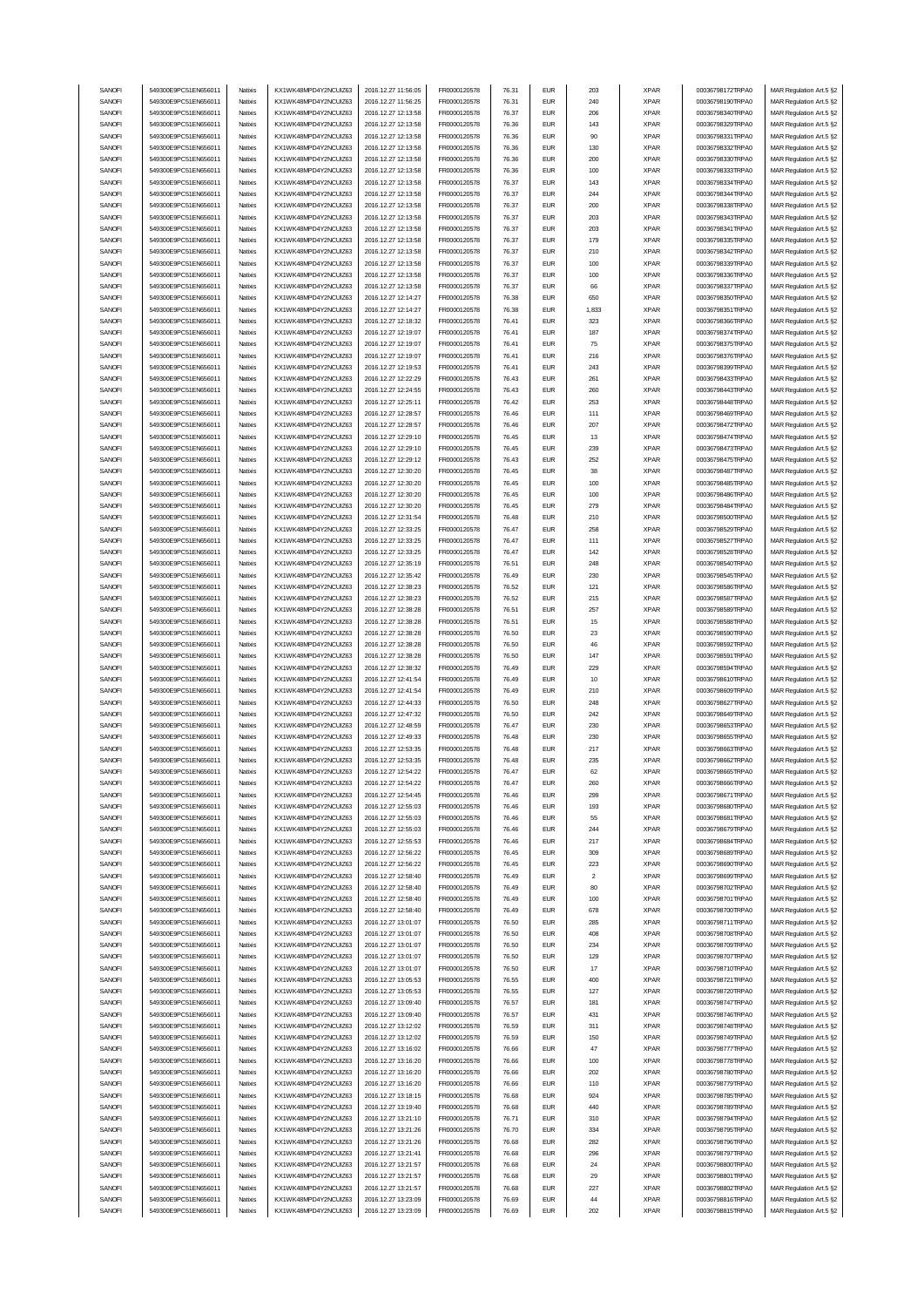| SANOFI           | 549300E9PC51EN656011                         | Natixis            | KX1WK48MPD4Y2NCUIZ63                         | 2016.12.27 11:56:05                        | FR0000120578                 | 76.31          | <b>EUR</b>               | 203            | <b>XPAR</b>                | 00036798172TRPA0                     | MAR Regulation Art.5 §2                            |
|------------------|----------------------------------------------|--------------------|----------------------------------------------|--------------------------------------------|------------------------------|----------------|--------------------------|----------------|----------------------------|--------------------------------------|----------------------------------------------------|
|                  | 549300E9PC51EN656011                         |                    |                                              | 2016.12.27 11:56:25                        |                              |                | <b>EUR</b>               |                |                            | 00036798190TRPA0                     | MAR Regulation Art.5 §2                            |
| SANOFI           |                                              | Natixis            | KX1WK48MPD4Y2NCUIZ63                         |                                            | FR0000120578                 | 76.31          |                          | 240            | <b>XPAR</b>                |                                      |                                                    |
| SANOFI           | 549300E9PC51EN656011                         | Natixis            | KX1WK48MPD4Y2NCUIZ63                         | 2016.12.27 12:13:58                        | FR0000120578                 | 76.37          | <b>EUR</b>               | 206            | <b>XPAR</b>                | 00036798340TRPA0                     | MAR Regulation Art.5 §2                            |
| SANOFI           | 549300E9PC51EN656011                         | Natixis            | KX1WK48MPD4Y2NCUIZ63                         | 2016.12.27 12:13:58                        | FR0000120578                 | 76.36          | <b>EUR</b>               | 143            | <b>XPAR</b>                | 00036798329TRPA0                     | MAR Regulation Art.5 §2                            |
| SANOFI           | 549300E9PC51EN656011                         | Natixis            | KX1WK48MPD4Y2NCUIZ63                         | 2016.12.27 12:13:58                        | FR0000120578                 | 76.36          | <b>EUR</b>               | 90             | <b>XPAR</b>                | 00036798331TRPA0                     | MAR Regulation Art.5 §2                            |
| SANOFI           | 549300E9PC51EN656011                         | Natixis            | KX1WK48MPD4Y2NCUIZ63                         | 2016.12.27 12:13:58                        | FR0000120578                 | 76.36          | <b>EUR</b>               | 130            | <b>XPAR</b>                | 00036798332TRPA0                     | MAR Regulation Art.5 §2                            |
| SANOFI           | 549300E9PC51EN656011                         | Natixis            | KX1WK48MPD4Y2NCUIZ63                         | 2016.12.27 12:13:58                        | FR0000120578                 | 76.36          | <b>EUR</b>               | 200            | <b>XPAR</b>                | 00036798330TRPA0                     | MAR Regulation Art.5 §2                            |
| SANOFI           | 549300E9PC51EN656011                         | Natixis            | KX1WK48MPD4Y2NCUIZ63                         | 2016.12.27 12:13:58                        | FR0000120578                 | 76.36          | <b>EUR</b>               | 100            | <b>XPAR</b>                | 00036798333TRPA0                     | MAR Regulation Art.5 §2                            |
|                  |                                              |                    |                                              |                                            |                              |                |                          |                |                            |                                      |                                                    |
| SANOFI           | 549300E9PC51EN656011                         | Natixis            | KX1WK48MPD4Y2NCUIZ63                         | 2016.12.27 12:13:58                        | FR0000120578                 | 76.37          | <b>EUR</b>               | 143            | <b>XPAR</b>                | 00036798334TRPA0                     | MAR Regulation Art.5 §2                            |
| SANOFI           | 549300E9PC51EN656011                         | Natixis            | KX1WK48MPD4Y2NCUIZ63                         | 2016.12.27 12:13:58                        | FR0000120578                 | 76.37          | <b>EUR</b>               | 244            | <b>XPAR</b>                | 00036798344TRPA0                     | MAR Regulation Art.5 §2                            |
| SANOFI           | 549300E9PC51EN656011                         | Natixis            | KX1WK48MPD4Y2NCUIZ63                         | 2016.12.27 12:13:58                        | FR0000120578                 | 76.37          | <b>EUR</b>               | 200            | <b>XPAR</b>                | 00036798338TRPA0                     | MAR Regulation Art.5 §2                            |
| SANOFI           | 549300E9PC51EN656011                         | Natixis            | KX1WK48MPD4Y2NCUIZ63                         | 2016.12.27 12:13:58                        | FR0000120578                 | 76.37          | <b>EUR</b>               | 203            | <b>XPAR</b>                | 00036798343TRPA0                     | MAR Regulation Art.5 §2                            |
| SANOFI           | 549300E9PC51EN656011                         | Natixis            | KX1WK48MPD4Y2NCUIZ63                         | 2016.12.27 12:13:58                        | FR0000120578                 | 76.37          | <b>EUR</b>               | 203            | <b>XPAR</b>                | 00036798341TRPA0                     | MAR Regulation Art.5 §2                            |
| SANOFI           | 549300E9PC51EN656011                         | Natixis            | KX1WK48MPD4Y2NCUIZ63                         | 2016.12.27 12:13:58                        | FR0000120578                 | 76.37          | <b>EUR</b>               | 179            | <b>XPAR</b>                | 00036798335TRPA0                     | MAR Regulation Art.5 §2                            |
|                  |                                              |                    |                                              |                                            |                              |                |                          |                |                            |                                      |                                                    |
| SANOFI           | 549300E9PC51EN656011                         | Natixis            | KX1WK48MPD4Y2NCUIZ63                         | 2016.12.27 12:13:58                        | FR0000120578                 | 76.37          | <b>EUR</b>               | 210            | <b>XPAR</b>                | 00036798342TRPA0                     | MAR Regulation Art.5 §2                            |
| SANOFI           | 549300E9PC51EN656011                         | Natixis            | KX1WK48MPD4Y2NCUIZ63                         | 2016.12.27 12:13:58                        | FR0000120578                 | 76.37          | <b>EUR</b>               | 100            | <b>XPAR</b>                | 00036798339TRPA0                     | MAR Regulation Art.5 §2                            |
| SANOFI           | 549300E9PC51EN656011                         | Natixis            | KX1WK48MPD4Y2NCUIZ63                         | 2016.12.27 12:13:58                        | FR0000120578                 | 76.37          | <b>EUR</b>               | 100            | <b>XPAR</b>                | 00036798336TRPA0                     | MAR Regulation Art.5 §2                            |
| SANOFI           | 549300E9PC51EN656011                         | Natixis            | KX1WK48MPD4Y2NCUIZ63                         | 2016.12.27 12:13:58                        | FR0000120578                 | 76.37          | <b>EUR</b>               | 66             | <b>XPAR</b>                | 00036798337TRPA0                     | MAR Regulation Art.5 §2                            |
| SANOFI           | 549300E9PC51EN656011                         | Natixis            | KX1WK48MPD4Y2NCUIZ63                         | 2016.12.27 12:14:27                        | FR0000120578                 | 76.38          | <b>EUR</b>               | 650            | <b>XPAR</b>                | 00036798350TRPA0                     | MAR Regulation Art.5 §2                            |
| SANOFI           | 549300E9PC51EN656011                         | Natixis            | KX1WK48MPD4Y2NCUIZ63                         | 2016.12.27 12:14:27                        | FR0000120578                 | 76.38          | <b>EUR</b>               | 1,833          | <b>XPAR</b>                | 00036798351TRPA0                     | MAR Regulation Art.5 §2                            |
|                  |                                              |                    |                                              |                                            |                              |                |                          |                |                            |                                      |                                                    |
| SANOFI           | 549300E9PC51EN656011                         | Natixis            | KX1WK48MPD4Y2NCUIZ63                         | 2016.12.27 12:18:32                        | FR0000120578                 | 76.41          | <b>EUR</b>               | 323            | <b>XPAR</b>                | 00036798366TRPA0                     | MAR Regulation Art.5 §2                            |
| SANOFI           | 549300E9PC51EN656011                         | Natixis            | KX1WK48MPD4Y2NCUIZ63                         | 2016.12.27 12:19:07                        | FR0000120578                 | 76.41          | <b>EUR</b>               | 187            | <b>XPAR</b>                | 00036798374TRPA0                     | MAR Regulation Art.5 §2                            |
| SANOFI           | 549300E9PC51EN656011                         | Natixis            | KX1WK48MPD4Y2NCUIZ63                         | 2016.12.27 12:19:07                        | FR0000120578                 | 76.41          | <b>EUR</b>               | 75             | <b>XPAR</b>                | 00036798375TRPA0                     | MAR Regulation Art.5 §2                            |
| SANOFI           | 549300E9PC51EN656011                         | Natixis            | KX1WK48MPD4Y2NCUIZ63                         | 2016.12.27 12:19:07                        | FR0000120578                 | 76.41          | <b>EUR</b>               | 216            | <b>XPAR</b>                | 00036798376TRPA0                     | MAR Regulation Art.5 §2                            |
| SANOFI           | 549300E9PC51EN656011                         | Natixis            | KX1WK48MPD4Y2NCUIZ63                         | 2016.12.27 12:19:53                        | FR0000120578                 | 76.41          | <b>EUR</b>               | 243            | <b>XPAR</b>                | 00036798399TRPA0                     | MAR Regulation Art.5 §2                            |
| SANOFI           | 549300E9PC51EN656011                         | Natixis            | KX1WK48MPD4Y2NCUIZ63                         | 2016.12.27 12:22:29                        | FR0000120578                 | 76.43          | <b>EUR</b>               | 261            | <b>XPAR</b>                | 00036798433TRPA0                     | MAR Regulation Art.5 §2                            |
| SANOFI           | 549300E9PC51EN656011                         | Natixis            | KX1WK48MPD4Y2NCUIZ63                         | 2016.12.27 12:24:55                        | FR0000120578                 | 76.43          | <b>EUR</b>               | 260            | <b>XPAR</b>                | 00036798443TRPA0                     | MAR Regulation Art.5 §2                            |
|                  |                                              |                    |                                              |                                            |                              |                |                          |                |                            |                                      |                                                    |
| SANOFI           | 549300E9PC51EN656011                         | Natixis            | KX1WK48MPD4Y2NCUIZ63                         | 2016.12.27 12:25:11                        | FR0000120578                 | 76.42          | <b>EUR</b>               | 253            | <b>XPAR</b>                | 00036798448TRPA0                     | MAR Regulation Art.5 §2                            |
| SANOFI           | 549300E9PC51EN656011                         | Natixis            | KX1WK48MPD4Y2NCUIZ63                         | 2016.12.27 12:28:57                        | FR0000120578                 | 76.46          | <b>EUR</b>               | 111            | <b>XPAR</b>                | 00036798469TRPA0                     | MAR Regulation Art.5 §2                            |
| SANOFI           | 549300E9PC51EN656011                         | Natixis            | KX1WK48MPD4Y2NCUIZ63                         | 2016.12.27 12:28:57                        | FR0000120578                 | 76.46          | <b>EUR</b>               | 207            | <b>XPAR</b>                | 00036798472TRPA0                     | MAR Regulation Art.5 §2                            |
| SANOFI           | 549300E9PC51EN656011                         | Natixis            | KX1WK48MPD4Y2NCUIZ63                         | 2016.12.27 12:29:10                        | FR0000120578                 | 76.45          | <b>EUR</b>               | 13             | <b>XPAR</b>                | 00036798474TRPA0                     | MAR Regulation Art.5 §2                            |
| SANOFI           | 549300E9PC51EN656011                         | Natixis            | KX1WK48MPD4Y2NCUIZ63                         | 2016.12.27 12:29:10                        | FR0000120578                 | 76.45          | <b>EUR</b>               | 239            | <b>XPAR</b>                | 00036798473TRPA0                     | MAR Regulation Art.5 §2                            |
| SANOFI           | 549300E9PC51EN656011                         | Natixis            | KX1WK48MPD4Y2NCUIZ63                         | 2016.12.27 12:29:12                        | FR0000120578                 | 76.43          | <b>EUR</b>               | 252            | <b>XPAR</b>                | 00036798475TRPA0                     | MAR Regulation Art.5 §2                            |
| SANOFI           | 549300E9PC51EN656011                         | Natixis            | KX1WK48MPD4Y2NCUIZ63                         | 2016.12.27 12:30:20                        | FR0000120578                 | 76.45          | <b>EUR</b>               | 38             | <b>XPAR</b>                | 00036798487TRPA0                     |                                                    |
|                  |                                              |                    |                                              |                                            |                              |                |                          |                |                            |                                      | MAR Regulation Art.5 §2                            |
| SANOFI           | 549300E9PC51EN656011                         | Natixis            | KX1WK48MPD4Y2NCUIZ63                         | 2016.12.27 12:30:20                        | FR0000120578                 | 76.45          | <b>EUR</b>               | 100            | <b>XPAR</b>                | 00036798485TRPA0                     | MAR Regulation Art.5 §2                            |
| SANOFI           | 549300E9PC51EN656011                         | Natixis            | KX1WK48MPD4Y2NCUIZ63                         | 2016.12.27 12:30:20                        | FR0000120578                 | 76.45          | <b>EUR</b>               | 100            | <b>XPAR</b>                | 00036798486TRPA0                     | MAR Regulation Art.5 §2                            |
| SANOFI           | 549300E9PC51EN656011                         | Natixis            | KX1WK48MPD4Y2NCLIIZ63                        | 2016.12.27 12:30:20                        | FR0000120578                 | 76.45          | <b>EUR</b>               | 279            | <b>XPAR</b>                | 00036798484TRPA0                     | MAR Regulation Art.5 §2                            |
| SANOFI           | 549300E9PC51EN656011                         | Natixis            | KX1WK48MPD4Y2NCUIZ63                         | 2016.12.27 12:31:54                        | FR0000120578                 | 76.48          | <b>EUR</b>               | 210            | <b>XPAR</b>                | 00036798500TRPA0                     | MAR Regulation Art.5 §2                            |
| SANOFI           | 549300E9PC51EN656011                         | Natixis            | KX1WK48MPD4Y2NCUIZ63                         | 2016.12.27 12:33:25                        | FR0000120578                 | 76.47          | <b>EUR</b>               | 258            | <b>XPAR</b>                | 00036798529TRPA0                     | MAR Regulation Art.5 §2                            |
| SANOFI           | 549300E9PC51EN656011                         | Natixis            | KX1WK48MPD4Y2NCUIZ63                         | 2016.12.27 12:33:25                        | FR0000120578                 | 76.47          | <b>EUR</b>               | 111            | <b>XPAR</b>                | 00036798527TRPA0                     | MAR Regulation Art.5 §2                            |
| SANOFI           | 549300E9PC51EN656011                         | Natixis            | KX1WK48MPD4Y2NCUIZ63                         | 2016.12.27 12:33:25                        | FR0000120578                 | 76.47          | <b>EUR</b>               | 142            | <b>XPAR</b>                | 00036798528TRPA0                     | MAR Regulation Art.5 §2                            |
| SANOFI           | 549300E9PC51EN656011                         | Natixis            | KX1WK48MPD4Y2NCUIZ63                         | 2016.12.27 12:35:19                        | FR0000120578                 | 76.51          | <b>EUR</b>               | 248            | <b>XPAR</b>                | 00036798540TRPA0                     | MAR Regulation Art.5 §2                            |
| SANOFI           | 549300E9PC51EN656011                         | Natixis            | KX1WK48MPD4Y2NCUIZ63                         | 2016.12.27 12:35:42                        | FR0000120578                 | 76.49          | <b>EUR</b>               | 230            | <b>XPAR</b>                | 00036798545TRPA0                     |                                                    |
|                  |                                              |                    |                                              |                                            |                              |                |                          |                |                            |                                      | MAR Regulation Art.5 §2                            |
| SANOFI           | 549300E9PC51EN656011                         | Natixis            | KX1WK48MPD4Y2NCUIZ63                         | 2016.12.27 12:38:23                        | FR0000120578                 | 76.52          | <b>EUR</b>               | 121            | <b>XPAR</b>                | 00036798586TRPA0                     | MAR Regulation Art.5 §2                            |
| SANOFI           | 549300E9PC51EN656011                         | Natixis            | KX1WK48MPD4Y2NCUIZ63                         | 2016.12.27 12:38:23                        | FR0000120578                 | 76.52          | <b>EUR</b>               | 215            | <b>XPAR</b>                | 00036798587TRPA0                     | MAR Regulation Art.5 §2                            |
| SANOFI           | 549300E9PC51EN656011                         | Natixis            | KX1WK48MPD4Y2NCUIZ63                         | 2016.12.27 12:38:28                        | FR0000120578                 | 76.51          | <b>EUR</b>               | 257            | <b>XPAR</b>                | 00036798589TRPA0                     | MAR Regulation Art.5 §2                            |
|                  | 549300E9PC51EN656011                         | Natixis            | KX1WK48MPD4Y2NCUIZ63                         | 2016.12.27 12:38:28                        | FR0000120578                 | 76.51          | <b>EUR</b>               | 15             | <b>XPAR</b>                | 00036798588TRPA0                     | MAR Regulation Art.5 §2                            |
| SANOFI           |                                              |                    |                                              |                                            |                              |                |                          |                |                            |                                      |                                                    |
| SANOFI           | 549300E9PC51EN656011                         | Natixis            | KX1WK48MPD4Y2NCUIZ63                         | 2016.12.27 12:38:28                        | FR0000120578                 | 76.50          | <b>EUR</b>               | 23             | <b>XPAR</b>                | 00036798590TRPA0                     | MAR Regulation Art.5 §2                            |
|                  |                                              |                    |                                              |                                            |                              |                |                          |                |                            |                                      |                                                    |
| SANOFI           | 549300E9PC51EN656011                         | Natixis            | KX1WK48MPD4Y2NCUIZ63                         | 2016.12.27 12:38:28                        | FR0000120578                 | 76.50          | <b>EUR</b>               | 46             | <b>XPAR</b>                | 00036798592TRPA0                     | MAR Regulation Art.5 §2                            |
| SANOFI           | 549300E9PC51EN656011                         | Natixis            | KX1WK48MPD4Y2NCUIZ63                         | 2016.12.27 12:38:28                        | FR0000120578                 | 76.50          | <b>EUR</b>               | 147            | <b>XPAR</b>                | 00036798591TRPA0                     | MAR Regulation Art.5 §2                            |
| SANOFI           | 549300E9PC51EN656011                         | Natixis            | KX1WK48MPD4Y2NCUIZ63                         | 2016.12.27 12:38:32                        | FR0000120578                 | 76.49          | <b>EUR</b>               | 229            | <b>XPAR</b>                | 00036798594TRPA0                     | MAR Regulation Art.5 §2                            |
| SANOFI           | 549300E9PC51EN656011                         | Natixis            | KX1WK48MPD4Y2NCUIZ63                         | 2016.12.27 12:41:54                        | FR0000120578                 | 76.49          | <b>EUR</b>               | 10             | <b>XPAR</b>                | 00036798610TRPA0                     | MAR Regulation Art.5 §2                            |
| SANOFI           | 549300E9PC51EN656011                         | Natixis            | KX1WK48MPD4Y2NCUIZ63                         | 2016.12.27 12:41:54                        | FR0000120578                 | 76.49          | <b>EUR</b>               | 210            | <b>XPAR</b>                | 00036798609TRPA0                     | MAR Regulation Art.5 §2                            |
| SANOFI           | 549300E9PC51EN656011                         | Natixis            | KX1WK48MPD4Y2NCUIZ63                         | 2016.12.27 12:44:33                        | FR0000120578                 | 76.50          | <b>EUR</b>               | 248            | <b>XPAR</b>                | 00036798627TRPA0                     | MAR Regulation Art.5 §2                            |
| SANOFI           | 549300E9PC51EN656011                         | Natixis            | KX1WK48MPD4Y2NCUIZ63                         | 2016.12.27 12:47:32                        | FR0000120578                 | 76.50          | <b>EUR</b>               | 242            | <b>XPAR</b>                | 00036798649TRPA0                     | MAR Regulation Art.5 §2                            |
| SANOFI           | 549300E9PC51EN656011                         | Natixis            | KX1WK48MPD4Y2NCUIZ63                         | 2016.12.27 12:48:59                        | FR0000120578                 | 76.47          | <b>EUR</b>               | 230            | <b>XPAR</b>                | 00036798653TRPA0                     | MAR Regulation Art.5 §2                            |
|                  |                                              | Natixis            |                                              | 2016.12.27 12:49:33                        |                              | 76.48          | <b>EUR</b>               |                |                            | 00036798655TRPA0                     |                                                    |
| SANOFI           | 549300E9PC51EN656011                         |                    | KX1WK48MPD4Y2NCUIZ63                         |                                            | FR0000120578                 |                |                          | 230            | <b>XPAR</b>                |                                      | MAR Regulation Art.5 §2                            |
| SANOFI           | 549300E9PC51EN656011                         | Natixis            | KX1WK48MPD4Y2NCUIZ63                         | 2016.12.27 12:53:35                        | FR0000120578                 | 76.48          | <b>EUR</b>               | 217            | <b>XPAR</b>                | 00036798663TRPA0                     | MAR Regulation Art.5 §2                            |
| SANOFI           | 549300E9PC51EN656011                         | Natixis            | KX1WK48MPD4Y2NCUIZ63                         | 2016.12.27 12:53:35                        | FR0000120578                 | 76.48          | <b>FUR</b>               | 235            | <b>XPAR</b>                | 00036798662TRPA0                     | MAR Regulation Art.5 §2                            |
| SANOFI           | 549300E9PC51EN656011                         | Natixis            | KX1WK48MPD4Y2NCUIZ63                         | 2016.12.27 12:54:22                        | FR0000120578                 | 76.47          | EUR                      |                | XPAR                       | 00036798665TRPA0                     | MAR Regulation Art.5 §2                            |
| SANOFI           | 549300E9PC51EN656011                         | Natixis            | KX1WK48MPD4Y2NCUIZ63                         | 2016.12.27 12:54:22                        | FR0000120578                 | 76.47          | <b>EUR</b>               | 260            | <b>XPAR</b>                | 00036798666TRPA0                     | MAR Regulation Art.5 §2                            |
| SANOFI           | 549300E9PC51EN656011                         | Natixis            | KX1WK48MPD4Y2NCUIZ63                         | 2016.12.27 12:54:45                        | FR0000120578                 | 76.46          | <b>EUR</b>               | 299            | <b>XPAR</b>                | 00036798671TRPA0                     | MAR Regulation Art.5 §2                            |
| SANOFI           | 549300E9PC51EN656011                         | Natixis            | KX1WK48MPD4Y2NCUIZ63                         | 2016.12.27 12:55:03                        | FR0000120578                 | 76.46          | <b>EUR</b>               | 193            | <b>XPAR</b>                | 00036798680TRPA0                     | MAR Regulation Art.5 §2                            |
|                  | 549300E9PC51EN656011                         | Natixis            | KX1WK48MPD4Y2NCUIZ63                         |                                            |                              | 76.46          | <b>EUR</b>               | 55             |                            | 00036798681TRPA0                     |                                                    |
| SANOFI           | 549300E9PC51EN656011                         | Natixis            | KX1WK48MPD4Y2NCUIZ63                         | 2016.12.27 12:55:03                        | FR0000120578                 | 76.46          |                          | 244            | <b>XPAR</b>                | 00036798679TRPA0                     | MAR Regulation Art.5 §2                            |
| SANOFI           |                                              |                    |                                              | 2016.12.27 12:55:03                        | FR0000120578                 |                | <b>EUR</b>               |                | <b>XPAR</b>                |                                      | MAR Regulation Art.5 §2                            |
| SANOFI           | 549300E9PC51EN656011                         | Natixis            | KX1WK48MPD4Y2NCUIZ63                         | 2016.12.27 12:55:53                        | FR0000120578                 | 76.46          | <b>EUR</b>               | 217            | <b>XPAR</b>                | 00036798684TRPA0                     | MAR Regulation Art.5 §2                            |
| SANOFI           | 549300E9PC51EN656011                         | Natixis            | KX1WK48MPD4Y2NCUIZ63                         | 2016.12.27 12:56:22                        | FR0000120578                 | 76.45          | <b>EUR</b>               | 309            | <b>XPAR</b>                | 00036798689TRPA0                     | MAR Regulation Art.5 §2                            |
| SANOFI           | 549300E9PC51EN656011                         | Natixis            | KX1WK48MPD4Y2NCUIZ63                         | 2016.12.27 12:56:22                        | FR0000120578                 | 76.45          | <b>EUR</b>               | 223            | <b>XPAR</b>                | 00036798690TRPA0                     | MAR Regulation Art.5 §2                            |
| SANOFI           | 549300E9PC51EN656011                         | Natixis            | KX1WK48MPD4Y2NCUIZ63                         | 2016.12.27 12:58:40                        | FR0000120578                 | 76.49          | <b>EUR</b>               | $\overline{2}$ | <b>XPAR</b>                | 00036798699TRPA0                     | MAR Regulation Art.5 §2                            |
| SANOFI           | 549300E9PC51EN656011                         | Natixis            | KX1WK48MPD4Y2NCUIZ63                         | 2016.12.27 12:58:40                        | FR0000120578                 | 76.49          | <b>EUR</b>               | 80             | <b>XPAR</b>                | 00036798702TRPA0                     | MAR Regulation Art.5 §2                            |
| SANOFI           | 549300E9PC51EN656011                         | Natixis            | KX1WK48MPD4Y2NCUIZ63                         | 2016.12.27 12:58:40                        | FR0000120578                 | 76.49          | <b>EUR</b>               | 100            | <b>XPAR</b>                | 00036798701TRPA0                     | MAR Regulation Art.5 §2                            |
| SANOFI           | 549300E9PC51EN656011                         | Natixis            | KX1WK48MPD4Y2NCUIZ63                         | 2016.12.27 12:58:40                        | FR0000120578                 | 76.49          | <b>EUR</b>               | 678            | <b>XPAR</b>                | 00036798700TRPA0                     | MAR Regulation Art.5 §2                            |
|                  |                                              |                    |                                              |                                            |                              |                | <b>EUR</b>               |                |                            |                                      |                                                    |
| SANOFI           | 549300E9PC51EN656011                         | Natixis            | KX1WK48MPD4Y2NCUIZ63                         | 2016.12.27 13:01:07                        | FR0000120578                 | 76.50          |                          | 285            | <b>XPAR</b>                | 00036798711TRPA0                     | MAR Regulation Art.5 §2                            |
| SANOFI           | 549300E9PC51EN656011                         | Natixis            | KX1WK48MPD4Y2NCUIZ63                         | 2016.12.27 13:01:07                        | FR0000120578                 | 76.50          | <b>EUR</b>               | 408            | <b>XPAR</b>                | 00036798708TRPA0                     | MAR Regulation Art.5 §2                            |
| SANOFI           | 549300E9PC51EN656011                         | Natixis            | KX1WK48MPD4Y2NCUIZ63                         | 2016.12.27 13:01:07                        | FR0000120578                 | 76.50          | <b>EUR</b>               | 234            | <b>XPAR</b>                | 00036798709TRPA0                     | MAR Regulation Art.5 §2                            |
| SANOFI           | 549300E9PC51EN656011                         | Natixis            | KX1WK48MPD4Y2NCUIZ63                         | 2016.12.27 13:01:07                        | FR0000120578                 | 76.50          | <b>EUR</b>               | 129            | <b>XPAR</b>                | 00036798707TRPA0                     | MAR Regulation Art.5 §2                            |
| SANOFI           | 549300E9PC51EN656011                         | Natixis            | KX1WK48MPD4Y2NCUIZ63                         | 2016.12.27 13:01:07                        | FR0000120578                 | 76.50          | <b>EUR</b>               | 17             | <b>XPAR</b>                | 00036798710TRPA0                     | MAR Regulation Art.5 §2                            |
| SANOFI           | 549300E9PC51EN656011                         | Natixis            | KX1WK48MPD4Y2NCUIZ63                         | 2016.12.27 13:05:53                        | FR0000120578                 | 76.55          | <b>EUR</b>               | 400            | <b>XPAR</b>                | 00036798721TRPA0                     | MAR Regulation Art.5 §2                            |
| SANOFI           | 549300E9PC51EN656011                         | Natixis            | KX1WK48MPD4Y2NCUIZ63                         | 2016.12.27 13:05:53                        | FR0000120578                 | 76.55          | <b>EUR</b>               | 127            | <b>XPAR</b>                | 00036798720TRPA0                     |                                                    |
|                  |                                              |                    |                                              |                                            |                              |                |                          |                |                            |                                      | MAR Regulation Art.5 §2                            |
| SANOFI           | 549300E9PC51EN656011                         | Natixis            | KX1WK48MPD4Y2NCUIZ63                         | 2016.12.27 13:09:40                        | FR0000120578                 | 76.57          | <b>EUR</b>               | 181            | <b>XPAR</b>                | 00036798747TRPA0                     | MAR Regulation Art.5 §2                            |
| SANOFI           | 549300E9PC51EN656011                         | Natixis            | KX1WK48MPD4Y2NCUIZ63                         | 2016.12.27 13:09:40                        | FR0000120578                 | 76.57          | <b>EUR</b>               | 431            | <b>XPAR</b>                | 00036798746TRPA0                     | MAR Regulation Art.5 §2                            |
| SANOFI           | 549300E9PC51EN656011                         | Natixis            | KX1WK48MPD4Y2NCUIZ63                         | 2016.12.27 13:12:02                        | FR0000120578                 | 76.59          | <b>EUR</b>               | 311            | <b>XPAR</b>                | 00036798748TRPA0                     | MAR Regulation Art.5 §2                            |
| SANOFI           | 549300E9PC51EN656011                         | Natixis            | KX1WK48MPD4Y2NCUIZ63                         | 2016.12.27 13:12:02                        | FR0000120578                 | 76.59          | <b>EUR</b>               | 150            | <b>XPAR</b>                | 00036798749TRPA0                     | MAR Regulation Art.5 §2                            |
| SANOFI           | 549300E9PC51EN656011                         | Natixis            | KX1WK48MPD4Y2NCUIZ63                         | 2016.12.27 13:16:02                        | FR0000120578                 | 76.66          | <b>EUR</b>               | 47             | <b>XPAR</b>                | 00036798777TRPA0                     | MAR Regulation Art.5 §2                            |
| SANOFI           | 549300E9PC51EN656011                         | Natixis            | KX1WK48MPD4Y2NCUIZ63                         | 2016.12.27 13:16:20                        | FR0000120578                 | 76.66          | <b>EUR</b>               | 100            | <b>XPAR</b>                | 00036798778TRPA0                     | MAR Regulation Art.5 §2                            |
| SANOFI           | 549300E9PC51EN656011                         | Natixis            | KX1WK48MPD4Y2NCUIZ63                         | 2016.12.27 13:16:20                        | FR0000120578                 | 76.66          | <b>EUR</b>               | 202            | <b>XPAR</b>                | 00036798780TRPA0                     | MAR Regulation Art.5 §2                            |
| SANOFI           | 549300E9PC51EN656011                         | Natixis            | KX1WK48MPD4Y2NCUIZ63                         | 2016.12.27 13:16:20                        | FR0000120578                 | 76.66          | <b>EUR</b>               | 110            | <b>XPAR</b>                | 00036798779TRPA0                     | MAR Regulation Art.5 §2                            |
| SANOFI           | 549300E9PC51EN656011                         | Natixis            | KX1WK48MPD4Y2NCUIZ63                         | 2016.12.27 13:18:15                        | FR0000120578                 | 76.68          | <b>EUR</b>               | 924            | <b>XPAR</b>                | 00036798785TRPA0                     | MAR Regulation Art.5 §2                            |
| SANOFI           | 549300E9PC51EN656011                         | Natixis            | KX1WK48MPD4Y2NCUIZ63                         | 2016.12.27 13:19:40                        | FR0000120578                 | 76.68          | <b>EUR</b>               | 440            | <b>XPAR</b>                | 00036798789TRPA0                     | MAR Regulation Art.5 §2                            |
| SANOFI           | 549300E9PC51EN656011                         | Natixis            | KX1WK48MPD4Y2NCUIZ63                         | 2016.12.27 13:21:10                        | FR0000120578                 | 76.71          | <b>EUR</b>               | 310            | <b>XPAR</b>                | 00036798794TRPA0                     |                                                    |
| SANOFI           | 549300E9PC51EN656011                         | Natixis            | KX1WK48MPD4Y2NCUIZ63                         |                                            |                              |                |                          | 334            | <b>XPAR</b>                | 00036798795TRPA0                     | MAR Regulation Art.5 §2                            |
|                  |                                              |                    |                                              | 2016.12.27 13:21:26                        | FR0000120578                 | 76.70          | <b>EUR</b>               |                |                            |                                      | MAR Regulation Art.5 §2                            |
| SANOFI           | 549300E9PC51EN656011                         | Natixis            | KX1WK48MPD4Y2NCUIZ63                         | 2016.12.27 13:21:26                        | FR0000120578                 | 76.68          | <b>EUR</b>               | 282            | <b>XPAR</b>                | 00036798796TRPA0                     | MAR Regulation Art.5 §2                            |
| SANOFI           | 549300E9PC51EN656011                         | Natixis            | KX1WK48MPD4Y2NCUIZ63                         | 2016.12.27 13:21:41                        | FR0000120578                 | 76.68          | <b>EUR</b>               | 296            | <b>XPAR</b>                | 00036798797TRPA0                     | MAR Regulation Art.5 §2                            |
| SANOFI           | 549300E9PC51EN656011                         | Natixis            | KX1WK48MPD4Y2NCUIZ63                         | 2016.12.27 13:21:57                        | FR0000120578                 | 76.68          | <b>EUR</b>               | 24             | <b>XPAR</b>                | 00036798800TRPA0                     | MAR Regulation Art.5 §2                            |
| SANOFI           | 549300E9PC51EN656011                         | Natixis            | KX1WK48MPD4Y2NCUIZ63                         | 2016.12.27 13:21:57                        | FR0000120578                 | 76.68          | <b>EUR</b>               | 29             | <b>XPAR</b>                | 00036798801TRPA0                     | MAR Regulation Art.5 §2                            |
| SANOFI           | 549300E9PC51EN656011                         | Natixis            | KX1WK48MPD4Y2NCUIZ63                         | 2016.12.27 13:21:57                        | FR0000120578                 | 76.68          | <b>EUR</b>               | 227            | <b>XPAR</b>                | 00036798802TRPA0                     | MAR Regulation Art.5 §2                            |
| SANOFI<br>SANOFI | 549300E9PC51EN656011<br>549300E9PC51EN656011 | Natixis<br>Natixis | KX1WK48MPD4Y2NCUIZ63<br>KX1WK48MPD4Y2NCUIZ63 | 2016.12.27 13:23:09<br>2016.12.27 13:23:09 | FR0000120578<br>FR0000120578 | 76.69<br>76.69 | <b>EUR</b><br><b>EUR</b> | 44<br>202      | <b>XPAR</b><br><b>XPAR</b> | 00036798816TRPA0<br>00036798815TRPA0 | MAR Regulation Art.5 §2<br>MAR Regulation Art.5 §2 |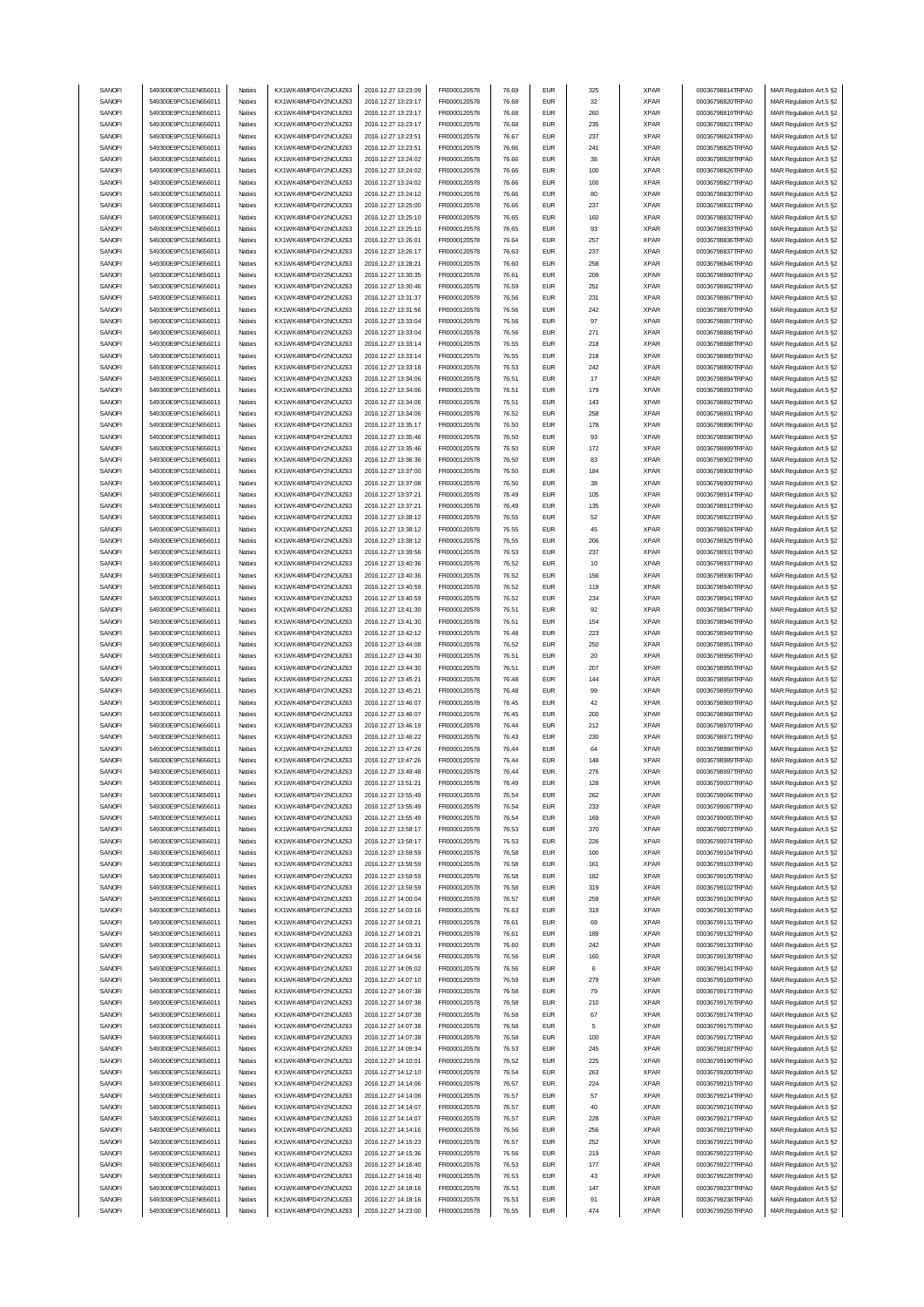| SANOFI           | 549300E9PC51EN656011                         | Natixis            | KX1WK48MPD4Y2NCUIZ63                         | 2016.12.27 13:23:09                        | FR0000120578                 | 76.69          | <b>EUR</b>                  | 325       | <b>XPAR</b>                | 00036798814TRPA0                     | MAR Regulation Art.5 §2                            |
|------------------|----------------------------------------------|--------------------|----------------------------------------------|--------------------------------------------|------------------------------|----------------|-----------------------------|-----------|----------------------------|--------------------------------------|----------------------------------------------------|
| SANOFI           | 549300E9PC51EN656011                         | Natixis            | KX1WK48MPD4Y2NCUIZ63                         | 2016.12.27 13:23:17                        | FR0000120578                 | 76.68          | <b>EUR</b>                  | 32        | <b>XPAR</b>                | 00036798820TRPA0                     | MAR Regulation Art.5 §2                            |
| SANOFI           |                                              |                    |                                              |                                            |                              |                | <b>EUR</b>                  | 260       | <b>XPAR</b>                |                                      |                                                    |
|                  | 549300E9PC51EN656011                         | Natixis            | KX1WK48MPD4Y2NCUIZ63                         | 2016.12.27 13:23:17                        | FR0000120578                 | 76.68          |                             |           |                            | 00036798819TRPA0                     | MAR Regulation Art.5 §2                            |
| SANOFI           | 549300E9PC51EN656011                         | Natixis            | KX1WK48MPD4Y2NCUIZ63                         | 2016.12.27 13:23:17                        | FR0000120578                 | 76.68          | <b>EUR</b>                  | 235       | <b>XPAR</b>                | 00036798821TRPA0                     | MAR Regulation Art.5 §2                            |
| SANOFI           | 549300E9PC51EN656011                         | Natixis            | KX1WK48MPD4Y2NCUIZ63                         | 2016.12.27 13:23:51                        | FR0000120578                 | 76.67          | <b>EUR</b>                  | 237       | <b>XPAR</b>                | 00036798824TRPA0                     | MAR Regulation Art.5 §2                            |
| SANOFI           | 549300E9PC51EN656011                         | Natixis            | KX1WK48MPD4Y2NCUIZ63                         | 2016.12.27 13:23:51                        | FR0000120578                 | 76.66          | <b>EUR</b>                  | 241       | <b>XPAR</b>                | 00036798825TRPA0                     | MAR Regulation Art.5 §2                            |
| SANOFI           | 549300E9PC51EN656011                         | Natixis            | KX1WK48MPD4Y2NCUIZ63                         | 2016.12.27 13:24:02                        | FR0000120578                 | 76.66          | <b>EUR</b>                  | 38        | <b>XPAR</b>                | 00036798828TRPA0                     | MAR Regulation Art.5 §2                            |
| SANOFI           | 549300E9PC51EN656011                         | Natixis            | KX1WK48MPD4Y2NCUIZ63                         | 2016.12.27 13:24:02                        | FR0000120578                 | 76.66          | <b>EUR</b>                  | 100       | <b>XPAR</b>                | 00036798826TRPA0                     | MAR Regulation Art.5 §2                            |
|                  | 549300E9PC51EN656011                         |                    | KX1WK48MPD4Y2NCUIZ63                         | 2016.12.27 13:24:02                        |                              |                | <b>EUR</b>                  | 100       |                            |                                      |                                                    |
| SANOFI           |                                              | Natixis            |                                              |                                            | FR0000120578                 | 76.66          |                             |           | <b>XPAR</b>                | 00036798827TRPA0                     | MAR Regulation Art.5 §2                            |
| SANOFI           | 549300E9PC51EN656011                         | Natixis            | KX1WK48MPD4Y2NCUIZ63                         | 2016.12.27 13:24:12                        | FR0000120578                 | 76.66          | <b>EUR</b>                  | 80        | <b>XPAR</b>                | 00036798830TRPA0                     | MAR Regulation Art.5 §2                            |
| SANOFI           | 549300E9PC51EN656011                         | Natixis            | KX1WK48MPD4Y2NCUIZ63                         | 2016.12.27 13:25:00                        | FR0000120578                 | 76.66          | <b>EUR</b>                  | 237       | <b>XPAR</b>                | 00036798831TRPA0                     | MAR Regulation Art.5 §2                            |
| SANOFI           | 549300E9PC51EN656011                         | Natixis            | KX1WK48MPD4Y2NCUIZ63                         | 2016.12.27 13:25:10                        | FR0000120578                 | 76.65          | <b>EUR</b>                  | 160       | <b>XPAR</b>                | 00036798832TRPA0                     | MAR Regulation Art.5 §2                            |
| SANOFI           | 549300E9PC51EN656011                         | Natixis            | KX1WK48MPD4Y2NCUIZ63                         | 2016.12.27 13:25:10                        | FR0000120578                 | 76.65          | <b>EUR</b>                  | 93        | <b>XPAR</b>                | 00036798833TRPA0                     | MAR Regulation Art.5 §2                            |
| SANOFI           | 549300E9PC51EN656011                         | Natixis            | KX1WK48MPD4Y2NCUIZ63                         | 2016.12.27 13:26:01                        | FR0000120578                 | 76.64          | <b>EUR</b>                  | 257       | <b>XPAR</b>                | 00036798836TRPA0                     | MAR Regulation Art.5 §2                            |
|                  |                                              |                    |                                              |                                            |                              |                |                             |           |                            |                                      |                                                    |
| SANOFI           | 549300E9PC51EN656011                         | Natixis            | KX1WK48MPD4Y2NCUIZ63                         | 2016.12.27 13:26:17                        | FR0000120578                 | 76.63          | <b>EUR</b>                  | 237       | <b>XPAR</b>                | 00036798837TRPA0                     | MAR Regulation Art.5 §2                            |
| SANOFI           | 549300E9PC51EN656011                         | Natixis            | KX1WK48MPD4Y2NCUIZ63                         | 2016.12.27 13:28:21                        | FR0000120578                 | 76.60          | <b>EUR</b>                  | 258       | <b>XPAR</b>                | 00036798846TRPA0                     | MAR Regulation Art.5 §2                            |
| SANOFI           | 549300E9PC51EN656011                         | Natixis            | KX1WK48MPD4Y2NCUIZ63                         | 2016.12.27 13:30:35                        | FR0000120578                 | 76.61          | <b>EUR</b>                  | 209       | <b>XPAR</b>                | 00036798860TRPA0                     | MAR Regulation Art.5 §2                            |
| SANOFI           | 549300E9PC51EN656011                         | Natixis            | KX1WK48MPD4Y2NCUIZ63                         | 2016.12.27 13:30:46                        | FR0000120578                 | 76.59          | <b>EUR</b>                  | 251       | <b>XPAR</b>                | 00036798862TRPA0                     | MAR Regulation Art.5 §2                            |
| SANOFI           | 549300E9PC51EN656011                         | Natixis            | KX1WK48MPD4Y2NCUIZ63                         | 2016.12.27 13:31:37                        | FR0000120578                 | 76.56          | <b>EUR</b>                  | 231       | <b>XPAR</b>                | 00036798867TRPA0                     | MAR Regulation Art.5 §2                            |
| SANOFI           | 549300E9PC51EN656011                         | Natixis            | KX1WK48MPD4Y2NCUIZ63                         | 2016.12.27 13:31:56                        | FR0000120578                 | 76.56          | <b>EUR</b>                  | 242       | <b>XPAR</b>                | 00036798870TRPA0                     | MAR Regulation Art.5 §2                            |
| SANOFI           | 549300E9PC51EN656011                         | Natixis            | KX1WK48MPD4Y2NCUIZ63                         | 2016.12.27 13:33:04                        | FR0000120578                 | 76.56          | <b>EUR</b>                  | 97        | <b>XPAR</b>                | 00036798887TRPA0                     | MAR Regulation Art.5 §2                            |
|                  |                                              |                    |                                              |                                            |                              |                |                             |           |                            |                                      |                                                    |
| SANOFI           | 549300E9PC51EN656011                         | Natixis            | KX1WK48MPD4Y2NCUIZ63                         | 2016.12.27 13:33:04                        | FR0000120578                 | 76.56          | <b>EUR</b>                  | 271       | <b>XPAR</b>                | 00036798886TRPA0                     | MAR Regulation Art.5 §2                            |
| SANOFI           | 549300E9PC51EN656011                         | Natixis            | KX1WK48MPD4Y2NCUIZ63                         | 2016.12.27 13:33:14                        | FR0000120578                 | 76.55          | <b>EUR</b>                  | 218       | <b>XPAR</b>                | 00036798888TRPA0                     | MAR Regulation Art.5 §2                            |
| SANOFI           | 549300E9PC51EN656011                         | Natixis            | KX1WK48MPD4Y2NCUIZ63                         | 2016.12.27 13:33:14                        | FR0000120578                 | 76.55          | <b>EUR</b>                  | 218       | <b>XPAR</b>                | 00036798889TRPA0                     | MAR Regulation Art.5 §2                            |
| SANOFI           | 549300E9PC51EN656011                         | Natixis            | KX1WK48MPD4Y2NCUIZ63                         | 2016.12.27 13:33:18                        | FR0000120578                 | 76.53          | <b>EUR</b>                  | 242       | <b>XPAR</b>                | 00036798890TRPA0                     | MAR Regulation Art.5 §2                            |
| SANOFI           | 549300E9PC51EN656011                         | Natixis            | KX1WK48MPD4Y2NCUIZ63                         | 2016.12.27 13:34:06                        | FR0000120578                 | 76.51          | <b>EUR</b>                  | 17        | <b>XPAR</b>                | 00036798894TRPA0                     | MAR Regulation Art.5 §2                            |
| SANOFI           | 549300E9PC51EN656011                         | Natixis            | KX1WK48MPD4Y2NCUIZ63                         | 2016.12.27 13:34:06                        | FR0000120578                 | 76.51          | <b>EUR</b>                  | 179       | <b>XPAR</b>                | 00036798893TRPA0                     | MAR Regulation Art.5 §2                            |
|                  | 549300E9PC51EN656011                         | Natixis            | KX1WK48MPD4Y2NCUIZ63                         | 2016.12.27 13:34:06                        | FR0000120578                 | 76.51          | <b>EUR</b>                  | 143       | <b>XPAR</b>                | 00036798892TRPA0                     | MAR Regulation Art.5 §2                            |
| SANOFI           |                                              |                    |                                              |                                            |                              |                |                             |           |                            |                                      |                                                    |
| SANOFI           | 549300E9PC51EN656011                         | Natixis            | KX1WK48MPD4Y2NCUIZ63                         | 2016.12.27 13:34:06                        | FR0000120578                 | 76.52          | <b>EUR</b>                  | 258       | <b>XPAR</b>                | 00036798891TRPA0                     | MAR Regulation Art.5 §2                            |
| SANOFI           | 549300E9PC51EN656011                         | Natixis            | KX1WK48MPD4Y2NCUIZ63                         | 2016.12.27 13:35:17                        | FR0000120578                 | 76.50          | <b>EUR</b>                  | 178       | <b>XPAR</b>                | 00036798896TRPA0                     | MAR Regulation Art.5 §2                            |
| SANOFI           | 549300E9PC51EN656011                         | Natixis            | KX1WK48MPD4Y2NCUIZ63                         | 2016.12.27 13:35:46                        | FR0000120578                 | 76.50          | <b>EUR</b>                  | 93        | <b>XPAR</b>                | 00036798898TRPA0                     | MAR Regulation Art.5 §2                            |
| SANOFI           | 549300E9PC51EN656011                         | Natixis            | KX1WK48MPD4Y2NCUIZ63                         | 2016.12.27 13:35:46                        | FR0000120578                 | 76.50          | <b>EUR</b>                  | 172       | <b>XPAR</b>                | 00036798899TRPA0                     | MAR Regulation Art.5 §2                            |
| SANOFI           | 549300E9PC51EN656011                         | Natixis            | KX1WK48MPD4Y2NCUIZ63                         | 2016.12.27 13:36:36                        | FR0000120578                 | 76.50          | <b>EUR</b>                  | 83        | <b>XPAR</b>                | 00036798902TRPA0                     | MAR Regulation Art.5 §2                            |
| SANOFI           | 549300E9PC51EN656011                         | Natixis            | KX1WK48MPD4Y2NCUIZ63                         | 2016.12.27 13:37:00                        | FR0000120578                 | 76.50          | <b>EUR</b>                  | 184       | <b>XPAR</b>                | 00036798908TRPA0                     | MAR Regulation Art.5 §2                            |
| SANOFI           | 549300E9PC51EN656011                         | Natixis            |                                              | 2016.12.27 13:37:08                        | FR0000120578                 | 76.50          | <b>EUR</b>                  | 38        |                            |                                      |                                                    |
|                  |                                              |                    | KX1WK48MPD4Y2NCUIZ63                         |                                            |                              |                |                             |           | <b>XPAR</b>                | 00036798909TRPA0                     | MAR Regulation Art.5 §2                            |
| SANOFI           | 549300E9PC51EN656011                         | Natixis            | KX1WK48MPD4Y2NCUIZ63                         | 2016.12.27 13:37:21                        | FR0000120578                 | 76.49          | <b>EUR</b>                  | 105       | <b>XPAR</b>                | 00036798914TRPA0                     | MAR Regulation Art.5 §2                            |
| SANOFI           | 549300E9PC51EN656011                         | Natixis            | KX1WK48MPD4Y2NCUIZ63                         | 2016.12.27 13:37:21                        | FR0000120578                 | 76.49          | <b>EUR</b>                  | 135       | <b>XPAR</b>                | 00036798913TRPA0                     | MAR Regulation Art.5 §2                            |
| SANOFI           | 549300E9PC51EN656011                         | Natixis            | KX1WK48MPD4Y2NCUIZ63                         | 2016.12.27 13:38:12                        | FR0000120578                 | 76.55          | <b>EUR</b>                  | 52        | <b>XPAR</b>                | 00036798923TRPA0                     | MAR Regulation Art.5 §2                            |
| SANOFI           | 549300E9PC51EN656011                         | Natixis            | KX1WK48MPD4Y2NCUIZ63                         | 2016.12.27 13:38:12                        | FR0000120578                 | 76.55          | <b>EUR</b>                  | 45        | <b>XPAR</b>                | 00036798924TRPA0                     | MAR Regulation Art.5 §2                            |
| SANOFI           | 549300E9PC51EN656011                         | Natixis            | KX1WK48MPD4Y2NCUIZ63                         | 2016.12.27 13:38:12                        | FR0000120578                 | 76.55          | <b>EUR</b>                  | 206       | <b>XPAR</b>                | 00036798925TRPA0                     | MAR Regulation Art.5 §2                            |
| SANOFI           | 549300E9PC51EN656011                         | Natixis            | KX1WK48MPD4Y2NCUIZ63                         | 2016.12.27 13:39:56                        | FR0000120578                 | 76.53          | <b>EUR</b>                  | 237       | <b>XPAR</b>                | 00036798931TRPA0                     | MAR Regulation Art.5 §2                            |
|                  |                                              |                    |                                              |                                            |                              |                |                             |           |                            |                                      |                                                    |
| SANOFI           | 549300E9PC51EN656011                         | Natixis            | KX1WK48MPD4Y2NCUIZ63                         | 2016.12.27 13:40:36                        | FR0000120578                 | 76.52          | <b>EUR</b>                  | 10        | <b>XPAR</b>                | 00036798937TRPA0                     | MAR Regulation Art.5 §2                            |
| SANOFI           | 549300E9PC51EN656011                         | Natixis            | KX1WK48MPD4Y2NCUIZ63                         | 2016.12.27 13:40:36                        | FR0000120578                 | 76.52          | <b>EUR</b>                  | 156       | <b>XPAR</b>                | 00036798936TRPA0                     | MAR Regulation Art.5 §2                            |
| SANOFI           | 549300E9PC51EN656011                         | Natixis            | KX1WK48MPD4Y2NCUIZ63                         | 2016.12.27 13:40:59                        | FR0000120578                 | 76.52          | <b>EUR</b>                  | 119       | <b>XPAR</b>                | 00036798940TRPA0                     | MAR Regulation Art.5 §2                            |
| SANOFI           | 549300E9PC51EN656011                         | Natixis            | KX1WK48MPD4Y2NCUIZ63                         | 2016.12.27 13:40:59                        | FR0000120578                 | 76.52          | <b>EUR</b>                  | 234       | <b>XPAR</b>                | 00036798941TRPA0                     | MAR Regulation Art.5 §2                            |
| SANOFI           | 549300E9PC51EN656011                         | Natixis            | KX1WK48MPD4Y2NCUIZ63                         | 2016.12.27 13:41:30                        | FR0000120578                 | 76.51          | <b>EUR</b>                  | 92        | <b>XPAR</b>                | 00036798947TRPA0                     | MAR Regulation Art.5 §2                            |
| SANOFI           | 549300E9PC51EN656011                         | Natixis            | KX1WK48MPD4Y2NCUIZ63                         | 2016.12.27 13:41:30                        | FR0000120578                 | 76.51          | <b>EUR</b>                  | 154       | <b>XPAR</b>                | 00036798946TRPA0                     | MAR Regulation Art.5 §2                            |
|                  |                                              |                    |                                              | 2016.12.27 13:42:12                        |                              |                | <b>EUR</b>                  | 223       | <b>XPAR</b>                | 00036798949TRPA0                     | MAR Regulation Art.5 §2                            |
|                  |                                              |                    |                                              |                                            |                              |                |                             |           |                            |                                      |                                                    |
| SANOFI           | 549300E9PC51EN656011                         | Natixis            | KX1WK48MPD4Y2NCUIZ63                         |                                            | FR0000120578                 | 76.48          |                             |           |                            |                                      |                                                    |
| SANOFI           | 549300E9PC51EN656011                         | Natixis            | KX1WK48MPD4Y2NCUIZ63                         | 2016.12.27 13:44:08                        | FR0000120578                 | 76.52          | <b>EUR</b>                  | 250       | <b>XPAR</b>                | 00036798951TRPA0                     | MAR Regulation Art.5 §2                            |
| SANOFI           | 549300E9PC51EN656011                         | Natixis            | KX1WK48MPD4Y2NCUIZ63                         | 2016.12.27 13:44:30                        | FR0000120578                 | 76.51          | <b>EUR</b>                  | 20        | <b>XPAR</b>                | 00036798956TRPA0                     | MAR Regulation Art.5 §2                            |
| SANOFI           | 549300E9PC51EN656011                         | Natixis            | KX1WK48MPD4Y2NCUIZ63                         | 2016.12.27 13:44:30                        | FR0000120578                 | 76.51          | <b>EUR</b>                  | 207       | <b>XPAR</b>                | 00036798955TRPA0                     | MAR Regulation Art.5 §2                            |
| SANOFI           | 549300E9PC51EN656011                         | Natixis            | KX1WK48MPD4Y2NCUIZ63                         | 2016.12.27 13:45:21                        | FR0000120578                 | 76.48          | <b>EUR</b>                  | 144       | <b>XPAR</b>                | 00036798958TRPA0                     | MAR Regulation Art.5 §2                            |
| SANOFI           | 549300E9PC51EN656011                         | Natixis            | KX1WK48MPD4Y2NCUIZ63                         | 2016.12.27 13:45:21                        | FR0000120578                 | 76.48          | <b>EUR</b>                  | 99        | <b>XPAR</b>                | 00036798959TRPA0                     | MAR Regulation Art.5 §2                            |
| SANOFI           | 549300E9PC51EN656011                         | Natixis            | KX1WK48MPD4Y2NCUIZ63                         | 2016.12.27 13:46:07                        | FR0000120578                 | 76.45          | <b>EUR</b>                  | 42        | <b>XPAR</b>                | 00036798969TRPA0                     | MAR Regulation Art.5 §2                            |
|                  |                                              | Natixis            | KX1WK48MPD4Y2NCUIZ63                         |                                            |                              |                |                             |           |                            | 00036798968TRPA0                     |                                                    |
| SANOFI           | 549300E9PC51EN656011                         |                    |                                              | 2016.12.27 13:46:07                        | FR0000120578                 | 76.45          | <b>EUR</b>                  | 200       | <b>XPAR</b>                |                                      | MAR Regulation Art.5 §2                            |
| SANOFI           | 549300E9PC51EN656011                         | Natixis            | KX1WK48MPD4Y2NCUIZ63                         | 2016.12.27 13:46:19                        | FR0000120578                 | 76.44          | <b>EUR</b>                  | 212       | <b>XPAR</b>                | 00036798970TRPA0                     | MAR Regulation Art.5 §2                            |
| SANOFI           | 549300E9PC51EN656011                         | Natixis            | KX1WK48MPD4Y2NCUIZ63                         | 2016.12.27 13:46:22                        | FR0000120578                 | 76.43          | <b>EUR</b>                  | 230       | <b>XPAR</b>                | 00036798971TRPA0                     | MAR Regulation Art.5 §2                            |
| SANOFI           | 549300E9PC51EN656011                         | Natixis            | KX1WK48MPD4Y2NCUIZ63                         | 2016.12.27 13:47:26                        | FR0000120578                 | 76.44          | <b>EUR</b>                  | 64        | <b>XPAR</b>                | 00036798988TRPA0                     | MAR Regulation Art.5 §2                            |
| SANOFI           | 549300E9PC51EN656011                         | Natixis            | KX1WK48MPD4Y2NCUIZ63                         | 2016.12.27 13:47:26                        | FR0000120578                 | 76.44          | <b>EUR</b>                  | 148       | <b>XPAR</b>                | 00036798989TRPA0                     | MAR Regulation Art.5 §2                            |
| SANUH            | 549300E9PC51EN656011                         | rvatixis           | KX1WK48MPD4Y2NCUIZ63                         | 2016.12.27 13:49:48                        | <b>FR00001205/8</b>          | 76.44          | EUM                         | 276       | <b>XPAR</b>                | 00036798997TRPAU                     | MAR Regulation Art.5 §2                            |
| SANOFI           | 549300E9PC51EN656011                         | Natixis            | KX1WK48MPD4Y2NCUIZ63                         | 2016.12.27 13:51:21                        | FR0000120578                 | 76.49          | <b>EUR</b>                  | 128       | <b>XPAR</b>                | 00036799007TRPA0                     | MAR Regulation Art.5 §2                            |
| SANOFI           | 549300E9PC51EN656011                         | Natixis            | KX1WK48MPD4Y2NCUIZ63                         | 2016.12.27 13:55:49                        | FR0000120578                 | 76.54          | <b>EUR</b>                  | 262       | <b>XPAR</b>                | 00036799066TRPA0                     | MAR Regulation Art.5 §2                            |
|                  |                                              |                    |                                              |                                            |                              |                |                             |           |                            |                                      |                                                    |
| SANOFI           | 549300E9PC51EN656011                         | Natixis            | KX1WK48MPD4Y2NCUIZ63                         | 2016.12.27 13:55:49                        | FR0000120578                 | 76.54          | <b>EUR</b>                  | 233       | <b>XPAR</b>                | 00036799067TRPA0                     | MAR Regulation Art.5 §2                            |
| SANOFI           | 549300E9PC51EN656011                         | Natixis            | KX1WK48MPD4Y2NCUIZ63                         | 2016.12.27 13:55:49                        | FR0000120578                 | 76.54          | <b>EUR</b>                  | 169       | <b>XPAR</b>                | 00036799065TRPA0                     | MAR Regulation Art.5 §2                            |
| SANOFI           | 549300E9PC51EN656011                         | Natixis            | KX1WK48MPD4Y2NCUIZ63                         | 2016.12.27 13:58:17                        | FR0000120578                 | 76.53          | <b>EUR</b>                  | 370       | <b>XPAR</b>                | 00036799073TRPA0                     | MAR Regulation Art.5 §2                            |
| SANOFI           | 549300E9PC51EN656011                         | Natixis            | KX1WK48MPD4Y2NCUIZ63                         | 2016.12.27 13:58:17                        | FR0000120578                 | 76.53          | <b>EUR</b>                  | 226       | <b>XPAR</b>                | 00036799074TRPA0                     | MAR Regulation Art.5 §2                            |
| SANOFI           | 549300E9PC51EN656011                         | Natixis            | KX1WK48MPD4Y2NCUIZ63                         | 2016.12.27 13:59:59                        | FR0000120578                 | 76.58          | <b>EUR</b>                  | 100       | <b>XPAR</b>                | 00036799104TRPA0                     | MAR Regulation Art.5 §2                            |
| SANOFI           | 549300E9PC51EN656011                         | Natixis            | KX1WK48MPD4Y2NCUIZ63                         | 2016.12.27 13:59:59                        | FR0000120578                 | 76.58          | <b>EUR</b>                  | 161       | <b>XPAR</b>                | 00036799103TRPA0                     | MAR Regulation Art.5 §2                            |
| SANOFI           | 549300E9PC51EN656011                         | Natixis            | KX1WK48MPD4Y2NCUIZ63                         | 2016.12.27 13:59:59                        | FR0000120578                 | 76.58          | <b>EUR</b>                  | 182       | <b>XPAR</b>                | 00036799105TRPA0                     | MAR Regulation Art.5 §2                            |
|                  |                                              |                    |                                              |                                            |                              |                |                             | 319       |                            |                                      |                                                    |
| SANOFI           | 549300E9PC51EN656011                         | Natixis            | KX1WK48MPD4Y2NCUIZ63                         | 2016.12.27 13:59:59                        | FR0000120578                 | 76.58          | <b>EUR</b>                  |           | <b>XPAR</b>                | 00036799102TRPA0                     | MAR Regulation Art.5 §2                            |
| SANOFI           | 549300E9PC51EN656011                         | Natixis            | KX1WK48MPD4Y2NCUIZ63                         | 2016.12.27 14:00:04                        | FR0000120578                 | 76.57          | <b>EUR</b>                  | 259       | <b>XPAR</b>                | 00036799106TRPA0                     | MAR Regulation Art.5 §2                            |
| SANOFI           | 549300E9PC51EN656011                         | Natixis            | KX1WK48MPD4Y2NCUIZ63                         | 2016.12.27 14:03:16                        | FR0000120578                 | 76.63          | <b>EUR</b>                  | 319       | <b>XPAR</b>                | 00036799130TRPA0                     | MAR Regulation Art.5 §2                            |
| SANOFI           | 549300E9PC51EN656011                         | Natixis            | KX1WK48MPD4Y2NCUIZ63                         | 2016.12.27 14:03:21                        | FR0000120578                 | 76.61          | <b>EUR</b>                  | 69        | <b>XPAR</b>                | 00036799131TRPA0                     | MAR Regulation Art.5 §2                            |
| SANOFI           | 549300E9PC51EN656011                         | Natixis            | KX1WK48MPD4Y2NCUIZ63                         | 2016.12.27 14:03:21                        | FR0000120578                 | 76.61          | <b>EUR</b>                  | 189       | <b>XPAR</b>                | 00036799132TRPA0                     | MAR Regulation Art.5 §2                            |
| SANOFI           | 549300E9PC51EN656011                         | Natixis            | KX1WK48MPD4Y2NCUIZ63                         | 2016.12.27 14:03:31                        | FR0000120578                 | 76.60          | <b>EUR</b>                  | 242       | <b>XPAR</b>                | 00036799133TRPA0                     |                                                    |
|                  | 549300E9PC51EN656011                         | Natixis            | KX1WK48MPD4Y2NCUIZ63                         |                                            | FR0000120578                 |                |                             |           |                            |                                      | MAR Regulation Art.5 §2                            |
| SANOFI           |                                              |                    |                                              | 2016.12.27 14:04:56                        |                              | 76.56          | <b>EUR</b>                  | 160       | <b>XPAR</b>                | 00036799139TRPA0                     | MAR Regulation Art.5 §2                            |
| SANOFI           | 549300E9PC51EN656011                         | Natixis            | KX1WK48MPD4Y2NCUIZ63                         | 2016.12.27 14:05:02                        | FR0000120578                 | 76.56          | <b>EUR</b>                  | 6         | <b>XPAR</b>                | 00036799141TRPA0                     | MAR Regulation Art.5 §2                            |
| SANOFI           | 549300E9PC51EN656011                         | Natixis            | KX1WK48MPD4Y2NCUIZ63                         | 2016.12.27 14:07:10                        | FR0000120578                 | 76.59          | <b>EUR</b>                  | 279       | <b>XPAR</b>                | 00036799169TRPA0                     | MAR Regulation Art.5 §2                            |
| SANOFI           | 549300E9PC51EN656011                         | Natixis            | KX1WK48MPD4Y2NCUIZ63                         | 2016.12.27 14:07:38                        | FR0000120578                 | 76.58          | $\ensuremath{\mathsf{EUR}}$ | 79        | <b>XPAR</b>                | 00036799173TRPA0                     | MAR Regulation Art.5 §2                            |
| SANOFI           | 549300E9PC51EN656011                         | Natixis            | KX1WK48MPD4Y2NCUIZ63                         | 2016.12.27 14:07:38                        | FR0000120578                 | 76.58          | <b>EUR</b>                  | 210       | <b>XPAR</b>                | 00036799176TRPA0                     | MAR Regulation Art.5 §2                            |
| SANOFI           | 549300E9PC51EN656011                         | Natixis            | KX1WK48MPD4Y2NCUIZ63                         | 2016.12.27 14:07:38                        | FR0000120578                 | 76.58          | <b>EUR</b>                  | 67        | <b>XPAR</b>                | 00036799174TRPA0                     | MAR Regulation Art.5 §2                            |
| SANOFI           | 549300E9PC51EN656011                         | Natixis            | KX1WK48MPD4Y2NCUIZ63                         | 2016.12.27 14:07:38                        | FR0000120578                 | 76.58          | <b>EUR</b>                  | 5         | <b>XPAR</b>                | 00036799175TRPA0                     | MAR Regulation Art.5 §2                            |
| SANOFI           | 549300E9PC51EN656011                         | Natixis            | KX1WK48MPD4Y2NCUIZ63                         | 2016.12.27 14:07:38                        | FR0000120578                 | 76.58          | <b>EUR</b>                  | 100       | <b>XPAR</b>                | 00036799172TRPA0                     | MAR Regulation Art.5 §2                            |
| SANOFI           | 549300E9PC51EN656011                         | Natixis            | KX1WK48MPD4Y2NCUIZ63                         | 2016.12.27 14:09:34                        | FR0000120578                 | 76.53          | <b>EUR</b>                  | 245       | <b>XPAR</b>                | 00036799187TRPA0                     | MAR Regulation Art.5 §2                            |
|                  |                                              |                    |                                              |                                            |                              |                |                             |           |                            |                                      |                                                    |
| SANOFI           | 549300E9PC51EN656011                         | Natixis            | KX1WK48MPD4Y2NCUIZ63                         | 2016.12.27 14:10:01                        | FR0000120578                 | 76.52          | <b>EUR</b>                  | 225       | <b>XPAR</b>                | 00036799190TRPA0                     | MAR Regulation Art.5 §2                            |
| SANOFI           | 549300E9PC51EN656011                         | Natixis            | KX1WK48MPD4Y2NCUIZ63                         | 2016.12.27 14:12:10                        | FR0000120578                 | 76.54          | <b>EUR</b>                  | 263       | <b>XPAR</b>                | 00036799200TRPA0                     | MAR Regulation Art.5 §2                            |
| SANOFI           | 549300E9PC51EN656011                         | Natixis            | KX1WK48MPD4Y2NCUIZ63                         | 2016.12.27 14:14:06                        | FR0000120578                 | 76.57          | <b>EUR</b>                  | 224       | <b>XPAR</b>                | 00036799215TRPA0                     | MAR Regulation Art.5 §2                            |
| SANOFI           | 549300E9PC51EN656011                         | Natixis            | KX1WK48MPD4Y2NCUIZ63                         | 2016.12.27 14:14:06                        | FR0000120578                 | 76.57          | <b>EUR</b>                  | 57        | <b>XPAR</b>                | 00036799214TRPA0                     | MAR Regulation Art.5 §2                            |
| SANOFI           | 549300E9PC51EN656011                         | Natixis            | KX1WK48MPD4Y2NCUIZ63                         | 2016.12.27 14:14:07                        | FR0000120578                 | 76.57          | <b>EUR</b>                  | 40        | <b>XPAR</b>                | 00036799216TRPA0                     | MAR Regulation Art.5 §2                            |
| SANOFI           | 549300E9PC51EN656011                         | Natixis            | KX1WK48MPD4Y2NCUIZ63                         | 2016.12.27 14:14:07                        | FR0000120578                 | 76.57          | <b>EUR</b>                  | 228       | <b>XPAR</b>                | 00036799217TRPA0                     | MAR Regulation Art.5 §2                            |
| SANOFI           | 549300E9PC51EN656011                         | Natixis            | KX1WK48MPD4Y2NCUIZ63                         | 2016.12.27 14:14:16                        | FR0000120578                 | 76.56          | <b>EUR</b>                  | 256       | <b>XPAR</b>                | 00036799219TRPA0                     | MAR Regulation Art.5 §2                            |
| SANOFI           | 549300E9PC51EN656011                         | Natixis            | KX1WK48MPD4Y2NCUIZ63                         | 2016.12.27 14:15:23                        | FR0000120578                 | 76.57          | <b>EUR</b>                  | 252       | <b>XPAR</b>                | 00036799221TRPA0                     |                                                    |
|                  |                                              |                    |                                              |                                            |                              |                |                             |           |                            |                                      | MAR Regulation Art.5 §2                            |
| SANOFI           | 549300E9PC51EN656011                         | Natixis            | KX1WK48MPD4Y2NCUIZ63                         | 2016.12.27 14:15:36                        | FR0000120578                 | 76.56          | <b>EUR</b>                  | 219       | <b>XPAR</b>                | 00036799223TRPA0                     | MAR Regulation Art.5 §2                            |
| SANOFI           | 549300E9PC51EN656011                         | Natixis            | KX1WK48MPD4Y2NCUIZ63                         | 2016.12.27 14:16:40                        | FR0000120578                 | 76.53          | <b>EUR</b>                  | 177       | <b>XPAR</b>                | 00036799227TRPA0                     | MAR Regulation Art.5 §2                            |
| SANOFI           | 549300E9PC51EN656011                         | Natixis            | KX1WK48MPD4Y2NCUIZ63                         | 2016.12.27 14:16:40                        | FR0000120578                 | 76.53          | <b>EUR</b>                  | 43        | <b>XPAR</b>                | 00036799228TRPA0                     | MAR Regulation Art.5 §2                            |
| SANOFI           | 549300E9PC51EN656011                         | Natixis            | KX1WK48MPD4Y2NCUIZ63                         | 2016.12.27 14:18:16                        | FR0000120578                 | 76.53          | <b>EUR</b>                  | 147       | <b>XPAR</b>                | 00036799237TRPA0                     | MAR Regulation Art.5 §2                            |
| SANOFI<br>SANOFI | 549300E9PC51EN656011<br>549300E9PC51EN656011 | Natixis<br>Natixis | KX1WK48MPD4Y2NCUIZ63<br>KX1WK48MPD4Y2NCUIZ63 | 2016.12.27 14:18:16<br>2016.12.27 14:23:00 | FR0000120578<br>FR0000120578 | 76.53<br>76.55 | <b>EUR</b><br>${\sf EUR}$   | 91<br>474 | <b>XPAR</b><br><b>XPAR</b> | 00036799238TRPA0<br>00036799255TRPA0 | MAR Regulation Art.5 §2<br>MAR Regulation Art.5 §2 |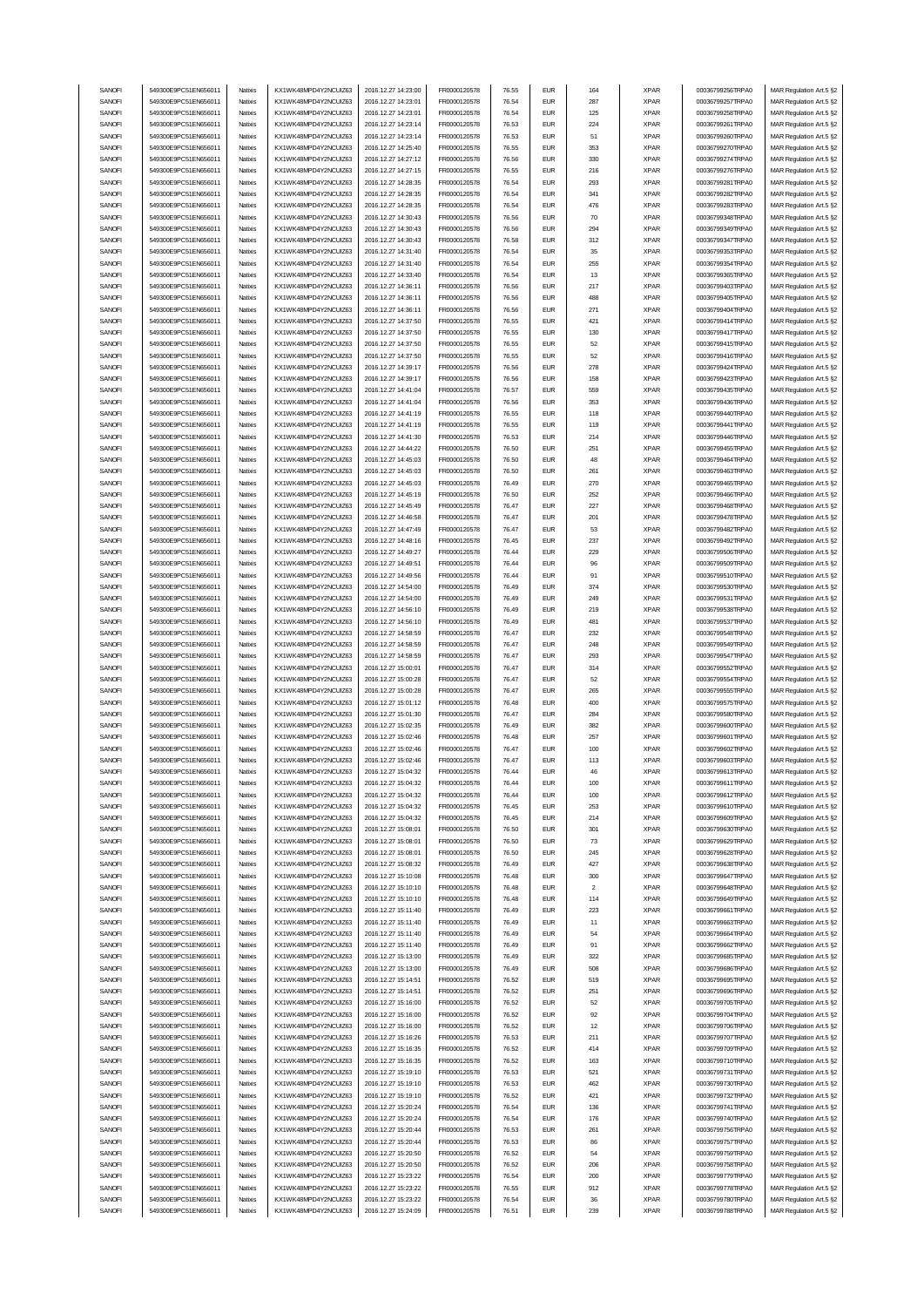| SANOFI           | 549300E9PC51EN656011                         | Natixis            | KX1WK48MPD4Y2NCUIZ63                         | 2016.12.27 14:23:00                        | FR0000120578                 | 76.55          | <b>EUR</b>               | 164                     | <b>XPAR</b>                | 00036799256TRPA0                     | MAR Regulation Art.5 §2                            |
|------------------|----------------------------------------------|--------------------|----------------------------------------------|--------------------------------------------|------------------------------|----------------|--------------------------|-------------------------|----------------------------|--------------------------------------|----------------------------------------------------|
| SANOFI           | 549300E9PC51EN656011                         | Natixis            | KX1WK48MPD4Y2NCUIZ63                         | 2016.12.27 14:23:01                        | FR0000120578                 | 76.54          | <b>EUR</b>               | 287                     | <b>XPAR</b>                | 00036799257TRPA0                     | MAR Regulation Art.5 §2                            |
| SANOFI           |                                              |                    | KX1WK48MPD4Y2NCUIZ63                         |                                            |                              |                | <b>EUR</b>               |                         |                            |                                      |                                                    |
|                  | 549300E9PC51EN656011                         | Natixis            |                                              | 2016.12.27 14:23:01                        | FR0000120578                 | 76.54          |                          | 125                     | <b>XPAR</b>                | 00036799258TRPA0                     | MAR Regulation Art.5 §2                            |
| SANOFI           | 549300E9PC51EN656011                         | Natixis            | KX1WK48MPD4Y2NCUIZ63                         | 2016.12.27 14:23:14                        | FR0000120578                 | 76.53          | <b>EUR</b>               | 224                     | <b>XPAR</b>                | 00036799261TRPA0                     | MAR Regulation Art.5 §2                            |
| SANOFI           | 549300E9PC51EN656011                         | Natixis            | KX1WK48MPD4Y2NCUIZ63                         | 2016.12.27 14:23:14                        | FR0000120578                 | 76.53          | <b>EUR</b>               | 51                      | <b>XPAR</b>                | 00036799260TRPA0                     | MAR Regulation Art.5 §2                            |
| SANOFI           | 549300E9PC51EN656011                         | Natixis            | KX1WK48MPD4Y2NCUIZ63                         | 2016.12.27 14:25:40                        | FR0000120578                 | 76.55          | <b>EUR</b>               | 353                     | <b>XPAR</b>                | 00036799270TRPA0                     | MAR Regulation Art.5 §2                            |
| SANOFI           | 549300E9PC51EN656011                         | Natixis            | KX1WK48MPD4Y2NCUIZ63                         | 2016.12.27 14:27:12                        | FR0000120578                 | 76.56          | <b>EUR</b>               | 330                     | <b>XPAR</b>                | 00036799274TRPA0                     | MAR Regulation Art.5 §2                            |
| SANOFI           | 549300E9PC51EN656011                         | Natixis            | KX1WK48MPD4Y2NCUIZ63                         | 2016.12.27 14:27:15                        | FR0000120578                 | 76.55          | <b>EUR</b>               | 216                     | <b>XPAR</b>                | 00036799276TRPA0                     | MAR Regulation Art.5 §2                            |
| SANOFI           | 549300E9PC51EN656011                         | Natixis            | KX1WK48MPD4Y2NCUIZ63                         | 2016.12.27 14:28:35                        | FR0000120578                 | 76.54          | <b>EUR</b>               | 293                     | <b>XPAR</b>                | 00036799281TRPA0                     | MAR Regulation Art.5 §2                            |
| SANOFI           | 549300E9PC51EN656011                         | Natixis            | KX1WK48MPD4Y2NCUIZ63                         | 2016.12.27 14:28:35                        | FR0000120578                 | 76.54          | <b>EUR</b>               | 341                     | <b>XPAR</b>                | 00036799282TRPA0                     | MAR Regulation Art.5 §2                            |
|                  |                                              |                    |                                              |                                            |                              |                |                          |                         |                            |                                      |                                                    |
| SANOFI           | 549300E9PC51EN656011                         | Natixis            | KX1WK48MPD4Y2NCUIZ63                         | 2016.12.27 14:28:35                        | FR0000120578                 | 76.54          | <b>EUR</b>               | 476                     | <b>XPAR</b>                | 00036799283TRPA0                     | MAR Regulation Art.5 §2                            |
| SANOFI           | 549300E9PC51EN656011                         | Natixis            | KX1WK48MPD4Y2NCUIZ63                         | 2016.12.27 14:30:43                        | FR0000120578                 | 76.56          | <b>EUR</b>               | 70                      | <b>XPAR</b>                | 00036799348TRPA0                     | MAR Regulation Art.5 §2                            |
| SANOFI           | 549300E9PC51EN656011                         | Natixis            | KX1WK48MPD4Y2NCUIZ63                         | 2016.12.27 14:30:43                        | FR0000120578                 | 76.56          | <b>EUR</b>               | 294                     | <b>XPAR</b>                | 00036799349TRPA0                     | MAR Regulation Art.5 §2                            |
| SANOFI           | 549300E9PC51EN656011                         | Natixis            | KX1WK48MPD4Y2NCUIZ63                         | 2016.12.27 14:30:43                        | FR0000120578                 | 76.58          | <b>EUR</b>               | 312                     | <b>XPAR</b>                | 00036799347TRPA0                     | MAR Regulation Art.5 §2                            |
| SANOFI           | 549300E9PC51EN656011                         | Natixis            | KX1WK48MPD4Y2NCUIZ63                         | 2016.12.27 14:31:40                        | FR0000120578                 | 76.54          | <b>EUR</b>               | 35                      | <b>XPAR</b>                | 00036799353TRPA0                     | MAR Regulation Art.5 §2                            |
| SANOFI           | 549300E9PC51EN656011                         | Natixis            | KX1WK48MPD4Y2NCUIZ63                         | 2016.12.27 14:31:40                        | FR0000120578                 | 76.54          | <b>EUR</b>               | 255                     | <b>XPAR</b>                | 00036799354TRPA0                     | MAR Regulation Art.5 §2                            |
| SANOFI           | 549300E9PC51EN656011                         | Natixis            | KX1WK48MPD4Y2NCUIZ63                         | 2016.12.27 14:33:40                        | FR0000120578                 | 76.54          | <b>EUR</b>               | 13                      | <b>XPAR</b>                | 00036799365TRPA0                     |                                                    |
|                  |                                              |                    |                                              |                                            |                              |                |                          |                         |                            |                                      | MAR Regulation Art.5 §2                            |
| SANOFI           | 549300E9PC51EN656011                         | Natixis            | KX1WK48MPD4Y2NCUIZ63                         | 2016.12.27 14:36:11                        | FR0000120578                 | 76.56          | <b>EUR</b>               | 217                     | <b>XPAR</b>                | 00036799403TRPA0                     | MAR Regulation Art.5 §2                            |
| SANOFI           | 549300E9PC51EN656011                         | Natixis            | KX1WK48MPD4Y2NCLIIZ63                        | 2016.12.27 14:36:11                        | FR0000120578                 | 76.56          | <b>EUR</b>               | 488                     | <b>XPAR</b>                | 00036799405TRPA0                     | MAR Regulation Art.5 §2                            |
| SANOFI           | 549300E9PC51EN656011                         | Natixis            | KX1WK48MPD4Y2NCUIZ63                         | 2016.12.27 14:36:11                        | FR0000120578                 | 76.56          | <b>EUR</b>               | 271                     | <b>XPAR</b>                | 00036799404TRPA0                     | MAR Regulation Art.5 §2                            |
| SANOFI           | 549300E9PC51EN656011                         | Natixis            | KX1WK48MPD4Y2NCUIZ63                         | 2016.12.27 14:37:50                        | FR0000120578                 | 76.55          | <b>EUR</b>               | 421                     | <b>XPAR</b>                | 00036799414TRPA0                     | MAR Regulation Art.5 §2                            |
| SANOFI           | 549300E9PC51EN656011                         | Natixis            | KX1WK48MPD4Y2NCUIZ63                         | 2016.12.27 14:37:50                        | FR0000120578                 | 76.55          | <b>EUR</b>               | 130                     | <b>XPAR</b>                | 00036799417TRPA0                     | MAR Regulation Art.5 §2                            |
| SANOFI           | 549300E9PC51EN65601                          | Natixis            | KX1WK48MPD4Y2NCUIZ63                         | 2016.12.27 14:37:50                        | FR0000120578                 | 76.55          | <b>EUR</b>               | 52                      | <b>XPAR</b>                | 00036799415TRPA0                     | MAR Regulation Art.5 §2                            |
| SANOFI           | 549300E9PC51EN656011                         | Natixis            | KX1WK48MPD4Y2NCUIZ63                         | 2016.12.27 14:37:50                        | FR0000120578                 | 76.55          | <b>EUR</b>               | 52                      | <b>XPAR</b>                | 00036799416TRPA0                     | MAR Regulation Art.5 §2                            |
|                  |                                              |                    |                                              |                                            |                              |                |                          |                         |                            |                                      |                                                    |
| SANOFI           | 549300E9PC51EN656011                         | Natixis            | KX1WK48MPD4Y2NCUIZ63                         | 2016.12.27 14:39:17                        | FR0000120578                 | 76.56          | <b>EUR</b>               | 278                     | <b>XPAR</b>                | 00036799424TRPA0                     | MAR Regulation Art.5 §2                            |
| SANOFI           | 549300E9PC51EN656011                         | Natixis            | KX1WK48MPD4Y2NCUIZ63                         | 2016.12.27 14:39:17                        | FR0000120578                 | 76.56          | <b>EUR</b>               | 158                     | <b>XPAR</b>                | 00036799423TRPA0                     | MAR Regulation Art.5 §2                            |
| SANOFI           | 549300E9PC51EN656011                         | Natixis            | KX1WK48MPD4Y2NCUIZ63                         | 2016.12.27 14:41:04                        | FR0000120578                 | 76.57          | <b>EUR</b>               | 559                     | <b>XPAR</b>                | 00036799435TRPA0                     | MAR Regulation Art.5 §2                            |
| SANOFI           | 549300E9PC51EN656011                         | Natixis            | KX1WK48MPD4Y2NCUIZ63                         | 2016.12.27 14:41:04                        | FR0000120578                 | 76.56          | <b>EUR</b>               | 353                     | <b>XPAR</b>                | 00036799436TRPA0                     | MAR Regulation Art.5 §2                            |
| SANOFI           | 549300E9PC51EN656011                         | Natixis            | KX1WK48MPD4Y2NCUIZ63                         | 2016.12.27 14:41:19                        | FR0000120578                 | 76.55          | <b>EUR</b>               | 118                     | <b>XPAR</b>                | 00036799440TRPA0                     | MAR Regulation Art.5 §2                            |
| SANOFI           | 549300E9PC51EN656011                         | Natixis            | KX1WK48MPD4Y2NCUIZ63                         | 2016.12.27 14:41:19                        | FR0000120578                 | 76.55          | <b>EUR</b>               | 119                     | <b>XPAR</b>                | 00036799441TRPA0                     | MAR Regulation Art.5 §2                            |
| SANOFI           | 549300E9PC51EN656011                         | Natixis            | KX1WK48MPD4Y2NCUIZ63                         | 2016.12.27 14:41:30                        | FR0000120578                 | 76.53          | <b>EUR</b>               | 214                     | <b>XPAR</b>                | 00036799446TRPA0                     | MAR Regulation Art.5 §2                            |
|                  |                                              |                    |                                              |                                            |                              |                |                          |                         |                            |                                      |                                                    |
| SANOFI           | 549300E9PC51EN656011                         | Natixis            | KX1WK48MPD4Y2NCUIZ63                         | 2016.12.27 14:44:22                        | FR0000120578                 | 76.50          | <b>EUR</b>               | 251                     | <b>XPAR</b>                | 00036799455TRPA0                     | MAR Regulation Art.5 §2                            |
| SANOFI           | 549300E9PC51EN656011                         | Natixis            | KX1WK48MPD4Y2NCUIZ63                         | 2016.12.27 14:45:03                        | FR0000120578                 | 76.50          | <b>EUR</b>               | 48                      | <b>XPAR</b>                | 00036799464TRPA0                     | MAR Regulation Art.5 §2                            |
| SANOFI           | 549300E9PC51EN656011                         | Natixis            | KX1WK48MPD4Y2NCUIZ63                         | 2016.12.27 14:45:03                        | FR0000120578                 | 76.50          | <b>EUR</b>               | 261                     | <b>XPAR</b>                | 00036799463TRPA0                     | MAR Regulation Art.5 §2                            |
| SANOFI           | 549300E9PC51EN656011                         | Natixis            | KX1WK48MPD4Y2NCUIZ63                         | 2016.12.27 14:45:03                        | FR0000120578                 | 76.49          | <b>EUR</b>               | 270                     | <b>XPAR</b>                | 00036799465TRPA0                     | MAR Regulation Art.5 §2                            |
| SANOFI           | 549300E9PC51EN656011                         | Natixis            | KX1WK48MPD4Y2NCUIZ63                         | 2016.12.27 14:45:19                        | FR0000120578                 | 76.50          | <b>EUR</b>               | 252                     | <b>XPAR</b>                | 00036799466TRPA0                     | MAR Regulation Art.5 §2                            |
| SANOFI           | 549300E9PC51EN656011                         | Natixis            | KX1WK48MPD4Y2NCUIZ63                         | 2016.12.27 14:45:49                        | FR0000120578                 | 76.47          | <b>EUR</b>               | 227                     | <b>XPAR</b>                | 00036799468TRPA0                     | MAR Regulation Art.5 §2                            |
| SANOFI           | 549300E9PC51EN656011                         | Natixis            | KX1WK48MPD4Y2NCUIZ63                         | 2016.12.27 14:46:58                        | FR0000120578                 | 76.47          | <b>EUR</b>               | 201                     | <b>XPAR</b>                | 00036799478TRPA0                     |                                                    |
|                  |                                              |                    |                                              |                                            |                              |                |                          |                         |                            |                                      | MAR Regulation Art.5 §2                            |
| SANOFI           | 549300E9PC51EN656011                         | Natixis            | KX1WK48MPD4Y2NCUIZ63                         | 2016.12.27 14:47:49                        | FR0000120578                 | 76.47          | <b>EUR</b>               | 53                      | <b>XPAR</b>                | 00036799482TRPA0                     | MAR Regulation Art.5 §2                            |
| SANOFI           | 549300E9PC51EN656011                         | Natixis            | KX1WK48MPD4Y2NCUIZ63                         | 2016.12.27 14:48:16                        | FR0000120578                 | 76.45          | <b>EUR</b>               | 237                     | <b>XPAR</b>                | 00036799492TRPA0                     | MAR Regulation Art.5 §2                            |
| SANOFI           | 549300E9PC51EN656011                         | Natixis            | KX1WK48MPD4Y2NCUIZ63                         | 2016.12.27 14:49:27                        | FR0000120578                 | 76.44          | <b>EUR</b>               | 229                     | <b>XPAR</b>                | 00036799506TRPA0                     | MAR Regulation Art.5 §2                            |
| SANOFI           | 549300E9PC51EN656011                         | Natixis            | KX1WK48MPD4Y2NCUIZ63                         | 2016.12.27 14:49:51                        | FR0000120578                 | 76.44          | <b>EUR</b>               | 96                      | <b>XPAR</b>                | 00036799509TRPA0                     | MAR Regulation Art.5 §2                            |
| SANOFI           | 549300E9PC51EN656011                         | Natixis            | KX1WK48MPD4Y2NCUIZ63                         | 2016.12.27 14:49:56                        | FR0000120578                 | 76.44          | <b>EUR</b>               | 91                      | <b>XPAR</b>                | 00036799510TRPA0                     | MAR Regulation Art.5 §2                            |
| SANOFI           | 549300E9PC51EN656011                         | Natixis            | KX1WK48MPD4Y2NCUIZ63                         | 2016.12.27 14:54:00                        | FR0000120578                 | 76.49          | <b>EUR</b>               | 374                     | <b>XPAR</b>                | 00036799530TRPA0                     | MAR Regulation Art.5 §2                            |
| SANOFI           | 549300E9PC51EN656011                         | Natixis            | KX1WK48MPD4Y2NCUIZ63                         | 2016.12.27 14:54:00                        | FR0000120578                 | 76.49          | <b>EUR</b>               | 249                     | <b>XPAR</b>                | 00036799531TRPA0                     | MAR Regulation Art.5 §2                            |
|                  | 549300E9PC51EN656011                         |                    |                                              |                                            |                              |                | <b>EUR</b>               |                         |                            | 00036799538TRPA0                     |                                                    |
| SANOFI           |                                              | Natixis            | KX1WK48MPD4Y2NCUIZ63                         | 2016.12.27 14:56:10                        | FR0000120578                 | 76.49          |                          | 219                     | <b>XPAR</b>                |                                      | MAR Regulation Art.5 §2                            |
| SANOFI           | 549300E9PC51EN656011                         | Natixis            | KX1WK48MPD4Y2NCUIZ63                         | 2016.12.27 14:56:10                        | FR0000120578                 | 76.49          | <b>EUR</b>               | 481                     | <b>XPAR</b>                | 00036799537TRPA0                     | MAR Regulation Art.5 §2                            |
| SANOFI           | 549300E9PC51EN65601                          | Natixis            | KX1WK48MPD4Y2NCUIZ63                         | 2016.12.27 14:58:59                        | FR0000120578                 | 76.47          | <b>EUR</b>               | 232                     | <b>XPAR</b>                | 00036799548TRPA0                     | MAR Regulation Art.5 §2                            |
| SANOFI           | 549300E9PC51EN656011                         | Natixis            | KX1WK48MPD4Y2NCUIZ63                         | 2016.12.27 14:58:59                        | FR0000120578                 | 76.47          | <b>EUR</b>               | 248                     | <b>XPAR</b>                | 00036799549TRPA0                     | MAR Regulation Art.5 §2                            |
| SANOFI           | 549300E9PC51EN65601                          | Natixis            | KX1WK48MPD4Y2NCUIZ63                         | 2016.12.27 14:58:59                        |                              |                |                          |                         |                            | 00036799547TRPA0                     | MAR Regulation Art.5 §2                            |
|                  |                                              |                    |                                              |                                            | FR0000120578                 | 76.47          | <b>EUR</b>               | 293                     | <b>XPAR</b>                |                                      |                                                    |
| SANOFI           | 549300E9PC51EN656011                         | Natixis            | KX1WK48MPD4Y2NCUIZ63                         | 2016.12.27 15:00:01                        | FR0000120578                 | 76.47          | <b>EUR</b>               | 314                     | <b>XPAR</b>                | 00036799552TRPA0                     |                                                    |
|                  |                                              |                    |                                              |                                            |                              |                |                          |                         |                            |                                      | MAR Regulation Art.5 §2                            |
| SANOFI           | 549300E9PC51EN656011                         | Natixis            | KX1WK48MPD4Y2NCUIZ63                         | 2016.12.27 15:00:28                        | FR0000120578                 | 76.47          | <b>EUR</b>               | 52                      | <b>XPAR</b>                | 00036799554TRPA0                     | MAR Regulation Art.5 §2                            |
| SANOFI           | 549300E9PC51EN656011                         | Natixis            | KX1WK48MPD4Y2NCUIZ63                         | 2016.12.27 15:00:28                        | FR0000120578                 | 76.47          | <b>EUR</b>               | 265                     | <b>XPAR</b>                | 00036799555TRPA0                     | MAR Regulation Art.5 §2                            |
| SANOFI           | 549300E9PC51EN656011                         | Natixis            | KX1WK48MPD4Y2NCUIZ63                         | 2016.12.27 15:01:12                        | FR0000120578                 | 76.48          | <b>EUR</b>               | 400                     | <b>XPAR</b>                | 00036799575TRPA0                     | MAR Regulation Art.5 §2                            |
| SANOFI           | 549300E9PC51EN656011                         | Natixis            | KX1WK48MPD4Y2NCUIZ63                         | 2016.12.27 15:01:30                        | FR0000120578                 | 76.47          | <b>EUR</b>               | 284                     | <b>XPAR</b>                | 00036799580TRPA0                     | MAR Regulation Art.5 §2                            |
| SANOFI           | 549300E9PC51EN656011                         | Natixis            | KX1WK48MPD4Y2NCUIZ63                         | 2016.12.27 15:02:35                        | FR0000120578                 | 76.49          | <b>EUR</b>               | 382                     | <b>XPAR</b>                | 00036799600TRPA0                     | MAR Regulation Art.5 §2                            |
| SANOFI           | 549300E9PC51EN656011                         | Natixis            | KX1WK48MPD4Y2NCUIZ63                         | 2016.12.27 15:02:46                        | FR0000120578                 | 76.48          | <b>EUR</b>               | 257                     | <b>XPAR</b>                | 00036799601TRPA0                     | MAR Regulation Art.5 §2                            |
| SANOFI           | 549300E9PC51EN656011                         | Natixis            | KX1WK48MPD4Y2NCUIZ63                         | 2016.12.27 15:02:46                        | FR0000120578                 | 76.47          | <b>EUR</b>               | 100                     | <b>XPAR</b>                | 00036799602TRPA0                     | MAR Regulation Art.5 §2                            |
|                  |                                              | Natixis            |                                              |                                            |                              | 76.47          |                          |                         | <b>XPAR</b>                |                                      |                                                    |
| SANOFI           | 549300E9PC51EN656011                         |                    | KX1WK48MPD4Y2NCUIZ63                         | 2016.12.27 15:02:46                        | FR0000120578                 |                | <b>EUR</b>               | 113                     |                            | 00036799603TRPA0                     | MAR Regulation Art.5 §2                            |
| SANUH            | 549300E9PC51EN65601                          | natxis             | KX1WK48MPD4Y2NCUIZ63                         | 2016.12.27 15:04:32                        | <b>FR00001205/8</b>          | 76.44          | ьuн                      |                         | <b>XPAR</b>                | 00036799613TRPAU                     | MAK Kegulation Art.5 §2                            |
| SANOFI           | 549300E9PC51EN656011                         | Natixis            | KX1WK48MPD4Y2NCUIZ63                         | 2016.12.27 15:04:32                        | FR0000120578                 | 76.44          | <b>EUR</b>               | 100                     | <b>XPAR</b>                | 00036799611TRPA0                     | MAR Regulation Art.5 §2                            |
| SANOFI           | 549300E9PC51EN656011                         | Natixis            | KX1WK48MPD4Y2NCUIZ63                         | 2016.12.27 15:04:32                        | FR0000120578                 | 76.44          | <b>EUR</b>               | 100                     | XPAR                       | 00036799612TRPA0                     | MAR Regulation Art.5 §2                            |
| SANOFI           | 549300E9PC51EN656011                         | Natixis            | KX1WK48MPD4Y2NCUIZ63                         | 2016.12.27 15:04:32                        | FR0000120578                 | 76.45          | <b>EUR</b>               | 253                     | <b>XPAR</b>                | 00036799610TRPA0                     | MAR Regulation Art.5 §2                            |
| SANOFI           | 549300E9PC51EN656011                         | Natixis            | KX1WK48MPD4Y2NCUIZ63                         | 2016.12.27 15:04:32                        | FR0000120578                 | 76.45          | <b>EUR</b>               | 214                     | <b>XPAR</b>                | 00036799609TRPA0                     | MAR Regulation Art.5 §2                            |
| SANOFI           | 549300E9PC51EN656011                         | Natixis            | KX1WK48MPD4Y2NCUIZ63                         | 2016.12.27 15:08:01                        | FR0000120578                 | 76.50          | <b>EUR</b>               | 301                     | <b>XPAR</b>                | 00036799630TRPA0                     | MAR Regulation Art.5 §2                            |
|                  |                                              |                    | KX1WK48MPD4Y2NCUIZ63                         |                                            |                              |                |                          |                         |                            |                                      |                                                    |
| SANOFI           | 549300E9PC51EN656011                         | Natixis            |                                              | 2016.12.27 15:08:01                        | FR0000120578                 | 76.50          | <b>EUR</b>               | 73                      | <b>XPAR</b>                | 00036799629TRPA0                     | MAR Regulation Art.5 §2                            |
| SANOFI           | 549300E9PC51EN656011                         | Natixis            | KX1WK48MPD4Y2NCUIZ63                         | 2016.12.27 15:08:01                        | FR0000120578                 | 76.50          | <b>EUR</b>               | 245                     | <b>XPAR</b>                | 00036799628TRPA0                     | MAR Regulation Art.5 §2                            |
| SANOFI           | 549300E9PC51EN656011                         | Natixis            | KX1WK48MPD4Y2NCUIZ63                         | 2016.12.27 15:08:32                        | FR0000120578                 | 76.49          | <b>EUR</b>               | 427                     | <b>XPAR</b>                | 00036799638TRPA0                     | MAR Regulation Art.5 §2                            |
| SANOFI           | 549300E9PC51EN656011                         | Natixis            | KX1WK48MPD4Y2NCUIZ63                         | 2016.12.27 15:10:08                        | FR0000120578                 | 76.48          | <b>EUR</b>               | 300                     | <b>XPAR</b>                | 00036799647TRPA0                     | MAR Regulation Art.5 §2                            |
| SANOFI           | 549300E9PC51EN656011                         | Natixis            | KX1WK48MPD4Y2NCUIZ63                         | 2016.12.27 15:10:10                        | FR0000120578                 | 76.48          | <b>EUR</b>               | $\overline{\mathbf{c}}$ | <b>XPAR</b>                | 00036799648TRPA0                     | MAR Regulation Art.5 §2                            |
| SANOFI           | 549300E9PC51EN656011                         | Natixis            | KX1WK48MPD4Y2NCUIZ63                         | 2016.12.27 15:10:10                        | FR0000120578                 | 76.48          | <b>EUR</b>               | 114                     | <b>XPAR</b>                | 00036799649TRPA0                     | MAR Regulation Art.5 §2                            |
| SANOFI           | 549300E9PC51EN656011                         | Natixis            | KX1WK48MPD4Y2NCUIZ63                         | 2016.12.27 15:11:40                        | FR0000120578                 | 76.49          | <b>EUR</b>               | 223                     | <b>XPAR</b>                | 00036799661TRPA0                     | MAR Regulation Art.5 §2                            |
| SANOFI           | 549300E9PC51EN656011                         | Natixis            | KX1WK48MPD4Y2NCUIZ63                         | 2016.12.27 15:11:40                        | FR0000120578                 | 76.49          | <b>EUR</b>               | 11                      | <b>XPAR</b>                | 00036799663TRPA0                     | MAR Regulation Art.5 §2                            |
| SANOFI           | 549300E9PC51EN656011                         | Natixis            | KX1WK48MPD4Y2NCUIZ63                         | 2016.12.27 15:11:40                        | FR0000120578                 | 76.49          | <b>EUR</b>               | 54                      | <b>XPAR</b>                |                                      |                                                    |
|                  |                                              |                    |                                              |                                            |                              |                |                          |                         |                            | 00036799664TRPA0                     | MAR Regulation Art.5 §2                            |
| SANOFI           | 549300E9PC51EN656011                         | Natixis            | KX1WK48MPD4Y2NCUIZ63                         | 2016.12.27 15:11:40                        | FR0000120578                 | 76.49          | <b>EUR</b>               | 91                      | <b>XPAR</b>                | 00036799662TRPA0                     | MAR Regulation Art.5 §2                            |
| SANOFI           | 549300E9PC51EN656011                         | Natixis            | KX1WK48MPD4Y2NCUIZ63                         | 2016.12.27 15:13:00                        | FR0000120578                 | 76.49          | <b>EUR</b>               | 322                     | <b>XPAR</b>                | 00036799685TRPA0                     | MAR Regulation Art.5 §2                            |
| SANOFI           | 549300E9PC51EN656011                         | Natixis            | KX1WK48MPD4Y2NCUIZ63                         | 2016.12.27 15:13:00                        | FR0000120578                 | 76.49          | <b>EUR</b>               | 508                     | <b>XPAR</b>                | 00036799686TRPA0                     | MAR Regulation Art.5 §2                            |
| SANOFI           | 549300E9PC51EN656011                         | Natixis            | KX1WK48MPD4Y2NCUIZ63                         | 2016.12.27 15:14:51                        | FR0000120578                 | 76.52          | <b>EUR</b>               | 519                     | <b>XPAR</b>                | 00036799695TRPA0                     | MAR Regulation Art.5 §2                            |
| SANOFI           | 549300E9PC51EN656011                         | Natixis            | KX1WK48MPD4Y2NCUIZ63                         | 2016.12.27 15:14:51                        | FR0000120578                 | 76.52          | <b>EUR</b>               | 251                     | <b>XPAR</b>                | 00036799696TRPA0                     | MAR Regulation Art.5 §2                            |
| SANOFI           | 549300E9PC51EN656011                         | Natixis            | KX1WK48MPD4Y2NCUIZ63                         | 2016.12.27 15:16:00                        | FR0000120578                 | 76.52          | <b>EUR</b>               | 52                      | <b>XPAR</b>                | 00036799705TRPA0                     | MAR Regulation Art.5 §2                            |
|                  |                                              | Natixis            |                                              |                                            |                              | 76.52          |                          |                         |                            |                                      |                                                    |
| SANOFI           | 549300E9PC51EN656011                         |                    | KX1WK48MPD4Y2NCUIZ63                         | 2016.12.27 15:16:00                        | FR0000120578                 |                | <b>EUR</b>               | 92                      | <b>XPAR</b>                | 00036799704TRPA0                     | MAR Regulation Art.5 §2                            |
| SANOFI           | 549300E9PC51EN656011                         | Natixis            | KX1WK48MPD4Y2NCUIZ63                         | 2016.12.27 15:16:00                        | FR0000120578                 | 76.52          | <b>EUR</b>               | 12                      | <b>XPAR</b>                | 00036799706TRPA0                     | MAR Regulation Art.5 §2                            |
| SANOFI           | 549300E9PC51EN656011                         | Natixis            | KX1WK48MPD4Y2NCUIZ63                         | 2016.12.27 15:16:26                        | FR0000120578                 | 76.53          | <b>EUR</b>               | 211                     | <b>XPAR</b>                | 00036799707TRPA0                     | MAR Regulation Art.5 §2                            |
| SANOFI           | 549300E9PC51EN656011                         | Natixis            | KX1WK48MPD4Y2NCUIZ63                         | 2016.12.27 15:16:35                        | FR0000120578                 | 76.52          | <b>EUR</b>               | 414                     | <b>XPAR</b>                | 00036799709TRPA0                     | MAR Regulation Art.5 §2                            |
| SANOFI           | 549300E9PC51EN656011                         | Natixis            | KX1WK48MPD4Y2NCUIZ63                         | 2016.12.27 15:16:35                        | FR0000120578                 | 76.52          | <b>EUR</b>               | 163                     | <b>XPAR</b>                | 00036799710TRPA0                     | MAR Regulation Art.5 §2                            |
| SANOFI           | 549300E9PC51EN656011                         | Natixis            | KX1WK48MPD4Y2NCUIZ63                         | 2016.12.27 15:19:10                        | FR0000120578                 | 76.53          | <b>EUR</b>               | 521                     | <b>XPAR</b>                | 00036799731TRPA0                     | MAR Regulation Art.5 §2                            |
| SANOFI           | 549300E9PC51EN656011                         | Natixis            | KX1WK48MPD4Y2NCUIZ63                         | 2016.12.27 15:19:10                        | FR0000120578                 | 76.53          | <b>EUR</b>               | 462                     | <b>XPAR</b>                | 00036799730TRPA0                     | MAR Regulation Art.5 §2                            |
|                  |                                              |                    |                                              |                                            |                              |                |                          |                         |                            |                                      |                                                    |
| SANOFI           | 549300E9PC51EN656011                         | Natixis            | KX1WK48MPD4Y2NCUIZ63                         | 2016.12.27 15:19:10                        | FR0000120578                 | 76.52          | <b>EUR</b>               | 421                     | <b>XPAR</b>                | 00036799732TRPA0                     | MAR Regulation Art.5 §2                            |
| SANOFI           | 549300E9PC51EN656011                         | Natixis            | KX1WK48MPD4Y2NCUIZ63                         | 2016.12.27 15:20:24                        | FR0000120578                 | 76.54          | <b>EUR</b>               | 136                     | <b>XPAR</b>                | 00036799741TRPA0                     | MAR Regulation Art.5 §2                            |
| SANOFI           | 549300E9PC51EN656011                         | Natixis            | KX1WK48MPD4Y2NCUIZ63                         | 2016.12.27 15:20:24                        | FR0000120578                 | 76.54          | <b>EUR</b>               | 176                     | <b>XPAR</b>                | 00036799740TRPA0                     | MAR Regulation Art.5 §2                            |
| SANOFI           | 549300E9PC51EN656011                         | Natixis            | KX1WK48MPD4Y2NCUIZ63                         | 2016.12.27 15:20:44                        | FR0000120578                 | 76.53          | <b>EUR</b>               | 261                     | <b>XPAR</b>                | 00036799756TRPA0                     | MAR Regulation Art.5 §2                            |
| SANOFI           | 549300E9PC51EN656011                         | Natixis            | KX1WK48MPD4Y2NCUIZ63                         | 2016.12.27 15:20:44                        | FR0000120578                 | 76.53          | <b>EUR</b>               | 86                      | <b>XPAR</b>                | 00036799757TRPA0                     | MAR Regulation Art.5 §2                            |
| SANOFI           | 549300E9PC51EN656011                         | Natixis            | KX1WK48MPD4Y2NCUIZ63                         | 2016.12.27 15:20:50                        | FR0000120578                 | 76.52          | <b>EUR</b>               | 54                      | <b>XPAR</b>                | 00036799759TRPA0                     | MAR Regulation Art.5 §2                            |
| SANOFI           | 549300E9PC51EN656011                         | Natixis            | KX1WK48MPD4Y2NCUIZ63                         | 2016.12.27 15:20:50                        | FR0000120578                 | 76.52          | <b>EUR</b>               | 206                     | <b>XPAR</b>                | 00036799758TRPA0                     | MAR Regulation Art.5 §2                            |
|                  |                                              |                    |                                              |                                            |                              |                |                          |                         |                            |                                      |                                                    |
| SANOFI           | 549300E9PC51EN656011                         | Natixis            | KX1WK48MPD4Y2NCUIZ63                         | 2016.12.27 15:23:22                        | FR0000120578                 | 76.54          | <b>EUR</b>               | 200                     | <b>XPAR</b>                | 00036799779TRPA0                     | MAR Regulation Art.5 §2                            |
| SANOFI           | 549300E9PC51EN656011                         | Natixis            | KX1WK48MPD4Y2NCUIZ63                         | 2016.12.27 15:23:22                        | FR0000120578                 | 76.55          | <b>EUR</b>               | 912                     | <b>XPAR</b>                | 00036799778TRPA0                     | MAR Regulation Art.5 §2                            |
| SANOFI<br>SANOFI | 549300E9PC51EN656011<br>549300E9PC51EN656011 | Natixis<br>Natixis | KX1WK48MPD4Y2NCUIZ63<br>KX1WK48MPD4Y2NCUIZ63 | 2016.12.27 15:23:22<br>2016.12.27 15:24:09 | FR0000120578<br>FR0000120578 | 76.54<br>76.51 | <b>EUR</b><br><b>EUR</b> | 36<br>239               | <b>XPAR</b><br><b>XPAR</b> | 00036799780TRPA0<br>00036799788TRPA0 | MAR Regulation Art.5 §2<br>MAR Regulation Art.5 §2 |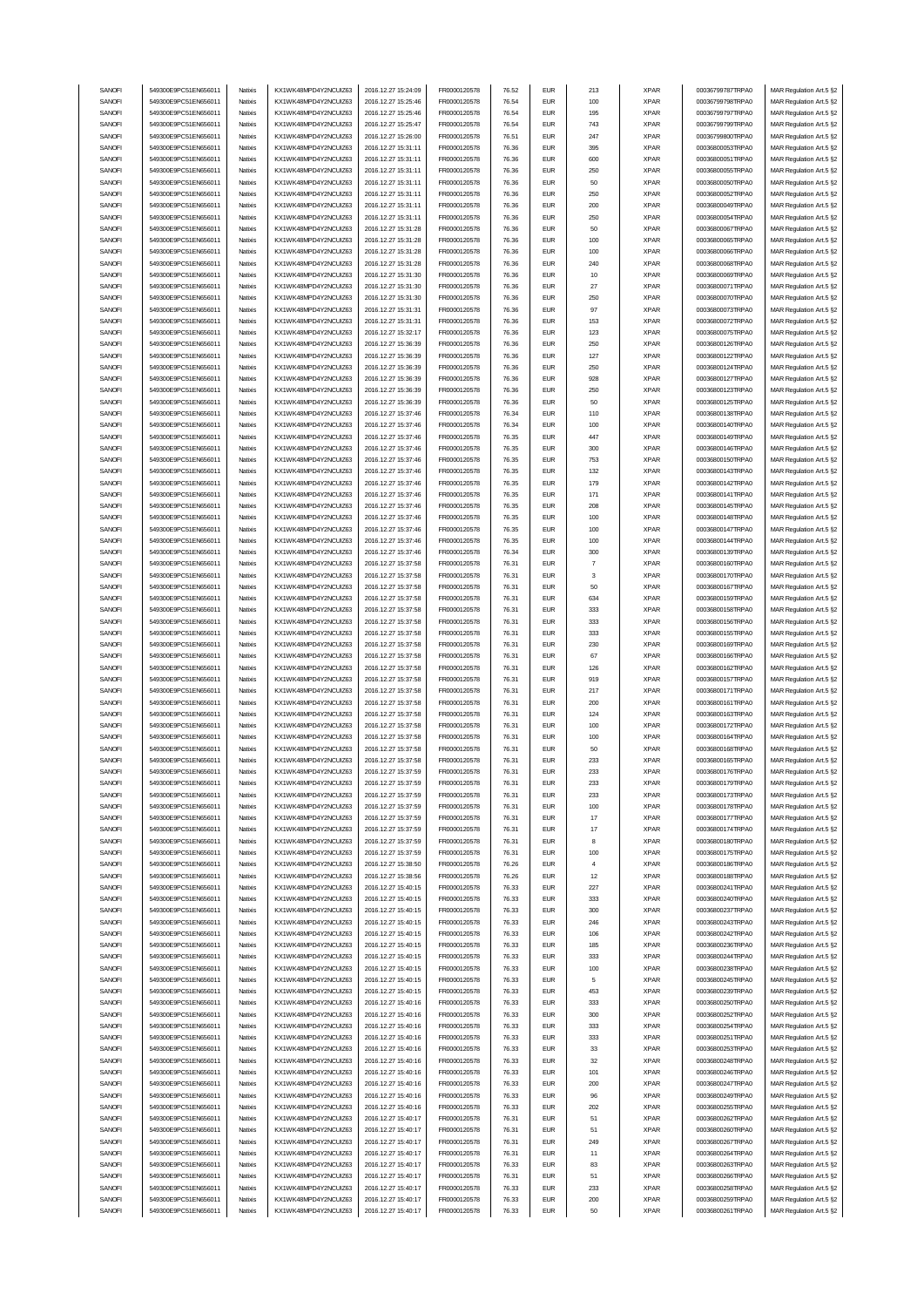| SANOFI           | 549300E9PC51EN656011                         | Natixis            | KX1WK48MPD4Y2NCUIZ63                         | 2016.12.27 15:24:09                        | FR0000120578                 | 76.52          | <b>EUR</b>                  | 213            | <b>XPAR</b>                | 00036799787TRPA0                     | MAR Regulation Art.5 §2                            |
|------------------|----------------------------------------------|--------------------|----------------------------------------------|--------------------------------------------|------------------------------|----------------|-----------------------------|----------------|----------------------------|--------------------------------------|----------------------------------------------------|
|                  |                                              |                    | KX1WK48MPD4Y2NCUIZ63                         |                                            |                              |                |                             |                |                            | 00036799798TRPA0                     |                                                    |
| SANOFI           | 549300E9PC51EN656011                         | Natixis            |                                              | 2016.12.27 15:25:46                        | FR0000120578                 | 76.54          | <b>EUR</b>                  | 100            | <b>XPAR</b>                |                                      | MAR Regulation Art.5 §2                            |
| SANOFI           | 549300E9PC51EN656011                         | Natixis            | KX1WK48MPD4Y2NCUIZ63                         | 2016.12.27 15:25:46                        | FR0000120578                 | 76.54          | <b>EUR</b>                  | 195            | <b>XPAR</b>                | 00036799797TRPA0                     | MAR Regulation Art.5 §2                            |
| SANOFI           | 549300E9PC51EN656011                         | Natixis            | KX1WK48MPD4Y2NCUIZ63                         | 2016.12.27 15:25:47                        | FR0000120578                 | 76.54          | <b>EUR</b>                  | 743            | <b>XPAR</b>                | 00036799799TRPA0                     | MAR Regulation Art.5 §2                            |
| SANOFI           | 549300E9PC51EN656011                         | Natixis            | KX1WK48MPD4Y2NCUIZ63                         | 2016.12.27 15:26:00                        | FR0000120578                 | 76.51          | <b>EUR</b>                  | 247            | <b>XPAR</b>                | 00036799800TRPA0                     | MAR Regulation Art.5 §2                            |
|                  |                                              |                    |                                              |                                            |                              |                |                             |                |                            |                                      |                                                    |
| SANOFI           | 549300E9PC51EN656011                         | Natixis            | KX1WK48MPD4Y2NCUIZ63                         | 2016.12.27 15:31:11                        | FR0000120578                 | 76.36          | <b>EUR</b>                  | 395            | <b>XPAR</b>                | 00036800053TRPA0                     | MAR Regulation Art.5 §2                            |
| SANOFI           | 549300E9PC51EN656011                         | Natixis            | KX1WK48MPD4Y2NCUIZ63                         | 2016.12.27 15:31:11                        | FR0000120578                 | 76.36          | <b>EUR</b>                  | 600            | <b>XPAR</b>                | 00036800051TRPA0                     | MAR Regulation Art.5 §2                            |
| SANOFI           | 549300E9PC51EN656011                         | Natixis            | KX1WK48MPD4Y2NCUIZ63                         | 2016.12.27 15:31:11                        | FR0000120578                 | 76.36          | <b>EUR</b>                  | 250            | <b>XPAR</b>                | 00036800055TRPA0                     | MAR Regulation Art.5 §2                            |
|                  |                                              |                    |                                              |                                            |                              |                |                             |                |                            |                                      |                                                    |
| SANOFI           | 549300E9PC51EN656011                         | Natixis            | KX1WK48MPD4Y2NCUIZ63                         | 2016.12.27 15:31:11                        | FR0000120578                 | 76.36          | <b>EUR</b>                  | 50             | <b>XPAR</b>                | 00036800050TRPA0                     | MAR Regulation Art.5 §2                            |
| SANOFI           | 549300E9PC51EN656011                         | Natixis            | KX1WK48MPD4Y2NCUIZ63                         | 2016.12.27 15:31:11                        | FR0000120578                 | 76.36          | <b>EUR</b>                  | 250            | <b>XPAR</b>                | 00036800052TRPA0                     | MAR Regulation Art.5 §2                            |
| SANOFI           | 549300E9PC51EN656011                         | Natixis            | KX1WK48MPD4Y2NCUIZ63                         | 2016.12.27 15:31:11                        | FR0000120578                 | 76.36          | <b>EUR</b>                  | 200            | <b>XPAR</b>                | 00036800049TRPA0                     | MAR Regulation Art.5 §2                            |
|                  |                                              |                    |                                              |                                            |                              |                |                             |                |                            |                                      |                                                    |
| SANOFI           | 549300E9PC51EN656011                         | Natixis            | KX1WK48MPD4Y2NCUIZ63                         | 2016.12.27 15:31:11                        | FR0000120578                 | 76.36          | <b>EUR</b>                  | 250            | <b>XPAR</b>                | 00036800054TRPA0                     | MAR Regulation Art.5 §2                            |
| SANOFI           | 549300E9PC51EN656011                         | Natixis            | KX1WK48MPD4Y2NCUIZ63                         | 2016.12.27 15:31:28                        | FR0000120578                 | 76.36          | <b>EUR</b>                  | 50             | <b>XPAR</b>                | 00036800067TRPA0                     | MAR Regulation Art.5 §2                            |
|                  |                                              |                    |                                              |                                            |                              |                |                             |                |                            |                                      |                                                    |
| SANOFI           | 549300E9PC51EN656011                         | Natixis            | KX1WK48MPD4Y2NCUIZ63                         | 2016.12.27 15:31:28                        | FR0000120578                 | 76.36          | <b>EUR</b>                  | 100            | <b>XPAR</b>                | 00036800065TRPA0                     | MAR Regulation Art.5 §2                            |
| SANOFI           | 549300E9PC51EN656011                         | Natixis            | KX1WK48MPD4Y2NCUIZ63                         | 2016.12.27 15:31:28                        | FR0000120578                 | 76.36          | <b>EUR</b>                  | 100            | <b>XPAR</b>                | 00036800066TRPA0                     | MAR Regulation Art.5 §2                            |
| SANOFI           | 549300E9PC51EN656011                         | Natixis            | KX1WK48MPD4Y2NCUIZ63                         | 2016.12.27 15:31:28                        | FR0000120578                 | 76.36          | <b>EUR</b>                  | 240            | <b>XPAR</b>                | 00036800068TRPA0                     | MAR Regulation Art.5 §2                            |
|                  |                                              |                    |                                              |                                            |                              |                |                             |                |                            |                                      |                                                    |
| SANOFI           | 549300E9PC51EN656011                         | Natixis            | KX1WK48MPD4Y2NCUIZ63                         | 2016.12.27 15:31:30                        | FR0000120578                 | 76.36          | <b>EUR</b>                  | 10             | <b>XPAR</b>                | 00036800069TRPA0                     | MAR Regulation Art.5 §2                            |
| SANOFI           | 549300E9PC51EN656011                         | Natixis            | KX1WK48MPD4Y2NCUIZ63                         | 2016.12.27 15:31:30                        | FR0000120578                 | 76.36          | <b>EUR</b>                  | 27             | <b>XPAR</b>                | 00036800071TRPA0                     | MAR Regulation Art.5 §2                            |
| SANOFI           | 549300E9PC51EN656011                         | Natixis            | KX1WK48MPD4Y2NCUIZ63                         | 2016.12.27 15:31:30                        | FR0000120578                 | 76.36          | <b>EUR</b>                  | 250            | <b>XPAR</b>                | 00036800070TRPA0                     | MAR Regulation Art.5 §2                            |
|                  |                                              |                    |                                              |                                            |                              |                |                             |                |                            |                                      |                                                    |
| SANOFI           | 549300E9PC51EN656011                         | Natixis            | KX1WK48MPD4Y2NCUIZ63                         | 2016.12.27 15:31:31                        | FR0000120578                 | 76.36          | <b>EUR</b>                  | 97             | <b>XPAR</b>                | 00036800073TRPA0                     | MAR Regulation Art.5 §2                            |
| SANOFI           | 549300E9PC51EN656011                         | Natixis            | KX1WK48MPD4Y2NCUIZ63                         | 2016.12.27 15:31:31                        | FR0000120578                 | 76.36          | <b>EUR</b>                  | 153            | <b>XPAR</b>                | 00036800072TRPA0                     | MAR Regulation Art.5 §2                            |
| SANOFI           | 549300E9PC51EN656011                         | Natixis            | KX1WK48MPD4Y2NCUIZ63                         | 2016.12.27 15:32:17                        | FR0000120578                 | 76.36          | <b>EUR</b>                  | 123            | <b>XPAR</b>                | 00036800075TRPA0                     | MAR Regulation Art.5 §2                            |
|                  | 549300E9PC51EN656011                         |                    |                                              |                                            |                              |                | <b>EUR</b>                  | 250            |                            | 00036800126TRPA0                     |                                                    |
| SANOFI           |                                              | Natixis            | KX1WK48MPD4Y2NCUIZ63                         | 2016.12.27 15:36:39                        | FR0000120578                 | 76.36          |                             |                | <b>XPAR</b>                |                                      | MAR Regulation Art.5 §2                            |
| SANOFI           | 549300E9PC51EN656011                         | Natixis            | KX1WK48MPD4Y2NCUIZ63                         | 2016.12.27 15:36:39                        | FR0000120578                 | 76.36          | <b>EUR</b>                  | 127            | <b>XPAR</b>                | 00036800122TRPA0                     | MAR Regulation Art.5 §2                            |
| SANOFI           | 549300E9PC51EN656011                         | Natixis            | KX1WK48MPD4Y2NCUIZ63                         | 2016.12.27 15:36:39                        | FR0000120578                 | 76.36          | <b>EUR</b>                  | 250            | <b>XPAR</b>                | 00036800124TRPA0                     | MAR Regulation Art.5 §2                            |
| SANOFI           | 549300E9PC51EN656011                         | Natixis            | KX1WK48MPD4Y2NCUIZ63                         | 2016.12.27 15:36:39                        |                              | 76.36          | <b>EUR</b>                  | 928            | <b>XPAR</b>                | 00036800127TRPA0                     | MAR Regulation Art.5 §2                            |
|                  |                                              |                    |                                              |                                            | FR0000120578                 |                |                             |                |                            |                                      |                                                    |
| SANOFI           | 549300E9PC51EN656011                         | Natixis            | KX1WK48MPD4Y2NCUIZ63                         | 2016.12.27 15:36:39                        | FR0000120578                 | 76.36          | <b>EUR</b>                  | 250            | <b>XPAR</b>                | 00036800123TRPA0                     | MAR Regulation Art.5 §2                            |
| SANOFI           | 549300E9PC51EN656011                         | Natixis            | KX1WK48MPD4Y2NCUIZ63                         | 2016.12.27 15:36:39                        | FR0000120578                 | 76.36          | <b>EUR</b>                  | 50             | <b>XPAR</b>                | 00036800125TRPA0                     | MAR Regulation Art.5 §2                            |
|                  |                                              |                    |                                              |                                            |                              |                |                             |                |                            |                                      |                                                    |
| SANOFI           | 549300E9PC51EN656011                         | Natixis            | KX1WK48MPD4Y2NCUIZ63                         | 2016.12.27 15:37:46                        | FR0000120578                 | 76.34          | <b>EUR</b>                  | 110            | <b>XPAR</b>                | 00036800138TRPA0                     | MAR Regulation Art.5 §2                            |
| SANOFI           | 549300E9PC51EN656011                         | Natixis            | KX1WK48MPD4Y2NCUIZ63                         | 2016.12.27 15:37:46                        | FR0000120578                 | 76.34          | <b>EUR</b>                  | 100            | <b>XPAR</b>                | 00036800140TRPA0                     | MAR Regulation Art.5 §2                            |
| SANOFI           | 549300E9PC51EN656011                         | Natixis            | KX1WK48MPD4Y2NCUIZ63                         | 2016.12.27 15:37:46                        | FR0000120578                 | 76.35          | <b>EUR</b>                  | 447            | <b>XPAR</b>                | 00036800149TRPA0                     | MAR Regulation Art.5 §2                            |
|                  | 549300E9PC51EN656011                         |                    |                                              |                                            |                              |                | <b>EUR</b>                  |                |                            |                                      |                                                    |
| SANOFI           |                                              | Natixis            | KX1WK48MPD4Y2NCUIZ63                         | 2016.12.27 15:37:46                        | FR0000120578                 | 76.35          |                             | 300            | <b>XPAR</b>                | 00036800146TRPA0                     | MAR Regulation Art.5 §2                            |
| SANOFI           | 549300E9PC51EN656011                         | Natixis            | KX1WK48MPD4Y2NCUIZ63                         | 2016.12.27 15:37:46                        | FR0000120578                 | 76.35          | <b>EUR</b>                  | 753            | <b>XPAR</b>                | 00036800150TRPA0                     | MAR Regulation Art.5 §2                            |
| SANOFI           | 549300E9PC51EN656011                         | Natixis            | KX1WK48MPD4Y2NCUIZ63                         | 2016.12.27 15:37:46                        | FR0000120578                 | 76.35          | <b>EUR</b>                  | 132            | <b>XPAR</b>                | 00036800143TRPA0                     | MAR Regulation Art.5 §2                            |
|                  |                                              |                    |                                              |                                            |                              |                |                             |                |                            |                                      |                                                    |
| SANOFI           | 549300E9PC51EN656011                         | Natixis            | KX1WK48MPD4Y2NCUIZ63                         | 2016.12.27 15:37:46                        | FR0000120578                 | 76.35          | <b>EUR</b>                  | 179            | <b>XPAR</b>                | 00036800142TRPA0                     | MAR Regulation Art.5 §2                            |
| SANOFI           | 549300E9PC51EN656011                         | Natixis            | KX1WK48MPD4Y2NCUIZ63                         | 2016.12.27 15:37:46                        | FR0000120578                 | 76.35          | <b>EUR</b>                  | 171            | <b>XPAR</b>                | 00036800141TRPA0                     | MAR Regulation Art.5 §2                            |
| SANOFI           | 549300E9PC51EN656011                         | Natixis            | KX1WK48MPD4Y2NCUIZ63                         | 2016.12.27 15:37:46                        | FR0000120578                 | 76.35          | <b>EUR</b>                  | 208            | <b>XPAR</b>                | 00036800145TRPA0                     | MAR Regulation Art.5 §2                            |
|                  |                                              |                    |                                              |                                            |                              |                |                             |                |                            |                                      |                                                    |
| SANOFI           | 549300E9PC51EN656011                         | Natixis            | KX1WK48MPD4Y2NCUIZ63                         | 2016.12.27 15:37:46                        | FR0000120578                 | 76.35          | <b>EUR</b>                  | 100            | <b>XPAR</b>                | 00036800148TRPA0                     | MAR Regulation Art.5 §2                            |
| SANOFI           | 549300E9PC51EN656011                         | Natixis            | KX1WK48MPD4Y2NCUIZ63                         | 2016.12.27 15:37:46                        | FR0000120578                 | 76.35          | <b>EUR</b>                  | 100            | <b>XPAR</b>                | 00036800147TRPA0                     | MAR Regulation Art.5 §2                            |
| SANOFI           | 549300E9PC51EN656011                         | Natixis            | KX1WK48MPD4Y2NCUIZ63                         | 2016.12.27 15:37:46                        | FR0000120578                 | 76.35          | <b>EUR</b>                  | 100            | <b>XPAR</b>                | 00036800144TRPA0                     | MAR Regulation Art.5 §2                            |
|                  |                                              |                    |                                              |                                            |                              |                |                             |                |                            |                                      |                                                    |
| SANOFI           | 549300E9PC51EN656011                         | Natixis            | KX1WK48MPD4Y2NCUIZ63                         | 2016.12.27 15:37:46                        | FR0000120578                 | 76.34          | <b>EUR</b>                  | 300            | <b>XPAR</b>                | 00036800139TRPA0                     | MAR Regulation Art.5 §2                            |
| SANOFI           | 549300E9PC51EN656011                         | Natixis            | KX1WK48MPD4Y2NCUIZ63                         | 2016.12.27 15:37:58                        | FR0000120578                 | 76.31          | <b>EUR</b>                  | $\overline{7}$ | <b>XPAR</b>                | 00036800160TRPA0                     | MAR Regulation Art.5 §2                            |
| SANOFI           | 549300E9PC51EN656011                         | Natixis            | KX1WK48MPD4Y2NCUIZ63                         | 2016.12.27 15:37:58                        | FR0000120578                 | 76.31          | <b>EUR</b>                  | 3              | <b>XPAR</b>                | 00036800170TRPA0                     | MAR Regulation Art.5 §2                            |
|                  |                                              |                    |                                              |                                            |                              |                |                             |                |                            |                                      |                                                    |
| SANOFI           | 549300E9PC51EN656011                         | Natixis            | KX1WK48MPD4Y2NCUIZ63                         | 2016.12.27 15:37:58                        | FR0000120578                 | 76.31          | <b>EUR</b>                  | 50             | <b>XPAR</b>                | 00036800167TRPA0                     | MAR Regulation Art.5 §2                            |
| SANOFI           | 549300E9PC51EN656011                         | Natixis            | KX1WK48MPD4Y2NCUIZ63                         | 2016.12.27 15:37:58                        | FR0000120578                 | 76.31          | <b>EUR</b>                  | 634            | <b>XPAR</b>                | 00036800159TRPA0                     | MAR Regulation Art.5 §2                            |
| SANOFI           | 549300E9PC51EN656011                         | Natixis            | KX1WK48MPD4Y2NCUIZ63                         | 2016.12.27 15:37:58                        | FR0000120578                 | 76.31          | <b>EUR</b>                  | 333            | <b>XPAR</b>                | 00036800158TRPA0                     |                                                    |
|                  |                                              |                    |                                              |                                            |                              |                |                             |                |                            |                                      | MAR Regulation Art.5 §2                            |
| SANOFI           | 549300E9PC51EN656011                         | Natixis            | KX1WK48MPD4Y2NCUIZ63                         | 2016.12.27 15:37:58                        |                              | 76.31          | <b>EUR</b>                  | 333            | <b>XPAR</b>                | 00036800156TRPA0                     | MAR Regulation Art.5 §2                            |
|                  |                                              |                    |                                              |                                            | FR0000120578                 |                |                             |                |                            |                                      |                                                    |
| SANOFI           | 549300E9PC51EN656011                         | Natixis            | KX1WK48MPD4Y2NCUIZ63                         | 2016.12.27 15:37:58                        | FR0000120578                 | 76.31          | <b>EUR</b>                  | 333            | <b>XPAR</b>                | 00036800155TRPA0                     |                                                    |
|                  |                                              |                    |                                              |                                            |                              |                |                             |                |                            |                                      | MAR Regulation Art.5 §2                            |
| SANOFI           | 549300E9PC51EN656011                         | Natixis            | KX1WK48MPD4Y2NCUIZ63                         | 2016.12.27 15:37:58                        | FR0000120578                 | 76.31          | <b>EUR</b>                  | 230            | <b>XPAR</b>                | 00036800169TRPA0                     | MAR Regulation Art.5 §2                            |
| SANOFI           | 549300E9PC51EN656011                         | Natixis            | KX1WK48MPD4Y2NCUIZ63                         | 2016.12.27 15:37:58                        | FR0000120578                 | 76.31          | <b>EUR</b>                  | 67             | <b>XPAR</b>                | 00036800166TRPA0                     | MAR Regulation Art.5 §2                            |
| SANOFI           | 549300E9PC51EN656011                         | Natixis            | KX1WK48MPD4Y2NCUIZ63                         | 2016.12.27 15:37:58                        | FR0000120578                 | 76.31          | <b>EUR</b>                  | 126            | <b>XPAR</b>                | 00036800162TRPA0                     | MAR Regulation Art.5 §2                            |
|                  |                                              |                    |                                              |                                            |                              |                |                             |                |                            |                                      |                                                    |
| SANOFI           | 549300E9PC51EN656011                         | Natixis            | KX1WK48MPD4Y2NCUIZ63                         | 2016.12.27 15:37:58                        | FR0000120578                 | 76.31          | <b>EUR</b>                  | 919            | <b>XPAR</b>                | 00036800157TRPA0                     | MAR Regulation Art.5 §2                            |
| SANOFI           | 549300E9PC51EN656011                         | Natixis            | KX1WK48MPD4Y2NCUIZ63                         | 2016.12.27 15:37:58                        | FR0000120578                 | 76.31          | <b>EUR</b>                  | 217            | <b>XPAR</b>                | 00036800171TRPA0                     | MAR Regulation Art.5 §2                            |
| SANOFI           | 549300E9PC51EN656011                         | Natixis            | KX1WK48MPD4Y2NCUIZ63                         | 2016.12.27 15:37:58                        | FR0000120578                 | 76.31          | <b>EUR</b>                  | 200            | <b>XPAR</b>                | 00036800161TRPA0                     | MAR Regulation Art.5 §2                            |
|                  |                                              | Natixis            | KX1WK48MPD4Y2NCUIZ63                         |                                            |                              | 76.31          |                             |                |                            | 00036800163TRPA0                     |                                                    |
| SANOFI           | 549300E9PC51EN656011                         |                    |                                              | 2016.12.27 15:37:58                        | FR0000120578                 |                | <b>EUR</b>                  | 124            | <b>XPAR</b>                |                                      | MAR Regulation Art.5 §2                            |
| SANOFI           | 549300E9PC51EN656011                         | Natixis            | KX1WK48MPD4Y2NCUIZ63                         | 2016.12.27 15:37:58                        | FR0000120578                 | 76.31          | <b>EUR</b>                  | 100            | <b>XPAR</b>                | 00036800172TRPA0                     | MAR Regulation Art.5 §2                            |
| SANOFI           | 549300E9PC51EN656011                         | Natixis            | KX1WK48MPD4Y2NCUIZ63                         | 2016.12.27 15:37:58                        | FR0000120578                 | 76.31          | <b>EUR</b>                  | 100            | <b>XPAR</b>                | 00036800164TRPA0                     | MAR Regulation Art.5 §2                            |
| SANOFI           | 549300E9PC51EN656011                         | Natixis            | KX1WK48MPD4Y2NCUIZ63                         | 2016.12.27 15:37:58                        | FR0000120578                 | 76.31          | <b>EUR</b>                  | 50             | <b>XPAR</b>                | 00036800168TRPA0                     | MAR Regulation Art.5 §2                            |
|                  |                                              |                    |                                              |                                            |                              |                |                             |                |                            |                                      |                                                    |
| SANOFI           | 549300E9PC51EN656011                         | Natixis            | KX1WK48MPD4Y2NCUIZ63                         | 2016.12.27 15:37:58                        | FR0000120578                 | 76.31          | <b>EUR</b>                  | 233            | <b>XPAR</b>                | 00036800165TRPA0                     | MAR Regulation Art.5 §2                            |
| SANUH            | 549300E9PC51EN656011                         | rvatixis           | KX1WK48MPD4Y2NCUIZ63                         | 2016.12.27 15:37:59                        | <b>FR00001205/8</b>          | 76.31          | EUM                         | 233            | <b>XPAR</b>                | 00036800176TRPA0                     | MAR Regulation Art.5 §2                            |
| SANOFI           | 549300E9PC51EN656011                         | Natixis            | KX1WK48MPD4Y2NCUIZ63                         | 2016.12.27 15:37:59                        | FR0000120578                 | 76.31          | <b>EUR</b>                  | 233            | <b>XPAR</b>                | 00036800179TRPA0                     | MAR Regulation Art.5 §2                            |
|                  |                                              |                    |                                              |                                            |                              |                |                             |                |                            |                                      |                                                    |
| SANOFI           | 549300E9PC51EN656011                         | Natixis            | KX1WK48MPD4Y2NCUIZ63                         | 2016.12.27 15:37:59                        | FR0000120578                 | 76.31          | <b>EUR</b>                  | 233            | <b>XPAR</b>                | 00036800173TRPA0                     | MAR Regulation Art.5 §2                            |
| SANOFI           | 549300E9PC51EN656011                         | Natixis            | KX1WK48MPD4Y2NCUIZ63                         | 2016.12.27 15:37:59                        | FR0000120578                 | 76.31          | <b>EUR</b>                  | 100            | <b>XPAR</b>                | 00036800178TRPA0                     | MAR Regulation Art.5 §2                            |
| SANOFI           | 549300E9PC51EN656011                         | Natixis            | KX1WK48MPD4Y2NCUIZ63                         | 2016.12.27 15:37:59                        | FR0000120578                 | 76.31          | <b>EUR</b>                  | 17             | <b>XPAR</b>                | 00036800177TRPA0                     | MAR Regulation Art.5 §2                            |
|                  |                                              |                    |                                              |                                            |                              |                |                             |                |                            |                                      |                                                    |
| SANOFI           | 549300E9PC51EN656011                         | Natixis            | KX1WK48MPD4Y2NCUIZ63                         | 2016.12.27 15:37:59                        | FR0000120578                 | 76.31          | <b>EUR</b>                  | 17             | <b>XPAR</b>                | 00036800174TRPA0                     | MAR Regulation Art.5 §2                            |
| SANOFI           | 549300E9PC51EN656011                         | Natixis            | KX1WK48MPD4Y2NCUIZ63                         | 2016.12.27 15:37:59                        | FR0000120578                 | 76.31          | <b>EUR</b>                  | 8              | <b>XPAR</b>                | 00036800180TRPA0                     | MAR Regulation Art.5 §2                            |
| SANOFI           | 549300E9PC51EN656011                         | Natixis            | KX1WK48MPD4Y2NCUIZ63                         | 2016.12.27 15:37:59                        | FR0000120578                 | 76.31          | <b>EUR</b>                  | 100            | <b>XPAR</b>                | 00036800175TRPA0                     | MAR Regulation Art.5 §2                            |
| SANOFI           | 549300E9PC51EN656011                         | Natixis            | KX1WK48MPD4Y2NCUIZ63                         | 2016.12.27 15:38:50                        | FR0000120578                 | 76.26          | <b>EUR</b>                  | 4              | <b>XPAR</b>                | 00036800186TRPA0                     |                                                    |
|                  |                                              |                    |                                              |                                            |                              |                |                             |                |                            |                                      | MAR Regulation Art.5 §2                            |
| SANOFI           | 549300E9PC51EN656011                         | Natixis            | KX1WK48MPD4Y2NCUIZ63                         | 2016.12.27 15:38:56                        | FR0000120578                 | 76.26          | <b>EUR</b>                  | 12             | <b>XPAR</b>                | 00036800188TRPA0                     | MAR Regulation Art.5 §2                            |
| SANOFI           | 549300E9PC51EN656011                         | Natixis            | KX1WK48MPD4Y2NCUIZ63                         | 2016.12.27 15:40:15                        | FR0000120578                 | 76.33          | <b>EUR</b>                  | 227            | <b>XPAR</b>                | 00036800241TRPA0                     | MAR Regulation Art.5 §2                            |
| SANOFI           | 549300E9PC51EN656011                         | Natixis            | KX1WK48MPD4Y2NCUIZ63                         | 2016.12.27 15:40:15                        | FR0000120578                 | 76.33          | <b>EUR</b>                  | 333            | <b>XPAR</b>                | 00036800240TRPA0                     | MAR Regulation Art.5 §2                            |
|                  |                                              |                    |                                              |                                            |                              |                |                             |                |                            |                                      |                                                    |
| SANOFI           | 549300E9PC51EN656011                         | Natixis            | KX1WK48MPD4Y2NCUIZ63                         | 2016.12.27 15:40:15                        | FR0000120578                 | 76.33          | <b>EUR</b>                  | 300            | <b>XPAR</b>                | 00036800237TRPA0                     | MAR Regulation Art.5 §2                            |
| SANOFI           | 549300E9PC51EN656011                         | Natixis            | KX1WK48MPD4Y2NCUIZ63                         | 2016.12.27 15:40:15                        | FR0000120578                 | 76.33          | <b>EUR</b>                  | 246            | <b>XPAR</b>                | 00036800243TRPA0                     | MAR Regulation Art.5 §2                            |
| SANOFI           | 549300E9PC51EN656011                         | Natixis            | KX1WK48MPD4Y2NCUIZ63                         | 2016.12.27 15:40:15                        | FR0000120578                 | 76.33          | <b>EUR</b>                  | 106            | <b>XPAR</b>                | 00036800242TRPA0                     | MAR Regulation Art.5 §2                            |
|                  |                                              |                    |                                              |                                            |                              |                |                             |                |                            |                                      |                                                    |
| SANOFI           | 549300E9PC51EN656011                         | Natixis            | KX1WK48MPD4Y2NCUIZ63                         | 2016.12.27 15:40:15                        | FR0000120578                 | 76.33          | <b>EUR</b>                  | 185            | <b>XPAR</b>                | 00036800236TRPA0                     | MAR Regulation Art.5 §2                            |
| SANOFI           | 549300E9PC51EN656011                         | Natixis            | KX1WK48MPD4Y2NCUIZ63                         | 2016.12.27 15:40:15                        | FR0000120578                 | 76.33          | <b>EUR</b>                  | 333            | <b>XPAR</b>                | 00036800244TRPA0                     | MAR Regulation Art.5 §2                            |
| SANOFI           | 549300E9PC51EN656011                         | Natixis            | KX1WK48MPD4Y2NCUIZ63                         | 2016.12.27 15:40:15                        | FR0000120578                 | 76.33          | <b>EUR</b>                  | 100            | <b>XPAR</b>                | 00036800238TRPA0                     | MAR Regulation Art.5 §2                            |
|                  |                                              | Natixis            |                                              |                                            |                              |                |                             | 5              |                            | 00036800245TRPA0                     |                                                    |
| SANOFI           | 549300E9PC51EN656011                         |                    | KX1WK48MPD4Y2NCUIZ63                         | 2016.12.27 15:40:15                        | FR0000120578                 | 76.33          | <b>EUR</b>                  |                | <b>XPAR</b>                |                                      | MAR Regulation Art.5 §2                            |
| SANOFI           | 549300E9PC51EN656011                         | Natixis            | KX1WK48MPD4Y2NCUIZ63                         | 2016.12.27 15:40:15                        | FR0000120578                 | 76.33          | $\ensuremath{\mathsf{EUR}}$ | 453            | <b>XPAR</b>                | 00036800239TRPA0                     | MAR Regulation Art.5 §2                            |
| SANOFI           | 549300E9PC51EN656011                         | Natixis            | KX1WK48MPD4Y2NCUIZ63                         | 2016.12.27 15:40:16                        | FR0000120578                 | 76.33          | <b>EUR</b>                  | 333            | <b>XPAR</b>                | 00036800250TRPA0                     | MAR Regulation Art.5 §2                            |
|                  |                                              | Natixis            |                                              |                                            |                              | 76.33          | <b>EUR</b>                  | 300            |                            |                                      |                                                    |
| SANOFI           | 549300E9PC51EN656011                         |                    | KX1WK48MPD4Y2NCUIZ63                         | 2016.12.27 15:40:16                        | FR0000120578                 |                |                             |                | <b>XPAR</b>                | 00036800252TRPA0                     | MAR Regulation Art.5 §2                            |
| SANOFI           | 549300E9PC51EN656011                         | Natixis            | KX1WK48MPD4Y2NCUIZ63                         | 2016.12.27 15:40:16                        | FR0000120578                 | 76.33          | <b>EUR</b>                  | 333            | <b>XPAR</b>                | 00036800254TRPA0                     | MAR Regulation Art.5 §2                            |
| SANOFI           | 549300E9PC51EN656011                         | Natixis            | KX1WK48MPD4Y2NCUIZ63                         | 2016.12.27 15:40:16                        | FR0000120578                 | 76.33          | <b>EUR</b>                  | 333            | <b>XPAR</b>                | 00036800251TRPA0                     | MAR Regulation Art.5 §2                            |
|                  |                                              |                    |                                              |                                            |                              |                | <b>EUR</b>                  |                |                            |                                      |                                                    |
| SANOFI           | 549300E9PC51EN656011                         | Natixis            | KX1WK48MPD4Y2NCUIZ63                         | 2016.12.27 15:40:16                        | FR0000120578                 | 76.33          |                             | 33             | <b>XPAR</b>                | 00036800253TRPA0                     | MAR Regulation Art.5 §2                            |
| SANOFI           | 549300E9PC51EN656011                         | Natixis            | KX1WK48MPD4Y2NCUIZ63                         | 2016.12.27 15:40:16                        | FR0000120578                 | 76.33          | <b>EUR</b>                  | 32             | <b>XPAR</b>                | 00036800248TRPA0                     | MAR Regulation Art.5 §2                            |
| SANOFI           | 549300E9PC51EN656011                         | Natixis            | KX1WK48MPD4Y2NCUIZ63                         | 2016.12.27 15:40:16                        | FR0000120578                 | 76.33          | <b>EUR</b>                  | 101            | <b>XPAR</b>                | 00036800246TRPA0                     | MAR Regulation Art.5 §2                            |
| SANOFI           | 549300E9PC51EN656011                         | Natixis            | KX1WK48MPD4Y2NCUIZ63                         | 2016.12.27 15:40:16                        | FR0000120578                 | 76.33          | <b>EUR</b>                  | 200            | <b>XPAR</b>                | 00036800247TRPA0                     | MAR Regulation Art.5 §2                            |
|                  |                                              |                    |                                              |                                            |                              |                |                             |                |                            |                                      |                                                    |
| SANOFI           | 549300E9PC51EN656011                         | Natixis            | KX1WK48MPD4Y2NCUIZ63                         | 2016.12.27 15:40:16                        | FR0000120578                 | 76.33          | <b>EUR</b>                  | 96             | <b>XPAR</b>                | 00036800249TRPA0                     | MAR Regulation Art.5 §2                            |
| SANOFI           | 549300E9PC51EN656011                         | Natixis            | KX1WK48MPD4Y2NCUIZ63                         | 2016.12.27 15:40:16                        | FR0000120578                 | 76.33          | <b>EUR</b>                  | 202            | <b>XPAR</b>                | 00036800255TRPA0                     | MAR Regulation Art.5 §2                            |
|                  | 549300E9PC51EN656011                         |                    |                                              |                                            |                              | 76.31          | <b>EUR</b>                  | 51             |                            | 00036800262TRPA0                     |                                                    |
| SANOFI           |                                              | Natixis            | KX1WK48MPD4Y2NCUIZ63                         | 2016.12.27 15:40:17                        | FR0000120578                 |                |                             |                | <b>XPAR</b>                |                                      | MAR Regulation Art.5 §2                            |
| SANOFI           | 549300E9PC51EN656011                         | Natixis            | KX1WK48MPD4Y2NCUIZ63                         | 2016.12.27 15:40:17                        | FR0000120578                 | 76.31          | <b>EUR</b>                  | 51             | <b>XPAR</b>                | 00036800260TRPA0                     | MAR Regulation Art.5 §2                            |
| SANOFI           | 549300E9PC51EN656011                         | Natixis            | KX1WK48MPD4Y2NCUIZ63                         | 2016.12.27 15:40:17                        | FR0000120578                 | 76.31          | <b>EUR</b>                  | 249            | <b>XPAR</b>                | 00036800267TRPA0                     | MAR Regulation Art.5 §2                            |
| SANOFI           | 549300E9PC51EN656011                         | Natixis            | KX1WK48MPD4Y2NCUIZ63                         | 2016.12.27 15:40:17                        | FR0000120578                 | 76.31          | <b>EUR</b>                  | 11             | <b>XPAR</b>                | 00036800264TRPA0                     |                                                    |
|                  |                                              |                    |                                              |                                            |                              |                |                             |                |                            |                                      | MAR Regulation Art.5 §2                            |
| SANOFI           | 549300E9PC51EN656011                         | Natixis            | KX1WK48MPD4Y2NCUIZ63                         | 2016.12.27 15:40:17                        | FR0000120578                 | 76.33          | <b>EUR</b>                  | 83             | <b>XPAR</b>                | 00036800263TRPA0                     | MAR Regulation Art.5 §2                            |
| SANOFI           | 549300E9PC51EN656011                         | Natixis            | KX1WK48MPD4Y2NCUIZ63                         | 2016.12.27 15:40:17                        | FR0000120578                 | 76.31          | <b>EUR</b>                  | 51             | <b>XPAR</b>                | 00036800266TRPA0                     | MAR Regulation Art.5 §2                            |
| SANOFI           | 549300E9PC51EN656011                         | Natixis            | KX1WK48MPD4Y2NCUIZ63                         | 2016.12.27 15:40:17                        | FR0000120578                 | 76.33          | <b>EUR</b>                  | 233            | <b>XPAR</b>                | 00036800258TRPA0                     | MAR Regulation Art.5 §2                            |
|                  |                                              |                    |                                              |                                            |                              |                |                             |                |                            |                                      |                                                    |
| SANOFI<br>SANOFI | 549300E9PC51EN656011<br>549300E9PC51EN656011 | Natixis<br>Natixis | KX1WK48MPD4Y2NCUIZ63<br>KX1WK48MPD4Y2NCUIZ63 | 2016.12.27 15:40:17<br>2016.12.27 15:40:17 | FR0000120578<br>FR0000120578 | 76.33<br>76.33 | <b>EUR</b><br>${\sf EUR}$   | 200<br>50      | <b>XPAR</b><br><b>XPAR</b> | 00036800259TRPA0<br>00036800261TRPA0 | MAR Regulation Art.5 §2<br>MAR Regulation Art.5 §2 |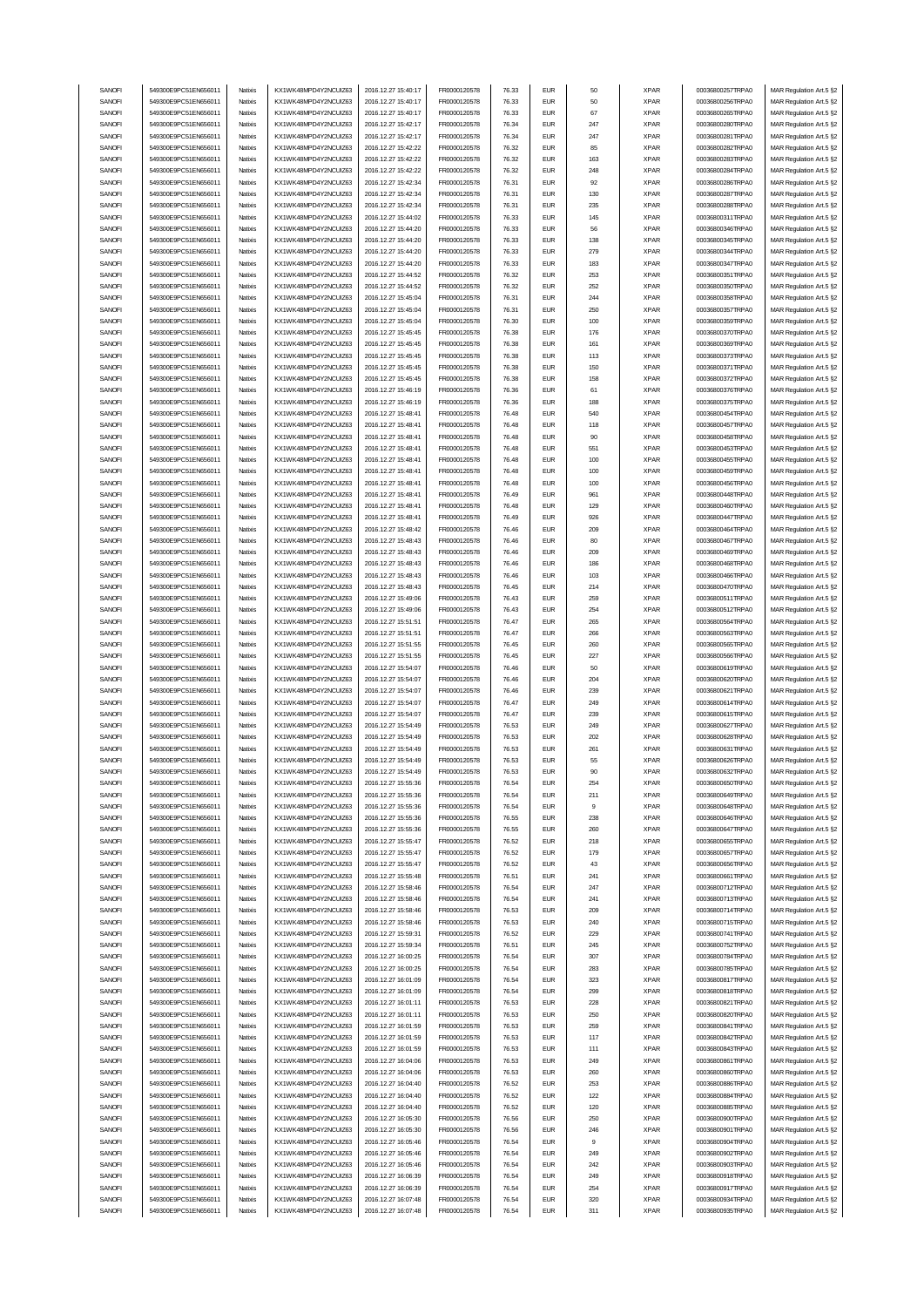| SANOFI           | 549300E9PC51EN656011                         | Natixis            | KX1WK48MPD4Y2NCUIZ63                         | 2016.12.27 15:40:17                        | FR0000120578                 | 76.33          | <b>EUR</b>               | 50         | <b>XPAR</b>                | 00036800257TRPA0                     | MAR Regulation Art.5 §2                            |
|------------------|----------------------------------------------|--------------------|----------------------------------------------|--------------------------------------------|------------------------------|----------------|--------------------------|------------|----------------------------|--------------------------------------|----------------------------------------------------|
| SANOFI           | 549300E9PC51EN656011                         | Natixis            | KX1WK48MPD4Y2NCUIZ63                         | 2016.12.27 15:40:17                        | FR0000120578                 | 76.33          | <b>EUR</b>               | 50         | <b>XPAR</b>                | 00036800256TRPA0                     | MAR Regulation Art.5 §2                            |
| SANOFI           |                                              |                    | KX1WK48MPD4Y2NCUIZ63                         |                                            |                              |                | <b>EUR</b>               |            |                            |                                      |                                                    |
|                  | 549300E9PC51EN656011                         | Natixis            |                                              | 2016.12.27 15:40:17                        | FR0000120578                 | 76.33          |                          | 67         | <b>XPAR</b>                | 00036800265TRPA0                     | MAR Regulation Art.5 §2                            |
| SANOFI           | 549300E9PC51EN656011                         | Natixis            | KX1WK48MPD4Y2NCUIZ63                         | 2016.12.27 15:42:17                        | FR0000120578                 | 76.34          | <b>EUR</b>               | 247        | <b>XPAR</b>                | 00036800280TRPA0                     | MAR Regulation Art.5 §2                            |
| SANOFI           | 549300E9PC51EN656011                         | Natixis            | KX1WK48MPD4Y2NCUIZ63                         | 2016.12.27 15:42:17                        | FR0000120578                 | 76.34          | <b>EUR</b>               | 247        | <b>XPAR</b>                | 00036800281TRPA0                     | MAR Regulation Art.5 §2                            |
| SANOFI           | 549300E9PC51EN656011                         | Natixis            | KX1WK48MPD4Y2NCUIZ63                         | 2016.12.27 15:42:22                        | FR0000120578                 | 76.32          | <b>EUR</b>               | 85         | <b>XPAR</b>                | 00036800282TRPA0                     | MAR Regulation Art.5 §2                            |
| SANOFI           | 549300E9PC51EN656011                         | Natixis            | KX1WK48MPD4Y2NCUIZ63                         | 2016.12.27 15:42:22                        | FR0000120578                 | 76.32          | <b>EUR</b>               | 163        | <b>XPAR</b>                | 00036800283TRPA0                     | MAR Regulation Art.5 §2                            |
| SANOFI           | 549300E9PC51EN656011                         | Natixis            | KX1WK48MPD4Y2NCUIZ63                         | 2016.12.27 15:42:22                        | FR0000120578                 | 76.32          | <b>EUR</b>               | 248        | <b>XPAR</b>                | 00036800284TRPA0                     | MAR Regulation Art.5 §2                            |
| SANOFI           | 549300E9PC51EN656011                         | Natixis            | KX1WK48MPD4Y2NCUIZ63                         | 2016.12.27 15:42:34                        | FR0000120578                 | 76.31          | <b>EUR</b>               | 92         | <b>XPAR</b>                | 00036800286TRPA0                     | MAR Regulation Art.5 §2                            |
| SANOFI           | 549300E9PC51EN656011                         | Natixis            | KX1WK48MPD4Y2NCUIZ63                         | 2016.12.27 15:42:34                        | FR0000120578                 | 76.31          | <b>EUR</b>               | 130        | <b>XPAR</b>                | 00036800287TRPA0                     | MAR Regulation Art.5 §2                            |
|                  |                                              |                    |                                              |                                            |                              |                |                          |            |                            |                                      |                                                    |
| SANOFI           | 549300E9PC51EN656011                         | Natixis            | KX1WK48MPD4Y2NCUIZ63                         | 2016.12.27 15:42:34                        | FR0000120578                 | 76.31          | <b>EUR</b>               | 235        | <b>XPAR</b>                | 00036800288TRPA0                     | MAR Regulation Art.5 §2                            |
| SANOFI           | 549300E9PC51EN656011                         | Natixis            | KX1WK48MPD4Y2NCUIZ63                         | 2016.12.27 15:44:02                        | FR0000120578                 | 76.33          | <b>EUR</b>               | 145        | <b>XPAR</b>                | 00036800311TRPA0                     | MAR Regulation Art.5 §2                            |
| SANOFI           | 549300E9PC51EN656011                         | Natixis            | KX1WK48MPD4Y2NCUIZ63                         | 2016.12.27 15:44:20                        | FR0000120578                 | 76.33          | <b>EUR</b>               | 56         | <b>XPAR</b>                | 00036800346TRPA0                     | MAR Regulation Art.5 §2                            |
| SANOFI           | 549300E9PC51EN656011                         | Natixis            | KX1WK48MPD4Y2NCUIZ63                         | 2016.12.27 15:44:20                        | FR0000120578                 | 76.33          | <b>EUR</b>               | 138        | <b>XPAR</b>                | 00036800345TRPA0                     | MAR Regulation Art.5 §2                            |
| SANOFI           | 549300E9PC51EN65601                          | Natixis            | KX1WK48MPD4Y2NCUIZ63                         | 2016.12.27 15:44:20                        | FR0000120578                 | 76.33          | <b>EUR</b>               | 279        | <b>XPAR</b>                | 00036800344TRPA0                     | MAR Regulation Art.5 §2                            |
|                  |                                              |                    |                                              |                                            |                              |                |                          |            |                            |                                      |                                                    |
| SANOFI           | 549300E9PC51EN656011                         | Natixis            | KX1WK48MPD4Y2NCUIZ63                         | 2016.12.27 15:44:20                        | FR0000120578                 | 76.33          | <b>EUR</b>               | 183        | <b>XPAR</b>                | 00036800347TRPA0                     | MAR Regulation Art.5 §2                            |
| SANOFI           | 549300E9PC51EN656011                         | Natixis            | KX1WK48MPD4Y2NCUIZ63                         | 2016.12.27 15:44:52                        | FR0000120578                 | 76.32          | <b>EUR</b>               | 253        | <b>XPAR</b>                | 00036800351TRPA0                     | MAR Regulation Art.5 §2                            |
| SANOFI           | 549300E9PC51EN656011                         | Natixis            | KX1WK48MPD4Y2NCUIZ63                         | 2016.12.27 15:44:52                        | FR0000120578                 | 76.32          | <b>EUR</b>               | 252        | <b>XPAR</b>                | 00036800350TRPA0                     | MAR Regulation Art.5 §2                            |
| SANOFI           | 549300E9PC51EN656011                         | Natixis            | KX1WK48MPD4Y2NCLIIZ63                        | 2016.12.27 15:45:04                        | FR0000120578                 | 76.31          | <b>EUR</b>               | 244        | <b>XPAR</b>                | 00036800358TRPA0                     | MAR Regulation Art.5 §2                            |
| SANOFI           | 549300E9PC51EN656011                         | Natixis            | KX1WK48MPD4Y2NCUIZ63                         | 2016.12.27 15:45:04                        | FR0000120578                 | 76.31          | <b>EUR</b>               | 250        | <b>XPAR</b>                | 00036800357TRPA0                     | MAR Regulation Art.5 §2                            |
| SANOFI           | 549300E9PC51EN656011                         | Natixis            | KX1WK48MPD4Y2NCUIZ63                         | 2016.12.27 15:45:04                        | FR0000120578                 | 76.30          | <b>EUR</b>               | 100        | <b>XPAR</b>                | 00036800359TRPA0                     | MAR Regulation Art.5 §2                            |
| SANOFI           | 549300E9PC51EN656011                         |                    |                                              |                                            |                              |                | <b>EUR</b>               | 176        |                            | 00036800370TRPA0                     |                                                    |
|                  |                                              | Natixis            | KX1WK48MPD4Y2NCUIZ63                         | 2016.12.27 15:45:45                        | FR0000120578                 | 76.38          |                          |            | <b>XPAR</b>                |                                      | MAR Regulation Art.5 §2                            |
| SANOFI           | 549300E9PC51EN65601                          | Natixis            | KX1WK48MPD4Y2NCUIZ63                         | 2016.12.27 15:45:45                        | FR0000120578                 | 76.38          | <b>EUR</b>               | 161        | <b>XPAR</b>                | 00036800369TRPA0                     | MAR Regulation Art.5 §2                            |
| SANOFI           | 549300E9PC51EN656011                         | Natixis            | KX1WK48MPD4Y2NCUIZ63                         | 2016.12.27 15:45:45                        | FR0000120578                 | 76.38          | <b>EUR</b>               | 113        | <b>XPAR</b>                | 00036800373TRPA0                     | MAR Regulation Art.5 §2                            |
| SANOFI           | 549300E9PC51EN656011                         | Natixis            | KX1WK48MPD4Y2NCUIZ63                         | 2016.12.27 15:45:45                        | FR0000120578                 | 76.38          | <b>EUR</b>               | 150        | <b>XPAR</b>                | 00036800371TRPA0                     | MAR Regulation Art.5 §2                            |
| SANOFI           | 549300E9PC51EN656011                         | Natixis            | KX1WK48MPD4Y2NCUIZ63                         | 2016.12.27 15:45:45                        | FR0000120578                 | 76.38          | <b>EUR</b>               | 158        | <b>XPAR</b>                | 00036800372TRPA0                     | MAR Regulation Art.5 §2                            |
| SANOFI           | 549300E9PC51EN656011                         | Natixis            | KX1WK48MPD4Y2NCUIZ63                         | 2016.12.27 15:46:19                        | FR0000120578                 | 76.36          | <b>EUR</b>               | 61         | <b>XPAR</b>                | 00036800376TRPA0                     | MAR Regulation Art.5 §2                            |
|                  | 549300E9PC51EN656011                         | Natixis            | KX1WK48MPD4Y2NCUIZ63                         | 2016.12.27 15:46:19                        |                              | 76.36          | <b>EUR</b>               | 188        | <b>XPAR</b>                | 00036800375TRPA0                     |                                                    |
| SANOFI           |                                              |                    |                                              |                                            | FR0000120578                 |                |                          |            |                            |                                      | MAR Regulation Art.5 §2                            |
| SANOFI           | 549300E9PC51EN656011                         | Natixis            | KX1WK48MPD4Y2NCUIZ63                         | 2016.12.27 15:48:41                        | FR0000120578                 | 76.48          | <b>EUR</b>               | 540        | <b>XPAR</b>                | 00036800454TRPA0                     | MAR Regulation Art.5 §2                            |
| SANOFI           | 549300E9PC51EN656011                         | Natixis            | KX1WK48MPD4Y2NCUIZ63                         | 2016.12.27 15:48:41                        | FR0000120578                 | 76.48          | <b>EUR</b>               | 118        | <b>XPAR</b>                | 00036800457TRPA0                     | MAR Regulation Art.5 §2                            |
| SANOFI           | 549300E9PC51EN656011                         | Natixis            | KX1WK48MPD4Y2NCUIZ63                         | 2016.12.27 15:48:41                        | FR0000120578                 | 76.48          | <b>EUR</b>               | 90         | <b>XPAR</b>                | 00036800458TRPA0                     | MAR Regulation Art.5 §2                            |
| SANOFI           | 549300E9PC51EN656011                         | Natixis            | KX1WK48MPD4Y2NCUIZ63                         | 2016.12.27 15:48:41                        | FR0000120578                 | 76.48          | <b>EUR</b>               | 551        | <b>XPAR</b>                | 00036800453TRPA0                     | MAR Regulation Art.5 §2                            |
| SANOFI           | 549300E9PC51EN656011                         | Natixis            | KX1WK48MPD4Y2NCUIZ63                         | 2016.12.27 15:48:41                        | FR0000120578                 | 76.48          | <b>EUR</b>               | 100        | <b>XPAR</b>                | 00036800455TRPA0                     | MAR Regulation Art.5 §2                            |
|                  |                                              |                    | KX1WK48MPD4Y2NCUIZ63                         |                                            |                              |                |                          |            |                            |                                      |                                                    |
| SANOFI           | 549300E9PC51EN656011                         | Natixis            |                                              | 2016.12.27 15:48:41                        | FR0000120578                 | 76.48          | <b>EUR</b>               | 100        | <b>XPAR</b>                | 00036800459TRPA0                     | MAR Regulation Art.5 §2                            |
| SANOFI           | 549300E9PC51EN656011                         | Natixis            | KX1WK48MPD4Y2NCUIZ63                         | 2016.12.27 15:48:41                        | FR0000120578                 | 76.48          | <b>EUR</b>               | 100        | <b>XPAR</b>                | 00036800456TRPA0                     | MAR Regulation Art.5 §2                            |
| SANOFI           | 549300E9PC51EN656011                         | Natixis            | KX1WK48MPD4Y2NCUIZ63                         | 2016.12.27 15:48:41                        | FR0000120578                 | 76.49          | <b>EUR</b>               | 961        | <b>XPAR</b>                | 00036800448TRPA0                     | MAR Regulation Art.5 §2                            |
| SANOFI           | 549300E9PC51EN656011                         | Natixis            | KX1WK48MPD4Y2NCUIZ63                         | 2016.12.27 15:48:41                        | FR0000120578                 | 76.48          | <b>EUR</b>               | 129        | <b>XPAR</b>                | 00036800460TRPA0                     | MAR Regulation Art.5 §2                            |
| SANOFI           | 549300E9PC51EN656011                         | Natixis            | KX1WK48MPD4Y2NCUIZ63                         | 2016.12.27 15:48:41                        | FR0000120578                 | 76.49          | <b>EUR</b>               | 926        | <b>XPAR</b>                | 00036800447TRPA0                     | MAR Regulation Art.5 §2                            |
| SANOFI           | 549300E9PC51EN656011                         | Natixis            | KX1WK48MPD4Y2NCUIZ63                         | 2016.12.27 15:48:42                        | FR0000120578                 | 76.46          | <b>EUR</b>               | 209        | <b>XPAR</b>                | 00036800464TRPA0                     | MAR Regulation Art.5 §2                            |
|                  |                                              |                    |                                              |                                            |                              |                |                          |            |                            |                                      |                                                    |
| SANOFI           | 549300E9PC51EN656011                         | Natixis            | KX1WK48MPD4Y2NCUIZ63                         | 2016.12.27 15:48:43                        | FR0000120578                 | 76.46          | <b>EUR</b>               | 80         | <b>XPAR</b>                | 00036800467TRPA0                     | MAR Regulation Art.5 §2                            |
| SANOFI           | 549300E9PC51EN656011                         | Natixis            | KX1WK48MPD4Y2NCUIZ63                         | 2016.12.27 15:48:43                        | FR0000120578                 | 76.46          | <b>EUR</b>               | 209        | <b>XPAR</b>                | 00036800469TRPA0                     | MAR Regulation Art.5 §2                            |
| SANOFI           | 549300E9PC51EN656011                         | Natixis            | KX1WK48MPD4Y2NCUIZ63                         | 2016.12.27 15:48:43                        | FR0000120578                 | 76.46          | <b>EUR</b>               | 186        | <b>XPAR</b>                | 00036800468TRPA0                     | MAR Regulation Art.5 §2                            |
| SANOFI           | 549300E9PC51EN656011                         | Natixis            | KX1WK48MPD4Y2NCUIZ63                         | 2016.12.27 15:48:43                        | FR0000120578                 | 76.46          | <b>EUR</b>               | 103        | <b>XPAR</b>                | 00036800466TRPA0                     | MAR Regulation Art.5 §2                            |
| SANOFI           | 549300E9PC51EN656011                         | Natixis            | KX1WK48MPD4Y2NCUIZ63                         | 2016.12.27 15:48:43                        | FR0000120578                 | 76.45          | <b>EUR</b>               | 214        | <b>XPAR</b>                | 00036800470TRPA0                     | MAR Regulation Art.5 §2                            |
| SANOFI           | 549300E9PC51EN656011                         | Natixis            | KX1WK48MPD4Y2NCUIZ63                         | 2016.12.27 15:49:06                        | FR0000120578                 | 76.43          | <b>EUR</b>               | 259        | <b>XPAR</b>                | 00036800511TRPA0                     | MAR Regulation Art.5 §2                            |
|                  | 549300E9PC51EN656011                         |                    |                                              |                                            |                              |                | <b>EUR</b>               | 254        |                            | 00036800512TRPA0                     |                                                    |
| SANOFI           |                                              | Natixis            | KX1WK48MPD4Y2NCUIZ63                         | 2016.12.27 15:49:06                        | FR0000120578                 | 76.43          |                          |            | <b>XPAR</b>                |                                      | MAR Regulation Art.5 §2                            |
| SANOFI           | 549300E9PC51EN656011                         | Natixis            | KX1WK48MPD4Y2NCUIZ63                         | 2016.12.27 15:51:51                        | FR0000120578                 | 76.47          | <b>EUR</b>               | 265        | <b>XPAR</b>                | 00036800564TRPA0                     | MAR Regulation Art.5 §2                            |
|                  |                                              |                    |                                              |                                            |                              |                |                          |            |                            |                                      |                                                    |
| SANOFI           | 549300E9PC51EN65601                          | Natixis            | KX1WK48MPD4Y2NCUIZ63                         | 2016.12.27 15:51:51                        | FR0000120578                 | 76.47          | <b>EUR</b>               | 266        | <b>XPAR</b>                | 00036800563TRPA0                     | MAR Regulation Art.5 §2                            |
| SANOFI           | 549300E9PC51EN656011                         | Natixis            | KX1WK48MPD4Y2NCUIZ63                         | 2016.12.27 15:51:55                        | FR0000120578                 | 76.45          | <b>EUR</b>               | 260        | <b>XPAR</b>                | 00036800565TRPA0                     | MAR Regulation Art.5 §2                            |
| SANOFI           | 549300E9PC51EN65601                          | Natixis            | KX1WK48MPD4Y2NCUIZ63                         | 2016.12.27 15:51:55                        | FR0000120578                 | 76.45          | <b>EUR</b>               | 227        | <b>XPAR</b>                | 00036800566TRPA0                     | MAR Regulation Art.5 §2                            |
| SANOFI           | 549300E9PC51EN656011                         | Natixis            | KX1WK48MPD4Y2NCUIZ63                         | 2016.12.27 15:54:07                        | FR0000120578                 | 76.46          | <b>EUR</b>               | 50         | <b>XPAR</b>                | 00036800619TRPA0                     |                                                    |
|                  |                                              |                    |                                              |                                            |                              |                |                          |            |                            |                                      | MAR Regulation Art.5 §2                            |
| SANOFI           | 549300E9PC51EN656011                         | Natixis            | KX1WK48MPD4Y2NCUIZ63                         | 2016.12.27 15:54:07                        | FR0000120578                 | 76.46          | <b>EUR</b>               | 204        | <b>XPAR</b>                | 00036800620TRPA0                     | MAR Regulation Art.5 §2                            |
| SANOFI           | 549300E9PC51EN656011                         | Natixis            | KX1WK48MPD4Y2NCUIZ63                         | 2016.12.27 15:54:07                        | FR0000120578                 | 76.46          | <b>EUR</b>               | 239        | <b>XPAR</b>                | 00036800621TRPA0                     | MAR Regulation Art.5 §2                            |
| SANOFI           | 549300E9PC51EN656011                         | Natixis            | KX1WK48MPD4Y2NCUIZ63                         | 2016.12.27 15:54:07                        | FR0000120578                 | 76.47          | <b>EUR</b>               | 249        | <b>XPAR</b>                | 00036800614TRPA0                     | MAR Regulation Art.5 §2                            |
| SANOFI           | 549300E9PC51EN656011                         | Natixis            | KX1WK48MPD4Y2NCUIZ63                         | 2016.12.27 15:54:07                        | FR0000120578                 | 76.47          | <b>EUR</b>               | 239        | <b>XPAR</b>                | 00036800615TRPA0                     | MAR Regulation Art.5 §2                            |
| SANOFI           | 549300E9PC51EN656011                         | Natixis            | KX1WK48MPD4Y2NCUIZ63                         | 2016.12.27 15:54:49                        | FR0000120578                 | 76.53          | <b>EUR</b>               | 249        | <b>XPAR</b>                | 00036800627TRPA0                     | MAR Regulation Art.5 §2                            |
| SANOFI           | 549300E9PC51EN656011                         | Natixis            | KX1WK48MPD4Y2NCUIZ63                         | 2016.12.27 15:54:49                        | FR0000120578                 | 76.53          | <b>EUR</b>               | 202        | <b>XPAR</b>                | 00036800628TRPA0                     | MAR Regulation Art.5 §2                            |
|                  |                                              | Natixis            |                                              |                                            | FR0000120578                 |                | <b>EUR</b>               |            |                            |                                      |                                                    |
| SANOFI           | 549300E9PC51EN656011                         |                    | KX1WK48MPD4Y2NCUIZ63                         | 2016.12.27 15:54:49                        |                              | 76.53          |                          | 261        | <b>XPAR</b>                | 00036800631TRPA0                     | MAR Regulation Art.5 §2                            |
| SANOFI           | 549300E9PC51EN656011                         | Natixis            | KX1WK48MPD4Y2NCUIZ63                         | 2016.12.27 15:54:49                        | FR0000120578                 | 76.53          | <b>EUR</b>               | 55         | <b>XPAR</b>                | 00036800626TRPA0                     | MAR Regulation Art.5 §2                            |
| SANUH            | 549300E9PC51EN656011                         | natxis             | KX1WK48MPD4Y2NCUIZ63                         | 2016.12.27 15:54:49                        | <b>FR00001205/8</b>          | 76.53          | ьuн                      |            | <b>XPAR</b>                | UUU3b8UUb32 I KPAU                   | MAK Kegulation Art.5 §2                            |
| SANOFI           | 549300E9PC51EN656011                         | Natixis            | KX1WK48MPD4Y2NCUIZ63                         | 2016.12.27 15:55:36                        | FR0000120578                 | 76.54          | <b>EUR</b>               | 254        | <b>XPAR</b>                | 00036800650TRPA0                     | MAR Regulation Art.5 §2                            |
| SANOFI           | 549300E9PC51EN656011                         | Natixis            | KX1WK48MPD4Y2NCUIZ63                         | 2016.12.27 15:55:36                        | FR0000120578                 | 76.54          | <b>EUR</b>               | 211        | XPAR                       | 00036800649TRPA0                     | MAR Regulation Art.5 §2                            |
| SANOFI           | 549300E9PC51EN656011                         | Natixis            | KX1WK48MPD4Y2NCUIZ63                         | 2016.12.27 15:55:36                        | FR0000120578                 | 76.54          | <b>EUR</b>               | 9          | <b>XPAR</b>                | 00036800648TRPA0                     | MAR Regulation Art.5 §2                            |
| SANOFI           | 549300E9PC51EN656011                         | Natixis            | KX1WK48MPD4Y2NCUIZ63                         | 2016.12.27 15:55:36                        | FR0000120578                 | 76.55          | <b>EUR</b>               | 238        | <b>XPAR</b>                | 00036800646TRPA0                     | MAR Regulation Art.5 §2                            |
| SANOFI           | 549300E9PC51EN656011                         | Natixis            | KX1WK48MPD4Y2NCUIZ63                         | 2016.12.27 15:55:36                        | FR0000120578                 | 76.55          | <b>EUR</b>               | 260        | <b>XPAR</b>                | 00036800647TRPA0                     | MAR Regulation Art.5 §2                            |
|                  |                                              |                    |                                              |                                            |                              |                |                          |            |                            |                                      |                                                    |
| SANOFI           | 549300E9PC51EN656011                         | Natixis            | KX1WK48MPD4Y2NCUIZ63                         | 2016.12.27 15:55:47                        | FR0000120578                 | 76.52          | <b>EUR</b>               | 218        | <b>XPAR</b>                | 00036800655TRPA0                     | MAR Regulation Art.5 §2                            |
| SANOFI           | 549300E9PC51EN656011                         | Natixis            | KX1WK48MPD4Y2NCUIZ63                         | 2016.12.27 15:55:47                        | FR0000120578                 | 76.52          | <b>EUR</b>               | 179        | <b>XPAR</b>                | 00036800657TRPA0                     | MAR Regulation Art.5 §2                            |
| SANOFI           | 549300E9PC51EN656011                         | Natixis            | KX1WK48MPD4Y2NCUIZ63                         | 2016.12.27 15:55:47                        | FR0000120578                 | 76.52          | <b>EUR</b>               | 43         | <b>XPAR</b>                | 00036800656TRPA0                     | MAR Regulation Art.5 §2                            |
| SANOFI           | 549300E9PC51EN656011                         | Natixis            | KX1WK48MPD4Y2NCUIZ63                         | 2016.12.27 15:55:48                        | FR0000120578                 | 76.51          | <b>EUR</b>               | 241        | <b>XPAR</b>                | 00036800661TRPA0                     | MAR Regulation Art.5 §2                            |
| SANOFI           | 549300E9PC51EN656011                         | Natixis            | KX1WK48MPD4Y2NCUIZ63                         | 2016.12.27 15:58:46                        | FR0000120578                 | 76.54          | <b>EUR</b>               | 247        | <b>XPAR</b>                | 00036800712TRPA0                     | MAR Regulation Art.5 §2                            |
| SANOFI           | 549300E9PC51EN656011                         | Natixis            | KX1WK48MPD4Y2NCUIZ63                         | 2016.12.27 15:58:46                        | FR0000120578                 | 76.54          | <b>EUR</b>               | 241        | <b>XPAR</b>                | 00036800713TRPA0                     | MAR Regulation Art.5 §2                            |
| SANOFI           | 549300E9PC51EN656011                         | Natixis            | KX1WK48MPD4Y2NCUIZ63                         | 2016.12.27 15:58:46                        | FR0000120578                 | 76.53          | <b>EUR</b>               | 209        | <b>XPAR</b>                | 00036800714TRPA0                     |                                                    |
|                  |                                              |                    |                                              |                                            |                              |                |                          |            |                            |                                      | MAR Regulation Art.5 §2                            |
| SANOFI           | 549300E9PC51EN656011                         | Natixis            | KX1WK48MPD4Y2NCUIZ63                         | 2016.12.27 15:58:46                        | FR0000120578                 | 76.53          | <b>EUR</b>               | 240        | <b>XPAR</b>                | 00036800715TRPA0                     | MAR Regulation Art.5 §2                            |
| SANOFI           | 549300E9PC51EN656011                         | Natixis            | KX1WK48MPD4Y2NCUIZ63                         | 2016.12.27 15:59:31                        | FR0000120578                 | 76.52          | <b>EUR</b>               | 229        | <b>XPAR</b>                | 00036800741TRPA0                     | MAR Regulation Art.5 §2                            |
| SANOFI           | 549300E9PC51EN656011                         | Natixis            | KX1WK48MPD4Y2NCUIZ63                         | 2016.12.27 15:59:34                        | FR0000120578                 | 76.51          | <b>EUR</b>               | 245        | <b>XPAR</b>                | 00036800752TRPA0                     | MAR Regulation Art.5 §2                            |
| SANOFI           | 549300E9PC51EN656011                         | Natixis            | KX1WK48MPD4Y2NCUIZ63                         | 2016.12.27 16:00:25                        | FR0000120578                 | 76.54          | <b>EUR</b>               | 307        | <b>XPAR</b>                | 00036800784TRPA0                     | MAR Regulation Art.5 §2                            |
| SANOFI           | 549300E9PC51EN656011                         | Natixis            | KX1WK48MPD4Y2NCUIZ63                         | 2016.12.27 16:00:25                        | FR0000120578                 | 76.54          | <b>EUR</b>               | 283        | <b>XPAR</b>                | 00036800785TRPA0                     | MAR Regulation Art.5 §2                            |
| SANOFI           | 549300E9PC51EN656011                         | Natixis            | KX1WK48MPD4Y2NCUIZ63                         | 2016.12.27 16:01:09                        | FR0000120578                 | 76.54          | <b>EUR</b>               | 323        | <b>XPAR</b>                | 00036800817TRPA0                     | MAR Regulation Art.5 §2                            |
|                  |                                              |                    |                                              |                                            |                              |                |                          |            |                            |                                      |                                                    |
| SANOFI           | 549300E9PC51EN656011                         | Natixis            | KX1WK48MPD4Y2NCUIZ63                         | 2016.12.27 16:01:09                        | FR0000120578                 | 76.54          | <b>EUR</b>               | 299        | <b>XPAR</b>                | 00036800818TRPA0                     | MAR Regulation Art.5 §2                            |
| SANOFI           | 549300E9PC51EN656011                         | Natixis            | KX1WK48MPD4Y2NCUIZ63                         | 2016.12.27 16:01:11                        | FR0000120578                 | 76.53          | <b>EUR</b>               | 228        | <b>XPAR</b>                | 00036800821TRPA0                     | MAR Regulation Art.5 §2                            |
| SANOFI           | 549300E9PC51EN656011                         | Natixis            | KX1WK48MPD4Y2NCUIZ63                         | 2016.12.27 16:01:11                        | FR0000120578                 | 76.53          | <b>EUR</b>               | 250        | <b>XPAR</b>                | 00036800820TRPA0                     | MAR Regulation Art.5 §2                            |
| SANOFI           | 549300E9PC51EN656011                         | Natixis            | KX1WK48MPD4Y2NCUIZ63                         | 2016.12.27 16:01:59                        | FR0000120578                 | 76.53          | <b>EUR</b>               | 259        | <b>XPAR</b>                | 00036800841TRPA0                     | MAR Regulation Art.5 §2                            |
| SANOFI           | 549300E9PC51EN656011                         | Natixis            | KX1WK48MPD4Y2NCUIZ63                         | 2016.12.27 16:01:59                        | FR0000120578                 | 76.53          | <b>EUR</b>               | 117        | <b>XPAR</b>                | 00036800842TRPA0                     | MAR Regulation Art.5 §2                            |
| SANOFI           | 549300E9PC51EN656011                         | Natixis            | KX1WK48MPD4Y2NCUIZ63                         | 2016.12.27 16:01:59                        | FR0000120578                 | 76.53          | <b>EUR</b>               | 111        | <b>XPAR</b>                | 00036800843TRPA0                     | MAR Regulation Art.5 §2                            |
|                  |                                              |                    |                                              |                                            |                              |                |                          |            |                            |                                      |                                                    |
| SANOFI           | 549300E9PC51EN656011                         | Natixis            | KX1WK48MPD4Y2NCUIZ63                         | 2016.12.27 16:04:06                        | FR0000120578                 | 76.53          | <b>EUR</b>               | 249        | <b>XPAR</b>                | 00036800861TRPA0                     | MAR Regulation Art.5 §2                            |
| SANOFI           | 549300E9PC51EN656011                         | Natixis            | KX1WK48MPD4Y2NCUIZ63                         | 2016.12.27 16:04:06                        | FR0000120578                 | 76.53          | <b>EUR</b>               | 260        | <b>XPAR</b>                | 00036800860TRPA0                     | MAR Regulation Art.5 §2                            |
| SANOFI           | 549300E9PC51EN656011                         | Natixis            | KX1WK48MPD4Y2NCUIZ63                         | 2016.12.27 16:04:40                        | FR0000120578                 | 76.52          | <b>EUR</b>               | 253        | <b>XPAR</b>                | 00036800886TRPA0                     | MAR Regulation Art.5 §2                            |
| SANOFI           | 549300E9PC51EN656011                         | Natixis            | KX1WK48MPD4Y2NCUIZ63                         | 2016.12.27 16:04:40                        | FR0000120578                 | 76.52          | <b>EUR</b>               | 122        | <b>XPAR</b>                | 00036800884TRPA0                     | MAR Regulation Art.5 §2                            |
| SANOFI           | 549300E9PC51EN656011                         | Natixis            | KX1WK48MPD4Y2NCUIZ63                         | 2016.12.27 16:04:40                        | FR0000120578                 | 76.52          | <b>EUR</b>               | 120        | <b>XPAR</b>                | 00036800885TRPA0                     | MAR Regulation Art.5 §2                            |
| SANOFI           | 549300E9PC51EN656011                         | Natixis            | KX1WK48MPD4Y2NCUIZ63                         | 2016.12.27 16:05:30                        | FR0000120578                 | 76.56          | <b>EUR</b>               | 250        | <b>XPAR</b>                | 00036800900TRPA0                     | MAR Regulation Art.5 §2                            |
| SANOFI           | 549300E9PC51EN656011                         | Natixis            | KX1WK48MPD4Y2NCUIZ63                         | 2016.12.27 16:05:30                        | FR0000120578                 | 76.56          | <b>EUR</b>               | 246        | <b>XPAR</b>                | 00036800901TRPA0                     | MAR Regulation Art.5 §2                            |
|                  |                                              |                    |                                              |                                            |                              |                |                          | 9          |                            |                                      |                                                    |
| SANOFI           | 549300E9PC51EN656011                         | Natixis            | KX1WK48MPD4Y2NCUIZ63                         | 2016.12.27 16:05:46                        | FR0000120578                 | 76.54          | <b>EUR</b>               |            | <b>XPAR</b>                | 00036800904TRPA0                     | MAR Regulation Art.5 §2                            |
| SANOFI           | 549300E9PC51EN656011                         | Natixis            | KX1WK48MPD4Y2NCUIZ63                         | 2016.12.27 16:05:46                        | FR0000120578                 | 76.54          | <b>EUR</b>               | 249        | <b>XPAR</b>                | 00036800902TRPA0                     | MAR Regulation Art.5 §2                            |
| SANOFI           | 549300E9PC51EN656011                         | Natixis            | KX1WK48MPD4Y2NCUIZ63                         | 2016.12.27 16:05:46                        | FR0000120578                 | 76.54          | <b>EUR</b>               | 242        | <b>XPAR</b>                | 00036800903TRPA0                     | MAR Regulation Art.5 §2                            |
| SANOFI           | 549300E9PC51EN656011                         | Natixis            | KX1WK48MPD4Y2NCUIZ63                         | 2016.12.27 16:06:39                        | FR0000120578                 | 76.54          | <b>EUR</b>               | 249        | <b>XPAR</b>                | 00036800918TRPA0                     | MAR Regulation Art.5 §2                            |
| SANOFI           | 549300E9PC51EN656011                         | Natixis            | KX1WK48MPD4Y2NCUIZ63                         | 2016.12.27 16:06:39                        | FR0000120578                 | 76.54          | <b>EUR</b>               | 254        | <b>XPAR</b>                | 00036800917TRPA0                     | MAR Regulation Art.5 §2                            |
| SANOFI<br>SANOFI | 549300E9PC51EN656011<br>549300E9PC51EN656011 | Natixis<br>Natixis | KX1WK48MPD4Y2NCUIZ63<br>KX1WK48MPD4Y2NCUIZ63 | 2016.12.27 16:07:48<br>2016.12.27 16:07:48 | FR0000120578<br>FR0000120578 | 76.54<br>76.54 | <b>EUR</b><br><b>EUR</b> | 320<br>311 | <b>XPAR</b><br><b>XPAR</b> | 00036800934TRPA0<br>00036800935TRPA0 | MAR Regulation Art.5 §2<br>MAR Regulation Art.5 §2 |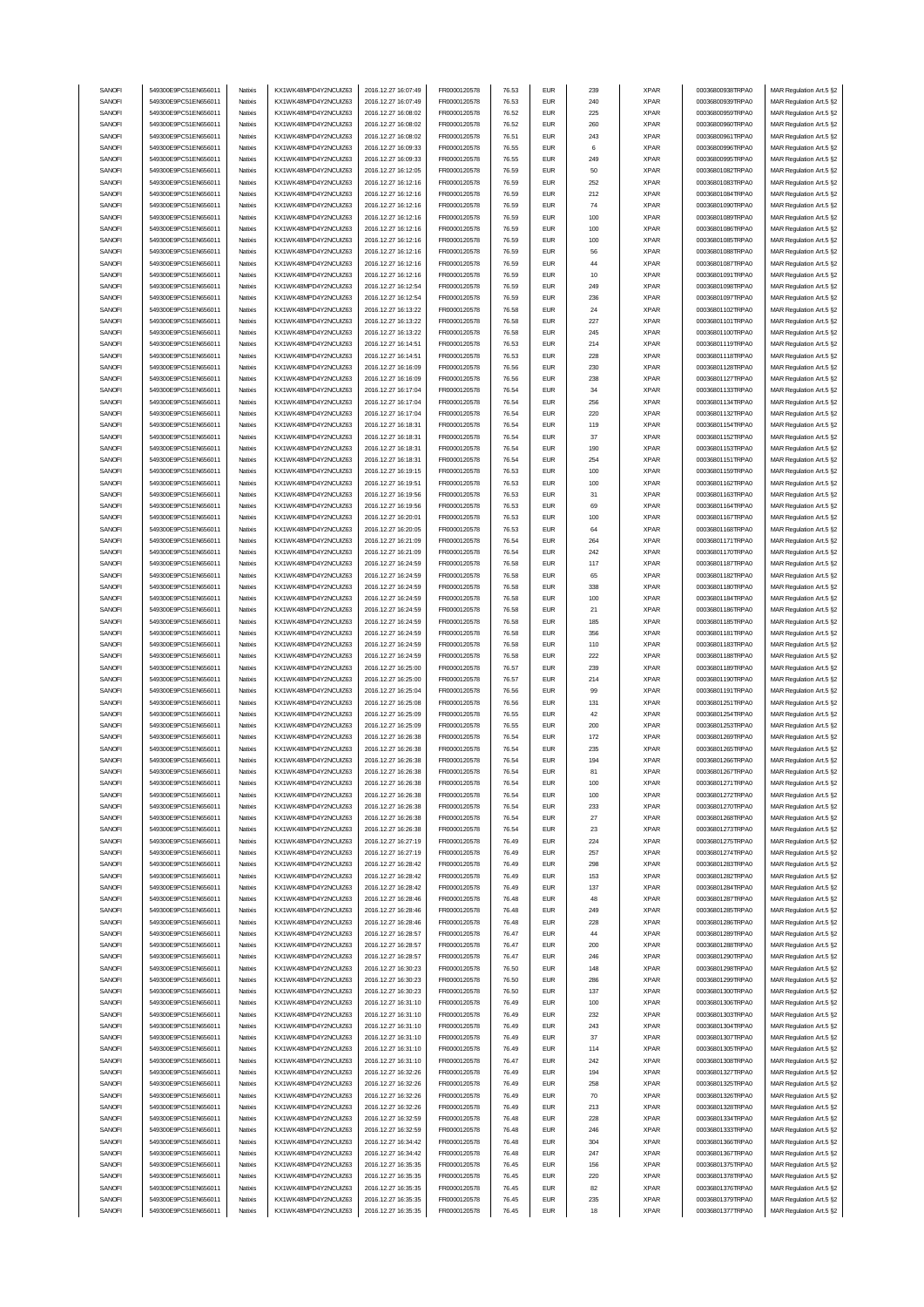| SANOFI<br>549300E9PC51EN656011<br>KX1WK48MPD4Y2NCUIZ63<br>2016.12.27 16:07:49<br>FR0000120578<br>76.53<br><b>EUR</b><br>239<br><b>XPAR</b><br>00036800938TRPA0<br>Natixis<br>MAR Regulation Art.5 §2<br>SANOFI<br>549300E9PC51EN656011<br>KX1WK48MPD4Y2NCUIZ63<br>2016.12.27 16:07:49<br>FR0000120578<br>76.53<br><b>EUR</b><br>240<br><b>XPAR</b><br>00036800939TRPA0<br>Natixis<br>MAR Regulation Art.5 §2<br>SANOFI<br>KX1WK48MPD4Y2NCUIZ63<br>225<br><b>XPAR</b><br>549300E9PC51EN656011<br>Natixis<br>2016.12.27 16:08:02<br>FR0000120578<br>76.52<br><b>EUR</b><br>00036800959TRPA0<br>MAR Regulation Art.5 §2<br>SANOFI<br>549300E9PC51EN656011<br>2016.12.27 16:08:02<br>FR0000120578<br><b>XPAR</b><br>Natixis<br>KX1WK48MPD4Y2NCUIZ63<br>76.52<br><b>EUR</b><br>260<br>00036800960TRPA0<br>MAR Regulation Art.5 §2<br>SANOFI<br>549300E9PC51EN656011<br>KX1WK48MPD4Y2NCUIZ63<br>2016.12.27 16:08:02<br>243<br>Natixis<br>FR0000120578<br>76.51<br><b>EUR</b><br><b>XPAR</b><br>00036800961TRPA0<br>MAR Regulation Art.5 §2<br>SANOFI<br>549300E9PC51EN656011<br>2016.12.27 16:09:33<br>Natixis<br>KX1WK48MPD4Y2NCUIZ63<br>FR0000120578<br>76.55<br><b>EUR</b><br>6<br><b>XPAR</b><br>00036800996TRPA0<br>MAR Regulation Art.5 §2<br>SANOFI<br>KX1WK48MPD4Y2NCUIZ63<br>FR0000120578<br>549300E9PC51EN656011<br>Natixis<br>2016.12.27 16:09:33<br>76.55<br><b>EUR</b><br>249<br><b>XPAR</b><br>00036800995TRPA0<br>MAR Regulation Art.5 §2<br>SANOFI<br>FR0000120578<br>549300E9PC51EN656011<br>Natixis<br>KX1WK48MPD4Y2NCUIZ63<br>2016.12.27 16:12:05<br>76.59<br><b>EUR</b><br>50<br><b>XPAR</b><br>00036801082TRPA0<br>MAR Regulation Art.5 §2<br>549300E9PC51EN656011<br>KX1WK48MPD4Y2NCUIZ63<br>2016.12.27 16:12:16<br>252<br>SANOFI<br>Natixis<br>FR0000120578<br>76.59<br><b>EUR</b><br><b>XPAR</b><br>00036801083TRPA0<br>MAR Regulation Art.5 §2<br>SANOFI<br>549300E9PC51EN656011<br>Natixis<br>KX1WK48MPD4Y2NCUIZ63<br>2016.12.27 16:12:16<br>FR0000120578<br>76.59<br><b>EUR</b><br>212<br><b>XPAR</b><br>00036801084TRPA0<br>MAR Regulation Art.5 §2<br>SANOFI<br>549300E9PC51EN656011<br>Natixis<br>KX1WK48MPD4Y2NCUIZ63<br>2016.12.27 16:12:16<br>FR0000120578<br>76.59<br><b>EUR</b><br>74<br><b>XPAR</b><br>00036801090TRPA0<br>MAR Regulation Art.5 §2<br>SANOFI<br>549300E9PC51EN656011<br>Natixis<br>KX1WK48MPD4Y2NCUIZ63<br>2016.12.27 16:12:16<br>FR0000120578<br>76.59<br><b>EUR</b><br>100<br><b>XPAR</b><br>00036801089TRPA0<br>MAR Regulation Art.5 §2<br>SANOFI<br>549300E9PC51EN656011<br>Natixis<br>KX1WK48MPD4Y2NCUIZ63<br>2016.12.27 16:12:16<br>FR0000120578<br>76.59<br><b>EUR</b><br>100<br><b>XPAR</b><br>00036801086TRPA0<br>MAR Regulation Art.5 §2<br>SANOFI<br>549300E9PC51EN656011<br>Natixis<br>KX1WK48MPD4Y2NCUIZ63<br>2016.12.27 16:12:16<br>FR0000120578<br>76.59<br><b>EUR</b><br>100<br><b>XPAR</b><br>00036801085TRPA0<br>MAR Regulation Art.5 §2<br>SANOFI<br>549300E9PC51EN656011<br>Natixis<br>KX1WK48MPD4Y2NCUIZ63<br>2016.12.27 16:12:16<br>FR0000120578<br>76.59<br><b>EUR</b><br>56<br><b>XPAR</b><br>00036801088TRPA0<br>MAR Regulation Art.5 §2<br>SANOFI<br>549300E9PC51EN656011<br>Natixis<br>KX1WK48MPD4Y2NCUIZ63<br>2016.12.27 16:12:16<br>FR0000120578<br>76.59<br><b>EUR</b><br>44<br><b>XPAR</b><br>00036801087TRPA0<br>MAR Regulation Art.5 §2<br>SANOFI<br>549300E9PC51EN656011<br>Natixis<br>KX1WK48MPD4Y2NCUIZ63<br>2016.12.27 16:12:16<br>FR0000120578<br>76.59<br><b>EUR</b><br>10<br><b>XPAR</b><br>00036801091TRPA0<br>MAR Regulation Art.5 §2<br>2016.12.27 16:12:54<br>SANOFI<br>549300E9PC51EN656011<br>KX1WK48MPD4Y2NCUIZ63<br>FR0000120578<br>76.59<br><b>EUR</b><br>249<br><b>XPAR</b><br>Natixis<br>00036801098TRPA0<br>MAR Regulation Art.5 §2<br>SANOFI<br>549300E9PC51EN656011<br>KX1WK48MPD4Y2NCUIZ63<br>2016.12.27 16:12:54<br>FR0000120578<br><b>EUR</b><br>236<br><b>XPAR</b><br>00036801097TRPA0<br>MAR Regulation Art.5 §2<br>Natixis<br>76.59<br>SANOFI<br>549300E9PC51EN656011<br>Natixis<br>KX1WK48MPD4Y2NCUIZ63<br>2016.12.27 16:13:22<br>FR0000120578<br>76.58<br><b>EUR</b><br>24<br><b>XPAR</b><br>00036801102TRPA0<br>MAR Regulation Art.5 §2<br>227<br>SANOFI<br>549300E9PC51EN656011<br>KX1WK48MPD4Y2NCUIZ63<br>2016.12.27 16:13:22<br>FR0000120578<br>76.58<br><b>EUR</b><br><b>XPAR</b><br>00036801101TRPA0<br>MAR Regulation Art.5 §2<br>Natixis<br>SANOFI<br>549300E9PC51EN656011<br>KX1WK48MPD4Y2NCUIZ63<br>2016.12.27 16:13:22<br>FR0000120578<br>76.58<br><b>EUR</b><br>245<br><b>XPAR</b><br>00036801100TRPA0<br>Natixis<br>MAR Regulation Art.5 §2<br>SANOFI<br>549300E9PC51EN656011<br>KX1WK48MPD4Y2NCUIZ63<br>2016.12.27 16:14:51<br>FR0000120578<br>76.53<br><b>EUR</b><br>214<br><b>XPAR</b><br>00036801119TRPA0<br>MAR Regulation Art.5 §2<br>Natixis<br>2016.12.27 16:14:51<br><b>EUR</b><br>SANOFI<br>549300E9PC51EN656011<br>Natixis<br>KX1WK48MPD4Y2NCUIZ63<br>FR0000120578<br>76.53<br>228<br><b>XPAR</b><br>00036801118TRPA0<br>MAR Regulation Art.5 §2<br>SANOFI<br>549300E9PC51EN656011<br>KX1WK48MPD4Y2NCUIZ63<br>2016.12.27 16:16:09<br>FR0000120578<br><b>EUR</b><br>230<br><b>XPAR</b><br>Natixis<br>76.56<br>00036801128TRPA0<br>MAR Regulation Art.5 §2<br>SANOFI<br>549300E9PC51EN656011<br>KX1WK48MPD4Y2NCUIZ63<br>2016.12.27 16:16:09<br><b>EUR</b><br>238<br><b>XPAR</b><br>Natixis<br>FR0000120578<br>76.56<br>00036801127TRPA0<br>MAR Regulation Art.5 §2<br>SANOFI<br>549300E9PC51EN656011<br>KX1WK48MPD4Y2NCUIZ63<br>2016.12.27 16:17:04<br>FR0000120578<br><b>EUR</b><br><b>XPAR</b><br>00036801133TRPA0<br>Natixis<br>76.54<br>34<br>MAR Regulation Art.5 §2<br>SANOFI<br>549300E9PC51EN656011<br>KX1WK48MPD4Y2NCUIZ63<br>2016.12.27 16:17:04<br><b>EUR</b><br>256<br><b>XPAR</b><br>Natixis<br>FR0000120578<br>76.54<br>00036801134TRPA0<br>MAR Regulation Art.5 §2<br>SANOFI<br>549300E9PC51EN656011<br>KX1WK48MPD4Y2NCUIZ63<br>2016.12.27 16:17:04<br>FR0000120578<br><b>EUR</b><br>220<br><b>XPAR</b><br>Natixis<br>76.54<br>00036801132TRPA0<br>MAR Regulation Art.5 §2<br>SANOFI<br>549300E9PC51EN656011<br>KX1WK48MPD4Y2NCUIZ63<br>2016.12.27 16:18:31<br><b>EUR</b><br>119<br><b>XPAR</b><br>Natixis<br>FR0000120578<br>76.54<br>00036801154TRPA0<br>MAR Regulation Art.5 §2<br>37<br>SANOFI<br>549300E9PC51EN656011<br>Natixis<br>KX1WK48MPD4Y2NCUIZ63<br>2016.12.27 16:18:31<br>FR0000120578<br>76.54<br><b>EUR</b><br><b>XPAR</b><br>00036801152TRPA0<br>MAR Regulation Art.5 §2<br>SANOFI<br>549300E9PC51EN656011<br>Natixis<br>KX1WK48MPD4Y2NCUIZ63<br>2016.12.27 16:18:31<br>FR0000120578<br>76.54<br><b>EUR</b><br>190<br><b>XPAR</b><br>00036801153TRPA0<br>MAR Regulation Art.5 §2<br>SANOFI<br>254<br><b>XPAR</b><br>549300E9PC51EN656011<br>Natixis<br>KX1WK48MPD4Y2NCUIZ63<br>2016.12.27 16:18:31<br>FR0000120578<br>76.54<br><b>EUR</b><br>00036801151TRPA0<br>MAR Regulation Art.5 §2<br>549300E9PC51EN656011<br>KX1WK48MPD4Y2NCUIZ63<br>2016.12.27 16:19:15<br>SANOFI<br>Natixis<br>FR0000120578<br>76.53<br><b>EUR</b><br>100<br><b>XPAR</b><br>00036801159TRPA0<br>MAR Regulation Art.5 §2<br>SANOFI<br>549300E9PC51EN656011<br>2016.12.27 16:19:51<br>FR0000120578<br>Natixis<br>KX1WK48MPD4Y2NCUIZ63<br>76.53<br><b>EUR</b><br>100<br><b>XPAR</b><br>00036801162TRPA0<br>MAR Regulation Art.5 §2<br>SANOFI<br>KX1WK48MPD4Y2NCUIZ63<br>549300E9PC51EN656011<br>Natixis<br>2016.12.27 16:19:56<br>FR0000120578<br>76.53<br><b>EUR</b><br>31<br><b>XPAR</b><br>00036801163TRPA0<br>MAR Regulation Art.5 §2<br>SANOFI<br>549300E9PC51EN656011<br>Natixis<br>KX1WK48MPD4Y2NCUIZ63<br>2016.12.27 16:19:56<br>FR0000120578<br>76.53<br><b>EUR</b><br>69<br><b>XPAR</b><br>00036801164TRPA0<br>MAR Regulation Art.5 §2<br>SANOFI<br>549300E9PC51EN656011<br>Natixis<br>KX1WK48MPD4Y2NCUIZ63<br>2016.12.27 16:20:01<br>FR0000120578<br>76.53<br><b>EUR</b><br>100<br><b>XPAR</b><br>00036801167TRPA0<br>MAR Regulation Art.5 §2<br>SANOFI<br>549300E9PC51EN656011<br>Natixis<br>KX1WK48MPD4Y2NCUIZ63<br>2016.12.27 16:20:05<br>FR0000120578<br>76.53<br><b>EUR</b><br>64<br><b>XPAR</b><br>00036801168TRPA0<br>MAR Regulation Art.5 §2<br>SANOFI<br>549300E9PC51EN656011<br>Natixis<br>KX1WK48MPD4Y2NCUIZ63<br>2016.12.27 16:21:09<br>FR0000120578<br>76.54<br><b>EUR</b><br>264<br><b>XPAR</b><br>00036801171TRPA0<br>MAR Regulation Art.5 §2<br>SANOFI<br>549300E9PC51EN656011<br>Natixis<br>KX1WK48MPD4Y2NCUIZ63<br>2016.12.27 16:21:09<br>FR0000120578<br>76.54<br><b>EUR</b><br>242<br><b>XPAR</b><br>00036801170TRPA0<br>MAR Regulation Art.5 §2<br>SANOFI<br>549300E9PC51EN656011<br>Natixis<br>KX1WK48MPD4Y2NCUIZ63<br>2016.12.27 16:24:59<br>FR0000120578<br>76.58<br><b>EUR</b><br>117<br><b>XPAR</b><br>00036801187TRPA0<br>MAR Regulation Art.5 §2<br>SANOFI<br>549300E9PC51EN656011<br>Natixis<br>KX1WK48MPD4Y2NCUIZ63<br>2016.12.27 16:24:59<br>FR0000120578<br>76.58<br><b>EUR</b><br>65<br><b>XPAR</b><br>00036801182TRPA0<br>MAR Regulation Art.5 §2<br>SANOFI<br>549300E9PC51EN656011<br>KX1WK48MPD4Y2NCUIZ63<br>2016.12.27 16:24:59<br>FR0000120578<br>76.58<br><b>EUR</b><br>338<br><b>XPAR</b><br>00036801180TRPA0<br>MAR Regulation Art.5 §2<br>Natixis<br>SANOFI<br>549300E9PC51EN656011<br>Natixis<br>2016.12.27 16:24:59<br>FR0000120578<br>76.58<br><b>EUR</b><br>100<br><b>XPAR</b><br>KX1WK48MPD4Y2NCUIZ63<br>00036801184TRPA0<br>MAR Regulation Art.5 §2<br>SANOFI<br>549300E9PC51EN656011<br>KX1WK48MPD4Y2NCUIZ63<br>2016.12.27 16:24:59<br>FR0000120578<br>76.58<br><b>EUR</b><br>21<br><b>XPAR</b><br>00036801186TRPA0<br>MAR Regulation Art.5 §2<br>Natixis<br>2016.12.27 16:24:59<br>SANOFI<br>549300E9PC51EN656011<br>KX1WK48MPD4Y2NCUIZ63<br>FR0000120578<br>76.58<br><b>EUR</b><br>185<br><b>XPAR</b><br>00036801185TRPA0<br>Natixis<br>MAR Regulation Art.5 §2<br>SANOFI<br>549300E9PC51EN656011<br>KX1WK48MPD4Y2NCUIZ63<br>2016.12.27 16:24:59<br>FR0000120578<br>76.58<br><b>EUR</b><br>356<br><b>XPAR</b><br>00036801181TRPA0<br>MAR Regulation Art.5 §2<br>Natixis<br><b>EUR</b><br>110<br>SANOFI<br>549300E9PC51EN656011<br>Natixis<br>KX1WK48MPD4Y2NCUIZ63<br>2016.12.27 16:24:59<br>FR0000120578<br>76.58<br><b>XPAR</b><br>00036801183TRPA0<br>MAR Regulation Art.5 §2<br>SANOFI<br>2016.12.27 16:24:59<br><b>EUR</b><br>222<br><b>XPAR</b><br>549300E9PC51EN656011<br>Natixis<br>KX1WK48MPD4Y2NCUIZ63<br>FR0000120578<br>76.58<br>00036801188TRPA0<br>MAR Regulation Art.5 §2<br>SANOFI<br>549300E9PC51EN656011<br>KX1WK48MPD4Y2NCUIZ63<br>2016.12.27 16:25:00<br>FR0000120578<br>76.57<br><b>EUR</b><br>239<br><b>XPAR</b><br>Natixis<br>00036801189TRPA0<br>MAR Regulation Art.5 §2<br>SANOFI<br>549300E9PC51EN656011<br>KX1WK48MPD4Y2NCUIZ63<br>2016.12.27 16:25:00<br>FR0000120578<br><b>XPAR</b><br>Natixis<br>76.57<br><b>EUR</b><br>214<br>00036801190TRPA0<br>MAR Regulation Art.5 §2<br>SANOFI<br>549300E9PC51EN656011<br>KX1WK48MPD4Y2NCUIZ63<br>2016.12.27 16:25:04<br>FR0000120578<br><b>EUR</b><br>99<br><b>XPAR</b><br>Natixis<br>76.56<br>00036801191TRPA0<br>MAR Regulation Art.5 §2<br>SANOFI<br>549300E9PC51EN656011<br>KX1WK48MPD4Y2NCUIZ63<br>2016.12.27 16:25:08<br>FR0000120578<br><b>EUR</b><br>131<br><b>XPAR</b><br>Natixis<br>76.56<br>00036801251TRPA0<br>MAR Regulation Art.5 §2<br>SANOFI<br>549300E9PC51EN656011<br>Natixis<br>KX1WK48MPD4Y2NCUIZ63<br>2016.12.27 16:25:09<br>FR0000120578<br><b>EUR</b><br>42<br><b>XPAR</b><br>76.55<br>00036801254TRPA0<br>MAR Regulation Art.5 §2<br>SANOFI<br>549300E9PC51EN656011<br>KX1WK48MPD4Y2NCUIZ63<br>2016.12.27 16:25:09<br>FR0000120578<br><b>XPAR</b><br>Natixis<br>76.55<br><b>EUR</b><br>200<br>00036801253TRPA0<br>MAR Regulation Art.5 §2<br>SANOFI<br>549300E9PC51EN656011<br>Natixis<br>KX1WK48MPD4Y2NCUIZ63<br>2016.12.27 16:26:38<br>FR0000120578<br>76.54<br><b>EUR</b><br>172<br><b>XPAR</b><br>00036801269TRPA0<br>MAR Regulation Art.5 §2<br>SANOFI<br>549300E9PC51EN656011<br>Natixis<br>KX1WK48MPD4Y2NCUIZ63<br>2016.12.27 16:26:38<br>FR0000120578<br>76.54<br><b>EUR</b><br>235<br><b>XPAR</b><br>00036801265TRPA0<br>MAR Regulation Art.5 §2<br>SANOFI<br>549300E9PC51EN656011<br>KX1WK48MPD4Y2NCUIZ63<br>FR0000120578<br><b>EUR</b><br>00036801266TRPA0<br>Natixis<br>2016.12.27 16:26:38<br>76.54<br>194<br><b>XPAR</b><br>MAR Regulation Art.5 §2<br>KX1WK48MPD4Y2NCUIZ63<br>2016.12.27 16:26:38<br>MAR Regulation Art.5 §2<br>SANUH<br>549300E9PC51EN656011<br>rvatixis<br><b>FR00001205/8</b><br>76.54<br>EUM<br><b>XPAR</b><br>00036801267TRPA0<br>549300E9PC51EN656011<br>KX1WK48MPD4Y2NCUIZ63<br>SANOFI<br>Natixis<br>2016.12.27 16:26:38<br>FR0000120578<br>76.54<br><b>EUR</b><br>100<br><b>XPAR</b><br>00036801271TRPA0<br>MAR Regulation Art.5 §2<br>SANOFI<br>KX1WK48MPD4Y2NCUIZ63<br>2016.12.27 16:26:38<br>549300E9PC51EN656011<br>Natixis<br>FR0000120578<br>76.54<br><b>EUR</b><br>100<br><b>XPAR</b><br>00036801272TRPA0<br>MAR Regulation Art.5 §2<br>549300E9PC51EN656011<br>KX1WK48MPD4Y2NCUIZ63<br>2016.12.27 16:26:38<br>FR0000120578<br>SANOFI<br>Natixis<br>76.54<br><b>EUR</b><br>233<br><b>XPAR</b><br>00036801270TRPA0<br>MAR Regulation Art.5 §2<br>SANOFI<br>549300E9PC51EN656011<br>Natixis<br>KX1WK48MPD4Y2NCUIZ63<br>2016.12.27 16:26:38<br>FR0000120578<br>76.54<br><b>EUR</b><br>27<br><b>XPAR</b><br>00036801268TRPA0<br>MAR Regulation Art.5 §2<br>SANOFI<br>549300E9PC51EN656011<br>Natixis<br>KX1WK48MPD4Y2NCUIZ63<br>2016.12.27 16:26:38<br>FR0000120578<br>76.54<br><b>EUR</b><br>23<br><b>XPAR</b><br>00036801273TRPA0<br>MAR Regulation Art.5 §2<br>SANOFI<br>549300E9PC51EN656011<br>Natixis<br>KX1WK48MPD4Y2NCUIZ63<br>2016.12.27 16:27:19<br>FR0000120578<br>76.49<br><b>EUR</b><br>224<br><b>XPAR</b><br>00036801275TRPA0<br>MAR Regulation Art.5 §2<br>SANOFI<br>549300E9PC51EN656011<br>Natixis<br>KX1WK48MPD4Y2NCUIZ63<br>2016.12.27 16:27:19<br>FR0000120578<br>76.49<br><b>EUR</b><br>257<br><b>XPAR</b><br>00036801274TRPA0<br>MAR Regulation Art.5 §2<br>SANOFI<br>549300E9PC51EN656011<br>Natixis<br>KX1WK48MPD4Y2NCUIZ63<br>2016.12.27 16:28:42<br>FR0000120578<br>76.49<br><b>EUR</b><br>298<br><b>XPAR</b><br>00036801283TRPA0<br>MAR Regulation Art.5 §2<br>SANOFI<br>549300E9PC51EN656011<br>Natixis<br>KX1WK48MPD4Y2NCUIZ63<br>2016.12.27 16:28:42<br>FR0000120578<br>76.49<br><b>EUR</b><br>153<br><b>XPAR</b><br>00036801282TRPA0<br>MAR Regulation Art.5 §2<br>SANOFI<br>549300E9PC51EN656011<br>Natixis<br>KX1WK48MPD4Y2NCUIZ63<br>2016.12.27 16:28:42<br>FR0000120578<br>76.49<br><b>EUR</b><br>137<br><b>XPAR</b><br>00036801284TRPA0<br>MAR Regulation Art.5 §2<br>KX1WK48MPD4Y2NCUIZ63<br>SANOFI<br>549300E9PC51EN656011<br>2016.12.27 16:28:46<br>FR0000120578<br>76.48<br><b>EUR</b><br>48<br><b>XPAR</b><br>00036801287TRPA0<br>MAR Regulation Art.5 §2<br>Natixis<br>2016.12.27 16:28:46<br>$\ensuremath{\mathsf{EUR}}$<br>SANOFI<br>549300E9PC51EN656011<br>KX1WK48MPD4Y2NCUIZ63<br>FR0000120578<br>76.48<br>249<br><b>XPAR</b><br>00036801285TRPA0<br>Natixis<br>MAR Regulation Art.5 §2<br>SANOFI<br>549300E9PC51EN656011<br>KX1WK48MPD4Y2NCUIZ63<br>2016.12.27 16:28:46<br>FR0000120578<br>76.48<br><b>EUR</b><br><b>XPAR</b><br>00036801286TRPA0<br>MAR Regulation Art.5 §2<br>Natixis<br>228<br>SANOFI<br>549300E9PC51EN656011<br>Natixis<br>KX1WK48MPD4Y2NCUIZ63<br>2016.12.27 16:28:57<br>FR0000120578<br>76.47<br><b>EUR</b><br>44<br><b>XPAR</b><br>00036801289TRPA0<br>MAR Regulation Art.5 §2<br>KX1WK48MPD4Y2NCUIZ63<br>SANOFI<br>549300E9PC51EN656011<br>2016.12.27 16:28:57<br>FR0000120578<br>76.47<br><b>EUR</b><br><b>XPAR</b><br>00036801288TRPA0<br>MAR Regulation Art.5 §2<br>Natixis<br>200<br>2016.12.27 16:28:57<br>SANOFI<br>549300E9PC51EN656011<br>KX1WK48MPD4Y2NCUIZ63<br>FR0000120578<br>76.47<br><b>EUR</b><br>246<br><b>XPAR</b><br>00036801290TRPA0<br>Natixis<br>MAR Regulation Art.5 §2<br>SANOFI<br>549300E9PC51EN656011<br>KX1WK48MPD4Y2NCUIZ63<br>2016.12.27 16:30:23<br>FR0000120578<br><b>XPAR</b><br>00036801298TRPA0<br>Natixis<br>76.50<br><b>EUR</b><br>148<br>MAR Regulation Art.5 §2<br>SANOFI<br>549300E9PC51EN656011<br>KX1WK48MPD4Y2NCUIZ63<br>2016.12.27 16:30:23<br>FR0000120578<br><b>EUR</b><br>286<br><b>XPAR</b><br>Natixis<br>76.50<br>00036801299TRPA0<br>MAR Regulation Art.5 §2<br>SANOFI<br>549300E9PC51EN656011<br>KX1WK48MPD4Y2NCUIZ63<br>2016.12.27 16:30:23<br>FR0000120578<br><b>EUR</b><br>137<br><b>XPAR</b><br>00036801300TRPA0<br>Natixis<br>76.50<br>MAR Regulation Art.5 §2<br>SANOFI<br>549300E9PC51EN656011<br>KX1WK48MPD4Y2NCUIZ63<br>2016.12.27 16:31:10<br>FR0000120578<br><b>EUR</b><br>100<br><b>XPAR</b><br>00036801306TRPA0<br>Natixis<br>76.49<br>MAR Regulation Art.5 §2<br>SANOFI<br>549300E9PC51EN656011<br>KX1WK48MPD4Y2NCUIZ63<br>2016.12.27 16:31:10<br>FR0000120578<br><b>XPAR</b><br>00036801303TRPA0<br>76.49<br><b>EUR</b><br>232<br>MAR Regulation Art.5 §2<br>Natixis<br>SANOFI<br>549300E9PC51EN656011<br>KX1WK48MPD4Y2NCUIZ63<br>2016.12.27 16:31:10<br>FR0000120578<br><b>EUR</b><br>243<br><b>XPAR</b><br>00036801304TRPA0<br>Natixis<br>76.49<br>MAR Regulation Art.5 §2<br>SANOFI<br>549300E9PC51EN656011<br>KX1WK48MPD4Y2NCUIZ63<br>2016.12.27 16:31:10<br>FR0000120578<br><b>EUR</b><br>37<br><b>XPAR</b><br>00036801307TRPA0<br>Natixis<br>76.49<br>MAR Regulation Art.5 §2<br>KX1WK48MPD4Y2NCUIZ63<br>2016.12.27 16:31:10<br>FR0000120578<br>SANOFI<br>549300E9PC51EN656011<br>Natixis<br>76.49<br><b>EUR</b><br>114<br><b>XPAR</b><br>00036801305TRPA0<br>MAR Regulation Art.5 §2<br>SANOFI<br>KX1WK48MPD4Y2NCUIZ63<br>549300E9PC51EN656011<br>Natixis<br>2016.12.27 16:31:10<br>FR0000120578<br>76.47<br><b>EUR</b><br>242<br><b>XPAR</b><br>00036801308TRPA0<br>MAR Regulation Art.5 §2<br>SANOFI<br>549300E9PC51EN656011<br>KX1WK48MPD4Y2NCUIZ63<br>2016.12.27 16:32:26<br>FR0000120578<br>Natixis<br>76.49<br><b>EUR</b><br>194<br><b>XPAR</b><br>00036801327TRPA0<br>MAR Regulation Art.5 §2<br>SANOFI<br>KX1WK48MPD4Y2NCUIZ63<br>FR0000120578<br>549300E9PC51EN656011<br>Natixis<br>2016.12.27 16:32:26<br>76.49<br><b>EUR</b><br>258<br><b>XPAR</b><br>00036801325TRPA0<br>MAR Regulation Art.5 §2<br>SANOFI<br>549300E9PC51EN656011<br>KX1WK48MPD4Y2NCUIZ63<br>2016.12.27 16:32:26<br>FR0000120578<br>Natixis<br>76.49<br><b>EUR</b><br>70<br><b>XPAR</b><br>00036801326TRPA0<br>MAR Regulation Art.5 §2<br>SANOFI<br>549300E9PC51EN656011<br>KX1WK48MPD4Y2NCUIZ63<br>2016.12.27 16:32:26<br>FR0000120578<br>Natixis<br>76.49<br><b>EUR</b><br>213<br><b>XPAR</b><br>00036801328TRPA0<br>MAR Regulation Art.5 §2<br>SANOFI<br>549300E9PC51EN656011<br>KX1WK48MPD4Y2NCUIZ63<br>2016.12.27 16:32:59<br>FR0000120578<br>00036801334TRPA0<br>Natixis<br>76.48<br><b>EUR</b><br>228<br><b>XPAR</b><br>MAR Regulation Art.5 §2<br>SANOFI<br>549300E9PC51EN656011<br>Natixis<br>KX1WK48MPD4Y2NCUIZ63<br>2016.12.27 16:32:59<br>FR0000120578<br>76.48<br><b>EUR</b><br>246<br><b>XPAR</b><br>00036801333TRPA0<br>MAR Regulation Art.5 §2<br>SANOFI<br>549300E9PC51EN656011<br>Natixis<br>KX1WK48MPD4Y2NCUIZ63<br>2016.12.27 16:34:42<br>FR0000120578<br>76.48<br><b>EUR</b><br>304<br><b>XPAR</b><br>00036801366TRPA0<br>MAR Regulation Art.5 §2<br>SANOFI<br>549300E9PC51EN656011<br>Natixis<br>KX1WK48MPD4Y2NCUIZ63<br>2016.12.27 16:34:42<br>FR0000120578<br>76.48<br><b>EUR</b><br>247<br><b>XPAR</b><br>00036801367TRPA0<br>MAR Regulation Art.5 §2<br>SANOFI<br>549300E9PC51EN656011<br>Natixis<br>KX1WK48MPD4Y2NCUIZ63<br>2016.12.27 16:35:35<br>FR0000120578<br>76.45<br><b>EUR</b><br>156<br><b>XPAR</b><br>00036801375TRPA0<br>MAR Regulation Art.5 §2<br>SANOFI<br>549300E9PC51EN656011<br>Natixis<br>KX1WK48MPD4Y2NCUIZ63<br>2016.12.27 16:35:35<br>FR0000120578<br>76.45<br><b>EUR</b><br>220<br><b>XPAR</b><br>00036801378TRPA0<br>MAR Regulation Art.5 §2<br>SANOFI<br>549300E9PC51EN656011<br>Natixis<br>KX1WK48MPD4Y2NCUIZ63<br>2016.12.27 16:35:35<br>FR0000120578<br>76.45<br><b>EUR</b><br>82<br><b>XPAR</b><br>00036801376TRPA0<br>MAR Regulation Art.5 §2<br>${\sf EUR}$<br>SANOFI<br>549300E9PC51EN656011<br>KX1WK48MPD4Y2NCUIZ63<br>2016.12.27 16:35:35<br>FR0000120578<br>76.45<br>235<br><b>XPAR</b><br>Natixis<br>00036801379TRPA0<br>MAR Regulation Art.5 §2<br>SANOFI<br>549300E9PC51EN656011<br>KX1WK48MPD4Y2NCUIZ63<br>2016.12.27 16:35:35<br><b>EUR</b><br>00036801377TRPA0<br>FR0000120578<br>76.45<br>18<br><b>XPAR</b><br>MAR Regulation Art.5 §2<br>Natixis |  |  |  |  |  |  |
|------------------------------------------------------------------------------------------------------------------------------------------------------------------------------------------------------------------------------------------------------------------------------------------------------------------------------------------------------------------------------------------------------------------------------------------------------------------------------------------------------------------------------------------------------------------------------------------------------------------------------------------------------------------------------------------------------------------------------------------------------------------------------------------------------------------------------------------------------------------------------------------------------------------------------------------------------------------------------------------------------------------------------------------------------------------------------------------------------------------------------------------------------------------------------------------------------------------------------------------------------------------------------------------------------------------------------------------------------------------------------------------------------------------------------------------------------------------------------------------------------------------------------------------------------------------------------------------------------------------------------------------------------------------------------------------------------------------------------------------------------------------------------------------------------------------------------------------------------------------------------------------------------------------------------------------------------------------------------------------------------------------------------------------------------------------------------------------------------------------------------------------------------------------------------------------------------------------------------------------------------------------------------------------------------------------------------------------------------------------------------------------------------------------------------------------------------------------------------------------------------------------------------------------------------------------------------------------------------------------------------------------------------------------------------------------------------------------------------------------------------------------------------------------------------------------------------------------------------------------------------------------------------------------------------------------------------------------------------------------------------------------------------------------------------------------------------------------------------------------------------------------------------------------------------------------------------------------------------------------------------------------------------------------------------------------------------------------------------------------------------------------------------------------------------------------------------------------------------------------------------------------------------------------------------------------------------------------------------------------------------------------------------------------------------------------------------------------------------------------------------------------------------------------------------------------------------------------------------------------------------------------------------------------------------------------------------------------------------------------------------------------------------------------------------------------------------------------------------------------------------------------------------------------------------------------------------------------------------------------------------------------------------------------------------------------------------------------------------------------------------------------------------------------------------------------------------------------------------------------------------------------------------------------------------------------------------------------------------------------------------------------------------------------------------------------------------------------------------------------------------------------------------------------------------------------------------------------------------------------------------------------------------------------------------------------------------------------------------------------------------------------------------------------------------------------------------------------------------------------------------------------------------------------------------------------------------------------------------------------------------------------------------------------------------------------------------------------------------------------------------------------------------------------------------------------------------------------------------------------------------------------------------------------------------------------------------------------------------------------------------------------------------------------------------------------------------------------------------------------------------------------------------------------------------------------------------------------------------------------------------------------------------------------------------------------------------------------------------------------------------------------------------------------------------------------------------------------------------------------------------------------------------------------------------------------------------------------------------------------------------------------------------------------------------------------------------------------------------------------------------------------------------------------------------------------------------------------------------------------------------------------------------------------------------------------------------------------------------------------------------------------------------------------------------------------------------------------------------------------------------------------------------------------------------------------------------------------------------------------------------------------------------------------------------------------------------------------------------------------------------------------------------------------------------------------------------------------------------------------------------------------------------------------------------------------------------------------------------------------------------------------------------------------------------------------------------------------------------------------------------------------------------------------------------------------------------------------------------------------------------------------------------------------------------------------------------------------------------------------------------------------------------------------------------------------------------------------------------------------------------------------------------------------------------------------------------------------------------------------------------------------------------------------------------------------------------------------------------------------------------------------------------------------------------------------------------------------------------------------------------------------------------------------------------------------------------------------------------------------------------------------------------------------------------------------------------------------------------------------------------------------------------------------------------------------------------------------------------------------------------------------------------------------------------------------------------------------------------------------------------------------------------------------------------------------------------------------------------------------------------------------------------------------------------------------------------------------------------------------------------------------------------------------------------------------------------------------------------------------------------------------------------------------------------------------------------------------------------------------------------------------------------------------------------------------------------------------------------------------------------------------------------------------------------------------------------------------------------------------------------------------------------------------------------------------------------------------------------------------------------------------------------------------------------------------------------------------------------------------------------------------------------------------------------------------------------------------------------------------------------------------------------------------------------------------------------------------------------------------------------------------------------------------------------------------------------------------------------------------------------------------------------------------------------------------------------------------------------------------------------------------------------------------------------------------------------------------------------------------------------------------------------------------------------------------------------------------------------------------------------------------------------------------------------------------------------------------------------------------------------------------------------------------------------------------------------------------------------------------------------------------------------------------------------------------------------------------------------------------------------------------------------------------------------------------------------------------------------------------------------------------------------------------------------------------------------------------------------------------------------------------------------------------------------------------------------------------------------------------------------------------------------------------------------------------------------------------------------------------------------------------------------------------------------------------------------------------------------------------------------------------------------------------------------------------------------------------------------------------------------------------------------------------------------------------------------------------------------------------------------------------------------------------------------------------------------------------------------------------------------------------------------------------------------------------------------------------------------------------------------------------------------------------------------------------------------------------------------------------------------------------------------------------------------------------------------------------------------------------------------------------------------------------------------------------------------------------------------------------------------------------------------------------------------------------------------------------------------------------------------------------------------------------------------------------------------------------------------------------------------------------------------------------------------------------------------------------------------------------------------------------------------------------------------------------------------------------------------------------------------------------------------------------------------------------------------------------------------------------------------------------------------------------------------------------------------------------------------------------------------------------------------------------------------------------------------------------------------------------------------------------------------------------------------------------------------------------------------------------------------------------------------------------------------------------------------------------------------------------------------------------------------------------------------------------------------------------------------------------------------------------------------------------------------------------------------------------------------------------------------------------------------------------------------------------------------------------------------------------------------------------------------------------------------------------------------------------------------------------------------------------------------------------------------------------------------------------------------------------------------------------------------------------------------------------------------------------------------------------------------------------------------------------------------------------------------------------------------------------------------------------------------------------------------------------------------------------------------------------------------------------------------------------------------------------------------------------------------------------------------------------------------------------------------------------------------------------------------------------------------------------------------------------------------------------------------------------------------------------------------------------------------------------------------------------------------------------------------------------------------------------------------------------------------------------------------------------------------------------------------------------------------------------------------------------------------------------------------------------------------------------------------------------------------------------------------------------------------------------------------------------------------------------------------------------------------------------------------------------------------------------------------------------------------------------------------------------------------------------------------------------------------------------------------------------------------------------------------------------------------------------------------------------------------------------------------------------------------------------------------------------------------------------------------------------------------------------------------------------------------------------------------------------------------------------------------------------------------------------------------------------------------------------------------------------------------------------------------------------------------------------------------------------------------------------------------------------------------------------------------------------------------------------------------------------------------------------------------------------------------------------------------------------------------------------------------------------------------------------------------------------------------------------------------------------------------------------------------------------------------------------------------------------------------------------------------------------------------------------------------------------------------------------------------------------------------------------------------------------------------------------------------------------------------------------------------------------------------------------------------------------------------------------------------------------------------------------------------------------------------------------------------------------------------------------------------------------------------------------------------------------------------------------------------------------------------------------------------------------------------------------------------------------------------------------------------------------------------------------------------------------------------------------------------------------------------------------------------------------------------------------------------------------------------------------------------------------------------------------------------------------------------------------------------------------------------------------------------------------------------------------------------------------------------------------------------------------------------------------------------------------------------------------------------------------------------------------------------------------------------------------------------------------------------------------------------------------------------------------------------------------------------------------------------------------------------------------------------------------------------------------------------------------------------------------------------------------------------------------------------------------------------------------------------------------------------------------------------------------------------------------------------------------------------------------------------------------------------------------------------------------------------------------------------------------------------------------------------------------------------------------------------------------------------------------------------------------------------------------------------------------------------------------------------------------------------------------------------------------------------------------------------------------------------------------------------------------------------------------------------------------------------------------------------------------------------------------------------------------------------------------------------------------------------------------------------------------------------------------------------------------------------------------------------------------------------------------------------------------------------------------------------------------------------------------------------------------------------------------------------------------------------------------------------------------------------------------------------------------------------------------------------------------------------------------------------------------------------------------------------------------------------------------------------------------------------------------------------------------------------------------------------------------------------------------------------------------------------------------------------------------------------------------------------------------------------------------------------------------------------------------------|--|--|--|--|--|--|
|                                                                                                                                                                                                                                                                                                                                                                                                                                                                                                                                                                                                                                                                                                                                                                                                                                                                                                                                                                                                                                                                                                                                                                                                                                                                                                                                                                                                                                                                                                                                                                                                                                                                                                                                                                                                                                                                                                                                                                                                                                                                                                                                                                                                                                                                                                                                                                                                                                                                                                                                                                                                                                                                                                                                                                                                                                                                                                                                                                                                                                                                                                                                                                                                                                                                                                                                                                                                                                                                                                                                                                                                                                                                                                                                                                                                                                                                                                                                                                                                                                                                                                                                                                                                                                                                                                                                                                                                                                                                                                                                                                                                                                                                                                                                                                                                                                                                                                                                                                                                                                                                                                                                                                                                                                                                                                                                                                                                                                                                                                                                                                                                                                                                                                                                                                                                                                                                                                                                                                                                                                                                                                                                                                                                                                                                                                                                                                                                                                                                                                                                                                                                                                                                                                                                                                                                                                                                                                                                                                                                                                                                                                                                                                                                                                                                                                                                                                                                                                                                                                                                                                                                                                                                                                                                                                                                                                                                                                                                                                                                                                                                                                                                                                                                                                                                                                                                                                                                                                                                                                                                                                                                                                                                                                                                                                                                                                                                                                                                                                                                                                                                                                                                                                                                                                                                                                                                                                                                                                                                                                                                                                                                                                                                                                                                                                                                                                                                                                                                                                                                                                                                                                                                                                                                                                                                                                                                                                                                                                                                                                                                                                                                                                                                                                                                                                                                                                                                                                                                                                                                                                                                                                                                                                                                                                                                                                                                                                                                                                                                                                                                                                                                                                                                                                                                                                                                                                                                                                                                                                                                                                                                                                                                                                                                                                                                                                                                                                                                                                                                                                                                                                                                                                                                                                                                                                                                                                                                                                                                                                                                                                                                                                                                                                                                                                                                                                                                                                                                                                                                                                                                                                                                                                                                                                                                                                                                                                                                                                                                                                                                                                                                                                                                                                                                                                                                                                                                                                                                                                                                                                                                                                                                                                                                                                                                                                                                                                                                                                                                                                                                                                                                                                                                                                                                                                                                                                                                                                                                                                                                                                                                                                                                                                                                                                                                                                                                                                                                                                                                                                                                                                                                                                                                                                                                                                                                                                                                                                                                                                                                                                                                                                                                                                                                                                                                                                                                                                                                                                                                                                                                                                                                                                                                                                                                                                                                                                                                                                                                                                                                                                                                                                                                                                                                                                                                                                                                                                                                                                                                                                                                                                                                                                                                                                                                                                                                                                                                                                                                                                                                                                                                                                                                                                                                                                                                                                                                                                                                                                                                                                                                                                                                                                                                                                                                                                                                                                                                                                                                                                                                                                                                                                                                                                                                                                                                                                                                                                                                                                                                                                                                                                                                                                                                                                                                                                                                                                                                                                                                |  |  |  |  |  |  |
|                                                                                                                                                                                                                                                                                                                                                                                                                                                                                                                                                                                                                                                                                                                                                                                                                                                                                                                                                                                                                                                                                                                                                                                                                                                                                                                                                                                                                                                                                                                                                                                                                                                                                                                                                                                                                                                                                                                                                                                                                                                                                                                                                                                                                                                                                                                                                                                                                                                                                                                                                                                                                                                                                                                                                                                                                                                                                                                                                                                                                                                                                                                                                                                                                                                                                                                                                                                                                                                                                                                                                                                                                                                                                                                                                                                                                                                                                                                                                                                                                                                                                                                                                                                                                                                                                                                                                                                                                                                                                                                                                                                                                                                                                                                                                                                                                                                                                                                                                                                                                                                                                                                                                                                                                                                                                                                                                                                                                                                                                                                                                                                                                                                                                                                                                                                                                                                                                                                                                                                                                                                                                                                                                                                                                                                                                                                                                                                                                                                                                                                                                                                                                                                                                                                                                                                                                                                                                                                                                                                                                                                                                                                                                                                                                                                                                                                                                                                                                                                                                                                                                                                                                                                                                                                                                                                                                                                                                                                                                                                                                                                                                                                                                                                                                                                                                                                                                                                                                                                                                                                                                                                                                                                                                                                                                                                                                                                                                                                                                                                                                                                                                                                                                                                                                                                                                                                                                                                                                                                                                                                                                                                                                                                                                                                                                                                                                                                                                                                                                                                                                                                                                                                                                                                                                                                                                                                                                                                                                                                                                                                                                                                                                                                                                                                                                                                                                                                                                                                                                                                                                                                                                                                                                                                                                                                                                                                                                                                                                                                                                                                                                                                                                                                                                                                                                                                                                                                                                                                                                                                                                                                                                                                                                                                                                                                                                                                                                                                                                                                                                                                                                                                                                                                                                                                                                                                                                                                                                                                                                                                                                                                                                                                                                                                                                                                                                                                                                                                                                                                                                                                                                                                                                                                                                                                                                                                                                                                                                                                                                                                                                                                                                                                                                                                                                                                                                                                                                                                                                                                                                                                                                                                                                                                                                                                                                                                                                                                                                                                                                                                                                                                                                                                                                                                                                                                                                                                                                                                                                                                                                                                                                                                                                                                                                                                                                                                                                                                                                                                                                                                                                                                                                                                                                                                                                                                                                                                                                                                                                                                                                                                                                                                                                                                                                                                                                                                                                                                                                                                                                                                                                                                                                                                                                                                                                                                                                                                                                                                                                                                                                                                                                                                                                                                                                                                                                                                                                                                                                                                                                                                                                                                                                                                                                                                                                                                                                                                                                                                                                                                                                                                                                                                                                                                                                                                                                                                                                                                                                                                                                                                                                                                                                                                                                                                                                                                                                                                                                                                                                                                                                                                                                                                                                                                                                                                                                                                                                                                                                                                                                                                                                                                                                                                                                                                                                                                                                                                                                                                                |  |  |  |  |  |  |
|                                                                                                                                                                                                                                                                                                                                                                                                                                                                                                                                                                                                                                                                                                                                                                                                                                                                                                                                                                                                                                                                                                                                                                                                                                                                                                                                                                                                                                                                                                                                                                                                                                                                                                                                                                                                                                                                                                                                                                                                                                                                                                                                                                                                                                                                                                                                                                                                                                                                                                                                                                                                                                                                                                                                                                                                                                                                                                                                                                                                                                                                                                                                                                                                                                                                                                                                                                                                                                                                                                                                                                                                                                                                                                                                                                                                                                                                                                                                                                                                                                                                                                                                                                                                                                                                                                                                                                                                                                                                                                                                                                                                                                                                                                                                                                                                                                                                                                                                                                                                                                                                                                                                                                                                                                                                                                                                                                                                                                                                                                                                                                                                                                                                                                                                                                                                                                                                                                                                                                                                                                                                                                                                                                                                                                                                                                                                                                                                                                                                                                                                                                                                                                                                                                                                                                                                                                                                                                                                                                                                                                                                                                                                                                                                                                                                                                                                                                                                                                                                                                                                                                                                                                                                                                                                                                                                                                                                                                                                                                                                                                                                                                                                                                                                                                                                                                                                                                                                                                                                                                                                                                                                                                                                                                                                                                                                                                                                                                                                                                                                                                                                                                                                                                                                                                                                                                                                                                                                                                                                                                                                                                                                                                                                                                                                                                                                                                                                                                                                                                                                                                                                                                                                                                                                                                                                                                                                                                                                                                                                                                                                                                                                                                                                                                                                                                                                                                                                                                                                                                                                                                                                                                                                                                                                                                                                                                                                                                                                                                                                                                                                                                                                                                                                                                                                                                                                                                                                                                                                                                                                                                                                                                                                                                                                                                                                                                                                                                                                                                                                                                                                                                                                                                                                                                                                                                                                                                                                                                                                                                                                                                                                                                                                                                                                                                                                                                                                                                                                                                                                                                                                                                                                                                                                                                                                                                                                                                                                                                                                                                                                                                                                                                                                                                                                                                                                                                                                                                                                                                                                                                                                                                                                                                                                                                                                                                                                                                                                                                                                                                                                                                                                                                                                                                                                                                                                                                                                                                                                                                                                                                                                                                                                                                                                                                                                                                                                                                                                                                                                                                                                                                                                                                                                                                                                                                                                                                                                                                                                                                                                                                                                                                                                                                                                                                                                                                                                                                                                                                                                                                                                                                                                                                                                                                                                                                                                                                                                                                                                                                                                                                                                                                                                                                                                                                                                                                                                                                                                                                                                                                                                                                                                                                                                                                                                                                                                                                                                                                                                                                                                                                                                                                                                                                                                                                                                                                                                                                                                                                                                                                                                                                                                                                                                                                                                                                                                                                                                                                                                                                                                                                                                                                                                                                                                                                                                                                                                                                                                                                                                                                                                                                                                                                                                                                                                                                                                                                                                                                                                |  |  |  |  |  |  |
|                                                                                                                                                                                                                                                                                                                                                                                                                                                                                                                                                                                                                                                                                                                                                                                                                                                                                                                                                                                                                                                                                                                                                                                                                                                                                                                                                                                                                                                                                                                                                                                                                                                                                                                                                                                                                                                                                                                                                                                                                                                                                                                                                                                                                                                                                                                                                                                                                                                                                                                                                                                                                                                                                                                                                                                                                                                                                                                                                                                                                                                                                                                                                                                                                                                                                                                                                                                                                                                                                                                                                                                                                                                                                                                                                                                                                                                                                                                                                                                                                                                                                                                                                                                                                                                                                                                                                                                                                                                                                                                                                                                                                                                                                                                                                                                                                                                                                                                                                                                                                                                                                                                                                                                                                                                                                                                                                                                                                                                                                                                                                                                                                                                                                                                                                                                                                                                                                                                                                                                                                                                                                                                                                                                                                                                                                                                                                                                                                                                                                                                                                                                                                                                                                                                                                                                                                                                                                                                                                                                                                                                                                                                                                                                                                                                                                                                                                                                                                                                                                                                                                                                                                                                                                                                                                                                                                                                                                                                                                                                                                                                                                                                                                                                                                                                                                                                                                                                                                                                                                                                                                                                                                                                                                                                                                                                                                                                                                                                                                                                                                                                                                                                                                                                                                                                                                                                                                                                                                                                                                                                                                                                                                                                                                                                                                                                                                                                                                                                                                                                                                                                                                                                                                                                                                                                                                                                                                                                                                                                                                                                                                                                                                                                                                                                                                                                                                                                                                                                                                                                                                                                                                                                                                                                                                                                                                                                                                                                                                                                                                                                                                                                                                                                                                                                                                                                                                                                                                                                                                                                                                                                                                                                                                                                                                                                                                                                                                                                                                                                                                                                                                                                                                                                                                                                                                                                                                                                                                                                                                                                                                                                                                                                                                                                                                                                                                                                                                                                                                                                                                                                                                                                                                                                                                                                                                                                                                                                                                                                                                                                                                                                                                                                                                                                                                                                                                                                                                                                                                                                                                                                                                                                                                                                                                                                                                                                                                                                                                                                                                                                                                                                                                                                                                                                                                                                                                                                                                                                                                                                                                                                                                                                                                                                                                                                                                                                                                                                                                                                                                                                                                                                                                                                                                                                                                                                                                                                                                                                                                                                                                                                                                                                                                                                                                                                                                                                                                                                                                                                                                                                                                                                                                                                                                                                                                                                                                                                                                                                                                                                                                                                                                                                                                                                                                                                                                                                                                                                                                                                                                                                                                                                                                                                                                                                                                                                                                                                                                                                                                                                                                                                                                                                                                                                                                                                                                                                                                                                                                                                                                                                                                                                                                                                                                                                                                                                                                                                                                                                                                                                                                                                                                                                                                                                                                                                                                                                                                                                                                                                                                                                                                                                                                                                                                                                                                                                                                                                                                                                                |  |  |  |  |  |  |
|                                                                                                                                                                                                                                                                                                                                                                                                                                                                                                                                                                                                                                                                                                                                                                                                                                                                                                                                                                                                                                                                                                                                                                                                                                                                                                                                                                                                                                                                                                                                                                                                                                                                                                                                                                                                                                                                                                                                                                                                                                                                                                                                                                                                                                                                                                                                                                                                                                                                                                                                                                                                                                                                                                                                                                                                                                                                                                                                                                                                                                                                                                                                                                                                                                                                                                                                                                                                                                                                                                                                                                                                                                                                                                                                                                                                                                                                                                                                                                                                                                                                                                                                                                                                                                                                                                                                                                                                                                                                                                                                                                                                                                                                                                                                                                                                                                                                                                                                                                                                                                                                                                                                                                                                                                                                                                                                                                                                                                                                                                                                                                                                                                                                                                                                                                                                                                                                                                                                                                                                                                                                                                                                                                                                                                                                                                                                                                                                                                                                                                                                                                                                                                                                                                                                                                                                                                                                                                                                                                                                                                                                                                                                                                                                                                                                                                                                                                                                                                                                                                                                                                                                                                                                                                                                                                                                                                                                                                                                                                                                                                                                                                                                                                                                                                                                                                                                                                                                                                                                                                                                                                                                                                                                                                                                                                                                                                                                                                                                                                                                                                                                                                                                                                                                                                                                                                                                                                                                                                                                                                                                                                                                                                                                                                                                                                                                                                                                                                                                                                                                                                                                                                                                                                                                                                                                                                                                                                                                                                                                                                                                                                                                                                                                                                                                                                                                                                                                                                                                                                                                                                                                                                                                                                                                                                                                                                                                                                                                                                                                                                                                                                                                                                                                                                                                                                                                                                                                                                                                                                                                                                                                                                                                                                                                                                                                                                                                                                                                                                                                                                                                                                                                                                                                                                                                                                                                                                                                                                                                                                                                                                                                                                                                                                                                                                                                                                                                                                                                                                                                                                                                                                                                                                                                                                                                                                                                                                                                                                                                                                                                                                                                                                                                                                                                                                                                                                                                                                                                                                                                                                                                                                                                                                                                                                                                                                                                                                                                                                                                                                                                                                                                                                                                                                                                                                                                                                                                                                                                                                                                                                                                                                                                                                                                                                                                                                                                                                                                                                                                                                                                                                                                                                                                                                                                                                                                                                                                                                                                                                                                                                                                                                                                                                                                                                                                                                                                                                                                                                                                                                                                                                                                                                                                                                                                                                                                                                                                                                                                                                                                                                                                                                                                                                                                                                                                                                                                                                                                                                                                                                                                                                                                                                                                                                                                                                                                                                                                                                                                                                                                                                                                                                                                                                                                                                                                                                                                                                                                                                                                                                                                                                                                                                                                                                                                                                                                                                                                                                                                                                                                                                                                                                                                                                                                                                                                                                                                                                                                                                                                                                                                                                                                                                                                                                                                                                                                                                                                                                                                |  |  |  |  |  |  |
|                                                                                                                                                                                                                                                                                                                                                                                                                                                                                                                                                                                                                                                                                                                                                                                                                                                                                                                                                                                                                                                                                                                                                                                                                                                                                                                                                                                                                                                                                                                                                                                                                                                                                                                                                                                                                                                                                                                                                                                                                                                                                                                                                                                                                                                                                                                                                                                                                                                                                                                                                                                                                                                                                                                                                                                                                                                                                                                                                                                                                                                                                                                                                                                                                                                                                                                                                                                                                                                                                                                                                                                                                                                                                                                                                                                                                                                                                                                                                                                                                                                                                                                                                                                                                                                                                                                                                                                                                                                                                                                                                                                                                                                                                                                                                                                                                                                                                                                                                                                                                                                                                                                                                                                                                                                                                                                                                                                                                                                                                                                                                                                                                                                                                                                                                                                                                                                                                                                                                                                                                                                                                                                                                                                                                                                                                                                                                                                                                                                                                                                                                                                                                                                                                                                                                                                                                                                                                                                                                                                                                                                                                                                                                                                                                                                                                                                                                                                                                                                                                                                                                                                                                                                                                                                                                                                                                                                                                                                                                                                                                                                                                                                                                                                                                                                                                                                                                                                                                                                                                                                                                                                                                                                                                                                                                                                                                                                                                                                                                                                                                                                                                                                                                                                                                                                                                                                                                                                                                                                                                                                                                                                                                                                                                                                                                                                                                                                                                                                                                                                                                                                                                                                                                                                                                                                                                                                                                                                                                                                                                                                                                                                                                                                                                                                                                                                                                                                                                                                                                                                                                                                                                                                                                                                                                                                                                                                                                                                                                                                                                                                                                                                                                                                                                                                                                                                                                                                                                                                                                                                                                                                                                                                                                                                                                                                                                                                                                                                                                                                                                                                                                                                                                                                                                                                                                                                                                                                                                                                                                                                                                                                                                                                                                                                                                                                                                                                                                                                                                                                                                                                                                                                                                                                                                                                                                                                                                                                                                                                                                                                                                                                                                                                                                                                                                                                                                                                                                                                                                                                                                                                                                                                                                                                                                                                                                                                                                                                                                                                                                                                                                                                                                                                                                                                                                                                                                                                                                                                                                                                                                                                                                                                                                                                                                                                                                                                                                                                                                                                                                                                                                                                                                                                                                                                                                                                                                                                                                                                                                                                                                                                                                                                                                                                                                                                                                                                                                                                                                                                                                                                                                                                                                                                                                                                                                                                                                                                                                                                                                                                                                                                                                                                                                                                                                                                                                                                                                                                                                                                                                                                                                                                                                                                                                                                                                                                                                                                                                                                                                                                                                                                                                                                                                                                                                                                                                                                                                                                                                                                                                                                                                                                                                                                                                                                                                                                                                                                                                                                                                                                                                                                                                                                                                                                                                                                                                                                                                                                                                                                                                                                                                                                                                                                                                                                                                                                                                                                                                                                                |  |  |  |  |  |  |
|                                                                                                                                                                                                                                                                                                                                                                                                                                                                                                                                                                                                                                                                                                                                                                                                                                                                                                                                                                                                                                                                                                                                                                                                                                                                                                                                                                                                                                                                                                                                                                                                                                                                                                                                                                                                                                                                                                                                                                                                                                                                                                                                                                                                                                                                                                                                                                                                                                                                                                                                                                                                                                                                                                                                                                                                                                                                                                                                                                                                                                                                                                                                                                                                                                                                                                                                                                                                                                                                                                                                                                                                                                                                                                                                                                                                                                                                                                                                                                                                                                                                                                                                                                                                                                                                                                                                                                                                                                                                                                                                                                                                                                                                                                                                                                                                                                                                                                                                                                                                                                                                                                                                                                                                                                                                                                                                                                                                                                                                                                                                                                                                                                                                                                                                                                                                                                                                                                                                                                                                                                                                                                                                                                                                                                                                                                                                                                                                                                                                                                                                                                                                                                                                                                                                                                                                                                                                                                                                                                                                                                                                                                                                                                                                                                                                                                                                                                                                                                                                                                                                                                                                                                                                                                                                                                                                                                                                                                                                                                                                                                                                                                                                                                                                                                                                                                                                                                                                                                                                                                                                                                                                                                                                                                                                                                                                                                                                                                                                                                                                                                                                                                                                                                                                                                                                                                                                                                                                                                                                                                                                                                                                                                                                                                                                                                                                                                                                                                                                                                                                                                                                                                                                                                                                                                                                                                                                                                                                                                                                                                                                                                                                                                                                                                                                                                                                                                                                                                                                                                                                                                                                                                                                                                                                                                                                                                                                                                                                                                                                                                                                                                                                                                                                                                                                                                                                                                                                                                                                                                                                                                                                                                                                                                                                                                                                                                                                                                                                                                                                                                                                                                                                                                                                                                                                                                                                                                                                                                                                                                                                                                                                                                                                                                                                                                                                                                                                                                                                                                                                                                                                                                                                                                                                                                                                                                                                                                                                                                                                                                                                                                                                                                                                                                                                                                                                                                                                                                                                                                                                                                                                                                                                                                                                                                                                                                                                                                                                                                                                                                                                                                                                                                                                                                                                                                                                                                                                                                                                                                                                                                                                                                                                                                                                                                                                                                                                                                                                                                                                                                                                                                                                                                                                                                                                                                                                                                                                                                                                                                                                                                                                                                                                                                                                                                                                                                                                                                                                                                                                                                                                                                                                                                                                                                                                                                                                                                                                                                                                                                                                                                                                                                                                                                                                                                                                                                                                                                                                                                                                                                                                                                                                                                                                                                                                                                                                                                                                                                                                                                                                                                                                                                                                                                                                                                                                                                                                                                                                                                                                                                                                                                                                                                                                                                                                                                                                                                                                                                                                                                                                                                                                                                                                                                                                                                                                                                                                                                                                                                                                                                                                                                                                                                                                                                                                                                                                                                                                                                                                |  |  |  |  |  |  |
|                                                                                                                                                                                                                                                                                                                                                                                                                                                                                                                                                                                                                                                                                                                                                                                                                                                                                                                                                                                                                                                                                                                                                                                                                                                                                                                                                                                                                                                                                                                                                                                                                                                                                                                                                                                                                                                                                                                                                                                                                                                                                                                                                                                                                                                                                                                                                                                                                                                                                                                                                                                                                                                                                                                                                                                                                                                                                                                                                                                                                                                                                                                                                                                                                                                                                                                                                                                                                                                                                                                                                                                                                                                                                                                                                                                                                                                                                                                                                                                                                                                                                                                                                                                                                                                                                                                                                                                                                                                                                                                                                                                                                                                                                                                                                                                                                                                                                                                                                                                                                                                                                                                                                                                                                                                                                                                                                                                                                                                                                                                                                                                                                                                                                                                                                                                                                                                                                                                                                                                                                                                                                                                                                                                                                                                                                                                                                                                                                                                                                                                                                                                                                                                                                                                                                                                                                                                                                                                                                                                                                                                                                                                                                                                                                                                                                                                                                                                                                                                                                                                                                                                                                                                                                                                                                                                                                                                                                                                                                                                                                                                                                                                                                                                                                                                                                                                                                                                                                                                                                                                                                                                                                                                                                                                                                                                                                                                                                                                                                                                                                                                                                                                                                                                                                                                                                                                                                                                                                                                                                                                                                                                                                                                                                                                                                                                                                                                                                                                                                                                                                                                                                                                                                                                                                                                                                                                                                                                                                                                                                                                                                                                                                                                                                                                                                                                                                                                                                                                                                                                                                                                                                                                                                                                                                                                                                                                                                                                                                                                                                                                                                                                                                                                                                                                                                                                                                                                                                                                                                                                                                                                                                                                                                                                                                                                                                                                                                                                                                                                                                                                                                                                                                                                                                                                                                                                                                                                                                                                                                                                                                                                                                                                                                                                                                                                                                                                                                                                                                                                                                                                                                                                                                                                                                                                                                                                                                                                                                                                                                                                                                                                                                                                                                                                                                                                                                                                                                                                                                                                                                                                                                                                                                                                                                                                                                                                                                                                                                                                                                                                                                                                                                                                                                                                                                                                                                                                                                                                                                                                                                                                                                                                                                                                                                                                                                                                                                                                                                                                                                                                                                                                                                                                                                                                                                                                                                                                                                                                                                                                                                                                                                                                                                                                                                                                                                                                                                                                                                                                                                                                                                                                                                                                                                                                                                                                                                                                                                                                                                                                                                                                                                                                                                                                                                                                                                                                                                                                                                                                                                                                                                                                                                                                                                                                                                                                                                                                                                                                                                                                                                                                                                                                                                                                                                                                                                                                                                                                                                                                                                                                                                                                                                                                                                                                                                                                                                                                                                                                                                                                                                                                                                                                                                                                                                                                                                                                                                                                                                                                                                                                                                                                                                                                                                                                                                                                                                                                                                                                                |  |  |  |  |  |  |
|                                                                                                                                                                                                                                                                                                                                                                                                                                                                                                                                                                                                                                                                                                                                                                                                                                                                                                                                                                                                                                                                                                                                                                                                                                                                                                                                                                                                                                                                                                                                                                                                                                                                                                                                                                                                                                                                                                                                                                                                                                                                                                                                                                                                                                                                                                                                                                                                                                                                                                                                                                                                                                                                                                                                                                                                                                                                                                                                                                                                                                                                                                                                                                                                                                                                                                                                                                                                                                                                                                                                                                                                                                                                                                                                                                                                                                                                                                                                                                                                                                                                                                                                                                                                                                                                                                                                                                                                                                                                                                                                                                                                                                                                                                                                                                                                                                                                                                                                                                                                                                                                                                                                                                                                                                                                                                                                                                                                                                                                                                                                                                                                                                                                                                                                                                                                                                                                                                                                                                                                                                                                                                                                                                                                                                                                                                                                                                                                                                                                                                                                                                                                                                                                                                                                                                                                                                                                                                                                                                                                                                                                                                                                                                                                                                                                                                                                                                                                                                                                                                                                                                                                                                                                                                                                                                                                                                                                                                                                                                                                                                                                                                                                                                                                                                                                                                                                                                                                                                                                                                                                                                                                                                                                                                                                                                                                                                                                                                                                                                                                                                                                                                                                                                                                                                                                                                                                                                                                                                                                                                                                                                                                                                                                                                                                                                                                                                                                                                                                                                                                                                                                                                                                                                                                                                                                                                                                                                                                                                                                                                                                                                                                                                                                                                                                                                                                                                                                                                                                                                                                                                                                                                                                                                                                                                                                                                                                                                                                                                                                                                                                                                                                                                                                                                                                                                                                                                                                                                                                                                                                                                                                                                                                                                                                                                                                                                                                                                                                                                                                                                                                                                                                                                                                                                                                                                                                                                                                                                                                                                                                                                                                                                                                                                                                                                                                                                                                                                                                                                                                                                                                                                                                                                                                                                                                                                                                                                                                                                                                                                                                                                                                                                                                                                                                                                                                                                                                                                                                                                                                                                                                                                                                                                                                                                                                                                                                                                                                                                                                                                                                                                                                                                                                                                                                                                                                                                                                                                                                                                                                                                                                                                                                                                                                                                                                                                                                                                                                                                                                                                                                                                                                                                                                                                                                                                                                                                                                                                                                                                                                                                                                                                                                                                                                                                                                                                                                                                                                                                                                                                                                                                                                                                                                                                                                                                                                                                                                                                                                                                                                                                                                                                                                                                                                                                                                                                                                                                                                                                                                                                                                                                                                                                                                                                                                                                                                                                                                                                                                                                                                                                                                                                                                                                                                                                                                                                                                                                                                                                                                                                                                                                                                                                                                                                                                                                                                                                                                                                                                                                                                                                                                                                                                                                                                                                                                                                                                                                                                                                                                                                                                                                                                                                                                                                                                                                                                                                                                                                                                |  |  |  |  |  |  |
|                                                                                                                                                                                                                                                                                                                                                                                                                                                                                                                                                                                                                                                                                                                                                                                                                                                                                                                                                                                                                                                                                                                                                                                                                                                                                                                                                                                                                                                                                                                                                                                                                                                                                                                                                                                                                                                                                                                                                                                                                                                                                                                                                                                                                                                                                                                                                                                                                                                                                                                                                                                                                                                                                                                                                                                                                                                                                                                                                                                                                                                                                                                                                                                                                                                                                                                                                                                                                                                                                                                                                                                                                                                                                                                                                                                                                                                                                                                                                                                                                                                                                                                                                                                                                                                                                                                                                                                                                                                                                                                                                                                                                                                                                                                                                                                                                                                                                                                                                                                                                                                                                                                                                                                                                                                                                                                                                                                                                                                                                                                                                                                                                                                                                                                                                                                                                                                                                                                                                                                                                                                                                                                                                                                                                                                                                                                                                                                                                                                                                                                                                                                                                                                                                                                                                                                                                                                                                                                                                                                                                                                                                                                                                                                                                                                                                                                                                                                                                                                                                                                                                                                                                                                                                                                                                                                                                                                                                                                                                                                                                                                                                                                                                                                                                                                                                                                                                                                                                                                                                                                                                                                                                                                                                                                                                                                                                                                                                                                                                                                                                                                                                                                                                                                                                                                                                                                                                                                                                                                                                                                                                                                                                                                                                                                                                                                                                                                                                                                                                                                                                                                                                                                                                                                                                                                                                                                                                                                                                                                                                                                                                                                                                                                                                                                                                                                                                                                                                                                                                                                                                                                                                                                                                                                                                                                                                                                                                                                                                                                                                                                                                                                                                                                                                                                                                                                                                                                                                                                                                                                                                                                                                                                                                                                                                                                                                                                                                                                                                                                                                                                                                                                                                                                                                                                                                                                                                                                                                                                                                                                                                                                                                                                                                                                                                                                                                                                                                                                                                                                                                                                                                                                                                                                                                                                                                                                                                                                                                                                                                                                                                                                                                                                                                                                                                                                                                                                                                                                                                                                                                                                                                                                                                                                                                                                                                                                                                                                                                                                                                                                                                                                                                                                                                                                                                                                                                                                                                                                                                                                                                                                                                                                                                                                                                                                                                                                                                                                                                                                                                                                                                                                                                                                                                                                                                                                                                                                                                                                                                                                                                                                                                                                                                                                                                                                                                                                                                                                                                                                                                                                                                                                                                                                                                                                                                                                                                                                                                                                                                                                                                                                                                                                                                                                                                                                                                                                                                                                                                                                                                                                                                                                                                                                                                                                                                                                                                                                                                                                                                                                                                                                                                                                                                                                                                                                                                                                                                                                                                                                                                                                                                                                                                                                                                                                                                                                                                                                                                                                                                                                                                                                                                                                                                                                                                                                                                                                                                                                                                                                                                                                                                                                                                                                                                                                                                                                                                                                                                                                                |  |  |  |  |  |  |
|                                                                                                                                                                                                                                                                                                                                                                                                                                                                                                                                                                                                                                                                                                                                                                                                                                                                                                                                                                                                                                                                                                                                                                                                                                                                                                                                                                                                                                                                                                                                                                                                                                                                                                                                                                                                                                                                                                                                                                                                                                                                                                                                                                                                                                                                                                                                                                                                                                                                                                                                                                                                                                                                                                                                                                                                                                                                                                                                                                                                                                                                                                                                                                                                                                                                                                                                                                                                                                                                                                                                                                                                                                                                                                                                                                                                                                                                                                                                                                                                                                                                                                                                                                                                                                                                                                                                                                                                                                                                                                                                                                                                                                                                                                                                                                                                                                                                                                                                                                                                                                                                                                                                                                                                                                                                                                                                                                                                                                                                                                                                                                                                                                                                                                                                                                                                                                                                                                                                                                                                                                                                                                                                                                                                                                                                                                                                                                                                                                                                                                                                                                                                                                                                                                                                                                                                                                                                                                                                                                                                                                                                                                                                                                                                                                                                                                                                                                                                                                                                                                                                                                                                                                                                                                                                                                                                                                                                                                                                                                                                                                                                                                                                                                                                                                                                                                                                                                                                                                                                                                                                                                                                                                                                                                                                                                                                                                                                                                                                                                                                                                                                                                                                                                                                                                                                                                                                                                                                                                                                                                                                                                                                                                                                                                                                                                                                                                                                                                                                                                                                                                                                                                                                                                                                                                                                                                                                                                                                                                                                                                                                                                                                                                                                                                                                                                                                                                                                                                                                                                                                                                                                                                                                                                                                                                                                                                                                                                                                                                                                                                                                                                                                                                                                                                                                                                                                                                                                                                                                                                                                                                                                                                                                                                                                                                                                                                                                                                                                                                                                                                                                                                                                                                                                                                                                                                                                                                                                                                                                                                                                                                                                                                                                                                                                                                                                                                                                                                                                                                                                                                                                                                                                                                                                                                                                                                                                                                                                                                                                                                                                                                                                                                                                                                                                                                                                                                                                                                                                                                                                                                                                                                                                                                                                                                                                                                                                                                                                                                                                                                                                                                                                                                                                                                                                                                                                                                                                                                                                                                                                                                                                                                                                                                                                                                                                                                                                                                                                                                                                                                                                                                                                                                                                                                                                                                                                                                                                                                                                                                                                                                                                                                                                                                                                                                                                                                                                                                                                                                                                                                                                                                                                                                                                                                                                                                                                                                                                                                                                                                                                                                                                                                                                                                                                                                                                                                                                                                                                                                                                                                                                                                                                                                                                                                                                                                                                                                                                                                                                                                                                                                                                                                                                                                                                                                                                                                                                                                                                                                                                                                                                                                                                                                                                                                                                                                                                                                                                                                                                                                                                                                                                                                                                                                                                                                                                                                                                                                                                                                                                                                                                                                                                                                                                                                                                                                                                                                                                                                                                |  |  |  |  |  |  |
|                                                                                                                                                                                                                                                                                                                                                                                                                                                                                                                                                                                                                                                                                                                                                                                                                                                                                                                                                                                                                                                                                                                                                                                                                                                                                                                                                                                                                                                                                                                                                                                                                                                                                                                                                                                                                                                                                                                                                                                                                                                                                                                                                                                                                                                                                                                                                                                                                                                                                                                                                                                                                                                                                                                                                                                                                                                                                                                                                                                                                                                                                                                                                                                                                                                                                                                                                                                                                                                                                                                                                                                                                                                                                                                                                                                                                                                                                                                                                                                                                                                                                                                                                                                                                                                                                                                                                                                                                                                                                                                                                                                                                                                                                                                                                                                                                                                                                                                                                                                                                                                                                                                                                                                                                                                                                                                                                                                                                                                                                                                                                                                                                                                                                                                                                                                                                                                                                                                                                                                                                                                                                                                                                                                                                                                                                                                                                                                                                                                                                                                                                                                                                                                                                                                                                                                                                                                                                                                                                                                                                                                                                                                                                                                                                                                                                                                                                                                                                                                                                                                                                                                                                                                                                                                                                                                                                                                                                                                                                                                                                                                                                                                                                                                                                                                                                                                                                                                                                                                                                                                                                                                                                                                                                                                                                                                                                                                                                                                                                                                                                                                                                                                                                                                                                                                                                                                                                                                                                                                                                                                                                                                                                                                                                                                                                                                                                                                                                                                                                                                                                                                                                                                                                                                                                                                                                                                                                                                                                                                                                                                                                                                                                                                                                                                                                                                                                                                                                                                                                                                                                                                                                                                                                                                                                                                                                                                                                                                                                                                                                                                                                                                                                                                                                                                                                                                                                                                                                                                                                                                                                                                                                                                                                                                                                                                                                                                                                                                                                                                                                                                                                                                                                                                                                                                                                                                                                                                                                                                                                                                                                                                                                                                                                                                                                                                                                                                                                                                                                                                                                                                                                                                                                                                                                                                                                                                                                                                                                                                                                                                                                                                                                                                                                                                                                                                                                                                                                                                                                                                                                                                                                                                                                                                                                                                                                                                                                                                                                                                                                                                                                                                                                                                                                                                                                                                                                                                                                                                                                                                                                                                                                                                                                                                                                                                                                                                                                                                                                                                                                                                                                                                                                                                                                                                                                                                                                                                                                                                                                                                                                                                                                                                                                                                                                                                                                                                                                                                                                                                                                                                                                                                                                                                                                                                                                                                                                                                                                                                                                                                                                                                                                                                                                                                                                                                                                                                                                                                                                                                                                                                                                                                                                                                                                                                                                                                                                                                                                                                                                                                                                                                                                                                                                                                                                                                                                                                                                                                                                                                                                                                                                                                                                                                                                                                                                                                                                                                                                                                                                                                                                                                                                                                                                                                                                                                                                                                                                                                                                                                                                                                                                                                                                                                                                                                                                                                                                                                                                                                                |  |  |  |  |  |  |
|                                                                                                                                                                                                                                                                                                                                                                                                                                                                                                                                                                                                                                                                                                                                                                                                                                                                                                                                                                                                                                                                                                                                                                                                                                                                                                                                                                                                                                                                                                                                                                                                                                                                                                                                                                                                                                                                                                                                                                                                                                                                                                                                                                                                                                                                                                                                                                                                                                                                                                                                                                                                                                                                                                                                                                                                                                                                                                                                                                                                                                                                                                                                                                                                                                                                                                                                                                                                                                                                                                                                                                                                                                                                                                                                                                                                                                                                                                                                                                                                                                                                                                                                                                                                                                                                                                                                                                                                                                                                                                                                                                                                                                                                                                                                                                                                                                                                                                                                                                                                                                                                                                                                                                                                                                                                                                                                                                                                                                                                                                                                                                                                                                                                                                                                                                                                                                                                                                                                                                                                                                                                                                                                                                                                                                                                                                                                                                                                                                                                                                                                                                                                                                                                                                                                                                                                                                                                                                                                                                                                                                                                                                                                                                                                                                                                                                                                                                                                                                                                                                                                                                                                                                                                                                                                                                                                                                                                                                                                                                                                                                                                                                                                                                                                                                                                                                                                                                                                                                                                                                                                                                                                                                                                                                                                                                                                                                                                                                                                                                                                                                                                                                                                                                                                                                                                                                                                                                                                                                                                                                                                                                                                                                                                                                                                                                                                                                                                                                                                                                                                                                                                                                                                                                                                                                                                                                                                                                                                                                                                                                                                                                                                                                                                                                                                                                                                                                                                                                                                                                                                                                                                                                                                                                                                                                                                                                                                                                                                                                                                                                                                                                                                                                                                                                                                                                                                                                                                                                                                                                                                                                                                                                                                                                                                                                                                                                                                                                                                                                                                                                                                                                                                                                                                                                                                                                                                                                                                                                                                                                                                                                                                                                                                                                                                                                                                                                                                                                                                                                                                                                                                                                                                                                                                                                                                                                                                                                                                                                                                                                                                                                                                                                                                                                                                                                                                                                                                                                                                                                                                                                                                                                                                                                                                                                                                                                                                                                                                                                                                                                                                                                                                                                                                                                                                                                                                                                                                                                                                                                                                                                                                                                                                                                                                                                                                                                                                                                                                                                                                                                                                                                                                                                                                                                                                                                                                                                                                                                                                                                                                                                                                                                                                                                                                                                                                                                                                                                                                                                                                                                                                                                                                                                                                                                                                                                                                                                                                                                                                                                                                                                                                                                                                                                                                                                                                                                                                                                                                                                                                                                                                                                                                                                                                                                                                                                                                                                                                                                                                                                                                                                                                                                                                                                                                                                                                                                                                                                                                                                                                                                                                                                                                                                                                                                                                                                                                                                                                                                                                                                                                                                                                                                                                                                                                                                                                                                                                                                                                                                                                                                                                                                                                                                                                                                                                                                                                                                                                                                                                |  |  |  |  |  |  |
|                                                                                                                                                                                                                                                                                                                                                                                                                                                                                                                                                                                                                                                                                                                                                                                                                                                                                                                                                                                                                                                                                                                                                                                                                                                                                                                                                                                                                                                                                                                                                                                                                                                                                                                                                                                                                                                                                                                                                                                                                                                                                                                                                                                                                                                                                                                                                                                                                                                                                                                                                                                                                                                                                                                                                                                                                                                                                                                                                                                                                                                                                                                                                                                                                                                                                                                                                                                                                                                                                                                                                                                                                                                                                                                                                                                                                                                                                                                                                                                                                                                                                                                                                                                                                                                                                                                                                                                                                                                                                                                                                                                                                                                                                                                                                                                                                                                                                                                                                                                                                                                                                                                                                                                                                                                                                                                                                                                                                                                                                                                                                                                                                                                                                                                                                                                                                                                                                                                                                                                                                                                                                                                                                                                                                                                                                                                                                                                                                                                                                                                                                                                                                                                                                                                                                                                                                                                                                                                                                                                                                                                                                                                                                                                                                                                                                                                                                                                                                                                                                                                                                                                                                                                                                                                                                                                                                                                                                                                                                                                                                                                                                                                                                                                                                                                                                                                                                                                                                                                                                                                                                                                                                                                                                                                                                                                                                                                                                                                                                                                                                                                                                                                                                                                                                                                                                                                                                                                                                                                                                                                                                                                                                                                                                                                                                                                                                                                                                                                                                                                                                                                                                                                                                                                                                                                                                                                                                                                                                                                                                                                                                                                                                                                                                                                                                                                                                                                                                                                                                                                                                                                                                                                                                                                                                                                                                                                                                                                                                                                                                                                                                                                                                                                                                                                                                                                                                                                                                                                                                                                                                                                                                                                                                                                                                                                                                                                                                                                                                                                                                                                                                                                                                                                                                                                                                                                                                                                                                                                                                                                                                                                                                                                                                                                                                                                                                                                                                                                                                                                                                                                                                                                                                                                                                                                                                                                                                                                                                                                                                                                                                                                                                                                                                                                                                                                                                                                                                                                                                                                                                                                                                                                                                                                                                                                                                                                                                                                                                                                                                                                                                                                                                                                                                                                                                                                                                                                                                                                                                                                                                                                                                                                                                                                                                                                                                                                                                                                                                                                                                                                                                                                                                                                                                                                                                                                                                                                                                                                                                                                                                                                                                                                                                                                                                                                                                                                                                                                                                                                                                                                                                                                                                                                                                                                                                                                                                                                                                                                                                                                                                                                                                                                                                                                                                                                                                                                                                                                                                                                                                                                                                                                                                                                                                                                                                                                                                                                                                                                                                                                                                                                                                                                                                                                                                                                                                                                                                                                                                                                                                                                                                                                                                                                                                                                                                                                                                                                                                                                                                                                                                                                                                                                                                                                                                                                                                                                                                                                                                                                                                                                                                                                                                                                                                                                                                                                                                                                                                                                                |  |  |  |  |  |  |
|                                                                                                                                                                                                                                                                                                                                                                                                                                                                                                                                                                                                                                                                                                                                                                                                                                                                                                                                                                                                                                                                                                                                                                                                                                                                                                                                                                                                                                                                                                                                                                                                                                                                                                                                                                                                                                                                                                                                                                                                                                                                                                                                                                                                                                                                                                                                                                                                                                                                                                                                                                                                                                                                                                                                                                                                                                                                                                                                                                                                                                                                                                                                                                                                                                                                                                                                                                                                                                                                                                                                                                                                                                                                                                                                                                                                                                                                                                                                                                                                                                                                                                                                                                                                                                                                                                                                                                                                                                                                                                                                                                                                                                                                                                                                                                                                                                                                                                                                                                                                                                                                                                                                                                                                                                                                                                                                                                                                                                                                                                                                                                                                                                                                                                                                                                                                                                                                                                                                                                                                                                                                                                                                                                                                                                                                                                                                                                                                                                                                                                                                                                                                                                                                                                                                                                                                                                                                                                                                                                                                                                                                                                                                                                                                                                                                                                                                                                                                                                                                                                                                                                                                                                                                                                                                                                                                                                                                                                                                                                                                                                                                                                                                                                                                                                                                                                                                                                                                                                                                                                                                                                                                                                                                                                                                                                                                                                                                                                                                                                                                                                                                                                                                                                                                                                                                                                                                                                                                                                                                                                                                                                                                                                                                                                                                                                                                                                                                                                                                                                                                                                                                                                                                                                                                                                                                                                                                                                                                                                                                                                                                                                                                                                                                                                                                                                                                                                                                                                                                                                                                                                                                                                                                                                                                                                                                                                                                                                                                                                                                                                                                                                                                                                                                                                                                                                                                                                                                                                                                                                                                                                                                                                                                                                                                                                                                                                                                                                                                                                                                                                                                                                                                                                                                                                                                                                                                                                                                                                                                                                                                                                                                                                                                                                                                                                                                                                                                                                                                                                                                                                                                                                                                                                                                                                                                                                                                                                                                                                                                                                                                                                                                                                                                                                                                                                                                                                                                                                                                                                                                                                                                                                                                                                                                                                                                                                                                                                                                                                                                                                                                                                                                                                                                                                                                                                                                                                                                                                                                                                                                                                                                                                                                                                                                                                                                                                                                                                                                                                                                                                                                                                                                                                                                                                                                                                                                                                                                                                                                                                                                                                                                                                                                                                                                                                                                                                                                                                                                                                                                                                                                                                                                                                                                                                                                                                                                                                                                                                                                                                                                                                                                                                                                                                                                                                                                                                                                                                                                                                                                                                                                                                                                                                                                                                                                                                                                                                                                                                                                                                                                                                                                                                                                                                                                                                                                                                                                                                                                                                                                                                                                                                                                                                                                                                                                                                                                                                                                                                                                                                                                                                                                                                                                                                                                                                                                                                                                                                                                                                                                                                                                                                                                                                                                                                                                                                                                                                                                                                                                |  |  |  |  |  |  |
|                                                                                                                                                                                                                                                                                                                                                                                                                                                                                                                                                                                                                                                                                                                                                                                                                                                                                                                                                                                                                                                                                                                                                                                                                                                                                                                                                                                                                                                                                                                                                                                                                                                                                                                                                                                                                                                                                                                                                                                                                                                                                                                                                                                                                                                                                                                                                                                                                                                                                                                                                                                                                                                                                                                                                                                                                                                                                                                                                                                                                                                                                                                                                                                                                                                                                                                                                                                                                                                                                                                                                                                                                                                                                                                                                                                                                                                                                                                                                                                                                                                                                                                                                                                                                                                                                                                                                                                                                                                                                                                                                                                                                                                                                                                                                                                                                                                                                                                                                                                                                                                                                                                                                                                                                                                                                                                                                                                                                                                                                                                                                                                                                                                                                                                                                                                                                                                                                                                                                                                                                                                                                                                                                                                                                                                                                                                                                                                                                                                                                                                                                                                                                                                                                                                                                                                                                                                                                                                                                                                                                                                                                                                                                                                                                                                                                                                                                                                                                                                                                                                                                                                                                                                                                                                                                                                                                                                                                                                                                                                                                                                                                                                                                                                                                                                                                                                                                                                                                                                                                                                                                                                                                                                                                                                                                                                                                                                                                                                                                                                                                                                                                                                                                                                                                                                                                                                                                                                                                                                                                                                                                                                                                                                                                                                                                                                                                                                                                                                                                                                                                                                                                                                                                                                                                                                                                                                                                                                                                                                                                                                                                                                                                                                                                                                                                                                                                                                                                                                                                                                                                                                                                                                                                                                                                                                                                                                                                                                                                                                                                                                                                                                                                                                                                                                                                                                                                                                                                                                                                                                                                                                                                                                                                                                                                                                                                                                                                                                                                                                                                                                                                                                                                                                                                                                                                                                                                                                                                                                                                                                                                                                                                                                                                                                                                                                                                                                                                                                                                                                                                                                                                                                                                                                                                                                                                                                                                                                                                                                                                                                                                                                                                                                                                                                                                                                                                                                                                                                                                                                                                                                                                                                                                                                                                                                                                                                                                                                                                                                                                                                                                                                                                                                                                                                                                                                                                                                                                                                                                                                                                                                                                                                                                                                                                                                                                                                                                                                                                                                                                                                                                                                                                                                                                                                                                                                                                                                                                                                                                                                                                                                                                                                                                                                                                                                                                                                                                                                                                                                                                                                                                                                                                                                                                                                                                                                                                                                                                                                                                                                                                                                                                                                                                                                                                                                                                                                                                                                                                                                                                                                                                                                                                                                                                                                                                                                                                                                                                                                                                                                                                                                                                                                                                                                                                                                                                                                                                                                                                                                                                                                                                                                                                                                                                                                                                                                                                                                                                                                                                                                                                                                                                                                                                                                                                                                                                                                                                                                                                                                                                                                                                                                                                                                                                                                                                                                                                                                                                                                                |  |  |  |  |  |  |
|                                                                                                                                                                                                                                                                                                                                                                                                                                                                                                                                                                                                                                                                                                                                                                                                                                                                                                                                                                                                                                                                                                                                                                                                                                                                                                                                                                                                                                                                                                                                                                                                                                                                                                                                                                                                                                                                                                                                                                                                                                                                                                                                                                                                                                                                                                                                                                                                                                                                                                                                                                                                                                                                                                                                                                                                                                                                                                                                                                                                                                                                                                                                                                                                                                                                                                                                                                                                                                                                                                                                                                                                                                                                                                                                                                                                                                                                                                                                                                                                                                                                                                                                                                                                                                                                                                                                                                                                                                                                                                                                                                                                                                                                                                                                                                                                                                                                                                                                                                                                                                                                                                                                                                                                                                                                                                                                                                                                                                                                                                                                                                                                                                                                                                                                                                                                                                                                                                                                                                                                                                                                                                                                                                                                                                                                                                                                                                                                                                                                                                                                                                                                                                                                                                                                                                                                                                                                                                                                                                                                                                                                                                                                                                                                                                                                                                                                                                                                                                                                                                                                                                                                                                                                                                                                                                                                                                                                                                                                                                                                                                                                                                                                                                                                                                                                                                                                                                                                                                                                                                                                                                                                                                                                                                                                                                                                                                                                                                                                                                                                                                                                                                                                                                                                                                                                                                                                                                                                                                                                                                                                                                                                                                                                                                                                                                                                                                                                                                                                                                                                                                                                                                                                                                                                                                                                                                                                                                                                                                                                                                                                                                                                                                                                                                                                                                                                                                                                                                                                                                                                                                                                                                                                                                                                                                                                                                                                                                                                                                                                                                                                                                                                                                                                                                                                                                                                                                                                                                                                                                                                                                                                                                                                                                                                                                                                                                                                                                                                                                                                                                                                                                                                                                                                                                                                                                                                                                                                                                                                                                                                                                                                                                                                                                                                                                                                                                                                                                                                                                                                                                                                                                                                                                                                                                                                                                                                                                                                                                                                                                                                                                                                                                                                                                                                                                                                                                                                                                                                                                                                                                                                                                                                                                                                                                                                                                                                                                                                                                                                                                                                                                                                                                                                                                                                                                                                                                                                                                                                                                                                                                                                                                                                                                                                                                                                                                                                                                                                                                                                                                                                                                                                                                                                                                                                                                                                                                                                                                                                                                                                                                                                                                                                                                                                                                                                                                                                                                                                                                                                                                                                                                                                                                                                                                                                                                                                                                                                                                                                                                                                                                                                                                                                                                                                                                                                                                                                                                                                                                                                                                                                                                                                                                                                                                                                                                                                                                                                                                                                                                                                                                                                                                                                                                                                                                                                                                                                                                                                                                                                                                                                                                                                                                                                                                                                                                                                                                                                                                                                                                                                                                                                                                                                                                                                                                                                                                                                                                                                                                                                                                                                                                                                                                                                                                                                                                                                                                                                                                                                |  |  |  |  |  |  |
|                                                                                                                                                                                                                                                                                                                                                                                                                                                                                                                                                                                                                                                                                                                                                                                                                                                                                                                                                                                                                                                                                                                                                                                                                                                                                                                                                                                                                                                                                                                                                                                                                                                                                                                                                                                                                                                                                                                                                                                                                                                                                                                                                                                                                                                                                                                                                                                                                                                                                                                                                                                                                                                                                                                                                                                                                                                                                                                                                                                                                                                                                                                                                                                                                                                                                                                                                                                                                                                                                                                                                                                                                                                                                                                                                                                                                                                                                                                                                                                                                                                                                                                                                                                                                                                                                                                                                                                                                                                                                                                                                                                                                                                                                                                                                                                                                                                                                                                                                                                                                                                                                                                                                                                                                                                                                                                                                                                                                                                                                                                                                                                                                                                                                                                                                                                                                                                                                                                                                                                                                                                                                                                                                                                                                                                                                                                                                                                                                                                                                                                                                                                                                                                                                                                                                                                                                                                                                                                                                                                                                                                                                                                                                                                                                                                                                                                                                                                                                                                                                                                                                                                                                                                                                                                                                                                                                                                                                                                                                                                                                                                                                                                                                                                                                                                                                                                                                                                                                                                                                                                                                                                                                                                                                                                                                                                                                                                                                                                                                                                                                                                                                                                                                                                                                                                                                                                                                                                                                                                                                                                                                                                                                                                                                                                                                                                                                                                                                                                                                                                                                                                                                                                                                                                                                                                                                                                                                                                                                                                                                                                                                                                                                                                                                                                                                                                                                                                                                                                                                                                                                                                                                                                                                                                                                                                                                                                                                                                                                                                                                                                                                                                                                                                                                                                                                                                                                                                                                                                                                                                                                                                                                                                                                                                                                                                                                                                                                                                                                                                                                                                                                                                                                                                                                                                                                                                                                                                                                                                                                                                                                                                                                                                                                                                                                                                                                                                                                                                                                                                                                                                                                                                                                                                                                                                                                                                                                                                                                                                                                                                                                                                                                                                                                                                                                                                                                                                                                                                                                                                                                                                                                                                                                                                                                                                                                                                                                                                                                                                                                                                                                                                                                                                                                                                                                                                                                                                                                                                                                                                                                                                                                                                                                                                                                                                                                                                                                                                                                                                                                                                                                                                                                                                                                                                                                                                                                                                                                                                                                                                                                                                                                                                                                                                                                                                                                                                                                                                                                                                                                                                                                                                                                                                                                                                                                                                                                                                                                                                                                                                                                                                                                                                                                                                                                                                                                                                                                                                                                                                                                                                                                                                                                                                                                                                                                                                                                                                                                                                                                                                                                                                                                                                                                                                                                                                                                                                                                                                                                                                                                                                                                                                                                                                                                                                                                                                                                                                                                                                                                                                                                                                                                                                                                                                                                                                                                                                                                                                                                                                                                                                                                                                                                                                                                                                                                                                                                                                                                                                                |  |  |  |  |  |  |
|                                                                                                                                                                                                                                                                                                                                                                                                                                                                                                                                                                                                                                                                                                                                                                                                                                                                                                                                                                                                                                                                                                                                                                                                                                                                                                                                                                                                                                                                                                                                                                                                                                                                                                                                                                                                                                                                                                                                                                                                                                                                                                                                                                                                                                                                                                                                                                                                                                                                                                                                                                                                                                                                                                                                                                                                                                                                                                                                                                                                                                                                                                                                                                                                                                                                                                                                                                                                                                                                                                                                                                                                                                                                                                                                                                                                                                                                                                                                                                                                                                                                                                                                                                                                                                                                                                                                                                                                                                                                                                                                                                                                                                                                                                                                                                                                                                                                                                                                                                                                                                                                                                                                                                                                                                                                                                                                                                                                                                                                                                                                                                                                                                                                                                                                                                                                                                                                                                                                                                                                                                                                                                                                                                                                                                                                                                                                                                                                                                                                                                                                                                                                                                                                                                                                                                                                                                                                                                                                                                                                                                                                                                                                                                                                                                                                                                                                                                                                                                                                                                                                                                                                                                                                                                                                                                                                                                                                                                                                                                                                                                                                                                                                                                                                                                                                                                                                                                                                                                                                                                                                                                                                                                                                                                                                                                                                                                                                                                                                                                                                                                                                                                                                                                                                                                                                                                                                                                                                                                                                                                                                                                                                                                                                                                                                                                                                                                                                                                                                                                                                                                                                                                                                                                                                                                                                                                                                                                                                                                                                                                                                                                                                                                                                                                                                                                                                                                                                                                                                                                                                                                                                                                                                                                                                                                                                                                                                                                                                                                                                                                                                                                                                                                                                                                                                                                                                                                                                                                                                                                                                                                                                                                                                                                                                                                                                                                                                                                                                                                                                                                                                                                                                                                                                                                                                                                                                                                                                                                                                                                                                                                                                                                                                                                                                                                                                                                                                                                                                                                                                                                                                                                                                                                                                                                                                                                                                                                                                                                                                                                                                                                                                                                                                                                                                                                                                                                                                                                                                                                                                                                                                                                                                                                                                                                                                                                                                                                                                                                                                                                                                                                                                                                                                                                                                                                                                                                                                                                                                                                                                                                                                                                                                                                                                                                                                                                                                                                                                                                                                                                                                                                                                                                                                                                                                                                                                                                                                                                                                                                                                                                                                                                                                                                                                                                                                                                                                                                                                                                                                                                                                                                                                                                                                                                                                                                                                                                                                                                                                                                                                                                                                                                                                                                                                                                                                                                                                                                                                                                                                                                                                                                                                                                                                                                                                                                                                                                                                                                                                                                                                                                                                                                                                                                                                                                                                                                                                                                                                                                                                                                                                                                                                                                                                                                                                                                                                                                                                                                                                                                                                                                                                                                                                                                                                                                                                                                                                                                                                                                                                                                                                                                                                                                                                                                                                                                                                                                                                                                                                |  |  |  |  |  |  |
|                                                                                                                                                                                                                                                                                                                                                                                                                                                                                                                                                                                                                                                                                                                                                                                                                                                                                                                                                                                                                                                                                                                                                                                                                                                                                                                                                                                                                                                                                                                                                                                                                                                                                                                                                                                                                                                                                                                                                                                                                                                                                                                                                                                                                                                                                                                                                                                                                                                                                                                                                                                                                                                                                                                                                                                                                                                                                                                                                                                                                                                                                                                                                                                                                                                                                                                                                                                                                                                                                                                                                                                                                                                                                                                                                                                                                                                                                                                                                                                                                                                                                                                                                                                                                                                                                                                                                                                                                                                                                                                                                                                                                                                                                                                                                                                                                                                                                                                                                                                                                                                                                                                                                                                                                                                                                                                                                                                                                                                                                                                                                                                                                                                                                                                                                                                                                                                                                                                                                                                                                                                                                                                                                                                                                                                                                                                                                                                                                                                                                                                                                                                                                                                                                                                                                                                                                                                                                                                                                                                                                                                                                                                                                                                                                                                                                                                                                                                                                                                                                                                                                                                                                                                                                                                                                                                                                                                                                                                                                                                                                                                                                                                                                                                                                                                                                                                                                                                                                                                                                                                                                                                                                                                                                                                                                                                                                                                                                                                                                                                                                                                                                                                                                                                                                                                                                                                                                                                                                                                                                                                                                                                                                                                                                                                                                                                                                                                                                                                                                                                                                                                                                                                                                                                                                                                                                                                                                                                                                                                                                                                                                                                                                                                                                                                                                                                                                                                                                                                                                                                                                                                                                                                                                                                                                                                                                                                                                                                                                                                                                                                                                                                                                                                                                                                                                                                                                                                                                                                                                                                                                                                                                                                                                                                                                                                                                                                                                                                                                                                                                                                                                                                                                                                                                                                                                                                                                                                                                                                                                                                                                                                                                                                                                                                                                                                                                                                                                                                                                                                                                                                                                                                                                                                                                                                                                                                                                                                                                                                                                                                                                                                                                                                                                                                                                                                                                                                                                                                                                                                                                                                                                                                                                                                                                                                                                                                                                                                                                                                                                                                                                                                                                                                                                                                                                                                                                                                                                                                                                                                                                                                                                                                                                                                                                                                                                                                                                                                                                                                                                                                                                                                                                                                                                                                                                                                                                                                                                                                                                                                                                                                                                                                                                                                                                                                                                                                                                                                                                                                                                                                                                                                                                                                                                                                                                                                                                                                                                                                                                                                                                                                                                                                                                                                                                                                                                                                                                                                                                                                                                                                                                                                                                                                                                                                                                                                                                                                                                                                                                                                                                                                                                                                                                                                                                                                                                                                                                                                                                                                                                                                                                                                                                                                                                                                                                                                                                                                                                                                                                                                                                                                                                                                                                                                                                                                                                                                                                                                                                                                                                                                                                                                                                                                                                                                                                                                                                                                                                                                                |  |  |  |  |  |  |
|                                                                                                                                                                                                                                                                                                                                                                                                                                                                                                                                                                                                                                                                                                                                                                                                                                                                                                                                                                                                                                                                                                                                                                                                                                                                                                                                                                                                                                                                                                                                                                                                                                                                                                                                                                                                                                                                                                                                                                                                                                                                                                                                                                                                                                                                                                                                                                                                                                                                                                                                                                                                                                                                                                                                                                                                                                                                                                                                                                                                                                                                                                                                                                                                                                                                                                                                                                                                                                                                                                                                                                                                                                                                                                                                                                                                                                                                                                                                                                                                                                                                                                                                                                                                                                                                                                                                                                                                                                                                                                                                                                                                                                                                                                                                                                                                                                                                                                                                                                                                                                                                                                                                                                                                                                                                                                                                                                                                                                                                                                                                                                                                                                                                                                                                                                                                                                                                                                                                                                                                                                                                                                                                                                                                                                                                                                                                                                                                                                                                                                                                                                                                                                                                                                                                                                                                                                                                                                                                                                                                                                                                                                                                                                                                                                                                                                                                                                                                                                                                                                                                                                                                                                                                                                                                                                                                                                                                                                                                                                                                                                                                                                                                                                                                                                                                                                                                                                                                                                                                                                                                                                                                                                                                                                                                                                                                                                                                                                                                                                                                                                                                                                                                                                                                                                                                                                                                                                                                                                                                                                                                                                                                                                                                                                                                                                                                                                                                                                                                                                                                                                                                                                                                                                                                                                                                                                                                                                                                                                                                                                                                                                                                                                                                                                                                                                                                                                                                                                                                                                                                                                                                                                                                                                                                                                                                                                                                                                                                                                                                                                                                                                                                                                                                                                                                                                                                                                                                                                                                                                                                                                                                                                                                                                                                                                                                                                                                                                                                                                                                                                                                                                                                                                                                                                                                                                                                                                                                                                                                                                                                                                                                                                                                                                                                                                                                                                                                                                                                                                                                                                                                                                                                                                                                                                                                                                                                                                                                                                                                                                                                                                                                                                                                                                                                                                                                                                                                                                                                                                                                                                                                                                                                                                                                                                                                                                                                                                                                                                                                                                                                                                                                                                                                                                                                                                                                                                                                                                                                                                                                                                                                                                                                                                                                                                                                                                                                                                                                                                                                                                                                                                                                                                                                                                                                                                                                                                                                                                                                                                                                                                                                                                                                                                                                                                                                                                                                                                                                                                                                                                                                                                                                                                                                                                                                                                                                                                                                                                                                                                                                                                                                                                                                                                                                                                                                                                                                                                                                                                                                                                                                                                                                                                                                                                                                                                                                                                                                                                                                                                                                                                                                                                                                                                                                                                                                                                                                                                                                                                                                                                                                                                                                                                                                                                                                                                                                                                                                                                                                                                                                                                                                                                                                                                                                                                                                                                                                                                                                                                                                                                                                                                                                                                                                                                                                                                                                                                                                                                                                |  |  |  |  |  |  |
|                                                                                                                                                                                                                                                                                                                                                                                                                                                                                                                                                                                                                                                                                                                                                                                                                                                                                                                                                                                                                                                                                                                                                                                                                                                                                                                                                                                                                                                                                                                                                                                                                                                                                                                                                                                                                                                                                                                                                                                                                                                                                                                                                                                                                                                                                                                                                                                                                                                                                                                                                                                                                                                                                                                                                                                                                                                                                                                                                                                                                                                                                                                                                                                                                                                                                                                                                                                                                                                                                                                                                                                                                                                                                                                                                                                                                                                                                                                                                                                                                                                                                                                                                                                                                                                                                                                                                                                                                                                                                                                                                                                                                                                                                                                                                                                                                                                                                                                                                                                                                                                                                                                                                                                                                                                                                                                                                                                                                                                                                                                                                                                                                                                                                                                                                                                                                                                                                                                                                                                                                                                                                                                                                                                                                                                                                                                                                                                                                                                                                                                                                                                                                                                                                                                                                                                                                                                                                                                                                                                                                                                                                                                                                                                                                                                                                                                                                                                                                                                                                                                                                                                                                                                                                                                                                                                                                                                                                                                                                                                                                                                                                                                                                                                                                                                                                                                                                                                                                                                                                                                                                                                                                                                                                                                                                                                                                                                                                                                                                                                                                                                                                                                                                                                                                                                                                                                                                                                                                                                                                                                                                                                                                                                                                                                                                                                                                                                                                                                                                                                                                                                                                                                                                                                                                                                                                                                                                                                                                                                                                                                                                                                                                                                                                                                                                                                                                                                                                                                                                                                                                                                                                                                                                                                                                                                                                                                                                                                                                                                                                                                                                                                                                                                                                                                                                                                                                                                                                                                                                                                                                                                                                                                                                                                                                                                                                                                                                                                                                                                                                                                                                                                                                                                                                                                                                                                                                                                                                                                                                                                                                                                                                                                                                                                                                                                                                                                                                                                                                                                                                                                                                                                                                                                                                                                                                                                                                                                                                                                                                                                                                                                                                                                                                                                                                                                                                                                                                                                                                                                                                                                                                                                                                                                                                                                                                                                                                                                                                                                                                                                                                                                                                                                                                                                                                                                                                                                                                                                                                                                                                                                                                                                                                                                                                                                                                                                                                                                                                                                                                                                                                                                                                                                                                                                                                                                                                                                                                                                                                                                                                                                                                                                                                                                                                                                                                                                                                                                                                                                                                                                                                                                                                                                                                                                                                                                                                                                                                                                                                                                                                                                                                                                                                                                                                                                                                                                                                                                                                                                                                                                                                                                                                                                                                                                                                                                                                                                                                                                                                                                                                                                                                                                                                                                                                                                                                                                                                                                                                                                                                                                                                                                                                                                                                                                                                                                                                                                                                                                                                                                                                                                                                                                                                                                                                                                                                                                                                                                                                                                                                                                                                                                                                                                                                                                                                                                                                                                                                                                                |  |  |  |  |  |  |
|                                                                                                                                                                                                                                                                                                                                                                                                                                                                                                                                                                                                                                                                                                                                                                                                                                                                                                                                                                                                                                                                                                                                                                                                                                                                                                                                                                                                                                                                                                                                                                                                                                                                                                                                                                                                                                                                                                                                                                                                                                                                                                                                                                                                                                                                                                                                                                                                                                                                                                                                                                                                                                                                                                                                                                                                                                                                                                                                                                                                                                                                                                                                                                                                                                                                                                                                                                                                                                                                                                                                                                                                                                                                                                                                                                                                                                                                                                                                                                                                                                                                                                                                                                                                                                                                                                                                                                                                                                                                                                                                                                                                                                                                                                                                                                                                                                                                                                                                                                                                                                                                                                                                                                                                                                                                                                                                                                                                                                                                                                                                                                                                                                                                                                                                                                                                                                                                                                                                                                                                                                                                                                                                                                                                                                                                                                                                                                                                                                                                                                                                                                                                                                                                                                                                                                                                                                                                                                                                                                                                                                                                                                                                                                                                                                                                                                                                                                                                                                                                                                                                                                                                                                                                                                                                                                                                                                                                                                                                                                                                                                                                                                                                                                                                                                                                                                                                                                                                                                                                                                                                                                                                                                                                                                                                                                                                                                                                                                                                                                                                                                                                                                                                                                                                                                                                                                                                                                                                                                                                                                                                                                                                                                                                                                                                                                                                                                                                                                                                                                                                                                                                                                                                                                                                                                                                                                                                                                                                                                                                                                                                                                                                                                                                                                                                                                                                                                                                                                                                                                                                                                                                                                                                                                                                                                                                                                                                                                                                                                                                                                                                                                                                                                                                                                                                                                                                                                                                                                                                                                                                                                                                                                                                                                                                                                                                                                                                                                                                                                                                                                                                                                                                                                                                                                                                                                                                                                                                                                                                                                                                                                                                                                                                                                                                                                                                                                                                                                                                                                                                                                                                                                                                                                                                                                                                                                                                                                                                                                                                                                                                                                                                                                                                                                                                                                                                                                                                                                                                                                                                                                                                                                                                                                                                                                                                                                                                                                                                                                                                                                                                                                                                                                                                                                                                                                                                                                                                                                                                                                                                                                                                                                                                                                                                                                                                                                                                                                                                                                                                                                                                                                                                                                                                                                                                                                                                                                                                                                                                                                                                                                                                                                                                                                                                                                                                                                                                                                                                                                                                                                                                                                                                                                                                                                                                                                                                                                                                                                                                                                                                                                                                                                                                                                                                                                                                                                                                                                                                                                                                                                                                                                                                                                                                                                                                                                                                                                                                                                                                                                                                                                                                                                                                                                                                                                                                                                                                                                                                                                                                                                                                                                                                                                                                                                                                                                                                                                                                                                                                                                                                                                                                                                                                                                                                                                                                                                                                                                                                                                                                                                                                                                                                                                                                                                                                                                                                                                                                                                                                |  |  |  |  |  |  |
|                                                                                                                                                                                                                                                                                                                                                                                                                                                                                                                                                                                                                                                                                                                                                                                                                                                                                                                                                                                                                                                                                                                                                                                                                                                                                                                                                                                                                                                                                                                                                                                                                                                                                                                                                                                                                                                                                                                                                                                                                                                                                                                                                                                                                                                                                                                                                                                                                                                                                                                                                                                                                                                                                                                                                                                                                                                                                                                                                                                                                                                                                                                                                                                                                                                                                                                                                                                                                                                                                                                                                                                                                                                                                                                                                                                                                                                                                                                                                                                                                                                                                                                                                                                                                                                                                                                                                                                                                                                                                                                                                                                                                                                                                                                                                                                                                                                                                                                                                                                                                                                                                                                                                                                                                                                                                                                                                                                                                                                                                                                                                                                                                                                                                                                                                                                                                                                                                                                                                                                                                                                                                                                                                                                                                                                                                                                                                                                                                                                                                                                                                                                                                                                                                                                                                                                                                                                                                                                                                                                                                                                                                                                                                                                                                                                                                                                                                                                                                                                                                                                                                                                                                                                                                                                                                                                                                                                                                                                                                                                                                                                                                                                                                                                                                                                                                                                                                                                                                                                                                                                                                                                                                                                                                                                                                                                                                                                                                                                                                                                                                                                                                                                                                                                                                                                                                                                                                                                                                                                                                                                                                                                                                                                                                                                                                                                                                                                                                                                                                                                                                                                                                                                                                                                                                                                                                                                                                                                                                                                                                                                                                                                                                                                                                                                                                                                                                                                                                                                                                                                                                                                                                                                                                                                                                                                                                                                                                                                                                                                                                                                                                                                                                                                                                                                                                                                                                                                                                                                                                                                                                                                                                                                                                                                                                                                                                                                                                                                                                                                                                                                                                                                                                                                                                                                                                                                                                                                                                                                                                                                                                                                                                                                                                                                                                                                                                                                                                                                                                                                                                                                                                                                                                                                                                                                                                                                                                                                                                                                                                                                                                                                                                                                                                                                                                                                                                                                                                                                                                                                                                                                                                                                                                                                                                                                                                                                                                                                                                                                                                                                                                                                                                                                                                                                                                                                                                                                                                                                                                                                                                                                                                                                                                                                                                                                                                                                                                                                                                                                                                                                                                                                                                                                                                                                                                                                                                                                                                                                                                                                                                                                                                                                                                                                                                                                                                                                                                                                                                                                                                                                                                                                                                                                                                                                                                                                                                                                                                                                                                                                                                                                                                                                                                                                                                                                                                                                                                                                                                                                                                                                                                                                                                                                                                                                                                                                                                                                                                                                                                                                                                                                                                                                                                                                                                                                                                                                                                                                                                                                                                                                                                                                                                                                                                                                                                                                                                                                                                                                                                                                                                                                                                                                                                                                                                                                                                                                                                                                                                                                                                                                                                                                                                                                                                                                                                                                                                                                                                                                                |  |  |  |  |  |  |
|                                                                                                                                                                                                                                                                                                                                                                                                                                                                                                                                                                                                                                                                                                                                                                                                                                                                                                                                                                                                                                                                                                                                                                                                                                                                                                                                                                                                                                                                                                                                                                                                                                                                                                                                                                                                                                                                                                                                                                                                                                                                                                                                                                                                                                                                                                                                                                                                                                                                                                                                                                                                                                                                                                                                                                                                                                                                                                                                                                                                                                                                                                                                                                                                                                                                                                                                                                                                                                                                                                                                                                                                                                                                                                                                                                                                                                                                                                                                                                                                                                                                                                                                                                                                                                                                                                                                                                                                                                                                                                                                                                                                                                                                                                                                                                                                                                                                                                                                                                                                                                                                                                                                                                                                                                                                                                                                                                                                                                                                                                                                                                                                                                                                                                                                                                                                                                                                                                                                                                                                                                                                                                                                                                                                                                                                                                                                                                                                                                                                                                                                                                                                                                                                                                                                                                                                                                                                                                                                                                                                                                                                                                                                                                                                                                                                                                                                                                                                                                                                                                                                                                                                                                                                                                                                                                                                                                                                                                                                                                                                                                                                                                                                                                                                                                                                                                                                                                                                                                                                                                                                                                                                                                                                                                                                                                                                                                                                                                                                                                                                                                                                                                                                                                                                                                                                                                                                                                                                                                                                                                                                                                                                                                                                                                                                                                                                                                                                                                                                                                                                                                                                                                                                                                                                                                                                                                                                                                                                                                                                                                                                                                                                                                                                                                                                                                                                                                                                                                                                                                                                                                                                                                                                                                                                                                                                                                                                                                                                                                                                                                                                                                                                                                                                                                                                                                                                                                                                                                                                                                                                                                                                                                                                                                                                                                                                                                                                                                                                                                                                                                                                                                                                                                                                                                                                                                                                                                                                                                                                                                                                                                                                                                                                                                                                                                                                                                                                                                                                                                                                                                                                                                                                                                                                                                                                                                                                                                                                                                                                                                                                                                                                                                                                                                                                                                                                                                                                                                                                                                                                                                                                                                                                                                                                                                                                                                                                                                                                                                                                                                                                                                                                                                                                                                                                                                                                                                                                                                                                                                                                                                                                                                                                                                                                                                                                                                                                                                                                                                                                                                                                                                                                                                                                                                                                                                                                                                                                                                                                                                                                                                                                                                                                                                                                                                                                                                                                                                                                                                                                                                                                                                                                                                                                                                                                                                                                                                                                                                                                                                                                                                                                                                                                                                                                                                                                                                                                                                                                                                                                                                                                                                                                                                                                                                                                                                                                                                                                                                                                                                                                                                                                                                                                                                                                                                                                                                                                                                                                                                                                                                                                                                                                                                                                                                                                                                                                                                                                                                                                                                                                                                                                                                                                                                                                                                                                                                                                                                                                                                                                                                                                                                                                                                                                                                                                                                                                                                                                                                                                |  |  |  |  |  |  |
|                                                                                                                                                                                                                                                                                                                                                                                                                                                                                                                                                                                                                                                                                                                                                                                                                                                                                                                                                                                                                                                                                                                                                                                                                                                                                                                                                                                                                                                                                                                                                                                                                                                                                                                                                                                                                                                                                                                                                                                                                                                                                                                                                                                                                                                                                                                                                                                                                                                                                                                                                                                                                                                                                                                                                                                                                                                                                                                                                                                                                                                                                                                                                                                                                                                                                                                                                                                                                                                                                                                                                                                                                                                                                                                                                                                                                                                                                                                                                                                                                                                                                                                                                                                                                                                                                                                                                                                                                                                                                                                                                                                                                                                                                                                                                                                                                                                                                                                                                                                                                                                                                                                                                                                                                                                                                                                                                                                                                                                                                                                                                                                                                                                                                                                                                                                                                                                                                                                                                                                                                                                                                                                                                                                                                                                                                                                                                                                                                                                                                                                                                                                                                                                                                                                                                                                                                                                                                                                                                                                                                                                                                                                                                                                                                                                                                                                                                                                                                                                                                                                                                                                                                                                                                                                                                                                                                                                                                                                                                                                                                                                                                                                                                                                                                                                                                                                                                                                                                                                                                                                                                                                                                                                                                                                                                                                                                                                                                                                                                                                                                                                                                                                                                                                                                                                                                                                                                                                                                                                                                                                                                                                                                                                                                                                                                                                                                                                                                                                                                                                                                                                                                                                                                                                                                                                                                                                                                                                                                                                                                                                                                                                                                                                                                                                                                                                                                                                                                                                                                                                                                                                                                                                                                                                                                                                                                                                                                                                                                                                                                                                                                                                                                                                                                                                                                                                                                                                                                                                                                                                                                                                                                                                                                                                                                                                                                                                                                                                                                                                                                                                                                                                                                                                                                                                                                                                                                                                                                                                                                                                                                                                                                                                                                                                                                                                                                                                                                                                                                                                                                                                                                                                                                                                                                                                                                                                                                                                                                                                                                                                                                                                                                                                                                                                                                                                                                                                                                                                                                                                                                                                                                                                                                                                                                                                                                                                                                                                                                                                                                                                                                                                                                                                                                                                                                                                                                                                                                                                                                                                                                                                                                                                                                                                                                                                                                                                                                                                                                                                                                                                                                                                                                                                                                                                                                                                                                                                                                                                                                                                                                                                                                                                                                                                                                                                                                                                                                                                                                                                                                                                                                                                                                                                                                                                                                                                                                                                                                                                                                                                                                                                                                                                                                                                                                                                                                                                                                                                                                                                                                                                                                                                                                                                                                                                                                                                                                                                                                                                                                                                                                                                                                                                                                                                                                                                                                                                                                                                                                                                                                                                                                                                                                                                                                                                                                                                                                                                                                                                                                                                                                                                                                                                                                                                                                                                                                                                                                                                                                                                                                                                                                                                                                                                                                                                                                                                                                                                                                                                                |  |  |  |  |  |  |
|                                                                                                                                                                                                                                                                                                                                                                                                                                                                                                                                                                                                                                                                                                                                                                                                                                                                                                                                                                                                                                                                                                                                                                                                                                                                                                                                                                                                                                                                                                                                                                                                                                                                                                                                                                                                                                                                                                                                                                                                                                                                                                                                                                                                                                                                                                                                                                                                                                                                                                                                                                                                                                                                                                                                                                                                                                                                                                                                                                                                                                                                                                                                                                                                                                                                                                                                                                                                                                                                                                                                                                                                                                                                                                                                                                                                                                                                                                                                                                                                                                                                                                                                                                                                                                                                                                                                                                                                                                                                                                                                                                                                                                                                                                                                                                                                                                                                                                                                                                                                                                                                                                                                                                                                                                                                                                                                                                                                                                                                                                                                                                                                                                                                                                                                                                                                                                                                                                                                                                                                                                                                                                                                                                                                                                                                                                                                                                                                                                                                                                                                                                                                                                                                                                                                                                                                                                                                                                                                                                                                                                                                                                                                                                                                                                                                                                                                                                                                                                                                                                                                                                                                                                                                                                                                                                                                                                                                                                                                                                                                                                                                                                                                                                                                                                                                                                                                                                                                                                                                                                                                                                                                                                                                                                                                                                                                                                                                                                                                                                                                                                                                                                                                                                                                                                                                                                                                                                                                                                                                                                                                                                                                                                                                                                                                                                                                                                                                                                                                                                                                                                                                                                                                                                                                                                                                                                                                                                                                                                                                                                                                                                                                                                                                                                                                                                                                                                                                                                                                                                                                                                                                                                                                                                                                                                                                                                                                                                                                                                                                                                                                                                                                                                                                                                                                                                                                                                                                                                                                                                                                                                                                                                                                                                                                                                                                                                                                                                                                                                                                                                                                                                                                                                                                                                                                                                                                                                                                                                                                                                                                                                                                                                                                                                                                                                                                                                                                                                                                                                                                                                                                                                                                                                                                                                                                                                                                                                                                                                                                                                                                                                                                                                                                                                                                                                                                                                                                                                                                                                                                                                                                                                                                                                                                                                                                                                                                                                                                                                                                                                                                                                                                                                                                                                                                                                                                                                                                                                                                                                                                                                                                                                                                                                                                                                                                                                                                                                                                                                                                                                                                                                                                                                                                                                                                                                                                                                                                                                                                                                                                                                                                                                                                                                                                                                                                                                                                                                                                                                                                                                                                                                                                                                                                                                                                                                                                                                                                                                                                                                                                                                                                                                                                                                                                                                                                                                                                                                                                                                                                                                                                                                                                                                                                                                                                                                                                                                                                                                                                                                                                                                                                                                                                                                                                                                                                                                                                                                                                                                                                                                                                                                                                                                                                                                                                                                                                                                                                                                                                                                                                                                                                                                                                                                                                                                                                                                                                                                                                                                                                                                                                                                                                                                                                                                                                                                                                                                                                                                                                |  |  |  |  |  |  |
|                                                                                                                                                                                                                                                                                                                                                                                                                                                                                                                                                                                                                                                                                                                                                                                                                                                                                                                                                                                                                                                                                                                                                                                                                                                                                                                                                                                                                                                                                                                                                                                                                                                                                                                                                                                                                                                                                                                                                                                                                                                                                                                                                                                                                                                                                                                                                                                                                                                                                                                                                                                                                                                                                                                                                                                                                                                                                                                                                                                                                                                                                                                                                                                                                                                                                                                                                                                                                                                                                                                                                                                                                                                                                                                                                                                                                                                                                                                                                                                                                                                                                                                                                                                                                                                                                                                                                                                                                                                                                                                                                                                                                                                                                                                                                                                                                                                                                                                                                                                                                                                                                                                                                                                                                                                                                                                                                                                                                                                                                                                                                                                                                                                                                                                                                                                                                                                                                                                                                                                                                                                                                                                                                                                                                                                                                                                                                                                                                                                                                                                                                                                                                                                                                                                                                                                                                                                                                                                                                                                                                                                                                                                                                                                                                                                                                                                                                                                                                                                                                                                                                                                                                                                                                                                                                                                                                                                                                                                                                                                                                                                                                                                                                                                                                                                                                                                                                                                                                                                                                                                                                                                                                                                                                                                                                                                                                                                                                                                                                                                                                                                                                                                                                                                                                                                                                                                                                                                                                                                                                                                                                                                                                                                                                                                                                                                                                                                                                                                                                                                                                                                                                                                                                                                                                                                                                                                                                                                                                                                                                                                                                                                                                                                                                                                                                                                                                                                                                                                                                                                                                                                                                                                                                                                                                                                                                                                                                                                                                                                                                                                                                                                                                                                                                                                                                                                                                                                                                                                                                                                                                                                                                                                                                                                                                                                                                                                                                                                                                                                                                                                                                                                                                                                                                                                                                                                                                                                                                                                                                                                                                                                                                                                                                                                                                                                                                                                                                                                                                                                                                                                                                                                                                                                                                                                                                                                                                                                                                                                                                                                                                                                                                                                                                                                                                                                                                                                                                                                                                                                                                                                                                                                                                                                                                                                                                                                                                                                                                                                                                                                                                                                                                                                                                                                                                                                                                                                                                                                                                                                                                                                                                                                                                                                                                                                                                                                                                                                                                                                                                                                                                                                                                                                                                                                                                                                                                                                                                                                                                                                                                                                                                                                                                                                                                                                                                                                                                                                                                                                                                                                                                                                                                                                                                                                                                                                                                                                                                                                                                                                                                                                                                                                                                                                                                                                                                                                                                                                                                                                                                                                                                                                                                                                                                                                                                                                                                                                                                                                                                                                                                                                                                                                                                                                                                                                                                                                                                                                                                                                                                                                                                                                                                                                                                                                                                                                                                                                                                                                                                                                                                                                                                                                                                                                                                                                                                                                                                                                                                                                                                                                                                                                                                                                                                                                                                                                                                                                                                                                                |  |  |  |  |  |  |
|                                                                                                                                                                                                                                                                                                                                                                                                                                                                                                                                                                                                                                                                                                                                                                                                                                                                                                                                                                                                                                                                                                                                                                                                                                                                                                                                                                                                                                                                                                                                                                                                                                                                                                                                                                                                                                                                                                                                                                                                                                                                                                                                                                                                                                                                                                                                                                                                                                                                                                                                                                                                                                                                                                                                                                                                                                                                                                                                                                                                                                                                                                                                                                                                                                                                                                                                                                                                                                                                                                                                                                                                                                                                                                                                                                                                                                                                                                                                                                                                                                                                                                                                                                                                                                                                                                                                                                                                                                                                                                                                                                                                                                                                                                                                                                                                                                                                                                                                                                                                                                                                                                                                                                                                                                                                                                                                                                                                                                                                                                                                                                                                                                                                                                                                                                                                                                                                                                                                                                                                                                                                                                                                                                                                                                                                                                                                                                                                                                                                                                                                                                                                                                                                                                                                                                                                                                                                                                                                                                                                                                                                                                                                                                                                                                                                                                                                                                                                                                                                                                                                                                                                                                                                                                                                                                                                                                                                                                                                                                                                                                                                                                                                                                                                                                                                                                                                                                                                                                                                                                                                                                                                                                                                                                                                                                                                                                                                                                                                                                                                                                                                                                                                                                                                                                                                                                                                                                                                                                                                                                                                                                                                                                                                                                                                                                                                                                                                                                                                                                                                                                                                                                                                                                                                                                                                                                                                                                                                                                                                                                                                                                                                                                                                                                                                                                                                                                                                                                                                                                                                                                                                                                                                                                                                                                                                                                                                                                                                                                                                                                                                                                                                                                                                                                                                                                                                                                                                                                                                                                                                                                                                                                                                                                                                                                                                                                                                                                                                                                                                                                                                                                                                                                                                                                                                                                                                                                                                                                                                                                                                                                                                                                                                                                                                                                                                                                                                                                                                                                                                                                                                                                                                                                                                                                                                                                                                                                                                                                                                                                                                                                                                                                                                                                                                                                                                                                                                                                                                                                                                                                                                                                                                                                                                                                                                                                                                                                                                                                                                                                                                                                                                                                                                                                                                                                                                                                                                                                                                                                                                                                                                                                                                                                                                                                                                                                                                                                                                                                                                                                                                                                                                                                                                                                                                                                                                                                                                                                                                                                                                                                                                                                                                                                                                                                                                                                                                                                                                                                                                                                                                                                                                                                                                                                                                                                                                                                                                                                                                                                                                                                                                                                                                                                                                                                                                                                                                                                                                                                                                                                                                                                                                                                                                                                                                                                                                                                                                                                                                                                                                                                                                                                                                                                                                                                                                                                                                                                                                                                                                                                                                                                                                                                                                                                                                                                                                                                                                                                                                                                                                                                                                                                                                                                                                                                                                                                                                                                                                                                                                                                                                                                                                                                                                                                                                                                                                                                                                                                                                |  |  |  |  |  |  |
|                                                                                                                                                                                                                                                                                                                                                                                                                                                                                                                                                                                                                                                                                                                                                                                                                                                                                                                                                                                                                                                                                                                                                                                                                                                                                                                                                                                                                                                                                                                                                                                                                                                                                                                                                                                                                                                                                                                                                                                                                                                                                                                                                                                                                                                                                                                                                                                                                                                                                                                                                                                                                                                                                                                                                                                                                                                                                                                                                                                                                                                                                                                                                                                                                                                                                                                                                                                                                                                                                                                                                                                                                                                                                                                                                                                                                                                                                                                                                                                                                                                                                                                                                                                                                                                                                                                                                                                                                                                                                                                                                                                                                                                                                                                                                                                                                                                                                                                                                                                                                                                                                                                                                                                                                                                                                                                                                                                                                                                                                                                                                                                                                                                                                                                                                                                                                                                                                                                                                                                                                                                                                                                                                                                                                                                                                                                                                                                                                                                                                                                                                                                                                                                                                                                                                                                                                                                                                                                                                                                                                                                                                                                                                                                                                                                                                                                                                                                                                                                                                                                                                                                                                                                                                                                                                                                                                                                                                                                                                                                                                                                                                                                                                                                                                                                                                                                                                                                                                                                                                                                                                                                                                                                                                                                                                                                                                                                                                                                                                                                                                                                                                                                                                                                                                                                                                                                                                                                                                                                                                                                                                                                                                                                                                                                                                                                                                                                                                                                                                                                                                                                                                                                                                                                                                                                                                                                                                                                                                                                                                                                                                                                                                                                                                                                                                                                                                                                                                                                                                                                                                                                                                                                                                                                                                                                                                                                                                                                                                                                                                                                                                                                                                                                                                                                                                                                                                                                                                                                                                                                                                                                                                                                                                                                                                                                                                                                                                                                                                                                                                                                                                                                                                                                                                                                                                                                                                                                                                                                                                                                                                                                                                                                                                                                                                                                                                                                                                                                                                                                                                                                                                                                                                                                                                                                                                                                                                                                                                                                                                                                                                                                                                                                                                                                                                                                                                                                                                                                                                                                                                                                                                                                                                                                                                                                                                                                                                                                                                                                                                                                                                                                                                                                                                                                                                                                                                                                                                                                                                                                                                                                                                                                                                                                                                                                                                                                                                                                                                                                                                                                                                                                                                                                                                                                                                                                                                                                                                                                                                                                                                                                                                                                                                                                                                                                                                                                                                                                                                                                                                                                                                                                                                                                                                                                                                                                                                                                                                                                                                                                                                                                                                                                                                                                                                                                                                                                                                                                                                                                                                                                                                                                                                                                                                                                                                                                                                                                                                                                                                                                                                                                                                                                                                                                                                                                                                                                                                                                                                                                                                                                                                                                                                                                                                                                                                                                                                                                                                                                                                                                                                                                                                                                                                                                                                                                                                                                                                                                                                                                                                                                                                                                                                                                                                                                                                                                                                                                                                                                                |  |  |  |  |  |  |
|                                                                                                                                                                                                                                                                                                                                                                                                                                                                                                                                                                                                                                                                                                                                                                                                                                                                                                                                                                                                                                                                                                                                                                                                                                                                                                                                                                                                                                                                                                                                                                                                                                                                                                                                                                                                                                                                                                                                                                                                                                                                                                                                                                                                                                                                                                                                                                                                                                                                                                                                                                                                                                                                                                                                                                                                                                                                                                                                                                                                                                                                                                                                                                                                                                                                                                                                                                                                                                                                                                                                                                                                                                                                                                                                                                                                                                                                                                                                                                                                                                                                                                                                                                                                                                                                                                                                                                                                                                                                                                                                                                                                                                                                                                                                                                                                                                                                                                                                                                                                                                                                                                                                                                                                                                                                                                                                                                                                                                                                                                                                                                                                                                                                                                                                                                                                                                                                                                                                                                                                                                                                                                                                                                                                                                                                                                                                                                                                                                                                                                                                                                                                                                                                                                                                                                                                                                                                                                                                                                                                                                                                                                                                                                                                                                                                                                                                                                                                                                                                                                                                                                                                                                                                                                                                                                                                                                                                                                                                                                                                                                                                                                                                                                                                                                                                                                                                                                                                                                                                                                                                                                                                                                                                                                                                                                                                                                                                                                                                                                                                                                                                                                                                                                                                                                                                                                                                                                                                                                                                                                                                                                                                                                                                                                                                                                                                                                                                                                                                                                                                                                                                                                                                                                                                                                                                                                                                                                                                                                                                                                                                                                                                                                                                                                                                                                                                                                                                                                                                                                                                                                                                                                                                                                                                                                                                                                                                                                                                                                                                                                                                                                                                                                                                                                                                                                                                                                                                                                                                                                                                                                                                                                                                                                                                                                                                                                                                                                                                                                                                                                                                                                                                                                                                                                                                                                                                                                                                                                                                                                                                                                                                                                                                                                                                                                                                                                                                                                                                                                                                                                                                                                                                                                                                                                                                                                                                                                                                                                                                                                                                                                                                                                                                                                                                                                                                                                                                                                                                                                                                                                                                                                                                                                                                                                                                                                                                                                                                                                                                                                                                                                                                                                                                                                                                                                                                                                                                                                                                                                                                                                                                                                                                                                                                                                                                                                                                                                                                                                                                                                                                                                                                                                                                                                                                                                                                                                                                                                                                                                                                                                                                                                                                                                                                                                                                                                                                                                                                                                                                                                                                                                                                                                                                                                                                                                                                                                                                                                                                                                                                                                                                                                                                                                                                                                                                                                                                                                                                                                                                                                                                                                                                                                                                                                                                                                                                                                                                                                                                                                                                                                                                                                                                                                                                                                                                                                                                                                                                                                                                                                                                                                                                                                                                                                                                                                                                                                                                                                                                                                                                                                                                                                                                                                                                                                                                                                                                                                                                                                                                                                                                                                                                                                                                                                                                                                                                                                                                                                                                |  |  |  |  |  |  |
|                                                                                                                                                                                                                                                                                                                                                                                                                                                                                                                                                                                                                                                                                                                                                                                                                                                                                                                                                                                                                                                                                                                                                                                                                                                                                                                                                                                                                                                                                                                                                                                                                                                                                                                                                                                                                                                                                                                                                                                                                                                                                                                                                                                                                                                                                                                                                                                                                                                                                                                                                                                                                                                                                                                                                                                                                                                                                                                                                                                                                                                                                                                                                                                                                                                                                                                                                                                                                                                                                                                                                                                                                                                                                                                                                                                                                                                                                                                                                                                                                                                                                                                                                                                                                                                                                                                                                                                                                                                                                                                                                                                                                                                                                                                                                                                                                                                                                                                                                                                                                                                                                                                                                                                                                                                                                                                                                                                                                                                                                                                                                                                                                                                                                                                                                                                                                                                                                                                                                                                                                                                                                                                                                                                                                                                                                                                                                                                                                                                                                                                                                                                                                                                                                                                                                                                                                                                                                                                                                                                                                                                                                                                                                                                                                                                                                                                                                                                                                                                                                                                                                                                                                                                                                                                                                                                                                                                                                                                                                                                                                                                                                                                                                                                                                                                                                                                                                                                                                                                                                                                                                                                                                                                                                                                                                                                                                                                                                                                                                                                                                                                                                                                                                                                                                                                                                                                                                                                                                                                                                                                                                                                                                                                                                                                                                                                                                                                                                                                                                                                                                                                                                                                                                                                                                                                                                                                                                                                                                                                                                                                                                                                                                                                                                                                                                                                                                                                                                                                                                                                                                                                                                                                                                                                                                                                                                                                                                                                                                                                                                                                                                                                                                                                                                                                                                                                                                                                                                                                                                                                                                                                                                                                                                                                                                                                                                                                                                                                                                                                                                                                                                                                                                                                                                                                                                                                                                                                                                                                                                                                                                                                                                                                                                                                                                                                                                                                                                                                                                                                                                                                                                                                                                                                                                                                                                                                                                                                                                                                                                                                                                                                                                                                                                                                                                                                                                                                                                                                                                                                                                                                                                                                                                                                                                                                                                                                                                                                                                                                                                                                                                                                                                                                                                                                                                                                                                                                                                                                                                                                                                                                                                                                                                                                                                                                                                                                                                                                                                                                                                                                                                                                                                                                                                                                                                                                                                                                                                                                                                                                                                                                                                                                                                                                                                                                                                                                                                                                                                                                                                                                                                                                                                                                                                                                                                                                                                                                                                                                                                                                                                                                                                                                                                                                                                                                                                                                                                                                                                                                                                                                                                                                                                                                                                                                                                                                                                                                                                                                                                                                                                                                                                                                                                                                                                                                                                                                                                                                                                                                                                                                                                                                                                                                                                                                                                                                                                                                                                                                                                                                                                                                                                                                                                                                                                                                                                                                                                                                                                                                                                                                                                                                                                                                                                                                                                                                                                                                                                                                                |  |  |  |  |  |  |
|                                                                                                                                                                                                                                                                                                                                                                                                                                                                                                                                                                                                                                                                                                                                                                                                                                                                                                                                                                                                                                                                                                                                                                                                                                                                                                                                                                                                                                                                                                                                                                                                                                                                                                                                                                                                                                                                                                                                                                                                                                                                                                                                                                                                                                                                                                                                                                                                                                                                                                                                                                                                                                                                                                                                                                                                                                                                                                                                                                                                                                                                                                                                                                                                                                                                                                                                                                                                                                                                                                                                                                                                                                                                                                                                                                                                                                                                                                                                                                                                                                                                                                                                                                                                                                                                                                                                                                                                                                                                                                                                                                                                                                                                                                                                                                                                                                                                                                                                                                                                                                                                                                                                                                                                                                                                                                                                                                                                                                                                                                                                                                                                                                                                                                                                                                                                                                                                                                                                                                                                                                                                                                                                                                                                                                                                                                                                                                                                                                                                                                                                                                                                                                                                                                                                                                                                                                                                                                                                                                                                                                                                                                                                                                                                                                                                                                                                                                                                                                                                                                                                                                                                                                                                                                                                                                                                                                                                                                                                                                                                                                                                                                                                                                                                                                                                                                                                                                                                                                                                                                                                                                                                                                                                                                                                                                                                                                                                                                                                                                                                                                                                                                                                                                                                                                                                                                                                                                                                                                                                                                                                                                                                                                                                                                                                                                                                                                                                                                                                                                                                                                                                                                                                                                                                                                                                                                                                                                                                                                                                                                                                                                                                                                                                                                                                                                                                                                                                                                                                                                                                                                                                                                                                                                                                                                                                                                                                                                                                                                                                                                                                                                                                                                                                                                                                                                                                                                                                                                                                                                                                                                                                                                                                                                                                                                                                                                                                                                                                                                                                                                                                                                                                                                                                                                                                                                                                                                                                                                                                                                                                                                                                                                                                                                                                                                                                                                                                                                                                                                                                                                                                                                                                                                                                                                                                                                                                                                                                                                                                                                                                                                                                                                                                                                                                                                                                                                                                                                                                                                                                                                                                                                                                                                                                                                                                                                                                                                                                                                                                                                                                                                                                                                                                                                                                                                                                                                                                                                                                                                                                                                                                                                                                                                                                                                                                                                                                                                                                                                                                                                                                                                                                                                                                                                                                                                                                                                                                                                                                                                                                                                                                                                                                                                                                                                                                                                                                                                                                                                                                                                                                                                                                                                                                                                                                                                                                                                                                                                                                                                                                                                                                                                                                                                                                                                                                                                                                                                                                                                                                                                                                                                                                                                                                                                                                                                                                                                                                                                                                                                                                                                                                                                                                                                                                                                                                                                                                                                                                                                                                                                                                                                                                                                                                                                                                                                                                                                                                                                                                                                                                                                                                                                                                                                                                                                                                                                                                                                                                                                                                                                                                                                                                                                                                                                                                                                                                                                                                                                                                |  |  |  |  |  |  |
|                                                                                                                                                                                                                                                                                                                                                                                                                                                                                                                                                                                                                                                                                                                                                                                                                                                                                                                                                                                                                                                                                                                                                                                                                                                                                                                                                                                                                                                                                                                                                                                                                                                                                                                                                                                                                                                                                                                                                                                                                                                                                                                                                                                                                                                                                                                                                                                                                                                                                                                                                                                                                                                                                                                                                                                                                                                                                                                                                                                                                                                                                                                                                                                                                                                                                                                                                                                                                                                                                                                                                                                                                                                                                                                                                                                                                                                                                                                                                                                                                                                                                                                                                                                                                                                                                                                                                                                                                                                                                                                                                                                                                                                                                                                                                                                                                                                                                                                                                                                                                                                                                                                                                                                                                                                                                                                                                                                                                                                                                                                                                                                                                                                                                                                                                                                                                                                                                                                                                                                                                                                                                                                                                                                                                                                                                                                                                                                                                                                                                                                                                                                                                                                                                                                                                                                                                                                                                                                                                                                                                                                                                                                                                                                                                                                                                                                                                                                                                                                                                                                                                                                                                                                                                                                                                                                                                                                                                                                                                                                                                                                                                                                                                                                                                                                                                                                                                                                                                                                                                                                                                                                                                                                                                                                                                                                                                                                                                                                                                                                                                                                                                                                                                                                                                                                                                                                                                                                                                                                                                                                                                                                                                                                                                                                                                                                                                                                                                                                                                                                                                                                                                                                                                                                                                                                                                                                                                                                                                                                                                                                                                                                                                                                                                                                                                                                                                                                                                                                                                                                                                                                                                                                                                                                                                                                                                                                                                                                                                                                                                                                                                                                                                                                                                                                                                                                                                                                                                                                                                                                                                                                                                                                                                                                                                                                                                                                                                                                                                                                                                                                                                                                                                                                                                                                                                                                                                                                                                                                                                                                                                                                                                                                                                                                                                                                                                                                                                                                                                                                                                                                                                                                                                                                                                                                                                                                                                                                                                                                                                                                                                                                                                                                                                                                                                                                                                                                                                                                                                                                                                                                                                                                                                                                                                                                                                                                                                                                                                                                                                                                                                                                                                                                                                                                                                                                                                                                                                                                                                                                                                                                                                                                                                                                                                                                                                                                                                                                                                                                                                                                                                                                                                                                                                                                                                                                                                                                                                                                                                                                                                                                                                                                                                                                                                                                                                                                                                                                                                                                                                                                                                                                                                                                                                                                                                                                                                                                                                                                                                                                                                                                                                                                                                                                                                                                                                                                                                                                                                                                                                                                                                                                                                                                                                                                                                                                                                                                                                                                                                                                                                                                                                                                                                                                                                                                                                                                                                                                                                                                                                                                                                                                                                                                                                                                                                                                                                                                                                                                                                                                                                                                                                                                                                                                                                                                                                                                                                                                                                                                                                                                                                                                                                                                                                                                                                                                                                                                                                                                                |  |  |  |  |  |  |
|                                                                                                                                                                                                                                                                                                                                                                                                                                                                                                                                                                                                                                                                                                                                                                                                                                                                                                                                                                                                                                                                                                                                                                                                                                                                                                                                                                                                                                                                                                                                                                                                                                                                                                                                                                                                                                                                                                                                                                                                                                                                                                                                                                                                                                                                                                                                                                                                                                                                                                                                                                                                                                                                                                                                                                                                                                                                                                                                                                                                                                                                                                                                                                                                                                                                                                                                                                                                                                                                                                                                                                                                                                                                                                                                                                                                                                                                                                                                                                                                                                                                                                                                                                                                                                                                                                                                                                                                                                                                                                                                                                                                                                                                                                                                                                                                                                                                                                                                                                                                                                                                                                                                                                                                                                                                                                                                                                                                                                                                                                                                                                                                                                                                                                                                                                                                                                                                                                                                                                                                                                                                                                                                                                                                                                                                                                                                                                                                                                                                                                                                                                                                                                                                                                                                                                                                                                                                                                                                                                                                                                                                                                                                                                                                                                                                                                                                                                                                                                                                                                                                                                                                                                                                                                                                                                                                                                                                                                                                                                                                                                                                                                                                                                                                                                                                                                                                                                                                                                                                                                                                                                                                                                                                                                                                                                                                                                                                                                                                                                                                                                                                                                                                                                                                                                                                                                                                                                                                                                                                                                                                                                                                                                                                                                                                                                                                                                                                                                                                                                                                                                                                                                                                                                                                                                                                                                                                                                                                                                                                                                                                                                                                                                                                                                                                                                                                                                                                                                                                                                                                                                                                                                                                                                                                                                                                                                                                                                                                                                                                                                                                                                                                                                                                                                                                                                                                                                                                                                                                                                                                                                                                                                                                                                                                                                                                                                                                                                                                                                                                                                                                                                                                                                                                                                                                                                                                                                                                                                                                                                                                                                                                                                                                                                                                                                                                                                                                                                                                                                                                                                                                                                                                                                                                                                                                                                                                                                                                                                                                                                                                                                                                                                                                                                                                                                                                                                                                                                                                                                                                                                                                                                                                                                                                                                                                                                                                                                                                                                                                                                                                                                                                                                                                                                                                                                                                                                                                                                                                                                                                                                                                                                                                                                                                                                                                                                                                                                                                                                                                                                                                                                                                                                                                                                                                                                                                                                                                                                                                                                                                                                                                                                                                                                                                                                                                                                                                                                                                                                                                                                                                                                                                                                                                                                                                                                                                                                                                                                                                                                                                                                                                                                                                                                                                                                                                                                                                                                                                                                                                                                                                                                                                                                                                                                                                                                                                                                                                                                                                                                                                                                                                                                                                                                                                                                                                                                                                                                                                                                                                                                                                                                                                                                                                                                                                                                                                                                                                                                                                                                                                                                                                                                                                                                                                                                                                                                                                                                                                                                                                                                                                                                                                                                                                                                                                                                                                                                                                                                                                |  |  |  |  |  |  |
|                                                                                                                                                                                                                                                                                                                                                                                                                                                                                                                                                                                                                                                                                                                                                                                                                                                                                                                                                                                                                                                                                                                                                                                                                                                                                                                                                                                                                                                                                                                                                                                                                                                                                                                                                                                                                                                                                                                                                                                                                                                                                                                                                                                                                                                                                                                                                                                                                                                                                                                                                                                                                                                                                                                                                                                                                                                                                                                                                                                                                                                                                                                                                                                                                                                                                                                                                                                                                                                                                                                                                                                                                                                                                                                                                                                                                                                                                                                                                                                                                                                                                                                                                                                                                                                                                                                                                                                                                                                                                                                                                                                                                                                                                                                                                                                                                                                                                                                                                                                                                                                                                                                                                                                                                                                                                                                                                                                                                                                                                                                                                                                                                                                                                                                                                                                                                                                                                                                                                                                                                                                                                                                                                                                                                                                                                                                                                                                                                                                                                                                                                                                                                                                                                                                                                                                                                                                                                                                                                                                                                                                                                                                                                                                                                                                                                                                                                                                                                                                                                                                                                                                                                                                                                                                                                                                                                                                                                                                                                                                                                                                                                                                                                                                                                                                                                                                                                                                                                                                                                                                                                                                                                                                                                                                                                                                                                                                                                                                                                                                                                                                                                                                                                                                                                                                                                                                                                                                                                                                                                                                                                                                                                                                                                                                                                                                                                                                                                                                                                                                                                                                                                                                                                                                                                                                                                                                                                                                                                                                                                                                                                                                                                                                                                                                                                                                                                                                                                                                                                                                                                                                                                                                                                                                                                                                                                                                                                                                                                                                                                                                                                                                                                                                                                                                                                                                                                                                                                                                                                                                                                                                                                                                                                                                                                                                                                                                                                                                                                                                                                                                                                                                                                                                                                                                                                                                                                                                                                                                                                                                                                                                                                                                                                                                                                                                                                                                                                                                                                                                                                                                                                                                                                                                                                                                                                                                                                                                                                                                                                                                                                                                                                                                                                                                                                                                                                                                                                                                                                                                                                                                                                                                                                                                                                                                                                                                                                                                                                                                                                                                                                                                                                                                                                                                                                                                                                                                                                                                                                                                                                                                                                                                                                                                                                                                                                                                                                                                                                                                                                                                                                                                                                                                                                                                                                                                                                                                                                                                                                                                                                                                                                                                                                                                                                                                                                                                                                                                                                                                                                                                                                                                                                                                                                                                                                                                                                                                                                                                                                                                                                                                                                                                                                                                                                                                                                                                                                                                                                                                                                                                                                                                                                                                                                                                                                                                                                                                                                                                                                                                                                                                                                                                                                                                                                                                                                                                                                                                                                                                                                                                                                                                                                                                                                                                                                                                                                                                                                                                                                                                                                                                                                                                                                                                                                                                                                                                                                                                                                                                                                                                                                                                                                                                                                                                                                                                                                                                                                                                                |  |  |  |  |  |  |
|                                                                                                                                                                                                                                                                                                                                                                                                                                                                                                                                                                                                                                                                                                                                                                                                                                                                                                                                                                                                                                                                                                                                                                                                                                                                                                                                                                                                                                                                                                                                                                                                                                                                                                                                                                                                                                                                                                                                                                                                                                                                                                                                                                                                                                                                                                                                                                                                                                                                                                                                                                                                                                                                                                                                                                                                                                                                                                                                                                                                                                                                                                                                                                                                                                                                                                                                                                                                                                                                                                                                                                                                                                                                                                                                                                                                                                                                                                                                                                                                                                                                                                                                                                                                                                                                                                                                                                                                                                                                                                                                                                                                                                                                                                                                                                                                                                                                                                                                                                                                                                                                                                                                                                                                                                                                                                                                                                                                                                                                                                                                                                                                                                                                                                                                                                                                                                                                                                                                                                                                                                                                                                                                                                                                                                                                                                                                                                                                                                                                                                                                                                                                                                                                                                                                                                                                                                                                                                                                                                                                                                                                                                                                                                                                                                                                                                                                                                                                                                                                                                                                                                                                                                                                                                                                                                                                                                                                                                                                                                                                                                                                                                                                                                                                                                                                                                                                                                                                                                                                                                                                                                                                                                                                                                                                                                                                                                                                                                                                                                                                                                                                                                                                                                                                                                                                                                                                                                                                                                                                                                                                                                                                                                                                                                                                                                                                                                                                                                                                                                                                                                                                                                                                                                                                                                                                                                                                                                                                                                                                                                                                                                                                                                                                                                                                                                                                                                                                                                                                                                                                                                                                                                                                                                                                                                                                                                                                                                                                                                                                                                                                                                                                                                                                                                                                                                                                                                                                                                                                                                                                                                                                                                                                                                                                                                                                                                                                                                                                                                                                                                                                                                                                                                                                                                                                                                                                                                                                                                                                                                                                                                                                                                                                                                                                                                                                                                                                                                                                                                                                                                                                                                                                                                                                                                                                                                                                                                                                                                                                                                                                                                                                                                                                                                                                                                                                                                                                                                                                                                                                                                                                                                                                                                                                                                                                                                                                                                                                                                                                                                                                                                                                                                                                                                                                                                                                                                                                                                                                                                                                                                                                                                                                                                                                                                                                                                                                                                                                                                                                                                                                                                                                                                                                                                                                                                                                                                                                                                                                                                                                                                                                                                                                                                                                                                                                                                                                                                                                                                                                                                                                                                                                                                                                                                                                                                                                                                                                                                                                                                                                                                                                                                                                                                                                                                                                                                                                                                                                                                                                                                                                                                                                                                                                                                                                                                                                                                                                                                                                                                                                                                                                                                                                                                                                                                                                                                                                                                                                                                                                                                                                                                                                                                                                                                                                                                                                                                                                                                                                                                                                                                                                                                                                                                                                                                                                                                                                                                                                                                                                                                                                                                                                                                                                                                                                                                                                                                                                                                                                |  |  |  |  |  |  |
|                                                                                                                                                                                                                                                                                                                                                                                                                                                                                                                                                                                                                                                                                                                                                                                                                                                                                                                                                                                                                                                                                                                                                                                                                                                                                                                                                                                                                                                                                                                                                                                                                                                                                                                                                                                                                                                                                                                                                                                                                                                                                                                                                                                                                                                                                                                                                                                                                                                                                                                                                                                                                                                                                                                                                                                                                                                                                                                                                                                                                                                                                                                                                                                                                                                                                                                                                                                                                                                                                                                                                                                                                                                                                                                                                                                                                                                                                                                                                                                                                                                                                                                                                                                                                                                                                                                                                                                                                                                                                                                                                                                                                                                                                                                                                                                                                                                                                                                                                                                                                                                                                                                                                                                                                                                                                                                                                                                                                                                                                                                                                                                                                                                                                                                                                                                                                                                                                                                                                                                                                                                                                                                                                                                                                                                                                                                                                                                                                                                                                                                                                                                                                                                                                                                                                                                                                                                                                                                                                                                                                                                                                                                                                                                                                                                                                                                                                                                                                                                                                                                                                                                                                                                                                                                                                                                                                                                                                                                                                                                                                                                                                                                                                                                                                                                                                                                                                                                                                                                                                                                                                                                                                                                                                                                                                                                                                                                                                                                                                                                                                                                                                                                                                                                                                                                                                                                                                                                                                                                                                                                                                                                                                                                                                                                                                                                                                                                                                                                                                                                                                                                                                                                                                                                                                                                                                                                                                                                                                                                                                                                                                                                                                                                                                                                                                                                                                                                                                                                                                                                                                                                                                                                                                                                                                                                                                                                                                                                                                                                                                                                                                                                                                                                                                                                                                                                                                                                                                                                                                                                                                                                                                                                                                                                                                                                                                                                                                                                                                                                                                                                                                                                                                                                                                                                                                                                                                                                                                                                                                                                                                                                                                                                                                                                                                                                                                                                                                                                                                                                                                                                                                                                                                                                                                                                                                                                                                                                                                                                                                                                                                                                                                                                                                                                                                                                                                                                                                                                                                                                                                                                                                                                                                                                                                                                                                                                                                                                                                                                                                                                                                                                                                                                                                                                                                                                                                                                                                                                                                                                                                                                                                                                                                                                                                                                                                                                                                                                                                                                                                                                                                                                                                                                                                                                                                                                                                                                                                                                                                                                                                                                                                                                                                                                                                                                                                                                                                                                                                                                                                                                                                                                                                                                                                                                                                                                                                                                                                                                                                                                                                                                                                                                                                                                                                                                                                                                                                                                                                                                                                                                                                                                                                                                                                                                                                                                                                                                                                                                                                                                                                                                                                                                                                                                                                                                                                                                                                                                                                                                                                                                                                                                                                                                                                                                                                                                                                                                                                                                                                                                                                                                                                                                                                                                                                                                                                                                                                                                                                                                                                                                                                                                                                                                                                                                                                                                                                                                                                                                                |  |  |  |  |  |  |
|                                                                                                                                                                                                                                                                                                                                                                                                                                                                                                                                                                                                                                                                                                                                                                                                                                                                                                                                                                                                                                                                                                                                                                                                                                                                                                                                                                                                                                                                                                                                                                                                                                                                                                                                                                                                                                                                                                                                                                                                                                                                                                                                                                                                                                                                                                                                                                                                                                                                                                                                                                                                                                                                                                                                                                                                                                                                                                                                                                                                                                                                                                                                                                                                                                                                                                                                                                                                                                                                                                                                                                                                                                                                                                                                                                                                                                                                                                                                                                                                                                                                                                                                                                                                                                                                                                                                                                                                                                                                                                                                                                                                                                                                                                                                                                                                                                                                                                                                                                                                                                                                                                                                                                                                                                                                                                                                                                                                                                                                                                                                                                                                                                                                                                                                                                                                                                                                                                                                                                                                                                                                                                                                                                                                                                                                                                                                                                                                                                                                                                                                                                                                                                                                                                                                                                                                                                                                                                                                                                                                                                                                                                                                                                                                                                                                                                                                                                                                                                                                                                                                                                                                                                                                                                                                                                                                                                                                                                                                                                                                                                                                                                                                                                                                                                                                                                                                                                                                                                                                                                                                                                                                                                                                                                                                                                                                                                                                                                                                                                                                                                                                                                                                                                                                                                                                                                                                                                                                                                                                                                                                                                                                                                                                                                                                                                                                                                                                                                                                                                                                                                                                                                                                                                                                                                                                                                                                                                                                                                                                                                                                                                                                                                                                                                                                                                                                                                                                                                                                                                                                                                                                                                                                                                                                                                                                                                                                                                                                                                                                                                                                                                                                                                                                                                                                                                                                                                                                                                                                                                                                                                                                                                                                                                                                                                                                                                                                                                                                                                                                                                                                                                                                                                                                                                                                                                                                                                                                                                                                                                                                                                                                                                                                                                                                                                                                                                                                                                                                                                                                                                                                                                                                                                                                                                                                                                                                                                                                                                                                                                                                                                                                                                                                                                                                                                                                                                                                                                                                                                                                                                                                                                                                                                                                                                                                                                                                                                                                                                                                                                                                                                                                                                                                                                                                                                                                                                                                                                                                                                                                                                                                                                                                                                                                                                                                                                                                                                                                                                                                                                                                                                                                                                                                                                                                                                                                                                                                                                                                                                                                                                                                                                                                                                                                                                                                                                                                                                                                                                                                                                                                                                                                                                                                                                                                                                                                                                                                                                                                                                                                                                                                                                                                                                                                                                                                                                                                                                                                                                                                                                                                                                                                                                                                                                                                                                                                                                                                                                                                                                                                                                                                                                                                                                                                                                                                                                                                                                                                                                                                                                                                                                                                                                                                                                                                                                                                                                                                                                                                                                                                                                                                                                                                                                                                                                                                                                                                                                                                                                                                                                                                                                                                                                                                                                                                                                                                                                                                                                                                |  |  |  |  |  |  |
|                                                                                                                                                                                                                                                                                                                                                                                                                                                                                                                                                                                                                                                                                                                                                                                                                                                                                                                                                                                                                                                                                                                                                                                                                                                                                                                                                                                                                                                                                                                                                                                                                                                                                                                                                                                                                                                                                                                                                                                                                                                                                                                                                                                                                                                                                                                                                                                                                                                                                                                                                                                                                                                                                                                                                                                                                                                                                                                                                                                                                                                                                                                                                                                                                                                                                                                                                                                                                                                                                                                                                                                                                                                                                                                                                                                                                                                                                                                                                                                                                                                                                                                                                                                                                                                                                                                                                                                                                                                                                                                                                                                                                                                                                                                                                                                                                                                                                                                                                                                                                                                                                                                                                                                                                                                                                                                                                                                                                                                                                                                                                                                                                                                                                                                                                                                                                                                                                                                                                                                                                                                                                                                                                                                                                                                                                                                                                                                                                                                                                                                                                                                                                                                                                                                                                                                                                                                                                                                                                                                                                                                                                                                                                                                                                                                                                                                                                                                                                                                                                                                                                                                                                                                                                                                                                                                                                                                                                                                                                                                                                                                                                                                                                                                                                                                                                                                                                                                                                                                                                                                                                                                                                                                                                                                                                                                                                                                                                                                                                                                                                                                                                                                                                                                                                                                                                                                                                                                                                                                                                                                                                                                                                                                                                                                                                                                                                                                                                                                                                                                                                                                                                                                                                                                                                                                                                                                                                                                                                                                                                                                                                                                                                                                                                                                                                                                                                                                                                                                                                                                                                                                                                                                                                                                                                                                                                                                                                                                                                                                                                                                                                                                                                                                                                                                                                                                                                                                                                                                                                                                                                                                                                                                                                                                                                                                                                                                                                                                                                                                                                                                                                                                                                                                                                                                                                                                                                                                                                                                                                                                                                                                                                                                                                                                                                                                                                                                                                                                                                                                                                                                                                                                                                                                                                                                                                                                                                                                                                                                                                                                                                                                                                                                                                                                                                                                                                                                                                                                                                                                                                                                                                                                                                                                                                                                                                                                                                                                                                                                                                                                                                                                                                                                                                                                                                                                                                                                                                                                                                                                                                                                                                                                                                                                                                                                                                                                                                                                                                                                                                                                                                                                                                                                                                                                                                                                                                                                                                                                                                                                                                                                                                                                                                                                                                                                                                                                                                                                                                                                                                                                                                                                                                                                                                                                                                                                                                                                                                                                                                                                                                                                                                                                                                                                                                                                                                                                                                                                                                                                                                                                                                                                                                                                                                                                                                                                                                                                                                                                                                                                                                                                                                                                                                                                                                                                                                                                                                                                                                                                                                                                                                                                                                                                                                                                                                                                                                                                                                                                                                                                                                                                                                                                                                                                                                                                                                                                                                                                                                                                                                                                                                                                                                                                                                                                                                                                                                                                                                                                                |  |  |  |  |  |  |
|                                                                                                                                                                                                                                                                                                                                                                                                                                                                                                                                                                                                                                                                                                                                                                                                                                                                                                                                                                                                                                                                                                                                                                                                                                                                                                                                                                                                                                                                                                                                                                                                                                                                                                                                                                                                                                                                                                                                                                                                                                                                                                                                                                                                                                                                                                                                                                                                                                                                                                                                                                                                                                                                                                                                                                                                                                                                                                                                                                                                                                                                                                                                                                                                                                                                                                                                                                                                                                                                                                                                                                                                                                                                                                                                                                                                                                                                                                                                                                                                                                                                                                                                                                                                                                                                                                                                                                                                                                                                                                                                                                                                                                                                                                                                                                                                                                                                                                                                                                                                                                                                                                                                                                                                                                                                                                                                                                                                                                                                                                                                                                                                                                                                                                                                                                                                                                                                                                                                                                                                                                                                                                                                                                                                                                                                                                                                                                                                                                                                                                                                                                                                                                                                                                                                                                                                                                                                                                                                                                                                                                                                                                                                                                                                                                                                                                                                                                                                                                                                                                                                                                                                                                                                                                                                                                                                                                                                                                                                                                                                                                                                                                                                                                                                                                                                                                                                                                                                                                                                                                                                                                                                                                                                                                                                                                                                                                                                                                                                                                                                                                                                                                                                                                                                                                                                                                                                                                                                                                                                                                                                                                                                                                                                                                                                                                                                                                                                                                                                                                                                                                                                                                                                                                                                                                                                                                                                                                                                                                                                                                                                                                                                                                                                                                                                                                                                                                                                                                                                                                                                                                                                                                                                                                                                                                                                                                                                                                                                                                                                                                                                                                                                                                                                                                                                                                                                                                                                                                                                                                                                                                                                                                                                                                                                                                                                                                                                                                                                                                                                                                                                                                                                                                                                                                                                                                                                                                                                                                                                                                                                                                                                                                                                                                                                                                                                                                                                                                                                                                                                                                                                                                                                                                                                                                                                                                                                                                                                                                                                                                                                                                                                                                                                                                                                                                                                                                                                                                                                                                                                                                                                                                                                                                                                                                                                                                                                                                                                                                                                                                                                                                                                                                                                                                                                                                                                                                                                                                                                                                                                                                                                                                                                                                                                                                                                                                                                                                                                                                                                                                                                                                                                                                                                                                                                                                                                                                                                                                                                                                                                                                                                                                                                                                                                                                                                                                                                                                                                                                                                                                                                                                                                                                                                                                                                                                                                                                                                                                                                                                                                                                                                                                                                                                                                                                                                                                                                                                                                                                                                                                                                                                                                                                                                                                                                                                                                                                                                                                                                                                                                                                                                                                                                                                                                                                                                                                                                                                                                                                                                                                                                                                                                                                                                                                                                                                                                                                                                                                                                                                                                                                                                                                                                                                                                                                                                                                                                                                                                                                                                                                                                                                                                                                                                                                                                                                                                                                                                                                                                |  |  |  |  |  |  |
|                                                                                                                                                                                                                                                                                                                                                                                                                                                                                                                                                                                                                                                                                                                                                                                                                                                                                                                                                                                                                                                                                                                                                                                                                                                                                                                                                                                                                                                                                                                                                                                                                                                                                                                                                                                                                                                                                                                                                                                                                                                                                                                                                                                                                                                                                                                                                                                                                                                                                                                                                                                                                                                                                                                                                                                                                                                                                                                                                                                                                                                                                                                                                                                                                                                                                                                                                                                                                                                                                                                                                                                                                                                                                                                                                                                                                                                                                                                                                                                                                                                                                                                                                                                                                                                                                                                                                                                                                                                                                                                                                                                                                                                                                                                                                                                                                                                                                                                                                                                                                                                                                                                                                                                                                                                                                                                                                                                                                                                                                                                                                                                                                                                                                                                                                                                                                                                                                                                                                                                                                                                                                                                                                                                                                                                                                                                                                                                                                                                                                                                                                                                                                                                                                                                                                                                                                                                                                                                                                                                                                                                                                                                                                                                                                                                                                                                                                                                                                                                                                                                                                                                                                                                                                                                                                                                                                                                                                                                                                                                                                                                                                                                                                                                                                                                                                                                                                                                                                                                                                                                                                                                                                                                                                                                                                                                                                                                                                                                                                                                                                                                                                                                                                                                                                                                                                                                                                                                                                                                                                                                                                                                                                                                                                                                                                                                                                                                                                                                                                                                                                                                                                                                                                                                                                                                                                                                                                                                                                                                                                                                                                                                                                                                                                                                                                                                                                                                                                                                                                                                                                                                                                                                                                                                                                                                                                                                                                                                                                                                                                                                                                                                                                                                                                                                                                                                                                                                                                                                                                                                                                                                                                                                                                                                                                                                                                                                                                                                                                                                                                                                                                                                                                                                                                                                                                                                                                                                                                                                                                                                                                                                                                                                                                                                                                                                                                                                                                                                                                                                                                                                                                                                                                                                                                                                                                                                                                                                                                                                                                                                                                                                                                                                                                                                                                                                                                                                                                                                                                                                                                                                                                                                                                                                                                                                                                                                                                                                                                                                                                                                                                                                                                                                                                                                                                                                                                                                                                                                                                                                                                                                                                                                                                                                                                                                                                                                                                                                                                                                                                                                                                                                                                                                                                                                                                                                                                                                                                                                                                                                                                                                                                                                                                                                                                                                                                                                                                                                                                                                                                                                                                                                                                                                                                                                                                                                                                                                                                                                                                                                                                                                                                                                                                                                                                                                                                                                                                                                                                                                                                                                                                                                                                                                                                                                                                                                                                                                                                                                                                                                                                                                                                                                                                                                                                                                                                                                                                                                                                                                                                                                                                                                                                                                                                                                                                                                                                                                                                                                                                                                                                                                                                                                                                                                                                                                                                                                                                                                                                                                                                                                                                                                                                                                                                                                                                                                                                                                                                                                                |  |  |  |  |  |  |
|                                                                                                                                                                                                                                                                                                                                                                                                                                                                                                                                                                                                                                                                                                                                                                                                                                                                                                                                                                                                                                                                                                                                                                                                                                                                                                                                                                                                                                                                                                                                                                                                                                                                                                                                                                                                                                                                                                                                                                                                                                                                                                                                                                                                                                                                                                                                                                                                                                                                                                                                                                                                                                                                                                                                                                                                                                                                                                                                                                                                                                                                                                                                                                                                                                                                                                                                                                                                                                                                                                                                                                                                                                                                                                                                                                                                                                                                                                                                                                                                                                                                                                                                                                                                                                                                                                                                                                                                                                                                                                                                                                                                                                                                                                                                                                                                                                                                                                                                                                                                                                                                                                                                                                                                                                                                                                                                                                                                                                                                                                                                                                                                                                                                                                                                                                                                                                                                                                                                                                                                                                                                                                                                                                                                                                                                                                                                                                                                                                                                                                                                                                                                                                                                                                                                                                                                                                                                                                                                                                                                                                                                                                                                                                                                                                                                                                                                                                                                                                                                                                                                                                                                                                                                                                                                                                                                                                                                                                                                                                                                                                                                                                                                                                                                                                                                                                                                                                                                                                                                                                                                                                                                                                                                                                                                                                                                                                                                                                                                                                                                                                                                                                                                                                                                                                                                                                                                                                                                                                                                                                                                                                                                                                                                                                                                                                                                                                                                                                                                                                                                                                                                                                                                                                                                                                                                                                                                                                                                                                                                                                                                                                                                                                                                                                                                                                                                                                                                                                                                                                                                                                                                                                                                                                                                                                                                                                                                                                                                                                                                                                                                                                                                                                                                                                                                                                                                                                                                                                                                                                                                                                                                                                                                                                                                                                                                                                                                                                                                                                                                                                                                                                                                                                                                                                                                                                                                                                                                                                                                                                                                                                                                                                                                                                                                                                                                                                                                                                                                                                                                                                                                                                                                                                                                                                                                                                                                                                                                                                                                                                                                                                                                                                                                                                                                                                                                                                                                                                                                                                                                                                                                                                                                                                                                                                                                                                                                                                                                                                                                                                                                                                                                                                                                                                                                                                                                                                                                                                                                                                                                                                                                                                                                                                                                                                                                                                                                                                                                                                                                                                                                                                                                                                                                                                                                                                                                                                                                                                                                                                                                                                                                                                                                                                                                                                                                                                                                                                                                                                                                                                                                                                                                                                                                                                                                                                                                                                                                                                                                                                                                                                                                                                                                                                                                                                                                                                                                                                                                                                                                                                                                                                                                                                                                                                                                                                                                                                                                                                                                                                                                                                                                                                                                                                                                                                                                                                                                                                                                                                                                                                                                                                                                                                                                                                                                                                                                                                                                                                                                                                                                                                                                                                                                                                                                                                                                                                                                                                                                                                                                                                                                                                                                                                                                                                                                                                                                                                                                                                                                |  |  |  |  |  |  |
|                                                                                                                                                                                                                                                                                                                                                                                                                                                                                                                                                                                                                                                                                                                                                                                                                                                                                                                                                                                                                                                                                                                                                                                                                                                                                                                                                                                                                                                                                                                                                                                                                                                                                                                                                                                                                                                                                                                                                                                                                                                                                                                                                                                                                                                                                                                                                                                                                                                                                                                                                                                                                                                                                                                                                                                                                                                                                                                                                                                                                                                                                                                                                                                                                                                                                                                                                                                                                                                                                                                                                                                                                                                                                                                                                                                                                                                                                                                                                                                                                                                                                                                                                                                                                                                                                                                                                                                                                                                                                                                                                                                                                                                                                                                                                                                                                                                                                                                                                                                                                                                                                                                                                                                                                                                                                                                                                                                                                                                                                                                                                                                                                                                                                                                                                                                                                                                                                                                                                                                                                                                                                                                                                                                                                                                                                                                                                                                                                                                                                                                                                                                                                                                                                                                                                                                                                                                                                                                                                                                                                                                                                                                                                                                                                                                                                                                                                                                                                                                                                                                                                                                                                                                                                                                                                                                                                                                                                                                                                                                                                                                                                                                                                                                                                                                                                                                                                                                                                                                                                                                                                                                                                                                                                                                                                                                                                                                                                                                                                                                                                                                                                                                                                                                                                                                                                                                                                                                                                                                                                                                                                                                                                                                                                                                                                                                                                                                                                                                                                                                                                                                                                                                                                                                                                                                                                                                                                                                                                                                                                                                                                                                                                                                                                                                                                                                                                                                                                                                                                                                                                                                                                                                                                                                                                                                                                                                                                                                                                                                                                                                                                                                                                                                                                                                                                                                                                                                                                                                                                                                                                                                                                                                                                                                                                                                                                                                                                                                                                                                                                                                                                                                                                                                                                                                                                                                                                                                                                                                                                                                                                                                                                                                                                                                                                                                                                                                                                                                                                                                                                                                                                                                                                                                                                                                                                                                                                                                                                                                                                                                                                                                                                                                                                                                                                                                                                                                                                                                                                                                                                                                                                                                                                                                                                                                                                                                                                                                                                                                                                                                                                                                                                                                                                                                                                                                                                                                                                                                                                                                                                                                                                                                                                                                                                                                                                                                                                                                                                                                                                                                                                                                                                                                                                                                                                                                                                                                                                                                                                                                                                                                                                                                                                                                                                                                                                                                                                                                                                                                                                                                                                                                                                                                                                                                                                                                                                                                                                                                                                                                                                                                                                                                                                                                                                                                                                                                                                                                                                                                                                                                                                                                                                                                                                                                                                                                                                                                                                                                                                                                                                                                                                                                                                                                                                                                                                                                                                                                                                                                                                                                                                                                                                                                                                                                                                                                                                                                                                                                                                                                                                                                                                                                                                                                                                                                                                                                                                                                                                                                                                                                                                                                                                                                                                                                                                                                                                                                                                                                                |  |  |  |  |  |  |
|                                                                                                                                                                                                                                                                                                                                                                                                                                                                                                                                                                                                                                                                                                                                                                                                                                                                                                                                                                                                                                                                                                                                                                                                                                                                                                                                                                                                                                                                                                                                                                                                                                                                                                                                                                                                                                                                                                                                                                                                                                                                                                                                                                                                                                                                                                                                                                                                                                                                                                                                                                                                                                                                                                                                                                                                                                                                                                                                                                                                                                                                                                                                                                                                                                                                                                                                                                                                                                                                                                                                                                                                                                                                                                                                                                                                                                                                                                                                                                                                                                                                                                                                                                                                                                                                                                                                                                                                                                                                                                                                                                                                                                                                                                                                                                                                                                                                                                                                                                                                                                                                                                                                                                                                                                                                                                                                                                                                                                                                                                                                                                                                                                                                                                                                                                                                                                                                                                                                                                                                                                                                                                                                                                                                                                                                                                                                                                                                                                                                                                                                                                                                                                                                                                                                                                                                                                                                                                                                                                                                                                                                                                                                                                                                                                                                                                                                                                                                                                                                                                                                                                                                                                                                                                                                                                                                                                                                                                                                                                                                                                                                                                                                                                                                                                                                                                                                                                                                                                                                                                                                                                                                                                                                                                                                                                                                                                                                                                                                                                                                                                                                                                                                                                                                                                                                                                                                                                                                                                                                                                                                                                                                                                                                                                                                                                                                                                                                                                                                                                                                                                                                                                                                                                                                                                                                                                                                                                                                                                                                                                                                                                                                                                                                                                                                                                                                                                                                                                                                                                                                                                                                                                                                                                                                                                                                                                                                                                                                                                                                                                                                                                                                                                                                                                                                                                                                                                                                                                                                                                                                                                                                                                                                                                                                                                                                                                                                                                                                                                                                                                                                                                                                                                                                                                                                                                                                                                                                                                                                                                                                                                                                                                                                                                                                                                                                                                                                                                                                                                                                                                                                                                                                                                                                                                                                                                                                                                                                                                                                                                                                                                                                                                                                                                                                                                                                                                                                                                                                                                                                                                                                                                                                                                                                                                                                                                                                                                                                                                                                                                                                                                                                                                                                                                                                                                                                                                                                                                                                                                                                                                                                                                                                                                                                                                                                                                                                                                                                                                                                                                                                                                                                                                                                                                                                                                                                                                                                                                                                                                                                                                                                                                                                                                                                                                                                                                                                                                                                                                                                                                                                                                                                                                                                                                                                                                                                                                                                                                                                                                                                                                                                                                                                                                                                                                                                                                                                                                                                                                                                                                                                                                                                                                                                                                                                                                                                                                                                                                                                                                                                                                                                                                                                                                                                                                                                                                                                                                                                                                                                                                                                                                                                                                                                                                                                                                                                                                                                                                                                                                                                                                                                                                                                                                                                                                                                                                                                                                                                                                                                                                                                                                                                                                                                                                                                                                                                                                                                                                                                |  |  |  |  |  |  |
|                                                                                                                                                                                                                                                                                                                                                                                                                                                                                                                                                                                                                                                                                                                                                                                                                                                                                                                                                                                                                                                                                                                                                                                                                                                                                                                                                                                                                                                                                                                                                                                                                                                                                                                                                                                                                                                                                                                                                                                                                                                                                                                                                                                                                                                                                                                                                                                                                                                                                                                                                                                                                                                                                                                                                                                                                                                                                                                                                                                                                                                                                                                                                                                                                                                                                                                                                                                                                                                                                                                                                                                                                                                                                                                                                                                                                                                                                                                                                                                                                                                                                                                                                                                                                                                                                                                                                                                                                                                                                                                                                                                                                                                                                                                                                                                                                                                                                                                                                                                                                                                                                                                                                                                                                                                                                                                                                                                                                                                                                                                                                                                                                                                                                                                                                                                                                                                                                                                                                                                                                                                                                                                                                                                                                                                                                                                                                                                                                                                                                                                                                                                                                                                                                                                                                                                                                                                                                                                                                                                                                                                                                                                                                                                                                                                                                                                                                                                                                                                                                                                                                                                                                                                                                                                                                                                                                                                                                                                                                                                                                                                                                                                                                                                                                                                                                                                                                                                                                                                                                                                                                                                                                                                                                                                                                                                                                                                                                                                                                                                                                                                                                                                                                                                                                                                                                                                                                                                                                                                                                                                                                                                                                                                                                                                                                                                                                                                                                                                                                                                                                                                                                                                                                                                                                                                                                                                                                                                                                                                                                                                                                                                                                                                                                                                                                                                                                                                                                                                                                                                                                                                                                                                                                                                                                                                                                                                                                                                                                                                                                                                                                                                                                                                                                                                                                                                                                                                                                                                                                                                                                                                                                                                                                                                                                                                                                                                                                                                                                                                                                                                                                                                                                                                                                                                                                                                                                                                                                                                                                                                                                                                                                                                                                                                                                                                                                                                                                                                                                                                                                                                                                                                                                                                                                                                                                                                                                                                                                                                                                                                                                                                                                                                                                                                                                                                                                                                                                                                                                                                                                                                                                                                                                                                                                                                                                                                                                                                                                                                                                                                                                                                                                                                                                                                                                                                                                                                                                                                                                                                                                                                                                                                                                                                                                                                                                                                                                                                                                                                                                                                                                                                                                                                                                                                                                                                                                                                                                                                                                                                                                                                                                                                                                                                                                                                                                                                                                                                                                                                                                                                                                                                                                                                                                                                                                                                                                                                                                                                                                                                                                                                                                                                                                                                                                                                                                                                                                                                                                                                                                                                                                                                                                                                                                                                                                                                                                                                                                                                                                                                                                                                                                                                                                                                                                                                                                                                                                                                                                                                                                                                                                                                                                                                                                                                                                                                                                                                                                                                                                                                                                                                                                                                                                                                                                                                                                                                                                                                                                                                                                                                                                                                                                                                                                                                                                                                                                                                                                                                                |  |  |  |  |  |  |
|                                                                                                                                                                                                                                                                                                                                                                                                                                                                                                                                                                                                                                                                                                                                                                                                                                                                                                                                                                                                                                                                                                                                                                                                                                                                                                                                                                                                                                                                                                                                                                                                                                                                                                                                                                                                                                                                                                                                                                                                                                                                                                                                                                                                                                                                                                                                                                                                                                                                                                                                                                                                                                                                                                                                                                                                                                                                                                                                                                                                                                                                                                                                                                                                                                                                                                                                                                                                                                                                                                                                                                                                                                                                                                                                                                                                                                                                                                                                                                                                                                                                                                                                                                                                                                                                                                                                                                                                                                                                                                                                                                                                                                                                                                                                                                                                                                                                                                                                                                                                                                                                                                                                                                                                                                                                                                                                                                                                                                                                                                                                                                                                                                                                                                                                                                                                                                                                                                                                                                                                                                                                                                                                                                                                                                                                                                                                                                                                                                                                                                                                                                                                                                                                                                                                                                                                                                                                                                                                                                                                                                                                                                                                                                                                                                                                                                                                                                                                                                                                                                                                                                                                                                                                                                                                                                                                                                                                                                                                                                                                                                                                                                                                                                                                                                                                                                                                                                                                                                                                                                                                                                                                                                                                                                                                                                                                                                                                                                                                                                                                                                                                                                                                                                                                                                                                                                                                                                                                                                                                                                                                                                                                                                                                                                                                                                                                                                                                                                                                                                                                                                                                                                                                                                                                                                                                                                                                                                                                                                                                                                                                                                                                                                                                                                                                                                                                                                                                                                                                                                                                                                                                                                                                                                                                                                                                                                                                                                                                                                                                                                                                                                                                                                                                                                                                                                                                                                                                                                                                                                                                                                                                                                                                                                                                                                                                                                                                                                                                                                                                                                                                                                                                                                                                                                                                                                                                                                                                                                                                                                                                                                                                                                                                                                                                                                                                                                                                                                                                                                                                                                                                                                                                                                                                                                                                                                                                                                                                                                                                                                                                                                                                                                                                                                                                                                                                                                                                                                                                                                                                                                                                                                                                                                                                                                                                                                                                                                                                                                                                                                                                                                                                                                                                                                                                                                                                                                                                                                                                                                                                                                                                                                                                                                                                                                                                                                                                                                                                                                                                                                                                                                                                                                                                                                                                                                                                                                                                                                                                                                                                                                                                                                                                                                                                                                                                                                                                                                                                                                                                                                                                                                                                                                                                                                                                                                                                                                                                                                                                                                                                                                                                                                                                                                                                                                                                                                                                                                                                                                                                                                                                                                                                                                                                                                                                                                                                                                                                                                                                                                                                                                                                                                                                                                                                                                                                                                                                                                                                                                                                                                                                                                                                                                                                                                                                                                                                                                                                                                                                                                                                                                                                                                                                                                                                                                                                                                                                                                                                                                                                                                                                                                                                                                                                                                                                                                                                                                                                                                                                |  |  |  |  |  |  |
|                                                                                                                                                                                                                                                                                                                                                                                                                                                                                                                                                                                                                                                                                                                                                                                                                                                                                                                                                                                                                                                                                                                                                                                                                                                                                                                                                                                                                                                                                                                                                                                                                                                                                                                                                                                                                                                                                                                                                                                                                                                                                                                                                                                                                                                                                                                                                                                                                                                                                                                                                                                                                                                                                                                                                                                                                                                                                                                                                                                                                                                                                                                                                                                                                                                                                                                                                                                                                                                                                                                                                                                                                                                                                                                                                                                                                                                                                                                                                                                                                                                                                                                                                                                                                                                                                                                                                                                                                                                                                                                                                                                                                                                                                                                                                                                                                                                                                                                                                                                                                                                                                                                                                                                                                                                                                                                                                                                                                                                                                                                                                                                                                                                                                                                                                                                                                                                                                                                                                                                                                                                                                                                                                                                                                                                                                                                                                                                                                                                                                                                                                                                                                                                                                                                                                                                                                                                                                                                                                                                                                                                                                                                                                                                                                                                                                                                                                                                                                                                                                                                                                                                                                                                                                                                                                                                                                                                                                                                                                                                                                                                                                                                                                                                                                                                                                                                                                                                                                                                                                                                                                                                                                                                                                                                                                                                                                                                                                                                                                                                                                                                                                                                                                                                                                                                                                                                                                                                                                                                                                                                                                                                                                                                                                                                                                                                                                                                                                                                                                                                                                                                                                                                                                                                                                                                                                                                                                                                                                                                                                                                                                                                                                                                                                                                                                                                                                                                                                                                                                                                                                                                                                                                                                                                                                                                                                                                                                                                                                                                                                                                                                                                                                                                                                                                                                                                                                                                                                                                                                                                                                                                                                                                                                                                                                                                                                                                                                                                                                                                                                                                                                                                                                                                                                                                                                                                                                                                                                                                                                                                                                                                                                                                                                                                                                                                                                                                                                                                                                                                                                                                                                                                                                                                                                                                                                                                                                                                                                                                                                                                                                                                                                                                                                                                                                                                                                                                                                                                                                                                                                                                                                                                                                                                                                                                                                                                                                                                                                                                                                                                                                                                                                                                                                                                                                                                                                                                                                                                                                                                                                                                                                                                                                                                                                                                                                                                                                                                                                                                                                                                                                                                                                                                                                                                                                                                                                                                                                                                                                                                                                                                                                                                                                                                                                                                                                                                                                                                                                                                                                                                                                                                                                                                                                                                                                                                                                                                                                                                                                                                                                                                                                                                                                                                                                                                                                                                                                                                                                                                                                                                                                                                                                                                                                                                                                                                                                                                                                                                                                                                                                                                                                                                                                                                                                                                                                                                                                                                                                                                                                                                                                                                                                                                                                                                                                                                                                                                                                                                                                                                                                                                                                                                                                                                                                                                                                                                                                                                                                                                                                                                                                                                                                                                                                                                                                                                                                                                                                                                                |  |  |  |  |  |  |
|                                                                                                                                                                                                                                                                                                                                                                                                                                                                                                                                                                                                                                                                                                                                                                                                                                                                                                                                                                                                                                                                                                                                                                                                                                                                                                                                                                                                                                                                                                                                                                                                                                                                                                                                                                                                                                                                                                                                                                                                                                                                                                                                                                                                                                                                                                                                                                                                                                                                                                                                                                                                                                                                                                                                                                                                                                                                                                                                                                                                                                                                                                                                                                                                                                                                                                                                                                                                                                                                                                                                                                                                                                                                                                                                                                                                                                                                                                                                                                                                                                                                                                                                                                                                                                                                                                                                                                                                                                                                                                                                                                                                                                                                                                                                                                                                                                                                                                                                                                                                                                                                                                                                                                                                                                                                                                                                                                                                                                                                                                                                                                                                                                                                                                                                                                                                                                                                                                                                                                                                                                                                                                                                                                                                                                                                                                                                                                                                                                                                                                                                                                                                                                                                                                                                                                                                                                                                                                                                                                                                                                                                                                                                                                                                                                                                                                                                                                                                                                                                                                                                                                                                                                                                                                                                                                                                                                                                                                                                                                                                                                                                                                                                                                                                                                                                                                                                                                                                                                                                                                                                                                                                                                                                                                                                                                                                                                                                                                                                                                                                                                                                                                                                                                                                                                                                                                                                                                                                                                                                                                                                                                                                                                                                                                                                                                                                                                                                                                                                                                                                                                                                                                                                                                                                                                                                                                                                                                                                                                                                                                                                                                                                                                                                                                                                                                                                                                                                                                                                                                                                                                                                                                                                                                                                                                                                                                                                                                                                                                                                                                                                                                                                                                                                                                                                                                                                                                                                                                                                                                                                                                                                                                                                                                                                                                                                                                                                                                                                                                                                                                                                                                                                                                                                                                                                                                                                                                                                                                                                                                                                                                                                                                                                                                                                                                                                                                                                                                                                                                                                                                                                                                                                                                                                                                                                                                                                                                                                                                                                                                                                                                                                                                                                                                                                                                                                                                                                                                                                                                                                                                                                                                                                                                                                                                                                                                                                                                                                                                                                                                                                                                                                                                                                                                                                                                                                                                                                                                                                                                                                                                                                                                                                                                                                                                                                                                                                                                                                                                                                                                                                                                                                                                                                                                                                                                                                                                                                                                                                                                                                                                                                                                                                                                                                                                                                                                                                                                                                                                                                                                                                                                                                                                                                                                                                                                                                                                                                                                                                                                                                                                                                                                                                                                                                                                                                                                                                                                                                                                                                                                                                                                                                                                                                                                                                                                                                                                                                                                                                                                                                                                                                                                                                                                                                                                                                                                                                                                                                                                                                                                                                                                                                                                                                                                                                                                                                                                                                                                                                                                                                                                                                                                                                                                                                                                                                                                                                                                                                                                                                                                                                                                                                                                                                                                                                                                                                                                                                                                                                |  |  |  |  |  |  |
|                                                                                                                                                                                                                                                                                                                                                                                                                                                                                                                                                                                                                                                                                                                                                                                                                                                                                                                                                                                                                                                                                                                                                                                                                                                                                                                                                                                                                                                                                                                                                                                                                                                                                                                                                                                                                                                                                                                                                                                                                                                                                                                                                                                                                                                                                                                                                                                                                                                                                                                                                                                                                                                                                                                                                                                                                                                                                                                                                                                                                                                                                                                                                                                                                                                                                                                                                                                                                                                                                                                                                                                                                                                                                                                                                                                                                                                                                                                                                                                                                                                                                                                                                                                                                                                                                                                                                                                                                                                                                                                                                                                                                                                                                                                                                                                                                                                                                                                                                                                                                                                                                                                                                                                                                                                                                                                                                                                                                                                                                                                                                                                                                                                                                                                                                                                                                                                                                                                                                                                                                                                                                                                                                                                                                                                                                                                                                                                                                                                                                                                                                                                                                                                                                                                                                                                                                                                                                                                                                                                                                                                                                                                                                                                                                                                                                                                                                                                                                                                                                                                                                                                                                                                                                                                                                                                                                                                                                                                                                                                                                                                                                                                                                                                                                                                                                                                                                                                                                                                                                                                                                                                                                                                                                                                                                                                                                                                                                                                                                                                                                                                                                                                                                                                                                                                                                                                                                                                                                                                                                                                                                                                                                                                                                                                                                                                                                                                                                                                                                                                                                                                                                                                                                                                                                                                                                                                                                                                                                                                                                                                                                                                                                                                                                                                                                                                                                                                                                                                                                                                                                                                                                                                                                                                                                                                                                                                                                                                                                                                                                                                                                                                                                                                                                                                                                                                                                                                                                                                                                                                                                                                                                                                                                                                                                                                                                                                                                                                                                                                                                                                                                                                                                                                                                                                                                                                                                                                                                                                                                                                                                                                                                                                                                                                                                                                                                                                                                                                                                                                                                                                                                                                                                                                                                                                                                                                                                                                                                                                                                                                                                                                                                                                                                                                                                                                                                                                                                                                                                                                                                                                                                                                                                                                                                                                                                                                                                                                                                                                                                                                                                                                                                                                                                                                                                                                                                                                                                                                                                                                                                                                                                                                                                                                                                                                                                                                                                                                                                                                                                                                                                                                                                                                                                                                                                                                                                                                                                                                                                                                                                                                                                                                                                                                                                                                                                                                                                                                                                                                                                                                                                                                                                                                                                                                                                                                                                                                                                                                                                                                                                                                                                                                                                                                                                                                                                                                                                                                                                                                                                                                                                                                                                                                                                                                                                                                                                                                                                                                                                                                                                                                                                                                                                                                                                                                                                                                                                                                                                                                                                                                                                                                                                                                                                                                                                                                                                                                                                                                                                                                                                                                                                                                                                                                                                                                                                                                                                                                                                                                                                                                                                                                                                                                                                                                                                                                                                                                                                                                                |  |  |  |  |  |  |
|                                                                                                                                                                                                                                                                                                                                                                                                                                                                                                                                                                                                                                                                                                                                                                                                                                                                                                                                                                                                                                                                                                                                                                                                                                                                                                                                                                                                                                                                                                                                                                                                                                                                                                                                                                                                                                                                                                                                                                                                                                                                                                                                                                                                                                                                                                                                                                                                                                                                                                                                                                                                                                                                                                                                                                                                                                                                                                                                                                                                                                                                                                                                                                                                                                                                                                                                                                                                                                                                                                                                                                                                                                                                                                                                                                                                                                                                                                                                                                                                                                                                                                                                                                                                                                                                                                                                                                                                                                                                                                                                                                                                                                                                                                                                                                                                                                                                                                                                                                                                                                                                                                                                                                                                                                                                                                                                                                                                                                                                                                                                                                                                                                                                                                                                                                                                                                                                                                                                                                                                                                                                                                                                                                                                                                                                                                                                                                                                                                                                                                                                                                                                                                                                                                                                                                                                                                                                                                                                                                                                                                                                                                                                                                                                                                                                                                                                                                                                                                                                                                                                                                                                                                                                                                                                                                                                                                                                                                                                                                                                                                                                                                                                                                                                                                                                                                                                                                                                                                                                                                                                                                                                                                                                                                                                                                                                                                                                                                                                                                                                                                                                                                                                                                                                                                                                                                                                                                                                                                                                                                                                                                                                                                                                                                                                                                                                                                                                                                                                                                                                                                                                                                                                                                                                                                                                                                                                                                                                                                                                                                                                                                                                                                                                                                                                                                                                                                                                                                                                                                                                                                                                                                                                                                                                                                                                                                                                                                                                                                                                                                                                                                                                                                                                                                                                                                                                                                                                                                                                                                                                                                                                                                                                                                                                                                                                                                                                                                                                                                                                                                                                                                                                                                                                                                                                                                                                                                                                                                                                                                                                                                                                                                                                                                                                                                                                                                                                                                                                                                                                                                                                                                                                                                                                                                                                                                                                                                                                                                                                                                                                                                                                                                                                                                                                                                                                                                                                                                                                                                                                                                                                                                                                                                                                                                                                                                                                                                                                                                                                                                                                                                                                                                                                                                                                                                                                                                                                                                                                                                                                                                                                                                                                                                                                                                                                                                                                                                                                                                                                                                                                                                                                                                                                                                                                                                                                                                                                                                                                                                                                                                                                                                                                                                                                                                                                                                                                                                                                                                                                                                                                                                                                                                                                                                                                                                                                                                                                                                                                                                                                                                                                                                                                                                                                                                                                                                                                                                                                                                                                                                                                                                                                                                                                                                                                                                                                                                                                                                                                                                                                                                                                                                                                                                                                                                                                                                                                                                                                                                                                                                                                                                                                                                                                                                                                                                                                                                                                                                                                                                                                                                                                                                                                                                                                                                                                                                                                                                                                                                                                                                                                                                                                                                                                                                                                                                                                                                                                                                                                |  |  |  |  |  |  |
|                                                                                                                                                                                                                                                                                                                                                                                                                                                                                                                                                                                                                                                                                                                                                                                                                                                                                                                                                                                                                                                                                                                                                                                                                                                                                                                                                                                                                                                                                                                                                                                                                                                                                                                                                                                                                                                                                                                                                                                                                                                                                                                                                                                                                                                                                                                                                                                                                                                                                                                                                                                                                                                                                                                                                                                                                                                                                                                                                                                                                                                                                                                                                                                                                                                                                                                                                                                                                                                                                                                                                                                                                                                                                                                                                                                                                                                                                                                                                                                                                                                                                                                                                                                                                                                                                                                                                                                                                                                                                                                                                                                                                                                                                                                                                                                                                                                                                                                                                                                                                                                                                                                                                                                                                                                                                                                                                                                                                                                                                                                                                                                                                                                                                                                                                                                                                                                                                                                                                                                                                                                                                                                                                                                                                                                                                                                                                                                                                                                                                                                                                                                                                                                                                                                                                                                                                                                                                                                                                                                                                                                                                                                                                                                                                                                                                                                                                                                                                                                                                                                                                                                                                                                                                                                                                                                                                                                                                                                                                                                                                                                                                                                                                                                                                                                                                                                                                                                                                                                                                                                                                                                                                                                                                                                                                                                                                                                                                                                                                                                                                                                                                                                                                                                                                                                                                                                                                                                                                                                                                                                                                                                                                                                                                                                                                                                                                                                                                                                                                                                                                                                                                                                                                                                                                                                                                                                                                                                                                                                                                                                                                                                                                                                                                                                                                                                                                                                                                                                                                                                                                                                                                                                                                                                                                                                                                                                                                                                                                                                                                                                                                                                                                                                                                                                                                                                                                                                                                                                                                                                                                                                                                                                                                                                                                                                                                                                                                                                                                                                                                                                                                                                                                                                                                                                                                                                                                                                                                                                                                                                                                                                                                                                                                                                                                                                                                                                                                                                                                                                                                                                                                                                                                                                                                                                                                                                                                                                                                                                                                                                                                                                                                                                                                                                                                                                                                                                                                                                                                                                                                                                                                                                                                                                                                                                                                                                                                                                                                                                                                                                                                                                                                                                                                                                                                                                                                                                                                                                                                                                                                                                                                                                                                                                                                                                                                                                                                                                                                                                                                                                                                                                                                                                                                                                                                                                                                                                                                                                                                                                                                                                                                                                                                                                                                                                                                                                                                                                                                                                                                                                                                                                                                                                                                                                                                                                                                                                                                                                                                                                                                                                                                                                                                                                                                                                                                                                                                                                                                                                                                                                                                                                                                                                                                                                                                                                                                                                                                                                                                                                                                                                                                                                                                                                                                                                                                                                                                                                                                                                                                                                                                                                                                                                                                                                                                                                                                                                                                                                                                                                                                                                                                                                                                                                                                                                                                                                                                                                                                                                                                                                                                                                                                                                                                                                                                                                                                                                                                                                                |  |  |  |  |  |  |
|                                                                                                                                                                                                                                                                                                                                                                                                                                                                                                                                                                                                                                                                                                                                                                                                                                                                                                                                                                                                                                                                                                                                                                                                                                                                                                                                                                                                                                                                                                                                                                                                                                                                                                                                                                                                                                                                                                                                                                                                                                                                                                                                                                                                                                                                                                                                                                                                                                                                                                                                                                                                                                                                                                                                                                                                                                                                                                                                                                                                                                                                                                                                                                                                                                                                                                                                                                                                                                                                                                                                                                                                                                                                                                                                                                                                                                                                                                                                                                                                                                                                                                                                                                                                                                                                                                                                                                                                                                                                                                                                                                                                                                                                                                                                                                                                                                                                                                                                                                                                                                                                                                                                                                                                                                                                                                                                                                                                                                                                                                                                                                                                                                                                                                                                                                                                                                                                                                                                                                                                                                                                                                                                                                                                                                                                                                                                                                                                                                                                                                                                                                                                                                                                                                                                                                                                                                                                                                                                                                                                                                                                                                                                                                                                                                                                                                                                                                                                                                                                                                                                                                                                                                                                                                                                                                                                                                                                                                                                                                                                                                                                                                                                                                                                                                                                                                                                                                                                                                                                                                                                                                                                                                                                                                                                                                                                                                                                                                                                                                                                                                                                                                                                                                                                                                                                                                                                                                                                                                                                                                                                                                                                                                                                                                                                                                                                                                                                                                                                                                                                                                                                                                                                                                                                                                                                                                                                                                                                                                                                                                                                                                                                                                                                                                                                                                                                                                                                                                                                                                                                                                                                                                                                                                                                                                                                                                                                                                                                                                                                                                                                                                                                                                                                                                                                                                                                                                                                                                                                                                                                                                                                                                                                                                                                                                                                                                                                                                                                                                                                                                                                                                                                                                                                                                                                                                                                                                                                                                                                                                                                                                                                                                                                                                                                                                                                                                                                                                                                                                                                                                                                                                                                                                                                                                                                                                                                                                                                                                                                                                                                                                                                                                                                                                                                                                                                                                                                                                                                                                                                                                                                                                                                                                                                                                                                                                                                                                                                                                                                                                                                                                                                                                                                                                                                                                                                                                                                                                                                                                                                                                                                                                                                                                                                                                                                                                                                                                                                                                                                                                                                                                                                                                                                                                                                                                                                                                                                                                                                                                                                                                                                                                                                                                                                                                                                                                                                                                                                                                                                                                                                                                                                                                                                                                                                                                                                                                                                                                                                                                                                                                                                                                                                                                                                                                                                                                                                                                                                                                                                                                                                                                                                                                                                                                                                                                                                                                                                                                                                                                                                                                                                                                                                                                                                                                                                                                                                                                                                                                                                                                                                                                                                                                                                                                                                                                                                                                                                                                                                                                                                                                                                                                                                                                                                                                                                                                                                                                                                                                                                                                                                                                                                                                                                                                                                                                                                                                                                                                                                |  |  |  |  |  |  |
|                                                                                                                                                                                                                                                                                                                                                                                                                                                                                                                                                                                                                                                                                                                                                                                                                                                                                                                                                                                                                                                                                                                                                                                                                                                                                                                                                                                                                                                                                                                                                                                                                                                                                                                                                                                                                                                                                                                                                                                                                                                                                                                                                                                                                                                                                                                                                                                                                                                                                                                                                                                                                                                                                                                                                                                                                                                                                                                                                                                                                                                                                                                                                                                                                                                                                                                                                                                                                                                                                                                                                                                                                                                                                                                                                                                                                                                                                                                                                                                                                                                                                                                                                                                                                                                                                                                                                                                                                                                                                                                                                                                                                                                                                                                                                                                                                                                                                                                                                                                                                                                                                                                                                                                                                                                                                                                                                                                                                                                                                                                                                                                                                                                                                                                                                                                                                                                                                                                                                                                                                                                                                                                                                                                                                                                                                                                                                                                                                                                                                                                                                                                                                                                                                                                                                                                                                                                                                                                                                                                                                                                                                                                                                                                                                                                                                                                                                                                                                                                                                                                                                                                                                                                                                                                                                                                                                                                                                                                                                                                                                                                                                                                                                                                                                                                                                                                                                                                                                                                                                                                                                                                                                                                                                                                                                                                                                                                                                                                                                                                                                                                                                                                                                                                                                                                                                                                                                                                                                                                                                                                                                                                                                                                                                                                                                                                                                                                                                                                                                                                                                                                                                                                                                                                                                                                                                                                                                                                                                                                                                                                                                                                                                                                                                                                                                                                                                                                                                                                                                                                                                                                                                                                                                                                                                                                                                                                                                                                                                                                                                                                                                                                                                                                                                                                                                                                                                                                                                                                                                                                                                                                                                                                                                                                                                                                                                                                                                                                                                                                                                                                                                                                                                                                                                                                                                                                                                                                                                                                                                                                                                                                                                                                                                                                                                                                                                                                                                                                                                                                                                                                                                                                                                                                                                                                                                                                                                                                                                                                                                                                                                                                                                                                                                                                                                                                                                                                                                                                                                                                                                                                                                                                                                                                                                                                                                                                                                                                                                                                                                                                                                                                                                                                                                                                                                                                                                                                                                                                                                                                                                                                                                                                                                                                                                                                                                                                                                                                                                                                                                                                                                                                                                                                                                                                                                                                                                                                                                                                                                                                                                                                                                                                                                                                                                                                                                                                                                                                                                                                                                                                                                                                                                                                                                                                                                                                                                                                                                                                                                                                                                                                                                                                                                                                                                                                                                                                                                                                                                                                                                                                                                                                                                                                                                                                                                                                                                                                                                                                                                                                                                                                                                                                                                                                                                                                                                                                                                                                                                                                                                                                                                                                                                                                                                                                                                                                                                                                                                                                                                                                                                                                                                                                                                                                                                                                                                                                                                                                                                                                                                                                                                                                                                                                                                                                                                                                                                                                                                                                                |  |  |  |  |  |  |
|                                                                                                                                                                                                                                                                                                                                                                                                                                                                                                                                                                                                                                                                                                                                                                                                                                                                                                                                                                                                                                                                                                                                                                                                                                                                                                                                                                                                                                                                                                                                                                                                                                                                                                                                                                                                                                                                                                                                                                                                                                                                                                                                                                                                                                                                                                                                                                                                                                                                                                                                                                                                                                                                                                                                                                                                                                                                                                                                                                                                                                                                                                                                                                                                                                                                                                                                                                                                                                                                                                                                                                                                                                                                                                                                                                                                                                                                                                                                                                                                                                                                                                                                                                                                                                                                                                                                                                                                                                                                                                                                                                                                                                                                                                                                                                                                                                                                                                                                                                                                                                                                                                                                                                                                                                                                                                                                                                                                                                                                                                                                                                                                                                                                                                                                                                                                                                                                                                                                                                                                                                                                                                                                                                                                                                                                                                                                                                                                                                                                                                                                                                                                                                                                                                                                                                                                                                                                                                                                                                                                                                                                                                                                                                                                                                                                                                                                                                                                                                                                                                                                                                                                                                                                                                                                                                                                                                                                                                                                                                                                                                                                                                                                                                                                                                                                                                                                                                                                                                                                                                                                                                                                                                                                                                                                                                                                                                                                                                                                                                                                                                                                                                                                                                                                                                                                                                                                                                                                                                                                                                                                                                                                                                                                                                                                                                                                                                                                                                                                                                                                                                                                                                                                                                                                                                                                                                                                                                                                                                                                                                                                                                                                                                                                                                                                                                                                                                                                                                                                                                                                                                                                                                                                                                                                                                                                                                                                                                                                                                                                                                                                                                                                                                                                                                                                                                                                                                                                                                                                                                                                                                                                                                                                                                                                                                                                                                                                                                                                                                                                                                                                                                                                                                                                                                                                                                                                                                                                                                                                                                                                                                                                                                                                                                                                                                                                                                                                                                                                                                                                                                                                                                                                                                                                                                                                                                                                                                                                                                                                                                                                                                                                                                                                                                                                                                                                                                                                                                                                                                                                                                                                                                                                                                                                                                                                                                                                                                                                                                                                                                                                                                                                                                                                                                                                                                                                                                                                                                                                                                                                                                                                                                                                                                                                                                                                                                                                                                                                                                                                                                                                                                                                                                                                                                                                                                                                                                                                                                                                                                                                                                                                                                                                                                                                                                                                                                                                                                                                                                                                                                                                                                                                                                                                                                                                                                                                                                                                                                                                                                                                                                                                                                                                                                                                                                                                                                                                                                                                                                                                                                                                                                                                                                                                                                                                                                                                                                                                                                                                                                                                                                                                                                                                                                                                                                                                                                                                                                                                                                                                                                                                                                                                                                                                                                                                                                                                                                                                                                                                                                                                                                                                                                                                                                                                                                                                                                                                                                                                                                                                                                                                                                                                                                                                                                                                                                                                                                                                                                                                |  |  |  |  |  |  |
|                                                                                                                                                                                                                                                                                                                                                                                                                                                                                                                                                                                                                                                                                                                                                                                                                                                                                                                                                                                                                                                                                                                                                                                                                                                                                                                                                                                                                                                                                                                                                                                                                                                                                                                                                                                                                                                                                                                                                                                                                                                                                                                                                                                                                                                                                                                                                                                                                                                                                                                                                                                                                                                                                                                                                                                                                                                                                                                                                                                                                                                                                                                                                                                                                                                                                                                                                                                                                                                                                                                                                                                                                                                                                                                                                                                                                                                                                                                                                                                                                                                                                                                                                                                                                                                                                                                                                                                                                                                                                                                                                                                                                                                                                                                                                                                                                                                                                                                                                                                                                                                                                                                                                                                                                                                                                                                                                                                                                                                                                                                                                                                                                                                                                                                                                                                                                                                                                                                                                                                                                                                                                                                                                                                                                                                                                                                                                                                                                                                                                                                                                                                                                                                                                                                                                                                                                                                                                                                                                                                                                                                                                                                                                                                                                                                                                                                                                                                                                                                                                                                                                                                                                                                                                                                                                                                                                                                                                                                                                                                                                                                                                                                                                                                                                                                                                                                                                                                                                                                                                                                                                                                                                                                                                                                                                                                                                                                                                                                                                                                                                                                                                                                                                                                                                                                                                                                                                                                                                                                                                                                                                                                                                                                                                                                                                                                                                                                                                                                                                                                                                                                                                                                                                                                                                                                                                                                                                                                                                                                                                                                                                                                                                                                                                                                                                                                                                                                                                                                                                                                                                                                                                                                                                                                                                                                                                                                                                                                                                                                                                                                                                                                                                                                                                                                                                                                                                                                                                                                                                                                                                                                                                                                                                                                                                                                                                                                                                                                                                                                                                                                                                                                                                                                                                                                                                                                                                                                                                                                                                                                                                                                                                                                                                                                                                                                                                                                                                                                                                                                                                                                                                                                                                                                                                                                                                                                                                                                                                                                                                                                                                                                                                                                                                                                                                                                                                                                                                                                                                                                                                                                                                                                                                                                                                                                                                                                                                                                                                                                                                                                                                                                                                                                                                                                                                                                                                                                                                                                                                                                                                                                                                                                                                                                                                                                                                                                                                                                                                                                                                                                                                                                                                                                                                                                                                                                                                                                                                                                                                                                                                                                                                                                                                                                                                                                                                                                                                                                                                                                                                                                                                                                                                                                                                                                                                                                                                                                                                                                                                                                                                                                                                                                                                                                                                                                                                                                                                                                                                                                                                                                                                                                                                                                                                                                                                                                                                                                                                                                                                                                                                                                                                                                                                                                                                                                                                                                                                                                                                                                                                                                                                                                                                                                                                                                                                                                                                                                                                                                                                                                                                                                                                                                                                                                                                                                                                                                                                                                                                                                                                                                                                                                                                                                                                                                                                                                                                                                                                                                                |  |  |  |  |  |  |
|                                                                                                                                                                                                                                                                                                                                                                                                                                                                                                                                                                                                                                                                                                                                                                                                                                                                                                                                                                                                                                                                                                                                                                                                                                                                                                                                                                                                                                                                                                                                                                                                                                                                                                                                                                                                                                                                                                                                                                                                                                                                                                                                                                                                                                                                                                                                                                                                                                                                                                                                                                                                                                                                                                                                                                                                                                                                                                                                                                                                                                                                                                                                                                                                                                                                                                                                                                                                                                                                                                                                                                                                                                                                                                                                                                                                                                                                                                                                                                                                                                                                                                                                                                                                                                                                                                                                                                                                                                                                                                                                                                                                                                                                                                                                                                                                                                                                                                                                                                                                                                                                                                                                                                                                                                                                                                                                                                                                                                                                                                                                                                                                                                                                                                                                                                                                                                                                                                                                                                                                                                                                                                                                                                                                                                                                                                                                                                                                                                                                                                                                                                                                                                                                                                                                                                                                                                                                                                                                                                                                                                                                                                                                                                                                                                                                                                                                                                                                                                                                                                                                                                                                                                                                                                                                                                                                                                                                                                                                                                                                                                                                                                                                                                                                                                                                                                                                                                                                                                                                                                                                                                                                                                                                                                                                                                                                                                                                                                                                                                                                                                                                                                                                                                                                                                                                                                                                                                                                                                                                                                                                                                                                                                                                                                                                                                                                                                                                                                                                                                                                                                                                                                                                                                                                                                                                                                                                                                                                                                                                                                                                                                                                                                                                                                                                                                                                                                                                                                                                                                                                                                                                                                                                                                                                                                                                                                                                                                                                                                                                                                                                                                                                                                                                                                                                                                                                                                                                                                                                                                                                                                                                                                                                                                                                                                                                                                                                                                                                                                                                                                                                                                                                                                                                                                                                                                                                                                                                                                                                                                                                                                                                                                                                                                                                                                                                                                                                                                                                                                                                                                                                                                                                                                                                                                                                                                                                                                                                                                                                                                                                                                                                                                                                                                                                                                                                                                                                                                                                                                                                                                                                                                                                                                                                                                                                                                                                                                                                                                                                                                                                                                                                                                                                                                                                                                                                                                                                                                                                                                                                                                                                                                                                                                                                                                                                                                                                                                                                                                                                                                                                                                                                                                                                                                                                                                                                                                                                                                                                                                                                                                                                                                                                                                                                                                                                                                                                                                                                                                                                                                                                                                                                                                                                                                                                                                                                                                                                                                                                                                                                                                                                                                                                                                                                                                                                                                                                                                                                                                                                                                                                                                                                                                                                                                                                                                                                                                                                                                                                                                                                                                                                                                                                                                                                                                                                                                                                                                                                                                                                                                                                                                                                                                                                                                                                                                                                                                                                                                                                                                                                                                                                                                                                                                                                                                                                                                                                                                                                                                                                                                                                                                                                                                                                                                                                                                                                                                                                                                                                |  |  |  |  |  |  |
|                                                                                                                                                                                                                                                                                                                                                                                                                                                                                                                                                                                                                                                                                                                                                                                                                                                                                                                                                                                                                                                                                                                                                                                                                                                                                                                                                                                                                                                                                                                                                                                                                                                                                                                                                                                                                                                                                                                                                                                                                                                                                                                                                                                                                                                                                                                                                                                                                                                                                                                                                                                                                                                                                                                                                                                                                                                                                                                                                                                                                                                                                                                                                                                                                                                                                                                                                                                                                                                                                                                                                                                                                                                                                                                                                                                                                                                                                                                                                                                                                                                                                                                                                                                                                                                                                                                                                                                                                                                                                                                                                                                                                                                                                                                                                                                                                                                                                                                                                                                                                                                                                                                                                                                                                                                                                                                                                                                                                                                                                                                                                                                                                                                                                                                                                                                                                                                                                                                                                                                                                                                                                                                                                                                                                                                                                                                                                                                                                                                                                                                                                                                                                                                                                                                                                                                                                                                                                                                                                                                                                                                                                                                                                                                                                                                                                                                                                                                                                                                                                                                                                                                                                                                                                                                                                                                                                                                                                                                                                                                                                                                                                                                                                                                                                                                                                                                                                                                                                                                                                                                                                                                                                                                                                                                                                                                                                                                                                                                                                                                                                                                                                                                                                                                                                                                                                                                                                                                                                                                                                                                                                                                                                                                                                                                                                                                                                                                                                                                                                                                                                                                                                                                                                                                                                                                                                                                                                                                                                                                                                                                                                                                                                                                                                                                                                                                                                                                                                                                                                                                                                                                                                                                                                                                                                                                                                                                                                                                                                                                                                                                                                                                                                                                                                                                                                                                                                                                                                                                                                                                                                                                                                                                                                                                                                                                                                                                                                                                                                                                                                                                                                                                                                                                                                                                                                                                                                                                                                                                                                                                                                                                                                                                                                                                                                                                                                                                                                                                                                                                                                                                                                                                                                                                                                                                                                                                                                                                                                                                                                                                                                                                                                                                                                                                                                                                                                                                                                                                                                                                                                                                                                                                                                                                                                                                                                                                                                                                                                                                                                                                                                                                                                                                                                                                                                                                                                                                                                                                                                                                                                                                                                                                                                                                                                                                                                                                                                                                                                                                                                                                                                                                                                                                                                                                                                                                                                                                                                                                                                                                                                                                                                                                                                                                                                                                                                                                                                                                                                                                                                                                                                                                                                                                                                                                                                                                                                                                                                                                                                                                                                                                                                                                                                                                                                                                                                                                                                                                                                                                                                                                                                                                                                                                                                                                                                                                                                                                                                                                                                                                                                                                                                                                                                                                                                                                                                                                                                                                                                                                                                                                                                                                                                                                                                                                                                                                                                                                                                                                                                                                                                                                                                                                                                                                                                                                                                                                                                                                                                                                                                                                                                                                                                                                                                                                                                                                                                                                                                                                                |  |  |  |  |  |  |
|                                                                                                                                                                                                                                                                                                                                                                                                                                                                                                                                                                                                                                                                                                                                                                                                                                                                                                                                                                                                                                                                                                                                                                                                                                                                                                                                                                                                                                                                                                                                                                                                                                                                                                                                                                                                                                                                                                                                                                                                                                                                                                                                                                                                                                                                                                                                                                                                                                                                                                                                                                                                                                                                                                                                                                                                                                                                                                                                                                                                                                                                                                                                                                                                                                                                                                                                                                                                                                                                                                                                                                                                                                                                                                                                                                                                                                                                                                                                                                                                                                                                                                                                                                                                                                                                                                                                                                                                                                                                                                                                                                                                                                                                                                                                                                                                                                                                                                                                                                                                                                                                                                                                                                                                                                                                                                                                                                                                                                                                                                                                                                                                                                                                                                                                                                                                                                                                                                                                                                                                                                                                                                                                                                                                                                                                                                                                                                                                                                                                                                                                                                                                                                                                                                                                                                                                                                                                                                                                                                                                                                                                                                                                                                                                                                                                                                                                                                                                                                                                                                                                                                                                                                                                                                                                                                                                                                                                                                                                                                                                                                                                                                                                                                                                                                                                                                                                                                                                                                                                                                                                                                                                                                                                                                                                                                                                                                                                                                                                                                                                                                                                                                                                                                                                                                                                                                                                                                                                                                                                                                                                                                                                                                                                                                                                                                                                                                                                                                                                                                                                                                                                                                                                                                                                                                                                                                                                                                                                                                                                                                                                                                                                                                                                                                                                                                                                                                                                                                                                                                                                                                                                                                                                                                                                                                                                                                                                                                                                                                                                                                                                                                                                                                                                                                                                                                                                                                                                                                                                                                                                                                                                                                                                                                                                                                                                                                                                                                                                                                                                                                                                                                                                                                                                                                                                                                                                                                                                                                                                                                                                                                                                                                                                                                                                                                                                                                                                                                                                                                                                                                                                                                                                                                                                                                                                                                                                                                                                                                                                                                                                                                                                                                                                                                                                                                                                                                                                                                                                                                                                                                                                                                                                                                                                                                                                                                                                                                                                                                                                                                                                                                                                                                                                                                                                                                                                                                                                                                                                                                                                                                                                                                                                                                                                                                                                                                                                                                                                                                                                                                                                                                                                                                                                                                                                                                                                                                                                                                                                                                                                                                                                                                                                                                                                                                                                                                                                                                                                                                                                                                                                                                                                                                                                                                                                                                                                                                                                                                                                                                                                                                                                                                                                                                                                                                                                                                                                                                                                                                                                                                                                                                                                                                                                                                                                                                                                                                                                                                                                                                                                                                                                                                                                                                                                                                                                                                                                                                                                                                                                                                                                                                                                                                                                                                                                                                                                                                                                                                                                                                                                                                                                                                                                                                                                                                                                                                                                                                                                                                                                                                                                                                                                                                                                                                                                                                                                                                                                                                                                |  |  |  |  |  |  |
|                                                                                                                                                                                                                                                                                                                                                                                                                                                                                                                                                                                                                                                                                                                                                                                                                                                                                                                                                                                                                                                                                                                                                                                                                                                                                                                                                                                                                                                                                                                                                                                                                                                                                                                                                                                                                                                                                                                                                                                                                                                                                                                                                                                                                                                                                                                                                                                                                                                                                                                                                                                                                                                                                                                                                                                                                                                                                                                                                                                                                                                                                                                                                                                                                                                                                                                                                                                                                                                                                                                                                                                                                                                                                                                                                                                                                                                                                                                                                                                                                                                                                                                                                                                                                                                                                                                                                                                                                                                                                                                                                                                                                                                                                                                                                                                                                                                                                                                                                                                                                                                                                                                                                                                                                                                                                                                                                                                                                                                                                                                                                                                                                                                                                                                                                                                                                                                                                                                                                                                                                                                                                                                                                                                                                                                                                                                                                                                                                                                                                                                                                                                                                                                                                                                                                                                                                                                                                                                                                                                                                                                                                                                                                                                                                                                                                                                                                                                                                                                                                                                                                                                                                                                                                                                                                                                                                                                                                                                                                                                                                                                                                                                                                                                                                                                                                                                                                                                                                                                                                                                                                                                                                                                                                                                                                                                                                                                                                                                                                                                                                                                                                                                                                                                                                                                                                                                                                                                                                                                                                                                                                                                                                                                                                                                                                                                                                                                                                                                                                                                                                                                                                                                                                                                                                                                                                                                                                                                                                                                                                                                                                                                                                                                                                                                                                                                                                                                                                                                                                                                                                                                                                                                                                                                                                                                                                                                                                                                                                                                                                                                                                                                                                                                                                                                                                                                                                                                                                                                                                                                                                                                                                                                                                                                                                                                                                                                                                                                                                                                                                                                                                                                                                                                                                                                                                                                                                                                                                                                                                                                                                                                                                                                                                                                                                                                                                                                                                                                                                                                                                                                                                                                                                                                                                                                                                                                                                                                                                                                                                                                                                                                                                                                                                                                                                                                                                                                                                                                                                                                                                                                                                                                                                                                                                                                                                                                                                                                                                                                                                                                                                                                                                                                                                                                                                                                                                                                                                                                                                                                                                                                                                                                                                                                                                                                                                                                                                                                                                                                                                                                                                                                                                                                                                                                                                                                                                                                                                                                                                                                                                                                                                                                                                                                                                                                                                                                                                                                                                                                                                                                                                                                                                                                                                                                                                                                                                                                                                                                                                                                                                                                                                                                                                                                                                                                                                                                                                                                                                                                                                                                                                                                                                                                                                                                                                                                                                                                                                                                                                                                                                                                                                                                                                                                                                                                                                                                                                                                                                                                                                                                                                                                                                                                                                                                                                                                                                                                                                                                                                                                                                                                                                                                                                                                                                                                                                                                                                                                                                                                                                                                                                                                                                                                                                                                                                                                                                                                                                                                                |  |  |  |  |  |  |
|                                                                                                                                                                                                                                                                                                                                                                                                                                                                                                                                                                                                                                                                                                                                                                                                                                                                                                                                                                                                                                                                                                                                                                                                                                                                                                                                                                                                                                                                                                                                                                                                                                                                                                                                                                                                                                                                                                                                                                                                                                                                                                                                                                                                                                                                                                                                                                                                                                                                                                                                                                                                                                                                                                                                                                                                                                                                                                                                                                                                                                                                                                                                                                                                                                                                                                                                                                                                                                                                                                                                                                                                                                                                                                                                                                                                                                                                                                                                                                                                                                                                                                                                                                                                                                                                                                                                                                                                                                                                                                                                                                                                                                                                                                                                                                                                                                                                                                                                                                                                                                                                                                                                                                                                                                                                                                                                                                                                                                                                                                                                                                                                                                                                                                                                                                                                                                                                                                                                                                                                                                                                                                                                                                                                                                                                                                                                                                                                                                                                                                                                                                                                                                                                                                                                                                                                                                                                                                                                                                                                                                                                                                                                                                                                                                                                                                                                                                                                                                                                                                                                                                                                                                                                                                                                                                                                                                                                                                                                                                                                                                                                                                                                                                                                                                                                                                                                                                                                                                                                                                                                                                                                                                                                                                                                                                                                                                                                                                                                                                                                                                                                                                                                                                                                                                                                                                                                                                                                                                                                                                                                                                                                                                                                                                                                                                                                                                                                                                                                                                                                                                                                                                                                                                                                                                                                                                                                                                                                                                                                                                                                                                                                                                                                                                                                                                                                                                                                                                                                                                                                                                                                                                                                                                                                                                                                                                                                                                                                                                                                                                                                                                                                                                                                                                                                                                                                                                                                                                                                                                                                                                                                                                                                                                                                                                                                                                                                                                                                                                                                                                                                                                                                                                                                                                                                                                                                                                                                                                                                                                                                                                                                                                                                                                                                                                                                                                                                                                                                                                                                                                                                                                                                                                                                                                                                                                                                                                                                                                                                                                                                                                                                                                                                                                                                                                                                                                                                                                                                                                                                                                                                                                                                                                                                                                                                                                                                                                                                                                                                                                                                                                                                                                                                                                                                                                                                                                                                                                                                                                                                                                                                                                                                                                                                                                                                                                                                                                                                                                                                                                                                                                                                                                                                                                                                                                                                                                                                                                                                                                                                                                                                                                                                                                                                                                                                                                                                                                                                                                                                                                                                                                                                                                                                                                                                                                                                                                                                                                                                                                                                                                                                                                                                                                                                                                                                                                                                                                                                                                                                                                                                                                                                                                                                                                                                                                                                                                                                                                                                                                                                                                                                                                                                                                                                                                                                                                                                                                                                                                                                                                                                                                                                                                                                                                                                                                                                                                                                                                                                                                                                                                                                                                                                                                                                                                                                                                                                                                                                                                                                                                                                                                                                                                                                                                                                                                                                                                                                                                                                |  |  |  |  |  |  |
|                                                                                                                                                                                                                                                                                                                                                                                                                                                                                                                                                                                                                                                                                                                                                                                                                                                                                                                                                                                                                                                                                                                                                                                                                                                                                                                                                                                                                                                                                                                                                                                                                                                                                                                                                                                                                                                                                                                                                                                                                                                                                                                                                                                                                                                                                                                                                                                                                                                                                                                                                                                                                                                                                                                                                                                                                                                                                                                                                                                                                                                                                                                                                                                                                                                                                                                                                                                                                                                                                                                                                                                                                                                                                                                                                                                                                                                                                                                                                                                                                                                                                                                                                                                                                                                                                                                                                                                                                                                                                                                                                                                                                                                                                                                                                                                                                                                                                                                                                                                                                                                                                                                                                                                                                                                                                                                                                                                                                                                                                                                                                                                                                                                                                                                                                                                                                                                                                                                                                                                                                                                                                                                                                                                                                                                                                                                                                                                                                                                                                                                                                                                                                                                                                                                                                                                                                                                                                                                                                                                                                                                                                                                                                                                                                                                                                                                                                                                                                                                                                                                                                                                                                                                                                                                                                                                                                                                                                                                                                                                                                                                                                                                                                                                                                                                                                                                                                                                                                                                                                                                                                                                                                                                                                                                                                                                                                                                                                                                                                                                                                                                                                                                                                                                                                                                                                                                                                                                                                                                                                                                                                                                                                                                                                                                                                                                                                                                                                                                                                                                                                                                                                                                                                                                                                                                                                                                                                                                                                                                                                                                                                                                                                                                                                                                                                                                                                                                                                                                                                                                                                                                                                                                                                                                                                                                                                                                                                                                                                                                                                                                                                                                                                                                                                                                                                                                                                                                                                                                                                                                                                                                                                                                                                                                                                                                                                                                                                                                                                                                                                                                                                                                                                                                                                                                                                                                                                                                                                                                                                                                                                                                                                                                                                                                                                                                                                                                                                                                                                                                                                                                                                                                                                                                                                                                                                                                                                                                                                                                                                                                                                                                                                                                                                                                                                                                                                                                                                                                                                                                                                                                                                                                                                                                                                                                                                                                                                                                                                                                                                                                                                                                                                                                                                                                                                                                                                                                                                                                                                                                                                                                                                                                                                                                                                                                                                                                                                                                                                                                                                                                                                                                                                                                                                                                                                                                                                                                                                                                                                                                                                                                                                                                                                                                                                                                                                                                                                                                                                                                                                                                                                                                                                                                                                                                                                                                                                                                                                                                                                                                                                                                                                                                                                                                                                                                                                                                                                                                                                                                                                                                                                                                                                                                                                                                                                                                                                                                                                                                                                                                                                                                                                                                                                                                                                                                                                                                                                                                                                                                                                                                                                                                                                                                                                                                                                                                                                                                                                                                                                                                                                                                                                                                                                                                                                                                                                                                                                                                                                                                                                                                                                                                                                                                                                                                                                                                                                                                                                                                                |  |  |  |  |  |  |
|                                                                                                                                                                                                                                                                                                                                                                                                                                                                                                                                                                                                                                                                                                                                                                                                                                                                                                                                                                                                                                                                                                                                                                                                                                                                                                                                                                                                                                                                                                                                                                                                                                                                                                                                                                                                                                                                                                                                                                                                                                                                                                                                                                                                                                                                                                                                                                                                                                                                                                                                                                                                                                                                                                                                                                                                                                                                                                                                                                                                                                                                                                                                                                                                                                                                                                                                                                                                                                                                                                                                                                                                                                                                                                                                                                                                                                                                                                                                                                                                                                                                                                                                                                                                                                                                                                                                                                                                                                                                                                                                                                                                                                                                                                                                                                                                                                                                                                                                                                                                                                                                                                                                                                                                                                                                                                                                                                                                                                                                                                                                                                                                                                                                                                                                                                                                                                                                                                                                                                                                                                                                                                                                                                                                                                                                                                                                                                                                                                                                                                                                                                                                                                                                                                                                                                                                                                                                                                                                                                                                                                                                                                                                                                                                                                                                                                                                                                                                                                                                                                                                                                                                                                                                                                                                                                                                                                                                                                                                                                                                                                                                                                                                                                                                                                                                                                                                                                                                                                                                                                                                                                                                                                                                                                                                                                                                                                                                                                                                                                                                                                                                                                                                                                                                                                                                                                                                                                                                                                                                                                                                                                                                                                                                                                                                                                                                                                                                                                                                                                                                                                                                                                                                                                                                                                                                                                                                                                                                                                                                                                                                                                                                                                                                                                                                                                                                                                                                                                                                                                                                                                                                                                                                                                                                                                                                                                                                                                                                                                                                                                                                                                                                                                                                                                                                                                                                                                                                                                                                                                                                                                                                                                                                                                                                                                                                                                                                                                                                                                                                                                                                                                                                                                                                                                                                                                                                                                                                                                                                                                                                                                                                                                                                                                                                                                                                                                                                                                                                                                                                                                                                                                                                                                                                                                                                                                                                                                                                                                                                                                                                                                                                                                                                                                                                                                                                                                                                                                                                                                                                                                                                                                                                                                                                                                                                                                                                                                                                                                                                                                                                                                                                                                                                                                                                                                                                                                                                                                                                                                                                                                                                                                                                                                                                                                                                                                                                                                                                                                                                                                                                                                                                                                                                                                                                                                                                                                                                                                                                                                                                                                                                                                                                                                                                                                                                                                                                                                                                                                                                                                                                                                                                                                                                                                                                                                                                                                                                                                                                                                                                                                                                                                                                                                                                                                                                                                                                                                                                                                                                                                                                                                                                                                                                                                                                                                                                                                                                                                                                                                                                                                                                                                                                                                                                                                                                                                                                                                                                                                                                                                                                                                                                                                                                                                                                                                                                                                                                                                                                                                                                                                                                                                                                                                                                                                                                                                                                                                                                                                                                                                                                                                                                                                                                                                                                                                                                                                                                                                                                |  |  |  |  |  |  |
|                                                                                                                                                                                                                                                                                                                                                                                                                                                                                                                                                                                                                                                                                                                                                                                                                                                                                                                                                                                                                                                                                                                                                                                                                                                                                                                                                                                                                                                                                                                                                                                                                                                                                                                                                                                                                                                                                                                                                                                                                                                                                                                                                                                                                                                                                                                                                                                                                                                                                                                                                                                                                                                                                                                                                                                                                                                                                                                                                                                                                                                                                                                                                                                                                                                                                                                                                                                                                                                                                                                                                                                                                                                                                                                                                                                                                                                                                                                                                                                                                                                                                                                                                                                                                                                                                                                                                                                                                                                                                                                                                                                                                                                                                                                                                                                                                                                                                                                                                                                                                                                                                                                                                                                                                                                                                                                                                                                                                                                                                                                                                                                                                                                                                                                                                                                                                                                                                                                                                                                                                                                                                                                                                                                                                                                                                                                                                                                                                                                                                                                                                                                                                                                                                                                                                                                                                                                                                                                                                                                                                                                                                                                                                                                                                                                                                                                                                                                                                                                                                                                                                                                                                                                                                                                                                                                                                                                                                                                                                                                                                                                                                                                                                                                                                                                                                                                                                                                                                                                                                                                                                                                                                                                                                                                                                                                                                                                                                                                                                                                                                                                                                                                                                                                                                                                                                                                                                                                                                                                                                                                                                                                                                                                                                                                                                                                                                                                                                                                                                                                                                                                                                                                                                                                                                                                                                                                                                                                                                                                                                                                                                                                                                                                                                                                                                                                                                                                                                                                                                                                                                                                                                                                                                                                                                                                                                                                                                                                                                                                                                                                                                                                                                                                                                                                                                                                                                                                                                                                                                                                                                                                                                                                                                                                                                                                                                                                                                                                                                                                                                                                                                                                                                                                                                                                                                                                                                                                                                                                                                                                                                                                                                                                                                                                                                                                                                                                                                                                                                                                                                                                                                                                                                                                                                                                                                                                                                                                                                                                                                                                                                                                                                                                                                                                                                                                                                                                                                                                                                                                                                                                                                                                                                                                                                                                                                                                                                                                                                                                                                                                                                                                                                                                                                                                                                                                                                                                                                                                                                                                                                                                                                                                                                                                                                                                                                                                                                                                                                                                                                                                                                                                                                                                                                                                                                                                                                                                                                                                                                                                                                                                                                                                                                                                                                                                                                                                                                                                                                                                                                                                                                                                                                                                                                                                                                                                                                                                                                                                                                                                                                                                                                                                                                                                                                                                                                                                                                                                                                                                                                                                                                                                                                                                                                                                                                                                                                                                                                                                                                                                                                                                                                                                                                                                                                                                                                                                                                                                                                                                                                                                                                                                                                                                                                                                                                                                                                                                                                                                                                                                                                                                                                                                                                                                                                                                                                                                                                                                                                                                                                                                                                                                                                                                                                                                                                                                                                                                                                                                                |  |  |  |  |  |  |
|                                                                                                                                                                                                                                                                                                                                                                                                                                                                                                                                                                                                                                                                                                                                                                                                                                                                                                                                                                                                                                                                                                                                                                                                                                                                                                                                                                                                                                                                                                                                                                                                                                                                                                                                                                                                                                                                                                                                                                                                                                                                                                                                                                                                                                                                                                                                                                                                                                                                                                                                                                                                                                                                                                                                                                                                                                                                                                                                                                                                                                                                                                                                                                                                                                                                                                                                                                                                                                                                                                                                                                                                                                                                                                                                                                                                                                                                                                                                                                                                                                                                                                                                                                                                                                                                                                                                                                                                                                                                                                                                                                                                                                                                                                                                                                                                                                                                                                                                                                                                                                                                                                                                                                                                                                                                                                                                                                                                                                                                                                                                                                                                                                                                                                                                                                                                                                                                                                                                                                                                                                                                                                                                                                                                                                                                                                                                                                                                                                                                                                                                                                                                                                                                                                                                                                                                                                                                                                                                                                                                                                                                                                                                                                                                                                                                                                                                                                                                                                                                                                                                                                                                                                                                                                                                                                                                                                                                                                                                                                                                                                                                                                                                                                                                                                                                                                                                                                                                                                                                                                                                                                                                                                                                                                                                                                                                                                                                                                                                                                                                                                                                                                                                                                                                                                                                                                                                                                                                                                                                                                                                                                                                                                                                                                                                                                                                                                                                                                                                                                                                                                                                                                                                                                                                                                                                                                                                                                                                                                                                                                                                                                                                                                                                                                                                                                                                                                                                                                                                                                                                                                                                                                                                                                                                                                                                                                                                                                                                                                                                                                                                                                                                                                                                                                                                                                                                                                                                                                                                                                                                                                                                                                                                                                                                                                                                                                                                                                                                                                                                                                                                                                                                                                                                                                                                                                                                                                                                                                                                                                                                                                                                                                                                                                                                                                                                                                                                                                                                                                                                                                                                                                                                                                                                                                                                                                                                                                                                                                                                                                                                                                                                                                                                                                                                                                                                                                                                                                                                                                                                                                                                                                                                                                                                                                                                                                                                                                                                                                                                                                                                                                                                                                                                                                                                                                                                                                                                                                                                                                                                                                                                                                                                                                                                                                                                                                                                                                                                                                                                                                                                                                                                                                                                                                                                                                                                                                                                                                                                                                                                                                                                                                                                                                                                                                                                                                                                                                                                                                                                                                                                                                                                                                                                                                                                                                                                                                                                                                                                                                                                                                                                                                                                                                                                                                                                                                                                                                                                                                                                                                                                                                                                                                                                                                                                                                                                                                                                                                                                                                                                                                                                                                                                                                                                                                                                                                                                                                                                                                                                                                                                                                                                                                                                                                                                                                                                                                                                                                                                                                                                                                                                                                                                                                                                                                                                                                                                                                                                                                                                                                                                                                                                                                                                                                                                                                                                                                                                                                                                |  |  |  |  |  |  |
|                                                                                                                                                                                                                                                                                                                                                                                                                                                                                                                                                                                                                                                                                                                                                                                                                                                                                                                                                                                                                                                                                                                                                                                                                                                                                                                                                                                                                                                                                                                                                                                                                                                                                                                                                                                                                                                                                                                                                                                                                                                                                                                                                                                                                                                                                                                                                                                                                                                                                                                                                                                                                                                                                                                                                                                                                                                                                                                                                                                                                                                                                                                                                                                                                                                                                                                                                                                                                                                                                                                                                                                                                                                                                                                                                                                                                                                                                                                                                                                                                                                                                                                                                                                                                                                                                                                                                                                                                                                                                                                                                                                                                                                                                                                                                                                                                                                                                                                                                                                                                                                                                                                                                                                                                                                                                                                                                                                                                                                                                                                                                                                                                                                                                                                                                                                                                                                                                                                                                                                                                                                                                                                                                                                                                                                                                                                                                                                                                                                                                                                                                                                                                                                                                                                                                                                                                                                                                                                                                                                                                                                                                                                                                                                                                                                                                                                                                                                                                                                                                                                                                                                                                                                                                                                                                                                                                                                                                                                                                                                                                                                                                                                                                                                                                                                                                                                                                                                                                                                                                                                                                                                                                                                                                                                                                                                                                                                                                                                                                                                                                                                                                                                                                                                                                                                                                                                                                                                                                                                                                                                                                                                                                                                                                                                                                                                                                                                                                                                                                                                                                                                                                                                                                                                                                                                                                                                                                                                                                                                                                                                                                                                                                                                                                                                                                                                                                                                                                                                                                                                                                                                                                                                                                                                                                                                                                                                                                                                                                                                                                                                                                                                                                                                                                                                                                                                                                                                                                                                                                                                                                                                                                                                                                                                                                                                                                                                                                                                                                                                                                                                                                                                                                                                                                                                                                                                                                                                                                                                                                                                                                                                                                                                                                                                                                                                                                                                                                                                                                                                                                                                                                                                                                                                                                                                                                                                                                                                                                                                                                                                                                                                                                                                                                                                                                                                                                                                                                                                                                                                                                                                                                                                                                                                                                                                                                                                                                                                                                                                                                                                                                                                                                                                                                                                                                                                                                                                                                                                                                                                                                                                                                                                                                                                                                                                                                                                                                                                                                                                                                                                                                                                                                                                                                                                                                                                                                                                                                                                                                                                                                                                                                                                                                                                                                                                                                                                                                                                                                                                                                                                                                                                                                                                                                                                                                                                                                                                                                                                                                                                                                                                                                                                                                                                                                                                                                                                                                                                                                                                                                                                                                                                                                                                                                                                                                                                                                                                                                                                                                                                                                                                                                                                                                                                                                                                                                                                                                                                                                                                                                                                                                                                                                                                                                                                                                                                                                                                                                                                                                                                                                                                                                                                                                                                                                                                                                                                                                                                                                                                                                                                                                                                                                                                                                                                                                                                                                                                                                                                                |  |  |  |  |  |  |
|                                                                                                                                                                                                                                                                                                                                                                                                                                                                                                                                                                                                                                                                                                                                                                                                                                                                                                                                                                                                                                                                                                                                                                                                                                                                                                                                                                                                                                                                                                                                                                                                                                                                                                                                                                                                                                                                                                                                                                                                                                                                                                                                                                                                                                                                                                                                                                                                                                                                                                                                                                                                                                                                                                                                                                                                                                                                                                                                                                                                                                                                                                                                                                                                                                                                                                                                                                                                                                                                                                                                                                                                                                                                                                                                                                                                                                                                                                                                                                                                                                                                                                                                                                                                                                                                                                                                                                                                                                                                                                                                                                                                                                                                                                                                                                                                                                                                                                                                                                                                                                                                                                                                                                                                                                                                                                                                                                                                                                                                                                                                                                                                                                                                                                                                                                                                                                                                                                                                                                                                                                                                                                                                                                                                                                                                                                                                                                                                                                                                                                                                                                                                                                                                                                                                                                                                                                                                                                                                                                                                                                                                                                                                                                                                                                                                                                                                                                                                                                                                                                                                                                                                                                                                                                                                                                                                                                                                                                                                                                                                                                                                                                                                                                                                                                                                                                                                                                                                                                                                                                                                                                                                                                                                                                                                                                                                                                                                                                                                                                                                                                                                                                                                                                                                                                                                                                                                                                                                                                                                                                                                                                                                                                                                                                                                                                                                                                                                                                                                                                                                                                                                                                                                                                                                                                                                                                                                                                                                                                                                                                                                                                                                                                                                                                                                                                                                                                                                                                                                                                                                                                                                                                                                                                                                                                                                                                                                                                                                                                                                                                                                                                                                                                                                                                                                                                                                                                                                                                                                                                                                                                                                                                                                                                                                                                                                                                                                                                                                                                                                                                                                                                                                                                                                                                                                                                                                                                                                                                                                                                                                                                                                                                                                                                                                                                                                                                                                                                                                                                                                                                                                                                                                                                                                                                                                                                                                                                                                                                                                                                                                                                                                                                                                                                                                                                                                                                                                                                                                                                                                                                                                                                                                                                                                                                                                                                                                                                                                                                                                                                                                                                                                                                                                                                                                                                                                                                                                                                                                                                                                                                                                                                                                                                                                                                                                                                                                                                                                                                                                                                                                                                                                                                                                                                                                                                                                                                                                                                                                                                                                                                                                                                                                                                                                                                                                                                                                                                                                                                                                                                                                                                                                                                                                                                                                                                                                                                                                                                                                                                                                                                                                                                                                                                                                                                                                                                                                                                                                                                                                                                                                                                                                                                                                                                                                                                                                                                                                                                                                                                                                                                                                                                                                                                                                                                                                                                                                                                                                                                                                                                                                                                                                                                                                                                                                                                                                                                                                                                                                                                                                                                                                                                                                                                                                                                                                                                                                                                                                                                                                                                                                                                                                                                                                                                                                                                                                                                                                                                                                |  |  |  |  |  |  |
|                                                                                                                                                                                                                                                                                                                                                                                                                                                                                                                                                                                                                                                                                                                                                                                                                                                                                                                                                                                                                                                                                                                                                                                                                                                                                                                                                                                                                                                                                                                                                                                                                                                                                                                                                                                                                                                                                                                                                                                                                                                                                                                                                                                                                                                                                                                                                                                                                                                                                                                                                                                                                                                                                                                                                                                                                                                                                                                                                                                                                                                                                                                                                                                                                                                                                                                                                                                                                                                                                                                                                                                                                                                                                                                                                                                                                                                                                                                                                                                                                                                                                                                                                                                                                                                                                                                                                                                                                                                                                                                                                                                                                                                                                                                                                                                                                                                                                                                                                                                                                                                                                                                                                                                                                                                                                                                                                                                                                                                                                                                                                                                                                                                                                                                                                                                                                                                                                                                                                                                                                                                                                                                                                                                                                                                                                                                                                                                                                                                                                                                                                                                                                                                                                                                                                                                                                                                                                                                                                                                                                                                                                                                                                                                                                                                                                                                                                                                                                                                                                                                                                                                                                                                                                                                                                                                                                                                                                                                                                                                                                                                                                                                                                                                                                                                                                                                                                                                                                                                                                                                                                                                                                                                                                                                                                                                                                                                                                                                                                                                                                                                                                                                                                                                                                                                                                                                                                                                                                                                                                                                                                                                                                                                                                                                                                                                                                                                                                                                                                                                                                                                                                                                                                                                                                                                                                                                                                                                                                                                                                                                                                                                                                                                                                                                                                                                                                                                                                                                                                                                                                                                                                                                                                                                                                                                                                                                                                                                                                                                                                                                                                                                                                                                                                                                                                                                                                                                                                                                                                                                                                                                                                                                                                                                                                                                                                                                                                                                                                                                                                                                                                                                                                                                                                                                                                                                                                                                                                                                                                                                                                                                                                                                                                                                                                                                                                                                                                                                                                                                                                                                                                                                                                                                                                                                                                                                                                                                                                                                                                                                                                                                                                                                                                                                                                                                                                                                                                                                                                                                                                                                                                                                                                                                                                                                                                                                                                                                                                                                                                                                                                                                                                                                                                                                                                                                                                                                                                                                                                                                                                                                                                                                                                                                                                                                                                                                                                                                                                                                                                                                                                                                                                                                                                                                                                                                                                                                                                                                                                                                                                                                                                                                                                                                                                                                                                                                                                                                                                                                                                                                                                                                                                                                                                                                                                                                                                                                                                                                                                                                                                                                                                                                                                                                                                                                                                                                                                                                                                                                                                                                                                                                                                                                                                                                                                                                                                                                                                                                                                                                                                                                                                                                                                                                                                                                                                                                                                                                                                                                                                                                                                                                                                                                                                                                                                                                                                                                                                                                                                                                                                                                                                                                                                                                                                                                                                                                                                                                                                                                                                                                                                                                                                                                                                                                                                                                                                                                                                                                                |  |  |  |  |  |  |
|                                                                                                                                                                                                                                                                                                                                                                                                                                                                                                                                                                                                                                                                                                                                                                                                                                                                                                                                                                                                                                                                                                                                                                                                                                                                                                                                                                                                                                                                                                                                                                                                                                                                                                                                                                                                                                                                                                                                                                                                                                                                                                                                                                                                                                                                                                                                                                                                                                                                                                                                                                                                                                                                                                                                                                                                                                                                                                                                                                                                                                                                                                                                                                                                                                                                                                                                                                                                                                                                                                                                                                                                                                                                                                                                                                                                                                                                                                                                                                                                                                                                                                                                                                                                                                                                                                                                                                                                                                                                                                                                                                                                                                                                                                                                                                                                                                                                                                                                                                                                                                                                                                                                                                                                                                                                                                                                                                                                                                                                                                                                                                                                                                                                                                                                                                                                                                                                                                                                                                                                                                                                                                                                                                                                                                                                                                                                                                                                                                                                                                                                                                                                                                                                                                                                                                                                                                                                                                                                                                                                                                                                                                                                                                                                                                                                                                                                                                                                                                                                                                                                                                                                                                                                                                                                                                                                                                                                                                                                                                                                                                                                                                                                                                                                                                                                                                                                                                                                                                                                                                                                                                                                                                                                                                                                                                                                                                                                                                                                                                                                                                                                                                                                                                                                                                                                                                                                                                                                                                                                                                                                                                                                                                                                                                                                                                                                                                                                                                                                                                                                                                                                                                                                                                                                                                                                                                                                                                                                                                                                                                                                                                                                                                                                                                                                                                                                                                                                                                                                                                                                                                                                                                                                                                                                                                                                                                                                                                                                                                                                                                                                                                                                                                                                                                                                                                                                                                                                                                                                                                                                                                                                                                                                                                                                                                                                                                                                                                                                                                                                                                                                                                                                                                                                                                                                                                                                                                                                                                                                                                                                                                                                                                                                                                                                                                                                                                                                                                                                                                                                                                                                                                                                                                                                                                                                                                                                                                                                                                                                                                                                                                                                                                                                                                                                                                                                                                                                                                                                                                                                                                                                                                                                                                                                                                                                                                                                                                                                                                                                                                                                                                                                                                                                                                                                                                                                                                                                                                                                                                                                                                                                                                                                                                                                                                                                                                                                                                                                                                                                                                                                                                                                                                                                                                                                                                                                                                                                                                                                                                                                                                                                                                                                                                                                                                                                                                                                                                                                                                                                                                                                                                                                                                                                                                                                                                                                                                                                                                                                                                                                                                                                                                                                                                                                                                                                                                                                                                                                                                                                                                                                                                                                                                                                                                                                                                                                                                                                                                                                                                                                                                                                                                                                                                                                                                                                                                                                                                                                                                                                                                                                                                                                                                                                                                                                                                                                                                                                                                                                                                                                                                                                                                                                                                                                                                                                                                                                                                                                                                                                                                                                                                                                                                                                                                                                                                                                                                                                                                                                |  |  |  |  |  |  |
|                                                                                                                                                                                                                                                                                                                                                                                                                                                                                                                                                                                                                                                                                                                                                                                                                                                                                                                                                                                                                                                                                                                                                                                                                                                                                                                                                                                                                                                                                                                                                                                                                                                                                                                                                                                                                                                                                                                                                                                                                                                                                                                                                                                                                                                                                                                                                                                                                                                                                                                                                                                                                                                                                                                                                                                                                                                                                                                                                                                                                                                                                                                                                                                                                                                                                                                                                                                                                                                                                                                                                                                                                                                                                                                                                                                                                                                                                                                                                                                                                                                                                                                                                                                                                                                                                                                                                                                                                                                                                                                                                                                                                                                                                                                                                                                                                                                                                                                                                                                                                                                                                                                                                                                                                                                                                                                                                                                                                                                                                                                                                                                                                                                                                                                                                                                                                                                                                                                                                                                                                                                                                                                                                                                                                                                                                                                                                                                                                                                                                                                                                                                                                                                                                                                                                                                                                                                                                                                                                                                                                                                                                                                                                                                                                                                                                                                                                                                                                                                                                                                                                                                                                                                                                                                                                                                                                                                                                                                                                                                                                                                                                                                                                                                                                                                                                                                                                                                                                                                                                                                                                                                                                                                                                                                                                                                                                                                                                                                                                                                                                                                                                                                                                                                                                                                                                                                                                                                                                                                                                                                                                                                                                                                                                                                                                                                                                                                                                                                                                                                                                                                                                                                                                                                                                                                                                                                                                                                                                                                                                                                                                                                                                                                                                                                                                                                                                                                                                                                                                                                                                                                                                                                                                                                                                                                                                                                                                                                                                                                                                                                                                                                                                                                                                                                                                                                                                                                                                                                                                                                                                                                                                                                                                                                                                                                                                                                                                                                                                                                                                                                                                                                                                                                                                                                                                                                                                                                                                                                                                                                                                                                                                                                                                                                                                                                                                                                                                                                                                                                                                                                                                                                                                                                                                                                                                                                                                                                                                                                                                                                                                                                                                                                                                                                                                                                                                                                                                                                                                                                                                                                                                                                                                                                                                                                                                                                                                                                                                                                                                                                                                                                                                                                                                                                                                                                                                                                                                                                                                                                                                                                                                                                                                                                                                                                                                                                                                                                                                                                                                                                                                                                                                                                                                                                                                                                                                                                                                                                                                                                                                                                                                                                                                                                                                                                                                                                                                                                                                                                                                                                                                                                                                                                                                                                                                                                                                                                                                                                                                                                                                                                                                                                                                                                                                                                                                                                                                                                                                                                                                                                                                                                                                                                                                                                                                                                                                                                                                                                                                                                                                                                                                                                                                                                                                                                                                                                                                                                                                                                                                                                                                                                                                                                                                                                                                                                                                                                                                                                                                                                                                                                                                                                                                                                                                                                                                                                                                                                                                                                                                                                                                                                                                                                                                                                                                                                                                                                                                                                                |  |  |  |  |  |  |
|                                                                                                                                                                                                                                                                                                                                                                                                                                                                                                                                                                                                                                                                                                                                                                                                                                                                                                                                                                                                                                                                                                                                                                                                                                                                                                                                                                                                                                                                                                                                                                                                                                                                                                                                                                                                                                                                                                                                                                                                                                                                                                                                                                                                                                                                                                                                                                                                                                                                                                                                                                                                                                                                                                                                                                                                                                                                                                                                                                                                                                                                                                                                                                                                                                                                                                                                                                                                                                                                                                                                                                                                                                                                                                                                                                                                                                                                                                                                                                                                                                                                                                                                                                                                                                                                                                                                                                                                                                                                                                                                                                                                                                                                                                                                                                                                                                                                                                                                                                                                                                                                                                                                                                                                                                                                                                                                                                                                                                                                                                                                                                                                                                                                                                                                                                                                                                                                                                                                                                                                                                                                                                                                                                                                                                                                                                                                                                                                                                                                                                                                                                                                                                                                                                                                                                                                                                                                                                                                                                                                                                                                                                                                                                                                                                                                                                                                                                                                                                                                                                                                                                                                                                                                                                                                                                                                                                                                                                                                                                                                                                                                                                                                                                                                                                                                                                                                                                                                                                                                                                                                                                                                                                                                                                                                                                                                                                                                                                                                                                                                                                                                                                                                                                                                                                                                                                                                                                                                                                                                                                                                                                                                                                                                                                                                                                                                                                                                                                                                                                                                                                                                                                                                                                                                                                                                                                                                                                                                                                                                                                                                                                                                                                                                                                                                                                                                                                                                                                                                                                                                                                                                                                                                                                                                                                                                                                                                                                                                                                                                                                                                                                                                                                                                                                                                                                                                                                                                                                                                                                                                                                                                                                                                                                                                                                                                                                                                                                                                                                                                                                                                                                                                                                                                                                                                                                                                                                                                                                                                                                                                                                                                                                                                                                                                                                                                                                                                                                                                                                                                                                                                                                                                                                                                                                                                                                                                                                                                                                                                                                                                                                                                                                                                                                                                                                                                                                                                                                                                                                                                                                                                                                                                                                                                                                                                                                                                                                                                                                                                                                                                                                                                                                                                                                                                                                                                                                                                                                                                                                                                                                                                                                                                                                                                                                                                                                                                                                                                                                                                                                                                                                                                                                                                                                                                                                                                                                                                                                                                                                                                                                                                                                                                                                                                                                                                                                                                                                                                                                                                                                                                                                                                                                                                                                                                                                                                                                                                                                                                                                                                                                                                                                                                                                                                                                                                                                                                                                                                                                                                                                                                                                                                                                                                                                                                                                                                                                                                                                                                                                                                                                                                                                                                                                                                                                                                                                                                                                                                                                                                                                                                                                                                                                                                                                                                                                                                                                                                                                                                                                                                                                                                                                                                                                                                                                                                                                                                                                                                                                                                                                                                                                                                                                                                                                                                                                                                                                                                                                                                |  |  |  |  |  |  |
|                                                                                                                                                                                                                                                                                                                                                                                                                                                                                                                                                                                                                                                                                                                                                                                                                                                                                                                                                                                                                                                                                                                                                                                                                                                                                                                                                                                                                                                                                                                                                                                                                                                                                                                                                                                                                                                                                                                                                                                                                                                                                                                                                                                                                                                                                                                                                                                                                                                                                                                                                                                                                                                                                                                                                                                                                                                                                                                                                                                                                                                                                                                                                                                                                                                                                                                                                                                                                                                                                                                                                                                                                                                                                                                                                                                                                                                                                                                                                                                                                                                                                                                                                                                                                                                                                                                                                                                                                                                                                                                                                                                                                                                                                                                                                                                                                                                                                                                                                                                                                                                                                                                                                                                                                                                                                                                                                                                                                                                                                                                                                                                                                                                                                                                                                                                                                                                                                                                                                                                                                                                                                                                                                                                                                                                                                                                                                                                                                                                                                                                                                                                                                                                                                                                                                                                                                                                                                                                                                                                                                                                                                                                                                                                                                                                                                                                                                                                                                                                                                                                                                                                                                                                                                                                                                                                                                                                                                                                                                                                                                                                                                                                                                                                                                                                                                                                                                                                                                                                                                                                                                                                                                                                                                                                                                                                                                                                                                                                                                                                                                                                                                                                                                                                                                                                                                                                                                                                                                                                                                                                                                                                                                                                                                                                                                                                                                                                                                                                                                                                                                                                                                                                                                                                                                                                                                                                                                                                                                                                                                                                                                                                                                                                                                                                                                                                                                                                                                                                                                                                                                                                                                                                                                                                                                                                                                                                                                                                                                                                                                                                                                                                                                                                                                                                                                                                                                                                                                                                                                                                                                                                                                                                                                                                                                                                                                                                                                                                                                                                                                                                                                                                                                                                                                                                                                                                                                                                                                                                                                                                                                                                                                                                                                                                                                                                                                                                                                                                                                                                                                                                                                                                                                                                                                                                                                                                                                                                                                                                                                                                                                                                                                                                                                                                                                                                                                                                                                                                                                                                                                                                                                                                                                                                                                                                                                                                                                                                                                                                                                                                                                                                                                                                                                                                                                                                                                                                                                                                                                                                                                                                                                                                                                                                                                                                                                                                                                                                                                                                                                                                                                                                                                                                                                                                                                                                                                                                                                                                                                                                                                                                                                                                                                                                                                                                                                                                                                                                                                                                                                                                                                                                                                                                                                                                                                                                                                                                                                                                                                                                                                                                                                                                                                                                                                                                                                                                                                                                                                                                                                                                                                                                                                                                                                                                                                                                                                                                                                                                                                                                                                                                                                                                                                                                                                                                                                                                                                                                                                                                                                                                                                                                                                                                                                                                                                                                                                                                                                                                                                                                                                                                                                                                                                                                                                                                                                                                                                                                                                                                                                                                                                                                                                                                                                                                                                                                                                                                                                                                                |  |  |  |  |  |  |
|                                                                                                                                                                                                                                                                                                                                                                                                                                                                                                                                                                                                                                                                                                                                                                                                                                                                                                                                                                                                                                                                                                                                                                                                                                                                                                                                                                                                                                                                                                                                                                                                                                                                                                                                                                                                                                                                                                                                                                                                                                                                                                                                                                                                                                                                                                                                                                                                                                                                                                                                                                                                                                                                                                                                                                                                                                                                                                                                                                                                                                                                                                                                                                                                                                                                                                                                                                                                                                                                                                                                                                                                                                                                                                                                                                                                                                                                                                                                                                                                                                                                                                                                                                                                                                                                                                                                                                                                                                                                                                                                                                                                                                                                                                                                                                                                                                                                                                                                                                                                                                                                                                                                                                                                                                                                                                                                                                                                                                                                                                                                                                                                                                                                                                                                                                                                                                                                                                                                                                                                                                                                                                                                                                                                                                                                                                                                                                                                                                                                                                                                                                                                                                                                                                                                                                                                                                                                                                                                                                                                                                                                                                                                                                                                                                                                                                                                                                                                                                                                                                                                                                                                                                                                                                                                                                                                                                                                                                                                                                                                                                                                                                                                                                                                                                                                                                                                                                                                                                                                                                                                                                                                                                                                                                                                                                                                                                                                                                                                                                                                                                                                                                                                                                                                                                                                                                                                                                                                                                                                                                                                                                                                                                                                                                                                                                                                                                                                                                                                                                                                                                                                                                                                                                                                                                                                                                                                                                                                                                                                                                                                                                                                                                                                                                                                                                                                                                                                                                                                                                                                                                                                                                                                                                                                                                                                                                                                                                                                                                                                                                                                                                                                                                                                                                                                                                                                                                                                                                                                                                                                                                                                                                                                                                                                                                                                                                                                                                                                                                                                                                                                                                                                                                                                                                                                                                                                                                                                                                                                                                                                                                                                                                                                                                                                                                                                                                                                                                                                                                                                                                                                                                                                                                                                                                                                                                                                                                                                                                                                                                                                                                                                                                                                                                                                                                                                                                                                                                                                                                                                                                                                                                                                                                                                                                                                                                                                                                                                                                                                                                                                                                                                                                                                                                                                                                                                                                                                                                                                                                                                                                                                                                                                                                                                                                                                                                                                                                                                                                                                                                                                                                                                                                                                                                                                                                                                                                                                                                                                                                                                                                                                                                                                                                                                                                                                                                                                                                                                                                                                                                                                                                                                                                                                                                                                                                                                                                                                                                                                                                                                                                                                                                                                                                                                                                                                                                                                                                                                                                                                                                                                                                                                                                                                                                                                                                                                                                                                                                                                                                                                                                                                                                                                                                                                                                                                                                                                                                                                                                                                                                                                                                                                                                                                                                                                                                                                                                                                                                                                                                                                                                                                                                                                                                                                                                                                                                                                                                                                                                                                                                                                                                                                                                                                                                                                                                                                                                                                                                                                |  |  |  |  |  |  |
|                                                                                                                                                                                                                                                                                                                                                                                                                                                                                                                                                                                                                                                                                                                                                                                                                                                                                                                                                                                                                                                                                                                                                                                                                                                                                                                                                                                                                                                                                                                                                                                                                                                                                                                                                                                                                                                                                                                                                                                                                                                                                                                                                                                                                                                                                                                                                                                                                                                                                                                                                                                                                                                                                                                                                                                                                                                                                                                                                                                                                                                                                                                                                                                                                                                                                                                                                                                                                                                                                                                                                                                                                                                                                                                                                                                                                                                                                                                                                                                                                                                                                                                                                                                                                                                                                                                                                                                                                                                                                                                                                                                                                                                                                                                                                                                                                                                                                                                                                                                                                                                                                                                                                                                                                                                                                                                                                                                                                                                                                                                                                                                                                                                                                                                                                                                                                                                                                                                                                                                                                                                                                                                                                                                                                                                                                                                                                                                                                                                                                                                                                                                                                                                                                                                                                                                                                                                                                                                                                                                                                                                                                                                                                                                                                                                                                                                                                                                                                                                                                                                                                                                                                                                                                                                                                                                                                                                                                                                                                                                                                                                                                                                                                                                                                                                                                                                                                                                                                                                                                                                                                                                                                                                                                                                                                                                                                                                                                                                                                                                                                                                                                                                                                                                                                                                                                                                                                                                                                                                                                                                                                                                                                                                                                                                                                                                                                                                                                                                                                                                                                                                                                                                                                                                                                                                                                                                                                                                                                                                                                                                                                                                                                                                                                                                                                                                                                                                                                                                                                                                                                                                                                                                                                                                                                                                                                                                                                                                                                                                                                                                                                                                                                                                                                                                                                                                                                                                                                                                                                                                                                                                                                                                                                                                                                                                                                                                                                                                                                                                                                                                                                                                                                                                                                                                                                                                                                                                                                                                                                                                                                                                                                                                                                                                                                                                                                                                                                                                                                                                                                                                                                                                                                                                                                                                                                                                                                                                                                                                                                                                                                                                                                                                                                                                                                                                                                                                                                                                                                                                                                                                                                                                                                                                                                                                                                                                                                                                                                                                                                                                                                                                                                                                                                                                                                                                                                                                                                                                                                                                                                                                                                                                                                                                                                                                                                                                                                                                                                                                                                                                                                                                                                                                                                                                                                                                                                                                                                                                                                                                                                                                                                                                                                                                                                                                                                                                                                                                                                                                                                                                                                                                                                                                                                                                                                                                                                                                                                                                                                                                                                                                                                                                                                                                                                                                                                                                                                                                                                                                                                                                                                                                                                                                                                                                                                                                                                                                                                                                                                                                                                                                                                                                                                                                                                                                                                                                                                                                                                                                                                                                                                                                                                                                                                                                                                                                                                                                                                                                                                                                                                                                                                                                                                                                                                                                                                                                                                                                                                                                                                                                                                                                                                                                                                                                                                                                                                                                                                                                                |  |  |  |  |  |  |
|                                                                                                                                                                                                                                                                                                                                                                                                                                                                                                                                                                                                                                                                                                                                                                                                                                                                                                                                                                                                                                                                                                                                                                                                                                                                                                                                                                                                                                                                                                                                                                                                                                                                                                                                                                                                                                                                                                                                                                                                                                                                                                                                                                                                                                                                                                                                                                                                                                                                                                                                                                                                                                                                                                                                                                                                                                                                                                                                                                                                                                                                                                                                                                                                                                                                                                                                                                                                                                                                                                                                                                                                                                                                                                                                                                                                                                                                                                                                                                                                                                                                                                                                                                                                                                                                                                                                                                                                                                                                                                                                                                                                                                                                                                                                                                                                                                                                                                                                                                                                                                                                                                                                                                                                                                                                                                                                                                                                                                                                                                                                                                                                                                                                                                                                                                                                                                                                                                                                                                                                                                                                                                                                                                                                                                                                                                                                                                                                                                                                                                                                                                                                                                                                                                                                                                                                                                                                                                                                                                                                                                                                                                                                                                                                                                                                                                                                                                                                                                                                                                                                                                                                                                                                                                                                                                                                                                                                                                                                                                                                                                                                                                                                                                                                                                                                                                                                                                                                                                                                                                                                                                                                                                                                                                                                                                                                                                                                                                                                                                                                                                                                                                                                                                                                                                                                                                                                                                                                                                                                                                                                                                                                                                                                                                                                                                                                                                                                                                                                                                                                                                                                                                                                                                                                                                                                                                                                                                                                                                                                                                                                                                                                                                                                                                                                                                                                                                                                                                                                                                                                                                                                                                                                                                                                                                                                                                                                                                                                                                                                                                                                                                                                                                                                                                                                                                                                                                                                                                                                                                                                                                                                                                                                                                                                                                                                                                                                                                                                                                                                                                                                                                                                                                                                                                                                                                                                                                                                                                                                                                                                                                                                                                                                                                                                                                                                                                                                                                                                                                                                                                                                                                                                                                                                                                                                                                                                                                                                                                                                                                                                                                                                                                                                                                                                                                                                                                                                                                                                                                                                                                                                                                                                                                                                                                                                                                                                                                                                                                                                                                                                                                                                                                                                                                                                                                                                                                                                                                                                                                                                                                                                                                                                                                                                                                                                                                                                                                                                                                                                                                                                                                                                                                                                                                                                                                                                                                                                                                                                                                                                                                                                                                                                                                                                                                                                                                                                                                                                                                                                                                                                                                                                                                                                                                                                                                                                                                                                                                                                                                                                                                                                                                                                                                                                                                                                                                                                                                                                                                                                                                                                                                                                                                                                                                                                                                                                                                                                                                                                                                                                                                                                                                                                                                                                                                                                                                                                                                                                                                                                                                                                                                                                                                                                                                                                                                                                                                                                                                                                                                                                                                                                                                                                                                                                                                                                                                                                                                                                                                                                                                                                                                                                                                                                                                                                                                                                                                                                                                                                |  |  |  |  |  |  |
|                                                                                                                                                                                                                                                                                                                                                                                                                                                                                                                                                                                                                                                                                                                                                                                                                                                                                                                                                                                                                                                                                                                                                                                                                                                                                                                                                                                                                                                                                                                                                                                                                                                                                                                                                                                                                                                                                                                                                                                                                                                                                                                                                                                                                                                                                                                                                                                                                                                                                                                                                                                                                                                                                                                                                                                                                                                                                                                                                                                                                                                                                                                                                                                                                                                                                                                                                                                                                                                                                                                                                                                                                                                                                                                                                                                                                                                                                                                                                                                                                                                                                                                                                                                                                                                                                                                                                                                                                                                                                                                                                                                                                                                                                                                                                                                                                                                                                                                                                                                                                                                                                                                                                                                                                                                                                                                                                                                                                                                                                                                                                                                                                                                                                                                                                                                                                                                                                                                                                                                                                                                                                                                                                                                                                                                                                                                                                                                                                                                                                                                                                                                                                                                                                                                                                                                                                                                                                                                                                                                                                                                                                                                                                                                                                                                                                                                                                                                                                                                                                                                                                                                                                                                                                                                                                                                                                                                                                                                                                                                                                                                                                                                                                                                                                                                                                                                                                                                                                                                                                                                                                                                                                                                                                                                                                                                                                                                                                                                                                                                                                                                                                                                                                                                                                                                                                                                                                                                                                                                                                                                                                                                                                                                                                                                                                                                                                                                                                                                                                                                                                                                                                                                                                                                                                                                                                                                                                                                                                                                                                                                                                                                                                                                                                                                                                                                                                                                                                                                                                                                                                                                                                                                                                                                                                                                                                                                                                                                                                                                                                                                                                                                                                                                                                                                                                                                                                                                                                                                                                                                                                                                                                                                                                                                                                                                                                                                                                                                                                                                                                                                                                                                                                                                                                                                                                                                                                                                                                                                                                                                                                                                                                                                                                                                                                                                                                                                                                                                                                                                                                                                                                                                                                                                                                                                                                                                                                                                                                                                                                                                                                                                                                                                                                                                                                                                                                                                                                                                                                                                                                                                                                                                                                                                                                                                                                                                                                                                                                                                                                                                                                                                                                                                                                                                                                                                                                                                                                                                                                                                                                                                                                                                                                                                                                                                                                                                                                                                                                                                                                                                                                                                                                                                                                                                                                                                                                                                                                                                                                                                                                                                                                                                                                                                                                                                                                                                                                                                                                                                                                                                                                                                                                                                                                                                                                                                                                                                                                                                                                                                                                                                                                                                                                                                                                                                                                                                                                                                                                                                                                                                                                                                                                                                                                                                                                                                                                                                                                                                                                                                                                                                                                                                                                                                                                                                                                                                                                                                                                                                                                                                                                                                                                                                                                                                                                                                                                                                                                                                                                                                                                                                                                                                                                                                                                                                                                                                                                                                                                                                                                                                                                                                                                                                                                                                                                                                                                                                                                                                                |  |  |  |  |  |  |
|                                                                                                                                                                                                                                                                                                                                                                                                                                                                                                                                                                                                                                                                                                                                                                                                                                                                                                                                                                                                                                                                                                                                                                                                                                                                                                                                                                                                                                                                                                                                                                                                                                                                                                                                                                                                                                                                                                                                                                                                                                                                                                                                                                                                                                                                                                                                                                                                                                                                                                                                                                                                                                                                                                                                                                                                                                                                                                                                                                                                                                                                                                                                                                                                                                                                                                                                                                                                                                                                                                                                                                                                                                                                                                                                                                                                                                                                                                                                                                                                                                                                                                                                                                                                                                                                                                                                                                                                                                                                                                                                                                                                                                                                                                                                                                                                                                                                                                                                                                                                                                                                                                                                                                                                                                                                                                                                                                                                                                                                                                                                                                                                                                                                                                                                                                                                                                                                                                                                                                                                                                                                                                                                                                                                                                                                                                                                                                                                                                                                                                                                                                                                                                                                                                                                                                                                                                                                                                                                                                                                                                                                                                                                                                                                                                                                                                                                                                                                                                                                                                                                                                                                                                                                                                                                                                                                                                                                                                                                                                                                                                                                                                                                                                                                                                                                                                                                                                                                                                                                                                                                                                                                                                                                                                                                                                                                                                                                                                                                                                                                                                                                                                                                                                                                                                                                                                                                                                                                                                                                                                                                                                                                                                                                                                                                                                                                                                                                                                                                                                                                                                                                                                                                                                                                                                                                                                                                                                                                                                                                                                                                                                                                                                                                                                                                                                                                                                                                                                                                                                                                                                                                                                                                                                                                                                                                                                                                                                                                                                                                                                                                                                                                                                                                                                                                                                                                                                                                                                                                                                                                                                                                                                                                                                                                                                                                                                                                                                                                                                                                                                                                                                                                                                                                                                                                                                                                                                                                                                                                                                                                                                                                                                                                                                                                                                                                                                                                                                                                                                                                                                                                                                                                                                                                                                                                                                                                                                                                                                                                                                                                                                                                                                                                                                                                                                                                                                                                                                                                                                                                                                                                                                                                                                                                                                                                                                                                                                                                                                                                                                                                                                                                                                                                                                                                                                                                                                                                                                                                                                                                                                                                                                                                                                                                                                                                                                                                                                                                                                                                                                                                                                                                                                                                                                                                                                                                                                                                                                                                                                                                                                                                                                                                                                                                                                                                                                                                                                                                                                                                                                                                                                                                                                                                                                                                                                                                                                                                                                                                                                                                                                                                                                                                                                                                                                                                                                                                                                                                                                                                                                                                                                                                                                                                                                                                                                                                                                                                                                                                                                                                                                                                                                                                                                                                                                                                                                                                                                                                                                                                                                                                                                                                                                                                                                                                                                                                                                                                                                                                                                                                                                                                                                                                                                                                                                                                                                                                                                                                                                                                                                                                                                                                                                                                                                                                                                                                                                                                                                                                |  |  |  |  |  |  |
|                                                                                                                                                                                                                                                                                                                                                                                                                                                                                                                                                                                                                                                                                                                                                                                                                                                                                                                                                                                                                                                                                                                                                                                                                                                                                                                                                                                                                                                                                                                                                                                                                                                                                                                                                                                                                                                                                                                                                                                                                                                                                                                                                                                                                                                                                                                                                                                                                                                                                                                                                                                                                                                                                                                                                                                                                                                                                                                                                                                                                                                                                                                                                                                                                                                                                                                                                                                                                                                                                                                                                                                                                                                                                                                                                                                                                                                                                                                                                                                                                                                                                                                                                                                                                                                                                                                                                                                                                                                                                                                                                                                                                                                                                                                                                                                                                                                                                                                                                                                                                                                                                                                                                                                                                                                                                                                                                                                                                                                                                                                                                                                                                                                                                                                                                                                                                                                                                                                                                                                                                                                                                                                                                                                                                                                                                                                                                                                                                                                                                                                                                                                                                                                                                                                                                                                                                                                                                                                                                                                                                                                                                                                                                                                                                                                                                                                                                                                                                                                                                                                                                                                                                                                                                                                                                                                                                                                                                                                                                                                                                                                                                                                                                                                                                                                                                                                                                                                                                                                                                                                                                                                                                                                                                                                                                                                                                                                                                                                                                                                                                                                                                                                                                                                                                                                                                                                                                                                                                                                                                                                                                                                                                                                                                                                                                                                                                                                                                                                                                                                                                                                                                                                                                                                                                                                                                                                                                                                                                                                                                                                                                                                                                                                                                                                                                                                                                                                                                                                                                                                                                                                                                                                                                                                                                                                                                                                                                                                                                                                                                                                                                                                                                                                                                                                                                                                                                                                                                                                                                                                                                                                                                                                                                                                                                                                                                                                                                                                                                                                                                                                                                                                                                                                                                                                                                                                                                                                                                                                                                                                                                                                                                                                                                                                                                                                                                                                                                                                                                                                                                                                                                                                                                                                                                                                                                                                                                                                                                                                                                                                                                                                                                                                                                                                                                                                                                                                                                                                                                                                                                                                                                                                                                                                                                                                                                                                                                                                                                                                                                                                                                                                                                                                                                                                                                                                                                                                                                                                                                                                                                                                                                                                                                                                                                                                                                                                                                                                                                                                                                                                                                                                                                                                                                                                                                                                                                                                                                                                                                                                                                                                                                                                                                                                                                                                                                                                                                                                                                                                                                                                                                                                                                                                                                                                                                                                                                                                                                                                                                                                                                                                                                                                                                                                                                                                                                                                                                                                                                                                                                                                                                                                                                                                                                                                                                                                                                                                                                                                                                                                                                                                                                                                                                                                                                                                                                                                                                                                                                                                                                                                                                                                                                                                                                                                                                                                                                                                                                                                                                                                                                                                                                                                                                                                                                                                                                                                                                                                                                                                                                                                                                                                                                                                                                                                                                                                                                                                                                                                                |  |  |  |  |  |  |
|                                                                                                                                                                                                                                                                                                                                                                                                                                                                                                                                                                                                                                                                                                                                                                                                                                                                                                                                                                                                                                                                                                                                                                                                                                                                                                                                                                                                                                                                                                                                                                                                                                                                                                                                                                                                                                                                                                                                                                                                                                                                                                                                                                                                                                                                                                                                                                                                                                                                                                                                                                                                                                                                                                                                                                                                                                                                                                                                                                                                                                                                                                                                                                                                                                                                                                                                                                                                                                                                                                                                                                                                                                                                                                                                                                                                                                                                                                                                                                                                                                                                                                                                                                                                                                                                                                                                                                                                                                                                                                                                                                                                                                                                                                                                                                                                                                                                                                                                                                                                                                                                                                                                                                                                                                                                                                                                                                                                                                                                                                                                                                                                                                                                                                                                                                                                                                                                                                                                                                                                                                                                                                                                                                                                                                                                                                                                                                                                                                                                                                                                                                                                                                                                                                                                                                                                                                                                                                                                                                                                                                                                                                                                                                                                                                                                                                                                                                                                                                                                                                                                                                                                                                                                                                                                                                                                                                                                                                                                                                                                                                                                                                                                                                                                                                                                                                                                                                                                                                                                                                                                                                                                                                                                                                                                                                                                                                                                                                                                                                                                                                                                                                                                                                                                                                                                                                                                                                                                                                                                                                                                                                                                                                                                                                                                                                                                                                                                                                                                                                                                                                                                                                                                                                                                                                                                                                                                                                                                                                                                                                                                                                                                                                                                                                                                                                                                                                                                                                                                                                                                                                                                                                                                                                                                                                                                                                                                                                                                                                                                                                                                                                                                                                                                                                                                                                                                                                                                                                                                                                                                                                                                                                                                                                                                                                                                                                                                                                                                                                                                                                                                                                                                                                                                                                                                                                                                                                                                                                                                                                                                                                                                                                                                                                                                                                                                                                                                                                                                                                                                                                                                                                                                                                                                                                                                                                                                                                                                                                                                                                                                                                                                                                                                                                                                                                                                                                                                                                                                                                                                                                                                                                                                                                                                                                                                                                                                                                                                                                                                                                                                                                                                                                                                                                                                                                                                                                                                                                                                                                                                                                                                                                                                                                                                                                                                                                                                                                                                                                                                                                                                                                                                                                                                                                                                                                                                                                                                                                                                                                                                                                                                                                                                                                                                                                                                                                                                                                                                                                                                                                                                                                                                                                                                                                                                                                                                                                                                                                                                                                                                                                                                                                                                                                                                                                                                                                                                                                                                                                                                                                                                                                                                                                                                                                                                                                                                                                                                                                                                                                                                                                                                                                                                                                                                                                                                                                                                                                                                                                                                                                                                                                                                                                                                                                                                                                                                                                                                                                                                                                                                                                                                                                                                                                                                                                                                                                                                                                                                                                                                                                                                                                                                                                                                                                                                                                                                                                                                                                                                |  |  |  |  |  |  |
|                                                                                                                                                                                                                                                                                                                                                                                                                                                                                                                                                                                                                                                                                                                                                                                                                                                                                                                                                                                                                                                                                                                                                                                                                                                                                                                                                                                                                                                                                                                                                                                                                                                                                                                                                                                                                                                                                                                                                                                                                                                                                                                                                                                                                                                                                                                                                                                                                                                                                                                                                                                                                                                                                                                                                                                                                                                                                                                                                                                                                                                                                                                                                                                                                                                                                                                                                                                                                                                                                                                                                                                                                                                                                                                                                                                                                                                                                                                                                                                                                                                                                                                                                                                                                                                                                                                                                                                                                                                                                                                                                                                                                                                                                                                                                                                                                                                                                                                                                                                                                                                                                                                                                                                                                                                                                                                                                                                                                                                                                                                                                                                                                                                                                                                                                                                                                                                                                                                                                                                                                                                                                                                                                                                                                                                                                                                                                                                                                                                                                                                                                                                                                                                                                                                                                                                                                                                                                                                                                                                                                                                                                                                                                                                                                                                                                                                                                                                                                                                                                                                                                                                                                                                                                                                                                                                                                                                                                                                                                                                                                                                                                                                                                                                                                                                                                                                                                                                                                                                                                                                                                                                                                                                                                                                                                                                                                                                                                                                                                                                                                                                                                                                                                                                                                                                                                                                                                                                                                                                                                                                                                                                                                                                                                                                                                                                                                                                                                                                                                                                                                                                                                                                                                                                                                                                                                                                                                                                                                                                                                                                                                                                                                                                                                                                                                                                                                                                                                                                                                                                                                                                                                                                                                                                                                                                                                                                                                                                                                                                                                                                                                                                                                                                                                                                                                                                                                                                                                                                                                                                                                                                                                                                                                                                                                                                                                                                                                                                                                                                                                                                                                                                                                                                                                                                                                                                                                                                                                                                                                                                                                                                                                                                                                                                                                                                                                                                                                                                                                                                                                                                                                                                                                                                                                                                                                                                                                                                                                                                                                                                                                                                                                                                                                                                                                                                                                                                                                                                                                                                                                                                                                                                                                                                                                                                                                                                                                                                                                                                                                                                                                                                                                                                                                                                                                                                                                                                                                                                                                                                                                                                                                                                                                                                                                                                                                                                                                                                                                                                                                                                                                                                                                                                                                                                                                                                                                                                                                                                                                                                                                                                                                                                                                                                                                                                                                                                                                                                                                                                                                                                                                                                                                                                                                                                                                                                                                                                                                                                                                                                                                                                                                                                                                                                                                                                                                                                                                                                                                                                                                                                                                                                                                                                                                                                                                                                                                                                                                                                                                                                                                                                                                                                                                                                                                                                                                                                                                                                                                                                                                                                                                                                                                                                                                                                                                                                                                                                                                                                                                                                                                                                                                                                                                                                                                                                                                                                                                                                                                                                                                                                                                                                                                                                                                                                                                                                                                                                                                                                                |  |  |  |  |  |  |
|                                                                                                                                                                                                                                                                                                                                                                                                                                                                                                                                                                                                                                                                                                                                                                                                                                                                                                                                                                                                                                                                                                                                                                                                                                                                                                                                                                                                                                                                                                                                                                                                                                                                                                                                                                                                                                                                                                                                                                                                                                                                                                                                                                                                                                                                                                                                                                                                                                                                                                                                                                                                                                                                                                                                                                                                                                                                                                                                                                                                                                                                                                                                                                                                                                                                                                                                                                                                                                                                                                                                                                                                                                                                                                                                                                                                                                                                                                                                                                                                                                                                                                                                                                                                                                                                                                                                                                                                                                                                                                                                                                                                                                                                                                                                                                                                                                                                                                                                                                                                                                                                                                                                                                                                                                                                                                                                                                                                                                                                                                                                                                                                                                                                                                                                                                                                                                                                                                                                                                                                                                                                                                                                                                                                                                                                                                                                                                                                                                                                                                                                                                                                                                                                                                                                                                                                                                                                                                                                                                                                                                                                                                                                                                                                                                                                                                                                                                                                                                                                                                                                                                                                                                                                                                                                                                                                                                                                                                                                                                                                                                                                                                                                                                                                                                                                                                                                                                                                                                                                                                                                                                                                                                                                                                                                                                                                                                                                                                                                                                                                                                                                                                                                                                                                                                                                                                                                                                                                                                                                                                                                                                                                                                                                                                                                                                                                                                                                                                                                                                                                                                                                                                                                                                                                                                                                                                                                                                                                                                                                                                                                                                                                                                                                                                                                                                                                                                                                                                                                                                                                                                                                                                                                                                                                                                                                                                                                                                                                                                                                                                                                                                                                                                                                                                                                                                                                                                                                                                                                                                                                                                                                                                                                                                                                                                                                                                                                                                                                                                                                                                                                                                                                                                                                                                                                                                                                                                                                                                                                                                                                                                                                                                                                                                                                                                                                                                                                                                                                                                                                                                                                                                                                                                                                                                                                                                                                                                                                                                                                                                                                                                                                                                                                                                                                                                                                                                                                                                                                                                                                                                                                                                                                                                                                                                                                                                                                                                                                                                                                                                                                                                                                                                                                                                                                                                                                                                                                                                                                                                                                                                                                                                                                                                                                                                                                                                                                                                                                                                                                                                                                                                                                                                                                                                                                                                                                                                                                                                                                                                                                                                                                                                                                                                                                                                                                                                                                                                                                                                                                                                                                                                                                                                                                                                                                                                                                                                                                                                                                                                                                                                                                                                                                                                                                                                                                                                                                                                                                                                                                                                                                                                                                                                                                                                                                                                                                                                                                                                                                                                                                                                                                                                                                                                                                                                                                                                                                                                                                                                                                                                                                                                                                                                                                                                                                                                                                                                                                                                                                                                                                                                                                                                                                                                                                                                                                                                                                                                                                                                                                                                                                                                                                                                                                                                                                                                                                                                                                                                                                |  |  |  |  |  |  |
|                                                                                                                                                                                                                                                                                                                                                                                                                                                                                                                                                                                                                                                                                                                                                                                                                                                                                                                                                                                                                                                                                                                                                                                                                                                                                                                                                                                                                                                                                                                                                                                                                                                                                                                                                                                                                                                                                                                                                                                                                                                                                                                                                                                                                                                                                                                                                                                                                                                                                                                                                                                                                                                                                                                                                                                                                                                                                                                                                                                                                                                                                                                                                                                                                                                                                                                                                                                                                                                                                                                                                                                                                                                                                                                                                                                                                                                                                                                                                                                                                                                                                                                                                                                                                                                                                                                                                                                                                                                                                                                                                                                                                                                                                                                                                                                                                                                                                                                                                                                                                                                                                                                                                                                                                                                                                                                                                                                                                                                                                                                                                                                                                                                                                                                                                                                                                                                                                                                                                                                                                                                                                                                                                                                                                                                                                                                                                                                                                                                                                                                                                                                                                                                                                                                                                                                                                                                                                                                                                                                                                                                                                                                                                                                                                                                                                                                                                                                                                                                                                                                                                                                                                                                                                                                                                                                                                                                                                                                                                                                                                                                                                                                                                                                                                                                                                                                                                                                                                                                                                                                                                                                                                                                                                                                                                                                                                                                                                                                                                                                                                                                                                                                                                                                                                                                                                                                                                                                                                                                                                                                                                                                                                                                                                                                                                                                                                                                                                                                                                                                                                                                                                                                                                                                                                                                                                                                                                                                                                                                                                                                                                                                                                                                                                                                                                                                                                                                                                                                                                                                                                                                                                                                                                                                                                                                                                                                                                                                                                                                                                                                                                                                                                                                                                                                                                                                                                                                                                                                                                                                                                                                                                                                                                                                                                                                                                                                                                                                                                                                                                                                                                                                                                                                                                                                                                                                                                                                                                                                                                                                                                                                                                                                                                                                                                                                                                                                                                                                                                                                                                                                                                                                                                                                                                                                                                                                                                                                                                                                                                                                                                                                                                                                                                                                                                                                                                                                                                                                                                                                                                                                                                                                                                                                                                                                                                                                                                                                                                                                                                                                                                                                                                                                                                                                                                                                                                                                                                                                                                                                                                                                                                                                                                                                                                                                                                                                                                                                                                                                                                                                                                                                                                                                                                                                                                                                                                                                                                                                                                                                                                                                                                                                                                                                                                                                                                                                                                                                                                                                                                                                                                                                                                                                                                                                                                                                                                                                                                                                                                                                                                                                                                                                                                                                                                                                                                                                                                                                                                                                                                                                                                                                                                                                                                                                                                                                                                                                                                                                                                                                                                                                                                                                                                                                                                                                                                                                                                                                                                                                                                                                                                                                                                                                                                                                                                                                                                                                                                                                                                                                                                                                                                                                                                                                                                                                                                                                                                                                                                                                                                                                                                                                                                                                                                                                                                                                                                                                                                                                                |  |  |  |  |  |  |
|                                                                                                                                                                                                                                                                                                                                                                                                                                                                                                                                                                                                                                                                                                                                                                                                                                                                                                                                                                                                                                                                                                                                                                                                                                                                                                                                                                                                                                                                                                                                                                                                                                                                                                                                                                                                                                                                                                                                                                                                                                                                                                                                                                                                                                                                                                                                                                                                                                                                                                                                                                                                                                                                                                                                                                                                                                                                                                                                                                                                                                                                                                                                                                                                                                                                                                                                                                                                                                                                                                                                                                                                                                                                                                                                                                                                                                                                                                                                                                                                                                                                                                                                                                                                                                                                                                                                                                                                                                                                                                                                                                                                                                                                                                                                                                                                                                                                                                                                                                                                                                                                                                                                                                                                                                                                                                                                                                                                                                                                                                                                                                                                                                                                                                                                                                                                                                                                                                                                                                                                                                                                                                                                                                                                                                                                                                                                                                                                                                                                                                                                                                                                                                                                                                                                                                                                                                                                                                                                                                                                                                                                                                                                                                                                                                                                                                                                                                                                                                                                                                                                                                                                                                                                                                                                                                                                                                                                                                                                                                                                                                                                                                                                                                                                                                                                                                                                                                                                                                                                                                                                                                                                                                                                                                                                                                                                                                                                                                                                                                                                                                                                                                                                                                                                                                                                                                                                                                                                                                                                                                                                                                                                                                                                                                                                                                                                                                                                                                                                                                                                                                                                                                                                                                                                                                                                                                                                                                                                                                                                                                                                                                                                                                                                                                                                                                                                                                                                                                                                                                                                                                                                                                                                                                                                                                                                                                                                                                                                                                                                                                                                                                                                                                                                                                                                                                                                                                                                                                                                                                                                                                                                                                                                                                                                                                                                                                                                                                                                                                                                                                                                                                                                                                                                                                                                                                                                                                                                                                                                                                                                                                                                                                                                                                                                                                                                                                                                                                                                                                                                                                                                                                                                                                                                                                                                                                                                                                                                                                                                                                                                                                                                                                                                                                                                                                                                                                                                                                                                                                                                                                                                                                                                                                                                                                                                                                                                                                                                                                                                                                                                                                                                                                                                                                                                                                                                                                                                                                                                                                                                                                                                                                                                                                                                                                                                                                                                                                                                                                                                                                                                                                                                                                                                                                                                                                                                                                                                                                                                                                                                                                                                                                                                                                                                                                                                                                                                                                                                                                                                                                                                                                                                                                                                                                                                                                                                                                                                                                                                                                                                                                                                                                                                                                                                                                                                                                                                                                                                                                                                                                                                                                                                                                                                                                                                                                                                                                                                                                                                                                                                                                                                                                                                                                                                                                                                                                                                                                                                                                                                                                                                                                                                                                                                                                                                                                                                                                                                                                                                                                                                                                                                                                                                                                                                                                                                                                                                                                                                                                                                                                                                                                                                                                                                                                                                                                                                                                                                                                                                |  |  |  |  |  |  |
|                                                                                                                                                                                                                                                                                                                                                                                                                                                                                                                                                                                                                                                                                                                                                                                                                                                                                                                                                                                                                                                                                                                                                                                                                                                                                                                                                                                                                                                                                                                                                                                                                                                                                                                                                                                                                                                                                                                                                                                                                                                                                                                                                                                                                                                                                                                                                                                                                                                                                                                                                                                                                                                                                                                                                                                                                                                                                                                                                                                                                                                                                                                                                                                                                                                                                                                                                                                                                                                                                                                                                                                                                                                                                                                                                                                                                                                                                                                                                                                                                                                                                                                                                                                                                                                                                                                                                                                                                                                                                                                                                                                                                                                                                                                                                                                                                                                                                                                                                                                                                                                                                                                                                                                                                                                                                                                                                                                                                                                                                                                                                                                                                                                                                                                                                                                                                                                                                                                                                                                                                                                                                                                                                                                                                                                                                                                                                                                                                                                                                                                                                                                                                                                                                                                                                                                                                                                                                                                                                                                                                                                                                                                                                                                                                                                                                                                                                                                                                                                                                                                                                                                                                                                                                                                                                                                                                                                                                                                                                                                                                                                                                                                                                                                                                                                                                                                                                                                                                                                                                                                                                                                                                                                                                                                                                                                                                                                                                                                                                                                                                                                                                                                                                                                                                                                                                                                                                                                                                                                                                                                                                                                                                                                                                                                                                                                                                                                                                                                                                                                                                                                                                                                                                                                                                                                                                                                                                                                                                                                                                                                                                                                                                                                                                                                                                                                                                                                                                                                                                                                                                                                                                                                                                                                                                                                                                                                                                                                                                                                                                                                                                                                                                                                                                                                                                                                                                                                                                                                                                                                                                                                                                                                                                                                                                                                                                                                                                                                                                                                                                                                                                                                                                                                                                                                                                                                                                                                                                                                                                                                                                                                                                                                                                                                                                                                                                                                                                                                                                                                                                                                                                                                                                                                                                                                                                                                                                                                                                                                                                                                                                                                                                                                                                                                                                                                                                                                                                                                                                                                                                                                                                                                                                                                                                                                                                                                                                                                                                                                                                                                                                                                                                                                                                                                                                                                                                                                                                                                                                                                                                                                                                                                                                                                                                                                                                                                                                                                                                                                                                                                                                                                                                                                                                                                                                                                                                                                                                                                                                                                                                                                                                                                                                                                                                                                                                                                                                                                                                                                                                                                                                                                                                                                                                                                                                                                                                                                                                                                                                                                                                                                                                                                                                                                                                                                                                                                                                                                                                                                                                                                                                                                                                                                                                                                                                                                                                                                                                                                                                                                                                                                                                                                                                                                                                                                                                                                                                                                                                                                                                                                                                                                                                                                                                                                                                                                                                                                                                                                                                                                                                                                                                                                                                                                                                                                                                                                                                                                                                                                                                                                                                                                                                                                                                                                                                                                                                                                                                                                                |  |  |  |  |  |  |
|                                                                                                                                                                                                                                                                                                                                                                                                                                                                                                                                                                                                                                                                                                                                                                                                                                                                                                                                                                                                                                                                                                                                                                                                                                                                                                                                                                                                                                                                                                                                                                                                                                                                                                                                                                                                                                                                                                                                                                                                                                                                                                                                                                                                                                                                                                                                                                                                                                                                                                                                                                                                                                                                                                                                                                                                                                                                                                                                                                                                                                                                                                                                                                                                                                                                                                                                                                                                                                                                                                                                                                                                                                                                                                                                                                                                                                                                                                                                                                                                                                                                                                                                                                                                                                                                                                                                                                                                                                                                                                                                                                                                                                                                                                                                                                                                                                                                                                                                                                                                                                                                                                                                                                                                                                                                                                                                                                                                                                                                                                                                                                                                                                                                                                                                                                                                                                                                                                                                                                                                                                                                                                                                                                                                                                                                                                                                                                                                                                                                                                                                                                                                                                                                                                                                                                                                                                                                                                                                                                                                                                                                                                                                                                                                                                                                                                                                                                                                                                                                                                                                                                                                                                                                                                                                                                                                                                                                                                                                                                                                                                                                                                                                                                                                                                                                                                                                                                                                                                                                                                                                                                                                                                                                                                                                                                                                                                                                                                                                                                                                                                                                                                                                                                                                                                                                                                                                                                                                                                                                                                                                                                                                                                                                                                                                                                                                                                                                                                                                                                                                                                                                                                                                                                                                                                                                                                                                                                                                                                                                                                                                                                                                                                                                                                                                                                                                                                                                                                                                                                                                                                                                                                                                                                                                                                                                                                                                                                                                                                                                                                                                                                                                                                                                                                                                                                                                                                                                                                                                                                                                                                                                                                                                                                                                                                                                                                                                                                                                                                                                                                                                                                                                                                                                                                                                                                                                                                                                                                                                                                                                                                                                                                                                                                                                                                                                                                                                                                                                                                                                                                                                                                                                                                                                                                                                                                                                                                                                                                                                                                                                                                                                                                                                                                                                                                                                                                                                                                                                                                                                                                                                                                                                                                                                                                                                                                                                                                                                                                                                                                                                                                                                                                                                                                                                                                                                                                                                                                                                                                                                                                                                                                                                                                                                                                                                                                                                                                                                                                                                                                                                                                                                                                                                                                                                                                                                                                                                                                                                                                                                                                                                                                                                                                                                                                                                                                                                                                                                                                                                                                                                                                                                                                                                                                                                                                                                                                                                                                                                                                                                                                                                                                                                                                                                                                                                                                                                                                                                                                                                                                                                                                                                                                                                                                                                                                                                                                                                                                                                                                                                                                                                                                                                                                                                                                                                                                                                                                                                                                                                                                                                                                                                                                                                                                                                                                                                                                                                                                                                                                                                                                                                                                                                                                                                                                                                                                                                                                                                                                                                                                                                                                                                                                                                                                                                                                                                                                                                                                                                |  |  |  |  |  |  |
|                                                                                                                                                                                                                                                                                                                                                                                                                                                                                                                                                                                                                                                                                                                                                                                                                                                                                                                                                                                                                                                                                                                                                                                                                                                                                                                                                                                                                                                                                                                                                                                                                                                                                                                                                                                                                                                                                                                                                                                                                                                                                                                                                                                                                                                                                                                                                                                                                                                                                                                                                                                                                                                                                                                                                                                                                                                                                                                                                                                                                                                                                                                                                                                                                                                                                                                                                                                                                                                                                                                                                                                                                                                                                                                                                                                                                                                                                                                                                                                                                                                                                                                                                                                                                                                                                                                                                                                                                                                                                                                                                                                                                                                                                                                                                                                                                                                                                                                                                                                                                                                                                                                                                                                                                                                                                                                                                                                                                                                                                                                                                                                                                                                                                                                                                                                                                                                                                                                                                                                                                                                                                                                                                                                                                                                                                                                                                                                                                                                                                                                                                                                                                                                                                                                                                                                                                                                                                                                                                                                                                                                                                                                                                                                                                                                                                                                                                                                                                                                                                                                                                                                                                                                                                                                                                                                                                                                                                                                                                                                                                                                                                                                                                                                                                                                                                                                                                                                                                                                                                                                                                                                                                                                                                                                                                                                                                                                                                                                                                                                                                                                                                                                                                                                                                                                                                                                                                                                                                                                                                                                                                                                                                                                                                                                                                                                                                                                                                                                                                                                                                                                                                                                                                                                                                                                                                                                                                                                                                                                                                                                                                                                                                                                                                                                                                                                                                                                                                                                                                                                                                                                                                                                                                                                                                                                                                                                                                                                                                                                                                                                                                                                                                                                                                                                                                                                                                                                                                                                                                                                                                                                                                                                                                                                                                                                                                                                                                                                                                                                                                                                                                                                                                                                                                                                                                                                                                                                                                                                                                                                                                                                                                                                                                                                                                                                                                                                                                                                                                                                                                                                                                                                                                                                                                                                                                                                                                                                                                                                                                                                                                                                                                                                                                                                                                                                                                                                                                                                                                                                                                                                                                                                                                                                                                                                                                                                                                                                                                                                                                                                                                                                                                                                                                                                                                                                                                                                                                                                                                                                                                                                                                                                                                                                                                                                                                                                                                                                                                                                                                                                                                                                                                                                                                                                                                                                                                                                                                                                                                                                                                                                                                                                                                                                                                                                                                                                                                                                                                                                                                                                                                                                                                                                                                                                                                                                                                                                                                                                                                                                                                                                                                                                                                                                                                                                                                                                                                                                                                                                                                                                                                                                                                                                                                                                                                                                                                                                                                                                                                                                                                                                                                                                                                                                                                                                                                                                                                                                                                                                                                                                                                                                                                                                                                                                                                                                                                                                                                                                                                                                                                                                                                                                                                                                                                                                                                                                                                                                                                                                                                                                                                                                                                                                                                                                                                                                                                                                                                                                                |  |  |  |  |  |  |
|                                                                                                                                                                                                                                                                                                                                                                                                                                                                                                                                                                                                                                                                                                                                                                                                                                                                                                                                                                                                                                                                                                                                                                                                                                                                                                                                                                                                                                                                                                                                                                                                                                                                                                                                                                                                                                                                                                                                                                                                                                                                                                                                                                                                                                                                                                                                                                                                                                                                                                                                                                                                                                                                                                                                                                                                                                                                                                                                                                                                                                                                                                                                                                                                                                                                                                                                                                                                                                                                                                                                                                                                                                                                                                                                                                                                                                                                                                                                                                                                                                                                                                                                                                                                                                                                                                                                                                                                                                                                                                                                                                                                                                                                                                                                                                                                                                                                                                                                                                                                                                                                                                                                                                                                                                                                                                                                                                                                                                                                                                                                                                                                                                                                                                                                                                                                                                                                                                                                                                                                                                                                                                                                                                                                                                                                                                                                                                                                                                                                                                                                                                                                                                                                                                                                                                                                                                                                                                                                                                                                                                                                                                                                                                                                                                                                                                                                                                                                                                                                                                                                                                                                                                                                                                                                                                                                                                                                                                                                                                                                                                                                                                                                                                                                                                                                                                                                                                                                                                                                                                                                                                                                                                                                                                                                                                                                                                                                                                                                                                                                                                                                                                                                                                                                                                                                                                                                                                                                                                                                                                                                                                                                                                                                                                                                                                                                                                                                                                                                                                                                                                                                                                                                                                                                                                                                                                                                                                                                                                                                                                                                                                                                                                                                                                                                                                                                                                                                                                                                                                                                                                                                                                                                                                                                                                                                                                                                                                                                                                                                                                                                                                                                                                                                                                                                                                                                                                                                                                                                                                                                                                                                                                                                                                                                                                                                                                                                                                                                                                                                                                                                                                                                                                                                                                                                                                                                                                                                                                                                                                                                                                                                                                                                                                                                                                                                                                                                                                                                                                                                                                                                                                                                                                                                                                                                                                                                                                                                                                                                                                                                                                                                                                                                                                                                                                                                                                                                                                                                                                                                                                                                                                                                                                                                                                                                                                                                                                                                                                                                                                                                                                                                                                                                                                                                                                                                                                                                                                                                                                                                                                                                                                                                                                                                                                                                                                                                                                                                                                                                                                                                                                                                                                                                                                                                                                                                                                                                                                                                                                                                                                                                                                                                                                                                                                                                                                                                                                                                                                                                                                                                                                                                                                                                                                                                                                                                                                                                                                                                                                                                                                                                                                                                                                                                                                                                                                                                                                                                                                                                                                                                                                                                                                                                                                                                                                                                                                                                                                                                                                                                                                                                                                                                                                                                                                                                                                                                                                                                                                                                                                                                                                                                                                                                                                                                                                                                                                                                                                                                                                                                                                                                                                                                                                                                                                                                                                                                                                                                                                                                                                                                                                                                                                                                                                                                                                                                                                                                                                                                |  |  |  |  |  |  |
|                                                                                                                                                                                                                                                                                                                                                                                                                                                                                                                                                                                                                                                                                                                                                                                                                                                                                                                                                                                                                                                                                                                                                                                                                                                                                                                                                                                                                                                                                                                                                                                                                                                                                                                                                                                                                                                                                                                                                                                                                                                                                                                                                                                                                                                                                                                                                                                                                                                                                                                                                                                                                                                                                                                                                                                                                                                                                                                                                                                                                                                                                                                                                                                                                                                                                                                                                                                                                                                                                                                                                                                                                                                                                                                                                                                                                                                                                                                                                                                                                                                                                                                                                                                                                                                                                                                                                                                                                                                                                                                                                                                                                                                                                                                                                                                                                                                                                                                                                                                                                                                                                                                                                                                                                                                                                                                                                                                                                                                                                                                                                                                                                                                                                                                                                                                                                                                                                                                                                                                                                                                                                                                                                                                                                                                                                                                                                                                                                                                                                                                                                                                                                                                                                                                                                                                                                                                                                                                                                                                                                                                                                                                                                                                                                                                                                                                                                                                                                                                                                                                                                                                                                                                                                                                                                                                                                                                                                                                                                                                                                                                                                                                                                                                                                                                                                                                                                                                                                                                                                                                                                                                                                                                                                                                                                                                                                                                                                                                                                                                                                                                                                                                                                                                                                                                                                                                                                                                                                                                                                                                                                                                                                                                                                                                                                                                                                                                                                                                                                                                                                                                                                                                                                                                                                                                                                                                                                                                                                                                                                                                                                                                                                                                                                                                                                                                                                                                                                                                                                                                                                                                                                                                                                                                                                                                                                                                                                                                                                                                                                                                                                                                                                                                                                                                                                                                                                                                                                                                                                                                                                                                                                                                                                                                                                                                                                                                                                                                                                                                                                                                                                                                                                                                                                                                                                                                                                                                                                                                                                                                                                                                                                                                                                                                                                                                                                                                                                                                                                                                                                                                                                                                                                                                                                                                                                                                                                                                                                                                                                                                                                                                                                                                                                                                                                                                                                                                                                                                                                                                                                                                                                                                                                                                                                                                                                                                                                                                                                                                                                                                                                                                                                                                                                                                                                                                                                                                                                                                                                                                                                                                                                                                                                                                                                                                                                                                                                                                                                                                                                                                                                                                                                                                                                                                                                                                                                                                                                                                                                                                                                                                                                                                                                                                                                                                                                                                                                                                                                                                                                                                                                                                                                                                                                                                                                                                                                                                                                                                                                                                                                                                                                                                                                                                                                                                                                                                                                                                                                                                                                                                                                                                                                                                                                                                                                                                                                                                                                                                                                                                                                                                                                                                                                                                                                                                                                                                                                                                                                                                                                                                                                                                                                                                                                                                                                                                                                                                                                                                                                                                                                                                                                                                                                                                                                                                                                                                                                                                                                                                                                                                                                                                                                                                                                                                                                                                                                                                                                                                                |  |  |  |  |  |  |
|                                                                                                                                                                                                                                                                                                                                                                                                                                                                                                                                                                                                                                                                                                                                                                                                                                                                                                                                                                                                                                                                                                                                                                                                                                                                                                                                                                                                                                                                                                                                                                                                                                                                                                                                                                                                                                                                                                                                                                                                                                                                                                                                                                                                                                                                                                                                                                                                                                                                                                                                                                                                                                                                                                                                                                                                                                                                                                                                                                                                                                                                                                                                                                                                                                                                                                                                                                                                                                                                                                                                                                                                                                                                                                                                                                                                                                                                                                                                                                                                                                                                                                                                                                                                                                                                                                                                                                                                                                                                                                                                                                                                                                                                                                                                                                                                                                                                                                                                                                                                                                                                                                                                                                                                                                                                                                                                                                                                                                                                                                                                                                                                                                                                                                                                                                                                                                                                                                                                                                                                                                                                                                                                                                                                                                                                                                                                                                                                                                                                                                                                                                                                                                                                                                                                                                                                                                                                                                                                                                                                                                                                                                                                                                                                                                                                                                                                                                                                                                                                                                                                                                                                                                                                                                                                                                                                                                                                                                                                                                                                                                                                                                                                                                                                                                                                                                                                                                                                                                                                                                                                                                                                                                                                                                                                                                                                                                                                                                                                                                                                                                                                                                                                                                                                                                                                                                                                                                                                                                                                                                                                                                                                                                                                                                                                                                                                                                                                                                                                                                                                                                                                                                                                                                                                                                                                                                                                                                                                                                                                                                                                                                                                                                                                                                                                                                                                                                                                                                                                                                                                                                                                                                                                                                                                                                                                                                                                                                                                                                                                                                                                                                                                                                                                                                                                                                                                                                                                                                                                                                                                                                                                                                                                                                                                                                                                                                                                                                                                                                                                                                                                                                                                                                                                                                                                                                                                                                                                                                                                                                                                                                                                                                                                                                                                                                                                                                                                                                                                                                                                                                                                                                                                                                                                                                                                                                                                                                                                                                                                                                                                                                                                                                                                                                                                                                                                                                                                                                                                                                                                                                                                                                                                                                                                                                                                                                                                                                                                                                                                                                                                                                                                                                                                                                                                                                                                                                                                                                                                                                                                                                                                                                                                                                                                                                                                                                                                                                                                                                                                                                                                                                                                                                                                                                                                                                                                                                                                                                                                                                                                                                                                                                                                                                                                                                                                                                                                                                                                                                                                                                                                                                                                                                                                                                                                                                                                                                                                                                                                                                                                                                                                                                                                                                                                                                                                                                                                                                                                                                                                                                                                                                                                                                                                                                                                                                                                                                                                                                                                                                                                                                                                                                                                                                                                                                                                                                                                                                                                                                                                                                                                                                                                                                                                                                                                                                                                                                                                                                                                                                                                                                                                                                                                                                                                                                                                                                                                                                                                                                                                                                                                                                                                                                                                                                                                                                                                                                                                                                                                |  |  |  |  |  |  |
|                                                                                                                                                                                                                                                                                                                                                                                                                                                                                                                                                                                                                                                                                                                                                                                                                                                                                                                                                                                                                                                                                                                                                                                                                                                                                                                                                                                                                                                                                                                                                                                                                                                                                                                                                                                                                                                                                                                                                                                                                                                                                                                                                                                                                                                                                                                                                                                                                                                                                                                                                                                                                                                                                                                                                                                                                                                                                                                                                                                                                                                                                                                                                                                                                                                                                                                                                                                                                                                                                                                                                                                                                                                                                                                                                                                                                                                                                                                                                                                                                                                                                                                                                                                                                                                                                                                                                                                                                                                                                                                                                                                                                                                                                                                                                                                                                                                                                                                                                                                                                                                                                                                                                                                                                                                                                                                                                                                                                                                                                                                                                                                                                                                                                                                                                                                                                                                                                                                                                                                                                                                                                                                                                                                                                                                                                                                                                                                                                                                                                                                                                                                                                                                                                                                                                                                                                                                                                                                                                                                                                                                                                                                                                                                                                                                                                                                                                                                                                                                                                                                                                                                                                                                                                                                                                                                                                                                                                                                                                                                                                                                                                                                                                                                                                                                                                                                                                                                                                                                                                                                                                                                                                                                                                                                                                                                                                                                                                                                                                                                                                                                                                                                                                                                                                                                                                                                                                                                                                                                                                                                                                                                                                                                                                                                                                                                                                                                                                                                                                                                                                                                                                                                                                                                                                                                                                                                                                                                                                                                                                                                                                                                                                                                                                                                                                                                                                                                                                                                                                                                                                                                                                                                                                                                                                                                                                                                                                                                                                                                                                                                                                                                                                                                                                                                                                                                                                                                                                                                                                                                                                                                                                                                                                                                                                                                                                                                                                                                                                                                                                                                                                                                                                                                                                                                                                                                                                                                                                                                                                                                                                                                                                                                                                                                                                                                                                                                                                                                                                                                                                                                                                                                                                                                                                                                                                                                                                                                                                                                                                                                                                                                                                                                                                                                                                                                                                                                                                                                                                                                                                                                                                                                                                                                                                                                                                                                                                                                                                                                                                                                                                                                                                                                                                                                                                                                                                                                                                                                                                                                                                                                                                                                                                                                                                                                                                                                                                                                                                                                                                                                                                                                                                                                                                                                                                                                                                                                                                                                                                                                                                                                                                                                                                                                                                                                                                                                                                                                                                                                                                                                                                                                                                                                                                                                                                                                                                                                                                                                                                                                                                                                                                                                                                                                                                                                                                                                                                                                                                                                                                                                                                                                                                                                                                                                                                                                                                                                                                                                                                                                                                                                                                                                                                                                                                                                                                                                                                                                                                                                                                                                                                                                                                                                                                                                                                                                                                                                                                                                                                                                                                                                                                                                                                                                                                                                                                                                                                                                                                                                                                                                                                                                                                                                                                                                                                                                                                                                                                                                                |  |  |  |  |  |  |
|                                                                                                                                                                                                                                                                                                                                                                                                                                                                                                                                                                                                                                                                                                                                                                                                                                                                                                                                                                                                                                                                                                                                                                                                                                                                                                                                                                                                                                                                                                                                                                                                                                                                                                                                                                                                                                                                                                                                                                                                                                                                                                                                                                                                                                                                                                                                                                                                                                                                                                                                                                                                                                                                                                                                                                                                                                                                                                                                                                                                                                                                                                                                                                                                                                                                                                                                                                                                                                                                                                                                                                                                                                                                                                                                                                                                                                                                                                                                                                                                                                                                                                                                                                                                                                                                                                                                                                                                                                                                                                                                                                                                                                                                                                                                                                                                                                                                                                                                                                                                                                                                                                                                                                                                                                                                                                                                                                                                                                                                                                                                                                                                                                                                                                                                                                                                                                                                                                                                                                                                                                                                                                                                                                                                                                                                                                                                                                                                                                                                                                                                                                                                                                                                                                                                                                                                                                                                                                                                                                                                                                                                                                                                                                                                                                                                                                                                                                                                                                                                                                                                                                                                                                                                                                                                                                                                                                                                                                                                                                                                                                                                                                                                                                                                                                                                                                                                                                                                                                                                                                                                                                                                                                                                                                                                                                                                                                                                                                                                                                                                                                                                                                                                                                                                                                                                                                                                                                                                                                                                                                                                                                                                                                                                                                                                                                                                                                                                                                                                                                                                                                                                                                                                                                                                                                                                                                                                                                                                                                                                                                                                                                                                                                                                                                                                                                                                                                                                                                                                                                                                                                                                                                                                                                                                                                                                                                                                                                                                                                                                                                                                                                                                                                                                                                                                                                                                                                                                                                                                                                                                                                                                                                                                                                                                                                                                                                                                                                                                                                                                                                                                                                                                                                                                                                                                                                                                                                                                                                                                                                                                                                                                                                                                                                                                                                                                                                                                                                                                                                                                                                                                                                                                                                                                                                                                                                                                                                                                                                                                                                                                                                                                                                                                                                                                                                                                                                                                                                                                                                                                                                                                                                                                                                                                                                                                                                                                                                                                                                                                                                                                                                                                                                                                                                                                                                                                                                                                                                                                                                                                                                                                                                                                                                                                                                                                                                                                                                                                                                                                                                                                                                                                                                                                                                                                                                                                                                                                                                                                                                                                                                                                                                                                                                                                                                                                                                                                                                                                                                                                                                                                                                                                                                                                                                                                                                                                                                                                                                                                                                                                                                                                                                                                                                                                                                                                                                                                                                                                                                                                                                                                                                                                                                                                                                                                                                                                                                                                                                                                                                                                                                                                                                                                                                                                                                                                                                                                                                                                                                                                                                                                                                                                                                                                                                                                                                                                                                                                                                                                                                                                                                                                                                                                                                                                                                                                                                                                                                                                                                                                                                                                                                                                                                                                                                                                                                                                                                                                                                                                |  |  |  |  |  |  |
|                                                                                                                                                                                                                                                                                                                                                                                                                                                                                                                                                                                                                                                                                                                                                                                                                                                                                                                                                                                                                                                                                                                                                                                                                                                                                                                                                                                                                                                                                                                                                                                                                                                                                                                                                                                                                                                                                                                                                                                                                                                                                                                                                                                                                                                                                                                                                                                                                                                                                                                                                                                                                                                                                                                                                                                                                                                                                                                                                                                                                                                                                                                                                                                                                                                                                                                                                                                                                                                                                                                                                                                                                                                                                                                                                                                                                                                                                                                                                                                                                                                                                                                                                                                                                                                                                                                                                                                                                                                                                                                                                                                                                                                                                                                                                                                                                                                                                                                                                                                                                                                                                                                                                                                                                                                                                                                                                                                                                                                                                                                                                                                                                                                                                                                                                                                                                                                                                                                                                                                                                                                                                                                                                                                                                                                                                                                                                                                                                                                                                                                                                                                                                                                                                                                                                                                                                                                                                                                                                                                                                                                                                                                                                                                                                                                                                                                                                                                                                                                                                                                                                                                                                                                                                                                                                                                                                                                                                                                                                                                                                                                                                                                                                                                                                                                                                                                                                                                                                                                                                                                                                                                                                                                                                                                                                                                                                                                                                                                                                                                                                                                                                                                                                                                                                                                                                                                                                                                                                                                                                                                                                                                                                                                                                                                                                                                                                                                                                                                                                                                                                                                                                                                                                                                                                                                                                                                                                                                                                                                                                                                                                                                                                                                                                                                                                                                                                                                                                                                                                                                                                                                                                                                                                                                                                                                                                                                                                                                                                                                                                                                                                                                                                                                                                                                                                                                                                                                                                                                                                                                                                                                                                                                                                                                                                                                                                                                                                                                                                                                                                                                                                                                                                                                                                                                                                                                                                                                                                                                                                                                                                                                                                                                                                                                                                                                                                                                                                                                                                                                                                                                                                                                                                                                                                                                                                                                                                                                                                                                                                                                                                                                                                                                                                                                                                                                                                                                                                                                                                                                                                                                                                                                                                                                                                                                                                                                                                                                                                                                                                                                                                                                                                                                                                                                                                                                                                                                                                                                                                                                                                                                                                                                                                                                                                                                                                                                                                                                                                                                                                                                                                                                                                                                                                                                                                                                                                                                                                                                                                                                                                                                                                                                                                                                                                                                                                                                                                                                                                                                                                                                                                                                                                                                                                                                                                                                                                                                                                                                                                                                                                                                                                                                                                                                                                                                                                                                                                                                                                                                                                                                                                                                                                                                                                                                                                                                                                                                                                                                                                                                                                                                                                                                                                                                                                                                                                                                                                                                                                                                                                                                                                                                                                                                                                                                                                                                                                                                                                                                                                                                                                                                                                                                                                                                                                                                                                                                                                                                                                                                                                                                                                                                                                                                                                                                                                                                                                                                                                                                                |  |  |  |  |  |  |
|                                                                                                                                                                                                                                                                                                                                                                                                                                                                                                                                                                                                                                                                                                                                                                                                                                                                                                                                                                                                                                                                                                                                                                                                                                                                                                                                                                                                                                                                                                                                                                                                                                                                                                                                                                                                                                                                                                                                                                                                                                                                                                                                                                                                                                                                                                                                                                                                                                                                                                                                                                                                                                                                                                                                                                                                                                                                                                                                                                                                                                                                                                                                                                                                                                                                                                                                                                                                                                                                                                                                                                                                                                                                                                                                                                                                                                                                                                                                                                                                                                                                                                                                                                                                                                                                                                                                                                                                                                                                                                                                                                                                                                                                                                                                                                                                                                                                                                                                                                                                                                                                                                                                                                                                                                                                                                                                                                                                                                                                                                                                                                                                                                                                                                                                                                                                                                                                                                                                                                                                                                                                                                                                                                                                                                                                                                                                                                                                                                                                                                                                                                                                                                                                                                                                                                                                                                                                                                                                                                                                                                                                                                                                                                                                                                                                                                                                                                                                                                                                                                                                                                                                                                                                                                                                                                                                                                                                                                                                                                                                                                                                                                                                                                                                                                                                                                                                                                                                                                                                                                                                                                                                                                                                                                                                                                                                                                                                                                                                                                                                                                                                                                                                                                                                                                                                                                                                                                                                                                                                                                                                                                                                                                                                                                                                                                                                                                                                                                                                                                                                                                                                                                                                                                                                                                                                                                                                                                                                                                                                                                                                                                                                                                                                                                                                                                                                                                                                                                                                                                                                                                                                                                                                                                                                                                                                                                                                                                                                                                                                                                                                                                                                                                                                                                                                                                                                                                                                                                                                                                                                                                                                                                                                                                                                                                                                                                                                                                                                                                                                                                                                                                                                                                                                                                                                                                                                                                                                                                                                                                                                                                                                                                                                                                                                                                                                                                                                                                                                                                                                                                                                                                                                                                                                                                                                                                                                                                                                                                                                                                                                                                                                                                                                                                                                                                                                                                                                                                                                                                                                                                                                                                                                                                                                                                                                                                                                                                                                                                                                                                                                                                                                                                                                                                                                                                                                                                                                                                                                                                                                                                                                                                                                                                                                                                                                                                                                                                                                                                                                                                                                                                                                                                                                                                                                                                                                                                                                                                                                                                                                                                                                                                                                                                                                                                                                                                                                                                                                                                                                                                                                                                                                                                                                                                                                                                                                                                                                                                                                                                                                                                                                                                                                                                                                                                                                                                                                                                                                                                                                                                                                                                                                                                                                                                                                                                                                                                                                                                                                                                                                                                                                                                                                                                                                                                                                                                                                                                                                                                                                                                                                                                                                                                                                                                                                                                                                                                                                                                                                                                                                                                                                                                                                                                                                                                                                                                                                                                                                                                                                                                                                                                                                                                                                                                                                                                                                                                                                                                                                |  |  |  |  |  |  |
|                                                                                                                                                                                                                                                                                                                                                                                                                                                                                                                                                                                                                                                                                                                                                                                                                                                                                                                                                                                                                                                                                                                                                                                                                                                                                                                                                                                                                                                                                                                                                                                                                                                                                                                                                                                                                                                                                                                                                                                                                                                                                                                                                                                                                                                                                                                                                                                                                                                                                                                                                                                                                                                                                                                                                                                                                                                                                                                                                                                                                                                                                                                                                                                                                                                                                                                                                                                                                                                                                                                                                                                                                                                                                                                                                                                                                                                                                                                                                                                                                                                                                                                                                                                                                                                                                                                                                                                                                                                                                                                                                                                                                                                                                                                                                                                                                                                                                                                                                                                                                                                                                                                                                                                                                                                                                                                                                                                                                                                                                                                                                                                                                                                                                                                                                                                                                                                                                                                                                                                                                                                                                                                                                                                                                                                                                                                                                                                                                                                                                                                                                                                                                                                                                                                                                                                                                                                                                                                                                                                                                                                                                                                                                                                                                                                                                                                                                                                                                                                                                                                                                                                                                                                                                                                                                                                                                                                                                                                                                                                                                                                                                                                                                                                                                                                                                                                                                                                                                                                                                                                                                                                                                                                                                                                                                                                                                                                                                                                                                                                                                                                                                                                                                                                                                                                                                                                                                                                                                                                                                                                                                                                                                                                                                                                                                                                                                                                                                                                                                                                                                                                                                                                                                                                                                                                                                                                                                                                                                                                                                                                                                                                                                                                                                                                                                                                                                                                                                                                                                                                                                                                                                                                                                                                                                                                                                                                                                                                                                                                                                                                                                                                                                                                                                                                                                                                                                                                                                                                                                                                                                                                                                                                                                                                                                                                                                                                                                                                                                                                                                                                                                                                                                                                                                                                                                                                                                                                                                                                                                                                                                                                                                                                                                                                                                                                                                                                                                                                                                                                                                                                                                                                                                                                                                                                                                                                                                                                                                                                                                                                                                                                                                                                                                                                                                                                                                                                                                                                                                                                                                                                                                                                                                                                                                                                                                                                                                                                                                                                                                                                                                                                                                                                                                                                                                                                                                                                                                                                                                                                                                                                                                                                                                                                                                                                                                                                                                                                                                                                                                                                                                                                                                                                                                                                                                                                                                                                                                                                                                                                                                                                                                                                                                                                                                                                                                                                                                                                                                                                                                                                                                                                                                                                                                                                                                                                                                                                                                                                                                                                                                                                                                                                                                                                                                                                                                                                                                                                                                                                                                                                                                                                                                                                                                                                                                                                                                                                                                                                                                                                                                                                                                                                                                                                                                                                                                                                                                                                                                                                                                                                                                                                                                                                                                                                                                                                                                                                                                                                                                                                                                                                                                                                                                                                                                                                                                                                                                                                                                                                                                                                                                                                                                                                                                                                                                                                                                                                                                                                                |  |  |  |  |  |  |
|                                                                                                                                                                                                                                                                                                                                                                                                                                                                                                                                                                                                                                                                                                                                                                                                                                                                                                                                                                                                                                                                                                                                                                                                                                                                                                                                                                                                                                                                                                                                                                                                                                                                                                                                                                                                                                                                                                                                                                                                                                                                                                                                                                                                                                                                                                                                                                                                                                                                                                                                                                                                                                                                                                                                                                                                                                                                                                                                                                                                                                                                                                                                                                                                                                                                                                                                                                                                                                                                                                                                                                                                                                                                                                                                                                                                                                                                                                                                                                                                                                                                                                                                                                                                                                                                                                                                                                                                                                                                                                                                                                                                                                                                                                                                                                                                                                                                                                                                                                                                                                                                                                                                                                                                                                                                                                                                                                                                                                                                                                                                                                                                                                                                                                                                                                                                                                                                                                                                                                                                                                                                                                                                                                                                                                                                                                                                                                                                                                                                                                                                                                                                                                                                                                                                                                                                                                                                                                                                                                                                                                                                                                                                                                                                                                                                                                                                                                                                                                                                                                                                                                                                                                                                                                                                                                                                                                                                                                                                                                                                                                                                                                                                                                                                                                                                                                                                                                                                                                                                                                                                                                                                                                                                                                                                                                                                                                                                                                                                                                                                                                                                                                                                                                                                                                                                                                                                                                                                                                                                                                                                                                                                                                                                                                                                                                                                                                                                                                                                                                                                                                                                                                                                                                                                                                                                                                                                                                                                                                                                                                                                                                                                                                                                                                                                                                                                                                                                                                                                                                                                                                                                                                                                                                                                                                                                                                                                                                                                                                                                                                                                                                                                                                                                                                                                                                                                                                                                                                                                                                                                                                                                                                                                                                                                                                                                                                                                                                                                                                                                                                                                                                                                                                                                                                                                                                                                                                                                                                                                                                                                                                                                                                                                                                                                                                                                                                                                                                                                                                                                                                                                                                                                                                                                                                                                                                                                                                                                                                                                                                                                                                                                                                                                                                                                                                                                                                                                                                                                                                                                                                                                                                                                                                                                                                                                                                                                                                                                                                                                                                                                                                                                                                                                                                                                                                                                                                                                                                                                                                                                                                                                                                                                                                                                                                                                                                                                                                                                                                                                                                                                                                                                                                                                                                                                                                                                                                                                                                                                                                                                                                                                                                                                                                                                                                                                                                                                                                                                                                                                                                                                                                                                                                                                                                                                                                                                                                                                                                                                                                                                                                                                                                                                                                                                                                                                                                                                                                                                                                                                                                                                                                                                                                                                                                                                                                                                                                                                                                                                                                                                                                                                                                                                                                                                                                                                                                                                                                                                                                                                                                                                                                                                                                                                                                                                                                                                                                                                                                                                                                                                                                                                                                                                                                                                                                                                                                                                                                                                                                                                                                                                                                                                                                                                                                                                                                                                                                                                                                                                |  |  |  |  |  |  |
|                                                                                                                                                                                                                                                                                                                                                                                                                                                                                                                                                                                                                                                                                                                                                                                                                                                                                                                                                                                                                                                                                                                                                                                                                                                                                                                                                                                                                                                                                                                                                                                                                                                                                                                                                                                                                                                                                                                                                                                                                                                                                                                                                                                                                                                                                                                                                                                                                                                                                                                                                                                                                                                                                                                                                                                                                                                                                                                                                                                                                                                                                                                                                                                                                                                                                                                                                                                                                                                                                                                                                                                                                                                                                                                                                                                                                                                                                                                                                                                                                                                                                                                                                                                                                                                                                                                                                                                                                                                                                                                                                                                                                                                                                                                                                                                                                                                                                                                                                                                                                                                                                                                                                                                                                                                                                                                                                                                                                                                                                                                                                                                                                                                                                                                                                                                                                                                                                                                                                                                                                                                                                                                                                                                                                                                                                                                                                                                                                                                                                                                                                                                                                                                                                                                                                                                                                                                                                                                                                                                                                                                                                                                                                                                                                                                                                                                                                                                                                                                                                                                                                                                                                                                                                                                                                                                                                                                                                                                                                                                                                                                                                                                                                                                                                                                                                                                                                                                                                                                                                                                                                                                                                                                                                                                                                                                                                                                                                                                                                                                                                                                                                                                                                                                                                                                                                                                                                                                                                                                                                                                                                                                                                                                                                                                                                                                                                                                                                                                                                                                                                                                                                                                                                                                                                                                                                                                                                                                                                                                                                                                                                                                                                                                                                                                                                                                                                                                                                                                                                                                                                                                                                                                                                                                                                                                                                                                                                                                                                                                                                                                                                                                                                                                                                                                                                                                                                                                                                                                                                                                                                                                                                                                                                                                                                                                                                                                                                                                                                                                                                                                                                                                                                                                                                                                                                                                                                                                                                                                                                                                                                                                                                                                                                                                                                                                                                                                                                                                                                                                                                                                                                                                                                                                                                                                                                                                                                                                                                                                                                                                                                                                                                                                                                                                                                                                                                                                                                                                                                                                                                                                                                                                                                                                                                                                                                                                                                                                                                                                                                                                                                                                                                                                                                                                                                                                                                                                                                                                                                                                                                                                                                                                                                                                                                                                                                                                                                                                                                                                                                                                                                                                                                                                                                                                                                                                                                                                                                                                                                                                                                                                                                                                                                                                                                                                                                                                                                                                                                                                                                                                                                                                                                                                                                                                                                                                                                                                                                                                                                                                                                                                                                                                                                                                                                                                                                                                                                                                                                                                                                                                                                                                                                                                                                                                                                                                                                                                                                                                                                                                                                                                                                                                                                                                                                                                                                                                                                                                                                                                                                                                                                                                                                                                                                                                                                                                                                                                                                                                                                                                                                                                                                                                                                                                                                                                                                                                                                                                                                                                                                                                                                                                                                                                                                                                                                                                                                                                                                                                                |  |  |  |  |  |  |
|                                                                                                                                                                                                                                                                                                                                                                                                                                                                                                                                                                                                                                                                                                                                                                                                                                                                                                                                                                                                                                                                                                                                                                                                                                                                                                                                                                                                                                                                                                                                                                                                                                                                                                                                                                                                                                                                                                                                                                                                                                                                                                                                                                                                                                                                                                                                                                                                                                                                                                                                                                                                                                                                                                                                                                                                                                                                                                                                                                                                                                                                                                                                                                                                                                                                                                                                                                                                                                                                                                                                                                                                                                                                                                                                                                                                                                                                                                                                                                                                                                                                                                                                                                                                                                                                                                                                                                                                                                                                                                                                                                                                                                                                                                                                                                                                                                                                                                                                                                                                                                                                                                                                                                                                                                                                                                                                                                                                                                                                                                                                                                                                                                                                                                                                                                                                                                                                                                                                                                                                                                                                                                                                                                                                                                                                                                                                                                                                                                                                                                                                                                                                                                                                                                                                                                                                                                                                                                                                                                                                                                                                                                                                                                                                                                                                                                                                                                                                                                                                                                                                                                                                                                                                                                                                                                                                                                                                                                                                                                                                                                                                                                                                                                                                                                                                                                                                                                                                                                                                                                                                                                                                                                                                                                                                                                                                                                                                                                                                                                                                                                                                                                                                                                                                                                                                                                                                                                                                                                                                                                                                                                                                                                                                                                                                                                                                                                                                                                                                                                                                                                                                                                                                                                                                                                                                                                                                                                                                                                                                                                                                                                                                                                                                                                                                                                                                                                                                                                                                                                                                                                                                                                                                                                                                                                                                                                                                                                                                                                                                                                                                                                                                                                                                                                                                                                                                                                                                                                                                                                                                                                                                                                                                                                                                                                                                                                                                                                                                                                                                                                                                                                                                                                                                                                                                                                                                                                                                                                                                                                                                                                                                                                                                                                                                                                                                                                                                                                                                                                                                                                                                                                                                                                                                                                                                                                                                                                                                                                                                                                                                                                                                                                                                                                                                                                                                                                                                                                                                                                                                                                                                                                                                                                                                                                                                                                                                                                                                                                                                                                                                                                                                                                                                                                                                                                                                                                                                                                                                                                                                                                                                                                                                                                                                                                                                                                                                                                                                                                                                                                                                                                                                                                                                                                                                                                                                                                                                                                                                                                                                                                                                                                                                                                                                                                                                                                                                                                                                                                                                                                                                                                                                                                                                                                                                                                                                                                                                                                                                                                                                                                                                                                                                                                                                                                                                                                                                                                                                                                                                                                                                                                                                                                                                                                                                                                                                                                                                                                                                                                                                                                                                                                                                                                                                                                                                                                                                                                                                                                                                                                                                                                                                                                                                                                                                                                                                                                                                                                                                                                                                                                                                                                                                                                                                                                                                                                                                                                                                                                                                                                                                                                                                                                                                                                                                                                                                                                                                                                                                |  |  |  |  |  |  |
|                                                                                                                                                                                                                                                                                                                                                                                                                                                                                                                                                                                                                                                                                                                                                                                                                                                                                                                                                                                                                                                                                                                                                                                                                                                                                                                                                                                                                                                                                                                                                                                                                                                                                                                                                                                                                                                                                                                                                                                                                                                                                                                                                                                                                                                                                                                                                                                                                                                                                                                                                                                                                                                                                                                                                                                                                                                                                                                                                                                                                                                                                                                                                                                                                                                                                                                                                                                                                                                                                                                                                                                                                                                                                                                                                                                                                                                                                                                                                                                                                                                                                                                                                                                                                                                                                                                                                                                                                                                                                                                                                                                                                                                                                                                                                                                                                                                                                                                                                                                                                                                                                                                                                                                                                                                                                                                                                                                                                                                                                                                                                                                                                                                                                                                                                                                                                                                                                                                                                                                                                                                                                                                                                                                                                                                                                                                                                                                                                                                                                                                                                                                                                                                                                                                                                                                                                                                                                                                                                                                                                                                                                                                                                                                                                                                                                                                                                                                                                                                                                                                                                                                                                                                                                                                                                                                                                                                                                                                                                                                                                                                                                                                                                                                                                                                                                                                                                                                                                                                                                                                                                                                                                                                                                                                                                                                                                                                                                                                                                                                                                                                                                                                                                                                                                                                                                                                                                                                                                                                                                                                                                                                                                                                                                                                                                                                                                                                                                                                                                                                                                                                                                                                                                                                                                                                                                                                                                                                                                                                                                                                                                                                                                                                                                                                                                                                                                                                                                                                                                                                                                                                                                                                                                                                                                                                                                                                                                                                                                                                                                                                                                                                                                                                                                                                                                                                                                                                                                                                                                                                                                                                                                                                                                                                                                                                                                                                                                                                                                                                                                                                                                                                                                                                                                                                                                                                                                                                                                                                                                                                                                                                                                                                                                                                                                                                                                                                                                                                                                                                                                                                                                                                                                                                                                                                                                                                                                                                                                                                                                                                                                                                                                                                                                                                                                                                                                                                                                                                                                                                                                                                                                                                                                                                                                                                                                                                                                                                                                                                                                                                                                                                                                                                                                                                                                                                                                                                                                                                                                                                                                                                                                                                                                                                                                                                                                                                                                                                                                                                                                                                                                                                                                                                                                                                                                                                                                                                                                                                                                                                                                                                                                                                                                                                                                                                                                                                                                                                                                                                                                                                                                                                                                                                                                                                                                                                                                                                                                                                                                                                                                                                                                                                                                                                                                                                                                                                                                                                                                                                                                                                                                                                                                                                                                                                                                                                                                                                                                                                                                                                                                                                                                                                                                                                                                                                                                                                                                                                                                                                                                                                                                                                                                                                                                                                                                                                                                                                                                                                                                                                                                                                                                                                                                                                                                                                                                                                                                                                                                                                                                                                                                                                                                                                                                                                                                                                                                                                                                                                                |  |  |  |  |  |  |
|                                                                                                                                                                                                                                                                                                                                                                                                                                                                                                                                                                                                                                                                                                                                                                                                                                                                                                                                                                                                                                                                                                                                                                                                                                                                                                                                                                                                                                                                                                                                                                                                                                                                                                                                                                                                                                                                                                                                                                                                                                                                                                                                                                                                                                                                                                                                                                                                                                                                                                                                                                                                                                                                                                                                                                                                                                                                                                                                                                                                                                                                                                                                                                                                                                                                                                                                                                                                                                                                                                                                                                                                                                                                                                                                                                                                                                                                                                                                                                                                                                                                                                                                                                                                                                                                                                                                                                                                                                                                                                                                                                                                                                                                                                                                                                                                                                                                                                                                                                                                                                                                                                                                                                                                                                                                                                                                                                                                                                                                                                                                                                                                                                                                                                                                                                                                                                                                                                                                                                                                                                                                                                                                                                                                                                                                                                                                                                                                                                                                                                                                                                                                                                                                                                                                                                                                                                                                                                                                                                                                                                                                                                                                                                                                                                                                                                                                                                                                                                                                                                                                                                                                                                                                                                                                                                                                                                                                                                                                                                                                                                                                                                                                                                                                                                                                                                                                                                                                                                                                                                                                                                                                                                                                                                                                                                                                                                                                                                                                                                                                                                                                                                                                                                                                                                                                                                                                                                                                                                                                                                                                                                                                                                                                                                                                                                                                                                                                                                                                                                                                                                                                                                                                                                                                                                                                                                                                                                                                                                                                                                                                                                                                                                                                                                                                                                                                                                                                                                                                                                                                                                                                                                                                                                                                                                                                                                                                                                                                                                                                                                                                                                                                                                                                                                                                                                                                                                                                                                                                                                                                                                                                                                                                                                                                                                                                                                                                                                                                                                                                                                                                                                                                                                                                                                                                                                                                                                                                                                                                                                                                                                                                                                                                                                                                                                                                                                                                                                                                                                                                                                                                                                                                                                                                                                                                                                                                                                                                                                                                                                                                                                                                                                                                                                                                                                                                                                                                                                                                                                                                                                                                                                                                                                                                                                                                                                                                                                                                                                                                                                                                                                                                                                                                                                                                                                                                                                                                                                                                                                                                                                                                                                                                                                                                                                                                                                                                                                                                                                                                                                                                                                                                                                                                                                                                                                                                                                                                                                                                                                                                                                                                                                                                                                                                                                                                                                                                                                                                                                                                                                                                                                                                                                                                                                                                                                                                                                                                                                                                                                                                                                                                                                                                                                                                                                                                                                                                                                                                                                                                                                                                                                                                                                                                                                                                                                                                                                                                                                                                                                                                                                                                                                                                                                                                                                                                                                                                                                                                                                                                                                                                                                                                                                                                                                                                                                                                                                                                                                                                                                                                                                                                                                                                                                                                                                                                                                                                                                                                                                                                                                                                                                                                                                                                                                                                                                                                                                                                                                                                |  |  |  |  |  |  |
|                                                                                                                                                                                                                                                                                                                                                                                                                                                                                                                                                                                                                                                                                                                                                                                                                                                                                                                                                                                                                                                                                                                                                                                                                                                                                                                                                                                                                                                                                                                                                                                                                                                                                                                                                                                                                                                                                                                                                                                                                                                                                                                                                                                                                                                                                                                                                                                                                                                                                                                                                                                                                                                                                                                                                                                                                                                                                                                                                                                                                                                                                                                                                                                                                                                                                                                                                                                                                                                                                                                                                                                                                                                                                                                                                                                                                                                                                                                                                                                                                                                                                                                                                                                                                                                                                                                                                                                                                                                                                                                                                                                                                                                                                                                                                                                                                                                                                                                                                                                                                                                                                                                                                                                                                                                                                                                                                                                                                                                                                                                                                                                                                                                                                                                                                                                                                                                                                                                                                                                                                                                                                                                                                                                                                                                                                                                                                                                                                                                                                                                                                                                                                                                                                                                                                                                                                                                                                                                                                                                                                                                                                                                                                                                                                                                                                                                                                                                                                                                                                                                                                                                                                                                                                                                                                                                                                                                                                                                                                                                                                                                                                                                                                                                                                                                                                                                                                                                                                                                                                                                                                                                                                                                                                                                                                                                                                                                                                                                                                                                                                                                                                                                                                                                                                                                                                                                                                                                                                                                                                                                                                                                                                                                                                                                                                                                                                                                                                                                                                                                                                                                                                                                                                                                                                                                                                                                                                                                                                                                                                                                                                                                                                                                                                                                                                                                                                                                                                                                                                                                                                                                                                                                                                                                                                                                                                                                                                                                                                                                                                                                                                                                                                                                                                                                                                                                                                                                                                                                                                                                                                                                                                                                                                                                                                                                                                                                                                                                                                                                                                                                                                                                                                                                                                                                                                                                                                                                                                                                                                                                                                                                                                                                                                                                                                                                                                                                                                                                                                                                                                                                                                                                                                                                                                                                                                                                                                                                                                                                                                                                                                                                                                                                                                                                                                                                                                                                                                                                                                                                                                                                                                                                                                                                                                                                                                                                                                                                                                                                                                                                                                                                                                                                                                                                                                                                                                                                                                                                                                                                                                                                                                                                                                                                                                                                                                                                                                                                                                                                                                                                                                                                                                                                                                                                                                                                                                                                                                                                                                                                                                                                                                                                                                                                                                                                                                                                                                                                                                                                                                                                                                                                                                                                                                                                                                                                                                                                                                                                                                                                                                                                                                                                                                                                                                                                                                                                                                                                                                                                                                                                                                                                                                                                                                                                                                                                                                                                                                                                                                                                                                                                                                                                                                                                                                                                                                                                                                                                                                                                                                                                                                                                                                                                                                                                                                                                                                                                                                                                                                                                                                                                                                                                                                                                                                                                                                                                                                                                                                                                                                                                                                                                                                                                                                                                                                                                                                                                                                                                                |  |  |  |  |  |  |
|                                                                                                                                                                                                                                                                                                                                                                                                                                                                                                                                                                                                                                                                                                                                                                                                                                                                                                                                                                                                                                                                                                                                                                                                                                                                                                                                                                                                                                                                                                                                                                                                                                                                                                                                                                                                                                                                                                                                                                                                                                                                                                                                                                                                                                                                                                                                                                                                                                                                                                                                                                                                                                                                                                                                                                                                                                                                                                                                                                                                                                                                                                                                                                                                                                                                                                                                                                                                                                                                                                                                                                                                                                                                                                                                                                                                                                                                                                                                                                                                                                                                                                                                                                                                                                                                                                                                                                                                                                                                                                                                                                                                                                                                                                                                                                                                                                                                                                                                                                                                                                                                                                                                                                                                                                                                                                                                                                                                                                                                                                                                                                                                                                                                                                                                                                                                                                                                                                                                                                                                                                                                                                                                                                                                                                                                                                                                                                                                                                                                                                                                                                                                                                                                                                                                                                                                                                                                                                                                                                                                                                                                                                                                                                                                                                                                                                                                                                                                                                                                                                                                                                                                                                                                                                                                                                                                                                                                                                                                                                                                                                                                                                                                                                                                                                                                                                                                                                                                                                                                                                                                                                                                                                                                                                                                                                                                                                                                                                                                                                                                                                                                                                                                                                                                                                                                                                                                                                                                                                                                                                                                                                                                                                                                                                                                                                                                                                                                                                                                                                                                                                                                                                                                                                                                                                                                                                                                                                                                                                                                                                                                                                                                                                                                                                                                                                                                                                                                                                                                                                                                                                                                                                                                                                                                                                                                                                                                                                                                                                                                                                                                                                                                                                                                                                                                                                                                                                                                                                                                                                                                                                                                                                                                                                                                                                                                                                                                                                                                                                                                                                                                                                                                                                                                                                                                                                                                                                                                                                                                                                                                                                                                                                                                                                                                                                                                                                                                                                                                                                                                                                                                                                                                                                                                                                                                                                                                                                                                                                                                                                                                                                                                                                                                                                                                                                                                                                                                                                                                                                                                                                                                                                                                                                                                                                                                                                                                                                                                                                                                                                                                                                                                                                                                                                                                                                                                                                                                                                                                                                                                                                                                                                                                                                                                                                                                                                                                                                                                                                                                                                                                                                                                                                                                                                                                                                                                                                                                                                                                                                                                                                                                                                                                                                                                                                                                                                                                                                                                                                                                                                                                                                                                                                                                                                                                                                                                                                                                                                                                                                                                                                                                                                                                                                                                                                                                                                                                                                                                                                                                                                                                                                                                                                                                                                                                                                                                                                                                                                                                                                                                                                                                                                                                                                                                                                                                                                                                                                                                                                                                                                                                                                                                                                                                                                                                                                                                                                                                                                                                                                                                                                                                                                                                                                                                                                                                                                                                                                                                                                                                                                                                                                                                                                                                                                                                                                                                                                                                                                                                |  |  |  |  |  |  |
|                                                                                                                                                                                                                                                                                                                                                                                                                                                                                                                                                                                                                                                                                                                                                                                                                                                                                                                                                                                                                                                                                                                                                                                                                                                                                                                                                                                                                                                                                                                                                                                                                                                                                                                                                                                                                                                                                                                                                                                                                                                                                                                                                                                                                                                                                                                                                                                                                                                                                                                                                                                                                                                                                                                                                                                                                                                                                                                                                                                                                                                                                                                                                                                                                                                                                                                                                                                                                                                                                                                                                                                                                                                                                                                                                                                                                                                                                                                                                                                                                                                                                                                                                                                                                                                                                                                                                                                                                                                                                                                                                                                                                                                                                                                                                                                                                                                                                                                                                                                                                                                                                                                                                                                                                                                                                                                                                                                                                                                                                                                                                                                                                                                                                                                                                                                                                                                                                                                                                                                                                                                                                                                                                                                                                                                                                                                                                                                                                                                                                                                                                                                                                                                                                                                                                                                                                                                                                                                                                                                                                                                                                                                                                                                                                                                                                                                                                                                                                                                                                                                                                                                                                                                                                                                                                                                                                                                                                                                                                                                                                                                                                                                                                                                                                                                                                                                                                                                                                                                                                                                                                                                                                                                                                                                                                                                                                                                                                                                                                                                                                                                                                                                                                                                                                                                                                                                                                                                                                                                                                                                                                                                                                                                                                                                                                                                                                                                                                                                                                                                                                                                                                                                                                                                                                                                                                                                                                                                                                                                                                                                                                                                                                                                                                                                                                                                                                                                                                                                                                                                                                                                                                                                                                                                                                                                                                                                                                                                                                                                                                                                                                                                                                                                                                                                                                                                                                                                                                                                                                                                                                                                                                                                                                                                                                                                                                                                                                                                                                                                                                                                                                                                                                                                                                                                                                                                                                                                                                                                                                                                                                                                                                                                                                                                                                                                                                                                                                                                                                                                                                                                                                                                                                                                                                                                                                                                                                                                                                                                                                                                                                                                                                                                                                                                                                                                                                                                                                                                                                                                                                                                                                                                                                                                                                                                                                                                                                                                                                                                                                                                                                                                                                                                                                                                                                                                                                                                                                                                                                                                                                                                                                                                                                                                                                                                                                                                                                                                                                                                                                                                                                                                                                                                                                                                                                                                                                                                                                                                                                                                                                                                                                                                                                                                                                                                                                                                                                                                                                                                                                                                                                                                                                                                                                                                                                                                                                                                                                                                                                                                                                                                                                                                                                                                                                                                                                                                                                                                                                                                                                                                                                                                                                                                                                                                                                                                                                                                                                                                                                                                                                                                                                                                                                                                                                                                                                                                                                                                                                                                                                                                                                                                                                                                                                                                                                                                                                                                                                                                                                                                                                                                                                                                                                                                                                                                                                                                                                                                                                                                                                                                                                                                                                                                                                                                                                                                                                                                                                                                                |  |  |  |  |  |  |
|                                                                                                                                                                                                                                                                                                                                                                                                                                                                                                                                                                                                                                                                                                                                                                                                                                                                                                                                                                                                                                                                                                                                                                                                                                                                                                                                                                                                                                                                                                                                                                                                                                                                                                                                                                                                                                                                                                                                                                                                                                                                                                                                                                                                                                                                                                                                                                                                                                                                                                                                                                                                                                                                                                                                                                                                                                                                                                                                                                                                                                                                                                                                                                                                                                                                                                                                                                                                                                                                                                                                                                                                                                                                                                                                                                                                                                                                                                                                                                                                                                                                                                                                                                                                                                                                                                                                                                                                                                                                                                                                                                                                                                                                                                                                                                                                                                                                                                                                                                                                                                                                                                                                                                                                                                                                                                                                                                                                                                                                                                                                                                                                                                                                                                                                                                                                                                                                                                                                                                                                                                                                                                                                                                                                                                                                                                                                                                                                                                                                                                                                                                                                                                                                                                                                                                                                                                                                                                                                                                                                                                                                                                                                                                                                                                                                                                                                                                                                                                                                                                                                                                                                                                                                                                                                                                                                                                                                                                                                                                                                                                                                                                                                                                                                                                                                                                                                                                                                                                                                                                                                                                                                                                                                                                                                                                                                                                                                                                                                                                                                                                                                                                                                                                                                                                                                                                                                                                                                                                                                                                                                                                                                                                                                                                                                                                                                                                                                                                                                                                                                                                                                                                                                                                                                                                                                                                                                                                                                                                                                                                                                                                                                                                                                                                                                                                                                                                                                                                                                                                                                                                                                                                                                                                                                                                                                                                                                                                                                                                                                                                                                                                                                                                                                                                                                                                                                                                                                                                                                                                                                                                                                                                                                                                                                                                                                                                                                                                                                                                                                                                                                                                                                                                                                                                                                                                                                                                                                                                                                                                                                                                                                                                                                                                                                                                                                                                                                                                                                                                                                                                                                                                                                                                                                                                                                                                                                                                                                                                                                                                                                                                                                                                                                                                                                                                                                                                                                                                                                                                                                                                                                                                                                                                                                                                                                                                                                                                                                                                                                                                                                                                                                                                                                                                                                                                                                                                                                                                                                                                                                                                                                                                                                                                                                                                                                                                                                                                                                                                                                                                                                                                                                                                                                                                                                                                                                                                                                                                                                                                                                                                                                                                                                                                                                                                                                                                                                                                                                                                                                                                                                                                                                                                                                                                                                                                                                                                                                                                                                                                                                                                                                                                                                                                                                                                                                                                                                                                                                                                                                                                                                                                                                                                                                                                                                                                                                                                                                                                                                                                                                                                                                                                                                                                                                                                                                                                                                                                                                                                                                                                                                                                                                                                                                                                                                                                                                                                                                                                                                                                                                                                                                                                                                                                                                                                                                                                                                                                                                                                                                                                                                                                                                                                                                                                                                                                                                                                                                                                                                |  |  |  |  |  |  |
|                                                                                                                                                                                                                                                                                                                                                                                                                                                                                                                                                                                                                                                                                                                                                                                                                                                                                                                                                                                                                                                                                                                                                                                                                                                                                                                                                                                                                                                                                                                                                                                                                                                                                                                                                                                                                                                                                                                                                                                                                                                                                                                                                                                                                                                                                                                                                                                                                                                                                                                                                                                                                                                                                                                                                                                                                                                                                                                                                                                                                                                                                                                                                                                                                                                                                                                                                                                                                                                                                                                                                                                                                                                                                                                                                                                                                                                                                                                                                                                                                                                                                                                                                                                                                                                                                                                                                                                                                                                                                                                                                                                                                                                                                                                                                                                                                                                                                                                                                                                                                                                                                                                                                                                                                                                                                                                                                                                                                                                                                                                                                                                                                                                                                                                                                                                                                                                                                                                                                                                                                                                                                                                                                                                                                                                                                                                                                                                                                                                                                                                                                                                                                                                                                                                                                                                                                                                                                                                                                                                                                                                                                                                                                                                                                                                                                                                                                                                                                                                                                                                                                                                                                                                                                                                                                                                                                                                                                                                                                                                                                                                                                                                                                                                                                                                                                                                                                                                                                                                                                                                                                                                                                                                                                                                                                                                                                                                                                                                                                                                                                                                                                                                                                                                                                                                                                                                                                                                                                                                                                                                                                                                                                                                                                                                                                                                                                                                                                                                                                                                                                                                                                                                                                                                                                                                                                                                                                                                                                                                                                                                                                                                                                                                                                                                                                                                                                                                                                                                                                                                                                                                                                                                                                                                                                                                                                                                                                                                                                                                                                                                                                                                                                                                                                                                                                                                                                                                                                                                                                                                                                                                                                                                                                                                                                                                                                                                                                                                                                                                                                                                                                                                                                                                                                                                                                                                                                                                                                                                                                                                                                                                                                                                                                                                                                                                                                                                                                                                                                                                                                                                                                                                                                                                                                                                                                                                                                                                                                                                                                                                                                                                                                                                                                                                                                                                                                                                                                                                                                                                                                                                                                                                                                                                                                                                                                                                                                                                                                                                                                                                                                                                                                                                                                                                                                                                                                                                                                                                                                                                                                                                                                                                                                                                                                                                                                                                                                                                                                                                                                                                                                                                                                                                                                                                                                                                                                                                                                                                                                                                                                                                                                                                                                                                                                                                                                                                                                                                                                                                                                                                                                                                                                                                                                                                                                                                                                                                                                                                                                                                                                                                                                                                                                                                                                                                                                                                                                                                                                                                                                                                                                                                                                                                                                                                                                                                                                                                                                                                                                                                                                                                                                                                                                                                                                                                                                                                                                                                                                                                                                                                                                                                                                                                                                                                                                                                                                                                                                                                                                                                                                                                                                                                                                                                                                                                                                                                                                                                                                                                                                                                                                                                                                                                                                                                                                                                                                                                                                                                                |  |  |  |  |  |  |
|                                                                                                                                                                                                                                                                                                                                                                                                                                                                                                                                                                                                                                                                                                                                                                                                                                                                                                                                                                                                                                                                                                                                                                                                                                                                                                                                                                                                                                                                                                                                                                                                                                                                                                                                                                                                                                                                                                                                                                                                                                                                                                                                                                                                                                                                                                                                                                                                                                                                                                                                                                                                                                                                                                                                                                                                                                                                                                                                                                                                                                                                                                                                                                                                                                                                                                                                                                                                                                                                                                                                                                                                                                                                                                                                                                                                                                                                                                                                                                                                                                                                                                                                                                                                                                                                                                                                                                                                                                                                                                                                                                                                                                                                                                                                                                                                                                                                                                                                                                                                                                                                                                                                                                                                                                                                                                                                                                                                                                                                                                                                                                                                                                                                                                                                                                                                                                                                                                                                                                                                                                                                                                                                                                                                                                                                                                                                                                                                                                                                                                                                                                                                                                                                                                                                                                                                                                                                                                                                                                                                                                                                                                                                                                                                                                                                                                                                                                                                                                                                                                                                                                                                                                                                                                                                                                                                                                                                                                                                                                                                                                                                                                                                                                                                                                                                                                                                                                                                                                                                                                                                                                                                                                                                                                                                                                                                                                                                                                                                                                                                                                                                                                                                                                                                                                                                                                                                                                                                                                                                                                                                                                                                                                                                                                                                                                                                                                                                                                                                                                                                                                                                                                                                                                                                                                                                                                                                                                                                                                                                                                                                                                                                                                                                                                                                                                                                                                                                                                                                                                                                                                                                                                                                                                                                                                                                                                                                                                                                                                                                                                                                                                                                                                                                                                                                                                                                                                                                                                                                                                                                                                                                                                                                                                                                                                                                                                                                                                                                                                                                                                                                                                                                                                                                                                                                                                                                                                                                                                                                                                                                                                                                                                                                                                                                                                                                                                                                                                                                                                                                                                                                                                                                                                                                                                                                                                                                                                                                                                                                                                                                                                                                                                                                                                                                                                                                                                                                                                                                                                                                                                                                                                                                                                                                                                                                                                                                                                                                                                                                                                                                                                                                                                                                                                                                                                                                                                                                                                                                                                                                                                                                                                                                                                                                                                                                                                                                                                                                                                                                                                                                                                                                                                                                                                                                                                                                                                                                                                                                                                                                                                                                                                                                                                                                                                                                                                                                                                                                                                                                                                                                                                                                                                                                                                                                                                                                                                                                                                                                                                                                                                                                                                                                                                                                                                                                                                                                                                                                                                                                                                                                                                                                                                                                                                                                                                                                                                                                                                                                                                                                                                                                                                                                                                                                                                                                                                                                                                                                                                                                                                                                                                                                                                                                                                                                                                                                                                                                                                                                                                                                                                                                                                                                                                                                                                                                                                                                                                                                                                                                                                                                                                                                                                                                                                                                                                                                                                                                                                                                |  |  |  |  |  |  |
|                                                                                                                                                                                                                                                                                                                                                                                                                                                                                                                                                                                                                                                                                                                                                                                                                                                                                                                                                                                                                                                                                                                                                                                                                                                                                                                                                                                                                                                                                                                                                                                                                                                                                                                                                                                                                                                                                                                                                                                                                                                                                                                                                                                                                                                                                                                                                                                                                                                                                                                                                                                                                                                                                                                                                                                                                                                                                                                                                                                                                                                                                                                                                                                                                                                                                                                                                                                                                                                                                                                                                                                                                                                                                                                                                                                                                                                                                                                                                                                                                                                                                                                                                                                                                                                                                                                                                                                                                                                                                                                                                                                                                                                                                                                                                                                                                                                                                                                                                                                                                                                                                                                                                                                                                                                                                                                                                                                                                                                                                                                                                                                                                                                                                                                                                                                                                                                                                                                                                                                                                                                                                                                                                                                                                                                                                                                                                                                                                                                                                                                                                                                                                                                                                                                                                                                                                                                                                                                                                                                                                                                                                                                                                                                                                                                                                                                                                                                                                                                                                                                                                                                                                                                                                                                                                                                                                                                                                                                                                                                                                                                                                                                                                                                                                                                                                                                                                                                                                                                                                                                                                                                                                                                                                                                                                                                                                                                                                                                                                                                                                                                                                                                                                                                                                                                                                                                                                                                                                                                                                                                                                                                                                                                                                                                                                                                                                                                                                                                                                                                                                                                                                                                                                                                                                                                                                                                                                                                                                                                                                                                                                                                                                                                                                                                                                                                                                                                                                                                                                                                                                                                                                                                                                                                                                                                                                                                                                                                                                                                                                                                                                                                                                                                                                                                                                                                                                                                                                                                                                                                                                                                                                                                                                                                                                                                                                                                                                                                                                                                                                                                                                                                                                                                                                                                                                                                                                                                                                                                                                                                                                                                                                                                                                                                                                                                                                                                                                                                                                                                                                                                                                                                                                                                                                                                                                                                                                                                                                                                                                                                                                                                                                                                                                                                                                                                                                                                                                                                                                                                                                                                                                                                                                                                                                                                                                                                                                                                                                                                                                                                                                                                                                                                                                                                                                                                                                                                                                                                                                                                                                                                                                                                                                                                                                                                                                                                                                                                                                                                                                                                                                                                                                                                                                                                                                                                                                                                                                                                                                                                                                                                                                                                                                                                                                                                                                                                                                                                                                                                                                                                                                                                                                                                                                                                                                                                                                                                                                                                                                                                                                                                                                                                                                                                                                                                                                                                                                                                                                                                                                                                                                                                                                                                                                                                                                                                                                                                                                                                                                                                                                                                                                                                                                                                                                                                                                                                                                                                                                                                                                                                                                                                                                                                                                                                                                                                                                                                                                                                                                                                                                                                                                                                                                                                                                                                                                                                                                                                                                                                                                                                                                                                                                                                                                                                                                                                                                                                                                                                                |  |  |  |  |  |  |
|                                                                                                                                                                                                                                                                                                                                                                                                                                                                                                                                                                                                                                                                                                                                                                                                                                                                                                                                                                                                                                                                                                                                                                                                                                                                                                                                                                                                                                                                                                                                                                                                                                                                                                                                                                                                                                                                                                                                                                                                                                                                                                                                                                                                                                                                                                                                                                                                                                                                                                                                                                                                                                                                                                                                                                                                                                                                                                                                                                                                                                                                                                                                                                                                                                                                                                                                                                                                                                                                                                                                                                                                                                                                                                                                                                                                                                                                                                                                                                                                                                                                                                                                                                                                                                                                                                                                                                                                                                                                                                                                                                                                                                                                                                                                                                                                                                                                                                                                                                                                                                                                                                                                                                                                                                                                                                                                                                                                                                                                                                                                                                                                                                                                                                                                                                                                                                                                                                                                                                                                                                                                                                                                                                                                                                                                                                                                                                                                                                                                                                                                                                                                                                                                                                                                                                                                                                                                                                                                                                                                                                                                                                                                                                                                                                                                                                                                                                                                                                                                                                                                                                                                                                                                                                                                                                                                                                                                                                                                                                                                                                                                                                                                                                                                                                                                                                                                                                                                                                                                                                                                                                                                                                                                                                                                                                                                                                                                                                                                                                                                                                                                                                                                                                                                                                                                                                                                                                                                                                                                                                                                                                                                                                                                                                                                                                                                                                                                                                                                                                                                                                                                                                                                                                                                                                                                                                                                                                                                                                                                                                                                                                                                                                                                                                                                                                                                                                                                                                                                                                                                                                                                                                                                                                                                                                                                                                                                                                                                                                                                                                                                                                                                                                                                                                                                                                                                                                                                                                                                                                                                                                                                                                                                                                                                                                                                                                                                                                                                                                                                                                                                                                                                                                                                                                                                                                                                                                                                                                                                                                                                                                                                                                                                                                                                                                                                                                                                                                                                                                                                                                                                                                                                                                                                                                                                                                                                                                                                                                                                                                                                                                                                                                                                                                                                                                                                                                                                                                                                                                                                                                                                                                                                                                                                                                                                                                                                                                                                                                                                                                                                                                                                                                                                                                                                                                                                                                                                                                                                                                                                                                                                                                                                                                                                                                                                                                                                                                                                                                                                                                                                                                                                                                                                                                                                                                                                                                                                                                                                                                                                                                                                                                                                                                                                                                                                                                                                                                                                                                                                                                                                                                                                                                                                                                                                                                                                                                                                                                                                                                                                                                                                                                                                                                                                                                                                                                                                                                                                                                                                                                                                                                                                                                                                                                                                                                                                                                                                                                                                                                                                                                                                                                                                                                                                                                                                                                                                                                                                                                                                                                                                                                                                                                                                                                                                                                                                                                                                                                                                                                                                                                                                                                                                                                                                                                                                                                                                                                                                                                                                                                                                                                                                                                                                                                                                                                                                                                                                                                                                |  |  |  |  |  |  |
|                                                                                                                                                                                                                                                                                                                                                                                                                                                                                                                                                                                                                                                                                                                                                                                                                                                                                                                                                                                                                                                                                                                                                                                                                                                                                                                                                                                                                                                                                                                                                                                                                                                                                                                                                                                                                                                                                                                                                                                                                                                                                                                                                                                                                                                                                                                                                                                                                                                                                                                                                                                                                                                                                                                                                                                                                                                                                                                                                                                                                                                                                                                                                                                                                                                                                                                                                                                                                                                                                                                                                                                                                                                                                                                                                                                                                                                                                                                                                                                                                                                                                                                                                                                                                                                                                                                                                                                                                                                                                                                                                                                                                                                                                                                                                                                                                                                                                                                                                                                                                                                                                                                                                                                                                                                                                                                                                                                                                                                                                                                                                                                                                                                                                                                                                                                                                                                                                                                                                                                                                                                                                                                                                                                                                                                                                                                                                                                                                                                                                                                                                                                                                                                                                                                                                                                                                                                                                                                                                                                                                                                                                                                                                                                                                                                                                                                                                                                                                                                                                                                                                                                                                                                                                                                                                                                                                                                                                                                                                                                                                                                                                                                                                                                                                                                                                                                                                                                                                                                                                                                                                                                                                                                                                                                                                                                                                                                                                                                                                                                                                                                                                                                                                                                                                                                                                                                                                                                                                                                                                                                                                                                                                                                                                                                                                                                                                                                                                                                                                                                                                                                                                                                                                                                                                                                                                                                                                                                                                                                                                                                                                                                                                                                                                                                                                                                                                                                                                                                                                                                                                                                                                                                                                                                                                                                                                                                                                                                                                                                                                                                                                                                                                                                                                                                                                                                                                                                                                                                                                                                                                                                                                                                                                                                                                                                                                                                                                                                                                                                                                                                                                                                                                                                                                                                                                                                                                                                                                                                                                                                                                                                                                                                                                                                                                                                                                                                                                                                                                                                                                                                                                                                                                                                                                                                                                                                                                                                                                                                                                                                                                                                                                                                                                                                                                                                                                                                                                                                                                                                                                                                                                                                                                                                                                                                                                                                                                                                                                                                                                                                                                                                                                                                                                                                                                                                                                                                                                                                                                                                                                                                                                                                                                                                                                                                                                                                                                                                                                                                                                                                                                                                                                                                                                                                                                                                                                                                                                                                                                                                                                                                                                                                                                                                                                                                                                                                                                                                                                                                                                                                                                                                                                                                                                                                                                                                                                                                                                                                                                                                                                                                                                                                                                                                                                                                                                                                                                                                                                                                                                                                                                                                                                                                                                                                                                                                                                                                                                                                                                                                                                                                                                                                                                                                                                                                                                                                                                                                                                                                                                                                                                                                                                                                                                                                                                                                                                                                                                                                                                                                                                                                                                                                                                                                                                                                                                                                                                                                                                                                                                                                                                                                                                                                                                                                                                                                                                                                                                                                                |  |  |  |  |  |  |
|                                                                                                                                                                                                                                                                                                                                                                                                                                                                                                                                                                                                                                                                                                                                                                                                                                                                                                                                                                                                                                                                                                                                                                                                                                                                                                                                                                                                                                                                                                                                                                                                                                                                                                                                                                                                                                                                                                                                                                                                                                                                                                                                                                                                                                                                                                                                                                                                                                                                                                                                                                                                                                                                                                                                                                                                                                                                                                                                                                                                                                                                                                                                                                                                                                                                                                                                                                                                                                                                                                                                                                                                                                                                                                                                                                                                                                                                                                                                                                                                                                                                                                                                                                                                                                                                                                                                                                                                                                                                                                                                                                                                                                                                                                                                                                                                                                                                                                                                                                                                                                                                                                                                                                                                                                                                                                                                                                                                                                                                                                                                                                                                                                                                                                                                                                                                                                                                                                                                                                                                                                                                                                                                                                                                                                                                                                                                                                                                                                                                                                                                                                                                                                                                                                                                                                                                                                                                                                                                                                                                                                                                                                                                                                                                                                                                                                                                                                                                                                                                                                                                                                                                                                                                                                                                                                                                                                                                                                                                                                                                                                                                                                                                                                                                                                                                                                                                                                                                                                                                                                                                                                                                                                                                                                                                                                                                                                                                                                                                                                                                                                                                                                                                                                                                                                                                                                                                                                                                                                                                                                                                                                                                                                                                                                                                                                                                                                                                                                                                                                                                                                                                                                                                                                                                                                                                                                                                                                                                                                                                                                                                                                                                                                                                                                                                                                                                                                                                                                                                                                                                                                                                                                                                                                                                                                                                                                                                                                                                                                                                                                                                                                                                                                                                                                                                                                                                                                                                                                                                                                                                                                                                                                                                                                                                                                                                                                                                                                                                                                                                                                                                                                                                                                                                                                                                                                                                                                                                                                                                                                                                                                                                                                                                                                                                                                                                                                                                                                                                                                                                                                                                                                                                                                                                                                                                                                                                                                                                                                                                                                                                                                                                                                                                                                                                                                                                                                                                                                                                                                                                                                                                                                                                                                                                                                                                                                                                                                                                                                                                                                                                                                                                                                                                                                                                                                                                                                                                                                                                                                                                                                                                                                                                                                                                                                                                                                                                                                                                                                                                                                                                                                                                                                                                                                                                                                                                                                                                                                                                                                                                                                                                                                                                                                                                                                                                                                                                                                                                                                                                                                                                                                                                                                                                                                                                                                                                                                                                                                                                                                                                                                                                                                                                                                                                                                                                                                                                                                                                                                                                                                                                                                                                                                                                                                                                                                                                                                                                                                                                                                                                                                                                                                                                                                                                                                                                                                                                                                                                                                                                                                                                                                                                                                                                                                                                                                                                                                                                                                                                                                                                                                                                                                                                                                                                                                                                                                                                                                                                                                                                                                                                                                                                                                                                                                                                                                                                                                                                                                                                |  |  |  |  |  |  |
|                                                                                                                                                                                                                                                                                                                                                                                                                                                                                                                                                                                                                                                                                                                                                                                                                                                                                                                                                                                                                                                                                                                                                                                                                                                                                                                                                                                                                                                                                                                                                                                                                                                                                                                                                                                                                                                                                                                                                                                                                                                                                                                                                                                                                                                                                                                                                                                                                                                                                                                                                                                                                                                                                                                                                                                                                                                                                                                                                                                                                                                                                                                                                                                                                                                                                                                                                                                                                                                                                                                                                                                                                                                                                                                                                                                                                                                                                                                                                                                                                                                                                                                                                                                                                                                                                                                                                                                                                                                                                                                                                                                                                                                                                                                                                                                                                                                                                                                                                                                                                                                                                                                                                                                                                                                                                                                                                                                                                                                                                                                                                                                                                                                                                                                                                                                                                                                                                                                                                                                                                                                                                                                                                                                                                                                                                                                                                                                                                                                                                                                                                                                                                                                                                                                                                                                                                                                                                                                                                                                                                                                                                                                                                                                                                                                                                                                                                                                                                                                                                                                                                                                                                                                                                                                                                                                                                                                                                                                                                                                                                                                                                                                                                                                                                                                                                                                                                                                                                                                                                                                                                                                                                                                                                                                                                                                                                                                                                                                                                                                                                                                                                                                                                                                                                                                                                                                                                                                                                                                                                                                                                                                                                                                                                                                                                                                                                                                                                                                                                                                                                                                                                                                                                                                                                                                                                                                                                                                                                                                                                                                                                                                                                                                                                                                                                                                                                                                                                                                                                                                                                                                                                                                                                                                                                                                                                                                                                                                                                                                                                                                                                                                                                                                                                                                                                                                                                                                                                                                                                                                                                                                                                                                                                                                                                                                                                                                                                                                                                                                                                                                                                                                                                                                                                                                                                                                                                                                                                                                                                                                                                                                                                                                                                                                                                                                                                                                                                                                                                                                                                                                                                                                                                                                                                                                                                                                                                                                                                                                                                                                                                                                                                                                                                                                                                                                                                                                                                                                                                                                                                                                                                                                                                                                                                                                                                                                                                                                                                                                                                                                                                                                                                                                                                                                                                                                                                                                                                                                                                                                                                                                                                                                                                                                                                                                                                                                                                                                                                                                                                                                                                                                                                                                                                                                                                                                                                                                                                                                                                                                                                                                                                                                                                                                                                                                                                                                                                                                                                                                                                                                                                                                                                                                                                                                                                                                                                                                                                                                                                                                                                                                                                                                                                                                                                                                                                                                                                                                                                                                                                                                                                                                                                                                                                                                                                                                                                                                                                                                                                                                                                                                                                                                                                                                                                                                                                                                                                                                                                                                                                                                                                                                                                                                                                                                                                                                                                                                                                                                                                                                                                                                                                                                                                                                                                                                                                                                                                                                                                                                                                                                                                                                                                                                                                                                                                                                                                                                                                                                                |  |  |  |  |  |  |
|                                                                                                                                                                                                                                                                                                                                                                                                                                                                                                                                                                                                                                                                                                                                                                                                                                                                                                                                                                                                                                                                                                                                                                                                                                                                                                                                                                                                                                                                                                                                                                                                                                                                                                                                                                                                                                                                                                                                                                                                                                                                                                                                                                                                                                                                                                                                                                                                                                                                                                                                                                                                                                                                                                                                                                                                                                                                                                                                                                                                                                                                                                                                                                                                                                                                                                                                                                                                                                                                                                                                                                                                                                                                                                                                                                                                                                                                                                                                                                                                                                                                                                                                                                                                                                                                                                                                                                                                                                                                                                                                                                                                                                                                                                                                                                                                                                                                                                                                                                                                                                                                                                                                                                                                                                                                                                                                                                                                                                                                                                                                                                                                                                                                                                                                                                                                                                                                                                                                                                                                                                                                                                                                                                                                                                                                                                                                                                                                                                                                                                                                                                                                                                                                                                                                                                                                                                                                                                                                                                                                                                                                                                                                                                                                                                                                                                                                                                                                                                                                                                                                                                                                                                                                                                                                                                                                                                                                                                                                                                                                                                                                                                                                                                                                                                                                                                                                                                                                                                                                                                                                                                                                                                                                                                                                                                                                                                                                                                                                                                                                                                                                                                                                                                                                                                                                                                                                                                                                                                                                                                                                                                                                                                                                                                                                                                                                                                                                                                                                                                                                                                                                                                                                                                                                                                                                                                                                                                                                                                                                                                                                                                                                                                                                                                                                                                                                                                                                                                                                                                                                                                                                                                                                                                                                                                                                                                                                                                                                                                                                                                                                                                                                                                                                                                                                                                                                                                                                                                                                                                                                                                                                                                                                                                                                                                                                                                                                                                                                                                                                                                                                                                                                                                                                                                                                                                                                                                                                                                                                                                                                                                                                                                                                                                                                                                                                                                                                                                                                                                                                                                                                                                                                                                                                                                                                                                                                                                                                                                                                                                                                                                                                                                                                                                                                                                                                                                                                                                                                                                                                                                                                                                                                                                                                                                                                                                                                                                                                                                                                                                                                                                                                                                                                                                                                                                                                                                                                                                                                                                                                                                                                                                                                                                                                                                                                                                                                                                                                                                                                                                                                                                                                                                                                                                                                                                                                                                                                                                                                                                                                                                                                                                                                                                                                                                                                                                                                                                                                                                                                                                                                                                                                                                                                                                                                                                                                                                                                                                                                                                                                                                                                                                                                                                                                                                                                                                                                                                                                                                                                                                                                                                                                                                                                                                                                                                                                                                                                                                                                                                                                                                                                                                                                                                                                                                                                                                                                                                                                                                                                                                                                                                                                                                                                                                                                                                                                                                                                                                                                                                                                                                                                                                                                                                                                                                                                                                                                                                                                                                                                                                                                                                                                                                                                                                                                                                                                                                                                                                                                |  |  |  |  |  |  |
|                                                                                                                                                                                                                                                                                                                                                                                                                                                                                                                                                                                                                                                                                                                                                                                                                                                                                                                                                                                                                                                                                                                                                                                                                                                                                                                                                                                                                                                                                                                                                                                                                                                                                                                                                                                                                                                                                                                                                                                                                                                                                                                                                                                                                                                                                                                                                                                                                                                                                                                                                                                                                                                                                                                                                                                                                                                                                                                                                                                                                                                                                                                                                                                                                                                                                                                                                                                                                                                                                                                                                                                                                                                                                                                                                                                                                                                                                                                                                                                                                                                                                                                                                                                                                                                                                                                                                                                                                                                                                                                                                                                                                                                                                                                                                                                                                                                                                                                                                                                                                                                                                                                                                                                                                                                                                                                                                                                                                                                                                                                                                                                                                                                                                                                                                                                                                                                                                                                                                                                                                                                                                                                                                                                                                                                                                                                                                                                                                                                                                                                                                                                                                                                                                                                                                                                                                                                                                                                                                                                                                                                                                                                                                                                                                                                                                                                                                                                                                                                                                                                                                                                                                                                                                                                                                                                                                                                                                                                                                                                                                                                                                                                                                                                                                                                                                                                                                                                                                                                                                                                                                                                                                                                                                                                                                                                                                                                                                                                                                                                                                                                                                                                                                                                                                                                                                                                                                                                                                                                                                                                                                                                                                                                                                                                                                                                                                                                                                                                                                                                                                                                                                                                                                                                                                                                                                                                                                                                                                                                                                                                                                                                                                                                                                                                                                                                                                                                                                                                                                                                                                                                                                                                                                                                                                                                                                                                                                                                                                                                                                                                                                                                                                                                                                                                                                                                                                                                                                                                                                                                                                                                                                                                                                                                                                                                                                                                                                                                                                                                                                                                                                                                                                                                                                                                                                                                                                                                                                                                                                                                                                                                                                                                                                                                                                                                                                                                                                                                                                                                                                                                                                                                                                                                                                                                                                                                                                                                                                                                                                                                                                                                                                                                                                                                                                                                                                                                                                                                                                                                                                                                                                                                                                                                                                                                                                                                                                                                                                                                                                                                                                                                                                                                                                                                                                                                                                                                                                                                                                                                                                                                                                                                                                                                                                                                                                                                                                                                                                                                                                                                                                                                                                                                                                                                                                                                                                                                                                                                                                                                                                                                                                                                                                                                                                                                                                                                                                                                                                                                                                                                                                                                                                                                                                                                                                                                                                                                                                                                                                                                                                                                                                                                                                                                                                                                                                                                                                                                                                                                                                                                                                                                                                                                                                                                                                                                                                                                                                                                                                                                                                                                                                                                                                                                                                                                                                                                                                                                                                                                                                                                                                                                                                                                                                                                                                                                                                                                                                                                                                                                                                                                                                                                                                                                                                                                                                                                                                                                                                                                                                                                                                                                                                                                                                                                                                                                                                                                                                                                                |  |  |  |  |  |  |
|                                                                                                                                                                                                                                                                                                                                                                                                                                                                                                                                                                                                                                                                                                                                                                                                                                                                                                                                                                                                                                                                                                                                                                                                                                                                                                                                                                                                                                                                                                                                                                                                                                                                                                                                                                                                                                                                                                                                                                                                                                                                                                                                                                                                                                                                                                                                                                                                                                                                                                                                                                                                                                                                                                                                                                                                                                                                                                                                                                                                                                                                                                                                                                                                                                                                                                                                                                                                                                                                                                                                                                                                                                                                                                                                                                                                                                                                                                                                                                                                                                                                                                                                                                                                                                                                                                                                                                                                                                                                                                                                                                                                                                                                                                                                                                                                                                                                                                                                                                                                                                                                                                                                                                                                                                                                                                                                                                                                                                                                                                                                                                                                                                                                                                                                                                                                                                                                                                                                                                                                                                                                                                                                                                                                                                                                                                                                                                                                                                                                                                                                                                                                                                                                                                                                                                                                                                                                                                                                                                                                                                                                                                                                                                                                                                                                                                                                                                                                                                                                                                                                                                                                                                                                                                                                                                                                                                                                                                                                                                                                                                                                                                                                                                                                                                                                                                                                                                                                                                                                                                                                                                                                                                                                                                                                                                                                                                                                                                                                                                                                                                                                                                                                                                                                                                                                                                                                                                                                                                                                                                                                                                                                                                                                                                                                                                                                                                                                                                                                                                                                                                                                                                                                                                                                                                                                                                                                                                                                                                                                                                                                                                                                                                                                                                                                                                                                                                                                                                                                                                                                                                                                                                                                                                                                                                                                                                                                                                                                                                                                                                                                                                                                                                                                                                                                                                                                                                                                                                                                                                                                                                                                                                                                                                                                                                                                                                                                                                                                                                                                                                                                                                                                                                                                                                                                                                                                                                                                                                                                                                                                                                                                                                                                                                                                                                                                                                                                                                                                                                                                                                                                                                                                                                                                                                                                                                                                                                                                                                                                                                                                                                                                                                                                                                                                                                                                                                                                                                                                                                                                                                                                                                                                                                                                                                                                                                                                                                                                                                                                                                                                                                                                                                                                                                                                                                                                                                                                                                                                                                                                                                                                                                                                                                                                                                                                                                                                                                                                                                                                                                                                                                                                                                                                                                                                                                                                                                                                                                                                                                                                                                                                                                                                                                                                                                                                                                                                                                                                                                                                                                                                                                                                                                                                                                                                                                                                                                                                                                                                                                                                                                                                                                                                                                                                                                                                                                                                                                                                                                                                                                                                                                                                                                                                                                                                                                                                                                                                                                                                                                                                                                                                                                                                                                                                                                                                                                                                                                                                                                                                                                                                                                                                                                                                                                                                                                                                                                                                                                                                                                                                                                                                                                                                                                                                                                                                                                                                                                                                                                                                                                                                                                                                                                                                                                                                                                                                                                                                                                                                |  |  |  |  |  |  |
|                                                                                                                                                                                                                                                                                                                                                                                                                                                                                                                                                                                                                                                                                                                                                                                                                                                                                                                                                                                                                                                                                                                                                                                                                                                                                                                                                                                                                                                                                                                                                                                                                                                                                                                                                                                                                                                                                                                                                                                                                                                                                                                                                                                                                                                                                                                                                                                                                                                                                                                                                                                                                                                                                                                                                                                                                                                                                                                                                                                                                                                                                                                                                                                                                                                                                                                                                                                                                                                                                                                                                                                                                                                                                                                                                                                                                                                                                                                                                                                                                                                                                                                                                                                                                                                                                                                                                                                                                                                                                                                                                                                                                                                                                                                                                                                                                                                                                                                                                                                                                                                                                                                                                                                                                                                                                                                                                                                                                                                                                                                                                                                                                                                                                                                                                                                                                                                                                                                                                                                                                                                                                                                                                                                                                                                                                                                                                                                                                                                                                                                                                                                                                                                                                                                                                                                                                                                                                                                                                                                                                                                                                                                                                                                                                                                                                                                                                                                                                                                                                                                                                                                                                                                                                                                                                                                                                                                                                                                                                                                                                                                                                                                                                                                                                                                                                                                                                                                                                                                                                                                                                                                                                                                                                                                                                                                                                                                                                                                                                                                                                                                                                                                                                                                                                                                                                                                                                                                                                                                                                                                                                                                                                                                                                                                                                                                                                                                                                                                                                                                                                                                                                                                                                                                                                                                                                                                                                                                                                                                                                                                                                                                                                                                                                                                                                                                                                                                                                                                                                                                                                                                                                                                                                                                                                                                                                                                                                                                                                                                                                                                                                                                                                                                                                                                                                                                                                                                                                                                                                                                                                                                                                                                                                                                                                                                                                                                                                                                                                                                                                                                                                                                                                                                                                                                                                                                                                                                                                                                                                                                                                                                                                                                                                                                                                                                                                                                                                                                                                                                                                                                                                                                                                                                                                                                                                                                                                                                                                                                                                                                                                                                                                                                                                                                                                                                                                                                                                                                                                                                                                                                                                                                                                                                                                                                                                                                                                                                                                                                                                                                                                                                                                                                                                                                                                                                                                                                                                                                                                                                                                                                                                                                                                                                                                                                                                                                                                                                                                                                                                                                                                                                                                                                                                                                                                                                                                                                                                                                                                                                                                                                                                                                                                                                                                                                                                                                                                                                                                                                                                                                                                                                                                                                                                                                                                                                                                                                                                                                                                                                                                                                                                                                                                                                                                                                                                                                                                                                                                                                                                                                                                                                                                                                                                                                                                                                                                                                                                                                                                                                                                                                                                                                                                                                                                                                                                                                                                                                                                                                                                                                                                                                                                                                                                                                                                                                                                                                                                                                                                                                                                                                                                                                                                                                                                                                                                                                                                                                                                                                                                                                                                                                                                                                                                                                                                                                                                                                                                                                                |  |  |  |  |  |  |
|                                                                                                                                                                                                                                                                                                                                                                                                                                                                                                                                                                                                                                                                                                                                                                                                                                                                                                                                                                                                                                                                                                                                                                                                                                                                                                                                                                                                                                                                                                                                                                                                                                                                                                                                                                                                                                                                                                                                                                                                                                                                                                                                                                                                                                                                                                                                                                                                                                                                                                                                                                                                                                                                                                                                                                                                                                                                                                                                                                                                                                                                                                                                                                                                                                                                                                                                                                                                                                                                                                                                                                                                                                                                                                                                                                                                                                                                                                                                                                                                                                                                                                                                                                                                                                                                                                                                                                                                                                                                                                                                                                                                                                                                                                                                                                                                                                                                                                                                                                                                                                                                                                                                                                                                                                                                                                                                                                                                                                                                                                                                                                                                                                                                                                                                                                                                                                                                                                                                                                                                                                                                                                                                                                                                                                                                                                                                                                                                                                                                                                                                                                                                                                                                                                                                                                                                                                                                                                                                                                                                                                                                                                                                                                                                                                                                                                                                                                                                                                                                                                                                                                                                                                                                                                                                                                                                                                                                                                                                                                                                                                                                                                                                                                                                                                                                                                                                                                                                                                                                                                                                                                                                                                                                                                                                                                                                                                                                                                                                                                                                                                                                                                                                                                                                                                                                                                                                                                                                                                                                                                                                                                                                                                                                                                                                                                                                                                                                                                                                                                                                                                                                                                                                                                                                                                                                                                                                                                                                                                                                                                                                                                                                                                                                                                                                                                                                                                                                                                                                                                                                                                                                                                                                                                                                                                                                                                                                                                                                                                                                                                                                                                                                                                                                                                                                                                                                                                                                                                                                                                                                                                                                                                                                                                                                                                                                                                                                                                                                                                                                                                                                                                                                                                                                                                                                                                                                                                                                                                                                                                                                                                                                                                                                                                                                                                                                                                                                                                                                                                                                                                                                                                                                                                                                                                                                                                                                                                                                                                                                                                                                                                                                                                                                                                                                                                                                                                                                                                                                                                                                                                                                                                                                                                                                                                                                                                                                                                                                                                                                                                                                                                                                                                                                                                                                                                                                                                                                                                                                                                                                                                                                                                                                                                                                                                                                                                                                                                                                                                                                                                                                                                                                                                                                                                                                                                                                                                                                                                                                                                                                                                                                                                                                                                                                                                                                                                                                                                                                                                                                                                                                                                                                                                                                                                                                                                                                                                                                                                                                                                                                                                                                                                                                                                                                                                                                                                                                                                                                                                                                                                                                                                                                                                                                                                                                                                                                                                                                                                                                                                                                                                                                                                                                                                                                                                                                                                                                                                                                                                                                                                                                                                                                                                                                                                                                                                                                                                                                                                                                                                                                                                                                                                                                                                                                                                                                                                                                                                                                                                                                                                                                                                                                                                                                                                                                                                                                                                                                                                                                |  |  |  |  |  |  |
|                                                                                                                                                                                                                                                                                                                                                                                                                                                                                                                                                                                                                                                                                                                                                                                                                                                                                                                                                                                                                                                                                                                                                                                                                                                                                                                                                                                                                                                                                                                                                                                                                                                                                                                                                                                                                                                                                                                                                                                                                                                                                                                                                                                                                                                                                                                                                                                                                                                                                                                                                                                                                                                                                                                                                                                                                                                                                                                                                                                                                                                                                                                                                                                                                                                                                                                                                                                                                                                                                                                                                                                                                                                                                                                                                                                                                                                                                                                                                                                                                                                                                                                                                                                                                                                                                                                                                                                                                                                                                                                                                                                                                                                                                                                                                                                                                                                                                                                                                                                                                                                                                                                                                                                                                                                                                                                                                                                                                                                                                                                                                                                                                                                                                                                                                                                                                                                                                                                                                                                                                                                                                                                                                                                                                                                                                                                                                                                                                                                                                                                                                                                                                                                                                                                                                                                                                                                                                                                                                                                                                                                                                                                                                                                                                                                                                                                                                                                                                                                                                                                                                                                                                                                                                                                                                                                                                                                                                                                                                                                                                                                                                                                                                                                                                                                                                                                                                                                                                                                                                                                                                                                                                                                                                                                                                                                                                                                                                                                                                                                                                                                                                                                                                                                                                                                                                                                                                                                                                                                                                                                                                                                                                                                                                                                                                                                                                                                                                                                                                                                                                                                                                                                                                                                                                                                                                                                                                                                                                                                                                                                                                                                                                                                                                                                                                                                                                                                                                                                                                                                                                                                                                                                                                                                                                                                                                                                                                                                                                                                                                                                                                                                                                                                                                                                                                                                                                                                                                                                                                                                                                                                                                                                                                                                                                                                                                                                                                                                                                                                                                                                                                                                                                                                                                                                                                                                                                                                                                                                                                                                                                                                                                                                                                                                                                                                                                                                                                                                                                                                                                                                                                                                                                                                                                                                                                                                                                                                                                                                                                                                                                                                                                                                                                                                                                                                                                                                                                                                                                                                                                                                                                                                                                                                                                                                                                                                                                                                                                                                                                                                                                                                                                                                                                                                                                                                                                                                                                                                                                                                                                                                                                                                                                                                                                                                                                                                                                                                                                                                                                                                                                                                                                                                                                                                                                                                                                                                                                                                                                                                                                                                                                                                                                                                                                                                                                                                                                                                                                                                                                                                                                                                                                                                                                                                                                                                                                                                                                                                                                                                                                                                                                                                                                                                                                                                                                                                                                                                                                                                                                                                                                                                                                                                                                                                                                                                                                                                                                                                                                                                                                                                                                                                                                                                                                                                                                                                                                                                                                                                                                                                                                                                                                                                                                                                                                                                                                                                                                                                                                                                                                                                                                                                                                                                                                                                                                                                                                                                                                                                                                                                                                                                                                                                                                                                                                                                                                                                                                                                                |  |  |  |  |  |  |
|                                                                                                                                                                                                                                                                                                                                                                                                                                                                                                                                                                                                                                                                                                                                                                                                                                                                                                                                                                                                                                                                                                                                                                                                                                                                                                                                                                                                                                                                                                                                                                                                                                                                                                                                                                                                                                                                                                                                                                                                                                                                                                                                                                                                                                                                                                                                                                                                                                                                                                                                                                                                                                                                                                                                                                                                                                                                                                                                                                                                                                                                                                                                                                                                                                                                                                                                                                                                                                                                                                                                                                                                                                                                                                                                                                                                                                                                                                                                                                                                                                                                                                                                                                                                                                                                                                                                                                                                                                                                                                                                                                                                                                                                                                                                                                                                                                                                                                                                                                                                                                                                                                                                                                                                                                                                                                                                                                                                                                                                                                                                                                                                                                                                                                                                                                                                                                                                                                                                                                                                                                                                                                                                                                                                                                                                                                                                                                                                                                                                                                                                                                                                                                                                                                                                                                                                                                                                                                                                                                                                                                                                                                                                                                                                                                                                                                                                                                                                                                                                                                                                                                                                                                                                                                                                                                                                                                                                                                                                                                                                                                                                                                                                                                                                                                                                                                                                                                                                                                                                                                                                                                                                                                                                                                                                                                                                                                                                                                                                                                                                                                                                                                                                                                                                                                                                                                                                                                                                                                                                                                                                                                                                                                                                                                                                                                                                                                                                                                                                                                                                                                                                                                                                                                                                                                                                                                                                                                                                                                                                                                                                                                                                                                                                                                                                                                                                                                                                                                                                                                                                                                                                                                                                                                                                                                                                                                                                                                                                                                                                                                                                                                                                                                                                                                                                                                                                                                                                                                                                                                                                                                                                                                                                                                                                                                                                                                                                                                                                                                                                                                                                                                                                                                                                                                                                                                                                                                                                                                                                                                                                                                                                                                                                                                                                                                                                                                                                                                                                                                                                                                                                                                                                                                                                                                                                                                                                                                                                                                                                                                                                                                                                                                                                                                                                                                                                                                                                                                                                                                                                                                                                                                                                                                                                                                                                                                                                                                                                                                                                                                                                                                                                                                                                                                                                                                                                                                                                                                                                                                                                                                                                                                                                                                                                                                                                                                                                                                                                                                                                                                                                                                                                                                                                                                                                                                                                                                                                                                                                                                                                                                                                                                                                                                                                                                                                                                                                                                                                                                                                                                                                                                                                                                                                                                                                                                                                                                                                                                                                                                                                                                                                                                                                                                                                                                                                                                                                                                                                                                                                                                                                                                                                                                                                                                                                                                                                                                                                                                                                                                                                                                                                                                                                                                                                                                                                                                                                                                                                                                                                                                                                                                                                                                                                                                                                                                                                                                                                                                                                                                                                                                                                                                                                                                                                                                                                                                                                                                                                                                                                                                                                                                                                                                                                                                                                                                                                                                                                                                                                |  |  |  |  |  |  |
|                                                                                                                                                                                                                                                                                                                                                                                                                                                                                                                                                                                                                                                                                                                                                                                                                                                                                                                                                                                                                                                                                                                                                                                                                                                                                                                                                                                                                                                                                                                                                                                                                                                                                                                                                                                                                                                                                                                                                                                                                                                                                                                                                                                                                                                                                                                                                                                                                                                                                                                                                                                                                                                                                                                                                                                                                                                                                                                                                                                                                                                                                                                                                                                                                                                                                                                                                                                                                                                                                                                                                                                                                                                                                                                                                                                                                                                                                                                                                                                                                                                                                                                                                                                                                                                                                                                                                                                                                                                                                                                                                                                                                                                                                                                                                                                                                                                                                                                                                                                                                                                                                                                                                                                                                                                                                                                                                                                                                                                                                                                                                                                                                                                                                                                                                                                                                                                                                                                                                                                                                                                                                                                                                                                                                                                                                                                                                                                                                                                                                                                                                                                                                                                                                                                                                                                                                                                                                                                                                                                                                                                                                                                                                                                                                                                                                                                                                                                                                                                                                                                                                                                                                                                                                                                                                                                                                                                                                                                                                                                                                                                                                                                                                                                                                                                                                                                                                                                                                                                                                                                                                                                                                                                                                                                                                                                                                                                                                                                                                                                                                                                                                                                                                                                                                                                                                                                                                                                                                                                                                                                                                                                                                                                                                                                                                                                                                                                                                                                                                                                                                                                                                                                                                                                                                                                                                                                                                                                                                                                                                                                                                                                                                                                                                                                                                                                                                                                                                                                                                                                                                                                                                                                                                                                                                                                                                                                                                                                                                                                                                                                                                                                                                                                                                                                                                                                                                                                                                                                                                                                                                                                                                                                                                                                                                                                                                                                                                                                                                                                                                                                                                                                                                                                                                                                                                                                                                                                                                                                                                                                                                                                                                                                                                                                                                                                                                                                                                                                                                                                                                                                                                                                                                                                                                                                                                                                                                                                                                                                                                                                                                                                                                                                                                                                                                                                                                                                                                                                                                                                                                                                                                                                                                                                                                                                                                                                                                                                                                                                                                                                                                                                                                                                                                                                                                                                                                                                                                                                                                                                                                                                                                                                                                                                                                                                                                                                                                                                                                                                                                                                                                                                                                                                                                                                                                                                                                                                                                                                                                                                                                                                                                                                                                                                                                                                                                                                                                                                                                                                                                                                                                                                                                                                                                                                                                                                                                                                                                                                                                                                                                                                                                                                                                                                                                                                                                                                                                                                                                                                                                                                                                                                                                                                                                                                                                                                                                                                                                                                                                                                                                                                                                                                                                                                                                                                                                                                                                                                                                                                                                                                                                                                                                                                                                                                                                                                                                                                                                                                                                                                                                                                                                                                                                                                                                                                                                                                                                                                                                                                                                                                                                                                                                                                                                                                                                                                                                                                                                                                                |  |  |  |  |  |  |
|                                                                                                                                                                                                                                                                                                                                                                                                                                                                                                                                                                                                                                                                                                                                                                                                                                                                                                                                                                                                                                                                                                                                                                                                                                                                                                                                                                                                                                                                                                                                                                                                                                                                                                                                                                                                                                                                                                                                                                                                                                                                                                                                                                                                                                                                                                                                                                                                                                                                                                                                                                                                                                                                                                                                                                                                                                                                                                                                                                                                                                                                                                                                                                                                                                                                                                                                                                                                                                                                                                                                                                                                                                                                                                                                                                                                                                                                                                                                                                                                                                                                                                                                                                                                                                                                                                                                                                                                                                                                                                                                                                                                                                                                                                                                                                                                                                                                                                                                                                                                                                                                                                                                                                                                                                                                                                                                                                                                                                                                                                                                                                                                                                                                                                                                                                                                                                                                                                                                                                                                                                                                                                                                                                                                                                                                                                                                                                                                                                                                                                                                                                                                                                                                                                                                                                                                                                                                                                                                                                                                                                                                                                                                                                                                                                                                                                                                                                                                                                                                                                                                                                                                                                                                                                                                                                                                                                                                                                                                                                                                                                                                                                                                                                                                                                                                                                                                                                                                                                                                                                                                                                                                                                                                                                                                                                                                                                                                                                                                                                                                                                                                                                                                                                                                                                                                                                                                                                                                                                                                                                                                                                                                                                                                                                                                                                                                                                                                                                                                                                                                                                                                                                                                                                                                                                                                                                                                                                                                                                                                                                                                                                                                                                                                                                                                                                                                                                                                                                                                                                                                                                                                                                                                                                                                                                                                                                                                                                                                                                                                                                                                                                                                                                                                                                                                                                                                                                                                                                                                                                                                                                                                                                                                                                                                                                                                                                                                                                                                                                                                                                                                                                                                                                                                                                                                                                                                                                                                                                                                                                                                                                                                                                                                                                                                                                                                                                                                                                                                                                                                                                                                                                                                                                                                                                                                                                                                                                                                                                                                                                                                                                                                                                                                                                                                                                                                                                                                                                                                                                                                                                                                                                                                                                                                                                                                                                                                                                                                                                                                                                                                                                                                                                                                                                                                                                                                                                                                                                                                                                                                                                                                                                                                                                                                                                                                                                                                                                                                                                                                                                                                                                                                                                                                                                                                                                                                                                                                                                                                                                                                                                                                                                                                                                                                                                                                                                                                                                                                                                                                                                                                                                                                                                                                                                                                                                                                                                                                                                                                                                                                                                                                                                                                                                                                                                                                                                                                                                                                                                                                                                                                                                                                                                                                                                                                                                                                                                                                                                                                                                                                                                                                                                                                                                                                                                                                                                                                                                                                                                                                                                                                                                                                                                                                                                                                                                                                                                                                                                                                                                                                                                                                                                                                                                                                                                                                                                                                                                                                                                                                                                                                                                                                                                                                                                                                                                                                                                                                                                                                |  |  |  |  |  |  |
|                                                                                                                                                                                                                                                                                                                                                                                                                                                                                                                                                                                                                                                                                                                                                                                                                                                                                                                                                                                                                                                                                                                                                                                                                                                                                                                                                                                                                                                                                                                                                                                                                                                                                                                                                                                                                                                                                                                                                                                                                                                                                                                                                                                                                                                                                                                                                                                                                                                                                                                                                                                                                                                                                                                                                                                                                                                                                                                                                                                                                                                                                                                                                                                                                                                                                                                                                                                                                                                                                                                                                                                                                                                                                                                                                                                                                                                                                                                                                                                                                                                                                                                                                                                                                                                                                                                                                                                                                                                                                                                                                                                                                                                                                                                                                                                                                                                                                                                                                                                                                                                                                                                                                                                                                                                                                                                                                                                                                                                                                                                                                                                                                                                                                                                                                                                                                                                                                                                                                                                                                                                                                                                                                                                                                                                                                                                                                                                                                                                                                                                                                                                                                                                                                                                                                                                                                                                                                                                                                                                                                                                                                                                                                                                                                                                                                                                                                                                                                                                                                                                                                                                                                                                                                                                                                                                                                                                                                                                                                                                                                                                                                                                                                                                                                                                                                                                                                                                                                                                                                                                                                                                                                                                                                                                                                                                                                                                                                                                                                                                                                                                                                                                                                                                                                                                                                                                                                                                                                                                                                                                                                                                                                                                                                                                                                                                                                                                                                                                                                                                                                                                                                                                                                                                                                                                                                                                                                                                                                                                                                                                                                                                                                                                                                                                                                                                                                                                                                                                                                                                                                                                                                                                                                                                                                                                                                                                                                                                                                                                                                                                                                                                                                                                                                                                                                                                                                                                                                                                                                                                                                                                                                                                                                                                                                                                                                                                                                                                                                                                                                                                                                                                                                                                                                                                                                                                                                                                                                                                                                                                                                                                                                                                                                                                                                                                                                                                                                                                                                                                                                                                                                                                                                                                                                                                                                                                                                                                                                                                                                                                                                                                                                                                                                                                                                                                                                                                                                                                                                                                                                                                                                                                                                                                                                                                                                                                                                                                                                                                                                                                                                                                                                                                                                                                                                                                                                                                                                                                                                                                                                                                                                                                                                                                                                                                                                                                                                                                                                                                                                                                                                                                                                                                                                                                                                                                                                                                                                                                                                                                                                                                                                                                                                                                                                                                                                                                                                                                                                                                                                                                                                                                                                                                                                                                                                                                                                                                                                                                                                                                                                                                                                                                                                                                                                                                                                                                                                                                                                                                                                                                                                                                                                                                                                                                                                                                                                                                                                                                                                                                                                                                                                                                                                                                                                                                                                                                                                                                                                                                                                                                                                                                                                                                                                                                                                                                                                                                                                                                                                                                                                                                                                                                                                                                                                                                                                                                                                                                                                                                                                                                                                                                                                                                                                                                                                                                                                                                                                                                                |  |  |  |  |  |  |
|                                                                                                                                                                                                                                                                                                                                                                                                                                                                                                                                                                                                                                                                                                                                                                                                                                                                                                                                                                                                                                                                                                                                                                                                                                                                                                                                                                                                                                                                                                                                                                                                                                                                                                                                                                                                                                                                                                                                                                                                                                                                                                                                                                                                                                                                                                                                                                                                                                                                                                                                                                                                                                                                                                                                                                                                                                                                                                                                                                                                                                                                                                                                                                                                                                                                                                                                                                                                                                                                                                                                                                                                                                                                                                                                                                                                                                                                                                                                                                                                                                                                                                                                                                                                                                                                                                                                                                                                                                                                                                                                                                                                                                                                                                                                                                                                                                                                                                                                                                                                                                                                                                                                                                                                                                                                                                                                                                                                                                                                                                                                                                                                                                                                                                                                                                                                                                                                                                                                                                                                                                                                                                                                                                                                                                                                                                                                                                                                                                                                                                                                                                                                                                                                                                                                                                                                                                                                                                                                                                                                                                                                                                                                                                                                                                                                                                                                                                                                                                                                                                                                                                                                                                                                                                                                                                                                                                                                                                                                                                                                                                                                                                                                                                                                                                                                                                                                                                                                                                                                                                                                                                                                                                                                                                                                                                                                                                                                                                                                                                                                                                                                                                                                                                                                                                                                                                                                                                                                                                                                                                                                                                                                                                                                                                                                                                                                                                                                                                                                                                                                                                                                                                                                                                                                                                                                                                                                                                                                                                                                                                                                                                                                                                                                                                                                                                                                                                                                                                                                                                                                                                                                                                                                                                                                                                                                                                                                                                                                                                                                                                                                                                                                                                                                                                                                                                                                                                                                                                                                                                                                                                                                                                                                                                                                                                                                                                                                                                                                                                                                                                                                                                                                                                                                                                                                                                                                                                                                                                                                                                                                                                                                                                                                                                                                                                                                                                                                                                                                                                                                                                                                                                                                                                                                                                                                                                                                                                                                                                                                                                                                                                                                                                                                                                                                                                                                                                                                                                                                                                                                                                                                                                                                                                                                                                                                                                                                                                                                                                                                                                                                                                                                                                                                                                                                                                                                                                                                                                                                                                                                                                                                                                                                                                                                                                                                                                                                                                                                                                                                                                                                                                                                                                                                                                                                                                                                                                                                                                                                                                                                                                                                                                                                                                                                                                                                                                                                                                                                                                                                                                                                                                                                                                                                                                                                                                                                                                                                                                                                                                                                                                                                                                                                                                                                                                                                                                                                                                                                                                                                                                                                                                                                                                                                                                                                                                                                                                                                                                                                                                                                                                                                                                                                                                                                                                                                                                                                                                                                                                                                                                                                                                                                                                                                                                                                                                                                                                                                                                                                                                                                                                                                                                                                                                                                                                                                                                                                                                                                                                                                                                                                                                                                                                                                                                                                                                                                                                                                                                                                |  |  |  |  |  |  |
|                                                                                                                                                                                                                                                                                                                                                                                                                                                                                                                                                                                                                                                                                                                                                                                                                                                                                                                                                                                                                                                                                                                                                                                                                                                                                                                                                                                                                                                                                                                                                                                                                                                                                                                                                                                                                                                                                                                                                                                                                                                                                                                                                                                                                                                                                                                                                                                                                                                                                                                                                                                                                                                                                                                                                                                                                                                                                                                                                                                                                                                                                                                                                                                                                                                                                                                                                                                                                                                                                                                                                                                                                                                                                                                                                                                                                                                                                                                                                                                                                                                                                                                                                                                                                                                                                                                                                                                                                                                                                                                                                                                                                                                                                                                                                                                                                                                                                                                                                                                                                                                                                                                                                                                                                                                                                                                                                                                                                                                                                                                                                                                                                                                                                                                                                                                                                                                                                                                                                                                                                                                                                                                                                                                                                                                                                                                                                                                                                                                                                                                                                                                                                                                                                                                                                                                                                                                                                                                                                                                                                                                                                                                                                                                                                                                                                                                                                                                                                                                                                                                                                                                                                                                                                                                                                                                                                                                                                                                                                                                                                                                                                                                                                                                                                                                                                                                                                                                                                                                                                                                                                                                                                                                                                                                                                                                                                                                                                                                                                                                                                                                                                                                                                                                                                                                                                                                                                                                                                                                                                                                                                                                                                                                                                                                                                                                                                                                                                                                                                                                                                                                                                                                                                                                                                                                                                                                                                                                                                                                                                                                                                                                                                                                                                                                                                                                                                                                                                                                                                                                                                                                                                                                                                                                                                                                                                                                                                                                                                                                                                                                                                                                                                                                                                                                                                                                                                                                                                                                                                                                                                                                                                                                                                                                                                                                                                                                                                                                                                                                                                                                                                                                                                                                                                                                                                                                                                                                                                                                                                                                                                                                                                                                                                                                                                                                                                                                                                                                                                                                                                                                                                                                                                                                                                                                                                                                                                                                                                                                                                                                                                                                                                                                                                                                                                                                                                                                                                                                                                                                                                                                                                                                                                                                                                                                                                                                                                                                                                                                                                                                                                                                                                                                                                                                                                                                                                                                                                                                                                                                                                                                                                                                                                                                                                                                                                                                                                                                                                                                                                                                                                                                                                                                                                                                                                                                                                                                                                                                                                                                                                                                                                                                                                                                                                                                                                                                                                                                                                                                                                                                                                                                                                                                                                                                                                                                                                                                                                                                                                                                                                                                                                                                                                                                                                                                                                                                                                                                                                                                                                                                                                                                                                                                                                                                                                                                                                                                                                                                                                                                                                                                                                                                                                                                                                                                                                                                                                                                                                                                                                                                                                                                                                                                                                                                                                                                                                                                                                                                                                                                                                                                                                                                                                                                                                                                                                                                                                                                                                                                                                                                                                                                                                                                                                                                                                                                                                                                                                                                                |  |  |  |  |  |  |
|                                                                                                                                                                                                                                                                                                                                                                                                                                                                                                                                                                                                                                                                                                                                                                                                                                                                                                                                                                                                                                                                                                                                                                                                                                                                                                                                                                                                                                                                                                                                                                                                                                                                                                                                                                                                                                                                                                                                                                                                                                                                                                                                                                                                                                                                                                                                                                                                                                                                                                                                                                                                                                                                                                                                                                                                                                                                                                                                                                                                                                                                                                                                                                                                                                                                                                                                                                                                                                                                                                                                                                                                                                                                                                                                                                                                                                                                                                                                                                                                                                                                                                                                                                                                                                                                                                                                                                                                                                                                                                                                                                                                                                                                                                                                                                                                                                                                                                                                                                                                                                                                                                                                                                                                                                                                                                                                                                                                                                                                                                                                                                                                                                                                                                                                                                                                                                                                                                                                                                                                                                                                                                                                                                                                                                                                                                                                                                                                                                                                                                                                                                                                                                                                                                                                                                                                                                                                                                                                                                                                                                                                                                                                                                                                                                                                                                                                                                                                                                                                                                                                                                                                                                                                                                                                                                                                                                                                                                                                                                                                                                                                                                                                                                                                                                                                                                                                                                                                                                                                                                                                                                                                                                                                                                                                                                                                                                                                                                                                                                                                                                                                                                                                                                                                                                                                                                                                                                                                                                                                                                                                                                                                                                                                                                                                                                                                                                                                                                                                                                                                                                                                                                                                                                                                                                                                                                                                                                                                                                                                                                                                                                                                                                                                                                                                                                                                                                                                                                                                                                                                                                                                                                                                                                                                                                                                                                                                                                                                                                                                                                                                                                                                                                                                                                                                                                                                                                                                                                                                                                                                                                                                                                                                                                                                                                                                                                                                                                                                                                                                                                                                                                                                                                                                                                                                                                                                                                                                                                                                                                                                                                                                                                                                                                                                                                                                                                                                                                                                                                                                                                                                                                                                                                                                                                                                                                                                                                                                                                                                                                                                                                                                                                                                                                                                                                                                                                                                                                                                                                                                                                                                                                                                                                                                                                                                                                                                                                                                                                                                                                                                                                                                                                                                                                                                                                                                                                                                                                                                                                                                                                                                                                                                                                                                                                                                                                                                                                                                                                                                                                                                                                                                                                                                                                                                                                                                                                                                                                                                                                                                                                                                                                                                                                                                                                                                                                                                                                                                                                                                                                                                                                                                                                                                                                                                                                                                                                                                                                                                                                                                                                                                                                                                                                                                                                                                                                                                                                                                                                                                                                                                                                                                                                                                                                                                                                                                                                                                                                                                                                                                                                                                                                                                                                                                                                                                                                                                                                                                                                                                                                                                                                                                                                                                                                                                                                                                                                                                                                                                                                                                                                                                                                                                                                                                                                                                                                                                                                                                                                                                                                                                                                                                                                                                                                                                                                                                                                                                                                                                |  |  |  |  |  |  |
|                                                                                                                                                                                                                                                                                                                                                                                                                                                                                                                                                                                                                                                                                                                                                                                                                                                                                                                                                                                                                                                                                                                                                                                                                                                                                                                                                                                                                                                                                                                                                                                                                                                                                                                                                                                                                                                                                                                                                                                                                                                                                                                                                                                                                                                                                                                                                                                                                                                                                                                                                                                                                                                                                                                                                                                                                                                                                                                                                                                                                                                                                                                                                                                                                                                                                                                                                                                                                                                                                                                                                                                                                                                                                                                                                                                                                                                                                                                                                                                                                                                                                                                                                                                                                                                                                                                                                                                                                                                                                                                                                                                                                                                                                                                                                                                                                                                                                                                                                                                                                                                                                                                                                                                                                                                                                                                                                                                                                                                                                                                                                                                                                                                                                                                                                                                                                                                                                                                                                                                                                                                                                                                                                                                                                                                                                                                                                                                                                                                                                                                                                                                                                                                                                                                                                                                                                                                                                                                                                                                                                                                                                                                                                                                                                                                                                                                                                                                                                                                                                                                                                                                                                                                                                                                                                                                                                                                                                                                                                                                                                                                                                                                                                                                                                                                                                                                                                                                                                                                                                                                                                                                                                                                                                                                                                                                                                                                                                                                                                                                                                                                                                                                                                                                                                                                                                                                                                                                                                                                                                                                                                                                                                                                                                                                                                                                                                                                                                                                                                                                                                                                                                                                                                                                                                                                                                                                                                                                                                                                                                                                                                                                                                                                                                                                                                                                                                                                                                                                                                                                                                                                                                                                                                                                                                                                                                                                                                                                                                                                                                                                                                                                                                                                                                                                                                                                                                                                                                                                                                                                                                                                                                                                                                                                                                                                                                                                                                                                                                                                                                                                                                                                                                                                                                                                                                                                                                                                                                                                                                                                                                                                                                                                                                                                                                                                                                                                                                                                                                                                                                                                                                                                                                                                                                                                                                                                                                                                                                                                                                                                                                                                                                                                                                                                                                                                                                                                                                                                                                                                                                                                                                                                                                                                                                                                                                                                                                                                                                                                                                                                                                                                                                                                                                                                                                                                                                                                                                                                                                                                                                                                                                                                                                                                                                                                                                                                                                                                                                                                                                                                                                                                                                                                                                                                                                                                                                                                                                                                                                                                                                                                                                                                                                                                                                                                                                                                                                                                                                                                                                                                                                                                                                                                                                                                                                                                                                                                                                                                                                                                                                                                                                                                                                                                                                                                                                                                                                                                                                                                                                                                                                                                                                                                                                                                                                                                                                                                                                                                                                                                                                                                                                                                                                                                                                                                                                                                                                                                                                                                                                                                                                                                                                                                                                                                                                                                                                                                                                                                                                                                                                                                                                                                                                                                                                                                                                                                                                                                                                                                                                                                                                                                                                                                                                                                                                                                                                                                                                                                                |  |  |  |  |  |  |
|                                                                                                                                                                                                                                                                                                                                                                                                                                                                                                                                                                                                                                                                                                                                                                                                                                                                                                                                                                                                                                                                                                                                                                                                                                                                                                                                                                                                                                                                                                                                                                                                                                                                                                                                                                                                                                                                                                                                                                                                                                                                                                                                                                                                                                                                                                                                                                                                                                                                                                                                                                                                                                                                                                                                                                                                                                                                                                                                                                                                                                                                                                                                                                                                                                                                                                                                                                                                                                                                                                                                                                                                                                                                                                                                                                                                                                                                                                                                                                                                                                                                                                                                                                                                                                                                                                                                                                                                                                                                                                                                                                                                                                                                                                                                                                                                                                                                                                                                                                                                                                                                                                                                                                                                                                                                                                                                                                                                                                                                                                                                                                                                                                                                                                                                                                                                                                                                                                                                                                                                                                                                                                                                                                                                                                                                                                                                                                                                                                                                                                                                                                                                                                                                                                                                                                                                                                                                                                                                                                                                                                                                                                                                                                                                                                                                                                                                                                                                                                                                                                                                                                                                                                                                                                                                                                                                                                                                                                                                                                                                                                                                                                                                                                                                                                                                                                                                                                                                                                                                                                                                                                                                                                                                                                                                                                                                                                                                                                                                                                                                                                                                                                                                                                                                                                                                                                                                                                                                                                                                                                                                                                                                                                                                                                                                                                                                                                                                                                                                                                                                                                                                                                                                                                                                                                                                                                                                                                                                                                                                                                                                                                                                                                                                                                                                                                                                                                                                                                                                                                                                                                                                                                                                                                                                                                                                                                                                                                                                                                                                                                                                                                                                                                                                                                                                                                                                                                                                                                                                                                                                                                                                                                                                                                                                                                                                                                                                                                                                                                                                                                                                                                                                                                                                                                                                                                                                                                                                                                                                                                                                                                                                                                                                                                                                                                                                                                                                                                                                                                                                                                                                                                                                                                                                                                                                                                                                                                                                                                                                                                                                                                                                                                                                                                                                                                                                                                                                                                                                                                                                                                                                                                                                                                                                                                                                                                                                                                                                                                                                                                                                                                                                                                                                                                                                                                                                                                                                                                                                                                                                                                                                                                                                                                                                                                                                                                                                                                                                                                                                                                                                                                                                                                                                                                                                                                                                                                                                                                                                                                                                                                                                                                                                                                                                                                                                                                                                                                                                                                                                                                                                                                                                                                                                                                                                                                                                                                                                                                                                                                                                                                                                                                                                                                                                                                                                                                                                                                                                                                                                                                                                                                                                                                                                                                                                                                                                                                                                                                                                                                                                                                                                                                                                                                                                                                                                                                                                                                                                                                                                                                                                                                                                                                                                                                                                                                                                                                                                                                                                                                                                                                                                                                                                                                                                                                                                                                                                                                                                                                                                                                                                                                                                                                                                                                                                                                                                                                                                                                                                |  |  |  |  |  |  |
|                                                                                                                                                                                                                                                                                                                                                                                                                                                                                                                                                                                                                                                                                                                                                                                                                                                                                                                                                                                                                                                                                                                                                                                                                                                                                                                                                                                                                                                                                                                                                                                                                                                                                                                                                                                                                                                                                                                                                                                                                                                                                                                                                                                                                                                                                                                                                                                                                                                                                                                                                                                                                                                                                                                                                                                                                                                                                                                                                                                                                                                                                                                                                                                                                                                                                                                                                                                                                                                                                                                                                                                                                                                                                                                                                                                                                                                                                                                                                                                                                                                                                                                                                                                                                                                                                                                                                                                                                                                                                                                                                                                                                                                                                                                                                                                                                                                                                                                                                                                                                                                                                                                                                                                                                                                                                                                                                                                                                                                                                                                                                                                                                                                                                                                                                                                                                                                                                                                                                                                                                                                                                                                                                                                                                                                                                                                                                                                                                                                                                                                                                                                                                                                                                                                                                                                                                                                                                                                                                                                                                                                                                                                                                                                                                                                                                                                                                                                                                                                                                                                                                                                                                                                                                                                                                                                                                                                                                                                                                                                                                                                                                                                                                                                                                                                                                                                                                                                                                                                                                                                                                                                                                                                                                                                                                                                                                                                                                                                                                                                                                                                                                                                                                                                                                                                                                                                                                                                                                                                                                                                                                                                                                                                                                                                                                                                                                                                                                                                                                                                                                                                                                                                                                                                                                                                                                                                                                                                                                                                                                                                                                                                                                                                                                                                                                                                                                                                                                                                                                                                                                                                                                                                                                                                                                                                                                                                                                                                                                                                                                                                                                                                                                                                                                                                                                                                                                                                                                                                                                                                                                                                                                                                                                                                                                                                                                                                                                                                                                                                                                                                                                                                                                                                                                                                                                                                                                                                                                                                                                                                                                                                                                                                                                                                                                                                                                                                                                                                                                                                                                                                                                                                                                                                                                                                                                                                                                                                                                                                                                                                                                                                                                                                                                                                                                                                                                                                                                                                                                                                                                                                                                                                                                                                                                                                                                                                                                                                                                                                                                                                                                                                                                                                                                                                                                                                                                                                                                                                                                                                                                                                                                                                                                                                                                                                                                                                                                                                                                                                                                                                                                                                                                                                                                                                                                                                                                                                                                                                                                                                                                                                                                                                                                                                                                                                                                                                                                                                                                                                                                                                                                                                                                                                                                                                                                                                                                                                                                                                                                                                                                                                                                                                                                                                                                                                                                                                                                                                                                                                                                                                                                                                                                                                                                                                                                                                                                                                                                                                                                                                                                                                                                                                                                                                                                                                                                                                                                                                                                                                                                                                                                                                                                                                                                                                                                                                                                                                                                                                                                                                                                                                                                                                                                                                                                                                                                                                                                                                                                                                                                                                                                                                                                                                                                                                                                                                                                                                                                                                                |  |  |  |  |  |  |
|                                                                                                                                                                                                                                                                                                                                                                                                                                                                                                                                                                                                                                                                                                                                                                                                                                                                                                                                                                                                                                                                                                                                                                                                                                                                                                                                                                                                                                                                                                                                                                                                                                                                                                                                                                                                                                                                                                                                                                                                                                                                                                                                                                                                                                                                                                                                                                                                                                                                                                                                                                                                                                                                                                                                                                                                                                                                                                                                                                                                                                                                                                                                                                                                                                                                                                                                                                                                                                                                                                                                                                                                                                                                                                                                                                                                                                                                                                                                                                                                                                                                                                                                                                                                                                                                                                                                                                                                                                                                                                                                                                                                                                                                                                                                                                                                                                                                                                                                                                                                                                                                                                                                                                                                                                                                                                                                                                                                                                                                                                                                                                                                                                                                                                                                                                                                                                                                                                                                                                                                                                                                                                                                                                                                                                                                                                                                                                                                                                                                                                                                                                                                                                                                                                                                                                                                                                                                                                                                                                                                                                                                                                                                                                                                                                                                                                                                                                                                                                                                                                                                                                                                                                                                                                                                                                                                                                                                                                                                                                                                                                                                                                                                                                                                                                                                                                                                                                                                                                                                                                                                                                                                                                                                                                                                                                                                                                                                                                                                                                                                                                                                                                                                                                                                                                                                                                                                                                                                                                                                                                                                                                                                                                                                                                                                                                                                                                                                                                                                                                                                                                                                                                                                                                                                                                                                                                                                                                                                                                                                                                                                                                                                                                                                                                                                                                                                                                                                                                                                                                                                                                                                                                                                                                                                                                                                                                                                                                                                                                                                                                                                                                                                                                                                                                                                                                                                                                                                                                                                                                                                                                                                                                                                                                                                                                                                                                                                                                                                                                                                                                                                                                                                                                                                                                                                                                                                                                                                                                                                                                                                                                                                                                                                                                                                                                                                                                                                                                                                                                                                                                                                                                                                                                                                                                                                                                                                                                                                                                                                                                                                                                                                                                                                                                                                                                                                                                                                                                                                                                                                                                                                                                                                                                                                                                                                                                                                                                                                                                                                                                                                                                                                                                                                                                                                                                                                                                                                                                                                                                                                                                                                                                                                                                                                                                                                                                                                                                                                                                                                                                                                                                                                                                                                                                                                                                                                                                                                                                                                                                                                                                                                                                                                                                                                                                                                                                                                                                                                                                                                                                                                                                                                                                                                                                                                                                                                                                                                                                                                                                                                                                                                                                                                                                                                                                                                                                                                                                                                                                                                                                                                                                                                                                                                                                                                                                                                                                                                                                                                                                                                                                                                                                                                                                                                                                                                                                                                                                                                                                                                                                                                                                                                                                                                                                                                                                                                                                                                                                                                                                                                                                                                                                                                                                                                                                                                                                                                                                                                                                                                                                                                                                                                                                                                                                                                                                                                                                                                                                                                |  |  |  |  |  |  |
|                                                                                                                                                                                                                                                                                                                                                                                                                                                                                                                                                                                                                                                                                                                                                                                                                                                                                                                                                                                                                                                                                                                                                                                                                                                                                                                                                                                                                                                                                                                                                                                                                                                                                                                                                                                                                                                                                                                                                                                                                                                                                                                                                                                                                                                                                                                                                                                                                                                                                                                                                                                                                                                                                                                                                                                                                                                                                                                                                                                                                                                                                                                                                                                                                                                                                                                                                                                                                                                                                                                                                                                                                                                                                                                                                                                                                                                                                                                                                                                                                                                                                                                                                                                                                                                                                                                                                                                                                                                                                                                                                                                                                                                                                                                                                                                                                                                                                                                                                                                                                                                                                                                                                                                                                                                                                                                                                                                                                                                                                                                                                                                                                                                                                                                                                                                                                                                                                                                                                                                                                                                                                                                                                                                                                                                                                                                                                                                                                                                                                                                                                                                                                                                                                                                                                                                                                                                                                                                                                                                                                                                                                                                                                                                                                                                                                                                                                                                                                                                                                                                                                                                                                                                                                                                                                                                                                                                                                                                                                                                                                                                                                                                                                                                                                                                                                                                                                                                                                                                                                                                                                                                                                                                                                                                                                                                                                                                                                                                                                                                                                                                                                                                                                                                                                                                                                                                                                                                                                                                                                                                                                                                                                                                                                                                                                                                                                                                                                                                                                                                                                                                                                                                                                                                                                                                                                                                                                                                                                                                                                                                                                                                                                                                                                                                                                                                                                                                                                                                                                                                                                                                                                                                                                                                                                                                                                                                                                                                                                                                                                                                                                                                                                                                                                                                                                                                                                                                                                                                                                                                                                                                                                                                                                                                                                                                                                                                                                                                                                                                                                                                                                                                                                                                                                                                                                                                                                                                                                                                                                                                                                                                                                                                                                                                                                                                                                                                                                                                                                                                                                                                                                                                                                                                                                                                                                                                                                                                                                                                                                                                                                                                                                                                                                                                                                                                                                                                                                                                                                                                                                                                                                                                                                                                                                                                                                                                                                                                                                                                                                                                                                                                                                                                                                                                                                                                                                                                                                                                                                                                                                                                                                                                                                                                                                                                                                                                                                                                                                                                                                                                                                                                                                                                                                                                                                                                                                                                                                                                                                                                                                                                                                                                                                                                                                                                                                                                                                                                                                                                                                                                                                                                                                                                                                                                                                                                                                                                                                                                                                                                                                                                                                                                                                                                                                                                                                                                                                                                                                                                                                                                                                                                                                                                                                                                                                                                                                                                                                                                                                                                                                                                                                                                                                                                                                                                                                                                                                                                                                                                                                                                                                                                                                                                                                                                                                                                                                                                                                                                                                                                                                                                                                                                                                                                                                                                                                                                                                                                                                                                                                                                                                                                                                                                                                                                                                                                                                                                                                                                                |  |  |  |  |  |  |
|                                                                                                                                                                                                                                                                                                                                                                                                                                                                                                                                                                                                                                                                                                                                                                                                                                                                                                                                                                                                                                                                                                                                                                                                                                                                                                                                                                                                                                                                                                                                                                                                                                                                                                                                                                                                                                                                                                                                                                                                                                                                                                                                                                                                                                                                                                                                                                                                                                                                                                                                                                                                                                                                                                                                                                                                                                                                                                                                                                                                                                                                                                                                                                                                                                                                                                                                                                                                                                                                                                                                                                                                                                                                                                                                                                                                                                                                                                                                                                                                                                                                                                                                                                                                                                                                                                                                                                                                                                                                                                                                                                                                                                                                                                                                                                                                                                                                                                                                                                                                                                                                                                                                                                                                                                                                                                                                                                                                                                                                                                                                                                                                                                                                                                                                                                                                                                                                                                                                                                                                                                                                                                                                                                                                                                                                                                                                                                                                                                                                                                                                                                                                                                                                                                                                                                                                                                                                                                                                                                                                                                                                                                                                                                                                                                                                                                                                                                                                                                                                                                                                                                                                                                                                                                                                                                                                                                                                                                                                                                                                                                                                                                                                                                                                                                                                                                                                                                                                                                                                                                                                                                                                                                                                                                                                                                                                                                                                                                                                                                                                                                                                                                                                                                                                                                                                                                                                                                                                                                                                                                                                                                                                                                                                                                                                                                                                                                                                                                                                                                                                                                                                                                                                                                                                                                                                                                                                                                                                                                                                                                                                                                                                                                                                                                                                                                                                                                                                                                                                                                                                                                                                                                                                                                                                                                                                                                                                                                                                                                                                                                                                                                                                                                                                                                                                                                                                                                                                                                                                                                                                                                                                                                                                                                                                                                                                                                                                                                                                                                                                                                                                                                                                                                                                                                                                                                                                                                                                                                                                                                                                                                                                                                                                                                                                                                                                                                                                                                                                                                                                                                                                                                                                                                                                                                                                                                                                                                                                                                                                                                                                                                                                                                                                                                                                                                                                                                                                                                                                                                                                                                                                                                                                                                                                                                                                                                                                                                                                                                                                                                                                                                                                                                                                                                                                                                                                                                                                                                                                                                                                                                                                                                                                                                                                                                                                                                                                                                                                                                                                                                                                                                                                                                                                                                                                                                                                                                                                                                                                                                                                                                                                                                                                                                                                                                                                                                                                                                                                                                                                                                                                                                                                                                                                                                                                                                                                                                                                                                                                                                                                                                                                                                                                                                                                                                                                                                                                                                                                                                                                                                                                                                                                                                                                                                                                                                                                                                                                                                                                                                                                                                                                                                                                                                                                                                                                                                                                                                                                                                                                                                                                                                                                                                                                                                                                                                                                                                                                                                                                                                                                                                                                                                                                                                                                                                                                                                                                                                                                                                                                                                                                                                                                                                                                                                                                                                                                                                                                                                                                |  |  |  |  |  |  |
|                                                                                                                                                                                                                                                                                                                                                                                                                                                                                                                                                                                                                                                                                                                                                                                                                                                                                                                                                                                                                                                                                                                                                                                                                                                                                                                                                                                                                                                                                                                                                                                                                                                                                                                                                                                                                                                                                                                                                                                                                                                                                                                                                                                                                                                                                                                                                                                                                                                                                                                                                                                                                                                                                                                                                                                                                                                                                                                                                                                                                                                                                                                                                                                                                                                                                                                                                                                                                                                                                                                                                                                                                                                                                                                                                                                                                                                                                                                                                                                                                                                                                                                                                                                                                                                                                                                                                                                                                                                                                                                                                                                                                                                                                                                                                                                                                                                                                                                                                                                                                                                                                                                                                                                                                                                                                                                                                                                                                                                                                                                                                                                                                                                                                                                                                                                                                                                                                                                                                                                                                                                                                                                                                                                                                                                                                                                                                                                                                                                                                                                                                                                                                                                                                                                                                                                                                                                                                                                                                                                                                                                                                                                                                                                                                                                                                                                                                                                                                                                                                                                                                                                                                                                                                                                                                                                                                                                                                                                                                                                                                                                                                                                                                                                                                                                                                                                                                                                                                                                                                                                                                                                                                                                                                                                                                                                                                                                                                                                                                                                                                                                                                                                                                                                                                                                                                                                                                                                                                                                                                                                                                                                                                                                                                                                                                                                                                                                                                                                                                                                                                                                                                                                                                                                                                                                                                                                                                                                                                                                                                                                                                                                                                                                                                                                                                                                                                                                                                                                                                                                                                                                                                                                                                                                                                                                                                                                                                                                                                                                                                                                                                                                                                                                                                                                                                                                                                                                                                                                                                                                                                                                                                                                                                                                                                                                                                                                                                                                                                                                                                                                                                                                                                                                                                                                                                                                                                                                                                                                                                                                                                                                                                                                                                                                                                                                                                                                                                                                                                                                                                                                                                                                                                                                                                                                                                                                                                                                                                                                                                                                                                                                                                                                                                                                                                                                                                                                                                                                                                                                                                                                                                                                                                                                                                                                                                                                                                                                                                                                                                                                                                                                                                                                                                                                                                                                                                                                                                                                                                                                                                                                                                                                                                                                                                                                                                                                                                                                                                                                                                                                                                                                                                                                                                                                                                                                                                                                                                                                                                                                                                                                                                                                                                                                                                                                                                                                                                                                                                                                                                                                                                                                                                                                                                                                                                                                                                                                                                                                                                                                                                                                                                                                                                                                                                                                                                                                                                                                                                                                                                                                                                                                                                                                                                                                                                                                                                                                                                                                                                                                                                                                                                                                                                                                                                                                                                                                                                                                                                                                                                                                                                                                                                                                                                                                                                                                                                                                                                                                                                                                                                                                                                                                                                                                                                                                                                                                                                                                                                                                                                                                                                                                                                                                                                                                                                                                                                                                                                                                                |  |  |  |  |  |  |
|                                                                                                                                                                                                                                                                                                                                                                                                                                                                                                                                                                                                                                                                                                                                                                                                                                                                                                                                                                                                                                                                                                                                                                                                                                                                                                                                                                                                                                                                                                                                                                                                                                                                                                                                                                                                                                                                                                                                                                                                                                                                                                                                                                                                                                                                                                                                                                                                                                                                                                                                                                                                                                                                                                                                                                                                                                                                                                                                                                                                                                                                                                                                                                                                                                                                                                                                                                                                                                                                                                                                                                                                                                                                                                                                                                                                                                                                                                                                                                                                                                                                                                                                                                                                                                                                                                                                                                                                                                                                                                                                                                                                                                                                                                                                                                                                                                                                                                                                                                                                                                                                                                                                                                                                                                                                                                                                                                                                                                                                                                                                                                                                                                                                                                                                                                                                                                                                                                                                                                                                                                                                                                                                                                                                                                                                                                                                                                                                                                                                                                                                                                                                                                                                                                                                                                                                                                                                                                                                                                                                                                                                                                                                                                                                                                                                                                                                                                                                                                                                                                                                                                                                                                                                                                                                                                                                                                                                                                                                                                                                                                                                                                                                                                                                                                                                                                                                                                                                                                                                                                                                                                                                                                                                                                                                                                                                                                                                                                                                                                                                                                                                                                                                                                                                                                                                                                                                                                                                                                                                                                                                                                                                                                                                                                                                                                                                                                                                                                                                                                                                                                                                                                                                                                                                                                                                                                                                                                                                                                                                                                                                                                                                                                                                                                                                                                                                                                                                                                                                                                                                                                                                                                                                                                                                                                                                                                                                                                                                                                                                                                                                                                                                                                                                                                                                                                                                                                                                                                                                                                                                                                                                                                                                                                                                                                                                                                                                                                                                                                                                                                                                                                                                                                                                                                                                                                                                                                                                                                                                                                                                                                                                                                                                                                                                                                                                                                                                                                                                                                                                                                                                                                                                                                                                                                                                                                                                                                                                                                                                                                                                                                                                                                                                                                                                                                                                                                                                                                                                                                                                                                                                                                                                                                                                                                                                                                                                                                                                                                                                                                                                                                                                                                                                                                                                                                                                                                                                                                                                                                                                                                                                                                                                                                                                                                                                                                                                                                                                                                                                                                                                                                                                                                                                                                                                                                                                                                                                                                                                                                                                                                                                                                                                                                                                                                                                                                                                                                                                                                                                                                                                                                                                                                                                                                                                                                                                                                                                                                                                                                                                                                                                                                                                                                                                                                                                                                                                                                                                                                                                                                                                                                                                                                                                                                                                                                                                                                                                                                                                                                                                                                                                                                                                                                                                                                                                                                                                                                                                                                                                                                                                                                                                                                                                                                                                                                                                                                                                                                                                                                                                                                                                                                                                                                                                                                                                                                                                                                                                                                                                                                                                                                                                                                                                                                                                                                                                                                                                                                                                |  |  |  |  |  |  |
|                                                                                                                                                                                                                                                                                                                                                                                                                                                                                                                                                                                                                                                                                                                                                                                                                                                                                                                                                                                                                                                                                                                                                                                                                                                                                                                                                                                                                                                                                                                                                                                                                                                                                                                                                                                                                                                                                                                                                                                                                                                                                                                                                                                                                                                                                                                                                                                                                                                                                                                                                                                                                                                                                                                                                                                                                                                                                                                                                                                                                                                                                                                                                                                                                                                                                                                                                                                                                                                                                                                                                                                                                                                                                                                                                                                                                                                                                                                                                                                                                                                                                                                                                                                                                                                                                                                                                                                                                                                                                                                                                                                                                                                                                                                                                                                                                                                                                                                                                                                                                                                                                                                                                                                                                                                                                                                                                                                                                                                                                                                                                                                                                                                                                                                                                                                                                                                                                                                                                                                                                                                                                                                                                                                                                                                                                                                                                                                                                                                                                                                                                                                                                                                                                                                                                                                                                                                                                                                                                                                                                                                                                                                                                                                                                                                                                                                                                                                                                                                                                                                                                                                                                                                                                                                                                                                                                                                                                                                                                                                                                                                                                                                                                                                                                                                                                                                                                                                                                                                                                                                                                                                                                                                                                                                                                                                                                                                                                                                                                                                                                                                                                                                                                                                                                                                                                                                                                                                                                                                                                                                                                                                                                                                                                                                                                                                                                                                                                                                                                                                                                                                                                                                                                                                                                                                                                                                                                                                                                                                                                                                                                                                                                                                                                                                                                                                                                                                                                                                                                                                                                                                                                                                                                                                                                                                                                                                                                                                                                                                                                                                                                                                                                                                                                                                                                                                                                                                                                                                                                                                                                                                                                                                                                                                                                                                                                                                                                                                                                                                                                                                                                                                                                                                                                                                                                                                                                                                                                                                                                                                                                                                                                                                                                                                                                                                                                                                                                                                                                                                                                                                                                                                                                                                                                                                                                                                                                                                                                                                                                                                                                                                                                                                                                                                                                                                                                                                                                                                                                                                                                                                                                                                                                                                                                                                                                                                                                                                                                                                                                                                                                                                                                                                                                                                                                                                                                                                                                                                                                                                                                                                                                                                                                                                                                                                                                                                                                                                                                                                                                                                                                                                                                                                                                                                                                                                                                                                                                                                                                                                                                                                                                                                                                                                                                                                                                                                                                                                                                                                                                                                                                                                                                                                                                                                                                                                                                                                                                                                                                                                                                                                                                                                                                                                                                                                                                                                                                                                                                                                                                                                                                                                                                                                                                                                                                                                                                                                                                                                                                                                                                                                                                                                                                                                                                                                                                                                                                                                                                                                                                                                                                                                                                                                                                                                                                                                                                                                                                                                                                                                                                                                                                                                                                                                                                                                                                                                                                                                                                                                                                                                                                                                                                                                                                                                                                                                                                                                                                                                                |  |  |  |  |  |  |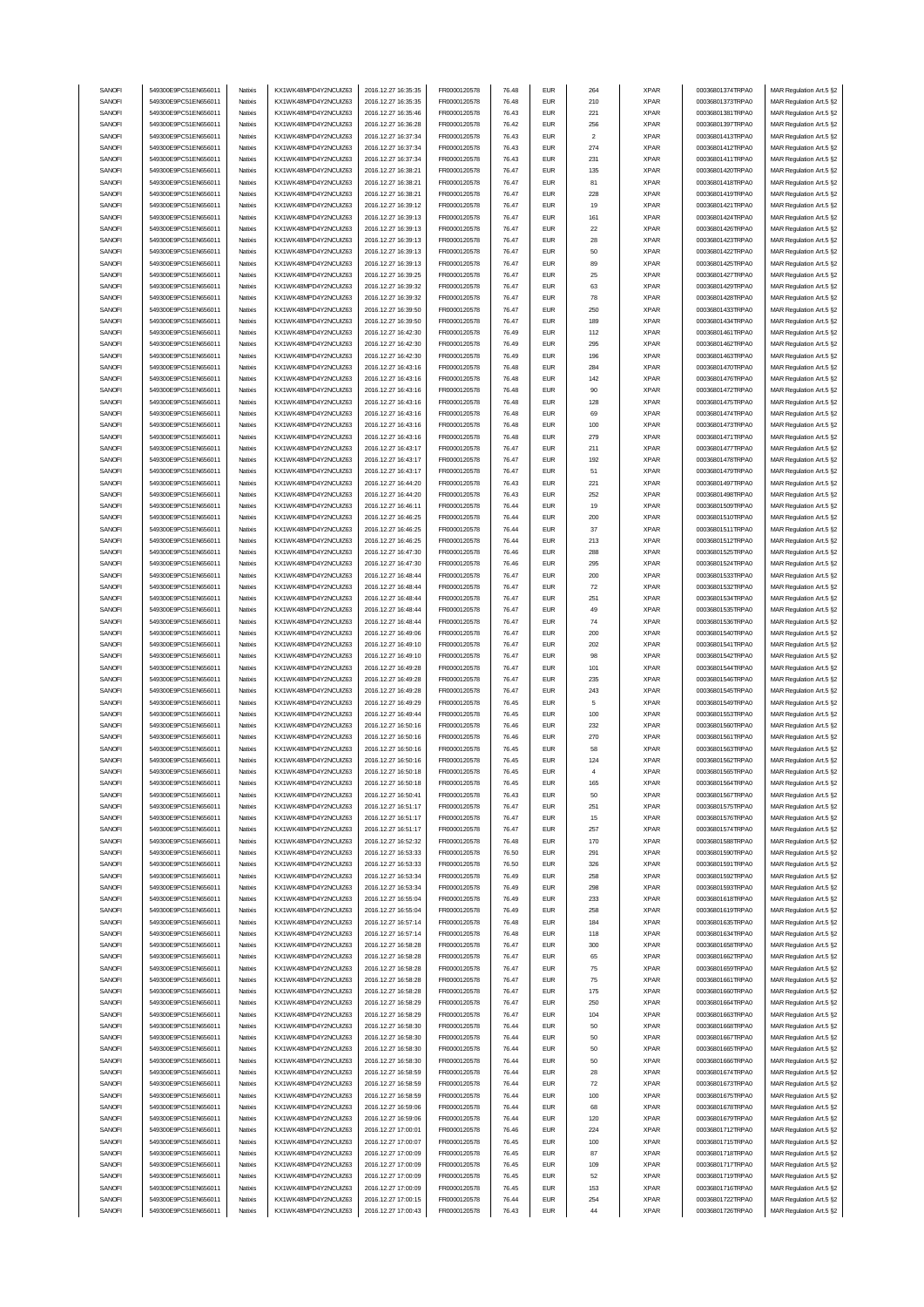| SANOFI | 549300E9PC51EN656011 | Natixis | KX1WK48MPD4Y2NCUIZ63  | 2016.12.27 16:35:35 | FR0000120578 | 76.48 | <b>EUR</b>                  | 264                     | <b>XPAR</b> | 00036801374TRPA0 | MAR Regulation Art.5 §2 |
|--------|----------------------|---------|-----------------------|---------------------|--------------|-------|-----------------------------|-------------------------|-------------|------------------|-------------------------|
|        | 549300E9PC51EN656011 |         |                       |                     |              |       | <b>EUR</b>                  |                         |             |                  | MAR Regulation Art.5 §2 |
| SANOFI |                      | Natixis | KX1WK48MPD4Y2NCUIZ63  | 2016.12.27 16:35:35 | FR0000120578 | 76.48 |                             | 210                     | <b>XPAR</b> | 00036801373TRPA0 |                         |
| SANOFI | 549300E9PC51EN656011 | Natixis | KX1WK48MPD4Y2NCUIZ63  | 2016.12.27 16:35:46 | FR0000120578 | 76.43 | <b>EUR</b>                  | 221                     | <b>XPAR</b> | 00036801381TRPA0 | MAR Regulation Art.5 §2 |
| SANOFI | 549300E9PC51EN656011 | Natixis | KX1WK48MPD4Y2NCLIIZ63 | 2016.12.27 16:36:28 | FR0000120578 | 76.42 | <b>EUR</b>                  | 256                     | <b>XPAR</b> | 00036801397TRPA0 | MAR Regulation Art.5 §2 |
| SANOFI | 549300E9PC51EN656011 | Natixis | KX1WK48MPD4Y2NCUIZ63  | 2016.12.27 16:37:34 | FR0000120578 | 76.43 | <b>EUR</b>                  | $\overline{\mathbf{c}}$ | <b>XPAR</b> | 00036801413TRPA0 | MAR Regulation Art.5 §2 |
| SANOFI | 549300E9PC51EN656011 | Natixis | KX1WK48MPD4Y2NCUIZ63  | 2016.12.27 16:37:34 | FR0000120578 | 76.43 | <b>EUR</b>                  | 274                     | <b>XPAR</b> | 00036801412TRPA0 | MAR Regulation Art.5 §2 |
| SANOFI | 549300E9PC51EN656011 | Natixis | KX1WK48MPD4Y2NCUIZ63  | 2016.12.27 16:37:34 | FR0000120578 | 76.43 | <b>EUR</b>                  | 231                     | <b>XPAR</b> | 00036801411TRPA0 | MAR Regulation Art.5 §2 |
| SANOFI | 549300E9PC51EN656011 | Natixis | KX1WK48MPD4Y2NCUIZ63  | 2016.12.27 16:38:21 | FR0000120578 | 76.47 | <b>EUR</b>                  | 135                     | <b>XPAR</b> | 00036801420TRPA0 | MAR Regulation Art.5 §2 |
| SANOFI | 549300E9PC51EN656011 |         |                       |                     |              | 76.47 | <b>EUR</b>                  |                         |             |                  |                         |
|        |                      | Natixis | KX1WK48MPD4Y2NCUIZ63  | 2016.12.27 16:38:21 | FR0000120578 |       |                             | 81                      | <b>XPAR</b> | 00036801418TRPA0 | MAR Regulation Art.5 §2 |
| SANOFI | 549300E9PC51EN656011 | Natixis | KX1WK48MPD4Y2NCUIZ63  | 2016.12.27 16:38:21 | FR0000120578 | 76.47 | <b>EUR</b>                  | 228                     | <b>XPAR</b> | 00036801419TRPA0 | MAR Regulation Art.5 §2 |
| SANOFI | 549300E9PC51EN656011 | Natixis | KX1WK48MPD4Y2NCUIZ63  | 2016.12.27 16:39:12 | FR0000120578 | 76.47 | <b>EUR</b>                  | 19                      | <b>XPAR</b> | 00036801421TRPA0 | MAR Regulation Art.5 §2 |
| SANOFI | 549300E9PC51EN656011 | Natixis | KX1WK48MPD4Y2NCUIZ63  | 2016.12.27 16:39:13 | FR0000120578 | 76.47 | <b>EUR</b>                  | 161                     | <b>XPAR</b> | 00036801424TRPA0 | MAR Regulation Art.5 §2 |
| SANOFI | 549300E9PC51EN656011 | Natixis | KX1WK48MPD4Y2NCUIZ63  | 2016.12.27 16:39:13 | FR0000120578 | 76.47 | <b>EUR</b>                  | 22                      | <b>XPAR</b> | 00036801426TRPA0 | MAR Regulation Art.5 §2 |
| SANOFI | 549300E9PC51EN656011 | Natixis | KX1WK48MPD4Y2NCUIZ63  | 2016.12.27 16:39:13 | FR0000120578 | 76.47 | <b>EUR</b>                  | 28                      | <b>XPAR</b> | 00036801423TRPA0 | MAR Regulation Art.5 §2 |
|        |                      |         |                       |                     |              |       |                             |                         |             |                  |                         |
| SANOFI | 549300E9PC51EN656011 | Natixis | KX1WK48MPD4Y2NCUIZ63  | 2016.12.27 16:39:13 | FR0000120578 | 76.47 | <b>EUR</b>                  | 50                      | <b>XPAR</b> | 00036801422TRPA0 | MAR Regulation Art.5 §2 |
| SANOFI | 549300E9PC51EN656011 | Natixis | KX1WK48MPD4Y2NCUIZ63  | 2016.12.27 16:39:13 | FR0000120578 | 76.47 | <b>EUR</b>                  | 89                      | <b>XPAR</b> | 00036801425TRPA0 | MAR Regulation Art.5 §2 |
| SANOFI | 549300E9PC51EN656011 | Natixis | KX1WK48MPD4Y2NCUIZ63  | 2016.12.27 16:39:25 | FR0000120578 | 76.47 | <b>EUR</b>                  | 25                      | <b>XPAR</b> | 00036801427TRPA0 | MAR Regulation Art.5 §2 |
| SANOFI | 549300E9PC51EN656011 | Natixis | KX1WK48MPD4Y2NCUIZ63  | 2016.12.27 16:39:32 | FR0000120578 | 76.47 | <b>EUR</b>                  | 63                      | <b>XPAR</b> | 00036801429TRPA0 | MAR Regulation Art.5 §2 |
| SANOFI | 549300E9PC51EN656011 | Natixis | KX1WK48MPD4Y2NCUIZ63  | 2016.12.27 16:39:32 | FR0000120578 | 76.47 | <b>EUR</b>                  | 78                      | <b>XPAR</b> | 00036801428TRPA0 | MAR Regulation Art.5 §2 |
| SANOFI | 549300E9PC51EN656011 | Natixis | KX1WK48MPD4Y2NCUIZ63  | 2016.12.27 16:39:50 | FR0000120578 | 76.47 | <b>EUR</b>                  | 250                     | <b>XPAR</b> | 00036801433TRPA0 | MAR Regulation Art.5 §2 |
|        |                      |         |                       |                     |              |       | <b>EUR</b>                  |                         |             |                  |                         |
| SANOFI | 549300E9PC51EN656011 | Natixis | KX1WK48MPD4Y2NCUIZ63  | 2016.12.27 16:39:50 | FR0000120578 | 76.47 |                             | 189                     | <b>XPAR</b> | 00036801434TRPA0 | MAR Regulation Art.5 §2 |
| SANOFI | 549300E9PC51EN656011 | Natixis | KX1WK48MPD4Y2NCUIZ63  | 2016.12.27 16:42:30 | FR0000120578 | 76.49 | <b>EUR</b>                  | 112                     | <b>XPAR</b> | 00036801461TRPA0 | MAR Regulation Art.5 §2 |
| SANOFI | 549300E9PC51EN656011 | Natixis | KX1WK48MPD4Y2NCUIZ63  | 2016.12.27 16:42:30 | FR0000120578 | 76.49 | <b>EUR</b>                  | 295                     | <b>XPAR</b> | 00036801462TRPA0 | MAR Regulation Art.5 §2 |
| SANOFI | 549300E9PC51EN656011 | Natixis | KX1WK48MPD4Y2NCUIZ63  | 2016.12.27 16:42:30 | FR0000120578 | 76.49 | <b>EUR</b>                  | 196                     | <b>XPAR</b> | 00036801463TRPA0 | MAR Regulation Art.5 §2 |
| SANOFI | 549300E9PC51EN656011 | Natixis | KX1WK48MPD4Y2NCUIZ63  | 2016.12.27 16:43:16 | FR0000120578 | 76.48 | <b>EUR</b>                  | 284                     | <b>XPAR</b> | 00036801470TRPA0 | MAR Regulation Art.5 §2 |
| SANOFI | 549300E9PC51EN656011 | Natixis | KX1WK48MPD4Y2NCUIZ63  | 2016.12.27 16:43:16 | FR0000120578 | 76.48 | <b>EUR</b>                  | 142                     | <b>XPAR</b> | 00036801476TRPA0 | MAR Regulation Art.5 §2 |
| SANOFI | 549300E9PC51EN656011 | Natixis | KX1WK48MPD4Y2NCUIZ63  | 2016.12.27 16:43:16 | FR0000120578 | 76.48 | <b>EUR</b>                  | 90                      | <b>XPAR</b> | 00036801472TRPA0 | MAR Regulation Art.5 §2 |
|        |                      |         |                       |                     |              |       |                             |                         |             |                  |                         |
| SANOFI | 549300E9PC51EN656011 | Natixis | KX1WK48MPD4Y2NCUIZ63  | 2016.12.27 16:43:16 | FR0000120578 | 76.48 | <b>EUR</b>                  | 128                     | <b>XPAR</b> | 00036801475TRPA0 | MAR Regulation Art.5 §2 |
| SANOFI | 549300E9PC51EN656011 | Natixis | KX1WK48MPD4Y2NCUIZ63  | 2016.12.27 16:43:16 | FR0000120578 | 76.48 | <b>EUR</b>                  | 69                      | <b>XPAR</b> | 00036801474TRPA0 | MAR Regulation Art.5 §2 |
| SANOFI | 549300E9PC51EN656011 | Natixis | KX1WK48MPD4Y2NCUIZ63  | 2016.12.27 16:43:16 | FR0000120578 | 76.48 | <b>EUR</b>                  | 100                     | <b>XPAR</b> | 00036801473TRPA0 | MAR Regulation Art.5 §2 |
| SANOFI | 549300E9PC51EN656011 | Natixis | KX1WK48MPD4Y2NCUIZ63  | 2016.12.27 16:43:16 | FR0000120578 | 76.48 | <b>EUR</b>                  | 279                     | <b>XPAR</b> | 00036801471TRPA0 | MAR Regulation Art.5 §2 |
| SANOFI | 549300E9PC51EN656011 | Natixis | KX1WK48MPD4Y2NCUIZ63  | 2016.12.27 16:43:17 | FR0000120578 | 76.47 | <b>EUR</b>                  | 211                     | <b>XPAR</b> | 00036801477TRPA0 | MAR Regulation Art.5 §2 |
| SANOFI | 549300E9PC51EN656011 | Natixis | KX1WK48MPD4Y2NCUIZ63  | 2016.12.27 16:43:17 | FR0000120578 | 76.47 | <b>EUR</b>                  | 192                     | <b>XPAR</b> | 00036801478TRPA0 | MAR Regulation Art.5 §2 |
| SANOFI | 549300E9PC51EN656011 | Natixis | KX1WK48MPD4Y2NCUIZ63  | 2016.12.27 16:43:17 | FR0000120578 | 76.47 | <b>EUR</b>                  | 51                      | <b>XPAR</b> | 00036801479TRPA0 |                         |
|        |                      |         |                       |                     |              |       |                             |                         |             |                  | MAR Regulation Art.5 §2 |
| SANOFI | 549300E9PC51EN656011 | Natixis | KX1WK48MPD4Y2NCUIZ63  | 2016.12.27 16:44:20 | FR0000120578 | 76.43 | <b>EUR</b>                  | 221                     | <b>XPAR</b> | 00036801497TRPA0 | MAR Regulation Art.5 §2 |
| SANOFI | 549300E9PC51EN656011 | Natixis | KX1WK48MPD4Y2NCUIZ63  | 2016.12.27 16:44:20 | FR0000120578 | 76.43 | <b>EUR</b>                  | 252                     | <b>XPAR</b> | 00036801498TRPA0 | MAR Regulation Art.5 §2 |
| SANOFI | 549300E9PC51EN656011 | Natixis | KX1WK48MPD4Y2NCLIIZ63 | 2016.12.27 16:46:11 | FR0000120578 | 76.44 | <b>EUR</b>                  | 19                      | <b>XPAR</b> | 00036801509TRPA0 | MAR Regulation Art.5 §2 |
| SANOFI | 549300E9PC51EN656011 | Natixis | KX1WK48MPD4Y2NCUIZ63  | 2016.12.27 16:46:25 | FR0000120578 | 76.44 | <b>EUR</b>                  | 200                     | <b>XPAR</b> | 00036801510TRPA0 | MAR Regulation Art.5 §2 |
| SANOFI | 549300E9PC51EN656011 | Natixis | KX1WK48MPD4Y2NCUIZ63  | 2016.12.27 16:46:25 | FR0000120578 | 76.44 | <b>EUR</b>                  | 37                      | <b>XPAR</b> | 00036801511TRPA0 | MAR Regulation Art.5 §2 |
| SANOFI | 549300E9PC51EN656011 | Natixis | KX1WK48MPD4Y2NCUIZ63  | 2016.12.27 16:46:25 | FR0000120578 | 76.44 | <b>EUR</b>                  | 213                     | <b>XPAR</b> | 00036801512TRPA0 | MAR Regulation Art.5 §2 |
| SANOFI | 549300E9PC51EN656011 | Natixis | KX1WK48MPD4Y2NCUIZ63  | 2016.12.27 16:47:30 | FR0000120578 | 76.46 | <b>EUR</b>                  | 288                     | <b>XPAR</b> | 00036801525TRPA0 | MAR Regulation Art.5 §2 |
| SANOFI | 549300E9PC51EN656011 | Natixis | KX1WK48MPD4Y2NCUIZ63  | 2016.12.27 16:47:30 | FR0000120578 | 76.46 | <b>EUR</b>                  | 295                     | <b>XPAR</b> | 00036801524TRPA0 | MAR Regulation Art.5 §2 |
| SANOFI | 549300E9PC51EN656011 | Natixis | KX1WK48MPD4Y2NCUIZ63  | 2016.12.27 16:48:44 | FR0000120578 | 76.47 | <b>EUR</b>                  | 200                     | <b>XPAR</b> | 00036801533TRPA0 |                         |
|        |                      |         |                       |                     |              |       |                             |                         |             |                  | MAR Regulation Art.5 §2 |
| SANOFI | 549300E9PC51EN656011 | Natixis | KX1WK48MPD4Y2NCUIZ63  | 2016.12.27 16:48:44 | FR0000120578 | 76.47 | <b>EUR</b>                  | 72                      | <b>XPAR</b> | 00036801532TRPA0 | MAR Regulation Art.5 §2 |
| SANOFI | 549300E9PC51EN656011 | Natixis | KX1WK48MPD4Y2NCUIZ63  | 2016.12.27 16:48:44 | FR0000120578 | 76.47 | <b>EUR</b>                  | 251                     | <b>XPAR</b> | 00036801534TRPA0 | MAR Regulation Art.5 §2 |
| SANOFI | 549300E9PC51EN656011 | Natixis | KX1WK48MPD4Y2NCUIZ63  | 2016.12.27 16:48:44 | FR0000120578 | 76.47 | <b>EUR</b>                  | 49                      | <b>XPAR</b> | 00036801535TRPA0 | MAR Regulation Art.5 §2 |
| SANOFI | 549300E9PC51EN656011 | Natixis | KX1WK48MPD4Y2NCUIZ63  | 2016.12.27 16:48:44 | FR0000120578 | 76.47 | <b>EUR</b>                  | 74                      | <b>XPAR</b> | 00036801536TRPA0 | MAR Regulation Art.5 §2 |
| SANOFI | 549300E9PC51EN656011 | Natixis | KX1WK48MPD4Y2NCUIZ63  | 2016.12.27 16:49:06 | FR0000120578 | 76.47 | <b>EUR</b>                  | 200                     | <b>XPAR</b> | 00036801540TRPA0 | MAR Regulation Art.5 §2 |
|        |                      |         |                       |                     |              |       |                             |                         |             |                  |                         |
|        |                      |         |                       |                     |              |       |                             |                         |             |                  |                         |
| SANOFI | 549300E9PC51EN656011 | Natixis | KX1WK48MPD4Y2NCUIZ63  | 2016.12.27 16:49:10 | FR0000120578 | 76.47 | <b>EUR</b>                  | 202                     | <b>XPAR</b> | 00036801541TRPA0 | MAR Regulation Art.5 §2 |
| SANOFI | 549300E9PC51EN656011 | Natixis | KX1WK48MPD4Y2NCUIZ63  | 2016.12.27 16:49:10 | FR0000120578 | 76.47 | <b>EUR</b>                  | 98                      | <b>XPAR</b> | 00036801542TRPA0 | MAR Regulation Art.5 §2 |
| SANOFI | 549300E9PC51EN656011 | Natixis | KX1WK48MPD4Y2NCUIZ63  | 2016.12.27 16:49:28 | FR0000120578 | 76.47 | <b>EUR</b>                  | 101                     | <b>XPAR</b> | 00036801544TRPA0 | MAR Regulation Art.5 §2 |
| SANOFI | 549300E9PC51EN656011 | Natixis | KX1WK48MPD4Y2NCUIZ63  | 2016.12.27 16:49:28 | FR0000120578 | 76.47 | <b>EUR</b>                  | 235                     | <b>XPAR</b> | 00036801546TRPA0 | MAR Regulation Art.5 §2 |
| SANOFI | 549300E9PC51EN656011 | Natixis | KX1WK48MPD4Y2NCUIZ63  | 2016.12.27 16:49:28 | FR0000120578 | 76.47 | <b>EUR</b>                  | 243                     | <b>XPAR</b> | 00036801545TRPA0 | MAR Regulation Art.5 §2 |
| SANOFI | 549300E9PC51EN656011 | Natixis | KX1WK48MPD4Y2NCUIZ63  | 2016.12.27 16:49:29 | FR0000120578 | 76.45 | <b>EUR</b>                  | 5                       | <b>XPAR</b> | 00036801549TRPA0 | MAR Regulation Art.5 §2 |
| SANOFI | 549300E9PC51EN656011 | Natixis | KX1WK48MPD4Y2NCUIZ63  | 2016.12.27 16:49:44 | FR0000120578 | 76.45 | <b>EUR</b>                  | 100                     | <b>XPAR</b> | 00036801553TRPA0 | MAR Regulation Art.5 §2 |
| SANOFI | 549300E9PC51EN656011 | Natixis | KX1WK48MPD4Y2NCUIZ63  | 2016.12.27 16:50:16 | FR0000120578 | 76.46 | <b>EUR</b>                  | 232                     | <b>XPAR</b> | 00036801560TRPA0 | MAR Regulation Art.5 §2 |
|        |                      | Natixis |                       |                     |              | 76.46 | <b>EUR</b>                  |                         |             | 00036801561TRPA0 |                         |
| SANOFI | 549300E9PC51EN656011 |         | KX1WK48MPD4Y2NCUIZ63  | 2016.12.27 16:50:16 | FR0000120578 |       |                             | 270                     | <b>XPAR</b> |                  | MAR Regulation Art.5 §2 |
| SANOFI | 549300E9PC51EN656011 | Natixis | KX1WK48MPD4Y2NCUIZ63  | 2016.12.27 16:50:16 | FR0000120578 | 76.45 | <b>EUR</b>                  | 58                      | <b>XPAR</b> | 00036801563TRPA0 | MAR Regulation Art.5 §2 |
| SANOFI | 549300E9PC51EN656011 | Natixis | KX1WK48MPD4Y2NCUIZ63  | 2016.12.27 16:50:16 | FR0000120578 | 76.45 | <b>FUR</b>                  | 124                     | <b>XPAR</b> | 00036801562TRPA0 | MAR Regulation Art.5 §2 |
| SANOFI | 549300E9PC51EN656011 | Natixis | KX1WK48MPD4Y2NCUIZ63  | 2016.12.27 16:50:18 | FR0000120578 | 76.45 | EUR                         |                         | XPAR        | 00036801565TRPA0 | MAR Regulation Art.5 §2 |
| SANOFI | 549300E9PC51EN656011 | Natixis | KX1WK48MPD4Y2NCUIZ63  | 2016.12.27 16:50:18 | FR0000120578 | 76.45 | <b>EUR</b>                  | 165                     | <b>XPAR</b> | 00036801564TRPA0 | MAR Regulation Art.5 §2 |
| SANOFI | 549300E9PC51EN656011 | Natixis | KX1WK48MPD4Y2NCUIZ63  | 2016.12.27 16:50:41 | FR0000120578 | 76.43 | <b>EUR</b>                  | 50                      | <b>XPAR</b> | 00036801567TRPA0 | MAR Regulation Art.5 §2 |
| SANOFI | 549300E9PC51EN656011 | Natixis | KX1WK48MPD4Y2NCUIZ63  | 2016.12.27 16:51:17 | FR0000120578 | 76.47 | <b>EUR</b>                  | 251                     | <b>XPAR</b> | 00036801575TRPA0 | MAR Regulation Art.5 §2 |
|        | 549300E9PC51EN656011 | Natixis | KX1WK48MPD4Y2NCUIZ63  |                     |              |       | <b>EUR</b>                  |                         |             | 00036801576TRPA0 |                         |
| SANOFI | 549300E9PC51EN656011 | Natixis | KX1WK48MPD4Y2NCUIZ63  | 2016.12.27 16:51:17 | FR0000120578 | 76.47 |                             | 15                      | <b>XPAR</b> |                  | MAR Regulation Art.5 §2 |
| SANOFI |                      |         |                       | 2016.12.27 16:51:17 | FR0000120578 | 76.47 | <b>EUR</b>                  | 257                     | <b>XPAR</b> | 00036801574TRPA0 | MAR Regulation Art.5 §2 |
| SANOFI | 549300E9PC51EN656011 | Natixis | KX1WK48MPD4Y2NCUIZ63  | 2016.12.27 16:52:32 | FR0000120578 | 76.48 | <b>EUR</b>                  | 170                     | <b>XPAR</b> | 00036801588TRPA0 | MAR Regulation Art.5 §2 |
| SANOFI | 549300E9PC51EN656011 | Natixis | KX1WK48MPD4Y2NCUIZ63  | 2016.12.27 16:53:33 | FR0000120578 | 76.50 | <b>EUR</b>                  | 291                     | <b>XPAR</b> | 00036801590TRPA0 | MAR Regulation Art.5 §2 |
| SANOFI | 549300E9PC51EN656011 | Natixis | KX1WK48MPD4Y2NCUIZ63  | 2016.12.27 16:53:33 | FR0000120578 | 76.50 | <b>EUR</b>                  | 326                     | <b>XPAR</b> | 00036801591TRPA0 | MAR Regulation Art.5 §2 |
| SANOFI | 549300E9PC51EN656011 | Natixis | KX1WK48MPD4Y2NCUIZ63  | 2016.12.27 16:53:34 | FR0000120578 | 76.49 | <b>EUR</b>                  | 258                     | <b>XPAR</b> | 00036801592TRPA0 | MAR Regulation Art.5 §2 |
| SANOFI | 549300E9PC51EN656011 | Natixis | KX1WK48MPD4Y2NCUIZ63  | 2016.12.27 16:53:34 | FR0000120578 | 76.49 | <b>EUR</b>                  | 298                     | <b>XPAR</b> | 00036801593TRPA0 | MAR Regulation Art.5 §2 |
| SANOFI | 549300E9PC51EN656011 | Natixis | KX1WK48MPD4Y2NCUIZ63  | 2016.12.27 16:55:04 | FR0000120578 | 76.49 | <b>EUR</b>                  | 233                     | <b>XPAR</b> | 00036801618TRPA0 | MAR Regulation Art.5 §2 |
|        |                      |         |                       |                     |              |       |                             |                         |             |                  |                         |
| SANOFI | 549300E9PC51EN656011 | Natixis | KX1WK48MPD4Y2NCUIZ63  | 2016.12.27 16:55:04 | FR0000120578 | 76.49 | <b>EUR</b>                  | 258                     | <b>XPAR</b> | 00036801619TRPA0 | MAR Regulation Art.5 §2 |
| SANOFI | 549300E9PC51EN656011 | Natixis | KX1WK48MPD4Y2NCUIZ63  | 2016.12.27 16:57:14 | FR0000120578 | 76.48 | <b>EUR</b>                  | 184                     | <b>XPAR</b> | 00036801635TRPA0 | MAR Regulation Art.5 §2 |
| SANOFI | 549300E9PC51EN656011 | Natixis | KX1WK48MPD4Y2NCUIZ63  | 2016.12.27 16:57:14 | FR0000120578 | 76.48 | <b>EUR</b>                  | 118                     | <b>XPAR</b> | 00036801634TRPA0 | MAR Regulation Art.5 §2 |
| SANOFI | 549300E9PC51EN656011 | Natixis | KX1WK48MPD4Y2NCUIZ63  | 2016.12.27 16:58:28 | FR0000120578 | 76.47 | <b>EUR</b>                  | 300                     | <b>XPAR</b> | 00036801658TRPA0 | MAR Regulation Art.5 §2 |
| SANOFI | 549300E9PC51EN656011 | Natixis | KX1WK48MPD4Y2NCUIZ63  | 2016.12.27 16:58:28 | FR0000120578 | 76.47 | <b>EUR</b>                  | 65                      | <b>XPAR</b> | 00036801662TRPA0 | MAR Regulation Art.5 §2 |
| SANOFI | 549300E9PC51EN656011 | Natixis | KX1WK48MPD4Y2NCUIZ63  | 2016.12.27 16:58:28 | FR0000120578 | 76.47 | <b>EUR</b>                  | 75                      | <b>XPAR</b> | 00036801659TRPA0 | MAR Regulation Art.5 §2 |
|        |                      |         |                       |                     |              |       |                             |                         |             |                  |                         |
| SANOFI | 549300E9PC51EN656011 | Natixis | KX1WK48MPD4Y2NCUIZ63  | 2016.12.27 16:58:28 | FR0000120578 | 76.47 | <b>EUR</b>                  | 75                      | <b>XPAR</b> | 00036801661TRPA0 | MAR Regulation Art.5 §2 |
| SANOFI | 549300E9PC51EN656011 | Natixis | KX1WK48MPD4Y2NCUIZ63  | 2016.12.27 16:58:28 | FR0000120578 | 76.47 | <b>EUR</b>                  | 175                     | <b>XPAR</b> | 00036801660TRPA0 | MAR Regulation Art.5 §2 |
| SANOFI | 549300E9PC51EN656011 | Natixis | KX1WK48MPD4Y2NCUIZ63  | 2016.12.27 16:58:29 | FR0000120578 | 76.47 | <b>EUR</b>                  | 250                     | <b>XPAR</b> | 00036801664TRPA0 | MAR Regulation Art.5 §2 |
| SANOFI | 549300E9PC51EN656011 | Natixis | KX1WK48MPD4Y2NCUIZ63  | 2016.12.27 16:58:29 | FR0000120578 | 76.47 | <b>EUR</b>                  | 104                     | <b>XPAR</b> | 00036801663TRPA0 | MAR Regulation Art.5 §2 |
| SANOFI | 549300E9PC51EN656011 | Natixis | KX1WK48MPD4Y2NCUIZ63  | 2016.12.27 16:58:30 | FR0000120578 | 76.44 | <b>EUR</b>                  | 50                      | <b>XPAR</b> | 00036801668TRPA0 | MAR Regulation Art.5 §2 |
| SANOFI | 549300E9PC51EN656011 | Natixis | KX1WK48MPD4Y2NCUIZ63  | 2016.12.27 16:58:30 | FR0000120578 | 76.44 | <b>EUR</b>                  | 50                      | <b>XPAR</b> | 00036801667TRPA0 | MAR Regulation Art.5 §2 |
| SANOFI | 549300E9PC51EN656011 | Natixis | KX1WK48MPD4Y2NCUIZ63  | 2016.12.27 16:58:30 | FR0000120578 | 76.44 | <b>EUR</b>                  | 50                      | <b>XPAR</b> | 00036801665TRPA0 | MAR Regulation Art.5 §2 |
| SANOFI | 549300E9PC51EN656011 | Natixis | KX1WK48MPD4Y2NCUIZ63  | 2016.12.27 16:58:30 | FR0000120578 | 76.44 | <b>EUR</b>                  | 50                      | <b>XPAR</b> | 00036801666TRPA0 | MAR Regulation Art.5 §2 |
| SANOFI | 549300E9PC51EN656011 | Natixis | KX1WK48MPD4Y2NCUIZ63  | 2016.12.27 16:58:59 | FR0000120578 | 76.44 | <b>EUR</b>                  | 28                      | <b>XPAR</b> | 00036801674TRPA0 | MAR Regulation Art.5 §2 |
| SANOFI | 549300E9PC51EN656011 | Natixis | KX1WK48MPD4Y2NCUIZ63  | 2016.12.27 16:58:59 | FR0000120578 | 76.44 | <b>EUR</b>                  | 72                      | <b>XPAR</b> | 00036801673TRPA0 | MAR Regulation Art.5 §2 |
|        |                      | Natixis |                       |                     |              |       |                             |                         |             |                  |                         |
| SANOFI | 549300E9PC51EN656011 |         | KX1WK48MPD4Y2NCUIZ63  | 2016.12.27 16:58:59 | FR0000120578 | 76.44 | <b>EUR</b>                  | 100                     | <b>XPAR</b> | 00036801675TRPA0 | MAR Regulation Art.5 §2 |
| SANOFI | 549300E9PC51EN656011 | Natixis | KX1WK48MPD4Y2NCUIZ63  | 2016.12.27 16:59:06 | FR0000120578 | 76.44 | <b>EUR</b>                  | 68                      | <b>XPAR</b> | 00036801678TRPA0 | MAR Regulation Art.5 §2 |
| SANOFI | 549300E9PC51EN656011 | Natixis | KX1WK48MPD4Y2NCUIZ63  | 2016.12.27 16:59:06 | FR0000120578 | 76.44 | <b>EUR</b>                  | 120                     | <b>XPAR</b> | 00036801679TRPA0 | MAR Regulation Art.5 §2 |
| SANOFI | 549300E9PC51EN656011 | Natixis | KX1WK48MPD4Y2NCUIZ63  | 2016.12.27 17:00:01 | FR0000120578 | 76.46 | <b>EUR</b>                  | 224                     | <b>XPAR</b> | 00036801712TRPA0 | MAR Regulation Art.5 §2 |
| SANOFI | 549300E9PC51EN656011 | Natixis | KX1WK48MPD4Y2NCUIZ63  | 2016.12.27 17:00:07 | FR0000120578 | 76.45 | <b>EUR</b>                  | 100                     | <b>XPAR</b> | 00036801715TRPA0 | MAR Regulation Art.5 §2 |
| SANOFI | 549300E9PC51EN656011 | Natixis | KX1WK48MPD4Y2NCUIZ63  | 2016.12.27 17:00:09 | FR0000120578 | 76.45 | <b>EUR</b>                  | 87                      | <b>XPAR</b> | 00036801718TRPA0 | MAR Regulation Art.5 §2 |
| SANOFI | 549300E9PC51EN656011 | Natixis | KX1WK48MPD4Y2NCUIZ63  | 2016.12.27 17:00:09 | FR0000120578 | 76.45 | <b>EUR</b>                  | 109                     | <b>XPAR</b> | 00036801717TRPA0 | MAR Regulation Art.5 §2 |
| SANOFI | 549300E9PC51EN656011 | Natixis | KX1WK48MPD4Y2NCUIZ63  | 2016.12.27 17:00:09 | FR0000120578 | 76.45 | $\ensuremath{\mathsf{EUR}}$ | 52                      | <b>XPAR</b> | 00036801719TRPA0 | MAR Regulation Art.5 §2 |
| SANOFI | 549300E9PC51EN656011 | Natixis | KX1WK48MPD4Y2NCUIZ63  | 2016.12.27 17:00:09 | FR0000120578 | 76.45 | <b>EUR</b>                  | 153                     | <b>XPAR</b> | 00036801716TRPA0 | MAR Regulation Art.5 §2 |
| SANOFI | 549300E9PC51EN656011 | Natixis | KX1WK48MPD4Y2NCUIZ63  | 2016.12.27 17:00:15 | FR0000120578 | 76.44 | <b>EUR</b>                  | 254                     | <b>XPAR</b> | 00036801722TRPA0 | MAR Regulation Art.5 §2 |
| SANOFI | 549300E9PC51EN656011 | Natixis | KX1WK48MPD4Y2NCUIZ63  | 2016.12.27 17:00:43 | FR0000120578 | 76.43 | <b>EUR</b>                  | 44                      | <b>XPAR</b> | 00036801726TRPA0 | MAR Regulation Art.5 §2 |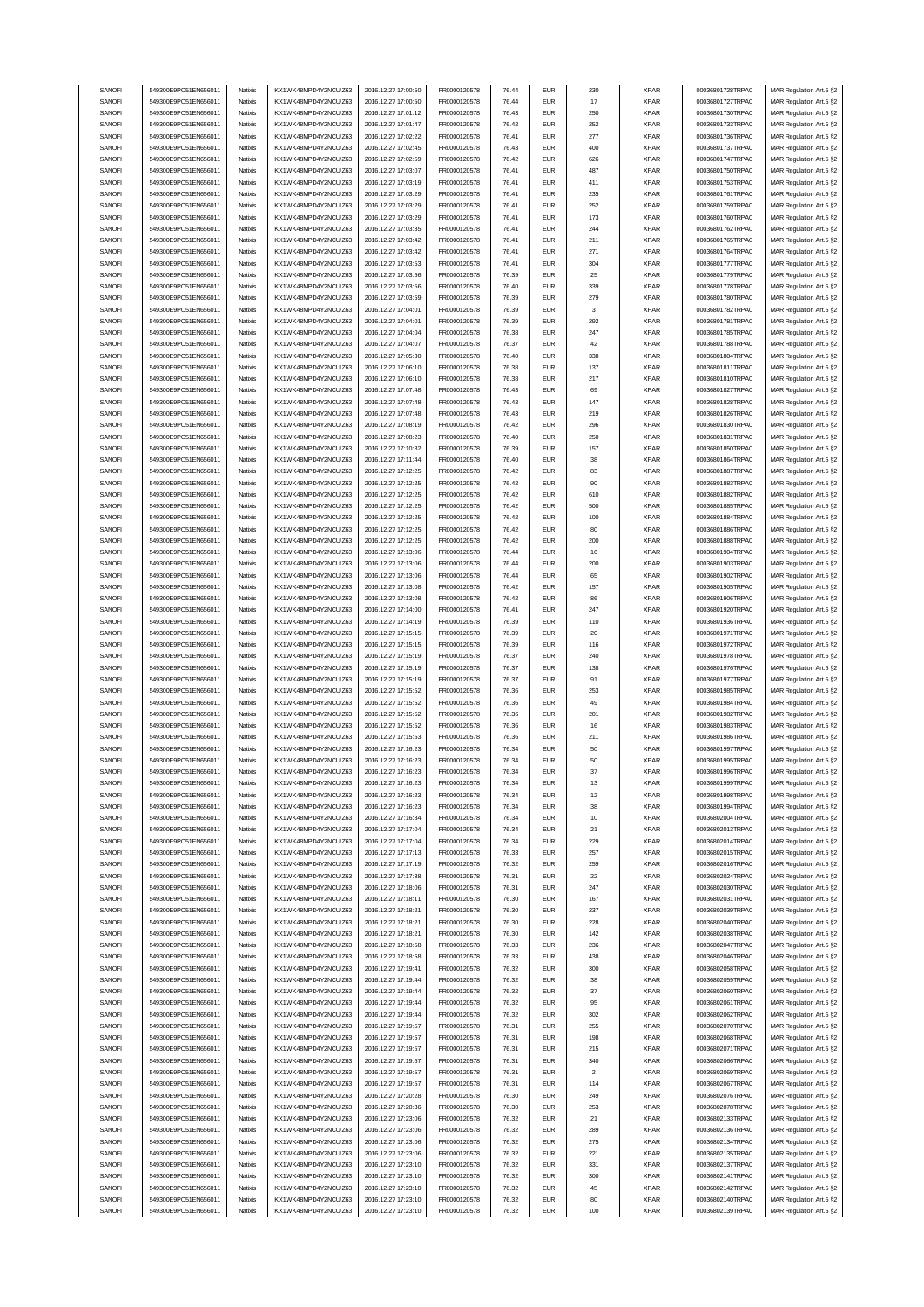| SANOFI           | 549300E9PC51EN656011                         | Natixis | KX1WK48MPD4Y2NCUIZ63                         | 2016.12.27 17:00:50                        | FR0000120578                 | 76.44          | <b>EUR</b>               | 230                     | <b>XPAR</b>                | 00036801728TRPA0                     | MAR Regulation Art.5 §2                            |
|------------------|----------------------------------------------|---------|----------------------------------------------|--------------------------------------------|------------------------------|----------------|--------------------------|-------------------------|----------------------------|--------------------------------------|----------------------------------------------------|
|                  | 549300E9PC51EN656011                         |         |                                              |                                            | FR0000120578                 |                | <b>EUR</b>               |                         |                            |                                      |                                                    |
| SANOFI           |                                              | Natixis | KX1WK48MPD4Y2NCUIZ63                         | 2016.12.27 17:00:50                        |                              | 76.44          |                          | 17                      | <b>XPAR</b>                | 00036801727TRPA0                     | MAR Regulation Art.5 §2                            |
| SANOFI           | 549300E9PC51EN656011                         | Natixis | KX1WK48MPD4Y2NCUIZ63                         | 2016.12.27 17:01:12                        | FR0000120578                 | 76.43          | <b>EUR</b>               | 250                     | <b>XPAR</b>                | 00036801730TRPA0                     | MAR Regulation Art.5 §2                            |
| SANOFI           | 549300E9PC51EN656011                         | Natixis | KX1WK48MPD4Y2NCLIIZ63                        | 2016.12.27 17:01:47                        | FR0000120578                 | 76.42          | <b>EUR</b>               | 252                     | <b>XPAR</b>                | 00036801733TRPA0                     | MAR Regulation Art.5 §2                            |
| SANOFI           | 549300E9PC51EN656011                         | Natixis | KX1WK48MPD4Y2NCUIZ63                         | 2016.12.27 17:02:22                        | FR0000120578                 | 76.41          | <b>EUR</b>               | 277                     | <b>XPAR</b>                | 00036801736TRPA0                     | MAR Regulation Art.5 §2                            |
| SANOFI           | 549300E9PC51EN656011                         | Natixis | KX1WK48MPD4Y2NCUIZ63                         | 2016.12.27 17:02:45                        | FR0000120578                 | 76.43          | <b>EUR</b>               | 400                     | <b>XPAR</b>                | 00036801737TRPA0                     | MAR Regulation Art.5 §2                            |
| SANOFI           | 549300E9PC51EN656011                         | Natixis | KX1WK48MPD4Y2NCUIZ63                         | 2016.12.27 17:02:59                        | FR0000120578                 | 76.42          | <b>EUR</b>               | 626                     | <b>XPAR</b>                | 00036801747TRPA0                     | MAR Regulation Art.5 §2                            |
| SANOFI           | 549300E9PC51EN656011                         | Natixis | KX1WK48MPD4Y2NCUIZ63                         | 2016.12.27 17:03:07                        | FR0000120578                 | 76.41          | <b>EUR</b>               | 487                     | <b>XPAR</b>                | 00036801750TRPA0                     | MAR Regulation Art.5 §2                            |
| SANOFI           | 549300E9PC51EN656011                         |         |                                              | 2016.12.27 17:03:19                        |                              | 76.41          | <b>EUR</b>               |                         |                            |                                      |                                                    |
|                  |                                              | Natixis | KX1WK48MPD4Y2NCUIZ63                         |                                            | FR0000120578                 |                |                          | 411                     | <b>XPAR</b>                | 00036801753TRPA0                     | MAR Regulation Art.5 §2                            |
| SANOFI           | 549300E9PC51EN656011                         | Natixis | KX1WK48MPD4Y2NCUIZ63                         | 2016.12.27 17:03:29                        | FR0000120578                 | 76.41          | <b>EUR</b>               | 235                     | <b>XPAR</b>                | 00036801761TRPA0                     | MAR Regulation Art.5 §2                            |
| SANOFI           | 549300E9PC51EN656011                         | Natixis | KX1WK48MPD4Y2NCUIZ63                         | 2016.12.27 17:03:29                        | FR0000120578                 | 76.41          | <b>EUR</b>               | 252                     | <b>XPAR</b>                | 00036801759TRPA0                     | MAR Regulation Art.5 §2                            |
| SANOFI           | 549300E9PC51EN656011                         | Natixis | KX1WK48MPD4Y2NCUIZ63                         | 2016.12.27 17:03:29                        | FR0000120578                 | 76.41          | <b>EUR</b>               | 173                     | <b>XPAR</b>                | 00036801760TRPA0                     | MAR Regulation Art.5 §2                            |
| SANOFI           | 549300E9PC51EN656011                         | Natixis | KX1WK48MPD4Y2NCUIZ63                         | 2016.12.27 17:03:35                        | FR0000120578                 | 76.41          | <b>EUR</b>               | 244                     | <b>XPAR</b>                | 00036801762TRPA0                     | MAR Regulation Art.5 §2                            |
| SANOFI           | 549300E9PC51EN656011                         | Natixis | KX1WK48MPD4Y2NCUIZ63                         | 2016.12.27 17:03:42                        | FR0000120578                 | 76.41          | <b>EUR</b>               | 211                     | <b>XPAR</b>                | 00036801765TRPA0                     | MAR Regulation Art.5 §2                            |
|                  |                                              |         | KX1WK48MPD4Y2NCUIZ63                         |                                            |                              |                |                          |                         |                            | 00036801764TRPA0                     |                                                    |
| SANOFI           | 549300E9PC51EN656011                         | Natixis |                                              | 2016.12.27 17:03:42                        | FR0000120578                 | 76.41          | <b>EUR</b>               | 271                     | <b>XPAR</b>                |                                      | MAR Regulation Art.5 §2                            |
| SANOFI           | 549300E9PC51EN656011                         | Natixis | KX1WK48MPD4Y2NCUIZ63                         | 2016.12.27 17:03:53                        | FR0000120578                 | 76.41          | <b>EUR</b>               | 304                     | <b>XPAR</b>                | 00036801777TRPA0                     | MAR Regulation Art.5 §2                            |
| SANOFI           | 549300E9PC51EN656011                         | Natixis | KX1WK48MPD4Y2NCUIZ63                         | 2016.12.27 17:03:56                        | FR0000120578                 | 76.39          | <b>EUR</b>               | 25                      | <b>XPAR</b>                | 00036801779TRPA0                     | MAR Regulation Art.5 §2                            |
| SANOFI           | 549300E9PC51EN656011                         | Natixis | KX1WK48MPD4Y2NCUIZ63                         | 2016.12.27 17:03:56                        | FR0000120578                 | 76.40          | <b>EUR</b>               | 339                     | <b>XPAR</b>                | 00036801778TRPA0                     | MAR Regulation Art.5 §2                            |
| SANOFI           | 549300E9PC51EN656011                         | Natixis | KX1WK48MPD4Y2NCUIZ63                         | 2016.12.27 17:03:59                        | FR0000120578                 | 76.39          | <b>EUR</b>               | 279                     | <b>XPAR</b>                | 00036801780TRPA0                     | MAR Regulation Art.5 §2                            |
| SANOFI           | 549300E9PC51EN656011                         | Natixis | KX1WK48MPD4Y2NCUIZ63                         | 2016.12.27 17:04:01                        | FR0000120578                 | 76.39          | <b>EUR</b>               | 3                       | <b>XPAR</b>                | 00036801782TRPA0                     | MAR Regulation Art.5 §2                            |
|                  |                                              |         |                                              |                                            |                              | 76.39          | <b>EUR</b>               |                         |                            |                                      |                                                    |
| SANOFI           | 549300E9PC51EN656011                         | Natixis | KX1WK48MPD4Y2NCUIZ63                         | 2016.12.27 17:04:01                        | FR0000120578                 |                |                          | 292                     | <b>XPAR</b>                | 00036801781TRPA0                     | MAR Regulation Art.5 §2                            |
| SANOFI           | 549300E9PC51EN656011                         | Natixis | KX1WK48MPD4Y2NCUIZ63                         | 2016.12.27 17:04:04                        | FR0000120578                 | 76.38          | <b>EUR</b>               | 247                     | <b>XPAR</b>                | 00036801785TRPA0                     | MAR Regulation Art.5 §2                            |
| SANOFI           | 549300E9PC51EN656011                         | Natixis | KX1WK48MPD4Y2NCUIZ63                         | 2016.12.27 17:04:07                        | FR0000120578                 | 76.37          | <b>EUR</b>               | 42                      | <b>XPAR</b>                | 00036801788TRPA0                     | MAR Regulation Art.5 §2                            |
| SANOFI           | 549300E9PC51EN656011                         | Natixis | KX1WK48MPD4Y2NCUIZ63                         | 2016.12.27 17:05:30                        | FR0000120578                 | 76.40          | <b>EUR</b>               | 338                     | <b>XPAR</b>                | 00036801804TRPA0                     | MAR Regulation Art.5 §2                            |
| SANOFI           | 549300E9PC51EN656011                         | Natixis | KX1WK48MPD4Y2NCUIZ63                         | 2016.12.27 17:06:10                        | FR0000120578                 | 76.38          | <b>EUR</b>               | 137                     | <b>XPAR</b>                | 00036801811TRPA0                     | MAR Regulation Art.5 §2                            |
| SANOFI           | 549300E9PC51EN656011                         | Natixis | KX1WK48MPD4Y2NCUIZ63                         | 2016.12.27 17:06:10                        | FR0000120578                 | 76.38          | <b>EUR</b>               | 217                     | <b>XPAR</b>                | 00036801810TRPA0                     | MAR Regulation Art.5 §2                            |
| SANOFI           | 549300E9PC51EN656011                         | Natixis | KX1WK48MPD4Y2NCUIZ63                         | 2016.12.27 17:07:48                        | FR0000120578                 | 76.43          | <b>EUR</b>               | 69                      | <b>XPAR</b>                | 00036801827TRPA0                     | MAR Regulation Art.5 §2                            |
|                  |                                              |         |                                              |                                            |                              |                |                          |                         |                            |                                      |                                                    |
| SANOFI           | 549300E9PC51EN656011                         | Natixis | KX1WK48MPD4Y2NCUIZ63                         | 2016.12.27 17:07:48                        | FR0000120578                 | 76.43          | <b>EUR</b>               | 147                     | <b>XPAR</b>                | 00036801828TRPA0                     | MAR Regulation Art.5 §2                            |
| SANOFI           | 549300E9PC51EN656011                         | Natixis | KX1WK48MPD4Y2NCUIZ63                         | 2016.12.27 17:07:48                        | FR0000120578                 | 76.43          | <b>EUR</b>               | 219                     | <b>XPAR</b>                | 00036801826TRPA0                     | MAR Regulation Art.5 §2                            |
| SANOFI           | 549300E9PC51EN656011                         | Natixis | KX1WK48MPD4Y2NCUIZ63                         | 2016.12.27 17:08:19                        | FR0000120578                 | 76.42          | <b>EUR</b>               | 296                     | <b>XPAR</b>                | 00036801830TRPA0                     | MAR Regulation Art.5 §2                            |
| SANOFI           | 549300E9PC51EN656011                         | Natixis | KX1WK48MPD4Y2NCUIZ63                         | 2016.12.27 17:08:23                        | FR0000120578                 | 76.40          | <b>EUR</b>               | 250                     | <b>XPAR</b>                | 00036801831TRPA0                     | MAR Regulation Art.5 §2                            |
| SANOFI           | 549300E9PC51EN656011                         | Natixis | KX1WK48MPD4Y2NCUIZ63                         | 2016.12.27 17:10:32                        | FR0000120578                 | 76.39          | <b>EUR</b>               | 157                     | <b>XPAR</b>                | 00036801850TRPA0                     | MAR Regulation Art.5 §2                            |
| SANOFI           | 549300E9PC51EN656011                         | Natixis | KX1WK48MPD4Y2NCUIZ63                         | 2016.12.27 17:11:44                        | FR0000120578                 | 76.40          | <b>EUR</b>               | 38                      | <b>XPAR</b>                | 00036801864TRPA0                     | MAR Regulation Art.5 §2                            |
| SANOFI           | 549300E9PC51EN656011                         | Natixis | KX1WK48MPD4Y2NCUIZ63                         | 2016.12.27 17:12:25                        | FR0000120578                 | 76.42          | <b>EUR</b>               | 83                      | <b>XPAR</b>                | 00036801887TRPA0                     |                                                    |
|                  |                                              |         |                                              |                                            |                              |                |                          |                         |                            |                                      | MAR Regulation Art.5 §2                            |
| SANOFI           | 549300E9PC51EN656011                         | Natixis | KX1WK48MPD4Y2NCUIZ63                         | 2016.12.27 17:12:25                        | FR0000120578                 | 76.42          | <b>EUR</b>               | 90                      | <b>XPAR</b>                | 00036801883TRPA0                     | MAR Regulation Art.5 §2                            |
| SANOFI           | 549300E9PC51EN656011                         | Natixis | KX1WK48MPD4Y2NCUIZ63                         | 2016.12.27 17:12:25                        | FR0000120578                 | 76.42          | <b>EUR</b>               | 610                     | <b>XPAR</b>                | 00036801882TRPA0                     | MAR Regulation Art.5 §2                            |
| SANOFI           | 549300E9PC51EN656011                         | Natixis | KX1WK48MPD4Y2NCLIIZ63                        | 2016.12.27 17:12:25                        | FR0000120578                 | 76.42          | <b>EUR</b>               | 500                     | <b>XPAR</b>                | 00036801885TRPA0                     | MAR Regulation Art.5 §2                            |
| SANOFI           | 549300E9PC51EN656011                         | Natixis | KX1WK48MPD4Y2NCUIZ63                         | 2016.12.27 17:12:25                        | FR0000120578                 | 76.42          | <b>EUR</b>               | 100                     | <b>XPAR</b>                | 00036801884TRPA0                     | MAR Regulation Art.5 §2                            |
| SANOFI           | 549300E9PC51EN656011                         | Natixis | KX1WK48MPD4Y2NCUIZ63                         | 2016.12.27 17:12:25                        | FR0000120578                 | 76.42          | <b>EUR</b>               | 80                      | <b>XPAR</b>                | 00036801886TRPA0                     | MAR Regulation Art.5 §2                            |
| SANOFI           | 549300E9PC51EN656011                         | Natixis | KX1WK48MPD4Y2NCUIZ63                         | 2016.12.27 17:12:25                        | FR0000120578                 | 76.42          | <b>EUR</b>               | 200                     | <b>XPAR</b>                | 00036801888TRPA0                     | MAR Regulation Art.5 §2                            |
| SANOFI           | 549300E9PC51EN656011                         | Natixis | KX1WK48MPD4Y2NCUIZ63                         | 2016.12.27 17:13:06                        | FR0000120578                 | 76.44          | <b>EUR</b>               | 16                      | <b>XPAR</b>                | 00036801904TRPA0                     | MAR Regulation Art.5 §2                            |
|                  |                                              |         |                                              |                                            |                              |                |                          |                         |                            |                                      |                                                    |
| SANOFI           | 549300E9PC51EN656011                         | Natixis | KX1WK48MPD4Y2NCUIZ63                         | 2016.12.27 17:13:06                        | FR0000120578                 | 76.44          | <b>EUR</b>               | 200                     | <b>XPAR</b>                | 00036801903TRPA0                     | MAR Regulation Art.5 §2                            |
| SANOFI           | 549300E9PC51EN656011                         | Natixis | KX1WK48MPD4Y2NCUIZ63                         | 2016.12.27 17:13:06                        | FR0000120578                 | 76.44          | <b>EUR</b>               | 65                      | <b>XPAR</b>                | 00036801902TRPA0                     | MAR Regulation Art.5 §2                            |
| SANOFI           | 549300E9PC51EN656011                         | Natixis | KX1WK48MPD4Y2NCUIZ63                         | 2016.12.27 17:13:08                        | FR0000120578                 | 76.42          | <b>EUR</b>               | 157                     | <b>XPAR</b>                | 00036801905TRPA0                     | MAR Regulation Art.5 §2                            |
| SANOFI           | 549300E9PC51EN656011                         | Natixis | KX1WK48MPD4Y2NCUIZ63                         | 2016.12.27 17:13:08                        | FR0000120578                 | 76.42          | <b>EUR</b>               | 86                      | <b>XPAR</b>                | 00036801906TRPA0                     | MAR Regulation Art.5 §2                            |
| SANOFI           | 549300E9PC51EN656011                         | Natixis | KX1WK48MPD4Y2NCUIZ63                         | 2016.12.27 17:14:00                        | FR0000120578                 | 76.41          | <b>EUR</b>               | 247                     | <b>XPAR</b>                | 00036801920TRPA0                     | MAR Regulation Art.5 §2                            |
| SANOFI           | 549300E9PC51EN656011                         | Natixis | KX1WK48MPD4Y2NCUIZ63                         | 2016.12.27 17:14:19                        | FR0000120578                 | 76.39          | <b>EUR</b>               | 110                     | <b>XPAR</b>                | 00036801936TRPA0                     | MAR Regulation Art.5 §2                            |
|                  |                                              |         |                                              |                                            |                              |                |                          |                         |                            |                                      |                                                    |
|                  | 549300E9PC51EN656011                         |         |                                              |                                            |                              |                | <b>EUR</b>               |                         |                            |                                      |                                                    |
| SANOFI           |                                              | Natixis | KX1WK48MPD4Y2NCUIZ63                         | 2016.12.27 17:15:15                        | FR0000120578                 | 76.39          |                          | 20                      | <b>XPAR</b>                | 00036801971TRPA0                     | MAR Regulation Art.5 §2                            |
| SANOFI           | 549300E9PC51EN656011                         | Natixis | KX1WK48MPD4Y2NCUIZ63                         | 2016.12.27 17:15:15                        | FR0000120578                 | 76.39          | <b>EUR</b>               | 116                     | <b>XPAR</b>                | 00036801972TRPA0                     | MAR Regulation Art.5 §2                            |
| SANOFI           | 549300E9PC51EN656011                         | Natixis | KX1WK48MPD4Y2NCUIZ63                         | 2016.12.27 17:15:19                        | FR0000120578                 | 76.37          | <b>EUR</b>               | 240                     | <b>XPAR</b>                | 00036801978TRPA0                     | MAR Regulation Art.5 §2                            |
| SANOFI           | 549300E9PC51EN656011                         | Natixis | KX1WK48MPD4Y2NCUIZ63                         | 2016.12.27 17:15:19                        | FR0000120578                 | 76.37          | <b>EUR</b>               | 138                     | <b>XPAR</b>                | 00036801976TRPA0                     | MAR Regulation Art.5 §2                            |
| SANOFI           | 549300E9PC51EN656011                         | Natixis | KX1WK48MPD4Y2NCUIZ63                         | 2016.12.27 17:15:19                        | FR0000120578                 | 76.37          | <b>EUR</b>               | 91                      | <b>XPAR</b>                | 00036801977TRPA0                     | MAR Regulation Art.5 §2                            |
| SANOFI           | 549300E9PC51EN656011                         | Natixis | KX1WK48MPD4Y2NCUIZ63                         | 2016.12.27 17:15:52                        | FR0000120578                 | 76.36          | <b>EUR</b>               | 253                     | <b>XPAR</b>                | 00036801985TRPA0                     | MAR Regulation Art.5 §2                            |
| SANOFI           | 549300E9PC51EN656011                         | Natixis | KX1WK48MPD4Y2NCUIZ63                         | 2016.12.27 17:15:52                        | FR0000120578                 | 76.36          | <b>EUR</b>               | 49                      | <b>XPAR</b>                | 00036801984TRPA0                     | MAR Regulation Art.5 §2                            |
| SANOFI           | 549300E9PC51EN656011                         | Natixis | KX1WK48MPD4Y2NCUIZ63                         | 2016.12.27 17:15:52                        | FR0000120578                 | 76.36          | <b>EUR</b>               | 201                     | <b>XPAR</b>                | 00036801982TRPA0                     | MAR Regulation Art.5 §2                            |
| SANOFI           | 549300E9PC51EN656011                         | Natixis | KX1WK48MPD4Y2NCUIZ63                         | 2016.12.27 17:15:52                        | FR0000120578                 | 76.36          | <b>EUR</b>               | 16                      | <b>XPAR</b>                | 00036801983TRPA0                     | MAR Regulation Art.5 §2                            |
|                  |                                              | Natixis |                                              | 2016.12.27 17:15:53                        |                              |                | <b>EUR</b>               |                         |                            | 00036801986TRPA0                     |                                                    |
| SANOFI           | 549300E9PC51EN656011                         |         | KX1WK48MPD4Y2NCUIZ63                         |                                            | FR0000120578                 | 76.36          |                          | 211                     | <b>XPAR</b>                |                                      | MAR Regulation Art.5 §2                            |
| SANOFI           | 549300E9PC51EN656011                         | Natixis | KX1WK48MPD4Y2NCUIZ63                         | 2016.12.27 17:16:23                        | FR0000120578                 | 76.34          | <b>EUR</b>               | 50                      | <b>XPAR</b>                | 00036801997TRPA0                     | MAR Regulation Art.5 §2                            |
| SANOFI           | 549300E9PC51EN656011                         | Natixis | KX1WK48MPD4Y2NCUIZ63                         | 2016.12.27 17:16:23                        | FR0000120578                 | 76.34          | <b>FUR</b>               | 50                      | <b>XPAR</b>                | 00036801995TRPA0                     | MAR Regulation Art.5 §2                            |
| SANOFI           | 549300E9PC51EN656011                         | Natixis | KX1WK48MPD4Y2NCUIZ63                         | 2016.12.27 17:16:23                        | FR0000120578                 | 76.34          | EUR                      | 37                      | XPAR                       | 00036801996TRPA0                     | MAR Regulation Art.5 §2                            |
| SANOFI           | 549300E9PC51EN656011                         | Natixis | KX1WK48MPD4Y2NCUIZ63                         | 2016.12.27 17:16:23                        | FR0000120578                 | 76.34          | <b>EUR</b>               | 13                      | <b>XPAR</b>                | 00036801999TRPA0                     | MAR Regulation Art.5 §2                            |
| SANOFI           | 549300E9PC51EN656011                         | Natixis | KX1WK48MPD4Y2NCUIZ63                         | 2016.12.27 17:16:23                        | FR0000120578                 | 76.34          | <b>EUR</b>               | 12                      | <b>XPAR</b>                | 00036801998TRPA0                     | MAR Regulation Art.5 §2                            |
| SANOFI           | 549300E9PC51EN656011                         | Natixis | KX1WK48MPD4Y2NCUIZ63                         | 2016.12.27 17:16:23                        | FR0000120578                 | 76.34          | <b>EUR</b>               | 38                      | <b>XPAR</b>                | 00036801994TRPA0                     | MAR Regulation Art.5 §2                            |
|                  | 549300E9PC51EN656011                         | Natixis | KX1WK48MPD4Y2NCUIZ63                         |                                            |                              | 76.34          | <b>EUR</b>               | 10                      |                            |                                      |                                                    |
| SANOFI           | 549300E9PC51EN656011                         | Natixis | KX1WK48MPD4Y2NCUIZ63                         | 2016.12.27 17:16:34                        | FR0000120578                 |                |                          |                         | <b>XPAR</b>                | 00036802004TRPA0                     | MAR Regulation Art.5 §2                            |
| SANOFI           |                                              |         |                                              | 2016.12.27 17:17:04                        | FR0000120578                 | 76.34          | <b>EUR</b>               | 21                      | <b>XPAR</b>                | 00036802013TRPA0                     | MAR Regulation Art.5 §2                            |
| SANOFI           | 549300E9PC51EN656011                         | Natixis | KX1WK48MPD4Y2NCUIZ63                         | 2016.12.27 17:17:04                        | FR0000120578                 | 76.34          | <b>EUR</b>               | 229                     | <b>XPAR</b>                | 00036802014TRPA0                     | MAR Regulation Art.5 §2                            |
| SANOFI           | 549300E9PC51EN656011                         | Natixis | KX1WK48MPD4Y2NCUIZ63                         | 2016.12.27 17:17:13                        | FR0000120578                 | 76.33          | <b>EUR</b>               | 257                     | <b>XPAR</b>                | 00036802015TRPA0                     | MAR Regulation Art.5 §2                            |
| SANOFI           | 549300E9PC51EN656011                         | Natixis | KX1WK48MPD4Y2NCUIZ63                         | 2016.12.27 17:17:19                        | FR0000120578                 | 76.32          | <b>EUR</b>               | 259                     | <b>XPAR</b>                | 00036802016TRPA0                     | MAR Regulation Art.5 §2                            |
| SANOFI           | 549300E9PC51EN656011                         | Natixis | KX1WK48MPD4Y2NCUIZ63                         | 2016.12.27 17:17:38                        | FR0000120578                 | 76.31          | <b>EUR</b>               | 22                      | <b>XPAR</b>                | 00036802024TRPA0                     | MAR Regulation Art.5 §2                            |
| SANOFI           | 549300E9PC51EN656011                         | Natixis | KX1WK48MPD4Y2NCUIZ63                         | 2016.12.27 17:18:06                        | FR0000120578                 | 76.31          | <b>EUR</b>               | 247                     | <b>XPAR</b>                | 00036802030TRPA0                     | MAR Regulation Art.5 §2                            |
| SANOFI           | 549300E9PC51EN656011                         | Natixis | KX1WK48MPD4Y2NCUIZ63                         | 2016.12.27 17:18:11                        | FR0000120578                 | 76.30          | <b>EUR</b>               | 167                     | <b>XPAR</b>                | 00036802031TRPA0                     | MAR Regulation Art.5 §2                            |
|                  |                                              |         |                                              |                                            |                              |                |                          |                         |                            |                                      |                                                    |
| SANOFI           | 549300E9PC51EN656011                         | Natixis | KX1WK48MPD4Y2NCUIZ63                         | 2016.12.27 17:18:21                        | FR0000120578                 | 76.30          | <b>EUR</b>               | 237                     | <b>XPAR</b>                | 00036802039TRPA0                     | MAR Regulation Art.5 §2                            |
| SANOFI           | 549300E9PC51EN656011                         | Natixis | KX1WK48MPD4Y2NCUIZ63                         | 2016.12.27 17:18:21                        | FR0000120578                 | 76.30          | <b>EUR</b>               | 228                     | <b>XPAR</b>                | 00036802040TRPA0                     | MAR Regulation Art.5 §2                            |
| SANOFI           | 549300E9PC51EN656011                         | Natixis | KX1WK48MPD4Y2NCUIZ63                         | 2016.12.27 17:18:21                        | FR0000120578                 | 76.30          | <b>EUR</b>               | 142                     | <b>XPAR</b>                | 00036802038TRPA0                     | MAR Regulation Art.5 §2                            |
| SANOFI           | 549300E9PC51EN656011                         | Natixis | KX1WK48MPD4Y2NCUIZ63                         | 2016.12.27 17:18:58                        | FR0000120578                 | 76.33          | <b>EUR</b>               | 236                     | <b>XPAR</b>                | 00036802047TRPA0                     | MAR Regulation Art.5 §2                            |
| SANOFI           | 549300E9PC51EN656011                         | Natixis | KX1WK48MPD4Y2NCUIZ63                         | 2016.12.27 17:18:58                        | FR0000120578                 | 76.33          | <b>EUR</b>               | 438                     | <b>XPAR</b>                | 00036802046TRPA0                     | MAR Regulation Art.5 §2                            |
| SANOFI           | 549300E9PC51EN656011                         | Natixis | KX1WK48MPD4Y2NCUIZ63                         | 2016.12.27 17:19:41                        | FR0000120578                 | 76.32          | <b>EUR</b>               | 300                     | <b>XPAR</b>                | 00036802058TRPA0                     | MAR Regulation Art.5 §2                            |
|                  |                                              |         |                                              |                                            |                              |                |                          |                         |                            |                                      |                                                    |
| SANOFI           | 549300E9PC51EN656011                         | Natixis | KX1WK48MPD4Y2NCUIZ63                         | 2016.12.27 17:19:44                        | FR0000120578                 | 76.32          | <b>EUR</b>               | 38                      | <b>XPAR</b>                | 00036802059TRPA0                     | MAR Regulation Art.5 §2                            |
| SANOFI           | 549300E9PC51EN656011                         | Natixis | KX1WK48MPD4Y2NCUIZ63                         | 2016.12.27 17:19:44                        | FR0000120578                 | 76.32          | <b>EUR</b>               | 37                      | <b>XPAR</b>                | 00036802060TRPA0                     | MAR Regulation Art.5 §2                            |
| SANOFI           | 549300E9PC51EN656011                         | Natixis | KX1WK48MPD4Y2NCUIZ63                         | 2016.12.27 17:19:44                        | FR0000120578                 | 76.32          | <b>EUR</b>               | 95                      | <b>XPAR</b>                | 00036802061TRPA0                     | MAR Regulation Art.5 §2                            |
| SANOFI           | 549300E9PC51EN656011                         | Natixis | KX1WK48MPD4Y2NCUIZ63                         | 2016.12.27 17:19:44                        | FR0000120578                 | 76.32          | <b>EUR</b>               | 302                     | <b>XPAR</b>                | 00036802062TRPA0                     | MAR Regulation Art.5 §2                            |
| SANOFI           | 549300E9PC51EN656011                         | Natixis | KX1WK48MPD4Y2NCUIZ63                         | 2016.12.27 17:19:57                        | FR0000120578                 | 76.31          | <b>EUR</b>               | 255                     | <b>XPAR</b>                | 00036802070TRPA0                     | MAR Regulation Art.5 §2                            |
| SANOFI           | 549300E9PC51EN656011                         | Natixis | KX1WK48MPD4Y2NCUIZ63                         | 2016.12.27 17:19:57                        | FR0000120578                 | 76.31          | <b>EUR</b>               | 198                     | <b>XPAR</b>                | 00036802068TRPA0                     | MAR Regulation Art.5 §2                            |
| SANOFI           | 549300E9PC51EN656011                         | Natixis | KX1WK48MPD4Y2NCUIZ63                         | 2016.12.27 17:19:57                        | FR0000120578                 | 76.31          | <b>EUR</b>               | 215                     | <b>XPAR</b>                | 00036802071TRPA0                     | MAR Regulation Art.5 §2                            |
| SANOFI           | 549300E9PC51EN656011                         | Natixis | KX1WK48MPD4Y2NCUIZ63                         | 2016.12.27 17:19:57                        | FR0000120578                 | 76.31          | <b>EUR</b>               | 340                     | <b>XPAR</b>                | 00036802066TRPA0                     | MAR Regulation Art.5 §2                            |
| SANOFI           | 549300E9PC51EN656011                         | Natixis | KX1WK48MPD4Y2NCUIZ63                         | 2016.12.27 17:19:57                        | FR0000120578                 | 76.31          | <b>EUR</b>               | $\overline{\mathbf{c}}$ | <b>XPAR</b>                | 00036802069TRPA0                     | MAR Regulation Art.5 §2                            |
|                  |                                              |         |                                              |                                            |                              |                |                          |                         |                            |                                      |                                                    |
| SANOFI           | 549300E9PC51EN656011                         | Natixis | KX1WK48MPD4Y2NCUIZ63                         | 2016.12.27 17:19:57                        | FR0000120578                 | 76.31          | <b>EUR</b>               | 114                     | <b>XPAR</b>                | 00036802067TRPA0                     | MAR Regulation Art.5 §2                            |
| SANOFI           | 549300E9PC51EN656011                         | Natixis | KX1WK48MPD4Y2NCUIZ63                         | 2016.12.27 17:20:28                        | FR0000120578                 | 76.30          | <b>EUR</b>               | 249                     | <b>XPAR</b>                | 00036802076TRPA0                     | MAR Regulation Art.5 §2                            |
| SANOFI           | 549300E9PC51EN656011                         | Natixis | KX1WK48MPD4Y2NCUIZ63                         | 2016.12.27 17:20:36                        | FR0000120578                 | 76.30          | <b>EUR</b>               | 253                     | <b>XPAR</b>                | 00036802078TRPA0                     | MAR Regulation Art.5 §2                            |
| SANOFI           | 549300E9PC51EN656011                         | Natixis | KX1WK48MPD4Y2NCUIZ63                         | 2016.12.27 17:23:06                        | FR0000120578                 | 76.32          | <b>EUR</b>               | 21                      | <b>XPAR</b>                | 00036802133TRPA0                     | MAR Regulation Art.5 §2                            |
| SANOFI           | 549300E9PC51EN656011                         | Natixis | KX1WK48MPD4Y2NCUIZ63                         | 2016.12.27 17:23:06                        | FR0000120578                 | 76.32          | <b>EUR</b>               | 289                     | <b>XPAR</b>                | 00036802136TRPA0                     | MAR Regulation Art.5 §2                            |
| SANOFI           | 549300E9PC51EN656011                         | Natixis | KX1WK48MPD4Y2NCUIZ63                         | 2016.12.27 17:23:06                        | FR0000120578                 | 76.32          | <b>EUR</b>               | 275                     | <b>XPAR</b>                | 00036802134TRPA0                     | MAR Regulation Art.5 §2                            |
| SANOFI           | 549300E9PC51EN656011                         | Natixis | KX1WK48MPD4Y2NCUIZ63                         | 2016.12.27 17:23:06                        | FR0000120578                 | 76.32          | <b>EUR</b>               | 221                     | <b>XPAR</b>                | 00036802135TRPA0                     | MAR Regulation Art.5 §2                            |
| SANOFI           | 549300E9PC51EN656011                         | Natixis | KX1WK48MPD4Y2NCUIZ63                         | 2016.12.27 17:23:10                        | FR0000120578                 | 76.32          | <b>EUR</b>               | 331                     | <b>XPAR</b>                | 00036802137TRPA0                     | MAR Regulation Art.5 §2                            |
| SANOFI           | 549300E9PC51EN656011                         | Natixis | KX1WK48MPD4Y2NCUIZ63                         | 2016.12.27 17:23:10                        | FR0000120578                 | 76.32          | <b>EUR</b>               | 300                     | <b>XPAR</b>                | 00036802141TRPA0                     | MAR Regulation Art.5 §2                            |
| SANOFI           | 549300E9PC51EN656011                         | Natixis | KX1WK48MPD4Y2NCUIZ63                         | 2016.12.27 17:23:10                        | FR0000120578                 | 76.32          | <b>EUR</b>               | 45                      | <b>XPAR</b>                | 00036802142TRPA0                     | MAR Regulation Art.5 §2                            |
|                  |                                              | Natixis |                                              |                                            |                              |                |                          |                         |                            |                                      |                                                    |
| SANOFI<br>SANOFI | 549300E9PC51EN656011<br>549300E9PC51EN656011 | Natixis | KX1WK48MPD4Y2NCUIZ63<br>KX1WK48MPD4Y2NCUIZ63 | 2016.12.27 17:23:10<br>2016.12.27 17:23:10 | FR0000120578<br>FR0000120578 | 76.32<br>76.32 | <b>EUR</b><br><b>EUR</b> | 80<br>100               | <b>XPAR</b><br><b>XPAR</b> | 00036802140TRPA0<br>00036802139TRPA0 | MAR Regulation Art.5 §2<br>MAR Regulation Art.5 §2 |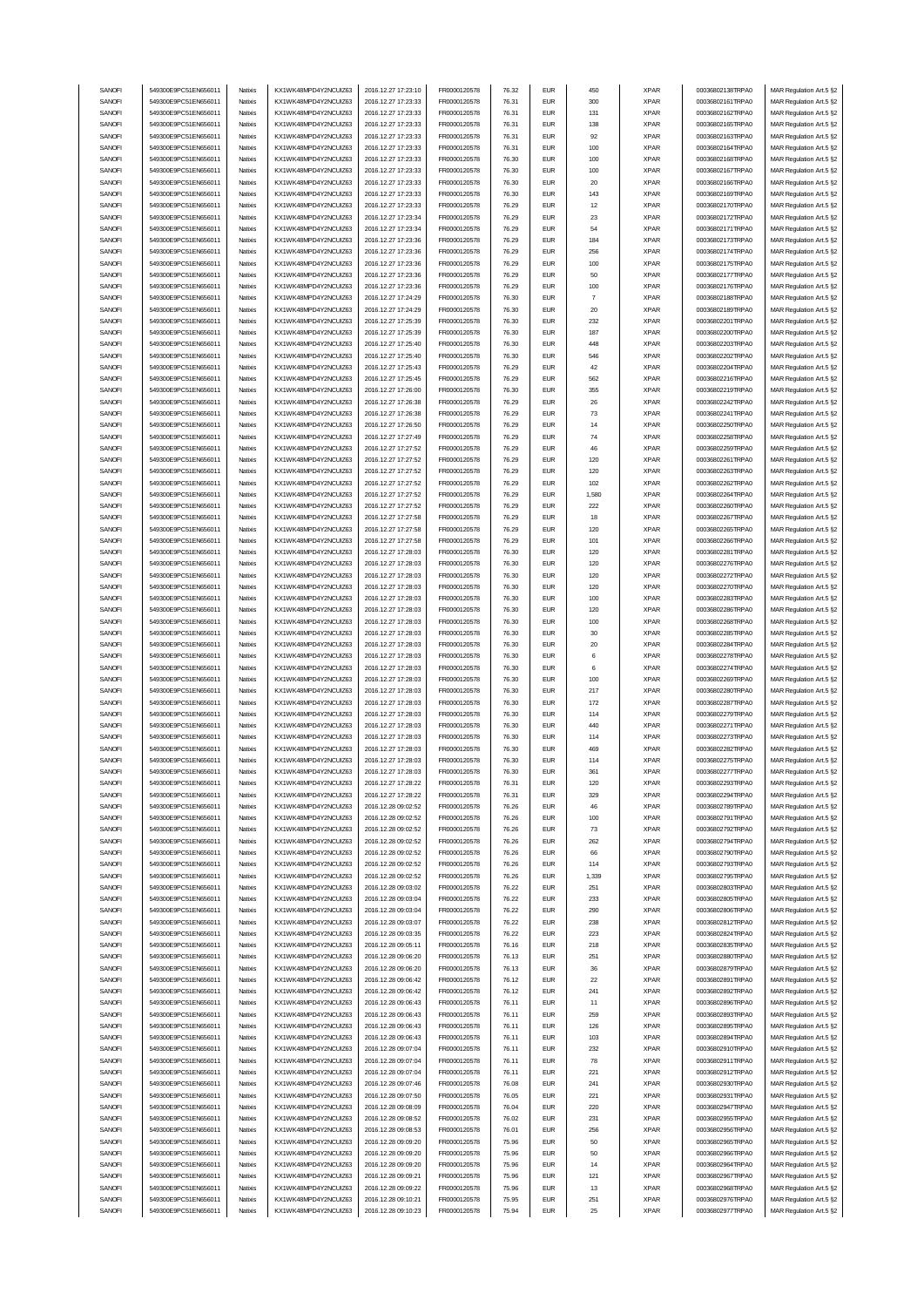| SANOFI           | 549300E9PC51EN656011                         | Natixis            | KX1WK48MPD4Y2NCUIZ63                         | 2016.12.27 17:23:10                        | FR0000120578                 | 76.32          | <b>EUR</b>               | 450            | <b>XPAR</b>                | 00036802138TRPA0                     | MAR Regulation Art.5 §2                            |
|------------------|----------------------------------------------|--------------------|----------------------------------------------|--------------------------------------------|------------------------------|----------------|--------------------------|----------------|----------------------------|--------------------------------------|----------------------------------------------------|
|                  | 549300E9PC51EN656011                         |                    |                                              | 2016.12.27 17:23:33                        |                              |                | <b>EUR</b>               |                |                            |                                      | MAR Regulation Art.5 §2                            |
| SANOFI           |                                              | Natixis            | KX1WK48MPD4Y2NCUIZ63                         |                                            | FR0000120578                 | 76.31          |                          | 300            | <b>XPAR</b>                | 00036802161TRPA0                     |                                                    |
| SANOFI           | 549300E9PC51EN656011                         | Natixis            | KX1WK48MPD4Y2NCUIZ63                         | 2016.12.27 17:23:33                        | FR0000120578                 | 76.31          | <b>EUR</b>               | 131            | <b>XPAR</b>                | 00036802162TRPA0                     | MAR Regulation Art.5 §2                            |
| SANOFI           | 549300E9PC51EN656011                         | Natixis            | KX1WK48MPD4Y2NCUIZ63                         | 2016.12.27 17:23:33                        | FR0000120578                 | 76.31          | <b>EUR</b>               | 138            | <b>XPAR</b>                | 00036802165TRPA0                     | MAR Regulation Art.5 §2                            |
| SANOFI           | 549300E9PC51EN656011                         | Natixis            | KX1WK48MPD4Y2NCUIZ63                         | 2016.12.27 17:23:33                        | FR0000120578                 | 76.31          | <b>EUR</b>               | 92             | <b>XPAR</b>                | 00036802163TRPA0                     | MAR Regulation Art.5 §2                            |
| SANOFI           | 549300E9PC51EN656011                         | Natixis            | KX1WK48MPD4Y2NCUIZ63                         | 2016.12.27 17:23:33                        | FR0000120578                 | 76.31          | <b>EUR</b>               | 100            | <b>XPAR</b>                | 00036802164TRPA0                     | MAR Regulation Art.5 §2                            |
| SANOFI           | 549300E9PC51EN656011                         | Natixis            | KX1WK48MPD4Y2NCUIZ63                         | 2016.12.27 17:23:33                        | FR0000120578                 | 76.30          | <b>EUR</b>               | 100            | <b>XPAR</b>                | 00036802168TRPA0                     | MAR Regulation Art.5 §2                            |
| SANOFI           | 549300E9PC51EN656011                         | Natixis            | KX1WK48MPD4Y2NCUIZ63                         | 2016.12.27 17:23:33                        | FR0000120578                 | 76.30          | <b>EUR</b>               | 100            | <b>XPAR</b>                | 00036802167TRPA0                     | MAR Regulation Art.5 §2                            |
| SANOFI           | 549300E9PC51EN656011                         |                    |                                              | 2016.12.27 17:23:33                        |                              | 76.30          | <b>EUR</b>               |                |                            |                                      |                                                    |
|                  |                                              | Natixis            | KX1WK48MPD4Y2NCUIZ63                         |                                            | FR0000120578                 |                |                          | 20             | <b>XPAR</b>                | 00036802166TRPA0                     | MAR Regulation Art.5 §2                            |
| SANOFI           | 549300E9PC51EN656011                         | Natixis            | KX1WK48MPD4Y2NCUIZ63                         | 2016.12.27 17:23:33                        | FR0000120578                 | 76.30          | <b>EUR</b>               | 143            | <b>XPAR</b>                | 00036802169TRPA0                     | MAR Regulation Art.5 §2                            |
| SANOFI           | 549300E9PC51EN656011                         | Natixis            | KX1WK48MPD4Y2NCUIZ63                         | 2016.12.27 17:23:33                        | FR0000120578                 | 76.29          | <b>EUR</b>               | 12             | <b>XPAR</b>                | 00036802170TRPA0                     | MAR Regulation Art.5 §2                            |
| SANOFI           | 549300E9PC51EN656011                         | Natixis            | KX1WK48MPD4Y2NCUIZ63                         | 2016.12.27 17:23:34                        | FR0000120578                 | 76.29          | <b>EUR</b>               | 23             | <b>XPAR</b>                | 00036802172TRPA0                     | MAR Regulation Art.5 §2                            |
| SANOFI           | 549300E9PC51EN656011                         | Natixis            | KX1WK48MPD4Y2NCUIZ63                         | 2016.12.27 17:23:34                        | FR0000120578                 | 76.29          | <b>EUR</b>               | 54             | <b>XPAR</b>                | 00036802171TRPA0                     | MAR Regulation Art.5 §2                            |
| SANOFI           | 549300E9PC51EN656011                         | Natixis            | KX1WK48MPD4Y2NCUIZ63                         | 2016.12.27 17:23:36                        | FR0000120578                 | 76.29          | <b>EUR</b>               | 184            | <b>XPAR</b>                | 00036802173TRPA0                     |                                                    |
|                  |                                              |                    |                                              |                                            |                              |                |                          |                |                            |                                      | MAR Regulation Art.5 §2                            |
| SANOFI           | 549300E9PC51EN656011                         | Natixis            | KX1WK48MPD4Y2NCUIZ63                         | 2016.12.27 17:23:36                        | FR0000120578                 | 76.29          | <b>EUR</b>               | 256            | <b>XPAR</b>                | 00036802174TRPA0                     | MAR Regulation Art.5 §2                            |
| SANOFI           | 549300E9PC51EN656011                         | Natixis            | KX1WK48MPD4Y2NCUIZ63                         | 2016.12.27 17:23:36                        | FR0000120578                 | 76.29          | <b>EUR</b>               | 100            | <b>XPAR</b>                | 00036802175TRPA0                     | MAR Regulation Art.5 §2                            |
| SANOFI           | 549300E9PC51EN656011                         | Natixis            | KX1WK48MPD4Y2NCUIZ63                         | 2016.12.27 17:23:36                        | FR0000120578                 | 76.29          | <b>EUR</b>               | 50             | <b>XPAR</b>                | 00036802177TRPA0                     | MAR Regulation Art.5 §2                            |
| SANOFI           | 549300E9PC51EN656011                         | Natixis            | KX1WK48MPD4Y2NCUIZ63                         | 2016.12.27 17:23:36                        | FR0000120578                 | 76.29          | <b>EUR</b>               | 100            | <b>XPAR</b>                | 00036802176TRPA0                     | MAR Regulation Art.5 §2                            |
| SANOFI           | 549300E9PC51EN656011                         | Natixis            | KX1WK48MPD4Y2NCUIZ63                         | 2016.12.27 17:24:29                        | FR0000120578                 | 76.30          | <b>EUR</b>               | $\overline{7}$ | <b>XPAR</b>                | 00036802188TRPA0                     | MAR Regulation Art.5 §2                            |
|                  | 549300E9PC51EN656011                         | Natixis            |                                              |                                            |                              | 76.30          | <b>EUR</b>               | 20             |                            |                                      |                                                    |
| SANOFI           |                                              |                    | KX1WK48MPD4Y2NCUIZ63                         | 2016.12.27 17:24:29                        | FR0000120578                 |                |                          |                | <b>XPAR</b>                | 00036802189TRPA0                     | MAR Regulation Art.5 §2                            |
| SANOFI           | 549300E9PC51EN656011                         | Natixis            | KX1WK48MPD4Y2NCUIZ63                         | 2016.12.27 17:25:39                        | FR0000120578                 | 76.30          | <b>EUR</b>               | 232            | <b>XPAR</b>                | 00036802201TRPA0                     | MAR Regulation Art.5 §2                            |
| SANOFI           | 549300E9PC51EN656011                         | Natixis            | KX1WK48MPD4Y2NCUIZ63                         | 2016.12.27 17:25:39                        | FR0000120578                 | 76.30          | <b>EUR</b>               | 187            | <b>XPAR</b>                | 00036802200TRPA0                     | MAR Regulation Art.5 §2                            |
| SANOFI           | 549300E9PC51EN656011                         | Natixis            | KX1WK48MPD4Y2NCUIZ63                         | 2016.12.27 17:25:40                        | FR0000120578                 | 76.30          | <b>EUR</b>               | 448            | <b>XPAR</b>                | 00036802203TRPA0                     | MAR Regulation Art.5 §2                            |
| SANOFI           | 549300E9PC51EN656011                         | Natixis            | KX1WK48MPD4Y2NCUIZ63                         | 2016.12.27 17:25:40                        | FR0000120578                 | 76.30          | <b>EUR</b>               | 546            | <b>XPAR</b>                | 00036802202TRPA0                     | MAR Regulation Art.5 §2                            |
| SANOFI           | 549300E9PC51EN656011                         | Natixis            | KX1WK48MPD4Y2NCUIZ63                         | 2016.12.27 17:25:43                        | FR0000120578                 | 76.29          | <b>EUR</b>               | 42             | <b>XPAR</b>                | 00036802204TRPA0                     | MAR Regulation Art.5 §2                            |
| SANOFI           | 549300E9PC51EN656011                         | Natixis            | KX1WK48MPD4Y2NCUIZ63                         | 2016.12.27 17:25:45                        | FR0000120578                 | 76.29          | <b>EUR</b>               | 562            | <b>XPAR</b>                | 00036802216TRPA0                     | MAR Regulation Art.5 §2                            |
|                  |                                              |                    |                                              |                                            |                              |                |                          |                |                            |                                      |                                                    |
| SANOFI           | 549300E9PC51EN656011                         | Natixis            | KX1WK48MPD4Y2NCUIZ63                         | 2016.12.27 17:26:00                        | FR0000120578                 | 76.30          | <b>EUR</b>               | 355            | <b>XPAR</b>                | 00036802219TRPA0                     | MAR Regulation Art.5 §2                            |
| SANOFI           | 549300E9PC51EN656011                         | Natixis            | KX1WK48MPD4Y2NCUIZ63                         | 2016.12.27 17:26:38                        | FR0000120578                 | 76.29          | <b>EUR</b>               | 26             | <b>XPAR</b>                | 00036802242TRPA0                     | MAR Regulation Art.5 §2                            |
| SANOFI           | 549300E9PC51EN656011                         | Natixis            | KX1WK48MPD4Y2NCUIZ63                         | 2016.12.27 17:26:38                        | FR0000120578                 | 76.29          | <b>EUR</b>               | 73             | <b>XPAR</b>                | 00036802241TRPA0                     | MAR Regulation Art.5 §2                            |
| SANOFI           | 549300E9PC51EN656011                         | Natixis            | KX1WK48MPD4Y2NCUIZ63                         | 2016.12.27 17:26:50                        | FR0000120578                 | 76.29          | <b>EUR</b>               | 14             | <b>XPAR</b>                | 00036802250TRPA0                     | MAR Regulation Art.5 §2                            |
| SANOFI           | 549300E9PC51EN656011                         | Natixis            | KX1WK48MPD4Y2NCUIZ63                         | 2016.12.27 17:27:49                        | FR0000120578                 | 76.29          | <b>EUR</b>               | 74             | <b>XPAR</b>                | 00036802258TRPA0                     | MAR Regulation Art.5 §2                            |
| SANOFI           | 549300E9PC51EN656011                         | Natixis            | KX1WK48MPD4Y2NCUIZ63                         | 2016.12.27 17:27:52                        | FR0000120578                 | 76.29          | <b>EUR</b>               | 46             | <b>XPAR</b>                | 00036802259TRPA0                     | MAR Regulation Art.5 §2                            |
|                  | 549300E9PC51EN656011                         |                    |                                              |                                            |                              | 76.29          | <b>EUR</b>               |                | <b>XPAR</b>                |                                      |                                                    |
| SANOFI           |                                              | Natixis            | KX1WK48MPD4Y2NCUIZ63                         | 2016.12.27 17:27:52                        | FR0000120578                 |                |                          | 120            |                            | 00036802261TRPA0                     | MAR Regulation Art.5 §2                            |
| SANOFI           | 549300E9PC51EN656011                         | Natixis            | KX1WK48MPD4Y2NCUIZ63                         | 2016.12.27 17:27:52                        | FR0000120578                 | 76.29          | <b>EUR</b>               | 120            | <b>XPAR</b>                | 00036802263TRPA0                     | MAR Regulation Art.5 §2                            |
| SANOFI           | 549300E9PC51EN656011                         | Natixis            | KX1WK48MPD4Y2NCUIZ63                         | 2016.12.27 17:27:52                        | FR0000120578                 | 76.29          | <b>EUR</b>               | 102            | <b>XPAR</b>                | 00036802262TRPA0                     | MAR Regulation Art.5 §2                            |
| SANOFI           | 549300E9PC51EN656011                         | Natixis            | KX1WK48MPD4Y2NCUIZ63                         | 2016.12.27 17:27:52                        | FR0000120578                 | 76.29          | <b>EUR</b>               | 1,580          | <b>XPAR</b>                | 00036802264TRPA0                     | MAR Regulation Art.5 §2                            |
| SANOFI           | 549300E9PC51EN656011                         | Natixis            | KX1WK48MPD4Y2NCLIIZ63                        | 2016.12.27 17:27:52                        | FR0000120578                 | 76.29          | <b>EUR</b>               | 222            | <b>XPAR</b>                | 00036802260TRPA0                     | MAR Regulation Art.5 §2                            |
| SANOFI           | 549300E9PC51EN656011                         | Natixis            | KX1WK48MPD4Y2NCUIZ63                         | 2016.12.27 17:27:58                        | FR0000120578                 | 76.29          | <b>EUR</b>               | 18             | <b>XPAR</b>                | 00036802267TRPA0                     | MAR Regulation Art.5 §2                            |
| SANOFI           | 549300E9PC51EN656011                         | Natixis            | KX1WK48MPD4Y2NCUIZ63                         | 2016.12.27 17:27:58                        | FR0000120578                 | 76.29          | <b>EUR</b>               | 120            | <b>XPAR</b>                | 00036802265TRPA0                     |                                                    |
|                  |                                              |                    |                                              |                                            |                              |                |                          |                |                            |                                      | MAR Regulation Art.5 §2                            |
| SANOFI           | 549300E9PC51EN656011                         | Natixis            | KX1WK48MPD4Y2NCUIZ63                         | 2016.12.27 17:27:58                        | FR0000120578                 | 76.29          | <b>EUR</b>               | 101            | <b>XPAR</b>                | 00036802266TRPA0                     | MAR Regulation Art.5 §2                            |
| SANOFI           | 549300E9PC51EN656011                         | Natixis            | KX1WK48MPD4Y2NCUIZ63                         | 2016.12.27 17:28:03                        | FR0000120578                 | 76.30          | <b>EUR</b>               | 120            | <b>XPAR</b>                | 00036802281TRPA0                     | MAR Regulation Art.5 §2                            |
| SANOFI           | 549300E9PC51EN656011                         | Natixis            | KX1WK48MPD4Y2NCUIZ63                         | 2016.12.27 17:28:03                        | FR0000120578                 | 76.30          | <b>EUR</b>               | 120            | <b>XPAR</b>                | 00036802276TRPA0                     | MAR Regulation Art.5 §2                            |
| SANOFI           | 549300E9PC51EN656011                         | Natixis            | KX1WK48MPD4Y2NCUIZ63                         | 2016.12.27 17:28:03                        | FR0000120578                 | 76.30          | <b>EUR</b>               | 120            | <b>XPAR</b>                | 00036802272TRPA0                     | MAR Regulation Art.5 §2                            |
| SANOFI           | 549300E9PC51EN656011                         | Natixis            | KX1WK48MPD4Y2NCUIZ63                         | 2016.12.27 17:28:03                        | FR0000120578                 | 76.30          | <b>EUR</b>               | 120            | <b>XPAR</b>                | 00036802270TRPA0                     | MAR Regulation Art.5 §2                            |
| SANOFI           | 549300E9PC51EN656011                         | Natixis            | KX1WK48MPD4Y2NCUIZ63                         | 2016.12.27 17:28:03                        | FR0000120578                 | 76.30          | <b>EUR</b>               | 100            | <b>XPAR</b>                | 00036802283TRPA0                     | MAR Regulation Art.5 §2                            |
|                  |                                              |                    |                                              |                                            |                              |                |                          |                |                            |                                      |                                                    |
| SANOFI           | 549300E9PC51EN656011                         | Natixis            | KX1WK48MPD4Y2NCUIZ63                         | 2016.12.27 17:28:03                        | FR0000120578                 | 76.30          | <b>EUR</b>               | 120            | <b>XPAR</b>                | 00036802286TRPA0                     | MAR Regulation Art.5 §2                            |
| SANOFI           | 549300E9PC51EN656011                         | Natixis            | KX1WK48MPD4Y2NCUIZ63                         | 2016.12.27 17:28:03                        | FR0000120578                 | 76.30          | <b>EUR</b>               | 100            | <b>XPAR</b>                | 00036802268TRPA0                     | MAR Regulation Art.5 §2                            |
|                  |                                              |                    |                                              |                                            |                              |                |                          |                |                            |                                      |                                                    |
| SANOFI           | 549300E9PC51EN656011                         | Natixis            | KX1WK48MPD4Y2NCUIZ63                         | 2016.12.27 17:28:03                        | FR0000120578                 | 76.30          | <b>EUR</b>               | 30             | <b>XPAR</b>                | 00036802285TRPA0                     | MAR Regulation Art.5 §2                            |
| SANOFI           |                                              | Natixis            |                                              |                                            |                              | 76.30          | <b>EUR</b>               |                |                            |                                      |                                                    |
|                  | 549300E9PC51EN656011                         |                    | KX1WK48MPD4Y2NCUIZ63                         | 2016.12.27 17:28:03                        | FR0000120578                 |                |                          | 20             | <b>XPAR</b>                | 00036802284TRPA0                     | MAR Regulation Art.5 §2                            |
| SANOFI           | 549300E9PC51EN656011                         | Natixis            | KX1WK48MPD4Y2NCUIZ63                         | 2016.12.27 17:28:03                        | FR0000120578                 | 76.30          | <b>EUR</b>               | 6              | <b>XPAR</b>                | 00036802278TRPA0                     | MAR Regulation Art.5 §2                            |
| SANOFI           | 549300E9PC51EN656011                         | Natixis            | KX1WK48MPD4Y2NCUIZ63                         | 2016.12.27 17:28:03                        | FR0000120578                 | 76.30          | <b>EUR</b>               | 6              | <b>XPAR</b>                | 00036802274TRPA0                     | MAR Regulation Art.5 §2                            |
| SANOFI           | 549300E9PC51EN656011                         | Natixis            | KX1WK48MPD4Y2NCUIZ63                         | 2016.12.27 17:28:03                        | FR0000120578                 | 76.30          | <b>EUR</b>               | 100            | <b>XPAR</b>                | 00036802269TRPA0                     | MAR Regulation Art.5 §2                            |
| SANOFI           | 549300E9PC51EN656011                         | Natixis            | KX1WK48MPD4Y2NCUIZ63                         | 2016.12.27 17:28:03                        | FR0000120578                 | 76.30          | <b>EUR</b>               | 217            | <b>XPAR</b>                | 00036802280TRPA0                     | MAR Regulation Art.5 §2                            |
| SANOFI           | 549300E9PC51EN656011                         | Natixis            | KX1WK48MPD4Y2NCUIZ63                         | 2016.12.27 17:28:03                        | FR0000120578                 | 76.30          | <b>EUR</b>               | 172            | <b>XPAR</b>                | 00036802287TRPA0                     | MAR Regulation Art.5 §2                            |
| SANOFI           | 549300E9PC51EN656011                         | Natixis            | KX1WK48MPD4Y2NCUIZ63                         | 2016.12.27 17:28:03                        | FR0000120578                 | 76.30          | <b>EUR</b>               | 114            | <b>XPAR</b>                | 00036802279TRPA0                     | MAR Regulation Art.5 §2                            |
| SANOFI           | 549300E9PC51EN656011                         | Natixis            | KX1WK48MPD4Y2NCUIZ63                         | 2016.12.27 17:28:03                        | FR0000120578                 | 76.30          | <b>EUR</b>               | 440            | <b>XPAR</b>                | 00036802271TRPA0                     | MAR Regulation Art.5 §2                            |
|                  |                                              | Natixis            |                                              |                                            |                              |                | <b>EUR</b>               |                |                            |                                      |                                                    |
| SANOFI           | 549300E9PC51EN656011                         |                    | KX1WK48MPD4Y2NCUIZ63                         | 2016.12.27 17:28:03                        | FR0000120578                 | 76.30          |                          | 114            | <b>XPAR</b>                | 00036802273TRPA0                     | MAR Regulation Art.5 §2                            |
| SANOFI           | 549300E9PC51EN656011                         | Natixis            | KX1WK48MPD4Y2NCUIZ63                         | 2016.12.27 17:28:03                        | FR0000120578                 | 76.30          | <b>EUR</b>               | 469            | <b>XPAR</b>                | 00036802282TRPA0                     | MAR Regulation Art.5 §2                            |
| SANOFI           | 549300E9PC51EN656011                         | Natixis            | KX1WK48MPD4Y2NCUIZ63                         | 2016.12.27 17:28:03                        | FR0000120578                 | 76.30          | <b>FUR</b>               | 114            | <b>XPAR</b>                | 00036802275TRPA0                     | MAR Regulation Art.5 §2                            |
| SANOFI           | 549300E9PC51EN656011                         | Natixis            | KX1WK48MPD4Y2NCUIZ63                         | 2016.12.27 17:28:03                        | FR0000120578                 | 76.30          | EUR                      | 361            | XPAR                       | 00036802277TRPA0                     | MAR Regulation Art.5 §2                            |
| SANOFI           | 549300E9PC51EN656011                         | Natixis            | KX1WK48MPD4Y2NCUIZ63                         | 2016.12.27 17:28:22                        | FR0000120578                 | 76.31          | <b>EUR</b>               | 120            | <b>XPAR</b>                | 00036802293TRPA0                     | MAR Regulation Art.5 §2                            |
| SANOFI           | 549300E9PC51EN656011                         | Natixis            | KX1WK48MPD4Y2NCUIZ63                         | 2016.12.27 17:28:22                        | FR0000120578                 | 76.31          | <b>EUR</b>               | 329            | <b>XPAR</b>                | 00036802294TRPA0                     | MAR Regulation Art.5 §2                            |
| SANOFI           | 549300E9PC51EN656011                         | Natixis            | KX1WK48MPD4Y2NCUIZ63                         | 2016.12.28 09:02:52                        | FR0000120578                 | 76.26          | <b>EUR</b>               | 46             | <b>XPAR</b>                | 00036802789TRPA0                     | MAR Regulation Art.5 §2                            |
|                  | 549300E9PC51EN656011                         | Natixis            | KX1WK48MPD4Y2NCUIZ63                         |                                            |                              |                | <b>EUR</b>               | 100            |                            |                                      |                                                    |
| SANOFI           | 549300E9PC51EN656011                         | Natixis            | KX1WK48MPD4Y2NCUIZ63                         | 2016.12.28 09:02:52                        | FR0000120578                 | 76.26          |                          |                | <b>XPAR</b>                | 00036802791TRPA0                     | MAR Regulation Art.5 §2                            |
| SANOFI           |                                              |                    |                                              | 2016.12.28 09:02:52                        | FR0000120578                 | 76.26          | <b>EUR</b>               | 73             | <b>XPAR</b>                | 00036802792TRPA0                     | MAR Regulation Art.5 §2                            |
| SANOFI           | 549300E9PC51EN656011                         | Natixis            | KX1WK48MPD4Y2NCUIZ63                         | 2016.12.28 09:02:52                        | FR0000120578                 | 76.26          | <b>EUR</b>               | 262            | <b>XPAR</b>                | 00036802794TRPA0                     | MAR Regulation Art.5 §2                            |
| SANOFI           | 549300E9PC51EN656011                         | Natixis            | KX1WK48MPD4Y2NCUIZ63                         | 2016.12.28 09:02:52                        | FR0000120578                 | 76.26          | <b>EUR</b>               | 66             | <b>XPAR</b>                | 00036802790TRPA0                     | MAR Regulation Art.5 §2                            |
| SANOFI           | 549300E9PC51EN656011                         | Natixis            | KX1WK48MPD4Y2NCUIZ63                         | 2016.12.28 09:02:52                        | FR0000120578                 | 76.26          | <b>EUR</b>               | 114            | <b>XPAR</b>                | 00036802793TRPA0                     | MAR Regulation Art.5 §2                            |
| SANOFI           | 549300E9PC51EN656011                         | Natixis            | KX1WK48MPD4Y2NCUIZ63                         | 2016.12.28 09:02:52                        | FR0000120578                 | 76.26          | <b>EUR</b>               | 1,339          | <b>XPAR</b>                | 00036802795TRPA0                     | MAR Regulation Art.5 §2                            |
| SANOFI           | 549300E9PC51EN656011                         | Natixis            | KX1WK48MPD4Y2NCUIZ63                         | 2016.12.28 09:03:02                        | FR0000120578                 | 76.22          | <b>EUR</b>               | 251            | <b>XPAR</b>                | 00036802803TRPA0                     | MAR Regulation Art.5 §2                            |
| SANOFI           | 549300E9PC51EN656011                         | Natixis            | KX1WK48MPD4Y2NCUIZ63                         | 2016.12.28 09:03:04                        | FR0000120578                 | 76.22          | <b>EUR</b>               | 233            | <b>XPAR</b>                | 00036802805TRPA0                     | MAR Regulation Art.5 §2                            |
|                  |                                              |                    |                                              |                                            |                              |                |                          |                |                            |                                      |                                                    |
| SANOFI           | 549300E9PC51EN656011                         | Natixis            | KX1WK48MPD4Y2NCUIZ63                         | 2016.12.28 09:03:04                        | FR0000120578                 | 76.22          | <b>EUR</b>               | 290            | <b>XPAR</b>                | 00036802806TRPA0                     | MAR Regulation Art.5 §2                            |
| SANOFI           | 549300E9PC51EN656011                         | Natixis            | KX1WK48MPD4Y2NCUIZ63                         | 2016.12.28 09:03:07                        | FR0000120578                 | 76.22          | <b>EUR</b>               | 238            | <b>XPAR</b>                | 00036802812TRPA0                     | MAR Regulation Art.5 §2                            |
| SANOFI           | 549300E9PC51EN656011                         | Natixis            | KX1WK48MPD4Y2NCUIZ63                         | 2016.12.28 09:03:35                        | FR0000120578                 | 76.22          | <b>EUR</b>               | 223            | <b>XPAR</b>                | 00036802824TRPA0                     | MAR Regulation Art.5 §2                            |
| SANOFI           | 549300E9PC51EN656011                         | Natixis            | KX1WK48MPD4Y2NCUIZ63                         | 2016.12.28 09:05:11                        | FR0000120578                 | 76.16          | <b>EUR</b>               | 218            | <b>XPAR</b>                | 00036802835TRPA0                     | MAR Regulation Art.5 §2                            |
| SANOFI           | 549300E9PC51EN656011                         | Natixis            | KX1WK48MPD4Y2NCUIZ63                         | 2016.12.28 09:06:20                        | FR0000120578                 | 76.13          | <b>EUR</b>               | 251            | <b>XPAR</b>                | 00036802880TRPA0                     | MAR Regulation Art.5 §2                            |
| SANOFI           | 549300E9PC51EN656011                         | Natixis            | KX1WK48MPD4Y2NCUIZ63                         | 2016.12.28 09:06:20                        | FR0000120578                 | 76.13          | <b>EUR</b>               | 36             | <b>XPAR</b>                | 00036802879TRPA0                     | MAR Regulation Art.5 §2                            |
|                  |                                              |                    |                                              |                                            |                              |                |                          |                |                            |                                      |                                                    |
| SANOFI           | 549300E9PC51EN656011                         | Natixis            | KX1WK48MPD4Y2NCUIZ63                         | 2016.12.28 09:06:42                        | FR0000120578                 | 76.12          | <b>EUR</b>               | 22             | <b>XPAR</b>                | 00036802891TRPA0                     | MAR Regulation Art.5 §2                            |
| SANOFI           | 549300E9PC51EN656011                         | Natixis            | KX1WK48MPD4Y2NCUIZ63                         | 2016.12.28 09:06:42                        | FR0000120578                 | 76.12          | <b>EUR</b>               | 241            | <b>XPAR</b>                | 00036802892TRPA0                     | MAR Regulation Art.5 §2                            |
| SANOFI           | 549300E9PC51EN656011                         | Natixis            | KX1WK48MPD4Y2NCUIZ63                         | 2016.12.28 09:06:43                        | FR0000120578                 | 76.11          | <b>EUR</b>               | 11             | <b>XPAR</b>                | 00036802896TRPA0                     | MAR Regulation Art.5 §2                            |
| SANOFI           | 549300E9PC51EN656011                         | Natixis            | KX1WK48MPD4Y2NCUIZ63                         | 2016.12.28 09:06:43                        | FR0000120578                 | 76.11          | <b>EUR</b>               | 259            | <b>XPAR</b>                | 00036802893TRPA0                     | MAR Regulation Art.5 §2                            |
| SANOFI           | 549300E9PC51EN656011                         | Natixis            | KX1WK48MPD4Y2NCUIZ63                         | 2016.12.28 09:06:43                        | FR0000120578                 | 76.11          | <b>EUR</b>               | 126            | <b>XPAR</b>                | 00036802895TRPA0                     | MAR Regulation Art.5 §2                            |
| SANOFI           | 549300E9PC51EN656011                         | Natixis            | KX1WK48MPD4Y2NCUIZ63                         | 2016.12.28 09:06:43                        | FR0000120578                 | 76.11          | <b>EUR</b>               | 103            | <b>XPAR</b>                | 00036802894TRPA0                     | MAR Regulation Art.5 §2                            |
| SANOFI           | 549300E9PC51EN656011                         | Natixis            | KX1WK48MPD4Y2NCUIZ63                         | 2016.12.28 09:07:04                        | FR0000120578                 | 76.11          | <b>EUR</b>               | 232            | <b>XPAR</b>                | 00036802910TRPA0                     |                                                    |
|                  | 549300E9PC51EN656011                         | Natixis            |                                              |                                            |                              |                |                          |                |                            | 00036802911TRPA0                     | MAR Regulation Art.5 §2                            |
| SANOFI           |                                              |                    | KX1WK48MPD4Y2NCUIZ63                         | 2016.12.28 09:07:04                        | FR0000120578                 | 76.11          | <b>EUR</b>               | 78             | <b>XPAR</b>                |                                      | MAR Regulation Art.5 §2                            |
| SANOFI           | 549300E9PC51EN656011                         | Natixis            | KX1WK48MPD4Y2NCUIZ63                         | 2016.12.28 09:07:04                        | FR0000120578                 | 76.11          | <b>EUR</b>               | 221            | <b>XPAR</b>                | 00036802912TRPA0                     | MAR Regulation Art.5 §2                            |
| SANOFI           | 549300E9PC51EN656011                         | Natixis            | KX1WK48MPD4Y2NCUIZ63                         | 2016.12.28 09:07:46                        | FR0000120578                 | 76.08          | <b>EUR</b>               | 241            | <b>XPAR</b>                | 00036802930TRPA0                     | MAR Regulation Art.5 §2                            |
| SANOFI           | 549300E9PC51EN656011                         | Natixis            | KX1WK48MPD4Y2NCUIZ63                         | 2016.12.28 09:07:50                        | FR0000120578                 | 76.05          | <b>EUR</b>               | 221            | <b>XPAR</b>                | 00036802931TRPA0                     | MAR Regulation Art.5 §2                            |
| SANOFI           | 549300E9PC51EN656011                         | Natixis            | KX1WK48MPD4Y2NCUIZ63                         | 2016.12.28 09:08:09                        | FR0000120578                 | 76.04          | <b>EUR</b>               | 220            | <b>XPAR</b>                | 00036802947TRPA0                     | MAR Regulation Art.5 §2                            |
| SANOFI           | 549300E9PC51EN656011                         | Natixis            | KX1WK48MPD4Y2NCUIZ63                         | 2016.12.28 09:08:52                        | FR0000120578                 | 76.02          | ${\sf EUR}$              | 231            | <b>XPAR</b>                | 00036802955TRPA0                     | MAR Regulation Art.5 §2                            |
| SANOFI           | 549300E9PC51EN656011                         | Natixis            | KX1WK48MPD4Y2NCUIZ63                         | 2016.12.28 09:08:53                        | FR0000120578                 | 76.01          | <b>EUR</b>               | 256            | <b>XPAR</b>                | 00036802956TRPA0                     | MAR Regulation Art.5 §2                            |
| SANOFI           | 549300E9PC51EN656011                         | Natixis            | KX1WK48MPD4Y2NCUIZ63                         | 2016.12.28 09:09:20                        | FR0000120578                 | 75.96          | <b>EUR</b>               | 50             | <b>XPAR</b>                | 00036802965TRPA0                     | MAR Regulation Art.5 §2                            |
| SANOFI           | 549300E9PC51EN656011                         | Natixis            | KX1WK48MPD4Y2NCUIZ63                         | 2016.12.28 09:09:20                        | FR0000120578                 | 75.96          | <b>EUR</b>               | 50             | <b>XPAR</b>                | 00036802966TRPA0                     | MAR Regulation Art.5 §2                            |
|                  |                                              | Natixis            |                                              |                                            |                              | 75.96          |                          | 14             |                            | 00036802964TRPA0                     |                                                    |
| SANOFI           | 549300E9PC51EN656011                         |                    | KX1WK48MPD4Y2NCUIZ63                         | 2016.12.28 09:09:20                        | FR0000120578                 |                | <b>EUR</b>               |                | <b>XPAR</b>                |                                      | MAR Regulation Art.5 §2                            |
| SANOFI           | 549300E9PC51EN656011                         | Natixis            | KX1WK48MPD4Y2NCUIZ63                         | 2016.12.28 09:09:21                        | FR0000120578                 | 75.96          | ${\sf EUR}$              | 121            | <b>XPAR</b>                | 00036802967TRPA0                     | MAR Regulation Art.5 §2                            |
| SANOFI           | 549300E9PC51EN656011                         | Natixis            | KX1WK48MPD4Y2NCUIZ63                         | 2016.12.28 09:09:22                        | FR0000120578                 | 75.96          | <b>EUR</b>               | 13             | <b>XPAR</b>                | 00036802968TRPA0                     | MAR Regulation Art.5 §2                            |
| SANOFI<br>SANOFI | 549300E9PC51EN656011<br>549300E9PC51EN656011 | Natixis<br>Natixis | KX1WK48MPD4Y2NCUIZ63<br>KX1WK48MPD4Y2NCUIZ63 | 2016.12.28 09:10:21<br>2016.12.28 09:10:23 | FR0000120578<br>FR0000120578 | 75.95<br>75.94 | <b>EUR</b><br><b>EUR</b> | 251<br>25      | <b>XPAR</b><br><b>XPAR</b> | 00036802976TRPA0<br>00036802977TRPA0 | MAR Regulation Art.5 §2<br>MAR Regulation Art.5 §2 |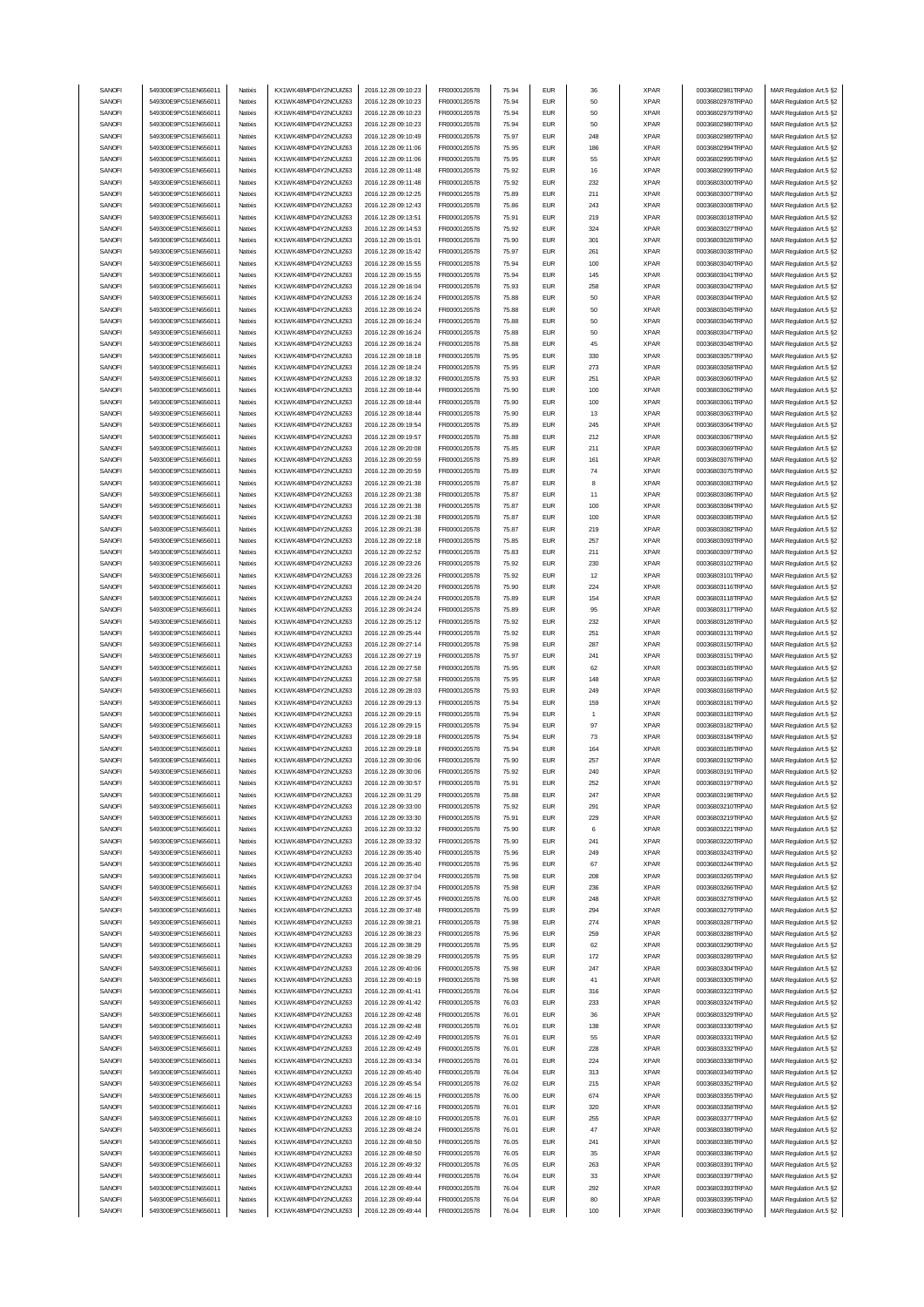| SANOFI | 549300E9PC51EN656011 | Natixis  | KX1WK48MPD4Y2NCUIZ63  | 2016.12.28 09:10:23 | FR0000120578        | 75.94 | <b>EUR</b> | 36             | <b>XPAR</b> | 00036802981TRPA0 | MAR Regulation Art.5 §2 |
|--------|----------------------|----------|-----------------------|---------------------|---------------------|-------|------------|----------------|-------------|------------------|-------------------------|
| SANOFI | 549300E9PC51EN656011 | Natixis  | KX1WK48MPD4Y2NCUIZ63  | 2016.12.28 09:10:23 | FR0000120578        | 75.94 | <b>EUR</b> | 50             | <b>XPAR</b> | 00036802978TRPA0 | MAR Regulation Art.5 §2 |
| SANOFI |                      |          |                       |                     |                     |       | <b>EUR</b> |                | <b>XPAR</b> |                  |                         |
|        | 549300E9PC51EN656011 | Natixis  | KX1WK48MPD4Y2NCUIZ63  | 2016.12.28 09:10:23 | FR0000120578        | 75.94 |            | 50             |             | 00036802979TRPA0 | MAR Regulation Art.5 §2 |
| SANOFI | 549300E9PC51EN656011 | Natixis  | KX1WK48MPD4Y2NCUIZ63  | 2016.12.28 09:10:23 | FR0000120578        | 75.94 | <b>EUR</b> | 50             | <b>XPAR</b> | 00036802980TRPA0 | MAR Regulation Art.5 §2 |
| SANOFI | 549300E9PC51EN656011 | Natixis  | KX1WK48MPD4Y2NCUIZ63  | 2016.12.28 09:10:49 | FR0000120578        | 75.97 | <b>EUR</b> | 248            | <b>XPAR</b> | 00036802989TRPA0 | MAR Regulation Art.5 §2 |
| SANOFI | 549300E9PC51EN656011 | Natixis  | KX1WK48MPD4Y2NCUIZ63  | 2016.12.28 09:11:06 | FR0000120578        | 75.95 | <b>EUR</b> | 186            | <b>XPAR</b> | 00036802994TRPA0 | MAR Regulation Art.5 §2 |
| SANOFI | 549300E9PC51EN656011 | Natixis  | KX1WK48MPD4Y2NCUIZ63  | 2016.12.28 09:11:06 | FR0000120578        | 75.95 | <b>EUR</b> | 55             | <b>XPAR</b> | 00036802995TRPA0 | MAR Regulation Art.5 §2 |
| SANOFI | 549300E9PC51EN656011 | Natixis  | KX1WK48MPD4Y2NCUIZ63  | 2016.12.28 09:11:48 | FR0000120578        | 75.92 | <b>EUR</b> | 16             | <b>XPAR</b> | 00036802999TRPA0 | MAR Regulation Art.5 §2 |
|        |                      |          | KX1WK48MPD4Y2NCUIZ63  |                     |                     |       | <b>EUR</b> | 232            |             |                  |                         |
| SANOFI | 549300E9PC51EN656011 | Natixis  |                       | 2016.12.28 09:11:48 | FR0000120578        | 75.92 |            |                | <b>XPAR</b> | 00036803000TRPA0 | MAR Regulation Art.5 §2 |
| SANOFI | 549300E9PC51EN656011 | Natixis  | KX1WK48MPD4Y2NCUIZ63  | 2016.12.28 09:12:25 | FR0000120578        | 75.89 | <b>EUR</b> | 211            | <b>XPAR</b> | 00036803007TRPA0 | MAR Regulation Art.5 §2 |
| SANOFI | 549300E9PC51EN656011 | Natixis  | KX1WK48MPD4Y2NCUIZ63  | 2016.12.28 09:12:43 | FR0000120578        | 75.86 | <b>EUR</b> | 243            | <b>XPAR</b> | 00036803008TRPA0 | MAR Regulation Art.5 §2 |
| SANOFI | 549300E9PC51EN656011 | Natixis  | KX1WK48MPD4Y2NCUIZ63  | 2016.12.28 09:13:51 | FR0000120578        | 75.91 | <b>EUR</b> | 219            | <b>XPAR</b> | 00036803018TRPA0 | MAR Regulation Art.5 §2 |
| SANOFI | 549300E9PC51EN656011 | Natixis  | KX1WK48MPD4Y2NCUIZ63  | 2016.12.28 09:14:53 | FR0000120578        | 75.92 | <b>EUR</b> | 324            | <b>XPAR</b> | 00036803027TRPA0 | MAR Regulation Art.5 §2 |
|        |                      |          |                       |                     |                     |       |            |                |             |                  |                         |
| SANOFI | 549300E9PC51EN656011 | Natixis  | KX1WK48MPD4Y2NCUIZ63  | 2016.12.28 09:15:01 | FR0000120578        | 75.90 | <b>EUR</b> | 301            | <b>XPAR</b> | 00036803028TRPA0 | MAR Regulation Art.5 §2 |
| SANOFI | 549300E9PC51EN656011 | Natixis  | KX1WK48MPD4Y2NCUIZ63  | 2016.12.28 09:15:42 | FR0000120578        | 75.97 | <b>EUR</b> | 261            | <b>XPAR</b> | 00036803038TRPA0 | MAR Regulation Art.5 §2 |
| SANOFI | 549300E9PC51EN656011 | Natixis  | KX1WK48MPD4Y2NCUIZ63  | 2016.12.28 09:15:55 | FR0000120578        | 75.94 | <b>EUR</b> | 100            | <b>XPAR</b> | 00036803040TRPA0 | MAR Regulation Art.5 §2 |
| SANOFI | 549300E9PC51EN656011 | Natixis  | KX1WK48MPD4Y2NCUIZ63  | 2016.12.28 09:15:55 | FR0000120578        | 75.94 | <b>EUR</b> | 145            | <b>XPAR</b> | 00036803041TRPA0 | MAR Regulation Art.5 §2 |
| SANOFI | 549300E9PC51EN656011 | Natixis  | KX1WK48MPD4Y2NCUIZ63  | 2016.12.28 09:16:04 | FR0000120578        | 75.93 | <b>EUR</b> | 258            | <b>XPAR</b> | 00036803042TRPA0 | MAR Regulation Art.5 §2 |
| SANOFI | 549300E9PC51EN656011 | Natixis  | KX1WK48MPD4Y2NCUIZ63  | 2016.12.28 09:16:24 | FR0000120578        | 75.88 | <b>EUR</b> | 50             | <b>XPAR</b> | 00036803044TRPA0 | MAR Regulation Art.5 §2 |
|        |                      |          |                       |                     |                     |       | <b>EUR</b> |                |             |                  |                         |
| SANOFI | 549300E9PC51EN656011 | Natixis  | KX1WK48MPD4Y2NCUIZ63  | 2016.12.28 09:16:24 | FR0000120578        | 75.88 |            | 50             | <b>XPAR</b> | 00036803045TRPA0 | MAR Regulation Art.5 §2 |
| SANOFI | 549300E9PC51EN656011 | Natixis  | KX1WK48MPD4Y2NCUIZ63  | 2016.12.28 09:16:24 | FR0000120578        | 75.88 | <b>EUR</b> | 50             | <b>XPAR</b> | 00036803046TRPA0 | MAR Regulation Art.5 §2 |
| SANOFI | 549300E9PC51EN656011 | Natixis  | KX1WK48MPD4Y2NCUIZ63  | 2016.12.28 09:16:24 | FR0000120578        | 75.88 | <b>EUR</b> | 50             | <b>XPAR</b> | 00036803047TRPA0 | MAR Regulation Art.5 §2 |
| SANOFI | 549300E9PC51EN656011 | Natixis  | KX1WK48MPD4Y2NCUIZ63  | 2016.12.28 09:16:24 | FR0000120578        | 75.88 | <b>EUR</b> | 45             | <b>XPAR</b> | 00036803048TRPA0 | MAR Regulation Art.5 §2 |
| SANOFI | 549300E9PC51EN656011 | Natixis  | KX1WK48MPD4Y2NCUIZ63  | 2016.12.28 09:18:18 | FR0000120578        | 75.95 | <b>EUR</b> | 330            | <b>XPAR</b> | 00036803057TRPA0 | MAR Regulation Art.5 §2 |
| SANOFI | 549300E9PC51EN656011 | Natixis  | KX1WK48MPD4Y2NCUIZ63  | 2016.12.28 09:18:24 | FR0000120578        | 75.95 | <b>EUR</b> | 273            | <b>XPAR</b> | 00036803058TRPA0 | MAR Regulation Art.5 §2 |
| SANOFI | 549300E9PC51EN656011 | Natixis  | KX1WK48MPD4Y2NCUIZ63  | 2016.12.28 09:18:32 | FR0000120578        | 75.93 | <b>EUR</b> | 251            | <b>XPAR</b> | 00036803060TRPA0 | MAR Regulation Art.5 §2 |
|        |                      |          | KX1WK48MPD4Y2NCUIZ63  |                     |                     |       |            |                |             |                  |                         |
| SANOFI | 549300E9PC51EN656011 | Natixis  |                       | 2016.12.28 09:18:44 | FR0000120578        | 75.90 | <b>EUR</b> | 100            | <b>XPAR</b> | 00036803062TRPA0 | MAR Regulation Art.5 §2 |
| SANOFI | 549300E9PC51EN656011 | Natixis  | KX1WK48MPD4Y2NCUIZ63  | 2016.12.28 09:18:44 | FR0000120578        | 75.90 | <b>EUR</b> | 100            | <b>XPAR</b> | 00036803061TRPA0 | MAR Regulation Art.5 §2 |
| SANOFI | 549300E9PC51EN656011 | Natixis  | KX1WK48MPD4Y2NCLIIZ63 | 2016.12.28 09:18:44 | FR0000120578        | 75.90 | <b>EUR</b> | 13             | <b>XPAR</b> | 00036803063TRPA0 | MAR Regulation Art.5 §2 |
| SANOFI | 549300E9PC51EN656011 | Natixis  | KX1WK48MPD4Y2NCUIZ63  | 2016.12.28 09:19:54 | FR0000120578        | 75.89 | <b>EUR</b> | 245            | <b>XPAR</b> | 00036803064TRPA0 | MAR Regulation Art.5 §2 |
| SANOFI | 549300E9PC51EN656011 | Natixis  | KX1WK48MPD4Y2NCUIZ63  | 2016.12.28 09:19:57 | FR0000120578        | 75.88 | <b>EUR</b> | 212            | <b>XPAR</b> | 00036803067TRPA0 | MAR Regulation Art.5 §2 |
| SANOFI | 549300E9PC51EN656011 | Natixis  | KX1WK48MPD4Y2NCUIZ63  | 2016.12.28 09:20:08 | FR0000120578        | 75.85 | <b>EUR</b> | 211            | <b>XPAR</b> | 00036803069TRPA0 | MAR Regulation Art.5 §2 |
|        |                      |          |                       |                     |                     |       |            |                |             |                  |                         |
| SANOFI | 549300E9PC51EN656011 | Natixis  | KX1WK48MPD4Y2NCUIZ63  | 2016.12.28 09:20:59 | FR0000120578        | 75.89 | <b>EUR</b> | 161            | <b>XPAR</b> | 00036803076TRPA0 | MAR Regulation Art.5 §2 |
| SANOFI | 549300E9PC51EN656011 | Natixis  | KX1WK48MPD4Y2NCUIZ63  | 2016.12.28 09:20:59 | FR0000120578        | 75.89 | <b>EUR</b> | 74             | <b>XPAR</b> | 00036803075TRPA0 | MAR Regulation Art.5 §2 |
| SANOFI | 549300E9PC51EN656011 | Natixis  | KX1WK48MPD4Y2NCUIZ63  | 2016.12.28 09:21:38 | FR0000120578        | 75.87 | <b>EUR</b> | 8              | <b>XPAR</b> | 00036803083TRPA0 | MAR Regulation Art.5 §2 |
| SANOFI | 549300E9PC51EN656011 | Natixis  | KX1WK48MPD4Y2NCUIZ63  | 2016.12.28 09:21:38 | FR0000120578        | 75.87 | <b>EUR</b> | 11             | <b>XPAR</b> | 00036803086TRPA0 | MAR Regulation Art.5 §2 |
| SANOFI | 549300E9PC51EN656011 | Natixis  | KX1WK48MPD4Y2NCUIZ63  | 2016.12.28 09:21:38 | FR0000120578        | 75.87 | <b>EUR</b> | 100            | <b>XPAR</b> | 00036803084TRPA0 | MAR Regulation Art.5 §2 |
| SANOFI | 549300E9PC51EN656011 | Natixis  | KX1WK48MPD4Y2NCUIZ63  | 2016.12.28 09:21:38 | FR0000120578        | 75.87 | <b>EUR</b> | 100            | <b>XPAR</b> | 00036803085TRPA0 | MAR Regulation Art.5 §2 |
|        |                      |          |                       |                     |                     |       |            |                |             |                  |                         |
| SANOFI | 549300E9PC51EN656011 | Natixis  | KX1WK48MPD4Y2NCUIZ63  | 2016.12.28 09:21:38 | FR0000120578        | 75.87 | <b>EUR</b> | 219            | <b>XPAR</b> | 00036803082TRPA0 | MAR Regulation Art.5 §2 |
| SANOFI | 549300E9PC51EN656011 | Natixis  | KX1WK48MPD4Y2NCUIZ63  | 2016.12.28 09:22:18 | FR0000120578        | 75.85 | <b>EUR</b> | 257            | <b>XPAR</b> | 00036803093TRPA0 | MAR Regulation Art.5 §2 |
| SANOFI | 549300E9PC51EN656011 | Natixis  | KX1WK48MPD4Y2NCUIZ63  | 2016.12.28 09:22:52 | FR0000120578        | 75.83 | <b>EUR</b> | 211            | <b>XPAR</b> | 00036803097TRPA0 | MAR Regulation Art.5 §2 |
| SANOFI | 549300E9PC51EN656011 | Natixis  | KX1WK48MPD4Y2NCUIZ63  | 2016.12.28 09:23:26 | FR0000120578        | 75.92 | <b>EUR</b> | 230            | <b>XPAR</b> | 00036803102TRPA0 | MAR Regulation Art.5 §2 |
| SANOFI | 549300E9PC51EN656011 | Natixis  | KX1WK48MPD4Y2NCUIZ63  | 2016.12.28 09:23:26 | FR0000120578        | 75.92 | <b>EUR</b> | 12             | <b>XPAR</b> | 00036803101TRPA0 | MAR Regulation Art.5 §2 |
| SANOFI | 549300E9PC51EN656011 | Natixis  | KX1WK48MPD4Y2NCUIZ63  | 2016.12.28 09:24:20 | FR0000120578        | 75.90 | <b>EUR</b> | 224            | <b>XPAR</b> | 00036803116TRPA0 | MAR Regulation Art.5 §2 |
| SANOFI | 549300E9PC51EN656011 | Natixis  | KX1WK48MPD4Y2NCUIZ63  | 2016.12.28 09:24:24 | FR0000120578        | 75.89 | <b>EUR</b> | 154            | <b>XPAR</b> | 00036803118TRPA0 |                         |
|        |                      |          |                       |                     |                     |       |            |                |             |                  | MAR Regulation Art.5 §2 |
| SANOFI | 549300E9PC51EN656011 | Natixis  | KX1WK48MPD4Y2NCUIZ63  | 2016.12.28 09:24:24 | FR0000120578        | 75.89 | <b>EUR</b> | 95             | <b>XPAR</b> | 00036803117TRPA0 | MAR Regulation Art.5 §2 |
| SANOFI | 549300E9PC51EN656011 | Natixis  | KX1WK48MPD4Y2NCUIZ63  | 2016.12.28 09:25:12 | FR0000120578        | 75.92 | <b>EUR</b> | 232            | <b>XPAR</b> | 00036803128TRPA0 | MAR Regulation Art.5 §2 |
|        |                      |          |                       |                     |                     |       |            |                |             |                  |                         |
| SANOFI | 549300E9PC51EN656011 | Natixis  | KX1WK48MPD4Y2NCUIZ63  | 2016.12.28 09:25:44 | FR0000120578        | 75.92 | <b>EUR</b> | 251            | <b>XPAR</b> | 00036803131TRPA0 | MAR Regulation Art.5 §2 |
| SANOFI | 549300E9PC51EN656011 | Natixis  | KX1WK48MPD4Y2NCUIZ63  | 2016.12.28 09:27:14 | FR0000120578        | 75.98 | <b>EUR</b> | 287            | <b>XPAR</b> | 00036803150TRPA0 |                         |
|        |                      |          |                       |                     |                     |       |            |                |             |                  | MAR Regulation Art.5 §2 |
| SANOFI | 549300E9PC51EN656011 | Natixis  | KX1WK48MPD4Y2NCUIZ63  | 2016.12.28 09:27:19 | FR0000120578        | 75.97 | <b>EUR</b> | 241            | <b>XPAR</b> | 00036803151TRPA0 | MAR Regulation Art.5 §2 |
| SANOFI | 549300E9PC51EN656011 | Natixis  | KX1WK48MPD4Y2NCUIZ63  | 2016.12.28 09:27:58 | FR0000120578        | 75.95 | <b>EUR</b> | 62             | <b>XPAR</b> | 00036803165TRPA0 | MAR Regulation Art.5 §2 |
| SANOFI | 549300E9PC51EN656011 | Natixis  | KX1WK48MPD4Y2NCUIZ63  | 2016.12.28 09:27:58 | FR0000120578        | 75.95 | <b>EUR</b> | 148            | <b>XPAR</b> | 00036803166TRPA0 | MAR Regulation Art.5 §2 |
| SANOFI | 549300E9PC51EN656011 | Natixis  | KX1WK48MPD4Y2NCUIZ63  | 2016.12.28 09:28:03 | FR0000120578        | 75.93 | <b>EUR</b> | 249            | <b>XPAR</b> | 00036803168TRPA0 | MAR Regulation Art.5 §2 |
| SANOFI | 549300E9PC51EN656011 | Natixis  | KX1WK48MPD4Y2NCUIZ63  | 2016.12.28 09:29:13 | FR0000120578        | 75.94 | <b>EUR</b> | 159            | <b>XPAR</b> | 00036803181TRPA0 | MAR Regulation Art.5 §2 |
| SANOFI | 549300E9PC51EN656011 | Natixis  | KX1WK48MPD4Y2NCUIZ63  | 2016.12.28 09:29:15 | FR0000120578        | 75.94 | <b>EUR</b> | $\overline{1}$ | <b>XPAR</b> | 00036803183TRPA0 | MAR Regulation Art.5 §2 |
| SANOFI | 549300E9PC51EN656011 | Natixis  | KX1WK48MPD4Y2NCUIZ63  | 2016.12.28 09:29:15 | FR0000120578        | 75.94 | <b>EUR</b> | 97             | <b>XPAR</b> | 00036803182TRPA0 |                         |
|        |                      |          |                       |                     |                     |       |            |                |             |                  | MAR Regulation Art.5 §2 |
| SANOFI | 549300E9PC51EN656011 | Natixis  | KX1WK48MPD4Y2NCUIZ63  | 2016.12.28 09:29:18 | FR0000120578        | 75.94 | <b>EUR</b> | 73             | <b>XPAR</b> | 00036803184TRPA0 | MAR Regulation Art.5 §2 |
| SANOFI | 549300E9PC51EN656011 | Natixis  | KX1WK48MPD4Y2NCUIZ63  | 2016.12.28 09:29:18 | FR0000120578        | 75.94 | <b>EUR</b> | 164            | <b>XPAR</b> | 00036803185TRPA0 | MAR Regulation Art.5 §2 |
| SANOFI | 549300E9PC51EN656011 | Natixis  | KX1WK48MPD4Y2NCUIZ63  | 2016.12.28 09:30:06 | FR0000120578        | 75.90 | <b>EUR</b> | 257            | <b>XPAR</b> | 00036803192TRPA0 | MAR Regulation Art.5 §2 |
| SANUH  | 549300E9PC51EN656011 | rvatixis | KX1WK48MPD4Y2NCUIZ63  | 2016.12.28 09:30:06 | <b>FR00001205/8</b> | 75.92 | ьuн        | 24U            | <b>XPAR</b> | 00036803191TRPA0 | MAR Regulation Art.5 §2 |
| SANOFI | 549300E9PC51EN656011 | Natixis  | KX1WK48MPD4Y2NCUIZ63  | 2016.12.28 09:30:57 | FR0000120578        | 75.91 | <b>EUR</b> | 252            | <b>XPAR</b> | 00036803197TRPA0 | MAR Regulation Art.5 §2 |
| SANOFI | 549300E9PC51EN656011 | Natixis  | KX1WK48MPD4Y2NCUIZ63  | 2016.12.28 09:31:29 | FR0000120578        | 75.88 | <b>EUR</b> | 247            | <b>XPAR</b> | 00036803198TRPA0 | MAR Regulation Art.5 §2 |
|        | 549300E9PC51EN656011 | Natixis  |                       |                     |                     |       | <b>EUR</b> | 291            |             |                  |                         |
| SANOFI |                      |          | KX1WK48MPD4Y2NCUIZ63  | 2016.12.28 09:33:00 | FR0000120578        | 75.92 |            |                | <b>XPAR</b> | 00036803210TRPA0 | MAR Regulation Art.5 §2 |
| SANOFI | 549300E9PC51EN656011 | Natixis  | KX1WK48MPD4Y2NCUIZ63  | 2016.12.28 09:33:30 | FR0000120578        | 75.91 | <b>EUR</b> | 229            | <b>XPAR</b> | 00036803219TRPA0 | MAR Regulation Art.5 §2 |
| SANOFI | 549300E9PC51EN656011 | Natixis  | KX1WK48MPD4Y2NCUIZ63  | 2016.12.28 09:33:32 | FR0000120578        | 75.90 | <b>EUR</b> | 6              | <b>XPAR</b> | 00036803221TRPA0 | MAR Regulation Art.5 §2 |
| SANOFI | 549300E9PC51EN656011 | Natixis  | KX1WK48MPD4Y2NCUIZ63  | 2016.12.28 09:33:32 | FR0000120578        | 75.90 | <b>EUR</b> | 241            | <b>XPAR</b> | 00036803220TRPA0 | MAR Regulation Art.5 §2 |
| SANOFI | 549300E9PC51EN656011 | Natixis  | KX1WK48MPD4Y2NCUIZ63  | 2016.12.28 09:35:40 | FR0000120578        | 75.96 | <b>EUR</b> | 249            | <b>XPAR</b> | 00036803243TRPA0 | MAR Regulation Art.5 §2 |
| SANOFI | 549300E9PC51EN656011 | Natixis  | KX1WK48MPD4Y2NCUIZ63  | 2016.12.28 09:35:40 | FR0000120578        | 75.96 | <b>EUR</b> | 67             | <b>XPAR</b> | 00036803244TRPA0 | MAR Regulation Art.5 §2 |
| SANOFI | 549300E9PC51EN656011 | Natixis  | KX1WK48MPD4Y2NCUIZ63  | 2016.12.28 09:37:04 | FR0000120578        | 75.98 | <b>EUR</b> | 208            | <b>XPAR</b> | 00036803265TRPA0 | MAR Regulation Art.5 §2 |
| SANOFI | 549300E9PC51EN656011 | Natixis  | KX1WK48MPD4Y2NCUIZ63  | 2016.12.28 09:37:04 | FR0000120578        | 75.98 | <b>EUR</b> | 236            | <b>XPAR</b> | 00036803266TRPA0 | MAR Regulation Art.5 §2 |
|        | 549300E9PC51EN656011 | Natixis  |                       |                     |                     |       | <b>EUR</b> |                |             | 00036803278TRPA0 |                         |
| SANOFI |                      |          | KX1WK48MPD4Y2NCUIZ63  | 2016.12.28 09:37:45 | FR0000120578        | 76.00 |            | 248            | <b>XPAR</b> |                  | MAR Regulation Art.5 §2 |
| SANOFI | 549300E9PC51EN656011 | Natixis  | KX1WK48MPD4Y2NCUIZ63  | 2016.12.28 09:37:48 | FR0000120578        | 75.99 | <b>EUR</b> | 294            | <b>XPAR</b> | 00036803279TRPA0 | MAR Regulation Art.5 §2 |
| SANOFI | 549300E9PC51EN656011 | Natixis  | KX1WK48MPD4Y2NCUIZ63  | 2016.12.28 09:38:21 | FR0000120578        | 75.98 | <b>EUR</b> | 274            | <b>XPAR</b> | 00036803287TRPA0 | MAR Regulation Art.5 §2 |
| SANOFI | 549300E9PC51EN656011 | Natixis  | KX1WK48MPD4Y2NCUIZ63  | 2016.12.28 09:38:23 | FR0000120578        | 75.96 | <b>EUR</b> | 259            | <b>XPAR</b> | 00036803288TRPA0 | MAR Regulation Art.5 §2 |
| SANOFI | 549300E9PC51EN656011 | Natixis  | KX1WK48MPD4Y2NCUIZ63  | 2016.12.28 09:38:29 | FR0000120578        | 75.95 | <b>EUR</b> | 62             | <b>XPAR</b> | 00036803290TRPA0 | MAR Regulation Art.5 §2 |
| SANOFI | 549300E9PC51EN656011 | Natixis  | KX1WK48MPD4Y2NCUIZ63  | 2016.12.28 09:38:29 | FR0000120578        | 75.95 | <b>EUR</b> | 172            | <b>XPAR</b> | 00036803289TRPA0 |                         |
|        |                      |          |                       |                     |                     |       |            |                |             |                  | MAR Regulation Art.5 §2 |
| SANOFI | 549300E9PC51EN656011 | Natixis  | KX1WK48MPD4Y2NCUIZ63  | 2016.12.28 09:40:06 | FR0000120578        | 75.98 | <b>EUR</b> | 247            | <b>XPAR</b> | 00036803304TRPA0 | MAR Regulation Art.5 §2 |
| SANOFI | 549300E9PC51EN656011 | Natixis  | KX1WK48MPD4Y2NCUIZ63  | 2016.12.28 09:40:19 | FR0000120578        | 75.98 | <b>EUR</b> | 41             | <b>XPAR</b> | 00036803305TRPA0 | MAR Regulation Art.5 §2 |
| SANOFI | 549300E9PC51EN656011 | Natixis  | KX1WK48MPD4Y2NCUIZ63  | 2016.12.28 09:41:41 | FR0000120578        | 76.04 | <b>EUR</b> | 316            | <b>XPAR</b> | 00036803323TRPA0 | MAR Regulation Art.5 §2 |
| SANOFI | 549300E9PC51EN656011 | Natixis  | KX1WK48MPD4Y2NCUIZ63  | 2016.12.28 09:41:42 | FR0000120578        | 76.03 | <b>EUR</b> | 233            | <b>XPAR</b> | 00036803324TRPA0 | MAR Regulation Art.5 §2 |
| SANOFI | 549300E9PC51EN656011 | Natixis  | KX1WK48MPD4Y2NCUIZ63  | 2016.12.28 09:42:48 | FR0000120578        | 76.01 | <b>EUR</b> | 36             | <b>XPAR</b> | 00036803329TRPA0 | MAR Regulation Art.5 §2 |
| SANOFI | 549300E9PC51EN656011 | Natixis  | KX1WK48MPD4Y2NCUIZ63  | 2016.12.28 09:42:48 | FR0000120578        | 76.01 | <b>EUR</b> | 138            | <b>XPAR</b> | 00036803330TRPA0 | MAR Regulation Art.5 §2 |
|        |                      | Natixis  |                       |                     |                     | 76.01 |            |                |             |                  |                         |
| SANOFI | 549300E9PC51EN656011 |          | KX1WK48MPD4Y2NCUIZ63  | 2016.12.28 09:42:49 | FR0000120578        |       | <b>EUR</b> | 55             | <b>XPAR</b> | 00036803331TRPA0 | MAR Regulation Art.5 §2 |
| SANOFI | 549300E9PC51EN656011 | Natixis  | KX1WK48MPD4Y2NCUIZ63  | 2016.12.28 09:42:49 | FR0000120578        | 76.01 | <b>EUR</b> | 228            | <b>XPAR</b> | 00036803332TRPA0 | MAR Regulation Art.5 §2 |
| SANOFI | 549300E9PC51EN656011 | Natixis  | KX1WK48MPD4Y2NCUIZ63  | 2016.12.28 09:43:34 | FR0000120578        | 76.01 | <b>EUR</b> | 224            | <b>XPAR</b> | 00036803338TRPA0 | MAR Regulation Art.5 §2 |
| SANOFI | 549300E9PC51EN656011 | Natixis  | KX1WK48MPD4Y2NCUIZ63  | 2016.12.28 09:45:40 | FR0000120578        | 76.04 | <b>EUR</b> | 313            | <b>XPAR</b> | 00036803349TRPA0 | MAR Regulation Art.5 §2 |
| SANOFI | 549300E9PC51EN656011 | Natixis  | KX1WK48MPD4Y2NCUIZ63  | 2016.12.28 09:45:54 | FR0000120578        | 76.02 | <b>EUR</b> | 215            | <b>XPAR</b> | 00036803352TRPA0 | MAR Regulation Art.5 §2 |
| SANOFI | 549300E9PC51EN656011 | Natixis  | KX1WK48MPD4Y2NCUIZ63  | 2016.12.28 09:46:15 | FR0000120578        | 76.00 | <b>EUR</b> | 674            | <b>XPAR</b> | 00036803355TRPA0 | MAR Regulation Art.5 §2 |
| SANOFI | 549300E9PC51EN656011 | Natixis  | KX1WK48MPD4Y2NCUIZ63  | 2016.12.28 09:47:16 | FR0000120578        | 76.01 | <b>EUR</b> | 320            | <b>XPAR</b> | 00036803358TRPA0 | MAR Regulation Art.5 §2 |
|        |                      |          |                       |                     |                     | 76.01 | <b>EUR</b> | 255            |             | 00036803377TRPA0 |                         |
| SANOFI | 549300E9PC51EN656011 | Natixis  | KX1WK48MPD4Y2NCUIZ63  | 2016.12.28 09:48:10 | FR0000120578        |       |            |                | <b>XPAR</b> |                  | MAR Regulation Art.5 §2 |
| SANOFI | 549300E9PC51EN656011 | Natixis  | KX1WK48MPD4Y2NCUIZ63  | 2016.12.28 09:48:24 | FR0000120578        | 76.01 | <b>EUR</b> | 47             | <b>XPAR</b> | 00036803380TRPA0 | MAR Regulation Art.5 §2 |
| SANOFI | 549300E9PC51EN656011 | Natixis  | KX1WK48MPD4Y2NCUIZ63  | 2016.12.28 09:48:50 | FR0000120578        | 76.05 | <b>EUR</b> | 241            | <b>XPAR</b> | 00036803385TRPA0 | MAR Regulation Art.5 §2 |
| SANOFI | 549300E9PC51EN656011 | Natixis  | KX1WK48MPD4Y2NCUIZ63  | 2016.12.28 09:48:50 | FR0000120578        | 76.05 | <b>EUR</b> | 35             | <b>XPAR</b> | 00036803386TRPA0 | MAR Regulation Art.5 §2 |
| SANOFI | 549300E9PC51EN656011 | Natixis  | KX1WK48MPD4Y2NCUIZ63  | 2016.12.28 09:49:32 | FR0000120578        | 76.05 | <b>EUR</b> | 263            | <b>XPAR</b> | 00036803391TRPA0 | MAR Regulation Art.5 §2 |
| SANOFI | 549300E9PC51EN656011 | Natixis  | KX1WK48MPD4Y2NCUIZ63  | 2016.12.28 09:49:44 | FR0000120578        | 76.04 | <b>EUR</b> | 33             | <b>XPAR</b> | 00036803397TRPA0 | MAR Regulation Art.5 §2 |
| SANOFI | 549300E9PC51EN656011 | Natixis  | KX1WK48MPD4Y2NCUIZ63  | 2016.12.28 09:49:44 | FR0000120578        | 76.04 | <b>EUR</b> | 292            | <b>XPAR</b> | 00036803393TRPA0 | MAR Regulation Art.5 §2 |
| SANOFI | 549300E9PC51EN656011 | Natixis  | KX1WK48MPD4Y2NCUIZ63  | 2016.12.28 09:49:44 | FR0000120578        | 76.04 | <b>EUR</b> | 80             | <b>XPAR</b> | 00036803395TRPA0 | MAR Regulation Art.5 §2 |
| SANOFI | 549300E9PC51EN656011 | Natixis  | KX1WK48MPD4Y2NCUIZ63  | 2016.12.28 09:49:44 | FR0000120578        | 76.04 | <b>EUR</b> | 100            | <b>XPAR</b> | 00036803396TRPA0 | MAR Regulation Art.5 §2 |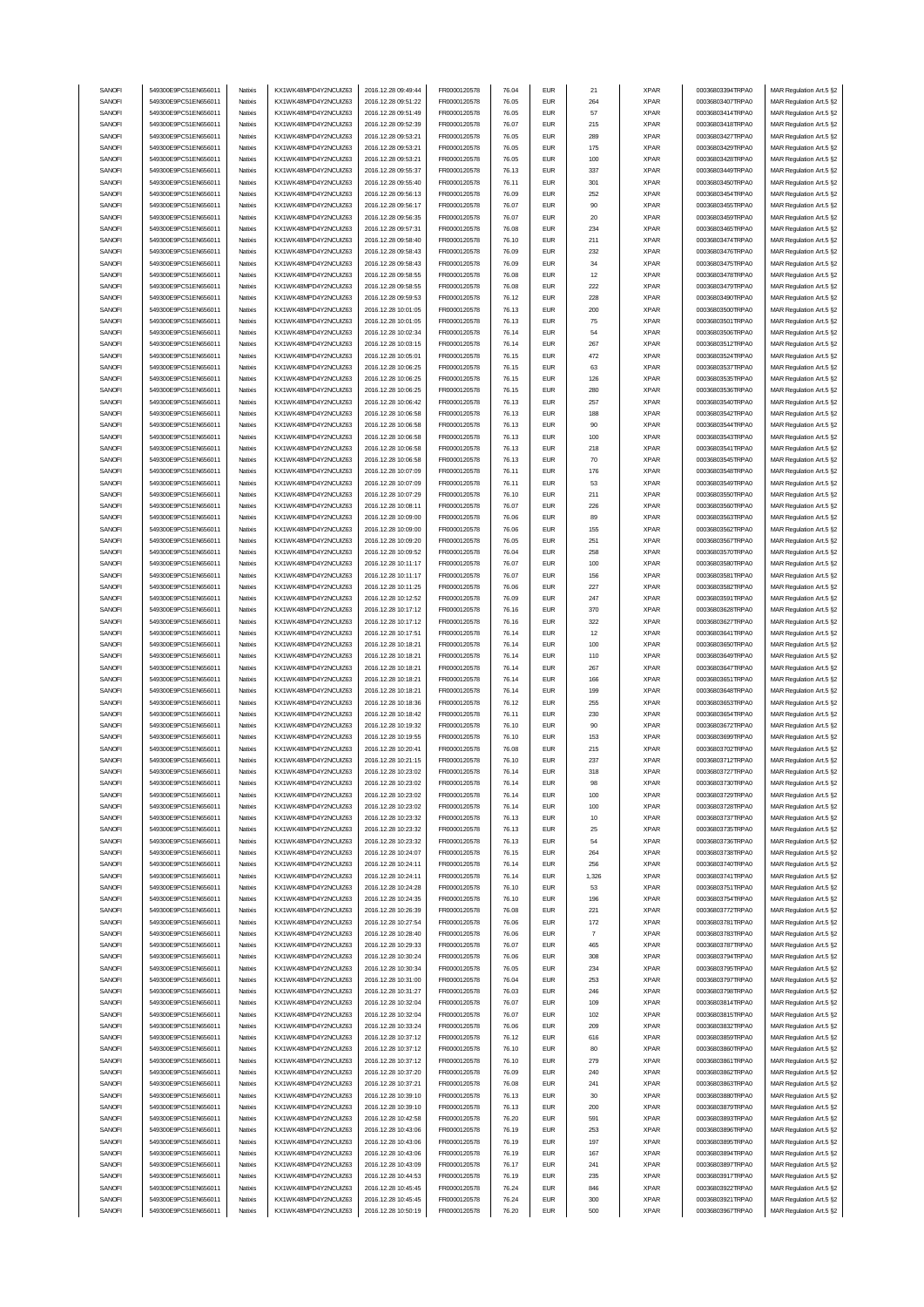| SANOFI           | 549300E9PC51EN656011                         | Natixis            | KX1WK48MPD4Y2NCUIZ63                         | 2016.12.28 09:49:44                        | FR0000120578                 | 76.04          | <b>EUR</b>                  | 21             | <b>XPAR</b>                | 00036803394TRPA0                     | MAR Regulation Art.5 §2                            |
|------------------|----------------------------------------------|--------------------|----------------------------------------------|--------------------------------------------|------------------------------|----------------|-----------------------------|----------------|----------------------------|--------------------------------------|----------------------------------------------------|
|                  | 549300E9PC51EN656011                         |                    | KX1WK48MPD4Y2NCUIZ63                         |                                            |                              |                |                             |                |                            |                                      |                                                    |
| SANOFI           |                                              | Natixis            |                                              | 2016.12.28 09:51:22                        | FR0000120578                 | 76.05          | <b>EUR</b>                  | 264            | <b>XPAR</b>                | 00036803407TRPA0                     | MAR Regulation Art.5 §2                            |
| SANOFI           | 549300E9PC51EN656011                         | Natixis            | KX1WK48MPD4Y2NCUIZ63                         | 2016.12.28 09:51:49                        | FR0000120578                 | 76.05          | <b>EUR</b>                  | 57             | <b>XPAR</b>                | 00036803414TRPA0                     | MAR Regulation Art.5 §2                            |
| SANOFI           | 549300E9PC51EN656011                         | Natixis            | KX1WK48MPD4Y2NCUIZ63                         | 2016.12.28 09:52:39                        | FR0000120578                 | 76.07          | <b>EUR</b>                  | 215            | <b>XPAR</b>                | 00036803418TRPA0                     | MAR Regulation Art.5 §2                            |
| SANOFI           | 549300E9PC51EN656011                         | Natixis            | KX1WK48MPD4Y2NCUIZ63                         | 2016.12.28 09:53:21                        | FR0000120578                 | 76.05          | <b>EUR</b>                  | 289            | <b>XPAR</b>                | 00036803427TRPA0                     | MAR Regulation Art.5 §2                            |
|                  |                                              |                    |                                              |                                            |                              |                |                             |                |                            |                                      |                                                    |
| SANOFI           | 549300E9PC51EN656011                         | Natixis            | KX1WK48MPD4Y2NCUIZ63                         | 2016.12.28 09:53:21                        | FR0000120578                 | 76.05          | <b>EUR</b>                  | 175            | <b>XPAR</b>                | 00036803429TRPA0                     | MAR Regulation Art.5 §2                            |
| SANOFI           | 549300E9PC51EN656011                         | Natixis            | KX1WK48MPD4Y2NCUIZ63                         | 2016.12.28 09:53:21                        | FR0000120578                 | 76.05          | <b>EUR</b>                  | 100            | <b>XPAR</b>                | 00036803428TRPA0                     | MAR Regulation Art.5 §2                            |
| SANOFI           | 549300E9PC51EN656011                         | Natixis            | KX1WK48MPD4Y2NCUIZ63                         | 2016.12.28 09:55:37                        | FR0000120578                 | 76.13          | <b>EUR</b>                  | 337            | <b>XPAR</b>                | 00036803449TRPA0                     | MAR Regulation Art.5 §2                            |
|                  |                                              |                    |                                              |                                            |                              |                |                             |                |                            |                                      |                                                    |
| SANOFI           | 549300E9PC51EN656011                         | Natixis            | KX1WK48MPD4Y2NCUIZ63                         | 2016.12.28 09:55:40                        | FR0000120578                 | 76.11          | <b>EUR</b>                  | 301            | <b>XPAR</b>                | 00036803450TRPA0                     | MAR Regulation Art.5 §2                            |
| SANOFI           | 549300E9PC51EN656011                         | Natixis            | KX1WK48MPD4Y2NCUIZ63                         | 2016.12.28 09:56:13                        | FR0000120578                 | 76.09          | <b>EUR</b>                  | 252            | <b>XPAR</b>                | 00036803454TRPA0                     | MAR Regulation Art.5 §2                            |
| SANOFI           | 549300E9PC51EN656011                         | Natixis            | KX1WK48MPD4Y2NCUIZ63                         | 2016.12.28 09:56:17                        | FR0000120578                 | 76.07          | <b>EUR</b>                  | 90             | <b>XPAR</b>                | 00036803455TRPA0                     | MAR Regulation Art.5 §2                            |
|                  |                                              |                    |                                              |                                            |                              |                |                             |                |                            |                                      |                                                    |
| SANOFI           | 549300E9PC51EN656011                         | Natixis            | KX1WK48MPD4Y2NCUIZ63                         | 2016.12.28 09:56:35                        | FR0000120578                 | 76.07          | <b>EUR</b>                  | 20             | <b>XPAR</b>                | 00036803459TRPA0                     | MAR Regulation Art.5 §2                            |
| SANOFI           | 549300E9PC51EN656011                         | Natixis            | KX1WK48MPD4Y2NCUIZ63                         | 2016.12.28 09:57:31                        | FR0000120578                 | 76.08          | <b>EUR</b>                  | 234            | <b>XPAR</b>                | 00036803465TRPA0                     | MAR Regulation Art.5 §2                            |
|                  |                                              |                    |                                              | 2016.12.28 09:58:40                        |                              |                |                             |                |                            |                                      |                                                    |
| SANOFI           | 549300E9PC51EN656011                         | Natixis            | KX1WK48MPD4Y2NCUIZ63                         |                                            | FR0000120578                 | 76.10          | <b>EUR</b>                  | 211            | <b>XPAR</b>                | 00036803474TRPA0                     | MAR Regulation Art.5 §2                            |
| SANOFI           | 549300E9PC51EN656011                         | Natixis            | KX1WK48MPD4Y2NCUIZ63                         | 2016.12.28 09:58:43                        | FR0000120578                 | 76.09          | <b>EUR</b>                  | 232            | <b>XPAR</b>                | 00036803476TRPA0                     | MAR Regulation Art.5 §2                            |
| SANOFI           | 549300E9PC51EN656011                         | Natixis            | KX1WK48MPD4Y2NCUIZ63                         | 2016.12.28 09:58:43                        | FR0000120578                 | 76.09          | <b>EUR</b>                  | 34             | <b>XPAR</b>                | 00036803475TRPA0                     | MAR Regulation Art.5 §2                            |
| SANOFI           | 549300E9PC51EN656011                         | Natixis            | KX1WK48MPD4Y2NCUIZ63                         | 2016.12.28 09:58:55                        | FR0000120578                 | 76.08          | <b>EUR</b>                  | 12             | <b>XPAR</b>                | 00036803478TRPA0                     | MAR Regulation Art.5 §2                            |
|                  |                                              |                    |                                              |                                            |                              |                |                             |                |                            |                                      |                                                    |
| SANOFI           | 549300E9PC51EN656011                         | Natixis            | KX1WK48MPD4Y2NCUIZ63                         | 2016.12.28 09:58:55                        | FR0000120578                 | 76.08          | <b>EUR</b>                  | 222            | <b>XPAR</b>                | 00036803479TRPA0                     | MAR Regulation Art.5 §2                            |
| SANOFI           | 549300E9PC51EN656011                         | Natixis            | KX1WK48MPD4Y2NCUIZ63                         | 2016.12.28 09:59:53                        | FR0000120578                 | 76.12          | <b>EUR</b>                  | 228            | <b>XPAR</b>                | 00036803490TRPA0                     | MAR Regulation Art.5 §2                            |
| SANOFI           | 549300E9PC51EN656011                         | Natixis            | KX1WK48MPD4Y2NCUIZ63                         | 2016.12.28 10:01:05                        | FR0000120578                 | 76.13          | <b>EUR</b>                  | 200            | <b>XPAR</b>                | 00036803500TRPA0                     |                                                    |
|                  |                                              |                    |                                              |                                            |                              |                |                             |                |                            |                                      | MAR Regulation Art.5 §2                            |
| SANOFI           | 549300E9PC51EN656011                         | Natixis            | KX1WK48MPD4Y2NCUIZ63                         | 2016.12.28 10:01:05                        | FR0000120578                 | 76.13          | <b>EUR</b>                  | 75             | <b>XPAR</b>                | 00036803501TRPA0                     | MAR Regulation Art.5 §2                            |
| SANOFI           | 549300E9PC51EN656011                         | Natixis            | KX1WK48MPD4Y2NCUIZ63                         | 2016.12.28 10:02:34                        | FR0000120578                 | 76.14          | <b>EUR</b>                  | 54             | <b>XPAR</b>                | 00036803506TRPA0                     | MAR Regulation Art.5 §2                            |
| SANOFI           | 549300E9PC51EN656011                         | Natixis            | KX1WK48MPD4Y2NCUIZ63                         | 2016.12.28 10:03:15                        | FR0000120578                 | 76.14          | <b>EUR</b>                  | 267            | <b>XPAR</b>                | 00036803512TRPA0                     | MAR Regulation Art.5 §2                            |
|                  |                                              |                    |                                              |                                            |                              |                |                             |                |                            |                                      |                                                    |
| SANOFI           | 549300E9PC51EN656011                         | Natixis            | KX1WK48MPD4Y2NCUIZ63                         | 2016.12.28 10:05:01                        | FR0000120578                 | 76.15          | <b>EUR</b>                  | 472            | <b>XPAR</b>                | 00036803524TRPA0                     | MAR Regulation Art.5 §2                            |
| SANOFI           | 549300E9PC51EN656011                         | Natixis            | KX1WK48MPD4Y2NCUIZ63                         | 2016.12.28 10:06:25                        | FR0000120578                 | 76.15          | <b>EUR</b>                  | 63             | <b>XPAR</b>                | 00036803537TRPA0                     | MAR Regulation Art.5 §2                            |
| SANOFI           | 549300E9PC51EN656011                         | Natixis            | KX1WK48MPD4Y2NCUIZ63                         | 2016.12.28 10:06:25                        | FR0000120578                 | 76.15          | <b>EUR</b>                  | 126            | <b>XPAR</b>                | 00036803535TRPA0                     | MAR Regulation Art.5 §2                            |
|                  |                                              |                    |                                              |                                            |                              |                |                             |                |                            |                                      |                                                    |
| SANOFI           | 549300E9PC51EN656011                         | Natixis            | KX1WK48MPD4Y2NCUIZ63                         | 2016.12.28 10:06:25                        | FR0000120578                 | 76.15          | <b>EUR</b>                  | 280            | <b>XPAR</b>                | 00036803536TRPA0                     | MAR Regulation Art.5 §2                            |
| SANOFI           | 549300E9PC51EN656011                         | Natixis            | KX1WK48MPD4Y2NCUIZ63                         | 2016.12.28 10:06:42                        | FR0000120578                 | 76.13          | <b>EUR</b>                  | 257            | <b>XPAR</b>                | 00036803540TRPA0                     | MAR Regulation Art.5 §2                            |
| SANOFI           | 549300E9PC51EN656011                         | Natixis            | KX1WK48MPD4Y2NCUIZ63                         | 2016.12.28 10:06:58                        | FR0000120578                 | 76.13          | <b>EUR</b>                  | 188            | <b>XPAR</b>                | 00036803542TRPA0                     | MAR Regulation Art.5 §2                            |
|                  | 549300E9PC51EN656011                         |                    | KX1WK48MPD4Y2NCUIZ63                         |                                            |                              |                |                             |                |                            |                                      |                                                    |
| SANOFI           |                                              | Natixis            |                                              | 2016.12.28 10:06:58                        | FR0000120578                 | 76.13          | <b>EUR</b>                  | 90             | <b>XPAR</b>                | 00036803544TRPA0                     | MAR Regulation Art.5 §2                            |
| SANOFI           | 549300E9PC51EN656011                         | Natixis            | KX1WK48MPD4Y2NCUIZ63                         | 2016.12.28 10:06:58                        | FR0000120578                 | 76.13          | <b>EUR</b>                  | 100            | <b>XPAR</b>                | 00036803543TRPA0                     | MAR Regulation Art.5 §2                            |
| SANOFI           | 549300E9PC51EN656011                         | Natixis            | KX1WK48MPD4Y2NCUIZ63                         | 2016.12.28 10:06:58                        | FR0000120578                 | 76.13          | <b>EUR</b>                  | 218            | <b>XPAR</b>                | 00036803541TRPA0                     | MAR Regulation Art.5 §2                            |
|                  |                                              |                    |                                              |                                            |                              |                |                             |                |                            |                                      |                                                    |
| SANOFI           | 549300E9PC51EN656011                         | Natixis            | KX1WK48MPD4Y2NCUIZ63                         | 2016.12.28 10:06:58                        | FR0000120578                 | 76.13          | <b>EUR</b>                  | 70             | <b>XPAR</b>                | 00036803545TRPA0                     | MAR Regulation Art.5 §2                            |
| SANOFI           | 549300E9PC51EN656011                         | Natixis            | KX1WK48MPD4Y2NCUIZ63                         | 2016.12.28 10:07:09                        | FR0000120578                 | 76.11          | <b>EUR</b>                  | 176            | <b>XPAR</b>                | 00036803548TRPA0                     | MAR Regulation Art.5 §2                            |
| SANOFI           | 549300E9PC51EN656011                         | Natixis            | KX1WK48MPD4Y2NCUIZ63                         | 2016.12.28 10:07:09                        | FR0000120578                 | 76.11          | <b>EUR</b>                  | 53             | <b>XPAR</b>                | 00036803549TRPA0                     | MAR Regulation Art.5 §2                            |
|                  |                                              |                    |                                              |                                            |                              |                |                             |                |                            |                                      |                                                    |
| SANOFI           | 549300E9PC51EN656011                         | Natixis            | KX1WK48MPD4Y2NCUIZ63                         | 2016.12.28 10:07:29                        | FR0000120578                 | 76.10          | <b>EUR</b>                  | 211            | <b>XPAR</b>                | 00036803550TRPA0                     | MAR Regulation Art.5 §2                            |
| SANOFI           | 549300E9PC51EN656011                         | Natixis            | KX1WK48MPD4Y2NCUIZ63                         | 2016.12.28 10:08:11                        | FR0000120578                 | 76.07          | <b>EUR</b>                  | 226            | <b>XPAR</b>                | 00036803560TRPA0                     | MAR Regulation Art.5 §2                            |
| SANOFI           | 549300E9PC51EN656011                         | Natixis            | KX1WK48MPD4Y2NCUIZ63                         | 2016.12.28 10:09:00                        | FR0000120578                 | 76.06          | <b>EUR</b>                  | 89             | <b>XPAR</b>                | 00036803563TRPA0                     | MAR Regulation Art.5 §2                            |
|                  |                                              |                    |                                              |                                            |                              |                |                             |                |                            |                                      |                                                    |
| SANOFI           | 549300E9PC51EN656011                         | Natixis            | KX1WK48MPD4Y2NCUIZ63                         | 2016.12.28 10:09:00                        | FR0000120578                 | 76.06          | <b>EUR</b>                  | 155            | <b>XPAR</b>                | 00036803562TRPA0                     | MAR Regulation Art.5 §2                            |
| SANOFI           | 549300E9PC51EN656011                         | Natixis            | KX1WK48MPD4Y2NCUIZ63                         | 2016.12.28 10:09:20                        | FR0000120578                 | 76.05          | <b>EUR</b>                  | 251            | <b>XPAR</b>                | 00036803567TRPA0                     | MAR Regulation Art.5 §2                            |
| SANOFI           | 549300E9PC51EN656011                         | Natixis            | KX1WK48MPD4Y2NCUIZ63                         | 2016.12.28 10:09:52                        | FR0000120578                 | 76.04          | <b>EUR</b>                  | 258            | <b>XPAR</b>                | 00036803570TRPA0                     | MAR Regulation Art.5 §2                            |
|                  |                                              |                    |                                              |                                            |                              |                |                             |                |                            |                                      |                                                    |
| SANOFI           | 549300E9PC51EN656011                         | Natixis            | KX1WK48MPD4Y2NCUIZ63                         | 2016.12.28 10:11:17                        | FR0000120578                 | 76.07          | <b>EUR</b>                  | 100            | <b>XPAR</b>                | 00036803580TRPA0                     | MAR Regulation Art.5 §2                            |
| SANOFI           | 549300E9PC51EN656011                         | Natixis            | KX1WK48MPD4Y2NCUIZ63                         | 2016.12.28 10:11:17                        | FR0000120578                 | 76.07          | <b>EUR</b>                  | 156            | <b>XPAR</b>                | 00036803581TRPA0                     | MAR Regulation Art.5 §2                            |
| SANOFI           | 549300E9PC51EN656011                         | Natixis            | KX1WK48MPD4Y2NCUIZ63                         | 2016.12.28 10:11:25                        | FR0000120578                 | 76.06          | <b>EUR</b>                  | 227            | <b>XPAR</b>                | 00036803582TRPA0                     | MAR Regulation Art.5 §2                            |
|                  |                                              |                    |                                              |                                            |                              |                |                             |                |                            |                                      |                                                    |
| SANOFI           | 549300E9PC51EN656011                         | Natixis            | KX1WK48MPD4Y2NCUIZ63                         | 2016.12.28 10:12:52                        | FR0000120578                 | 76.09          | <b>EUR</b>                  | 247            | <b>XPAR</b>                | 00036803591TRPA0                     | MAR Regulation Art.5 §2                            |
| SANOFI           | 549300E9PC51EN656011                         | Natixis            | KX1WK48MPD4Y2NCUIZ63                         | 2016.12.28 10:17:12                        | FR0000120578                 | 76.16          | <b>EUR</b>                  | 370            | <b>XPAR</b>                | 00036803628TRPA0                     | MAR Regulation Art.5 §2                            |
| SANOFI           | 549300E9PC51EN656011                         | Natixis            | KX1WK48MPD4Y2NCUIZ63                         | 2016.12.28 10:17:12                        | FR0000120578                 | 76.16          | <b>EUR</b>                  | 322            | <b>XPAR</b>                | 00036803627TRPA0                     | MAR Regulation Art.5 §2                            |
|                  |                                              |                    |                                              |                                            |                              |                |                             |                |                            |                                      |                                                    |
| SANOFI           | 549300E9PC51EN656011                         | Natixis            | KX1WK48MPD4Y2NCUIZ63                         | 2016.12.28 10:17:51                        | FR0000120578                 | 76.14          | <b>EUR</b>                  | 12             | <b>XPAR</b>                | 00036803641TRPA0                     | MAR Regulation Art.5 §2                            |
|                  |                                              |                    |                                              |                                            |                              |                |                             |                |                            |                                      |                                                    |
| SANOFI           | 549300E9PC51EN656011                         | Natixis            | KX1WK48MPD4Y2NCUIZ63                         | 2016.12.28 10:18:21                        | FR0000120578                 | 76.14          | <b>EUR</b>                  | 100            | <b>XPAR</b>                | 00036803650TRPA0                     | MAR Regulation Art.5 §2                            |
|                  |                                              |                    |                                              |                                            |                              |                |                             |                |                            |                                      |                                                    |
| SANOFI           | 549300E9PC51EN656011                         | Natixis            | KX1WK48MPD4Y2NCUIZ63                         | 2016.12.28 10:18:21                        | FR0000120578                 | 76.14          | <b>EUR</b>                  | 110            | <b>XPAR</b>                | 00036803649TRPA0                     | MAR Regulation Art.5 §2                            |
| SANOFI           | 549300E9PC51EN656011                         | Natixis            | KX1WK48MPD4Y2NCUIZ63                         | 2016.12.28 10:18:21                        | FR0000120578                 | 76.14          | <b>EUR</b>                  | 267            | <b>XPAR</b>                | 00036803647TRPA0                     | MAR Regulation Art.5 §2                            |
| SANOFI           | 549300E9PC51EN656011                         | Natixis            | KX1WK48MPD4Y2NCUIZ63                         | 2016.12.28 10:18:21                        | FR0000120578                 | 76.14          | <b>EUR</b>                  | 166            | <b>XPAR</b>                | 00036803651TRPA0                     | MAR Regulation Art.5 §2                            |
|                  |                                              | Natixis            | KX1WK48MPD4Y2NCUIZ63                         |                                            |                              | 76.14          |                             |                |                            | 00036803648TRPA0                     |                                                    |
| SANOFI           | 549300E9PC51EN656011                         |                    |                                              | 2016.12.28 10:18:21                        | FR0000120578                 |                | <b>EUR</b>                  | 199            | <b>XPAR</b>                |                                      | MAR Regulation Art.5 §2                            |
| SANOFI           | 549300E9PC51EN656011                         | Natixis            | KX1WK48MPD4Y2NCUIZ63                         | 2016.12.28 10:18:36                        | FR0000120578                 | 76.12          | <b>EUR</b>                  | 255            | <b>XPAR</b>                | 00036803653TRPA0                     | MAR Regulation Art.5 §2                            |
| SANOFI           | 549300E9PC51EN656011                         | Natixis            | KX1WK48MPD4Y2NCUIZ63                         | 2016.12.28 10:18:42                        | FR0000120578                 | 76.11          | <b>EUR</b>                  | 230            | <b>XPAR</b>                | 00036803654TRPA0                     | MAR Regulation Art.5 §2                            |
| SANOFI           | 549300E9PC51EN656011                         | Natixis            | KX1WK48MPD4Y2NCUIZ63                         | 2016.12.28 10:19:32                        | FR0000120578                 | 76.10          | <b>EUR</b>                  | 90             | <b>XPAR</b>                | 00036803672TRPA0                     |                                                    |
|                  |                                              |                    |                                              |                                            |                              |                |                             |                |                            |                                      | MAR Regulation Art.5 §2                            |
| SANOFI           | 549300E9PC51EN656011                         | Natixis            | KX1WK48MPD4Y2NCUIZ63                         | 2016.12.28 10:19:55                        | FR0000120578                 | 76.10          | <b>EUR</b>                  | 153            | <b>XPAR</b>                | 00036803699TRPA0                     | MAR Regulation Art.5 §2                            |
| SANOFI           | 549300E9PC51EN656011                         | Natixis            | KX1WK48MPD4Y2NCUIZ63                         | 2016.12.28 10:20:41                        | FR0000120578                 | 76.08          | <b>EUR</b>                  | 215            | <b>XPAR</b>                | 00036803702TRPA0                     | MAR Regulation Art.5 §2                            |
| SANOFI           | 549300E9PC51EN656011                         | Natixis            | KX1WK48MPD4Y2NCUIZ63                         | 2016.12.28 10:21:15                        | FR0000120578                 | 76.10          | <b>EUR</b>                  | 237            | <b>XPAR</b>                | 00036803712TRPA0                     | MAR Regulation Art.5 §2                            |
|                  |                                              |                    |                                              |                                            |                              |                |                             |                |                            |                                      |                                                    |
| SANUH            | 549300E9PC51EN656011                         | rvatovis           | KX1WK48MPD4Y2NCUIZ63                         | 2016.12.28 10:23:02                        | <b>FR00001205/8</b>          | 76.14          | EUM                         | 318            | <b>XPAR</b>                | 00036803727TRPAU                     | MAR Regulation Art.5 §2                            |
| SANOFI           | 549300E9PC51EN656011                         | Natixis            | KX1WK48MPD4Y2NCUIZ63                         | 2016.12.28 10:23:02                        | FR0000120578                 | 76.14          | <b>EUR</b>                  | 98             | <b>XPAR</b>                | 00036803730TRPA0                     | MAR Regulation Art.5 §2                            |
| SANOFI           | 549300E9PC51EN656011                         | Natixis            | KX1WK48MPD4Y2NCUIZ63                         | 2016.12.28 10:23:02                        | FR0000120578                 | 76.14          | <b>EUR</b>                  | 100            | <b>XPAR</b>                | 00036803729TRPA0                     | MAR Regulation Art.5 §2                            |
|                  |                                              | Natixis            |                                              |                                            |                              |                | <b>EUR</b>                  |                |                            |                                      |                                                    |
| SANOFI           | 549300E9PC51EN656011                         |                    | KX1WK48MPD4Y2NCUIZ63                         | 2016.12.28 10:23:02                        | FR0000120578                 | 76.14          |                             | 100            | <b>XPAR</b>                | 00036803728TRPA0                     | MAR Regulation Art.5 §2                            |
| SANOFI           | 549300E9PC51EN656011                         | Natixis            | KX1WK48MPD4Y2NCUIZ63                         | 2016.12.28 10:23:32                        | FR0000120578                 | 76.13          | <b>EUR</b>                  | 10             | <b>XPAR</b>                | 00036803737TRPA0                     | MAR Regulation Art.5 §2                            |
| SANOFI           | 549300E9PC51EN656011                         | Natixis            | KX1WK48MPD4Y2NCUIZ63                         | 2016.12.28 10:23:32                        | FR0000120578                 | 76.13          | <b>EUR</b>                  | 25             | <b>XPAR</b>                | 00036803735TRPA0                     | MAR Regulation Art.5 §2                            |
| SANOFI           | 549300E9PC51EN656011                         | Natixis            | KX1WK48MPD4Y2NCUIZ63                         | 2016.12.28 10:23:32                        | FR0000120578                 | 76.13          | <b>EUR</b>                  | 54             | <b>XPAR</b>                | 00036803736TRPA0                     | MAR Regulation Art.5 §2                            |
|                  |                                              |                    |                                              |                                            |                              |                |                             |                |                            |                                      |                                                    |
| SANOFI           | 549300E9PC51EN656011                         | Natixis            | KX1WK48MPD4Y2NCUIZ63                         | 2016.12.28 10:24:07                        | FR0000120578                 | 76.15          | <b>EUR</b>                  | 264            | <b>XPAR</b>                | 00036803738TRPA0                     | MAR Regulation Art.5 §2                            |
| SANOFI           | 549300E9PC51EN656011                         | Natixis            | KX1WK48MPD4Y2NCUIZ63                         | 2016.12.28 10:24:11                        | FR0000120578                 | 76.14          | <b>EUR</b>                  | 256            | <b>XPAR</b>                | 00036803740TRPA0                     | MAR Regulation Art.5 §2                            |
| SANOFI           | 549300E9PC51EN656011                         | Natixis            | KX1WK48MPD4Y2NCUIZ63                         | 2016.12.28 10:24:11                        | FR0000120578                 | 76.14          | <b>EUR</b>                  | 1,326          | <b>XPAR</b>                | 00036803741TRPA0                     | MAR Regulation Art.5 §2                            |
|                  |                                              |                    | KX1WK48MPD4Y2NCUIZ63                         |                                            |                              |                |                             |                |                            |                                      |                                                    |
| SANOFI           | 549300E9PC51EN656011                         | Natixis            |                                              | 2016.12.28 10:24:28                        | FR0000120578                 | 76.10          | <b>EUR</b>                  | 53             | <b>XPAR</b>                | 00036803751TRPA0                     | MAR Regulation Art.5 §2                            |
| SANOFI           | 549300E9PC51EN656011                         | Natixis            | KX1WK48MPD4Y2NCUIZ63                         | 2016.12.28 10:24:35                        | FR0000120578                 | 76.10          | <b>EUR</b>                  | 196            | <b>XPAR</b>                | 00036803754TRPA0                     | MAR Regulation Art.5 §2                            |
| SANOFI           | 549300E9PC51EN656011                         | Natixis            | KX1WK48MPD4Y2NCUIZ63                         | 2016.12.28 10:26:39                        | FR0000120578                 | 76.08          | $\ensuremath{\mathsf{EUR}}$ | 221            | <b>XPAR</b>                | 00036803772TRPA0                     | MAR Regulation Art.5 §2                            |
| SANOFI           | 549300E9PC51EN656011                         | Natixis            | KX1WK48MPD4Y2NCUIZ63                         | 2016.12.28 10:27:54                        | FR0000120578                 | 76.06          | <b>EUR</b>                  | 172            | <b>XPAR</b>                | 00036803781TRPA0                     |                                                    |
|                  |                                              |                    |                                              |                                            |                              |                |                             |                |                            |                                      | MAR Regulation Art.5 §2                            |
| SANOFI           | 549300E9PC51EN656011                         | Natixis            | KX1WK48MPD4Y2NCUIZ63                         | 2016.12.28 10:28:40                        | FR0000120578                 | 76.06          | <b>EUR</b>                  | $\overline{7}$ | <b>XPAR</b>                | 00036803783TRPA0                     | MAR Regulation Art.5 §2                            |
| SANOFI           | 549300E9PC51EN656011                         | Natixis            | KX1WK48MPD4Y2NCUIZ63                         | 2016.12.28 10:29:33                        | FR0000120578                 | 76.07          | <b>EUR</b>                  | 465            | <b>XPAR</b>                | 00036803787TRPA0                     | MAR Regulation Art.5 §2                            |
|                  | 549300E9PC51EN656011                         |                    |                                              |                                            |                              |                | <b>EUR</b>                  |                |                            |                                      |                                                    |
| SANOFI           |                                              | Natixis            | KX1WK48MPD4Y2NCUIZ63                         | 2016.12.28 10:30:24                        | FR0000120578                 | 76.06          |                             | 308            | <b>XPAR</b>                | 00036803794TRPA0                     | MAR Regulation Art.5 §2                            |
| SANOFI           | 549300E9PC51EN656011                         | Natixis            | KX1WK48MPD4Y2NCUIZ63                         | 2016.12.28 10:30:34                        | FR0000120578                 | 76.05          | <b>EUR</b>                  | 234            | <b>XPAR</b>                | 00036803795TRPA0                     | MAR Regulation Art.5 §2                            |
| SANOFI           | 549300E9PC51EN656011                         | Natixis            | KX1WK48MPD4Y2NCUIZ63                         | 2016.12.28 10:31:00                        | FR0000120578                 | 76.04          | <b>EUR</b>                  | 253            | <b>XPAR</b>                | 00036803797TRPA0                     | MAR Regulation Art.5 §2                            |
| SANOFI           | 549300E9PC51EN656011                         | Natixis            | KX1WK48MPD4Y2NCUIZ63                         | 2016.12.28 10:31:27                        | FR0000120578                 | 76.03          | <b>EUR</b>                  | 246            | <b>XPAR</b>                | 00036803798TRPA0                     | MAR Regulation Art.5 §2                            |
|                  |                                              |                    |                                              |                                            |                              |                |                             |                |                            |                                      |                                                    |
| SANOFI           | 549300E9PC51EN656011                         | Natixis            | KX1WK48MPD4Y2NCUIZ63                         | 2016.12.28 10:32:04                        | FR0000120578                 | 76.07          | <b>EUR</b>                  | 109            | <b>XPAR</b>                | 00036803814TRPA0                     | MAR Regulation Art.5 §2                            |
| SANOFI           | 549300E9PC51EN656011                         | Natixis            | KX1WK48MPD4Y2NCUIZ63                         | 2016.12.28 10:32:04                        | FR0000120578                 | 76.07          | <b>EUR</b>                  | 102            | <b>XPAR</b>                | 00036803815TRPA0                     | MAR Regulation Art.5 §2                            |
| SANOFI           | 549300E9PC51EN656011                         | Natixis            | KX1WK48MPD4Y2NCUIZ63                         | 2016.12.28 10:33:24                        | FR0000120578                 | 76.06          | <b>EUR</b>                  | 209            | <b>XPAR</b>                | 00036803832TRPA0                     | MAR Regulation Art.5 §2                            |
|                  |                                              | Natixis            |                                              |                                            |                              |                |                             | 616            |                            |                                      |                                                    |
| SANOFI           | 549300E9PC51EN656011                         |                    | KX1WK48MPD4Y2NCUIZ63                         | 2016.12.28 10:37:12                        | FR0000120578                 | 76.12          | <b>EUR</b>                  |                | <b>XPAR</b>                | 00036803859TRPA0                     | MAR Regulation Art.5 §2                            |
| SANOFI           | 549300E9PC51EN656011                         | Natixis            | KX1WK48MPD4Y2NCUIZ63                         | 2016.12.28 10:37:12                        | FR0000120578                 | 76.10          | <b>EUR</b>                  | 80             | <b>XPAR</b>                | 00036803860TRPA0                     | MAR Regulation Art.5 §2                            |
| SANOFI           | 549300E9PC51EN656011                         | Natixis            | KX1WK48MPD4Y2NCUIZ63                         | 2016.12.28 10:37:12                        | FR0000120578                 | 76.10          | <b>EUR</b>                  | 279            | <b>XPAR</b>                | 00036803861TRPA0                     | MAR Regulation Art.5 §2                            |
| SANOFI           | 549300E9PC51EN656011                         | Natixis            | KX1WK48MPD4Y2NCUIZ63                         | 2016.12.28 10:37:20                        | FR0000120578                 | 76.09          | <b>EUR</b>                  | 240            | <b>XPAR</b>                | 00036803862TRPA0                     | MAR Regulation Art.5 §2                            |
|                  |                                              |                    |                                              |                                            |                              |                |                             |                |                            |                                      |                                                    |
| SANOFI           | 549300E9PC51EN656011                         | Natixis            | KX1WK48MPD4Y2NCUIZ63                         | 2016.12.28 10:37:21                        | FR0000120578                 | 76.08          | <b>EUR</b>                  | 241            | <b>XPAR</b>                | 00036803863TRPA0                     | MAR Regulation Art.5 §2                            |
| SANOFI           | 549300E9PC51EN656011                         | Natixis            | KX1WK48MPD4Y2NCUIZ63                         | 2016.12.28 10:39:10                        | FR0000120578                 | 76.13          | <b>EUR</b>                  | 30             | <b>XPAR</b>                | 00036803880TRPA0                     | MAR Regulation Art.5 §2                            |
| SANOFI           | 549300E9PC51EN656011                         | Natixis            | KX1WK48MPD4Y2NCUIZ63                         | 2016.12.28 10:39:10                        | FR0000120578                 | 76.13          | <b>EUR</b>                  | 200            | <b>XPAR</b>                | 00036803879TRPA0                     | MAR Regulation Art.5 §2                            |
|                  |                                              |                    |                                              |                                            |                              |                |                             |                |                            |                                      |                                                    |
| SANOFI           | 549300E9PC51EN656011                         | Natixis            | KX1WK48MPD4Y2NCUIZ63                         | 2016.12.28 10:42:58                        | FR0000120578                 | 76.20          | <b>EUR</b>                  | 591            | <b>XPAR</b>                | 00036803893TRPA0                     | MAR Regulation Art.5 §2                            |
| SANOFI           | 549300E9PC51EN656011                         | Natixis            | KX1WK48MPD4Y2NCUIZ63                         | 2016.12.28 10:43:06                        | FR0000120578                 | 76.19          | <b>EUR</b>                  | 253            | <b>XPAR</b>                | 00036803896TRPA0                     | MAR Regulation Art.5 §2                            |
| SANOFI           | 549300E9PC51EN656011                         | Natixis            | KX1WK48MPD4Y2NCUIZ63                         | 2016.12.28 10:43:06                        | FR0000120578                 | 76.19          | <b>EUR</b>                  | 197            | <b>XPAR</b>                | 00036803895TRPA0                     | MAR Regulation Art.5 §2                            |
|                  |                                              |                    |                                              |                                            |                              |                |                             |                |                            |                                      |                                                    |
| SANOFI           | 549300E9PC51EN656011                         | Natixis            | KX1WK48MPD4Y2NCUIZ63                         | 2016.12.28 10:43:06                        | FR0000120578                 | 76.19          | <b>EUR</b>                  | 167            | <b>XPAR</b>                | 00036803894TRPA0                     | MAR Regulation Art.5 §2                            |
| SANOFI           | 549300E9PC51EN656011                         | Natixis            | KX1WK48MPD4Y2NCUIZ63                         | 2016.12.28 10:43:09                        | FR0000120578                 | 76.17          | <b>EUR</b>                  | 241            | <b>XPAR</b>                | 00036803897TRPA0                     | MAR Regulation Art.5 §2                            |
| SANOFI           | 549300E9PC51EN656011                         | Natixis            | KX1WK48MPD4Y2NCUIZ63                         | 2016.12.28 10:44:53                        | FR0000120578                 | 76.19          | <b>EUR</b>                  | 235            | <b>XPAR</b>                | 00036803917TRPA0                     | MAR Regulation Art.5 §2                            |
| SANOFI           | 549300E9PC51EN656011                         | Natixis            | KX1WK48MPD4Y2NCUIZ63                         | 2016.12.28 10:45:45                        | FR0000120578                 | 76.24          | <b>EUR</b>                  | 846            | <b>XPAR</b>                | 00036803922TRPA0                     |                                                    |
|                  |                                              |                    |                                              |                                            |                              |                |                             |                |                            |                                      | MAR Regulation Art.5 §2                            |
| SANOFI<br>SANOFI | 549300E9PC51EN656011<br>549300E9PC51EN656011 | Natixis<br>Natixis | KX1WK48MPD4Y2NCUIZ63<br>KX1WK48MPD4Y2NCUIZ63 | 2016.12.28 10:45:45<br>2016.12.28 10:50:19 | FR0000120578<br>FR0000120578 | 76.24<br>76.20 | <b>EUR</b><br><b>EUR</b>    | 300<br>500     | <b>XPAR</b><br><b>XPAR</b> | 00036803921TRPA0<br>00036803967TRPA0 | MAR Regulation Art.5 §2<br>MAR Regulation Art.5 §2 |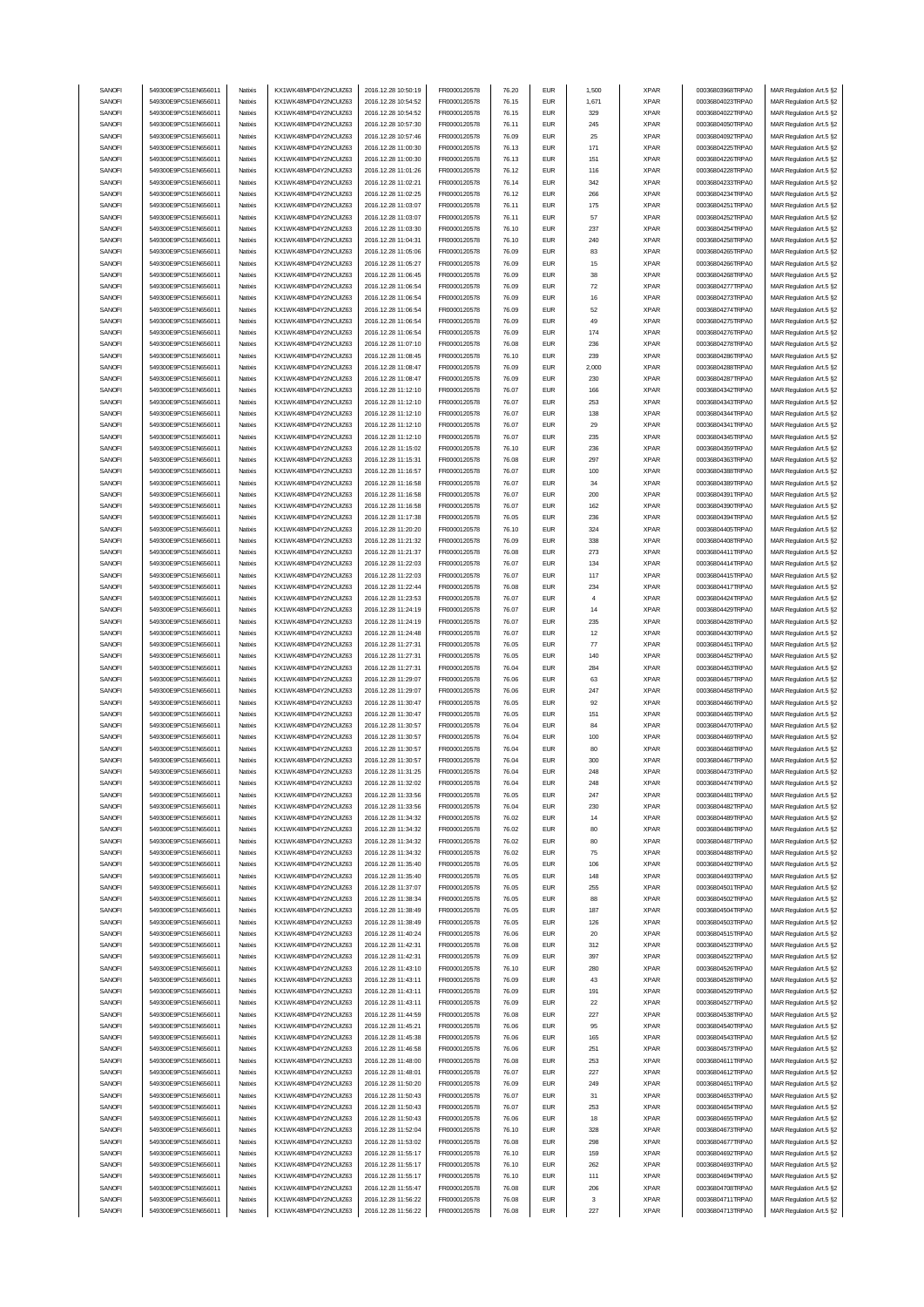| SANOFI           | 549300E9PC51EN656011                         | Natixis            | KX1WK48MPD4Y2NCUIZ63                         | 2016.12.28 10:50:19                        | FR0000120578                 | 76.20          | <b>EUR</b>               | 1,500      | <b>XPAR</b>                | 00036803968TRPA0                     | MAR Regulation Art.5 §2                            |
|------------------|----------------------------------------------|--------------------|----------------------------------------------|--------------------------------------------|------------------------------|----------------|--------------------------|------------|----------------------------|--------------------------------------|----------------------------------------------------|
| SANOFI           | 549300E9PC51EN656011                         | Natixis            | KX1WK48MPD4Y2NCUIZ63                         | 2016.12.28 10:54:52                        | FR0000120578                 | 76.15          | <b>EUR</b>               | 1,671      | <b>XPAR</b>                | 00036804023TRPA0                     | MAR Regulation Art.5 §2                            |
| SANOFI           |                                              |                    |                                              |                                            |                              |                | <b>EUR</b>               |            | <b>XPAR</b>                |                                      |                                                    |
|                  | 549300E9PC51EN656011                         | Natixis            | KX1WK48MPD4Y2NCUIZ63                         | 2016.12.28 10:54:52                        | FR0000120578                 | 76.15          |                          | 329        |                            | 00036804022TRPA0                     | MAR Regulation Art.5 §2                            |
| SANOFI           | 549300E9PC51EN656011                         | Natixis            | KX1WK48MPD4Y2NCUIZ63                         | 2016.12.28 10:57:30                        | FR0000120578                 | 76.11          | <b>EUR</b>               | 245        | <b>XPAR</b>                | 00036804050TRPA0                     | MAR Regulation Art.5 §2                            |
| SANOFI           | 549300E9PC51EN656011                         | Natixis            | KX1WK48MPD4Y2NCUIZ63                         | 2016.12.28 10:57:46                        | FR0000120578                 | 76.09          | <b>EUR</b>               | 25         | <b>XPAR</b>                | 00036804092TRPA0                     | MAR Regulation Art.5 §2                            |
| SANOFI           | 549300E9PC51EN656011                         | Natixis            | KX1WK48MPD4Y2NCUIZ63                         | 2016.12.28 11:00:30                        | FR0000120578                 | 76.13          | <b>EUR</b>               | 171        | <b>XPAR</b>                | 00036804225TRPA0                     | MAR Regulation Art.5 §2                            |
| SANOFI           | 549300E9PC51EN656011                         | Natixis            | KX1WK48MPD4Y2NCUIZ63                         | 2016.12.28 11:00:30                        | FR0000120578                 | 76.13          | <b>EUR</b>               | 151        | <b>XPAR</b>                | 00036804226TRPA0                     | MAR Regulation Art.5 §2                            |
| SANOFI           | 549300E9PC51EN656011                         | Natixis            | KX1WK48MPD4Y2NCUIZ63                         | 2016.12.28 11:01:26                        | FR0000120578                 | 76.12          | <b>EUR</b>               | 116        | <b>XPAR</b>                | 00036804228TRPA0                     | MAR Regulation Art.5 §2                            |
|                  | 549300E9PC51EN656011                         |                    | KX1WK48MPD4Y2NCUIZ63                         | 2016.12.28 11:02:21                        |                              |                | <b>EUR</b>               |            |                            |                                      |                                                    |
| SANOFI           |                                              | Natixis            |                                              |                                            | FR0000120578                 | 76.14          |                          | 342        | <b>XPAR</b>                | 00036804233TRPA0                     | MAR Regulation Art.5 §2                            |
| SANOFI           | 549300E9PC51EN656011                         | Natixis            | KX1WK48MPD4Y2NCUIZ63                         | 2016.12.28 11:02:25                        | FR0000120578                 | 76.12          | <b>EUR</b>               | 266        | <b>XPAR</b>                | 00036804234TRPA0                     | MAR Regulation Art.5 §2                            |
| SANOFI           | 549300E9PC51EN656011                         | Natixis            | KX1WK48MPD4Y2NCUIZ63                         | 2016.12.28 11:03:07                        | FR0000120578                 | 76.11          | <b>EUR</b>               | 175        | <b>XPAR</b>                | 00036804251TRPA0                     | MAR Regulation Art.5 §2                            |
| SANOFI           | 549300E9PC51EN656011                         | Natixis            | KX1WK48MPD4Y2NCUIZ63                         | 2016.12.28 11:03:07                        | FR0000120578                 | 76.11          | <b>EUR</b>               | 57         | <b>XPAR</b>                | 00036804252TRPA0                     | MAR Regulation Art.5 §2                            |
| SANOFI           | 549300E9PC51EN656011                         | Natixis            | KX1WK48MPD4Y2NCUIZ63                         | 2016.12.28 11:03:30                        | FR0000120578                 | 76.10          | <b>EUR</b>               | 237        | <b>XPAR</b>                | 00036804254TRPA0                     | MAR Regulation Art.5 §2                            |
| SANOFI           | 549300E9PC51EN656011                         | Natixis            | KX1WK48MPD4Y2NCUIZ63                         | 2016.12.28 11:04:31                        | FR0000120578                 | 76.10          | <b>EUR</b>               | 240        | <b>XPAR</b>                | 00036804258TRPA0                     | MAR Regulation Art.5 §2                            |
|                  |                                              |                    |                                              |                                            |                              |                |                          |            |                            |                                      |                                                    |
| SANOFI           | 549300E9PC51EN656011                         | Natixis            | KX1WK48MPD4Y2NCUIZ63                         | 2016.12.28 11:05:06                        | FR0000120578                 | 76.09          | <b>EUR</b>               | 83         | <b>XPAR</b>                | 00036804265TRPA0                     | MAR Regulation Art.5 §2                            |
| SANOFI           | 549300E9PC51EN656011                         | Natixis            | KX1WK48MPD4Y2NCUIZ63                         | 2016.12.28 11:05:27                        | FR0000120578                 | 76.09          | <b>EUR</b>               | 15         | <b>XPAR</b>                | 00036804266TRPA0                     | MAR Regulation Art.5 §2                            |
| SANOFI           | 549300E9PC51EN656011                         | Natixis            | KX1WK48MPD4Y2NCUIZ63                         | 2016.12.28 11:06:45                        | FR0000120578                 | 76.09          | <b>EUR</b>               | 38         | <b>XPAR</b>                | 00036804268TRPA0                     | MAR Regulation Art.5 §2                            |
| SANOFI           | 549300E9PC51EN656011                         | Natixis            | KX1WK48MPD4Y2NCUIZ63                         | 2016.12.28 11:06:54                        | FR0000120578                 | 76.09          | <b>EUR</b>               | 72         | <b>XPAR</b>                | 00036804277TRPA0                     | MAR Regulation Art.5 §2                            |
| SANOFI           | 549300E9PC51EN656011                         | Natixis            | KX1WK48MPD4Y2NCUIZ63                         | 2016.12.28 11:06:54                        | FR0000120578                 | 76.09          | <b>EUR</b>               | 16         | <b>XPAR</b>                | 00036804273TRPA0                     | MAR Regulation Art.5 §2                            |
| SANOFI           | 549300E9PC51EN656011                         | Natixis            | KX1WK48MPD4Y2NCUIZ63                         | 2016.12.28 11:06:54                        | FR0000120578                 | 76.09          | <b>EUR</b>               | 52         | <b>XPAR</b>                | 00036804274TRPA0                     | MAR Regulation Art.5 §2                            |
| SANOFI           | 549300E9PC51EN656011                         | Natixis            | KX1WK48MPD4Y2NCUIZ63                         | 2016.12.28 11:06:54                        | FR0000120578                 | 76.09          | <b>EUR</b>               | 49         | <b>XPAR</b>                | 00036804275TRPA0                     | MAR Regulation Art.5 §2                            |
|                  |                                              |                    |                                              |                                            |                              |                |                          |            |                            |                                      |                                                    |
| SANOFI           | 549300E9PC51EN656011                         | Natixis            | KX1WK48MPD4Y2NCUIZ63                         | 2016.12.28 11:06:54                        | FR0000120578                 | 76.09          | <b>EUR</b>               | 174        | <b>XPAR</b>                | 00036804276TRPA0                     | MAR Regulation Art.5 §2                            |
| SANOFI           | 549300E9PC51EN656011                         | Natixis            | KX1WK48MPD4Y2NCUIZ63                         | 2016.12.28 11:07:10                        | FR0000120578                 | 76.08          | <b>EUR</b>               | 236        | <b>XPAR</b>                | 00036804278TRPA0                     | MAR Regulation Art.5 §2                            |
| SANOFI           | 549300E9PC51EN656011                         | Natixis            | KX1WK48MPD4Y2NCUIZ63                         | 2016.12.28 11:08:45                        | FR0000120578                 | 76.10          | <b>EUR</b>               | 239        | <b>XPAR</b>                | 00036804286TRPA0                     | MAR Regulation Art.5 §2                            |
| SANOFI           | 549300E9PC51EN656011                         | Natixis            | KX1WK48MPD4Y2NCUIZ63                         | 2016.12.28 11:08:47                        | FR0000120578                 | 76.09          | <b>EUR</b>               | 2,000      | <b>XPAR</b>                | 00036804288TRPA0                     | MAR Regulation Art.5 §2                            |
| SANOFI           | 549300E9PC51EN656011                         | Natixis            | KX1WK48MPD4Y2NCUIZ63                         | 2016.12.28 11:08:47                        | FR0000120578                 | 76.09          | <b>EUR</b>               | 230        | <b>XPAR</b>                | 00036804287TRPA0                     | MAR Regulation Art.5 §2                            |
| SANOFI           | 549300E9PC51EN656011                         | Natixis            | KX1WK48MPD4Y2NCUIZ63                         | 2016.12.28 11:12:10                        | FR0000120578                 | 76.07          | <b>EUR</b>               | 166        | <b>XPAR</b>                | 00036804342TRPA0                     | MAR Regulation Art.5 §2                            |
|                  | 549300E9PC51EN656011                         | Natixis            | KX1WK48MPD4Y2NCUIZ63                         | 2016.12.28 11:12:10                        | FR0000120578                 | 76.07          | <b>EUR</b>               | 253        | <b>XPAR</b>                | 00036804343TRPA0                     | MAR Regulation Art.5 §2                            |
| SANOFI           |                                              |                    |                                              |                                            |                              |                |                          |            |                            |                                      |                                                    |
| SANOFI           | 549300E9PC51EN656011                         | Natixis            | KX1WK48MPD4Y2NCUIZ63                         | 2016.12.28 11:12:10                        | FR0000120578                 | 76.07          | <b>EUR</b>               | 138        | <b>XPAR</b>                | 00036804344TRPA0                     | MAR Regulation Art.5 §2                            |
| SANOFI           | 549300E9PC51EN656011                         | Natixis            | KX1WK48MPD4Y2NCUIZ63                         | 2016.12.28 11:12:10                        | FR0000120578                 | 76.07          | <b>EUR</b>               | 29         | <b>XPAR</b>                | 00036804341TRPA0                     | MAR Regulation Art.5 §2                            |
| SANOFI           | 549300E9PC51EN656011                         | Natixis            | KX1WK48MPD4Y2NCUIZ63                         | 2016.12.28 11:12:10                        | FR0000120578                 | 76.07          | <b>EUR</b>               | 235        | <b>XPAR</b>                | 00036804345TRPA0                     | MAR Regulation Art.5 §2                            |
| SANOFI           | 549300E9PC51EN656011                         | Natixis            | KX1WK48MPD4Y2NCUIZ63                         | 2016.12.28 11:15:02                        | FR0000120578                 | 76.10          | <b>EUR</b>               | 236        | <b>XPAR</b>                | 00036804359TRPA0                     | MAR Regulation Art.5 §2                            |
| SANOFI           | 549300E9PC51EN656011                         | Natixis            | KX1WK48MPD4Y2NCUIZ63                         | 2016.12.28 11:15:31                        | FR0000120578                 | 76.08          | <b>EUR</b>               | 297        | <b>XPAR</b>                | 00036804363TRPA0                     | MAR Regulation Art.5 §2                            |
| SANOFI           | 549300E9PC51EN656011                         | Natixis            | KX1WK48MPD4Y2NCUIZ63                         | 2016.12.28 11:16:57                        | FR0000120578                 | 76.07          | <b>EUR</b>               | 100        | <b>XPAR</b>                | 00036804388TRPA0                     | MAR Regulation Art.5 §2                            |
|                  |                                              |                    |                                              |                                            |                              |                |                          |            |                            |                                      |                                                    |
| SANOFI           | 549300E9PC51EN656011                         | Natixis            | KX1WK48MPD4Y2NCUIZ63                         | 2016.12.28 11:16:58                        | FR0000120578                 | 76.07          | <b>EUR</b>               | 34         | <b>XPAR</b>                | 00036804389TRPA0                     | MAR Regulation Art.5 §2                            |
| SANOFI           | 549300E9PC51EN656011                         | Natixis            | KX1WK48MPD4Y2NCUIZ63                         | 2016.12.28 11:16:58                        | FR0000120578                 | 76.07          | <b>EUR</b>               | 200        | <b>XPAR</b>                | 00036804391TRPA0                     | MAR Regulation Art.5 §2                            |
| SANOFI           | 549300E9PC51EN656011                         | Natixis            | KX1WK48MPD4Y2NCUIZ63                         | 2016.12.28 11:16:58                        | FR0000120578                 | 76.07          | <b>EUR</b>               | 162        | <b>XPAR</b>                | 00036804390TRPA0                     | MAR Regulation Art.5 §2                            |
| SANOFI           | 549300E9PC51EN656011                         | Natixis            | KX1WK48MPD4Y2NCUIZ63                         | 2016.12.28 11:17:38                        | FR0000120578                 | 76.05          | <b>EUR</b>               | 236        | <b>XPAR</b>                | 00036804394TRPA0                     | MAR Regulation Art.5 §2                            |
| SANOFI           | 549300E9PC51EN656011                         | Natixis            | KX1WK48MPD4Y2NCUIZ63                         | 2016.12.28 11:20:20                        | FR0000120578                 | 76.10          | <b>EUR</b>               | 324        | <b>XPAR</b>                | 00036804405TRPA0                     | MAR Regulation Art.5 §2                            |
| SANOFI           | 549300E9PC51EN656011                         | Natixis            | KX1WK48MPD4Y2NCUIZ63                         | 2016.12.28 11:21:32                        | FR0000120578                 | 76.09          | <b>EUR</b>               | 338        | <b>XPAR</b>                | 00036804408TRPA0                     | MAR Regulation Art.5 §2                            |
| SANOFI           | 549300E9PC51EN656011                         | Natixis            | KX1WK48MPD4Y2NCUIZ63                         | 2016.12.28 11:21:37                        | FR0000120578                 | 76.08          | <b>EUR</b>               | 273        | <b>XPAR</b>                | 00036804411TRPA0                     | MAR Regulation Art.5 §2                            |
|                  |                                              |                    |                                              |                                            |                              |                |                          |            |                            |                                      |                                                    |
| SANOFI           | 549300E9PC51EN656011                         | Natixis            | KX1WK48MPD4Y2NCUIZ63                         | 2016.12.28 11:22:03                        | FR0000120578                 | 76.07          | <b>EUR</b>               | 134        | <b>XPAR</b>                | 00036804414TRPA0                     | MAR Regulation Art.5 §2                            |
| SANOFI           | 549300E9PC51EN656011                         | Natixis            | KX1WK48MPD4Y2NCUIZ63                         | 2016.12.28 11:22:03                        | FR0000120578                 | 76.07          | <b>EUR</b>               | 117        | <b>XPAR</b>                | 00036804415TRPA0                     | MAR Regulation Art.5 §2                            |
| SANOFI           | 549300E9PC51EN656011                         | Natixis            | KX1WK48MPD4Y2NCUIZ63                         | 2016.12.28 11:22:44                        | FR0000120578                 | 76.08          | <b>EUR</b>               | 234        | <b>XPAR</b>                | 00036804417TRPA0                     | MAR Regulation Art.5 §2                            |
| SANOFI           | 549300E9PC51EN656011                         | Natixis            | KX1WK48MPD4Y2NCUIZ63                         | 2016.12.28 11:23:53                        | FR0000120578                 | 76.07          | <b>EUR</b>               | 4          | <b>XPAR</b>                | 00036804424TRPA0                     | MAR Regulation Art.5 §2                            |
| SANOFI           | 549300E9PC51EN656011                         | Natixis            | KX1WK48MPD4Y2NCUIZ63                         | 2016.12.28 11:24:19                        | FR0000120578                 | 76.07          | <b>EUR</b>               | 14         | <b>XPAR</b>                | 00036804429TRPA0                     | MAR Regulation Art.5 §2                            |
| SANOFI           | 549300E9PC51EN656011                         | Natixis            | KX1WK48MPD4Y2NCUIZ63                         | 2016.12.28 11:24:19                        | FR0000120578                 | 76.07          | <b>EUR</b>               | 235        | <b>XPAR</b>                | 00036804428TRPA0                     | MAR Regulation Art.5 §2                            |
| SANOFI           | 549300E9PC51EN656011                         | Natixis            | KX1WK48MPD4Y2NCUIZ63                         | 2016.12.28 11:24:48                        | FR0000120578                 | 76.07          | <b>EUR</b>               | 12         | <b>XPAR</b>                | 00036804430TRPA0                     | MAR Regulation Art.5 §2                            |
|                  |                                              |                    |                                              |                                            |                              |                |                          |            |                            |                                      |                                                    |
|                  |                                              |                    |                                              |                                            |                              |                |                          |            |                            |                                      |                                                    |
| SANOFI           | 549300E9PC51EN656011                         | Natixis            | KX1WK48MPD4Y2NCUIZ63                         | 2016.12.28 11:27:31                        | FR0000120578                 | 76.05          | <b>EUR</b>               | 77         | <b>XPAR</b>                | 00036804451TRPA0                     | MAR Regulation Art.5 §2                            |
| SANOFI           | 549300E9PC51EN656011                         | Natixis            | KX1WK48MPD4Y2NCUIZ63                         | 2016.12.28 11:27:31                        | FR0000120578                 | 76.05          | <b>EUR</b>               | 140        | <b>XPAR</b>                | 00036804452TRPA0                     | MAR Regulation Art.5 §2                            |
| SANOFI           | 549300E9PC51EN656011                         | Natixis            | KX1WK48MPD4Y2NCUIZ63                         | 2016.12.28 11:27:31                        | FR0000120578                 | 76.04          | <b>EUR</b>               | 284        | <b>XPAR</b>                | 00036804453TRPA0                     | MAR Regulation Art.5 §2                            |
| SANOFI           | 549300E9PC51EN656011                         | Natixis            | KX1WK48MPD4Y2NCUIZ63                         | 2016.12.28 11:29:07                        | FR0000120578                 | 76.06          | <b>EUR</b>               | 63         | <b>XPAR</b>                | 00036804457TRPA0                     | MAR Regulation Art.5 §2                            |
| SANOFI           | 549300E9PC51EN656011                         | Natixis            | KX1WK48MPD4Y2NCUIZ63                         | 2016.12.28 11:29:07                        | FR0000120578                 | 76.06          | <b>EUR</b>               | 247        | <b>XPAR</b>                | 00036804458TRPA0                     | MAR Regulation Art.5 §2                            |
| SANOFI           | 549300E9PC51EN656011                         | Natixis            | KX1WK48MPD4Y2NCUIZ63                         | 2016.12.28 11:30:47                        | FR0000120578                 | 76.05          | <b>EUR</b>               | 92         | <b>XPAR</b>                | 00036804466TRPA0                     | MAR Regulation Art.5 §2                            |
| SANOFI           | 549300E9PC51EN656011                         | Natixis            | KX1WK48MPD4Y2NCUIZ63                         | 2016.12.28 11:30:47                        | FR0000120578                 | 76.05          | <b>EUR</b>               | 151        | <b>XPAR</b>                | 00036804465TRPA0                     | MAR Regulation Art.5 §2                            |
|                  | 549300E9PC51EN656011                         | Natixis            | KX1WK48MPD4Y2NCUIZ63                         |                                            |                              | 76.04          | <b>EUR</b>               | 84         |                            |                                      |                                                    |
| SANOFI           |                                              |                    |                                              | 2016.12.28 11:30:57                        | FR0000120578                 |                |                          |            | <b>XPAR</b>                | 00036804470TRPA0                     | MAR Regulation Art.5 §2                            |
| SANOFI           | 549300E9PC51EN656011                         | Natixis            | KX1WK48MPD4Y2NCUIZ63                         | 2016.12.28 11:30:57                        | FR0000120578                 | 76.04          | <b>EUR</b>               | 100        | <b>XPAR</b>                | 00036804469TRPA0                     | MAR Regulation Art.5 §2                            |
| SANOFI           | 549300E9PC51EN656011                         | Natixis            | KX1WK48MPD4Y2NCUIZ63                         | 2016.12.28 11:30:57                        | FR0000120578                 | 76.04          | <b>EUR</b>               | 80         | <b>XPAR</b>                | 00036804468TRPA0                     | MAR Regulation Art.5 §2                            |
| SANOFI           | 549300E9PC51EN656011                         | Natixis            | KX1WK48MPD4Y2NCUIZ63                         | 2016.12.28 11:30:57                        | FR0000120578                 | 76.04          | <b>EUR</b>               | 300        | <b>XPAR</b>                | 00036804467TRPA0                     | MAR Regulation Art.5 §2                            |
| SANUH            | 549300E9PC51EN656011                         | rvatixis           | KX1WK48MPD4Y2NCUIZ63                         | 2016.12.28 11:31:25                        | <b>FR00001205/8</b>          | 76.U4          | EUM                      |            | <b>XPAR</b>                | 000368044731RPAU                     | MAR Regulation Art.5 §2                            |
| SANOFI           | 549300E9PC51EN656011                         | Natixis            | KX1WK48MPD4Y2NCUIZ63                         | 2016.12.28 11:32:02                        | FR0000120578                 | 76.04          | <b>EUR</b>               | 248        | <b>XPAR</b>                | 00036804474TRPA0                     | MAR Regulation Art.5 §2                            |
| SANOFI           | 549300E9PC51EN656011                         | Natixis            | KX1WK48MPD4Y2NCUIZ63                         | 2016.12.28 11:33:56                        | FR0000120578                 | 76.05          | <b>EUR</b>               | 247        | <b>XPAR</b>                | 00036804481TRPA0                     | MAR Regulation Art.5 §2                            |
|                  | 549300E9PC51EN656011                         | Natixis            |                                              |                                            |                              |                | <b>EUR</b>               |            |                            |                                      |                                                    |
| SANOFI           |                                              |                    | KX1WK48MPD4Y2NCUIZ63                         | 2016.12.28 11:33:56                        | FR0000120578                 | 76.04          |                          | 230        | <b>XPAR</b>                | 00036804482TRPA0                     | MAR Regulation Art.5 §2                            |
| SANOFI           | 549300E9PC51EN656011                         | Natixis            | KX1WK48MPD4Y2NCUIZ63                         | 2016.12.28 11:34:32                        | FR0000120578                 | 76.02          | <b>EUR</b>               | 14         | <b>XPAR</b>                | 00036804489TRPA0                     | MAR Regulation Art.5 §2                            |
| SANOFI           | 549300E9PC51EN656011                         | Natixis            | KX1WK48MPD4Y2NCUIZ63                         | 2016.12.28 11:34:32                        | FR0000120578                 | 76.02          | <b>EUR</b>               | 80         | <b>XPAR</b>                | 00036804486TRPA0                     | MAR Regulation Art.5 §2                            |
| SANOFI           | 549300E9PC51EN656011                         | Natixis            | KX1WK48MPD4Y2NCUIZ63                         | 2016.12.28 11:34:32                        | FR0000120578                 | 76.02          | <b>EUR</b>               | 80         | <b>XPAR</b>                | 00036804487TRPA0                     | MAR Regulation Art.5 §2                            |
| SANOFI           | 549300E9PC51EN656011                         | Natixis            | KX1WK48MPD4Y2NCUIZ63                         | 2016.12.28 11:34:32                        | FR0000120578                 | 76.02          | <b>EUR</b>               | 75         | <b>XPAR</b>                | 00036804488TRPA0                     | MAR Regulation Art.5 §2                            |
| SANOFI           | 549300E9PC51EN656011                         | Natixis            | KX1WK48MPD4Y2NCUIZ63                         | 2016.12.28 11:35:40                        | FR0000120578                 | 76.05          | <b>EUR</b>               | 106        | <b>XPAR</b>                | 00036804492TRPA0                     | MAR Regulation Art.5 §2                            |
| SANOFI           | 549300E9PC51EN656011                         | Natixis            | KX1WK48MPD4Y2NCUIZ63                         | 2016.12.28 11:35:40                        | FR0000120578                 | 76.05          | <b>EUR</b>               | 148        | <b>XPAR</b>                | 00036804493TRPA0                     | MAR Regulation Art.5 §2                            |
| SANOFI           | 549300E9PC51EN656011                         | Natixis            | KX1WK48MPD4Y2NCUIZ63                         | 2016.12.28 11:37:07                        | FR0000120578                 | 76.05          | <b>EUR</b>               | 255        | <b>XPAR</b>                | 00036804501TRPA0                     | MAR Regulation Art.5 §2                            |
|                  | 549300E9PC51EN656011                         |                    |                                              |                                            |                              |                | <b>EUR</b>               |            |                            |                                      |                                                    |
| SANOFI           |                                              | Natixis            | KX1WK48MPD4Y2NCUIZ63                         | 2016.12.28 11:38:34                        | FR0000120578                 | 76.05          |                          | 88         | <b>XPAR</b>                | 00036804502TRPA0                     | MAR Regulation Art.5 §2                            |
| SANOFI           | 549300E9PC51EN656011                         | Natixis            | KX1WK48MPD4Y2NCUIZ63                         | 2016.12.28 11:38:49                        | FR0000120578                 | 76.05          | <b>EUR</b>               | 187        | <b>XPAR</b>                | 00036804504TRPA0                     | MAR Regulation Art.5 §2                            |
| SANOFI           | 549300E9PC51EN656011                         | Natixis            | KX1WK48MPD4Y2NCUIZ63                         | 2016.12.28 11:38:49                        | FR0000120578                 | 76.05          | <b>EUR</b>               | 126        | <b>XPAR</b>                | 00036804503TRPA0                     | MAR Regulation Art.5 §2                            |
| SANOFI           | 549300E9PC51EN656011                         | Natixis            | KX1WK48MPD4Y2NCUIZ63                         | 2016.12.28 11:40:24                        | FR0000120578                 | 76.06          | <b>EUR</b>               | 20         | <b>XPAR</b>                | 00036804515TRPA0                     | MAR Regulation Art.5 §2                            |
| SANOFI           | 549300E9PC51EN656011                         | Natixis            | KX1WK48MPD4Y2NCUIZ63                         | 2016.12.28 11:42:31                        | FR0000120578                 | 76.08          | <b>EUR</b>               | 312        | <b>XPAR</b>                | 00036804523TRPA0                     | MAR Regulation Art.5 §2                            |
|                  | 549300E9PC51EN656011                         | Natixis            | KX1WK48MPD4Y2NCUIZ63                         |                                            |                              |                |                          |            |                            |                                      |                                                    |
| SANOFI           | 549300E9PC51EN656011                         | Natixis            | KX1WK48MPD4Y2NCUIZ63                         | 2016.12.28 11:42:31                        | FR0000120578                 | 76.09<br>76.10 | <b>EUR</b><br><b>EUR</b> | 397<br>280 | <b>XPAR</b>                | 00036804522TRPA0<br>00036804526TRPA0 | MAR Regulation Art.5 §2                            |
| SANOFI           |                                              |                    |                                              | 2016.12.28 11:43:10                        | FR0000120578                 |                |                          |            | <b>XPAR</b>                |                                      | MAR Regulation Art.5 §2                            |
| SANOFI           | 549300E9PC51EN656011                         | Natixis            | KX1WK48MPD4Y2NCUIZ63                         | 2016.12.28 11:43:11                        | FR0000120578                 | 76.09          | <b>EUR</b>               | 43         | <b>XPAR</b>                | 00036804528TRPA0                     | MAR Regulation Art.5 §2                            |
| SANOFI           | 549300E9PC51EN656011                         | Natixis            | KX1WK48MPD4Y2NCUIZ63                         | 2016.12.28 11:43:11                        | FR0000120578                 | 76.09          | <b>EUR</b>               | 191        | <b>XPAR</b>                | 00036804529TRPA0                     | MAR Regulation Art.5 §2                            |
| SANOFI           | 549300E9PC51EN656011                         | Natixis            | KX1WK48MPD4Y2NCUIZ63                         | 2016.12.28 11:43:11                        | FR0000120578                 | 76.09          | <b>EUR</b>               | 22         | <b>XPAR</b>                | 00036804527TRPA0                     | MAR Regulation Art.5 §2                            |
| SANOFI           | 549300E9PC51EN656011                         | Natixis            | KX1WK48MPD4Y2NCUIZ63                         | 2016.12.28 11:44:59                        | FR0000120578                 | 76.08          | <b>EUR</b>               | 227        | <b>XPAR</b>                | 00036804538TRPA0                     | MAR Regulation Art.5 §2                            |
| SANOFI           | 549300E9PC51EN656011                         | Natixis            | KX1WK48MPD4Y2NCUIZ63                         | 2016.12.28 11:45:21                        | FR0000120578                 | 76.06          | <b>EUR</b>               | 95         | <b>XPAR</b>                | 00036804540TRPA0                     | MAR Regulation Art.5 §2                            |
| SANOFI           | 549300E9PC51EN656011                         | Natixis            | KX1WK48MPD4Y2NCUIZ63                         | 2016.12.28 11:45:38                        | FR0000120578                 | 76.06          | <b>EUR</b>               | 165        | <b>XPAR</b>                | 00036804543TRPA0                     | MAR Regulation Art.5 §2                            |
| SANOFI           | 549300E9PC51EN656011                         | Natixis            | KX1WK48MPD4Y2NCUIZ63                         | 2016.12.28 11:46:58                        | FR0000120578                 | 76.06          | <b>EUR</b>               | 251        | <b>XPAR</b>                | 00036804573TRPA0                     | MAR Regulation Art.5 §2                            |
| SANOFI           | 549300E9PC51EN656011                         | Natixis            | KX1WK48MPD4Y2NCUIZ63                         | 2016.12.28 11:48:00                        | FR0000120578                 | 76.08          | <b>EUR</b>               | 253        | <b>XPAR</b>                | 00036804611TRPA0                     | MAR Regulation Art.5 §2                            |
| SANOFI           | 549300E9PC51EN656011                         | Natixis            | KX1WK48MPD4Y2NCUIZ63                         | 2016.12.28 11:48:01                        | FR0000120578                 | 76.07          | <b>EUR</b>               | 227        | <b>XPAR</b>                | 00036804612TRPA0                     | MAR Regulation Art.5 §2                            |
|                  |                                              |                    |                                              |                                            |                              |                |                          |            |                            |                                      |                                                    |
| SANOFI           | 549300E9PC51EN656011                         | Natixis            | KX1WK48MPD4Y2NCUIZ63                         | 2016.12.28 11:50:20                        | FR0000120578                 | 76.09          | <b>EUR</b>               | 249        | <b>XPAR</b>                | 00036804651TRPA0                     | MAR Regulation Art.5 §2                            |
| SANOFI           | 549300E9PC51EN656011                         | Natixis            | KX1WK48MPD4Y2NCUIZ63                         | 2016.12.28 11:50:43                        | FR0000120578                 | 76.07          | <b>EUR</b>               | 31         | <b>XPAR</b>                | 00036804653TRPA0                     | MAR Regulation Art.5 §2                            |
| SANOFI           | 549300E9PC51EN656011                         | Natixis            | KX1WK48MPD4Y2NCUIZ63                         | 2016.12.28 11:50:43                        | FR0000120578                 | 76.07          | <b>EUR</b>               | 253        | <b>XPAR</b>                | 00036804654TRPA0                     | MAR Regulation Art.5 §2                            |
| SANOFI           | 549300E9PC51EN656011                         | Natixis            | KX1WK48MPD4Y2NCUIZ63                         | 2016.12.28 11:50:43                        | FR0000120578                 | 76.06          | <b>EUR</b>               | 18         | <b>XPAR</b>                | 00036804655TRPA0                     | MAR Regulation Art.5 §2                            |
| SANOFI           | 549300E9PC51EN656011                         | Natixis            | KX1WK48MPD4Y2NCUIZ63                         | 2016.12.28 11:52:04                        | FR0000120578                 | 76.10          | <b>EUR</b>               | 328        | <b>XPAR</b>                | 00036804673TRPA0                     | MAR Regulation Art.5 §2                            |
| SANOFI           | 549300E9PC51EN656011                         | Natixis            | KX1WK48MPD4Y2NCUIZ63                         | 2016.12.28 11:53:02                        | FR0000120578                 | 76.08          | <b>EUR</b>               | 298        | <b>XPAR</b>                | 00036804677TRPA0                     | MAR Regulation Art.5 §2                            |
| SANOFI           | 549300E9PC51EN656011                         | Natixis            | KX1WK48MPD4Y2NCUIZ63                         | 2016.12.28 11:55:17                        | FR0000120578                 | 76.10          | <b>EUR</b>               | 159        | <b>XPAR</b>                | 00036804692TRPA0                     | MAR Regulation Art.5 §2                            |
| SANOFI           | 549300E9PC51EN656011                         | Natixis            | KX1WK48MPD4Y2NCUIZ63                         | 2016.12.28 11:55:17                        | FR0000120578                 | 76.10          | <b>EUR</b>               | 262        | <b>XPAR</b>                | 00036804693TRPA0                     | MAR Regulation Art.5 §2                            |
| SANOFI           | 549300E9PC51EN656011                         | Natixis            | KX1WK48MPD4Y2NCUIZ63                         | 2016.12.28 11:55:17                        | FR0000120578                 | 76.10          | <b>EUR</b>               | 111        | <b>XPAR</b>                | 00036804694TRPA0                     | MAR Regulation Art.5 §2                            |
|                  |                                              |                    |                                              |                                            |                              |                | <b>EUR</b>               |            |                            |                                      |                                                    |
| SANOFI           | 549300E9PC51EN656011                         | Natixis            | KX1WK48MPD4Y2NCUIZ63                         | 2016.12.28 11:55:47                        | FR0000120578                 | 76.08          |                          | 206        | <b>XPAR</b>                | 00036804708TRPA0                     | MAR Regulation Art.5 §2                            |
| SANOFI<br>SANOFI | 549300E9PC51EN656011<br>549300E9PC51EN656011 | Natixis<br>Natixis | KX1WK48MPD4Y2NCUIZ63<br>KX1WK48MPD4Y2NCUIZ63 | 2016.12.28 11:56:22<br>2016.12.28 11:56:22 | FR0000120578<br>FR0000120578 | 76.08<br>76.08 | <b>EUR</b><br><b>EUR</b> | 3<br>227   | <b>XPAR</b><br><b>XPAR</b> | 00036804711TRPA0<br>00036804713TRPA0 | MAR Regulation Art.5 §2<br>MAR Regulation Art.5 §2 |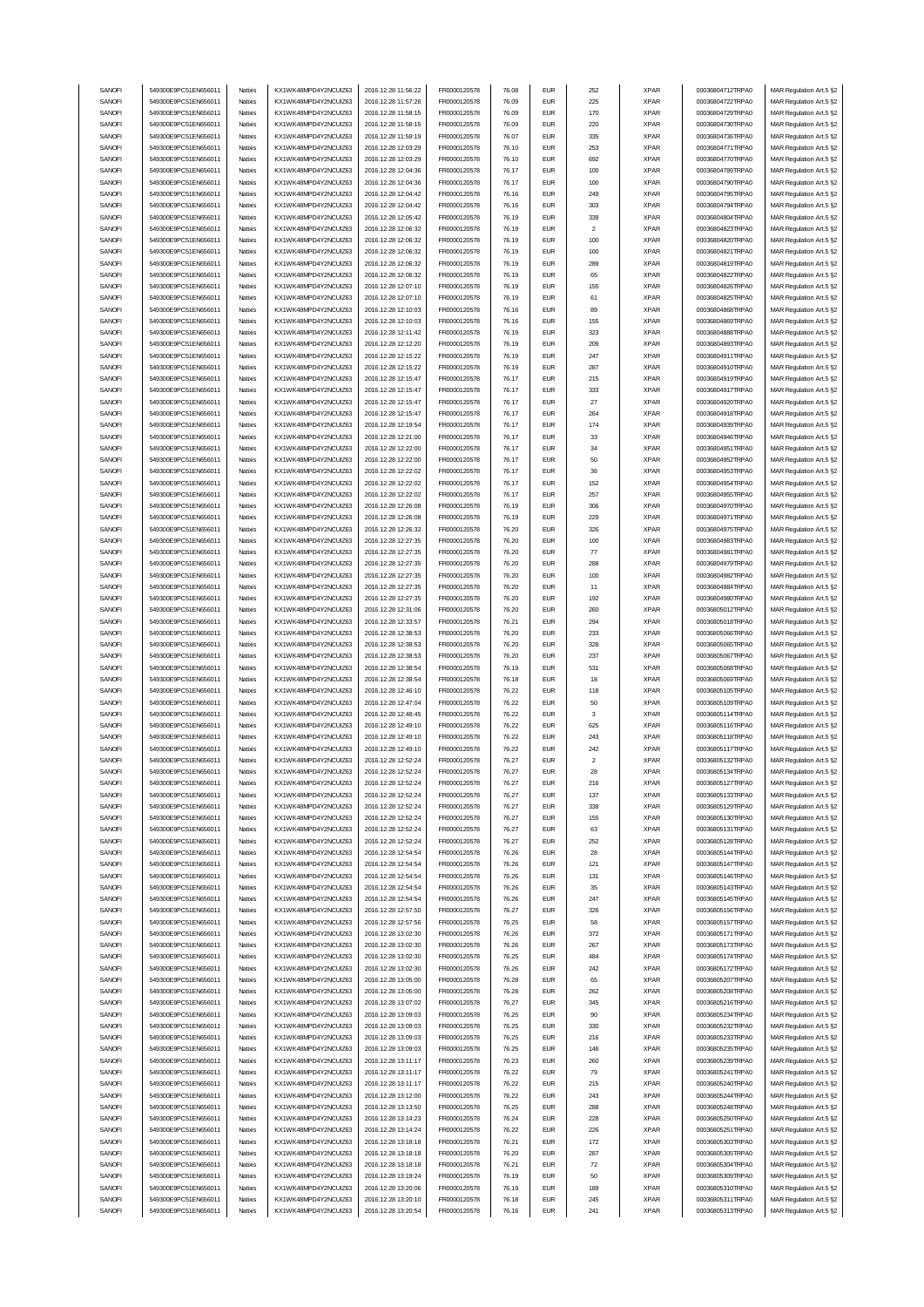| SANOFI | 549300E9PC51EN656011 | Natixis            | KX1WK48MPD4Y2NCUIZ63  | 2016.12.28 11:56:22 | FR0000120578 | 76.08 | <b>EUR</b>  | 252            | <b>XPAR</b>                | 00036804712TRPA0                     | MAR Regulation Art.5 §2 |
|--------|----------------------|--------------------|-----------------------|---------------------|--------------|-------|-------------|----------------|----------------------------|--------------------------------------|-------------------------|
|        | 549300E9PC51EN656011 |                    | KX1WK48MPD4Y2NCUIZ63  |                     |              |       | <b>EUR</b>  | 225            |                            | 00036804722TRPA0                     | MAR Regulation Art.5 §2 |
| SANOFI |                      | Natixis            |                       | 2016.12.28 11:57:26 | FR0000120578 | 76.09 |             |                | <b>XPAR</b>                |                                      |                         |
| SANOFI | 549300E9PC51EN656011 | Natixis            | KX1WK48MPD4Y2NCUIZ63  | 2016.12.28 11:58:15 | FR0000120578 | 76.09 | <b>EUR</b>  | 170            | <b>XPAR</b>                | 00036804729TRPA0                     | MAR Regulation Art.5 §2 |
| SANOFI | 549300E9PC51EN656011 | Natixis            | KX1WK48MPD4Y2NCUIZ63  | 2016 12:28 11:58:15 | FR0000120578 | 76.09 | <b>EUR</b>  | 220            | <b>XPAR</b>                | 00036804730TRPA0                     | MAR Regulation Art.5 §2 |
| SANOFI | 549300E9PC51EN656011 | Natixis            | KX1WK48MPD4Y2NCUIZ63  | 2016.12.28 11:59:19 | FR0000120578 | 76.07 | <b>EUR</b>  | 335            | <b>XPAR</b>                | 00036804736TRPA0                     | MAR Regulation Art.5 §2 |
| SANOFI | 549300E9PC51EN656011 | Natixis            | KX1WK48MPD4Y2NCUIZ63  | 2016.12.28 12:03:29 | FR0000120578 | 76.10 | <b>EUR</b>  | 253            | <b>XPAR</b>                | 00036804771TRPA0                     | MAR Regulation Art.5 §2 |
| SANOFI | 549300E9PC51EN656011 | Natixis            | KX1WK48MPD4Y2NCUIZ63  | 2016.12.28 12:03:29 | FR0000120578 | 76.10 | <b>EUR</b>  | 692            | <b>XPAR</b>                | 00036804770TRPA0                     | MAR Regulation Art.5 §2 |
| SANOFI | 549300E9PC51EN656011 | Natixis            | KX1WK48MPD4Y2NCUIZ63  | 2016.12.28 12:04:36 | FR0000120578 | 76.17 | <b>EUR</b>  | 100            | <b>XPAR</b>                | 00036804789TRPA0                     | MAR Regulation Art.5 §2 |
| SANOFI | 549300E9PC51EN656011 |                    |                       |                     |              | 76.17 | <b>EUR</b>  |                |                            | 00036804790TRPA0                     |                         |
|        |                      | Natixis            | KX1WK48MPD4Y2NCUIZ63  | 2016.12.28 12:04:36 | FR0000120578 |       |             | 100            | <b>XPAR</b>                |                                      | MAR Regulation Art.5 §2 |
| SANOFI | 549300E9PC51EN656011 | Natixis            | KX1WK48MPD4Y2NCUIZ63  | 2016.12.28 12:04:42 | FR0000120578 | 76.16 | <b>EUR</b>  | 249            | <b>XPAR</b>                | 00036804795TRPA0                     | MAR Regulation Art.5 §2 |
| SANOFI | 549300E9PC51EN656011 | Natixis            | KX1WK48MPD4Y2NCUIZ63  | 2016.12.28 12:04:42 | FR0000120578 | 76.16 | <b>EUR</b>  | 303            | <b>XPAR</b>                | 00036804794TRPA0                     | MAR Regulation Art.5 §2 |
| SANOFI | 549300E9PC51EN656011 | Natixis            | KX1WK48MPD4Y2NCUIZ63  | 2016.12.28 12:05:42 | FR0000120578 | 76.19 | <b>EUR</b>  | 339            | <b>XPAR</b>                | 00036804804TRPA0                     | MAR Regulation Art.5 §2 |
| SANOFI | 549300E9PC51EN656011 | Natixis            | KX1WK48MPD4Y2NCUIZ63  | 2016.12.28 12:06:32 | FR0000120578 | 76.19 | <b>EUR</b>  | $\overline{2}$ | <b>XPAR</b>                | 00036804823TRPA0                     | MAR Regulation Art.5 §2 |
| SANOFI | 549300E9PC51EN656011 | Natixis            | KX1WK48MPD4Y2NCUIZ63  | 2016.12.28 12:06:32 | FR0000120578 | 76.19 | <b>EUR</b>  | 100            | <b>XPAR</b>                | 00036804820TRPA0                     | MAR Regulation Art.5 §2 |
|        |                      |                    |                       |                     |              |       |             |                |                            |                                      |                         |
| SANOFI | 549300E9PC51EN656011 | Natixis            | KX1WK48MPD4Y2NCUIZ63  | 2016.12.28 12:06:32 | FR0000120578 | 76.19 | <b>EUR</b>  | 100            | <b>XPAR</b>                | 00036804821TRPA0                     | MAR Regulation Art.5 §2 |
| SANOFI | 549300E9PC51EN656011 | Natixis            | KX1WK48MPD4Y2NCUIZ63  | 2016.12.28 12:06:32 | FR0000120578 | 76.19 | <b>EUR</b>  | 289            | <b>XPAR</b>                | 00036804819TRPA0                     | MAR Regulation Art.5 §2 |
| SANOFI | 549300E9PC51EN656011 | Natixis            | KX1WK48MPD4Y2NCUIZ63  | 2016.12.28 12:06:32 | FR0000120578 | 76.19 | <b>EUR</b>  | 65             | <b>XPAR</b>                | 00036804822TRPA0                     | MAR Regulation Art.5 §2 |
| SANOFI | 549300E9PC51EN656011 | Natixis            | KX1WK48MPD4Y2NCUIZ63  | 2016.12.28 12:07:10 | FR0000120578 | 76.19 | <b>EUR</b>  | 155            | <b>XPAR</b>                | 00036804826TRPA0                     | MAR Regulation Art.5 §2 |
| SANOFI | 549300E9PC51EN656011 | Natixis            | KX1WK48MPD4Y2NCUIZ63  | 2016.12.28 12:07:10 | FR0000120578 | 76.19 | <b>EUR</b>  | 61             | <b>XPAR</b>                | 00036804825TRPA0                     | MAR Regulation Art.5 §2 |
|        | 549300E9PC51EN656011 | Natixis            |                       |                     |              |       | <b>EUR</b>  | 89             |                            |                                      |                         |
| SANOFI |                      |                    | KX1WK48MPD4Y2NCUIZ63  | 2016.12.28 12:10:03 | FR0000120578 | 76.16 |             |                | <b>XPAR</b>                | 00036804868TRPA0                     | MAR Regulation Art.5 §2 |
| SANOFI | 549300E9PC51EN656011 | Natixis            | KX1WK48MPD4Y2NCUIZ63  | 2016.12.28 12:10:03 | FR0000120578 | 76.16 | <b>EUR</b>  | 155            | <b>XPAR</b>                | 00036804869TRPA0                     | MAR Regulation Art.5 §2 |
| SANOFI | 549300E9PC51EN656011 | Natixis            | KX1WK48MPD4Y2NCUIZ63  | 2016.12.28 12:11:42 | FR0000120578 | 76.19 | <b>EUR</b>  | 323            | <b>XPAR</b>                | 00036804888TRPA0                     | MAR Regulation Art.5 §2 |
| SANOFI | 549300E9PC51EN656011 | Natixis            | KX1WK48MPD4Y2NCUIZ63  | 2016.12.28 12:12:20 | FR0000120578 | 76.19 | <b>EUR</b>  | 209            | <b>XPAR</b>                | 00036804893TRPA0                     | MAR Regulation Art.5 §2 |
| SANOFI | 549300E9PC51EN656011 | Natixis            | KX1WK48MPD4Y2NCUIZ63  | 2016.12.28 12:15:22 | FR0000120578 | 76.19 | <b>EUR</b>  | 247            | <b>XPAR</b>                | 00036804911TRPA0                     | MAR Regulation Art.5 §2 |
| SANOFI | 549300E9PC51EN656011 | Natixis            | KX1WK48MPD4Y2NCUIZ63  | 2016.12.28 12:15:22 | FR0000120578 | 76.19 | <b>EUR</b>  | 287            | <b>XPAR</b>                | 00036804910TRPA0                     | MAR Regulation Art.5 §2 |
| SANOFI | 549300E9PC51EN656011 | Natixis            | KX1WK48MPD4Y2NCUIZ63  | 2016.12.28 12:15:47 | FR0000120578 | 76.17 | <b>EUR</b>  | 215            | <b>XPAR</b>                | 00036804919TRPA0                     | MAR Regulation Art.5 §2 |
|        |                      |                    |                       |                     |              |       |             |                |                            |                                      |                         |
| SANOFI | 549300E9PC51EN656011 | Natixis            | KX1WK48MPD4Y2NCUIZ63  | 2016.12.28 12:15:47 | FR0000120578 | 76.17 | <b>EUR</b>  | 333            | <b>XPAR</b>                | 00036804917TRPA0                     | MAR Regulation Art.5 §2 |
| SANOFI | 549300E9PC51EN656011 | Natixis            | KX1WK48MPD4Y2NCUIZ63  | 2016.12.28 12:15:47 | FR0000120578 | 76.17 | <b>EUR</b>  | 27             | <b>XPAR</b>                | 00036804920TRPA0                     | MAR Regulation Art.5 §2 |
| SANOFI | 549300E9PC51EN656011 | Natixis            | KX1WK48MPD4Y2NCUIZ63  | 2016.12.28 12:15:47 | FR0000120578 | 76.17 | <b>EUR</b>  | 264            | <b>XPAR</b>                | 00036804918TRPA0                     | MAR Regulation Art.5 §2 |
| SANOFI | 549300E9PC51EN656011 | Natixis            | KX1WK48MPD4Y2NCUIZ63  | 2016.12.28 12:19:54 | FR0000120578 | 76.17 | <b>EUR</b>  | 174            | <b>XPAR</b>                | 00036804939TRPA0                     | MAR Regulation Art.5 §2 |
| SANOFI | 549300E9PC51EN656011 | Natixis            | KX1WK48MPD4Y2NCUIZ63  | 2016.12.28 12:21:00 | FR0000120578 | 76.17 | <b>EUR</b>  | 33             | <b>XPAR</b>                | 00036804946TRPA0                     | MAR Regulation Art.5 §2 |
| SANOFI | 549300E9PC51EN656011 | Natixis            | KX1WK48MPD4Y2NCUIZ63  | 2016.12.28 12:22:00 | FR0000120578 | 76.17 | <b>EUR</b>  | 34             | <b>XPAR</b>                | 00036804951TRPA0                     |                         |
|        |                      |                    |                       |                     |              |       |             |                |                            |                                      | MAR Regulation Art.5 §2 |
| SANOFI | 549300E9PC51EN656011 | Natixis            | KX1WK48MPD4Y2NCUIZ63  | 2016.12.28 12:22:00 | FR0000120578 | 76.17 | <b>EUR</b>  | 50             | <b>XPAR</b>                | 00036804952TRPA0                     | MAR Regulation Art.5 §2 |
| SANOFI | 549300E9PC51EN656011 | Natixis            | KX1WK48MPD4Y2NCUIZ63  | 2016.12.28 12:22:02 | FR0000120578 | 76.17 | <b>EUR</b>  | 36             | <b>XPAR</b>                | 00036804953TRPA0                     | MAR Regulation Art.5 §2 |
| SANOFI | 549300E9PC51EN656011 | Natixis            | KX1WK48MPD4Y2NCUIZ63  | 2016.12.28 12:22:02 | FR0000120578 | 76.17 | <b>EUR</b>  | 152            | <b>XPAR</b>                | 00036804954TRPA0                     | MAR Regulation Art.5 §2 |
| SANOFI | 549300E9PC51EN656011 | Natixis            | KX1WK48MPD4Y2NCUIZ63  | 2016.12.28 12:22:02 | FR0000120578 | 76.17 | <b>EUR</b>  | 257            | <b>XPAR</b>                | 00036804955TRPA0                     | MAR Regulation Art.5 §2 |
| SANOFI | 549300E9PC51EN656011 | Natixis            | KX1WK48MPD4Y2NCLIIZ63 | 2016.12.28 12:26:08 | FR0000120578 | 76.19 | <b>EUR</b>  | 306            | <b>XPAR</b>                | 00036804970TRPA0                     | MAR Regulation Art.5 §2 |
| SANOFI | 549300E9PC51EN656011 | Natixis            | KX1WK48MPD4Y2NCUIZ63  | 2016.12.28 12:26:08 | FR0000120578 | 76.19 | <b>EUR</b>  | 229            | <b>XPAR</b>                | 00036804971TRPA0                     | MAR Regulation Art.5 §2 |
|        |                      |                    |                       |                     |              |       |             |                |                            |                                      |                         |
| SANOFI | 549300E9PC51EN656011 | Natixis            | KX1WK48MPD4Y2NCUIZ63  | 2016.12.28 12:26:32 | FR0000120578 | 76.20 | <b>EUR</b>  | 326            | <b>XPAR</b>                | 00036804975TRPA0                     | MAR Regulation Art.5 §2 |
| SANOFI | 549300E9PC51EN656011 | Natixis            | KX1WK48MPD4Y2NCUIZ63  | 2016.12.28 12:27:35 | FR0000120578 | 76.20 | <b>EUR</b>  | 100            | <b>XPAR</b>                | 00036804983TRPA0                     | MAR Regulation Art.5 §2 |
| SANOFI | 549300E9PC51EN656011 | Natixis            | KX1WK48MPD4Y2NCUIZ63  | 2016.12.28 12:27:35 | FR0000120578 | 76.20 | <b>EUR</b>  | 77             | <b>XPAR</b>                | 00036804981TRPA0                     | MAR Regulation Art.5 §2 |
| SANOFI | 549300E9PC51EN656011 | Natixis            | KX1WK48MPD4Y2NCUIZ63  | 2016.12.28 12:27:35 | FR0000120578 | 76.20 | <b>EUR</b>  | 288            | <b>XPAR</b>                | 00036804979TRPA0                     | MAR Regulation Art.5 §2 |
| SANOFI | 549300E9PC51EN656011 | Natixis            | KX1WK48MPD4Y2NCUIZ63  | 2016.12.28 12:27:35 | FR0000120578 | 76.20 | <b>EUR</b>  | 100            | <b>XPAR</b>                | 00036804982TRPA0                     | MAR Regulation Art.5 §2 |
| SANOFI | 549300E9PC51EN656011 | Natixis            | KX1WK48MPD4Y2NCUIZ63  | 2016.12.28 12:27:35 | FR0000120578 | 76.20 | <b>EUR</b>  | 11             | <b>XPAR</b>                | 00036804984TRPA0                     | MAR Regulation Art.5 §2 |
|        |                      | Natixis            |                       |                     |              |       | <b>EUR</b>  |                |                            |                                      |                         |
| SANOFI | 549300E9PC51EN656011 |                    | KX1WK48MPD4Y2NCUIZ63  | 2016.12.28 12:27:35 | FR0000120578 | 76.20 |             | 192            | <b>XPAR</b>                | 00036804980TRPA0                     | MAR Regulation Art.5 §2 |
| SANOFI | 549300E9PC51EN656011 | Natixis            | KX1WK48MPD4Y2NCUIZ63  | 2016.12.28 12:31:06 | FR0000120578 | 76.20 | <b>EUR</b>  | 260            | <b>XPAR</b>                | 00036805012TRPA0                     | MAR Regulation Art.5 §2 |
| SANOFI | 549300E9PC51EN656011 | Natixis            | KX1WK48MPD4Y2NCUIZ63  | 2016.12.28 12:33:57 | FR0000120578 | 76.21 | <b>EUR</b>  | 294            | <b>XPAR</b>                | 00036805018TRPA0                     | MAR Regulation Art.5 §2 |
| SANOFI | 549300E9PC51EN656011 | Natixis            | KX1WK48MPD4Y2NCUIZ63  | 2016.12.28 12:38:53 | FR0000120578 | 76.20 | <b>EUR</b>  | 233            | <b>XPAR</b>                | 00036805066TRPA0                     | MAR Regulation Art.5 §2 |
|        |                      |                    |                       |                     |              |       |             |                |                            |                                      |                         |
|        | 549300E9PC51EN656011 | Natixis            |                       |                     |              | 76.20 | <b>EUR</b>  |                |                            |                                      |                         |
| SANOFI |                      |                    | KX1WK48MPD4Y2NCUIZ63  | 2016.12.28 12:38:53 | FR0000120578 |       |             | 328            | <b>XPAR</b>                | 00036805065TRPA0                     | MAR Regulation Art.5 §2 |
| SANOFI | 549300E9PC51EN656011 | Natixis            | KX1WK48MPD4Y2NCUIZ63  | 2016.12.28 12:38:53 | FR0000120578 | 76.20 | <b>EUR</b>  | 237            | <b>XPAR</b>                | 00036805067TRPA0                     | MAR Regulation Art.5 §2 |
| SANOFI | 549300E9PC51EN656011 | Natixis            | KX1WK48MPD4Y2NCUIZ63  | 2016.12.28 12:38:54 | FR0000120578 | 76.19 | <b>EUR</b>  | 531            | <b>XPAR</b>                | 00036805068TRPA0                     | MAR Regulation Art.5 §2 |
| SANOFI | 549300E9PC51EN656011 | Natixis            | KX1WK48MPD4Y2NCUIZ63  | 2016.12.28 12:38:54 | FR0000120578 | 76.18 | <b>EUR</b>  | 18             | <b>XPAR</b>                | 00036805069TRPA0                     | MAR Regulation Art.5 §2 |
| SANOFI | 549300E9PC51EN656011 | Natixis            | KX1WK48MPD4Y2NCUIZ63  | 2016.12.28 12:46:10 | FR0000120578 | 76.22 | <b>EUR</b>  | 118            | <b>XPAR</b>                | 00036805105TRPA0                     | MAR Regulation Art.5 §2 |
| SANOFI | 549300E9PC51EN656011 | Natixis            | KX1WK48MPD4Y2NCUIZ63  | 2016.12.28 12:47:04 | FR0000120578 | 76.22 | <b>EUR</b>  | 50             | <b>XPAR</b>                | 00036805109TRPA0                     | MAR Regulation Art.5 §2 |
|        |                      |                    |                       |                     |              |       |             | 3              |                            |                                      | MAR Regulation Art.5 §2 |
| SANOFI | 549300E9PC51EN656011 | Natixis            | KX1WK48MPD4Y2NCUIZ63  | 2016.12.28 12:48:45 | FR0000120578 | 76.22 | <b>EUR</b>  |                | <b>XPAR</b>                | 00036805114TRPA0                     |                         |
| SANOFI | 549300E9PC51EN656011 | Natixis            | KX1WK48MPD4Y2NCUIZ63  | 2016.12.28 12:49:10 | FR0000120578 | 76.22 | <b>EUR</b>  | 625            | <b>XPAR</b>                | 00036805116TRPA0                     | MAR Regulation Art.5 §2 |
| SANOFI | 549300E9PC51EN656011 | Natixis            | KX1WK48MPD4Y2NCUIZ63  | 2016.12.28 12:49:10 | FR0000120578 | 76.22 | <b>EUR</b>  | 243            | <b>XPAR</b>                | 00036805118TRPA0                     | MAR Regulation Art.5 §2 |
| SANOFI | 549300E9PC51EN656011 | Natixis            | KX1WK48MPD4Y2NCUIZ63  | 2016.12.28 12:49:10 | FR0000120578 | 76.22 | <b>EUR</b>  | 242            | <b>XPAR</b>                | 00036805117TRPA0                     | MAR Regulation Art.5 §2 |
| SANOFI | 549300E9PC51EN656011 | Natixis            | KX1WK48MPD4Y2NCUIZ63  | 2016.12.28 12:52:24 | FR0000120578 | 76.27 | <b>FUR</b>  | $\overline{2}$ | <b>XPAR</b>                | 00036805132TRPA0                     | MAR Regulation Art.5 §2 |
| SANOFI | 549300E9PC51EN656011 | Natixis            | KX1WK48MPD4Y2NCUIZ63  | 2016.12.28 12:52:24 | FR0000120578 | 76.27 | EUR         | 28             | XPAR                       | 00036805134TRPA0                     | MAR Regulation Art.5 §2 |
| SANOFI | 549300E9PC51EN656011 | Natixis            | KX1WK48MPD4Y2NCUIZ63  | 2016.12.28 12:52:24 | FR0000120578 | 76.27 | <b>EUR</b>  | 216            | <b>XPAR</b>                | 00036805127TRPA0                     | MAR Regulation Art.5 §2 |
| SANOFI | 549300E9PC51EN656011 | Natixis            | KX1WK48MPD4Y2NCUIZ63  | 2016.12.28 12:52:24 | FR0000120578 | 76.27 | <b>EUR</b>  | 137            | <b>XPAR</b>                | 00036805133TRPA0                     |                         |
|        |                      |                    |                       |                     |              |       |             |                |                            |                                      | MAR Regulation Art.5 §2 |
| SANOFI | 549300E9PC51EN656011 | Natixis            | KX1WK48MPD4Y2NCUIZ63  | 2016.12.28 12:52:24 | FR0000120578 | 76.27 | <b>EUR</b>  | 338            | <b>XPAR</b>                | 00036805129TRPA0                     | MAR Regulation Art.5 §2 |
| SANOFI | 549300E9PC51EN656011 | Natixis            | KX1WK48MPD4Y2NCUIZ63  | 2016.12.28 12:52:24 | FR0000120578 | 76.27 | <b>EUR</b>  | 155            | <b>XPAR</b>                | 00036805130TRPA0                     | MAR Regulation Art.5 §2 |
| SANOFI | 549300E9PC51EN656011 | Natixis            | KX1WK48MPD4Y2NCUIZ63  | 2016.12.28 12:52:24 | FR0000120578 | 76.27 | <b>EUR</b>  | 63             | <b>XPAR</b>                | 00036805131TRPA0                     | MAR Regulation Art.5 §2 |
| SANOFI | 549300E9PC51EN656011 | Natixis            | KX1WK48MPD4Y2NCUIZ63  | 2016.12.28 12:52:24 | FR0000120578 | 76.27 | <b>EUR</b>  | 252            | <b>XPAR</b>                | 00036805128TRPA0                     | MAR Regulation Art.5 §2 |
| SANOFI | 549300E9PC51EN656011 | Natixis            | KX1WK48MPD4Y2NCUIZ63  | 2016.12.28 12:54:54 | FR0000120578 | 76.26 | <b>EUR</b>  | 28             | <b>XPAR</b>                | 00036805144TRPA0                     | MAR Regulation Art.5 §2 |
| SANOFI | 549300E9PC51EN656011 | Natixis            | KX1WK48MPD4Y2NCUIZ63  | 2016.12.28 12:54:54 | FR0000120578 | 76.26 | <b>EUR</b>  | 121            | <b>XPAR</b>                | 00036805147TRPA0                     | MAR Regulation Art.5 §2 |
| SANOFI | 549300E9PC51EN656011 | Natixis            | KX1WK48MPD4Y2NCUIZ63  | 2016.12.28 12:54:54 | FR0000120578 | 76.26 | <b>EUR</b>  | 131            | <b>XPAR</b>                | 00036805146TRPA0                     | MAR Regulation Art.5 §2 |
| SANOFI | 549300E9PC51EN656011 | Natixis            | KX1WK48MPD4Y2NCUIZ63  | 2016.12.28 12:54:54 | FR0000120578 | 76.26 | <b>EUR</b>  | 35             | <b>XPAR</b>                | 00036805143TRPA0                     | MAR Regulation Art.5 §2 |
|        |                      |                    |                       |                     |              |       |             |                |                            |                                      |                         |
| SANOFI | 549300E9PC51EN656011 | Natixis            | KX1WK48MPD4Y2NCUIZ63  | 2016.12.28 12:54:54 | FR0000120578 | 76.26 | <b>EUR</b>  | 247            | <b>XPAR</b>                | 00036805145TRPA0                     | MAR Regulation Art.5 §2 |
| SANOFI | 549300E9PC51EN656011 | Natixis            | KX1WK48MPD4Y2NCUIZ63  | 2016.12.28 12:57:50 | FR0000120578 | 76.27 | <b>EUR</b>  | 326            | <b>XPAR</b>                | 00036805156TRPA0                     | MAR Regulation Art.5 §2 |
| SANOFI | 549300E9PC51EN656011 | Natixis            | KX1WK48MPD4Y2NCUIZ63  | 2016.12.28 12:57:56 | FR0000120578 | 76.25 | <b>EUR</b>  | 58             | <b>XPAR</b>                | 00036805157TRPA0                     | MAR Regulation Art.5 §2 |
| SANOFI | 549300E9PC51EN656011 | Natixis            | KX1WK48MPD4Y2NCUIZ63  | 2016.12.28 13:02:30 | FR0000120578 | 76.26 | <b>EUR</b>  | 372            | <b>XPAR</b>                | 00036805171TRPA0                     | MAR Regulation Art.5 §2 |
| SANOFI | 549300E9PC51EN656011 | Natixis            | KX1WK48MPD4Y2NCUIZ63  | 2016.12.28 13:02:30 | FR0000120578 | 76.26 | <b>EUR</b>  | 267            | <b>XPAR</b>                | 00036805173TRPA0                     | MAR Regulation Art.5 §2 |
| SANOFI | 549300E9PC51EN656011 | Natixis            | KX1WK48MPD4Y2NCUIZ63  | 2016.12.28 13:02:30 | FR0000120578 | 76.25 | <b>EUR</b>  | 484            | <b>XPAR</b>                | 00036805174TRPA0                     | MAR Regulation Art.5 §2 |
|        |                      |                    |                       |                     |              |       |             |                |                            |                                      |                         |
| SANOFI | 549300E9PC51EN656011 | Natixis            | KX1WK48MPD4Y2NCUIZ63  | 2016.12.28 13:02:30 | FR0000120578 | 76.26 | <b>EUR</b>  | 242            | <b>XPAR</b>                | 00036805172TRPA0                     | MAR Regulation Art.5 §2 |
| SANOFI | 549300E9PC51EN656011 | Natixis            | KX1WK48MPD4Y2NCUIZ63  | 2016.12.28 13:05:00 | FR0000120578 | 76.28 | <b>EUR</b>  | 65             | <b>XPAR</b>                | 00036805207TRPA0                     | MAR Regulation Art.5 §2 |
| SANOFI | 549300E9PC51EN656011 | Natixis            | KX1WK48MPD4Y2NCUIZ63  | 2016.12.28 13:05:00 | FR0000120578 | 76.28 | <b>EUR</b>  | 262            | <b>XPAR</b>                | 00036805208TRPA0                     | MAR Regulation Art.5 §2 |
| SANOFI | 549300E9PC51EN656011 | Natixis            | KX1WK48MPD4Y2NCUIZ63  | 2016.12.28 13:07:02 | FR0000120578 | 76.27 | <b>EUR</b>  | 345            | <b>XPAR</b>                | 00036805216TRPA0                     | MAR Regulation Art.5 §2 |
| SANOFI | 549300E9PC51EN656011 | Natixis            | KX1WK48MPD4Y2NCUIZ63  | 2016.12.28 13:09:03 | FR0000120578 | 76.25 | <b>EUR</b>  | 90             | <b>XPAR</b>                | 00036805234TRPA0                     | MAR Regulation Art.5 §2 |
| SANOFI | 549300E9PC51EN656011 | Natixis            | KX1WK48MPD4Y2NCUIZ63  | 2016.12.28 13:09:03 | FR0000120578 | 76.25 | <b>EUR</b>  | 330            | <b>XPAR</b>                | 00036805232TRPA0                     | MAR Regulation Art.5 §2 |
|        |                      |                    |                       |                     |              |       |             |                |                            |                                      |                         |
| SANOFI | 549300E9PC51EN656011 | Natixis            | KX1WK48MPD4Y2NCUIZ63  | 2016.12.28 13:09:03 | FR0000120578 | 76.25 | <b>EUR</b>  | 216            | <b>XPAR</b>                | 00036805233TRPA0                     | MAR Regulation Art.5 §2 |
| SANOFI | 549300E9PC51EN656011 | Natixis            | KX1WK48MPD4Y2NCUIZ63  | 2016.12.28 13:09:03 | FR0000120578 | 76.25 | <b>EUR</b>  | 146            | <b>XPAR</b>                | 00036805235TRPA0                     | MAR Regulation Art.5 §2 |
| SANOFI | 549300E9PC51EN656011 | Natixis            | KX1WK48MPD4Y2NCUIZ63  | 2016.12.28 13:11:17 | FR0000120578 | 76.23 | <b>EUR</b>  | 260            | <b>XPAR</b>                | 00036805239TRPA0                     | MAR Regulation Art.5 §2 |
| SANOFI | 549300E9PC51EN656011 | Natixis            | KX1WK48MPD4Y2NCUIZ63  | 2016.12.28 13:11:17 | FR0000120578 | 76.22 | <b>EUR</b>  | 79             | <b>XPAR</b>                | 00036805241TRPA0                     | MAR Regulation Art.5 §2 |
| SANOFI | 549300E9PC51EN656011 | Natixis            | KX1WK48MPD4Y2NCUIZ63  | 2016.12.28 13:11:17 | FR0000120578 | 76.22 | <b>EUR</b>  | 215            | <b>XPAR</b>                | 00036805240TRPA0                     | MAR Regulation Art.5 §2 |
| SANOFI | 549300E9PC51EN656011 | Natixis            | KX1WK48MPD4Y2NCUIZ63  | 2016.12.28 13:12:00 | FR0000120578 | 76.22 | <b>EUR</b>  | 243            | <b>XPAR</b>                | 00036805244TRPA0                     | MAR Regulation Art.5 §2 |
| SANOFI | 549300E9PC51EN656011 | Natixis            | KX1WK48MPD4Y2NCUIZ63  | 2016.12.28 13:13:50 | FR0000120578 | 76.25 | <b>EUR</b>  | 288            | <b>XPAR</b>                | 00036805248TRPA0                     |                         |
|        |                      |                    |                       |                     |              |       |             |                |                            |                                      | MAR Regulation Art.5 §2 |
| SANOFI | 549300E9PC51EN656011 | Natixis<br>Natixis | KX1WK48MPD4Y2NCUIZ63  | 2016.12.28 13:14:23 | FR0000120578 | 76.24 | ${\sf EUR}$ | 228<br>226     | <b>XPAR</b><br><b>XPAR</b> | 00036805250TRPA0<br>00036805251TRPA0 | MAR Regulation Art.5 §2 |
| SANOFI | 549300E9PC51EN656011 |                    | KX1WK48MPD4Y2NCUIZ63  | 2016.12.28 13:14:24 | FR0000120578 | 76.22 | <b>EUR</b>  |                |                            |                                      | MAR Regulation Art.5 §2 |
| SANOFI | 549300E9PC51EN656011 | Natixis            | KX1WK48MPD4Y2NCUIZ63  | 2016.12.28 13:18:18 | FR0000120578 | 76.21 | <b>EUR</b>  | 172            | <b>XPAR</b>                | 00036805303TRPA0                     | MAR Regulation Art.5 §2 |
| SANOFI | 549300E9PC51EN656011 | Natixis            | KX1WK48MPD4Y2NCUIZ63  | 2016.12.28 13:18:18 | FR0000120578 | 76.20 | <b>EUR</b>  | 287            | <b>XPAR</b>                | 00036805305TRPA0                     | MAR Regulation Art.5 §2 |
| SANOFI | 549300E9PC51EN656011 | Natixis            | KX1WK48MPD4Y2NCUIZ63  | 2016.12.28 13:18:18 | FR0000120578 | 76.21 | <b>EUR</b>  | 72             | <b>XPAR</b>                | 00036805304TRPA0                     | MAR Regulation Art.5 §2 |
| SANOFI | 549300E9PC51EN656011 | Natixis            | KX1WK48MPD4Y2NCUIZ63  | 2016.12.28 13:19:24 | FR0000120578 | 76.19 | ${\sf EUR}$ | 50             | <b>XPAR</b>                | 00036805309TRPA0                     | MAR Regulation Art.5 §2 |
| SANOFI | 549300E9PC51EN656011 | Natixis            | KX1WK48MPD4Y2NCUIZ63  | 2016.12.28 13:20:06 | FR0000120578 | 76.19 | <b>EUR</b>  | 189            | <b>XPAR</b>                | 00036805310TRPA0                     | MAR Regulation Art.5 §2 |
| SANOFI | 549300E9PC51EN656011 | Natixis            | KX1WK48MPD4Y2NCUIZ63  | 2016.12.28 13:20:10 | FR0000120578 | 76.18 | <b>EUR</b>  | 245            | <b>XPAR</b>                | 00036805311TRPA0                     | MAR Regulation Art.5 §2 |
| SANOFI | 549300E9PC51EN656011 | Natixis            | KX1WK48MPD4Y2NCUIZ63  | 2016.12.28 13:20:54 | FR0000120578 | 76.16 | <b>EUR</b>  | 241            | <b>XPAR</b>                | 00036805313TRPA0                     | MAR Regulation Art.5 §2 |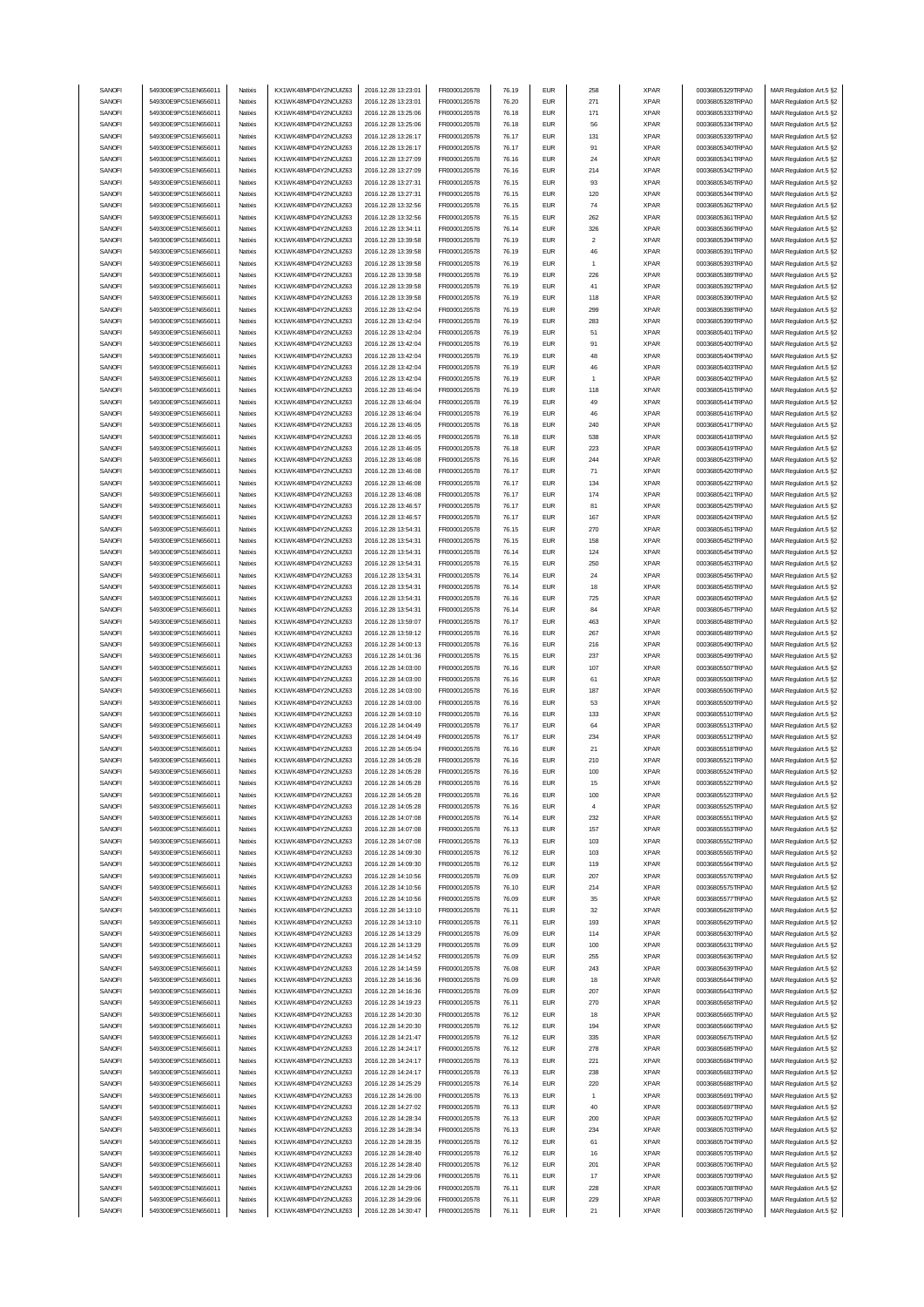| SANOFI           | 549300E9PC51EN656011                         | Natixis | KX1WK48MPD4Y2NCUIZ63                         | 2016.12.28 13:23:01                        | FR0000120578                 | 76.19          | <b>EUR</b>               | 258            | <b>XPAR</b>                | 00036805329TRPA0                     | MAR Regulation Art.5 §2                            |
|------------------|----------------------------------------------|---------|----------------------------------------------|--------------------------------------------|------------------------------|----------------|--------------------------|----------------|----------------------------|--------------------------------------|----------------------------------------------------|
| SANOFI           | 549300E9PC51EN656011                         | Natixis | KX1WK48MPD4Y2NCUIZ63                         | 2016.12.28 13:23:01                        | FR0000120578                 | 76.20          | <b>EUR</b>               | 271            | <b>XPAR</b>                | 00036805328TRPA0                     | MAR Regulation Art.5 §2                            |
| SANOFI           |                                              |         |                                              |                                            |                              |                | <b>EUR</b>               | 171            |                            |                                      |                                                    |
|                  | 549300E9PC51EN656011                         | Natixis | KX1WK48MPD4Y2NCUIZ63                         | 2016.12.28 13:25:06                        | FR0000120578                 | 76.18          |                          |                | <b>XPAR</b>                | 00036805333TRPA0                     | MAR Regulation Art.5 §2                            |
| SANOFI           | 549300E9PC51EN656011                         | Natixis | KX1WK48MPD4Y2NCUIZ63                         | 2016.12.28 13:25:06                        | FR0000120578                 | 76.18          | <b>EUR</b>               | 56             | <b>XPAR</b>                | 00036805334TRPA0                     | MAR Regulation Art.5 §2                            |
| SANOFI           | 549300E9PC51EN656011                         | Natixis | KX1WK48MPD4Y2NCUIZ63                         | 2016.12.28 13:26:17                        | FR0000120578                 | 76.17          | <b>EUR</b>               | 131            | <b>XPAR</b>                | 00036805339TRPA0                     | MAR Regulation Art.5 §2                            |
| SANOFI           | 549300E9PC51EN656011                         | Natixis | KX1WK48MPD4Y2NCUIZ63                         | 2016.12.28 13:26:17                        | FR0000120578                 | 76.17          | <b>EUR</b>               | 91             | <b>XPAR</b>                | 00036805340TRPA0                     | MAR Regulation Art.5 §2                            |
| SANOFI           | 549300E9PC51EN656011                         | Natixis | KX1WK48MPD4Y2NCUIZ63                         | 2016.12.28 13:27:09                        | FR0000120578                 | 76.16          | <b>EUR</b>               | 24             | <b>XPAR</b>                | 00036805341TRPA0                     | MAR Regulation Art.5 §2                            |
| SANOFI           | 549300E9PC51EN656011                         | Natixis | KX1WK48MPD4Y2NCUIZ63                         | 2016.12.28 13:27:09                        | FR0000120578                 | 76.16          | <b>EUR</b>               | 214            | <b>XPAR</b>                | 00036805342TRPA0                     | MAR Regulation Art.5 §2                            |
| SANOFI           | 549300E9PC51EN656011                         | Natixis | KX1WK48MPD4Y2NCUIZ63                         | 2016.12.28 13:27:31                        | FR0000120578                 | 76.15          | <b>EUR</b>               | 93             | <b>XPAR</b>                | 00036805345TRPA0                     | MAR Regulation Art.5 §2                            |
| SANOFI           | 549300E9PC51EN656011                         | Natixis | KX1WK48MPD4Y2NCUIZ63                         | 2016.12.28 13:27:31                        | FR0000120578                 | 76.15          | <b>EUR</b>               | 120            | <b>XPAR</b>                | 00036805344TRPA0                     | MAR Regulation Art.5 §2                            |
|                  |                                              |         |                                              |                                            |                              |                |                          |                |                            |                                      |                                                    |
| SANOFI           | 549300E9PC51EN656011                         | Natixis | KX1WK48MPD4Y2NCUIZ63                         | 2016.12.28 13:32:56                        | FR0000120578                 | 76.15          | <b>EUR</b>               | 74             | <b>XPAR</b>                | 00036805362TRPA0                     | MAR Regulation Art.5 §2                            |
| SANOFI           | 549300E9PC51EN656011                         | Natixis | KX1WK48MPD4Y2NCUIZ63                         | 2016.12.28 13:32:56                        | FR0000120578                 | 76.15          | <b>EUR</b>               | 262            | <b>XPAR</b>                | 00036805361TRPA0                     | MAR Regulation Art.5 §2                            |
| SANOFI           | 549300E9PC51EN656011                         | Natixis | KX1WK48MPD4Y2NCUIZ63                         | 2016.12.28 13:34:11                        | FR0000120578                 | 76.14          | <b>EUR</b>               | 326            | <b>XPAR</b>                | 00036805366TRPA0                     | MAR Regulation Art.5 §2                            |
| SANOFI           | 549300E9PC51EN656011                         | Natixis | KX1WK48MPD4Y2NCUIZ63                         | 2016.12.28 13:39:58                        | FR0000120578                 | 76.19          | <b>EUR</b>               | $\overline{2}$ | <b>XPAR</b>                | 00036805394TRPA0                     | MAR Regulation Art.5 §2                            |
| SANOFI           | 549300E9PC51EN656011                         | Natixis | KX1WK48MPD4Y2NCUIZ63                         | 2016.12.28 13:39:58                        | FR0000120578                 | 76.19          | <b>EUR</b>               | 46             | <b>XPAR</b>                | 00036805391TRPA0                     | MAR Regulation Art.5 §2                            |
| SANOFI           | 549300E9PC51EN656011                         | Natixis | KX1WK48MPD4Y2NCUIZ63                         | 2016.12.28 13:39:58                        | FR0000120578                 | 76.19          | <b>EUR</b>               |                | <b>XPAR</b>                | 00036805393TRPA0                     | MAR Regulation Art.5 §2                            |
| SANOFI           | 549300E9PC51EN656011                         | Natixis | KX1WK48MPD4Y2NCUIZ63                         | 2016.12.28 13:39:58                        | FR0000120578                 | 76.19          | <b>EUR</b>               | 226            | <b>XPAR</b>                | 00036805389TRPA0                     |                                                    |
|                  |                                              |         |                                              |                                            |                              |                |                          |                |                            |                                      | MAR Regulation Art.5 §2                            |
| SANOFI           | 549300E9PC51EN656011                         | Natixis | KX1WK48MPD4Y2NCUIZ63                         | 2016.12.28 13:39:58                        | FR0000120578                 | 76.19          | <b>EUR</b>               | 41             | <b>XPAR</b>                | 00036805392TRPA0                     | MAR Regulation Art.5 §2                            |
| SANOFI           | 549300E9PC51EN656011                         | Natixis | KX1WK48MPD4Y2NCLIIZ63                        | 2016.12.28 13:39:58                        | FR0000120578                 | 76.19          | <b>EUR</b>               | 118            | <b>XPAR</b>                | 00036805390TRPA0                     | MAR Regulation Art.5 §2                            |
| SANOFI           | 549300E9PC51EN656011                         | Natixis | KX1WK48MPD4Y2NCUIZ63                         | 2016.12.28 13:42:04                        | FR0000120578                 | 76.19          | <b>EUR</b>               | 299            | <b>XPAR</b>                | 00036805398TRPA0                     | MAR Regulation Art.5 §2                            |
| SANOFI           | 549300E9PC51EN656011                         | Natixis | KX1WK48MPD4Y2NCUIZ63                         | 2016.12.28 13:42:04                        | FR0000120578                 | 76.19          | <b>EUR</b>               | 283            | <b>XPAR</b>                | 00036805399TRPA0                     | MAR Regulation Art.5 §2                            |
| SANOFI           | 549300E9PC51EN656011                         | Natixis | KX1WK48MPD4Y2NCUIZ63                         | 2016.12.28 13:42:04                        | FR0000120578                 | 76.19          | <b>EUR</b>               | 51             | <b>XPAR</b>                | 00036805401TRPA0                     | MAR Regulation Art.5 §2                            |
| SANOFI           | 549300E9PC51EN656011                         | Natixis | KX1WK48MPD4Y2NCUIZ63                         | 2016.12.28 13:42:04                        | FR0000120578                 | 76.19          | <b>EUR</b>               | 91             | <b>XPAR</b>                | 00036805400TRPA0                     | MAR Regulation Art.5 §2                            |
| SANOFI           | 549300E9PC51EN656011                         | Natixis | KX1WK48MPD4Y2NCUIZ63                         | 2016.12.28 13:42:04                        | FR0000120578                 | 76.19          | <b>EUR</b>               | 48             | <b>XPAR</b>                | 00036805404TRPA0                     | MAR Regulation Art.5 §2                            |
|                  |                                              |         |                                              |                                            |                              |                |                          |                |                            |                                      |                                                    |
| SANOFI           | 549300E9PC51EN656011                         | Natixis | KX1WK48MPD4Y2NCUIZ63                         | 2016.12.28 13:42:04                        | FR0000120578                 | 76.19          | <b>EUR</b>               | 46             | <b>XPAR</b>                | 00036805403TRPA0                     | MAR Regulation Art.5 §2                            |
| SANOFI           | 549300E9PC51EN656011                         | Natixis | KX1WK48MPD4Y2NCUIZ63                         | 2016.12.28 13:42:04                        | FR0000120578                 | 76.19          | <b>EUR</b>               | $\overline{1}$ | <b>XPAR</b>                | 00036805402TRPA0                     | MAR Regulation Art.5 §2                            |
| SANOFI           | 549300E9PC51EN656011                         | Natixis | KX1WK48MPD4Y2NCUIZ63                         | 2016.12.28 13:46:04                        | FR0000120578                 | 76.19          | <b>EUR</b>               | 118            | <b>XPAR</b>                | 00036805415TRPA0                     | MAR Regulation Art.5 §2                            |
| SANOFI           | 549300E9PC51EN656011                         | Natixis | KX1WK48MPD4Y2NCUIZ63                         | 2016.12.28 13:46:04                        | FR0000120578                 | 76.19          | <b>EUR</b>               | 49             | <b>XPAR</b>                | 00036805414TRPA0                     | MAR Regulation Art.5 §2                            |
| SANOFI           | 549300E9PC51EN656011                         | Natixis | KX1WK48MPD4Y2NCUIZ63                         | 2016.12.28 13:46:04                        | FR0000120578                 | 76.19          | <b>EUR</b>               | 46             | <b>XPAR</b>                | 00036805416TRPA0                     | MAR Regulation Art.5 §2                            |
| SANOFI           | 549300E9PC51EN656011                         | Natixis | KX1WK48MPD4Y2NCUIZ63                         | 2016.12.28 13:46:05                        | FR0000120578                 | 76.18          | <b>EUR</b>               | 240            | <b>XPAR</b>                | 00036805417TRPA0                     | MAR Regulation Art.5 §2                            |
| SANOFI           | 549300E9PC51EN656011                         | Natixis | KX1WK48MPD4Y2NCUIZ63                         | 2016.12.28 13:46:05                        | FR0000120578                 | 76.18          | <b>EUR</b>               | 538            | <b>XPAR</b>                | 00036805418TRPA0                     | MAR Regulation Art.5 §2                            |
|                  |                                              |         |                                              |                                            |                              |                |                          |                |                            |                                      |                                                    |
| SANOFI           | 549300E9PC51EN656011                         | Natixis | KX1WK48MPD4Y2NCUIZ63                         | 2016.12.28 13:46:05                        | FR0000120578                 | 76.18          | <b>EUR</b>               | 223            | <b>XPAR</b>                | 00036805419TRPA0                     | MAR Regulation Art.5 §2                            |
| SANOFI           | 549300E9PC51EN656011                         | Natixis | KX1WK48MPD4Y2NCUIZ63                         | 2016.12.28 13:46:08                        | FR0000120578                 | 76.16          | <b>EUR</b>               | 244            | <b>XPAR</b>                | 00036805423TRPA0                     | MAR Regulation Art.5 §2                            |
| SANOFI           | 549300E9PC51EN656011                         | Natixis | KX1WK48MPD4Y2NCUIZ63                         | 2016.12.28 13:46:08                        | FR0000120578                 | 76.17          | <b>EUR</b>               | 71             | <b>XPAR</b>                | 00036805420TRPA0                     | MAR Regulation Art.5 §2                            |
| SANOFI           | 549300E9PC51EN656011                         | Natixis | KX1WK48MPD4Y2NCUIZ63                         | 2016.12.28 13:46:08                        | FR0000120578                 | 76.17          | <b>EUR</b>               | 134            | <b>XPAR</b>                | 00036805422TRPA0                     | MAR Regulation Art.5 §2                            |
| SANOFI           | 549300E9PC51EN656011                         | Natixis | KX1WK48MPD4Y2NCUIZ63                         | 2016.12.28 13:46:08                        | FR0000120578                 | 76.17          | <b>EUR</b>               | 174            | <b>XPAR</b>                | 00036805421TRPA0                     | MAR Regulation Art.5 §2                            |
| SANOFI           | 549300E9PC51EN656011                         | Natixis | KX1WK48MPD4Y2NCUIZ63                         | 2016.12.28 13:46:57                        | FR0000120578                 | 76.17          | <b>EUR</b>               | 81             | <b>XPAR</b>                | 00036805425TRPA0                     | MAR Regulation Art.5 §2                            |
| SANOFI           | 549300E9PC51EN656011                         | Natixis | KX1WK48MPD4Y2NCUIZ63                         | 2016.12.28 13:46:57                        | FR0000120578                 | 76.17          | <b>EUR</b>               | 167            | <b>XPAR</b>                | 00036805424TRPA0                     | MAR Regulation Art.5 §2                            |
|                  |                                              |         |                                              |                                            |                              |                |                          |                |                            |                                      |                                                    |
| SANOFI           | 549300E9PC51EN656011                         | Natixis | KX1WK48MPD4Y2NCUIZ63                         | 2016.12.28 13:54:31                        | FR0000120578                 | 76.15          | <b>EUR</b>               | 270            | <b>XPAR</b>                | 00036805451TRPA0                     | MAR Regulation Art.5 §2                            |
| SANOFI           | 549300E9PC51EN656011                         | Natixis | KX1WK48MPD4Y2NCUIZ63                         | 2016.12.28 13:54:31                        | FR0000120578                 | 76.15          | <b>EUR</b>               | 158            | <b>XPAR</b>                | 00036805452TRPA0                     | MAR Regulation Art.5 §2                            |
| SANOFI           | 549300E9PC51EN656011                         | Natixis | KX1WK48MPD4Y2NCUIZ63                         | 2016.12.28 13:54:31                        | FR0000120578                 | 76.14          | <b>EUR</b>               | 124            | <b>XPAR</b>                | 00036805454TRPA0                     | MAR Regulation Art.5 §2                            |
| SANOFI           | 549300E9PC51EN656011                         | Natixis | KX1WK48MPD4Y2NCUIZ63                         | 2016.12.28 13:54:31                        | FR0000120578                 | 76.15          | <b>EUR</b>               | 250            | <b>XPAR</b>                | 00036805453TRPA0                     | MAR Regulation Art.5 §2                            |
| SANOFI           | 549300E9PC51EN656011                         | Natixis | KX1WK48MPD4Y2NCUIZ63                         | 2016.12.28 13:54:31                        | FR0000120578                 | 76.14          | <b>EUR</b>               | 24             | <b>XPAR</b>                | 00036805456TRPA0                     | MAR Regulation Art.5 §2                            |
| SANOFI           | 549300E9PC51EN656011                         | Natixis | KX1WK48MPD4Y2NCUIZ63                         | 2016.12.28 13:54:31                        | FR0000120578                 | 76.14          | <b>EUR</b>               | 18             | <b>XPAR</b>                | 00036805455TRPA0                     | MAR Regulation Art.5 §2                            |
| SANOFI           | 549300E9PC51EN656011                         | Natixis | KX1WK48MPD4Y2NCUIZ63                         | 2016.12.28 13:54:31                        | FR0000120578                 | 76.16          | <b>EUR</b>               | 725            | <b>XPAR</b>                | 00036805450TRPA0                     | MAR Regulation Art.5 §2                            |
|                  | 549300E9PC51EN656011                         |         |                                              |                                            |                              |                | <b>EUR</b>               | 84             |                            |                                      |                                                    |
| SANOFI           |                                              | Natixis | KX1WK48MPD4Y2NCUIZ63                         | 2016.12.28 13:54:31                        | FR0000120578                 | 76.14          |                          |                | <b>XPAR</b>                | 00036805457TRPA0                     | MAR Regulation Art.5 §2                            |
| SANOFI           | 549300E9PC51EN656011                         | Natixis | KX1WK48MPD4Y2NCUIZ63                         | 2016.12.28 13:59:07                        | FR0000120578                 | 76.17          | <b>EUR</b>               | 463            | <b>XPAR</b>                | 00036805488TRPA0                     | MAR Regulation Art.5 §2                            |
| SANOFI           | 549300E9PC51EN656011                         | Natixis | KX1WK48MPD4Y2NCUIZ63                         | 2016.12.28 13:59:12                        | FR0000120578                 | 76.16          | <b>EUR</b>               | 267            | <b>XPAR</b>                | 00036805489TRPA0                     | MAR Regulation Art.5 §2                            |
| SANOFI           | 549300E9PC51EN656011                         |         |                                              |                                            |                              |                |                          |                |                            |                                      |                                                    |
|                  |                                              | Natixis | KX1WK48MPD4Y2NCUIZ63                         | 2016.12.28 14:00:13                        | FR0000120578                 | 76.16          | <b>EUR</b>               | 216            | <b>XPAR</b>                | 00036805490TRPA0                     | MAR Regulation Art.5 §2                            |
| SANOFI           | 549300E9PC51EN656011                         | Natixis | KX1WK48MPD4Y2NCUIZ63                         | 2016.12.28 14:01:36                        | FR0000120578                 | 76.15          | <b>EUR</b>               | 237            | <b>XPAR</b>                | 00036805499TRPA0                     | MAR Regulation Art.5 §2                            |
| SANOFI           | 549300E9PC51EN656011                         | Natixis | KX1WK48MPD4Y2NCUIZ63                         | 2016.12.28 14:03:00                        | FR0000120578                 | 76.16          | <b>EUR</b>               | 107            | <b>XPAR</b>                | 00036805507TRPA0                     |                                                    |
|                  |                                              |         |                                              |                                            |                              |                |                          |                |                            |                                      | MAR Regulation Art.5 §2                            |
| SANOFI           | 549300E9PC51EN656011                         | Natixis | KX1WK48MPD4Y2NCUIZ63                         | 2016.12.28 14:03:00                        | FR0000120578                 | 76.16          | <b>EUR</b>               | 61             | <b>XPAR</b>                | 00036805508TRPA0                     | MAR Regulation Art.5 §2                            |
| SANOFI           | 549300E9PC51EN656011                         | Natixis | KX1WK48MPD4Y2NCUIZ63                         | 2016.12.28 14:03:00                        | FR0000120578                 | 76.16          | <b>EUR</b>               | 187            | <b>XPAR</b>                | 00036805506TRPA0                     | MAR Regulation Art.5 §2                            |
| SANOFI           | 549300E9PC51EN656011                         | Natixis | KX1WK48MPD4Y2NCUIZ63                         | 2016.12.28 14:03:00                        | FR0000120578                 | 76.16          | <b>EUR</b>               | 53             | <b>XPAR</b>                | 00036805509TRPA0                     | MAR Regulation Art.5 §2                            |
| SANOFI           | 549300E9PC51EN656011                         | Natixis | KX1WK48MPD4Y2NCUIZ63                         | 2016.12.28 14:03:10                        | FR0000120578                 | 76.16          | <b>EUR</b>               | 133            | <b>XPAR</b>                | 00036805510TRPA0                     | MAR Regulation Art.5 §2                            |
| SANOFI           | 549300E9PC51EN656011                         | Natixis | KX1WK48MPD4Y2NCUIZ63                         | 2016.12.28 14:04:49                        | FR0000120578                 | 76.17          | <b>EUR</b>               | 64             | <b>XPAR</b>                | 00036805513TRPA0                     | MAR Regulation Art.5 §2                            |
| SANOFI           | 549300E9PC51EN656011                         | Natixis | KX1WK48MPD4Y2NCUIZ63                         | 2016.12.28 14:04:49                        | FR0000120578                 | 76.17          | <b>EUR</b>               | 234            | <b>XPAR</b>                | 00036805512TRPA0                     | MAR Regulation Art.5 §2                            |
| SANOFI           | 549300E9PC51EN656011                         | Natixis | KX1WK48MPD4Y2NCUIZ63                         | 2016.12.28 14:05:04                        | FR0000120578                 | 76.16          | <b>EUR</b>               | 21             | <b>XPAR</b>                | 00036805518TRPA0                     | MAR Regulation Art.5 §2                            |
|                  |                                              | Natixis |                                              |                                            |                              | 76.16          | <b>EUR</b>               | 210            | <b>XPAR</b>                |                                      |                                                    |
| SANOFI           | 549300E9PC51EN656011                         |         | KX1WK48MPD4Y2NCUIZ63                         | 2016.12.28 14:05:28                        | FR0000120578                 |                |                          |                |                            | 00036805521TRPA0                     | MAR Regulation Art.5 §2                            |
| SANUH            | 549300E9PC51EN65601                          | natxis  | KX1WK48MPD4Y2NCUIZ63                         | 2016.12.28 14:05:28                        | <b>FR00001205/8</b>          | 76.16          | ьuн                      | າບບ            | <b>XPAR</b>                | 00036805524TRPA0                     | MAK Kegulation Art.5 §2                            |
| SANOFI           | 549300E9PC51EN656011                         | Natixis | KX1WK48MPD4Y2NCUIZ63                         | 2016.12.28 14:05:28                        | FR0000120578                 | 76.16          | <b>EUR</b>               | 15             | <b>XPAR</b>                | 00036805522TRPA0                     | MAR Regulation Art.5 §2                            |
| SANOFI           | 549300E9PC51EN656011                         | Natixis | KX1WK48MPD4Y2NCUIZ63                         | 2016.12.28 14:05:28                        | FR0000120578                 | 76.16          | <b>EUR</b>               | 100            | XPAR                       | 00036805523TRPA0                     | MAR Regulation Art.5 §2                            |
| SANOFI           | 549300E9PC51EN656011                         | Natixis | KX1WK48MPD4Y2NCUIZ63                         | 2016.12.28 14:05:28                        | FR0000120578                 | 76.16          | <b>EUR</b>               | $\overline{4}$ | <b>XPAR</b>                | 00036805525TRPA0                     | MAR Regulation Art.5 §2                            |
| SANOFI           | 549300E9PC51EN656011                         | Natixis | KX1WK48MPD4Y2NCUIZ63                         | 2016.12.28 14:07:08                        | FR0000120578                 | 76.14          | <b>EUR</b>               | 232            | <b>XPAR</b>                | 00036805551TRPA0                     | MAR Regulation Art.5 §2                            |
| SANOFI           | 549300E9PC51EN656011                         | Natixis | KX1WK48MPD4Y2NCUIZ63                         | 2016.12.28 14:07:08                        | FR0000120578                 | 76.13          | <b>EUR</b>               | 157            | <b>XPAR</b>                | 00036805553TRPA0                     | MAR Regulation Art.5 §2                            |
|                  |                                              |         | KX1WK48MPD4Y2NCUIZ63                         | 2016.12.28 14:07:08                        |                              |                |                          |                |                            |                                      |                                                    |
| SANOFI           | 549300E9PC51EN656011                         | Natixis |                                              |                                            | FR0000120578                 | 76.13          | <b>EUR</b>               | 103            | <b>XPAR</b>                | 00036805552TRPA0                     | MAR Regulation Art.5 §2                            |
| SANOFI           | 549300E9PC51EN656011                         | Natixis | KX1WK48MPD4Y2NCUIZ63                         | 2016.12.28 14:09:30                        | FR0000120578                 | 76.12          | <b>EUR</b>               | 103            | <b>XPAR</b>                | 00036805565TRPA0                     | MAR Regulation Art.5 §2                            |
| SANOFI           | 549300E9PC51EN656011                         | Natixis | KX1WK48MPD4Y2NCUIZ63                         | 2016.12.28 14:09:30                        | FR0000120578                 | 76.12          | <b>EUR</b>               | 119            | <b>XPAR</b>                | 00036805564TRPA0                     | MAR Regulation Art.5 §2                            |
| SANOFI           | 549300E9PC51EN656011                         | Natixis | KX1WK48MPD4Y2NCUIZ63                         | 2016.12.28 14:10:56                        | FR0000120578                 | 76.09          | <b>EUR</b>               | 207            | <b>XPAR</b>                | 00036805576TRPA0                     | MAR Regulation Art.5 §2                            |
| SANOFI           | 549300E9PC51EN656011                         | Natixis | KX1WK48MPD4Y2NCUIZ63                         | 2016.12.28 14:10:56                        | FR0000120578                 | 76.10          | <b>EUR</b>               | 214            | <b>XPAR</b>                | 00036805575TRPA0                     | MAR Regulation Art.5 §2                            |
| SANOFI           | 549300E9PC51EN656011                         | Natixis | KX1WK48MPD4Y2NCUIZ63                         | 2016.12.28 14:10:56                        | FR0000120578                 | 76.09          | <b>EUR</b>               | 35             | <b>XPAR</b>                | 00036805577TRPA0                     | MAR Regulation Art.5 §2                            |
| SANOFI           | 549300E9PC51EN656011                         | Natixis | KX1WK48MPD4Y2NCUIZ63                         | 2016.12.28 14:13:10                        | FR0000120578                 | 76.11          | <b>EUR</b>               | 32             | <b>XPAR</b>                | 00036805628TRPA0                     | MAR Regulation Art.5 §2                            |
| SANOFI           | 549300E9PC51EN656011                         | Natixis | KX1WK48MPD4Y2NCUIZ63                         | 2016.12.28 14:13:10                        | FR0000120578                 | 76.11          | <b>EUR</b>               | 193            | <b>XPAR</b>                | 00036805629TRPA0                     | MAR Regulation Art.5 §2                            |
| SANOFI           | 549300E9PC51EN656011                         | Natixis | KX1WK48MPD4Y2NCUIZ63                         | 2016.12.28 14:13:29                        | FR0000120578                 | 76.09          | <b>EUR</b>               | 114            | <b>XPAR</b>                | 00036805630TRPA0                     | MAR Regulation Art.5 §2                            |
|                  |                                              |         |                                              |                                            |                              |                |                          |                |                            |                                      |                                                    |
| SANOFI           | 549300E9PC51EN656011                         | Natixis | KX1WK48MPD4Y2NCUIZ63                         | 2016.12.28 14:13:29                        | FR0000120578                 | 76.09          | <b>EUR</b>               | 100            | <b>XPAR</b>                | 00036805631TRPA0                     | MAR Regulation Art.5 §2                            |
| SANOFI           | 549300E9PC51EN656011                         | Natixis | KX1WK48MPD4Y2NCUIZ63                         | 2016.12.28 14:14:52                        | FR0000120578                 | 76.09          | <b>EUR</b>               | 255            | <b>XPAR</b>                | 00036805636TRPA0                     | MAR Regulation Art.5 §2                            |
| SANOFI           | 549300E9PC51EN656011                         | Natixis | KX1WK48MPD4Y2NCUIZ63                         | 2016.12.28 14:14:59                        | FR0000120578                 | 76.08          | <b>EUR</b>               | 243            | <b>XPAR</b>                | 00036805639TRPA0                     | MAR Regulation Art.5 §2                            |
| SANOFI           | 549300E9PC51EN656011                         | Natixis | KX1WK48MPD4Y2NCUIZ63                         | 2016.12.28 14:16:36                        | FR0000120578                 | 76.09          | <b>EUR</b>               | 18             | <b>XPAR</b>                | 00036805644TRPA0                     | MAR Regulation Art.5 §2                            |
| SANOFI           | 549300E9PC51EN656011                         | Natixis | KX1WK48MPD4Y2NCUIZ63                         | 2016.12.28 14:16:36                        | FR0000120578                 | 76.09          | <b>EUR</b>               | 207            | <b>XPAR</b>                | 00036805643TRPA0                     | MAR Regulation Art.5 §2                            |
| SANOFI           | 549300E9PC51EN656011                         | Natixis | KX1WK48MPD4Y2NCUIZ63                         | 2016.12.28 14:19:23                        | FR0000120578                 | 76.11          | <b>EUR</b>               | 270            | <b>XPAR</b>                | 00036805658TRPA0                     | MAR Regulation Art.5 §2                            |
| SANOFI           | 549300E9PC51EN656011                         | Natixis | KX1WK48MPD4Y2NCUIZ63                         | 2016.12.28 14:20:30                        | FR0000120578                 | 76.12          | <b>EUR</b>               | 18             | <b>XPAR</b>                | 00036805665TRPA0                     | MAR Regulation Art.5 §2                            |
|                  | 549300E9PC51EN656011                         | Natixis | KX1WK48MPD4Y2NCUIZ63                         |                                            |                              |                | <b>EUR</b>               | 194            |                            |                                      |                                                    |
| SANOFI           |                                              |         |                                              | 2016.12.28 14:20:30                        | FR0000120578                 | 76.12          |                          |                | <b>XPAR</b>                | 00036805666TRPA0                     | MAR Regulation Art.5 §2                            |
| SANOFI           | 549300E9PC51EN656011                         | Natixis | KX1WK48MPD4Y2NCUIZ63                         | 2016.12.28 14:21:47                        | FR0000120578                 | 76.12          | <b>EUR</b>               | 335            | <b>XPAR</b>                | 00036805675TRPA0                     | MAR Regulation Art.5 §2                            |
| SANOFI           | 549300E9PC51EN656011                         | Natixis | KX1WK48MPD4Y2NCUIZ63                         | 2016.12.28 14:24:17                        | FR0000120578                 | 76.12          | <b>EUR</b>               | 278            | <b>XPAR</b>                | 00036805685TRPA0                     | MAR Regulation Art.5 §2                            |
| SANOFI           | 549300E9PC51EN656011                         | Natixis | KX1WK48MPD4Y2NCUIZ63                         | 2016.12.28 14:24:17                        | FR0000120578                 | 76.13          | <b>EUR</b>               | 221            | <b>XPAR</b>                | 00036805684TRPA0                     | MAR Regulation Art.5 §2                            |
| SANOFI           | 549300E9PC51EN656011                         | Natixis | KX1WK48MPD4Y2NCUIZ63                         | 2016.12.28 14:24:17                        | FR0000120578                 | 76.13          | <b>EUR</b>               | 238            | <b>XPAR</b>                | 00036805683TRPA0                     | MAR Regulation Art.5 §2                            |
| SANOFI           | 549300E9PC51EN656011                         | Natixis | KX1WK48MPD4Y2NCUIZ63                         | 2016.12.28 14:25:29                        | FR0000120578                 | 76.14          | <b>EUR</b>               | 220            | <b>XPAR</b>                | 00036805688TRPA0                     | MAR Regulation Art.5 §2                            |
| SANOFI           | 549300E9PC51EN656011                         | Natixis | KX1WK48MPD4Y2NCUIZ63                         | 2016.12.28 14:26:00                        | FR0000120578                 | 76.13          | <b>EUR</b>               | $\overline{1}$ | <b>XPAR</b>                | 00036805691TRPA0                     | MAR Regulation Art.5 §2                            |
|                  |                                              | Natixis |                                              |                                            |                              |                | <b>EUR</b>               |                |                            |                                      |                                                    |
| SANOFI           | 549300E9PC51EN656011                         |         | KX1WK48MPD4Y2NCUIZ63                         | 2016.12.28 14:27:02                        | FR0000120578                 | 76.13          |                          | 40             | <b>XPAR</b>                | 00036805697TRPA0                     | MAR Regulation Art.5 §2                            |
| SANOFI           | 549300E9PC51EN656011                         | Natixis | KX1WK48MPD4Y2NCUIZ63                         | 2016.12.28 14:28:34                        | FR0000120578                 | 76.13          | <b>EUR</b>               | 200            | <b>XPAR</b>                | 00036805702TRPA0                     | MAR Regulation Art.5 §2                            |
| SANOFI           | 549300E9PC51EN656011                         | Natixis | KX1WK48MPD4Y2NCUIZ63                         | 2016.12.28 14:28:34                        | FR0000120578                 | 76.13          | <b>EUR</b>               | 234            | <b>XPAR</b>                | 00036805703TRPA0                     | MAR Regulation Art.5 §2                            |
| SANOFI           | 549300E9PC51EN656011                         | Natixis | KX1WK48MPD4Y2NCUIZ63                         | 2016.12.28 14:28:35                        | FR0000120578                 | 76.12          | <b>EUR</b>               | 61             | <b>XPAR</b>                | 00036805704TRPA0                     | MAR Regulation Art.5 §2                            |
| SANOFI           | 549300E9PC51EN656011                         | Natixis | KX1WK48MPD4Y2NCUIZ63                         | 2016.12.28 14:28:40                        | FR0000120578                 | 76.12          | <b>EUR</b>               | 16             | <b>XPAR</b>                | 00036805705TRPA0                     | MAR Regulation Art.5 §2                            |
| SANOFI           | 549300E9PC51EN656011                         | Natixis | KX1WK48MPD4Y2NCUIZ63                         | 2016.12.28 14:28:40                        | FR0000120578                 | 76.12          | <b>EUR</b>               | 201            | <b>XPAR</b>                | 00036805706TRPA0                     | MAR Regulation Art.5 §2                            |
| SANOFI           | 549300E9PC51EN656011                         | Natixis | KX1WK48MPD4Y2NCUIZ63                         | 2016.12.28 14:29:06                        | FR0000120578                 | 76.11          | <b>EUR</b>               | 17             | <b>XPAR</b>                | 00036805709TRPA0                     | MAR Regulation Art.5 §2                            |
| SANOFI           | 549300E9PC51EN656011                         | Natixis | KX1WK48MPD4Y2NCUIZ63                         | 2016.12.28 14:29:06                        | FR0000120578                 | 76.11          | <b>EUR</b>               | 228            | <b>XPAR</b>                | 00036805708TRPA0                     |                                                    |
|                  |                                              | Natixis |                                              |                                            |                              |                |                          |                |                            |                                      | MAR Regulation Art.5 §2                            |
| SANOFI<br>SANOFI | 549300E9PC51EN656011<br>549300E9PC51EN656011 | Natixis | KX1WK48MPD4Y2NCUIZ63<br>KX1WK48MPD4Y2NCUIZ63 | 2016.12.28 14:29:06<br>2016.12.28 14:30:47 | FR0000120578<br>FR0000120578 | 76.11<br>76.11 | <b>EUR</b><br><b>EUR</b> | 229<br>21      | <b>XPAR</b><br><b>XPAR</b> | 00036805707TRPA0<br>00036805726TRPA0 | MAR Regulation Art.5 §2<br>MAR Regulation Art.5 §2 |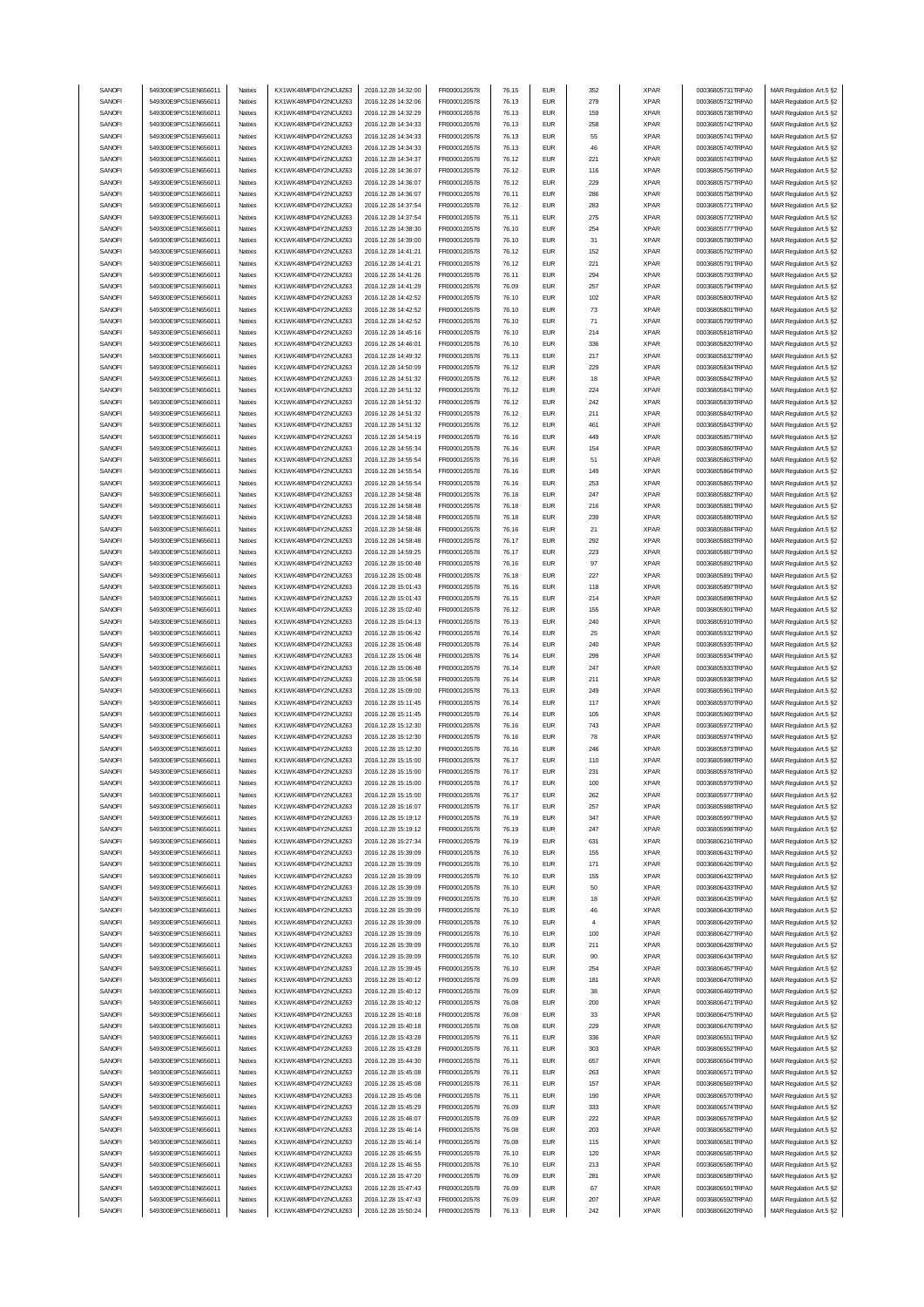| SANOFI | 549300E9PC51EN656011 | Natixis            | KX1WK48MPD4Y2NCUIZ63  | 2016.12.28 14:32:00 | FR0000120578 | 76.15          | <b>EUR</b> | 352            | <b>XPAR</b>                | 00036805731TRPA0                     | MAR Regulation Art.5 §2 |
|--------|----------------------|--------------------|-----------------------|---------------------|--------------|----------------|------------|----------------|----------------------------|--------------------------------------|-------------------------|
|        | 549300E9PC51EN656011 |                    |                       | 2016 12:28 14:32:06 |              |                | <b>EUR</b> | 279            |                            |                                      | MAR Regulation Art.5 §2 |
| SANOFI |                      | Natixis            | KX1WK48MPD4Y2NCUIZ63  |                     | FR0000120578 | 76.13          |            |                | <b>XPAR</b>                | 00036805732TRPA0                     |                         |
| SANOFI | 549300E9PC51EN656011 | Natixis            | KX1WK48MPD4Y2NCUIZ63  | 2016.12.28 14:32:29 | FR0000120578 | 76.13          | <b>EUR</b> | 159            | <b>XPAR</b>                | 00036805738TRPA0                     | MAR Regulation Art.5 §2 |
| SANOFI | 549300E9PC51EN656011 | Natixis            | KX1WK48MPD4Y2NCLIIZ63 | 2016.12.28 14:34:33 | FR0000120578 | 76.13          | <b>EUR</b> | 258            | <b>XPAR</b>                | 00036805742TRPA0                     | MAR Regulation Art.5 §2 |
| SANOFI | 549300E9PC51EN656011 | Natixis            | KX1WK48MPD4Y2NCUIZ63  | 2016.12.28 14:34:33 | FR0000120578 | 76.13          | <b>EUR</b> | 55             | <b>XPAR</b>                | 00036805741TRPA0                     | MAR Regulation Art.5 §2 |
| SANOFI | 549300E9PC51EN656011 | Natixis            | KX1WK48MPD4Y2NCUIZ63  | 2016.12.28 14:34:33 | FR0000120578 | 76.13          | <b>EUR</b> | 46             | <b>XPAR</b>                | 00036805740TRPA0                     | MAR Regulation Art.5 §2 |
| SANOFI | 549300E9PC51EN656011 | Natixis            | KX1WK48MPD4Y2NCUIZ63  | 2016.12.28 14:34:37 | FR0000120578 | 76.12          | <b>EUR</b> | 221            | <b>XPAR</b>                | 00036805743TRPA0                     | MAR Regulation Art.5 §2 |
| SANOFI | 549300E9PC51EN656011 | Natixis            | KX1WK48MPD4Y2NCUIZ63  | 2016.12.28 14:36:07 | FR0000120578 | 76.12          | <b>EUR</b> | 116            | <b>XPAR</b>                | 00036805756TRPA0                     | MAR Regulation Art.5 §2 |
| SANOFI | 549300E9PC51EN656011 |                    |                       |                     |              |                | <b>EUR</b> |                |                            |                                      |                         |
|        |                      | Natixis            | KX1WK48MPD4Y2NCUIZ63  | 2016.12.28 14:36:07 | FR0000120578 | 76.12          |            | 229            | <b>XPAR</b>                | 00036805757TRPA0                     | MAR Regulation Art.5 §2 |
| SANOFI | 549300E9PC51EN656011 | Natixis            | KX1WK48MPD4Y2NCUIZ63  | 2016.12.28 14:36:07 | FR0000120578 | 76.11          | <b>EUR</b> | 286            | <b>XPAR</b>                | 00036805758TRPA0                     | MAR Regulation Art.5 §2 |
| SANOFI | 549300E9PC51EN656011 | Natixis            | KX1WK48MPD4Y2NCUIZ63  | 2016.12.28 14:37:54 | FR0000120578 | 76.12          | <b>EUR</b> | 283            | <b>XPAR</b>                | 00036805771TRPA0                     | MAR Regulation Art.5 §2 |
| SANOFI | 549300E9PC51EN656011 | Natixis            | KX1WK48MPD4Y2NCUIZ63  | 2016.12.28 14:37:54 | FR0000120578 | 76.11          | <b>EUR</b> | 275            | <b>XPAR</b>                | 00036805772TRPA0                     | MAR Regulation Art.5 §2 |
| SANOFI | 549300E9PC51EN656011 | Natixis            | KX1WK48MPD4Y2NCUIZ63  | 2016.12.28 14:38:30 | FR0000120578 | 76.10          | <b>EUR</b> | 254            | <b>XPAR</b>                | 00036805777TRPA0                     | MAR Regulation Art.5 §2 |
| SANOFI | 549300E9PC51EN656011 | Natixis            | KX1WK48MPD4Y2NCUIZ63  | 2016.12.28 14:39:00 | FR0000120578 | 76.10          | <b>EUR</b> | 31             | <b>XPAR</b>                | 00036805780TRPA0                     | MAR Regulation Art.5 §2 |
|        |                      |                    |                       |                     |              |                |            |                |                            |                                      |                         |
| SANOFI | 549300E9PC51EN656011 | Natixis            | KX1WK48MPD4Y2NCUIZ63  | 2016.12.28 14:41:21 | FR0000120578 | 76.12          | <b>EUR</b> | 152            | <b>XPAR</b>                | 00036805792TRPA0                     | MAR Regulation Art.5 §2 |
| SANOFI | 549300E9PC51EN656011 | Natixis            | KX1WK48MPD4Y2NCUIZ63  | 2016.12.28 14:41:21 | FR0000120578 | 76.12          | <b>EUR</b> | 221            | <b>XPAR</b>                | 00036805791TRPA0                     | MAR Regulation Art.5 §2 |
| SANOFI | 549300E9PC51EN656011 | Natixis            | KX1WK48MPD4Y2NCUIZ63  | 2016.12.28 14:41:26 | FR0000120578 | 76.11          | <b>EUR</b> | 294            | <b>XPAR</b>                | 00036805793TRPA0                     | MAR Regulation Art.5 §2 |
| SANOFI | 549300E9PC51EN656011 | Natixis            | KX1WK48MPD4Y2NCUIZ63  | 2016.12.28 14:41:29 | FR0000120578 | 76.09          | <b>EUR</b> | 257            | <b>XPAR</b>                | 00036805794TRPA0                     | MAR Regulation Art.5 §2 |
| SANOFI | 549300E9PC51EN656011 | Natixis            | KX1WK48MPD4Y2NCUIZ63  | 2016.12.28 14:42:52 | FR0000120578 | 76.10          | <b>EUR</b> | 102            | <b>XPAR</b>                | 00036805800TRPA0                     | MAR Regulation Art.5 §2 |
|        | 549300E9PC51EN656011 | Natixis            |                       |                     |              |                | <b>EUR</b> |                |                            |                                      |                         |
| SANOFI |                      |                    | KX1WK48MPD4Y2NCUIZ63  | 2016.12.28 14:42:52 | FR0000120578 | 76.10          |            | 73             | <b>XPAR</b>                | 00036805801TRPA0                     | MAR Regulation Art.5 §2 |
| SANOFI | 549300E9PC51EN656011 | Natixis            | KX1WK48MPD4Y2NCUIZ63  | 2016.12.28 14:42:52 | FR0000120578 | 76.10          | <b>EUR</b> | 71             | <b>XPAR</b>                | 00036805799TRPA0                     | MAR Regulation Art.5 §2 |
| SANOFI | 549300E9PC51EN656011 | Natixis            | KX1WK48MPD4Y2NCUIZ63  | 2016.12.28 14:45:16 | FR0000120578 | 76.10          | <b>EUR</b> | 214            | <b>XPAR</b>                | 00036805818TRPA0                     | MAR Regulation Art.5 §2 |
| SANOFI | 549300E9PC51EN656011 | Natixis            | KX1WK48MPD4Y2NCUIZ63  | 2016.12.28 14:46:01 | FR0000120578 | 76.10          | <b>EUR</b> | 336            | <b>XPAR</b>                | 00036805820TRPA0                     | MAR Regulation Art.5 §2 |
| SANOFI | 549300E9PC51EN656011 | Natixis            | KX1WK48MPD4Y2NCUIZ63  | 2016.12.28 14:49:32 | FR0000120578 | 76.13          | <b>EUR</b> | 217            | <b>XPAR</b>                | 00036805832TRPA0                     | MAR Regulation Art.5 §2 |
| SANOFI | 549300E9PC51EN656011 | Natixis            | KX1WK48MPD4Y2NCUIZ63  | 2016.12.28 14:50:09 | FR0000120578 | 76.12          | <b>EUR</b> | 229            | <b>XPAR</b>                | 00036805834TRPA0                     | MAR Regulation Art.5 §2 |
| SANOFI | 549300E9PC51EN656011 | Natixis            | KX1WK48MPD4Y2NCUIZ63  | 2016.12.28 14:51:32 | FR0000120578 | 76.12          | <b>EUR</b> | 18             | <b>XPAR</b>                | 00036805842TRPA0                     | MAR Regulation Art.5 §2 |
|        |                      |                    |                       |                     |              |                |            |                |                            |                                      |                         |
| SANOFI | 549300E9PC51EN656011 | Natixis            | KX1WK48MPD4Y2NCUIZ63  | 2016.12.28 14:51:32 | FR0000120578 | 76.12          | <b>EUR</b> | 224            | <b>XPAR</b>                | 00036805841TRPA0                     | MAR Regulation Art.5 §2 |
| SANOFI | 549300E9PC51EN656011 | Natixis            | KX1WK48MPD4Y2NCUIZ63  | 2016.12.28 14:51:32 | FR0000120578 | 76.12          | <b>EUR</b> | 242            | <b>XPAR</b>                | 00036805839TRPA0                     | MAR Regulation Art.5 §2 |
| SANOFI | 549300E9PC51EN656011 | Natixis            | KX1WK48MPD4Y2NCUIZ63  | 2016.12.28 14:51:32 | FR0000120578 | 76.12          | <b>EUR</b> | 211            | <b>XPAR</b>                | 00036805840TRPA0                     | MAR Regulation Art.5 §2 |
| SANOFI | 549300E9PC51EN656011 | Natixis            | KX1WK48MPD4Y2NCUIZ63  | 2016.12.28 14:51:32 | FR0000120578 | 76.12          | <b>EUR</b> | 461            | <b>XPAR</b>                | 00036805843TRPA0                     | MAR Regulation Art.5 §2 |
| SANOFI | 549300E9PC51EN656011 | Natixis            | KX1WK48MPD4Y2NCUIZ63  | 2016.12.28 14:54:19 | FR0000120578 | 76.16          | <b>EUR</b> | 449            | <b>XPAR</b>                | 00036805857TRPA0                     | MAR Regulation Art.5 §2 |
| SANOFI | 549300E9PC51EN656011 | Natixis            | KX1WK48MPD4Y2NCUIZ63  | 2016.12.28 14:55:34 | FR0000120578 | 76.16          | <b>EUR</b> | 154            | <b>XPAR</b>                | 00036805860TRPA0                     | MAR Regulation Art.5 §2 |
|        |                      |                    |                       |                     |              |                |            |                |                            |                                      |                         |
| SANOFI | 549300E9PC51EN656011 | Natixis            | KX1WK48MPD4Y2NCUIZ63  | 2016.12.28 14:55:54 | FR0000120578 | 76.16          | <b>EUR</b> | 51             | <b>XPAR</b>                | 00036805863TRPA0                     | MAR Regulation Art.5 §2 |
| SANOFI | 549300E9PC51EN656011 | Natixis            | KX1WK48MPD4Y2NCUIZ63  | 2016.12.28 14:55:54 | FR0000120578 | 76.16          | <b>EUR</b> | 149            | <b>XPAR</b>                | 00036805864TRPA0                     | MAR Regulation Art.5 §2 |
| SANOFI | 549300E9PC51EN656011 | Natixis            | KX1WK48MPD4Y2NCUIZ63  | 2016.12.28 14:55:54 | FR0000120578 | 76.16          | <b>EUR</b> | 253            | <b>XPAR</b>                | 00036805865TRPA0                     | MAR Regulation Art.5 §2 |
| SANOFI | 549300E9PC51EN656011 | Natixis            | KX1WK48MPD4Y2NCUIZ63  | 2016.12.28 14:58:48 | FR0000120578 | 76.18          | <b>EUR</b> | 247            | <b>XPAR</b>                | 00036805882TRPA0                     | MAR Regulation Art.5 §2 |
| SANOFI | 549300E9PC51EN656011 | Natixis            | KX1WK48MPD4Y2NCLIIZ63 | 2016.12.28 14:58:48 | FR0000120578 | 76.18          | <b>EUR</b> | 216            | <b>XPAR</b>                | 00036805881TRPA0                     | MAR Regulation Art.5 §2 |
| SANOFI | 549300E9PC51EN656011 | Natixis            | KX1WK48MPD4Y2NCUIZ63  | 2016.12.28 14:58:48 | FR0000120578 | 76.18          | <b>EUR</b> | 239            | <b>XPAR</b>                | 00036805880TRPA0                     | MAR Regulation Art.5 §2 |
|        |                      |                    |                       |                     |              |                |            |                |                            |                                      |                         |
| SANOFI | 549300E9PC51EN656011 | Natixis            | KX1WK48MPD4Y2NCUIZ63  | 2016.12.28 14:58:48 | FR0000120578 | 76.16          | <b>EUR</b> | 21             | <b>XPAR</b>                | 00036805884TRPA0                     | MAR Regulation Art.5 §2 |
| SANOFI | 549300E9PC51EN656011 | Natixis            | KX1WK48MPD4Y2NCUIZ63  | 2016.12.28 14:58:48 | FR0000120578 | 76.17          | <b>EUR</b> | 292            | <b>XPAR</b>                | 00036805883TRPA0                     | MAR Regulation Art.5 §2 |
| SANOFI | 549300E9PC51EN656011 | Natixis            | KX1WK48MPD4Y2NCUIZ63  | 2016.12.28 14:59:25 | FR0000120578 | 76.17          | <b>EUR</b> | 223            | <b>XPAR</b>                | 00036805887TRPA0                     | MAR Regulation Art.5 §2 |
| SANOFI | 549300E9PC51EN656011 | Natixis            | KX1WK48MPD4Y2NCUIZ63  | 2016.12.28 15:00:48 | FR0000120578 | 76.16          | <b>EUR</b> | 97             | <b>XPAR</b>                | 00036805892TRPA0                     | MAR Regulation Art.5 §2 |
| SANOFI | 549300E9PC51EN656011 | Natixis            | KX1WK48MPD4Y2NCUIZ63  | 2016.12.28 15:00:48 | FR0000120578 | 76.18          | <b>EUR</b> | 227            | <b>XPAR</b>                | 00036805891TRPA0                     | MAR Regulation Art.5 §2 |
| SANOFI | 549300E9PC51EN656011 | Natixis            | KX1WK48MPD4Y2NCUIZ63  | 2016.12.28 15:01:43 | FR0000120578 | 76.16          | <b>EUR</b> | 118            | <b>XPAR</b>                | 00036805897TRPA0                     | MAR Regulation Art.5 §2 |
|        |                      | Natixis            |                       |                     |              |                | <b>EUR</b> |                |                            |                                      |                         |
| SANOFI | 549300E9PC51EN656011 |                    | KX1WK48MPD4Y2NCUIZ63  | 2016.12.28 15:01:43 | FR0000120578 | 76.15          |            | 214            | <b>XPAR</b>                | 00036805898TRPA0                     | MAR Regulation Art.5 §2 |
| SANOFI | 549300E9PC51EN656011 | Natixis            | KX1WK48MPD4Y2NCUIZ63  | 2016.12.28 15:02:40 | FR0000120578 | 76.12          | <b>EUR</b> | 155            | <b>XPAR</b>                | 00036805901TRPA0                     | MAR Regulation Art.5 §2 |
| SANOFI | 549300E9PC51EN656011 | Natixis            | KX1WK48MPD4Y2NCUIZ63  | 2016.12.28 15:04:13 | FR0000120578 | 76.13          | <b>EUR</b> | 240            | <b>XPAR</b>                | 00036805910TRPA0                     | MAR Regulation Art.5 §2 |
|        |                      |                    |                       |                     |              |                |            |                |                            |                                      |                         |
| SANOFI | 549300E9PC51EN656011 | Natixis            | KX1WK48MPD4Y2NCUIZ63  | 2016.12.28 15:06:42 | FR0000120578 | 76.14          | <b>EUR</b> | 25             | <b>XPAR</b>                | 00036805932TRPA0                     | MAR Regulation Art.5 §2 |
|        |                      |                    |                       |                     |              |                |            |                |                            |                                      |                         |
| SANOFI | 549300E9PC51EN656011 | Natixis            | KX1WK48MPD4Y2NCUIZ63  | 2016.12.28 15:06:48 | FR0000120578 | 76.14          | <b>EUR</b> | 240            | <b>XPAR</b>                | 00036805935TRPA0                     | MAR Regulation Art.5 §2 |
| SANOFI | 549300E9PC51EN656011 | Natixis            | KX1WK48MPD4Y2NCUIZ63  | 2016.12.28 15:06:48 | FR0000120578 | 76.14          | <b>EUR</b> | 299            | <b>XPAR</b>                | 00036805934TRPA0                     | MAR Regulation Art.5 §2 |
| SANOFI | 549300E9PC51EN656011 | Natixis            | KX1WK48MPD4Y2NCUIZ63  | 2016.12.28 15:06:48 | FR0000120578 | 76.14          | <b>EUR</b> | 247            | <b>XPAR</b>                | 00036805933TRPA0                     | MAR Regulation Art.5 §2 |
| SANOFI | 549300E9PC51EN656011 | Natixis            | KX1WK48MPD4Y2NCUIZ63  | 2016.12.28 15:06:58 | FR0000120578 | 76.14          | <b>EUR</b> | 211            | <b>XPAR</b>                | 00036805938TRPA0                     | MAR Regulation Art.5 §2 |
| SANOFI | 549300E9PC51EN656011 | Natixis            | KX1WK48MPD4Y2NCUIZ63  | 2016.12.28 15:09:00 | FR0000120578 | 76.13          | <b>EUR</b> | 249            | <b>XPAR</b>                | 00036805961TRPA0                     | MAR Regulation Art.5 §2 |
| SANOFI | 549300E9PC51EN656011 | Natixis            | KX1WK48MPD4Y2NCUIZ63  | 2016.12.28 15:11:45 | FR0000120578 | 76.14          | <b>EUR</b> | 117            | <b>XPAR</b>                | 00036805970TRPA0                     | MAR Regulation Art.5 §2 |
|        |                      |                    | KX1WK48MPD4Y2NCUIZ63  |                     |              |                |            |                |                            |                                      | MAR Regulation Art.5 §2 |
| SANOFI | 549300E9PC51EN656011 | Natixis            |                       | 2016.12.28 15:11:45 | FR0000120578 | 76.14          | <b>EUR</b> | 105            | <b>XPAR</b>                | 00036805969TRPA0                     |                         |
| SANOFI | 549300E9PC51EN656011 | Natixis            | KX1WK48MPD4Y2NCUIZ63  | 2016.12.28 15:12:30 | FR0000120578 | 76.16          | <b>EUR</b> | 743            | <b>XPAR</b>                | 00036805972TRPA0                     | MAR Regulation Art.5 §2 |
| SANOFI | 549300E9PC51EN656011 | Natixis            | KX1WK48MPD4Y2NCUIZ63  | 2016.12.28 15:12:30 | FR0000120578 | 76.16          | <b>EUR</b> | 78             | <b>XPAR</b>                | 00036805974TRPA0                     | MAR Regulation Art.5 §2 |
| SANOFI | 549300E9PC51EN656011 | Natixis            | KX1WK48MPD4Y2NCUIZ63  | 2016.12.28 15:12:30 | FR0000120578 | 76.16          | <b>EUR</b> | 246            | <b>XPAR</b>                | 00036805973TRPA0                     | MAR Regulation Art.5 §2 |
| SANOFI | 549300E9PC51EN656011 | Natixis            | KX1WK48MPD4Y2NCUIZ63  | 2016.12.28 15:15:00 | FR0000120578 | 76.17          | <b>FUR</b> | 110            | <b>XPAR</b>                | 00036805980TRPA0                     | MAR Regulation Art.5 §2 |
| SANOFI | 549300E9PC51EN656011 | Natixis            | KX1WK48MPD4Y2NCUIZ63  | 2016.12.28 15:15:00 | FR0000120578 | 76.17          | EUR        | 231            | XPAR                       | 00036805978TRPA0                     | MAR Regulation Art.5 §2 |
| SANOFI | 549300E9PC51EN656011 | Natixis            | KX1WK48MPD4Y2NCUIZ63  | 2016.12.28 15:15:00 | FR0000120578 | 76.17          | <b>EUR</b> | 100            | <b>XPAR</b>                | 00036805979TRPA0                     | MAR Regulation Art.5 §2 |
| SANOFI | 549300E9PC51EN656011 | Natixis            | KX1WK48MPD4Y2NCUIZ63  | 2016.12.28 15:15:00 | FR0000120578 | 76.17          | <b>EUR</b> | 262            | <b>XPAR</b>                | 00036805977TRPA0                     |                         |
|        |                      |                    |                       |                     |              |                |            |                |                            | 00036805988TRPA0                     | MAR Regulation Art.5 §2 |
| SANOFI | 549300E9PC51EN656011 | Natixis            | KX1WK48MPD4Y2NCUIZ63  | 2016.12.28 15:16:07 | FR0000120578 | 76.17          | <b>EUR</b> | 257            | <b>XPAR</b>                |                                      | MAR Regulation Art.5 §2 |
| SANOFI | 549300E9PC51EN656011 | Natixis            | KX1WK48MPD4Y2NCUIZ63  | 2016.12.28 15:19:12 | FR0000120578 | 76.19          | <b>EUR</b> | 347            | <b>XPAR</b>                | 00036805997TRPA0                     | MAR Regulation Art.5 §2 |
| SANOFI | 549300E9PC51EN656011 | Natixis            | KX1WK48MPD4Y2NCUIZ63  | 2016.12.28 15:19:12 | FR0000120578 | 76.19          | <b>EUR</b> | 247            | <b>XPAR</b>                | 00036805998TRPA0                     | MAR Regulation Art.5 §2 |
| SANOFI | 549300E9PC51EN656011 | Natixis            | KX1WK48MPD4Y2NCUIZ63  | 2016.12.28 15:27:34 | FR0000120578 | 76.19          | <b>EUR</b> | 631            | <b>XPAR</b>                | 00036806216TRPA0                     | MAR Regulation Art.5 §2 |
| SANOFI | 549300E9PC51EN656011 | Natixis            | KX1WK48MPD4Y2NCUIZ63  | 2016.12.28 15:39:09 | FR0000120578 | 76.10          | <b>EUR</b> | 155            | <b>XPAR</b>                | 00036806431TRPA0                     | MAR Regulation Art.5 §2 |
| SANOFI | 549300E9PC51EN656011 | Natixis            | KX1WK48MPD4Y2NCUIZ63  | 2016.12.28 15:39:09 | FR0000120578 | 76.10          | <b>EUR</b> | 171            | <b>XPAR</b>                | 00036806426TRPA0                     | MAR Regulation Art.5 §2 |
| SANOFI | 549300E9PC51EN656011 | Natixis            | KX1WK48MPD4Y2NCUIZ63  | 2016.12.28 15:39:09 | FR0000120578 | 76.10          | <b>EUR</b> | 155            | <b>XPAR</b>                | 00036806432TRPA0                     | MAR Regulation Art.5 §2 |
| SANOFI | 549300E9PC51EN656011 | Natixis            | KX1WK48MPD4Y2NCUIZ63  | 2016.12.28 15:39:09 | FR0000120578 | 76.10          | <b>EUR</b> | 50             | <b>XPAR</b>                | 00036806433TRPA0                     | MAR Regulation Art.5 §2 |
|        |                      |                    |                       |                     |              |                |            |                |                            |                                      |                         |
| SANOFI | 549300E9PC51EN656011 | Natixis            | KX1WK48MPD4Y2NCUIZ63  | 2016.12.28 15:39:09 | FR0000120578 | 76.10          | <b>EUR</b> | 18             | <b>XPAR</b>                | 00036806435TRPA0                     | MAR Regulation Art.5 §2 |
| SANOFI | 549300E9PC51EN656011 | Natixis            | KX1WK48MPD4Y2NCUIZ63  | 2016.12.28 15:39:09 | FR0000120578 | 76.10          | <b>EUR</b> | 46             | <b>XPAR</b>                | 00036806430TRPA0                     | MAR Regulation Art.5 §2 |
| SANOFI | 549300E9PC51EN656011 | Natixis            | KX1WK48MPD4Y2NCUIZ63  | 2016.12.28 15:39:09 | FR0000120578 | 76.10          | <b>EUR</b> | $\overline{4}$ | <b>XPAR</b>                | 00036806429TRPA0                     | MAR Regulation Art.5 §2 |
| SANOFI | 549300E9PC51EN656011 | Natixis            | KX1WK48MPD4Y2NCUIZ63  | 2016.12.28 15:39:09 | FR0000120578 | 76.10          | <b>EUR</b> | 100            | <b>XPAR</b>                | 00036806427TRPA0                     | MAR Regulation Art.5 §2 |
| SANOFI | 549300E9PC51EN656011 | Natixis            | KX1WK48MPD4Y2NCUIZ63  | 2016.12.28 15:39:09 | FR0000120578 | 76.10          | <b>EUR</b> | 211            | <b>XPAR</b>                | 00036806428TRPA0                     | MAR Regulation Art.5 §2 |
| SANOFI | 549300E9PC51EN656011 | Natixis            | KX1WK48MPD4Y2NCUIZ63  | 2016.12.28 15:39:09 | FR0000120578 | 76.10          | <b>EUR</b> | 90             | <b>XPAR</b>                | 00036806434TRPA0                     | MAR Regulation Art.5 §2 |
|        |                      |                    |                       |                     |              |                |            |                |                            |                                      |                         |
| SANOFI | 549300E9PC51EN656011 | Natixis            | KX1WK48MPD4Y2NCUIZ63  | 2016.12.28 15:39:45 | FR0000120578 | 76.10          | <b>EUR</b> | 254            | <b>XPAR</b>                | 00036806457TRPA0                     | MAR Regulation Art.5 §2 |
| SANOFI | 549300E9PC51EN656011 | Natixis            | KX1WK48MPD4Y2NCUIZ63  | 2016.12.28 15:40:12 | FR0000120578 | 76.09          | <b>EUR</b> | 181            | <b>XPAR</b>                | 00036806470TRPA0                     | MAR Regulation Art.5 §2 |
| SANOFI | 549300E9PC51EN656011 | Natixis            | KX1WK48MPD4Y2NCUIZ63  | 2016.12.28 15:40:12 | FR0000120578 | 76.09          | <b>EUR</b> | 38             | <b>XPAR</b>                | 00036806469TRPA0                     | MAR Regulation Art.5 §2 |
| SANOFI | 549300E9PC51EN656011 | Natixis            | KX1WK48MPD4Y2NCUIZ63  | 2016.12.28 15:40:12 | FR0000120578 | 76.08          | <b>EUR</b> | 200            | <b>XPAR</b>                | 00036806471TRPA0                     | MAR Regulation Art.5 §2 |
| SANOFI | 549300E9PC51EN656011 | Natixis            | KX1WK48MPD4Y2NCUIZ63  | 2016.12.28 15:40:18 | FR0000120578 | 76.08          | <b>EUR</b> | 33             | <b>XPAR</b>                | 00036806475TRPA0                     | MAR Regulation Art.5 §2 |
| SANOFI | 549300E9PC51EN656011 | Natixis            | KX1WK48MPD4Y2NCUIZ63  | 2016.12.28 15:40:18 | FR0000120578 | 76.08          | <b>EUR</b> | 229            | <b>XPAR</b>                | 00036806476TRPA0                     | MAR Regulation Art.5 §2 |
|        |                      |                    |                       |                     |              |                |            |                |                            |                                      |                         |
| SANOFI | 549300E9PC51EN656011 | Natixis            | KX1WK48MPD4Y2NCUIZ63  | 2016.12.28 15:43:28 | FR0000120578 | 76.11          | <b>EUR</b> | 336            | <b>XPAR</b>                | 00036806551TRPA0                     | MAR Regulation Art.5 §2 |
| SANOFI | 549300E9PC51EN656011 | Natixis            | KX1WK48MPD4Y2NCUIZ63  | 2016.12.28 15:43:28 | FR0000120578 | 76.11          | <b>EUR</b> | 303            | <b>XPAR</b>                | 00036806552TRPA0                     | MAR Regulation Art.5 §2 |
| SANOFI | 549300E9PC51EN656011 | Natixis            | KX1WK48MPD4Y2NCUIZ63  | 2016.12.28 15:44:30 | FR0000120578 | 76.11          | <b>EUR</b> | 657            | <b>XPAR</b>                | 00036806564TRPA0                     | MAR Regulation Art.5 §2 |
| SANOFI | 549300E9PC51EN656011 | Natixis            | KX1WK48MPD4Y2NCUIZ63  | 2016.12.28 15:45:08 | FR0000120578 | 76.11          | <b>EUR</b> | 263            | <b>XPAR</b>                | 00036806571TRPA0                     | MAR Regulation Art.5 §2 |
| SANOFI | 549300E9PC51EN656011 | Natixis            | KX1WK48MPD4Y2NCUIZ63  | 2016.12.28 15:45:08 | FR0000120578 | 76.11          | <b>EUR</b> | 157            | <b>XPAR</b>                | 00036806569TRPA0                     | MAR Regulation Art.5 §2 |
| SANOFI | 549300E9PC51EN656011 | Natixis            | KX1WK48MPD4Y2NCUIZ63  | 2016.12.28 15:45:08 | FR0000120578 | 76.11          | <b>EUR</b> | 190            | <b>XPAR</b>                | 00036806570TRPA0                     | MAR Regulation Art.5 §2 |
| SANOFI | 549300E9PC51EN656011 | Natixis            | KX1WK48MPD4Y2NCUIZ63  | 2016.12.28 15:45:29 | FR0000120578 | 76.09          | <b>EUR</b> | 333            | <b>XPAR</b>                | 00036806574TRPA0                     |                         |
|        |                      |                    |                       |                     |              |                |            |                |                            |                                      | MAR Regulation Art.5 §2 |
| SANOFI | 549300E9PC51EN656011 | Natixis<br>Natixis | KX1WK48MPD4Y2NCUIZ63  | 2016.12.28 15:46:07 | FR0000120578 | 76.09<br>76.08 | <b>EUR</b> | 222<br>203     | <b>XPAR</b><br><b>XPAR</b> | 00036806578TRPA0<br>00036806582TRPA0 | MAR Regulation Art.5 §2 |
| SANOFI | 549300E9PC51EN656011 |                    | KX1WK48MPD4Y2NCUIZ63  | 2016.12.28 15:46:14 | FR0000120578 |                | <b>EUR</b> |                |                            |                                      | MAR Regulation Art.5 §2 |
| SANOFI | 549300E9PC51EN656011 | Natixis            | KX1WK48MPD4Y2NCUIZ63  | 2016.12.28 15:46:14 | FR0000120578 | 76.08          | <b>EUR</b> | 115            | <b>XPAR</b>                | 00036806581TRPA0                     | MAR Regulation Art.5 §2 |
| SANOFI | 549300E9PC51EN656011 | Natixis            | KX1WK48MPD4Y2NCUIZ63  | 2016.12.28 15:46:55 | FR0000120578 | 76.10          | <b>EUR</b> | 120            | <b>XPAR</b>                | 00036806585TRPA0                     | MAR Regulation Art.5 §2 |
| SANOFI | 549300E9PC51EN656011 | Natixis            | KX1WK48MPD4Y2NCUIZ63  | 2016.12.28 15:46:55 | FR0000120578 | 76.10          | <b>EUR</b> | 213            | <b>XPAR</b>                | 00036806586TRPA0                     | MAR Regulation Art.5 §2 |
| SANOFI | 549300E9PC51EN656011 | Natixis            | KX1WK48MPD4Y2NCUIZ63  | 2016.12.28 15:47:20 | FR0000120578 | 76.09          | <b>EUR</b> | 281            | <b>XPAR</b>                | 00036806589TRPA0                     | MAR Regulation Art.5 §2 |
| SANOFI | 549300E9PC51EN656011 | Natixis            | KX1WK48MPD4Y2NCUIZ63  | 2016.12.28 15:47:43 | FR0000120578 | 76.09          | <b>EUR</b> | 67             | <b>XPAR</b>                | 00036806591TRPA0                     | MAR Regulation Art.5 §2 |
| SANOFI | 549300E9PC51EN656011 | Natixis            | KX1WK48MPD4Y2NCUIZ63  | 2016.12.28 15:47:43 | FR0000120578 | 76.09          | <b>EUR</b> | 207            | <b>XPAR</b>                | 00036806592TRPA0                     | MAR Regulation Art.5 §2 |
| SANOFI | 549300E9PC51EN656011 | Natixis            | KX1WK48MPD4Y2NCUIZ63  | 2016.12.28 15:50:24 | FR0000120578 | 76.13          | <b>EUR</b> | 242            | <b>XPAR</b>                | 00036806620TRPA0                     | MAR Regulation Art.5 §2 |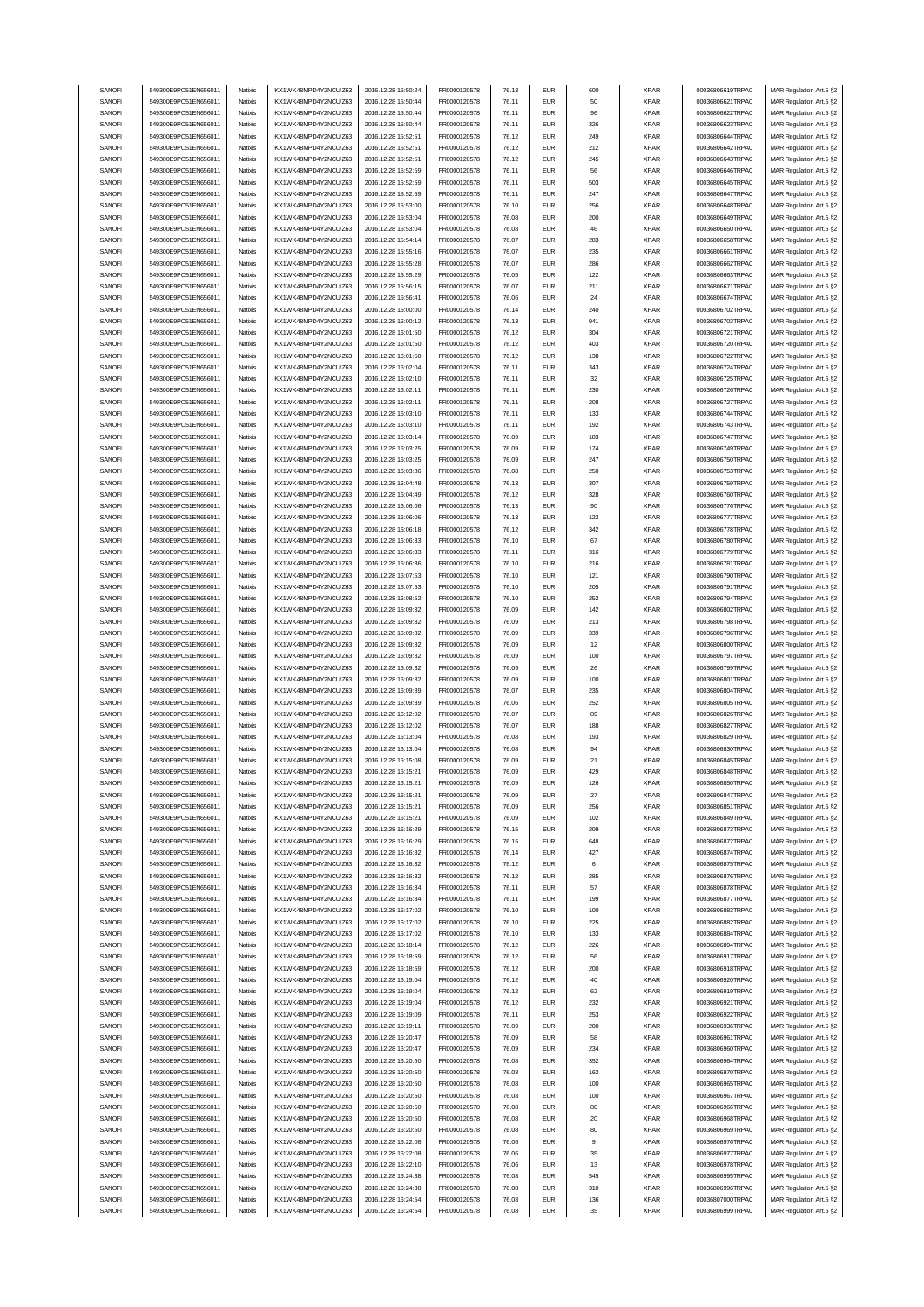| SANOFI | 549300E9PC51EN656011 | Natixis            | KX1WK48MPD4Y2NCUIZ63  | 2016.12.28 15:50:24 | FR0000120578 | 76.13 | <b>EUR</b> | 600 | <b>XPAR</b> | 00036806619TRPA0 | MAR Regulation Art.5 §2 |
|--------|----------------------|--------------------|-----------------------|---------------------|--------------|-------|------------|-----|-------------|------------------|-------------------------|
|        | 549300E9PC51EN656011 |                    |                       | 2016.12.28 15:50:44 | FR0000120578 |       | <b>EUR</b> |     |             |                  |                         |
| SANOFI |                      | Natixis            | KX1WK48MPD4Y2NCUIZ63  |                     |              | 76.11 |            | 50  | <b>XPAR</b> | 00036806621TRPA0 | MAR Regulation Art.5 §2 |
| SANOFI | 549300E9PC51EN656011 | Natixis            | KX1WK48MPD4Y2NCUIZ63  | 2016.12.28 15:50:44 | FR0000120578 | 76.11 | <b>EUR</b> | 96  | <b>XPAR</b> | 00036806622TRPA0 | MAR Regulation Art.5 §2 |
| SANOFI | 549300E9PC51EN656011 | Natixis            | KX1WK48MPD4Y2NCLIIZ63 | 2016.12.28 15:50:44 | FR0000120578 | 76.11 | <b>EUR</b> | 326 | <b>XPAR</b> | 00036806623TRPA0 | MAR Regulation Art.5 §2 |
| SANOFI | 549300E9PC51EN656011 | Natixis            | KX1WK48MPD4Y2NCUIZ63  | 2016.12.28 15:52:51 | FR0000120578 | 76.12 | <b>EUR</b> | 249 | <b>XPAR</b> | 00036806644TRPA0 | MAR Regulation Art.5 §2 |
| SANOFI | 549300E9PC51EN656011 | Natixis            | KX1WK48MPD4Y2NCUIZ63  | 2016.12.28 15:52:51 | FR0000120578 | 76.12 | <b>EUR</b> | 212 | <b>XPAR</b> | 00036806642TRPA0 | MAR Regulation Art.5 §2 |
| SANOFI | 549300E9PC51EN656011 | Natixis            | KX1WK48MPD4Y2NCUIZ63  | 2016.12.28 15:52:51 | FR0000120578 | 76.12 | <b>EUR</b> | 245 | <b>XPAR</b> | 00036806643TRPA0 | MAR Regulation Art.5 §2 |
| SANOFI | 549300E9PC51EN656011 | Natixis            | KX1WK48MPD4Y2NCUIZ63  | 2016.12.28 15:52:59 | FR0000120578 | 76.11 | <b>EUR</b> | 56  | <b>XPAR</b> | 00036806646TRPA0 | MAR Regulation Art.5 §2 |
| SANOFI | 549300E9PC51EN656011 |                    |                       | 2016.12.28 15:52:59 |              | 76.11 | <b>EUR</b> |     |             | 00036806645TRPA0 |                         |
|        |                      | Natixis            | KX1WK48MPD4Y2NCUIZ63  |                     | FR0000120578 |       |            | 503 | <b>XPAR</b> |                  | MAR Regulation Art.5 §2 |
| SANOFI | 549300E9PC51EN656011 | Natixis            | KX1WK48MPD4Y2NCUIZ63  | 2016.12.28 15:52:59 | FR0000120578 | 76.11 | <b>EUR</b> | 247 | <b>XPAR</b> | 00036806647TRPA0 | MAR Regulation Art.5 §2 |
| SANOFI | 549300E9PC51EN656011 | Natixis            | KX1WK48MPD4Y2NCUIZ63  | 2016.12.28 15:53:00 | FR0000120578 | 76.10 | <b>EUR</b> | 256 | <b>XPAR</b> | 00036806648TRPA0 | MAR Regulation Art.5 §2 |
| SANOFI | 549300E9PC51EN656011 | Natixis            | KX1WK48MPD4Y2NCUIZ63  | 2016.12.28 15:53:04 | FR0000120578 | 76.08 | <b>EUR</b> | 200 | <b>XPAR</b> | 00036806649TRPA0 | MAR Regulation Art.5 §2 |
| SANOFI | 549300E9PC51EN656011 | Natixis            | KX1WK48MPD4Y2NCUIZ63  | 2016.12.28 15:53:04 | FR0000120578 | 76.08 | <b>EUR</b> | 46  | <b>XPAR</b> | 00036806650TRPA0 | MAR Regulation Art.5 §2 |
| SANOFI | 549300E9PC51EN656011 | Natixis            | KX1WK48MPD4Y2NCUIZ63  | 2016.12.28 15:54:14 | FR0000120578 | 76.07 | <b>EUR</b> | 283 | <b>XPAR</b> | 00036806658TRPA0 | MAR Regulation Art.5 §2 |
|        |                      |                    |                       |                     |              |       |            |     |             |                  |                         |
| SANOFI | 549300E9PC51EN656011 | Natixis            | KX1WK48MPD4Y2NCUIZ63  | 2016.12.28 15:55:16 | FR0000120578 | 76.07 | <b>EUR</b> | 235 | <b>XPAR</b> | 00036806661TRPA0 | MAR Regulation Art.5 §2 |
| SANOFI | 549300E9PC51EN656011 | Natixis            | KX1WK48MPD4Y2NCUIZ63  | 2016.12.28 15:55:28 | FR0000120578 | 76.07 | <b>EUR</b> | 286 | <b>XPAR</b> | 00036806662TRPA0 | MAR Regulation Art.5 §2 |
| SANOFI | 549300E9PC51EN656011 | Natixis            | KX1WK48MPD4Y2NCUIZ63  | 2016.12.28 15:55:29 | FR0000120578 | 76.05 | <b>EUR</b> | 122 | <b>XPAR</b> | 00036806663TRPA0 | MAR Regulation Art.5 §2 |
| SANOFI | 549300E9PC51EN656011 | Natixis            | KX1WK48MPD4Y2NCUIZ63  | 2016.12.28 15:56:15 | FR0000120578 | 76.07 | <b>EUR</b> | 211 | <b>XPAR</b> | 00036806671TRPA0 | MAR Regulation Art.5 §2 |
| SANOFI | 549300E9PC51EN656011 | Natixis            | KX1WK48MPD4Y2NCUIZ63  | 2016.12.28 15:56:41 | FR0000120578 | 76.06 | <b>EUR</b> | 24  | <b>XPAR</b> | 00036806674TRPA0 | MAR Regulation Art.5 §2 |
|        | 549300E9PC51EN656011 | Natixis            |                       |                     |              |       | <b>EUR</b> |     |             |                  |                         |
| SANOFI |                      |                    | KX1WK48MPD4Y2NCUIZ63  | 2016.12.28 16:00:00 | FR0000120578 | 76.14 |            | 240 | <b>XPAR</b> | 00036806702TRPA0 | MAR Regulation Art.5 §2 |
| SANOFI | 549300E9PC51EN656011 | Natixis            | KX1WK48MPD4Y2NCUIZ63  | 2016.12.28 16:00:12 | FR0000120578 | 76.13 | <b>EUR</b> | 941 | <b>XPAR</b> | 00036806703TRPA0 | MAR Regulation Art.5 §2 |
| SANOFI | 549300E9PC51EN656011 | Natixis            | KX1WK48MPD4Y2NCUIZ63  | 2016.12.28 16:01:50 | FR0000120578 | 76.12 | <b>EUR</b> | 304 | <b>XPAR</b> | 00036806721TRPA0 | MAR Regulation Art.5 §2 |
| SANOFI | 549300E9PC51EN656011 | Natixis            | KX1WK48MPD4Y2NCUIZ63  | 2016.12.28 16:01:50 | FR0000120578 | 76.12 | <b>EUR</b> | 403 | <b>XPAR</b> | 00036806720TRPA0 | MAR Regulation Art.5 §2 |
| SANOFI | 549300E9PC51EN656011 | Natixis            | KX1WK48MPD4Y2NCUIZ63  | 2016.12.28 16:01:50 | FR0000120578 | 76.12 | <b>EUR</b> | 138 | <b>XPAR</b> | 00036806722TRPA0 | MAR Regulation Art.5 §2 |
| SANOFI | 549300E9PC51EN656011 | Natixis            | KX1WK48MPD4Y2NCUIZ63  | 2016.12.28 16:02:04 | FR0000120578 | 76.11 | <b>EUR</b> | 343 | <b>XPAR</b> | 00036806724TRPA0 | MAR Regulation Art.5 §2 |
| SANOFI | 549300E9PC51EN656011 | Natixis            | KX1WK48MPD4Y2NCUIZ63  | 2016.12.28 16:02:10 | FR0000120578 | 76.11 | <b>EUR</b> | 32  | <b>XPAR</b> | 00036806725TRPA0 | MAR Regulation Art.5 §2 |
|        |                      |                    |                       |                     |              |       |            |     |             |                  |                         |
| SANOFI | 549300E9PC51EN656011 | Natixis            | KX1WK48MPD4Y2NCUIZ63  | 2016.12.28 16:02:11 | FR0000120578 | 76.11 | <b>EUR</b> | 230 | <b>XPAR</b> | 00036806726TRPA0 | MAR Regulation Art.5 §2 |
| SANOFI | 549300E9PC51EN656011 | Natixis            | KX1WK48MPD4Y2NCUIZ63  | 2016.12.28 16:02:11 | FR0000120578 | 76.11 | <b>EUR</b> | 208 | <b>XPAR</b> | 00036806727TRPA0 | MAR Regulation Art.5 §2 |
| SANOFI | 549300E9PC51EN656011 | Natixis            | KX1WK48MPD4Y2NCUIZ63  | 2016.12.28 16:03:10 | FR0000120578 | 76.11 | <b>EUR</b> | 133 | <b>XPAR</b> | 00036806744TRPA0 | MAR Regulation Art.5 §2 |
| SANOFI | 549300E9PC51EN656011 | Natixis            | KX1WK48MPD4Y2NCUIZ63  | 2016.12.28 16:03:10 | FR0000120578 | 76.11 | <b>EUR</b> | 192 | <b>XPAR</b> | 00036806743TRPA0 | MAR Regulation Art.5 §2 |
| SANOFI | 549300E9PC51EN656011 | Natixis            | KX1WK48MPD4Y2NCUIZ63  | 2016.12.28 16:03:14 | FR0000120578 | 76.09 | <b>EUR</b> | 183 | <b>XPAR</b> | 00036806747TRPA0 | MAR Regulation Art.5 §2 |
| SANOFI | 549300E9PC51EN656011 | Natixis            | KX1WK48MPD4Y2NCUIZ63  | 2016.12.28 16:03:25 | FR0000120578 | 76.09 | <b>EUR</b> | 174 | <b>XPAR</b> | 00036806749TRPA0 | MAR Regulation Art.5 §2 |
|        |                      |                    |                       |                     |              |       |            |     |             |                  |                         |
| SANOFI | 549300E9PC51EN656011 | Natixis            | KX1WK48MPD4Y2NCUIZ63  | 2016.12.28 16:03:25 | FR0000120578 | 76.09 | <b>EUR</b> | 247 | <b>XPAR</b> | 00036806750TRPA0 | MAR Regulation Art.5 §2 |
| SANOFI | 549300E9PC51EN656011 | Natixis            | KX1WK48MPD4Y2NCUIZ63  | 2016.12.28 16:03:36 | FR0000120578 | 76.08 | <b>EUR</b> | 250 | <b>XPAR</b> | 00036806753TRPA0 | MAR Regulation Art.5 §2 |
| SANOFI | 549300E9PC51EN656011 | Natixis            | KX1WK48MPD4Y2NCUIZ63  | 2016.12.28 16:04:48 | FR0000120578 | 76.13 | <b>EUR</b> | 307 | <b>XPAR</b> | 00036806759TRPA0 | MAR Regulation Art.5 §2 |
| SANOFI | 549300E9PC51EN656011 | Natixis            | KX1WK48MPD4Y2NCUIZ63  | 2016.12.28 16:04:49 | FR0000120578 | 76.12 | <b>EUR</b> | 328 | <b>XPAR</b> | 00036806760TRPA0 | MAR Regulation Art.5 §2 |
| SANOFI | 549300E9PC51EN656011 | Natixis            | KX1WK48MPD4Y2NCLIIZ63 | 2016.12.28 16:06:06 | FR0000120578 | 76.13 | <b>EUR</b> | 90  | <b>XPAR</b> | 00036806776TRPA0 | MAR Regulation Art.5 §2 |
| SANOFI | 549300E9PC51EN656011 | Natixis            | KX1WK48MPD4Y2NCUIZ63  | 2016.12.28 16:06:06 | FR0000120578 | 76.13 | <b>EUR</b> | 122 | <b>XPAR</b> | 00036806777TRPA0 | MAR Regulation Art.5 §2 |
|        |                      |                    |                       |                     |              |       |            |     |             |                  |                         |
| SANOFI | 549300E9PC51EN656011 | Natixis            | KX1WK48MPD4Y2NCUIZ63  | 2016.12.28 16:06:18 | FR0000120578 | 76.12 | <b>EUR</b> | 342 | <b>XPAR</b> | 00036806778TRPA0 | MAR Regulation Art.5 §2 |
| SANOFI | 549300E9PC51EN656011 | Natixis            | KX1WK48MPD4Y2NCUIZ63  | 2016.12.28 16:06:33 | FR0000120578 | 76.10 | <b>EUR</b> | 67  | <b>XPAR</b> | 00036806780TRPA0 | MAR Regulation Art.5 §2 |
| SANOFI | 549300E9PC51EN656011 | Natixis            | KX1WK48MPD4Y2NCUIZ63  | 2016.12.28 16:06:33 | FR0000120578 | 76.11 | <b>EUR</b> | 316 | <b>XPAR</b> | 00036806779TRPA0 | MAR Regulation Art.5 §2 |
| SANOFI | 549300E9PC51EN656011 | Natixis            | KX1WK48MPD4Y2NCUIZ63  | 2016.12.28 16:06:36 | FR0000120578 | 76.10 | <b>EUR</b> | 216 | <b>XPAR</b> | 00036806781TRPA0 | MAR Regulation Art.5 §2 |
| SANOFI | 549300E9PC51EN656011 | Natixis            | KX1WK48MPD4Y2NCUIZ63  | 2016.12.28 16:07:53 | FR0000120578 | 76.10 | <b>EUR</b> | 121 | <b>XPAR</b> | 00036806790TRPA0 | MAR Regulation Art.5 §2 |
| SANOFI | 549300E9PC51EN656011 | Natixis            | KX1WK48MPD4Y2NCUIZ63  | 2016.12.28 16:07:53 | FR0000120578 | 76.10 | <b>EUR</b> | 205 | <b>XPAR</b> | 00036806791TRPA0 | MAR Regulation Art.5 §2 |
| SANOFI |                      | Natixis            |                       |                     |              |       | <b>EUR</b> | 252 |             |                  |                         |
|        | 549300E9PC51EN656011 |                    | KX1WK48MPD4Y2NCUIZ63  | 2016.12.28 16:08:52 | FR0000120578 | 76.10 |            |     | <b>XPAR</b> | 00036806794TRPA0 | MAR Regulation Art.5 §2 |
| SANOFI | 549300E9PC51EN656011 | Natixis            | KX1WK48MPD4Y2NCUIZ63  | 2016.12.28 16:09:32 | FR0000120578 | 76.09 | <b>EUR</b> | 142 | <b>XPAR</b> | 00036806802TRPA0 | MAR Regulation Art.5 §2 |
| SANOFI | 549300E9PC51EN656011 | Natixis            | KX1WK48MPD4Y2NCUIZ63  | 2016.12.28 16:09:32 | FR0000120578 | 76.09 | <b>EUR</b> | 213 | <b>XPAR</b> | 00036806798TRPA0 | MAR Regulation Art.5 §2 |
| SANOFI | 549300E9PC51EN656011 | Natixis            | KX1WK48MPD4Y2NCUIZ63  | 2016.12.28 16:09:32 | FR0000120578 | 76.09 | <b>EUR</b> | 339 | <b>XPAR</b> | 00036806796TRPA0 | MAR Regulation Art.5 §2 |
|        |                      |                    |                       |                     |              |       |            |     |             |                  |                         |
|        |                      |                    |                       |                     |              |       |            |     |             |                  |                         |
| SANOFI | 549300E9PC51EN656011 | Natixis            | KX1WK48MPD4Y2NCUIZ63  | 2016.12.28 16:09:32 | FR0000120578 | 76.09 | <b>EUR</b> | 12  | <b>XPAR</b> | 00036806800TRPA0 | MAR Regulation Art.5 §2 |
| SANOFI | 549300E9PC51EN656011 | Natixis            | KX1WK48MPD4Y2NCUIZ63  | 2016.12.28 16:09:32 | FR0000120578 | 76.09 | <b>EUR</b> | 100 | <b>XPAR</b> | 00036806797TRPA0 | MAR Regulation Art.5 §2 |
| SANOFI | 549300E9PC51EN656011 | Natixis            | KX1WK48MPD4Y2NCUIZ63  | 2016.12.28 16:09:32 | FR0000120578 | 76.09 | <b>EUR</b> | 26  | <b>XPAR</b> | 00036806799TRPA0 | MAR Regulation Art.5 §2 |
| SANOFI | 549300E9PC51EN656011 | Natixis            | KX1WK48MPD4Y2NCUIZ63  | 2016.12.28 16:09:32 | FR0000120578 | 76.09 | <b>EUR</b> | 100 | <b>XPAR</b> | 00036806801TRPA0 | MAR Regulation Art.5 §2 |
| SANOFI | 549300E9PC51EN656011 | Natixis            | KX1WK48MPD4Y2NCUIZ63  | 2016.12.28 16:09:39 | FR0000120578 | 76.07 | <b>EUR</b> | 235 | <b>XPAR</b> | 00036806804TRPA0 | MAR Regulation Art.5 §2 |
| SANOFI | 549300E9PC51EN656011 | Natixis            | KX1WK48MPD4Y2NCUIZ63  | 2016.12.28 16:09:39 | FR0000120578 | 76.06 | <b>EUR</b> | 252 | <b>XPAR</b> | 00036806805TRPA0 | MAR Regulation Art.5 §2 |
|        |                      |                    | KX1WK48MPD4Y2NCUIZ63  |                     |              |       |            |     |             |                  | MAR Regulation Art.5 §2 |
| SANOFI | 549300E9PC51EN656011 | Natixis            |                       | 2016.12.28 16:12:02 | FR0000120578 | 76.07 | <b>EUR</b> | 89  | <b>XPAR</b> | 00036806826TRPA0 |                         |
| SANOFI | 549300E9PC51EN656011 | Natixis            | KX1WK48MPD4Y2NCUIZ63  | 2016.12.28 16:12:02 | FR0000120578 | 76.07 | <b>EUR</b> | 188 | <b>XPAR</b> | 00036806827TRPA0 | MAR Regulation Art.5 §2 |
| SANOFI | 549300E9PC51EN656011 | Natixis            | KX1WK48MPD4Y2NCUIZ63  | 2016.12.28 16:13:04 | FR0000120578 | 76.08 | <b>EUR</b> | 193 | <b>XPAR</b> | 00036806829TRPA0 | MAR Regulation Art.5 §2 |
| SANOFI | 549300E9PC51EN656011 | Natixis            | KX1WK48MPD4Y2NCUIZ63  | 2016.12.28 16:13:04 | FR0000120578 | 76.08 | <b>EUR</b> | 94  | <b>XPAR</b> | 00036806830TRPA0 | MAR Regulation Art.5 §2 |
| SANOFI | 549300E9PC51EN656011 | Natixis            | KX1WK48MPD4Y2NCUIZ63  | 2016.12.28 16:15:08 | FR0000120578 | 76.09 | <b>FUR</b> | 21  | <b>XPAR</b> | 00036806845TRPA0 | MAR Regulation Art.5 §2 |
| SANOFI | 549300E9PC51EN656011 | Natixis            | KX1WK48MPD4Y2NCUIZ63  | 2016.12.28 16:15:21 | FR0000120578 | 76.09 | EUR        | 429 | XPAR        | 00036806848TRPA0 | MAR Regulation Art.5 §2 |
| SANOFI | 549300E9PC51EN656011 | Natixis            | KX1WK48MPD4Y2NCUIZ63  | 2016.12.28 16:15:21 | FR0000120578 | 76.09 | <b>EUR</b> | 126 | <b>XPAR</b> | 00036806850TRPA0 | MAR Regulation Art.5 §2 |
| SANOFI | 549300E9PC51EN656011 | Natixis            | KX1WK48MPD4Y2NCUIZ63  | 2016.12.28 16:15:21 | FR0000120578 | 76.09 | <b>EUR</b> | 27  | <b>XPAR</b> | 00036806847TRPA0 |                         |
|        |                      |                    |                       |                     |              |       |            |     |             | 00036806851TRPA0 | MAR Regulation Art.5 §2 |
| SANOFI | 549300E9PC51EN656011 | Natixis            | KX1WK48MPD4Y2NCUIZ63  | 2016.12.28 16:15:21 | FR0000120578 | 76.09 | <b>EUR</b> | 256 | <b>XPAR</b> |                  | MAR Regulation Art.5 §2 |
| SANOFI | 549300E9PC51EN656011 | Natixis            | KX1WK48MPD4Y2NCUIZ63  | 2016.12.28 16:15:21 | FR0000120578 | 76.09 | <b>EUR</b> | 102 | <b>XPAR</b> | 00036806849TRPA0 | MAR Regulation Art.5 §2 |
| SANOFI | 549300E9PC51EN656011 | Natixis            | KX1WK48MPD4Y2NCUIZ63  | 2016.12.28 16:16:29 | FR0000120578 | 76.15 | <b>EUR</b> | 209 | <b>XPAR</b> | 00036806873TRPA0 | MAR Regulation Art.5 §2 |
| SANOFI | 549300E9PC51EN656011 | Natixis            | KX1WK48MPD4Y2NCUIZ63  | 2016.12.28 16:16:29 | FR0000120578 | 76.15 | <b>EUR</b> | 648 | <b>XPAR</b> | 00036806872TRPA0 | MAR Regulation Art.5 §2 |
| SANOFI | 549300E9PC51EN656011 | Natixis            | KX1WK48MPD4Y2NCUIZ63  | 2016.12.28 16:16:32 | FR0000120578 | 76.14 | <b>EUR</b> | 427 | <b>XPAR</b> | 00036806874TRPA0 | MAR Regulation Art.5 §2 |
| SANOFI | 549300E9PC51EN656011 | Natixis            | KX1WK48MPD4Y2NCUIZ63  | 2016.12.28 16:16:32 | FR0000120578 | 76.12 | <b>EUR</b> | 6   | <b>XPAR</b> | 00036806875TRPA0 | MAR Regulation Art.5 §2 |
| SANOFI | 549300E9PC51EN656011 | Natixis            | KX1WK48MPD4Y2NCUIZ63  | 2016.12.28 16:16:32 | FR0000120578 | 76.12 | <b>EUR</b> | 285 | <b>XPAR</b> | 00036806876TRPA0 | MAR Regulation Art.5 §2 |
|        |                      |                    | KX1WK48MPD4Y2NCUIZ63  | 2016.12.28 16:16:34 |              |       |            |     |             |                  |                         |
| SANOFI | 549300E9PC51EN656011 | Natixis            |                       |                     | FR0000120578 | 76.11 | <b>EUR</b> | 57  | <b>XPAR</b> | 00036806878TRPA0 | MAR Regulation Art.5 §2 |
| SANOFI | 549300E9PC51EN656011 | Natixis            | KX1WK48MPD4Y2NCUIZ63  | 2016.12.28 16:16:34 | FR0000120578 | 76.11 | <b>EUR</b> | 199 | <b>XPAR</b> | 00036806877TRPA0 | MAR Regulation Art.5 §2 |
| SANOFI | 549300E9PC51EN656011 | Natixis            | KX1WK48MPD4Y2NCUIZ63  | 2016.12.28 16:17:02 | FR0000120578 | 76.10 | <b>EUR</b> | 100 | <b>XPAR</b> | 00036806883TRPA0 | MAR Regulation Art.5 §2 |
| SANOFI | 549300E9PC51EN656011 | Natixis            | KX1WK48MPD4Y2NCUIZ63  | 2016.12.28 16:17:02 | FR0000120578 | 76.10 | <b>EUR</b> | 225 | <b>XPAR</b> | 00036806882TRPA0 | MAR Regulation Art.5 §2 |
| SANOFI | 549300E9PC51EN656011 | Natixis            | KX1WK48MPD4Y2NCUIZ63  | 2016.12.28 16:17:02 | FR0000120578 | 76.10 | <b>EUR</b> | 133 | <b>XPAR</b> | 00036806884TRPA0 | MAR Regulation Art.5 §2 |
| SANOFI | 549300E9PC51EN656011 | Natixis            | KX1WK48MPD4Y2NCUIZ63  | 2016.12.28 16:18:14 | FR0000120578 | 76.12 | <b>EUR</b> | 226 | <b>XPAR</b> | 00036806894TRPA0 | MAR Regulation Art.5 §2 |
| SANOFI | 549300E9PC51EN656011 | Natixis            | KX1WK48MPD4Y2NCUIZ63  | 2016.12.28 16:18:59 | FR0000120578 | 76.12 | <b>EUR</b> | 56  | <b>XPAR</b> | 00036806917TRPA0 | MAR Regulation Art.5 §2 |
|        |                      |                    |                       |                     |              |       |            |     |             |                  |                         |
| SANOFI | 549300E9PC51EN656011 | Natixis            | KX1WK48MPD4Y2NCUIZ63  | 2016.12.28 16:18:59 | FR0000120578 | 76.12 | <b>EUR</b> | 200 | <b>XPAR</b> | 00036806918TRPA0 | MAR Regulation Art.5 §2 |
| SANOFI | 549300E9PC51EN656011 | Natixis            | KX1WK48MPD4Y2NCUIZ63  | 2016.12.28 16:19:04 | FR0000120578 | 76.12 | <b>EUR</b> | 40  | <b>XPAR</b> | 00036806920TRPA0 | MAR Regulation Art.5 §2 |
| SANOFI | 549300E9PC51EN656011 | Natixis            | KX1WK48MPD4Y2NCUIZ63  | 2016.12.28 16:19:04 | FR0000120578 | 76.12 | <b>EUR</b> | 62  | <b>XPAR</b> | 00036806919TRPA0 | MAR Regulation Art.5 §2 |
| SANOFI | 549300E9PC51EN656011 | Natixis            | KX1WK48MPD4Y2NCUIZ63  | 2016.12.28 16:19:04 | FR0000120578 | 76.12 | <b>EUR</b> | 232 | <b>XPAR</b> | 00036806921TRPA0 | MAR Regulation Art.5 §2 |
| SANOFI | 549300E9PC51EN656011 | Natixis            | KX1WK48MPD4Y2NCUIZ63  | 2016.12.28 16:19:09 | FR0000120578 | 76.11 | <b>EUR</b> | 253 | <b>XPAR</b> | 00036806922TRPA0 | MAR Regulation Art.5 §2 |
| SANOFI | 549300E9PC51EN656011 | Natixis            | KX1WK48MPD4Y2NCUIZ63  | 2016.12.28 16:19:11 | FR0000120578 | 76.09 | <b>EUR</b> | 200 | <b>XPAR</b> | 00036806936TRPA0 | MAR Regulation Art.5 §2 |
|        |                      |                    |                       |                     |              |       |            |     |             |                  |                         |
| SANOFI | 549300E9PC51EN656011 | Natixis<br>Natixis | KX1WK48MPD4Y2NCUIZ63  | 2016.12.28 16:20:47 | FR0000120578 | 76.09 | <b>EUR</b> | 58  | <b>XPAR</b> | 00036806961TRPA0 | MAR Regulation Art.5 §2 |
| SANOFI | 549300E9PC51EN656011 |                    | KX1WK48MPD4Y2NCUIZ63  | 2016.12.28 16:20:47 | FR0000120578 | 76.09 | <b>EUR</b> | 234 | <b>XPAR</b> | 00036806960TRPA0 | MAR Regulation Art.5 §2 |
| SANOFI | 549300E9PC51EN656011 | Natixis            | KX1WK48MPD4Y2NCUIZ63  | 2016.12.28 16:20:50 | FR0000120578 | 76.08 | <b>EUR</b> | 352 | <b>XPAR</b> | 00036806964TRPA0 | MAR Regulation Art.5 §2 |
| SANOFI | 549300E9PC51EN656011 | Natixis            | KX1WK48MPD4Y2NCUIZ63  | 2016.12.28 16:20:50 | FR0000120578 | 76.08 | <b>EUR</b> | 162 | <b>XPAR</b> | 00036806970TRPA0 | MAR Regulation Art.5 §2 |
| SANOFI | 549300E9PC51EN656011 | Natixis            | KX1WK48MPD4Y2NCUIZ63  | 2016.12.28 16:20:50 | FR0000120578 | 76.08 | <b>EUR</b> | 100 | <b>XPAR</b> | 00036806965TRPA0 | MAR Regulation Art.5 §2 |
| SANOFI | 549300E9PC51EN656011 | Natixis            | KX1WK48MPD4Y2NCUIZ63  | 2016.12.28 16:20:50 | FR0000120578 | 76.08 | <b>EUR</b> | 100 | <b>XPAR</b> | 00036806967TRPA0 | MAR Regulation Art.5 §2 |
| SANOFI | 549300E9PC51EN656011 | Natixis            | KX1WK48MPD4Y2NCUIZ63  | 2016.12.28 16:20:50 | FR0000120578 | 76.08 | <b>EUR</b> | 80  | <b>XPAR</b> | 00036806966TRPA0 | MAR Regulation Art.5 §2 |
| SANOFI | 549300E9PC51EN656011 | Natixis            | KX1WK48MPD4Y2NCUIZ63  | 2016.12.28 16:20:50 | FR0000120578 | 76.08 | <b>EUR</b> | 20  | <b>XPAR</b> | 00036806968TRPA0 | MAR Regulation Art.5 §2 |
| SANOFI | 549300E9PC51EN656011 | Natixis            | KX1WK48MPD4Y2NCUIZ63  | 2016.12.28 16:20:50 | FR0000120578 | 76.08 | <b>EUR</b> | 80  | <b>XPAR</b> | 00036806969TRPA0 |                         |
|        |                      |                    |                       |                     |              |       |            |     |             |                  | MAR Regulation Art.5 §2 |
| SANOFI | 549300E9PC51EN656011 | Natixis            | KX1WK48MPD4Y2NCUIZ63  | 2016.12.28 16:22:08 | FR0000120578 | 76.06 | <b>EUR</b> | 9   | <b>XPAR</b> | 00036806976TRPA0 | MAR Regulation Art.5 §2 |
| SANOFI | 549300E9PC51EN656011 | Natixis            | KX1WK48MPD4Y2NCUIZ63  | 2016.12.28 16:22:08 | FR0000120578 | 76.06 | <b>EUR</b> | 35  | <b>XPAR</b> | 00036806977TRPA0 | MAR Regulation Art.5 §2 |
| SANOFI | 549300E9PC51EN656011 | Natixis            | KX1WK48MPD4Y2NCUIZ63  | 2016.12.28 16:22:10 | FR0000120578 | 76.06 | <b>EUR</b> | 13  | <b>XPAR</b> | 00036806978TRPA0 | MAR Regulation Art.5 §2 |
| SANOFI | 549300E9PC51EN656011 | Natixis            | KX1WK48MPD4Y2NCUIZ63  | 2016.12.28 16:24:38 | FR0000120578 | 76.08 | <b>EUR</b> | 545 | <b>XPAR</b> | 00036806995TRPA0 | MAR Regulation Art.5 §2 |
| SANOFI | 549300E9PC51EN656011 | Natixis            | KX1WK48MPD4Y2NCUIZ63  | 2016.12.28 16:24:38 | FR0000120578 | 76.08 | <b>EUR</b> | 310 | <b>XPAR</b> | 00036806996TRPA0 | MAR Regulation Art.5 §2 |
| SANOFI | 549300E9PC51EN656011 | Natixis            | KX1WK48MPD4Y2NCUIZ63  | 2016.12.28 16:24:54 | FR0000120578 | 76.08 | <b>EUR</b> | 136 | <b>XPAR</b> | 00036807000TRPA0 | MAR Regulation Art.5 §2 |
| SANOFI | 549300E9PC51EN656011 | Natixis            | KX1WK48MPD4Y2NCUIZ63  | 2016.12.28 16:24:54 | FR0000120578 | 76.08 | <b>EUR</b> | 35  | <b>XPAR</b> | 00036806999TRPA0 | MAR Regulation Art.5 §2 |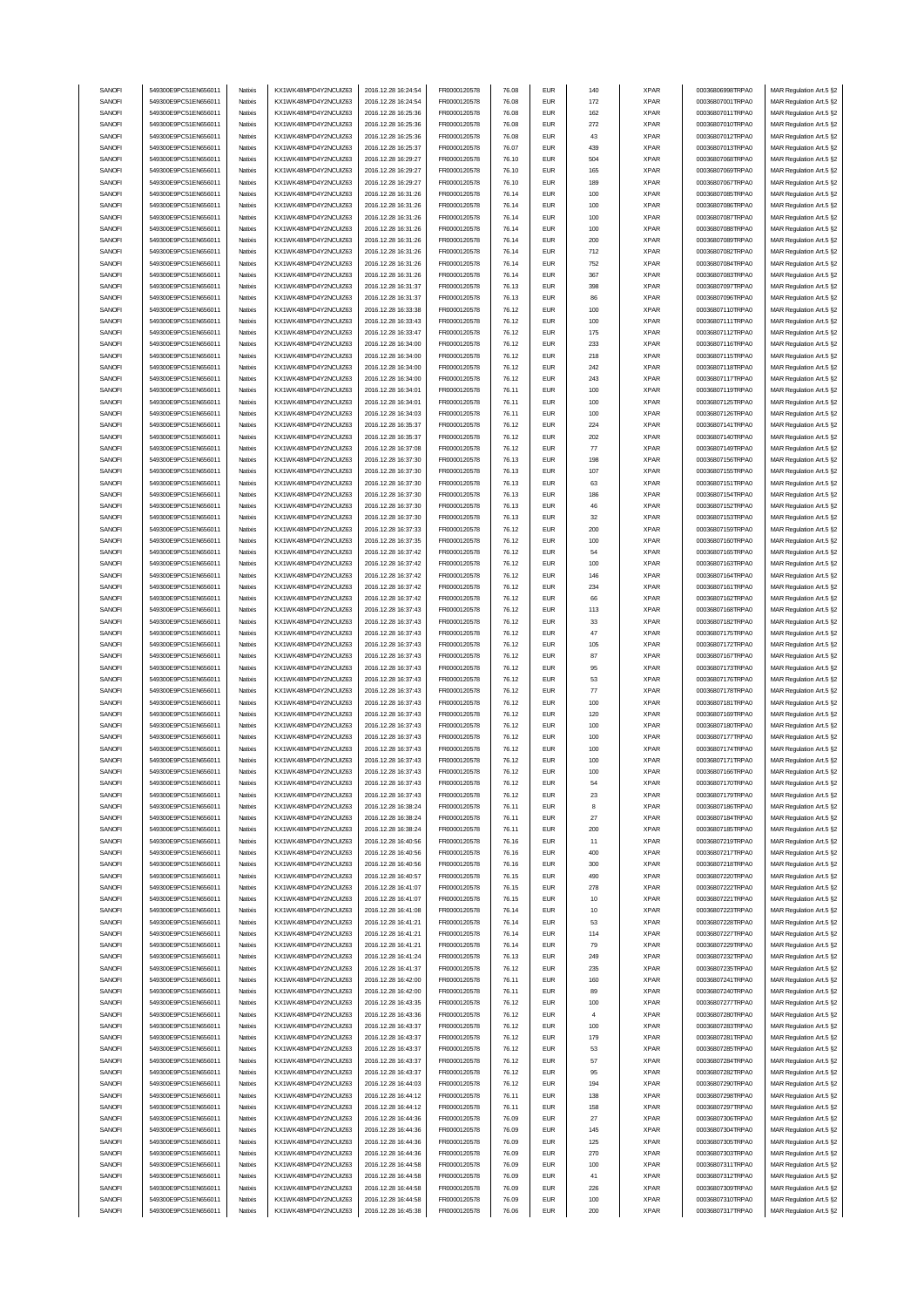| SANOFI           | 549300E9PC51EN656011                         | Natixis            | KX1WK48MPD4Y2NCUIZ63                         | 2016.12.28 16:24:54                        | FR0000120578                 | 76.08          | <b>EUR</b>               | 140        | <b>XPAR</b>                | 00036806998TRPA0                     | MAR Regulation Art.5 §2                            |
|------------------|----------------------------------------------|--------------------|----------------------------------------------|--------------------------------------------|------------------------------|----------------|--------------------------|------------|----------------------------|--------------------------------------|----------------------------------------------------|
|                  |                                              |                    | KX1WK48MPD4Y2NCUIZ63                         |                                            |                              |                |                          |            |                            |                                      |                                                    |
| SANOFI           | 549300E9PC51EN656011                         | Natixis            |                                              | 2016.12.28 16:24:54                        | FR0000120578                 | 76.08          | <b>EUR</b>               | 172        | <b>XPAR</b>                | 00036807001TRPA0                     | MAR Regulation Art.5 §2                            |
| SANOFI           | 549300E9PC51EN656011                         | Natixis            | KX1WK48MPD4Y2NCUIZ63                         | 2016.12.28 16:25:36                        | FR0000120578                 | 76.08          | <b>EUR</b>               | 162        | <b>XPAR</b>                | 00036807011TRPA0                     | MAR Regulation Art.5 §2                            |
| SANOFI           | 549300E9PC51EN656011                         | Natixis            | KX1WK48MPD4Y2NCUIZ63                         | 2016.12.28 16:25:36                        | FR0000120578                 | 76.08          | <b>EUR</b>               | 272        | <b>XPAR</b>                | 00036807010TRPA0                     | MAR Regulation Art.5 §2                            |
| SANOFI           | 549300E9PC51EN656011                         | Natixis            | KX1WK48MPD4Y2NCUIZ63                         | 2016.12.28 16:25:36                        | FR0000120578                 | 76.08          | <b>EUR</b>               | 43         | <b>XPAR</b>                | 00036807012TRPA0                     | MAR Regulation Art.5 §2                            |
|                  |                                              |                    |                                              |                                            |                              |                |                          |            |                            |                                      |                                                    |
| SANOFI           | 549300E9PC51EN656011                         | Natixis            | KX1WK48MPD4Y2NCUIZ63                         | 2016.12.28 16:25:37                        | FR0000120578                 | 76.07          | <b>EUR</b>               | 439        | <b>XPAR</b>                | 00036807013TRPA0                     | MAR Regulation Art.5 §2                            |
| SANOFI           | 549300E9PC51EN656011                         | Natixis            | KX1WK48MPD4Y2NCUIZ63                         | 2016.12.28 16:29:27                        | FR0000120578                 | 76.10          | <b>EUR</b>               | 504        | <b>XPAR</b>                | 00036807068TRPA0                     | MAR Regulation Art.5 §2                            |
| SANOFI           | 549300E9PC51EN656011                         | Natixis            | KX1WK48MPD4Y2NCUIZ63                         | 2016.12.28 16:29:27                        | FR0000120578                 | 76.10          | <b>EUR</b>               | 165        | <b>XPAR</b>                | 00036807069TRPA0                     | MAR Regulation Art.5 §2                            |
|                  |                                              |                    |                                              |                                            |                              |                |                          |            |                            |                                      |                                                    |
| SANOFI           | 549300E9PC51EN656011                         | Natixis            | KX1WK48MPD4Y2NCUIZ63                         | 2016.12.28 16:29:27                        | FR0000120578                 | 76.10          | <b>EUR</b>               | 189        | <b>XPAR</b>                | 00036807067TRPA0                     | MAR Regulation Art.5 §2                            |
| SANOFI           | 549300E9PC51EN656011                         | Natixis            | KX1WK48MPD4Y2NCUIZ63                         | 2016.12.28 16:31:26                        | FR0000120578                 | 76.14          | <b>EUR</b>               | 100        | <b>XPAR</b>                | 00036807085TRPA0                     | MAR Regulation Art.5 §2                            |
| SANOFI           | 549300E9PC51EN656011                         | Natixis            | KX1WK48MPD4Y2NCUIZ63                         | 2016.12.28 16:31:26                        | FR0000120578                 | 76.14          | <b>EUR</b>               | 100        | <b>XPAR</b>                | 00036807086TRPA0                     | MAR Regulation Art.5 §2                            |
|                  |                                              |                    |                                              |                                            |                              |                |                          |            |                            |                                      |                                                    |
| SANOFI           | 549300E9PC51EN656011                         | Natixis            | KX1WK48MPD4Y2NCUIZ63                         | 2016.12.28 16:31:26                        | FR0000120578                 | 76.14          | <b>EUR</b>               | 100        | <b>XPAR</b>                | 00036807087TRPA0                     | MAR Regulation Art.5 §2                            |
| SANOFI           | 549300E9PC51EN656011                         | Natixis            | KX1WK48MPD4Y2NCUIZ63                         | 2016.12.28 16:31:26                        | FR0000120578                 | 76.14          | <b>EUR</b>               | 100        | <b>XPAR</b>                | 00036807088TRPA0                     | MAR Regulation Art.5 §2                            |
|                  |                                              |                    |                                              |                                            |                              |                |                          |            |                            |                                      |                                                    |
| SANOFI           | 549300E9PC51EN656011                         | Natixis            | KX1WK48MPD4Y2NCUIZ63                         | 2016.12.28 16:31:26                        | FR0000120578                 | 76.14          | <b>EUR</b>               | 200        | <b>XPAR</b>                | 00036807089TRPA0                     | MAR Regulation Art.5 §2                            |
| SANOFI           | 549300E9PC51EN656011                         | Natixis            | KX1WK48MPD4Y2NCUIZ63                         | 2016.12.28 16:31:26                        | FR0000120578                 | 76.14          | <b>EUR</b>               | 712        | <b>XPAR</b>                | 00036807082TRPA0                     | MAR Regulation Art.5 §2                            |
| SANOFI           | 549300E9PC51EN656011                         | Natixis            | KX1WK48MPD4Y2NCUIZ63                         | 2016.12.28 16:31:26                        | FR0000120578                 | 76.14          | <b>EUR</b>               | 752        | <b>XPAR</b>                | 00036807084TRPA0                     | MAR Regulation Art.5 §2                            |
|                  |                                              |                    |                                              |                                            |                              |                |                          |            |                            |                                      |                                                    |
| SANOFI           | 549300E9PC51EN656011                         | Natixis            | KX1WK48MPD4Y2NCUIZ63                         | 2016.12.28 16:31:26                        | FR0000120578                 | 76.14          | <b>EUR</b>               | 367        | <b>XPAR</b>                | 00036807083TRPA0                     | MAR Regulation Art.5 §2                            |
| SANOFI           | 549300E9PC51EN656011                         | Natixis            | KX1WK48MPD4Y2NCUIZ63                         | 2016.12.28 16:31:37                        | FR0000120578                 | 76.13          | <b>EUR</b>               | 398        | <b>XPAR</b>                | 00036807097TRPA0                     | MAR Regulation Art.5 §2                            |
| SANOFI           | 549300E9PC51EN656011                         | Natixis            | KX1WK48MPD4Y2NCUIZ63                         | 2016.12.28 16:31:37                        | FR0000120578                 | 76.13          | <b>EUR</b>               | 86         | <b>XPAR</b>                | 00036807096TRPA0                     | MAR Regulation Art.5 §2                            |
|                  |                                              |                    |                                              |                                            |                              |                |                          |            |                            |                                      |                                                    |
| SANOFI           | 549300E9PC51EN656011                         | Natixis            | KX1WK48MPD4Y2NCUIZ63                         | 2016.12.28 16:33:38                        | FR0000120578                 | 76.12          | <b>EUR</b>               | 100        | <b>XPAR</b>                | 00036807110TRPA0                     | MAR Regulation Art.5 §2                            |
| SANOFI           | 549300E9PC51EN656011                         | Natixis            | KX1WK48MPD4Y2NCUIZ63                         | 2016.12.28 16:33:43                        | FR0000120578                 | 76.12          | <b>EUR</b>               | 100        | <b>XPAR</b>                | 00036807111TRPA0                     | MAR Regulation Art.5 §2                            |
| SANOFI           | 549300E9PC51EN656011                         | Natixis            | KX1WK48MPD4Y2NCUIZ63                         | 2016.12.28 16:33:47                        | FR0000120578                 | 76.12          | <b>EUR</b>               | 175        | <b>XPAR</b>                | 00036807112TRPA0                     | MAR Regulation Art.5 §2                            |
|                  | 549300E9PC51EN656011                         |                    |                                              |                                            |                              |                | <b>EUR</b>               |            |                            | 00036807116TRPA0                     |                                                    |
| SANOFI           |                                              | Natixis            | KX1WK48MPD4Y2NCUIZ63                         | 2016.12.28 16:34:00                        | FR0000120578                 | 76.12          |                          | 233        | <b>XPAR</b>                |                                      | MAR Regulation Art.5 §2                            |
| SANOFI           | 549300E9PC51EN656011                         | Natixis            | KX1WK48MPD4Y2NCUIZ63                         | 2016.12.28 16:34:00                        | FR0000120578                 | 76.12          | <b>EUR</b>               | 218        | <b>XPAR</b>                | 00036807115TRPA0                     | MAR Regulation Art.5 §2                            |
| SANOFI           | 549300E9PC51EN656011                         | Natixis            | KX1WK48MPD4Y2NCUIZ63                         | 2016.12.28 16:34:00                        | FR0000120578                 | 76.12          | <b>EUR</b>               | 242        | <b>XPAR</b>                | 00036807118TRPA0                     | MAR Regulation Art.5 §2                            |
|                  |                                              |                    | KX1WK48MPD4Y2NCUIZ63                         |                                            |                              |                |                          |            |                            |                                      |                                                    |
| SANOFI           | 549300E9PC51EN656011                         | Natixis            |                                              | 2016.12.28 16:34:00                        | FR0000120578                 | 76.12          | <b>EUR</b>               | 243        | <b>XPAR</b>                | 00036807117TRPA0                     | MAR Regulation Art.5 §2                            |
| SANOFI           | 549300E9PC51EN656011                         | Natixis            | KX1WK48MPD4Y2NCUIZ63                         | 2016.12.28 16:34:01                        | FR0000120578                 | 76.11          | <b>EUR</b>               | 100        | <b>XPAR</b>                | 00036807119TRPA0                     | MAR Regulation Art.5 §2                            |
| SANOFI           | 549300E9PC51EN656011                         | Natixis            | KX1WK48MPD4Y2NCUIZ63                         | 2016.12.28 16:34:01                        | FR0000120578                 | 76.11          | <b>EUR</b>               | 100        | <b>XPAR</b>                | 00036807125TRPA0                     | MAR Regulation Art.5 §2                            |
|                  |                                              |                    |                                              |                                            |                              |                |                          |            |                            |                                      |                                                    |
| SANOFI           | 549300E9PC51EN656011                         | Natixis            | KX1WK48MPD4Y2NCUIZ63                         | 2016.12.28 16:34:03                        | FR0000120578                 | 76.11          | <b>EUR</b>               | 100        | <b>XPAR</b>                | 00036807126TRPA0                     | MAR Regulation Art.5 §2                            |
| SANOFI           | 549300E9PC51EN656011                         | Natixis            | KX1WK48MPD4Y2NCUIZ63                         | 2016.12.28 16:35:37                        | FR0000120578                 | 76.12          | <b>EUR</b>               | 224        | <b>XPAR</b>                | 00036807141TRPA0                     | MAR Regulation Art.5 §2                            |
| SANOFI           | 549300E9PC51EN656011                         | Natixis            | KX1WK48MPD4Y2NCUIZ63                         | 2016.12.28 16:35:37                        | FR0000120578                 | 76.12          | <b>EUR</b>               | 202        | <b>XPAR</b>                | 00036807140TRPA0                     | MAR Regulation Art.5 §2                            |
|                  |                                              |                    |                                              |                                            |                              |                |                          |            |                            |                                      |                                                    |
| SANOFI           | 549300E9PC51EN656011                         | Natixis            | KX1WK48MPD4Y2NCUIZ63                         | 2016.12.28 16:37:08                        | FR0000120578                 | 76.12          | <b>EUR</b>               | 77         | <b>XPAR</b>                | 00036807149TRPA0                     | MAR Regulation Art.5 §2                            |
| SANOFI           | 549300E9PC51EN656011                         | Natixis            | KX1WK48MPD4Y2NCUIZ63                         | 2016.12.28 16:37:30                        | FR0000120578                 | 76.13          | <b>EUR</b>               | 198        | <b>XPAR</b>                | 00036807156TRPA0                     | MAR Regulation Art.5 §2                            |
| SANOFI           | 549300E9PC51EN656011                         | Natixis            | KX1WK48MPD4Y2NCUIZ63                         | 2016.12.28 16:37:30                        | FR0000120578                 | 76.13          | <b>EUR</b>               | 107        | <b>XPAR</b>                | 00036807155TRPA0                     | MAR Regulation Art.5 §2                            |
|                  |                                              |                    |                                              |                                            |                              |                |                          |            |                            |                                      |                                                    |
| SANOFI           | 549300E9PC51EN656011                         | Natixis            | KX1WK48MPD4Y2NCUIZ63                         | 2016.12.28 16:37:30                        | FR0000120578                 | 76.13          | <b>EUR</b>               | 63         | <b>XPAR</b>                | 00036807151TRPA0                     | MAR Regulation Art.5 §2                            |
| SANOFI           | 549300E9PC51EN656011                         | Natixis            | KX1WK48MPD4Y2NCUIZ63                         | 2016.12.28 16:37:30                        | FR0000120578                 | 76.13          | <b>EUR</b>               | 186        | <b>XPAR</b>                | 00036807154TRPA0                     | MAR Regulation Art.5 §2                            |
| SANOFI           | 549300E9PC51EN656011                         | Natixis            | KX1WK48MPD4Y2NCUIZ63                         | 2016.12.28 16:37:30                        | FR0000120578                 | 76.13          | <b>EUR</b>               | 46         | <b>XPAR</b>                | 00036807152TRPA0                     | MAR Regulation Art.5 §2                            |
|                  |                                              |                    |                                              |                                            |                              |                |                          |            |                            |                                      |                                                    |
| SANOFI           | 549300E9PC51EN656011                         | Natixis            | KX1WK48MPD4Y2NCUIZ63                         | 2016.12.28 16:37:30                        | FR0000120578                 | 76.13          | <b>EUR</b>               | 32         | <b>XPAR</b>                | 00036807153TRPA0                     | MAR Regulation Art.5 §2                            |
| SANOFI           | 549300E9PC51EN656011                         | Natixis            | KX1WK48MPD4Y2NCUIZ63                         | 2016.12.28 16:37:33                        | FR0000120578                 | 76.12          | <b>EUR</b>               | 200        | <b>XPAR</b>                | 00036807159TRPA0                     | MAR Regulation Art.5 §2                            |
|                  |                                              |                    |                                              |                                            |                              |                |                          |            |                            |                                      |                                                    |
| SANOFI           | 549300E9PC51EN656011                         | Natixis            | KX1WK48MPD4Y2NCUIZ63                         | 2016.12.28 16:37:35                        | FR0000120578                 | 76.12          | <b>EUR</b>               | 100        | <b>XPAR</b>                | 00036807160TRPA0                     | MAR Regulation Art.5 §2                            |
| SANOFI           | 549300E9PC51EN656011                         | Natixis            | KX1WK48MPD4Y2NCUIZ63                         | 2016.12.28 16:37:42                        | FR0000120578                 | 76.12          | <b>EUR</b>               | 54         | <b>XPAR</b>                | 00036807165TRPA0                     | MAR Regulation Art.5 §2                            |
| SANOFI           | 549300E9PC51EN656011                         | Natixis            | KX1WK48MPD4Y2NCUIZ63                         | 2016.12.28 16:37:42                        | FR0000120578                 | 76.12          | <b>EUR</b>               | 100        | <b>XPAR</b>                | 00036807163TRPA0                     | MAR Regulation Art.5 §2                            |
|                  |                                              |                    |                                              |                                            |                              |                |                          |            |                            |                                      |                                                    |
| SANOFI           | 549300E9PC51EN656011                         | Natixis            | KX1WK48MPD4Y2NCUIZ63                         | 2016.12.28 16:37:42                        | FR0000120578                 | 76.12          | <b>EUR</b>               | 146        | <b>XPAR</b>                | 00036807164TRPA0                     | MAR Regulation Art.5 §2                            |
| SANOFI           | 549300E9PC51EN656011                         | Natixis            | KX1WK48MPD4Y2NCUIZ63                         | 2016.12.28 16:37:42                        | FR0000120578                 | 76.12          | <b>EUR</b>               | 234        | <b>XPAR</b>                | 00036807161TRPA0                     | MAR Regulation Art.5 §2                            |
| SANOFI           | 549300E9PC51EN656011                         | Natixis            | KX1WK48MPD4Y2NCUIZ63                         | 2016.12.28 16:37:42                        | FR0000120578                 | 76.12          | <b>EUR</b>               | 66         | <b>XPAR</b>                | 00036807162TRPA0                     | MAR Regulation Art.5 §2                            |
|                  | 549300E9PC51EN656011                         |                    |                                              |                                            |                              |                | <b>EUR</b>               |            |                            |                                      |                                                    |
| SANOFI           |                                              | Natixis            | KX1WK48MPD4Y2NCUIZ63                         | 2016.12.28 16:37:43                        | FR0000120578                 | 76.12          |                          | 113        | <b>XPAR</b>                | 00036807168TRPA0                     | MAR Regulation Art.5 §2                            |
| SANOFI           | 549300E9PC51EN656011                         | Natixis            | KX1WK48MPD4Y2NCUIZ63                         | 2016.12.28 16:37:43                        | FR0000120578                 | 76.12          | <b>EUR</b>               | 33         | <b>XPAR</b>                | 00036807182TRPA0                     | MAR Regulation Art.5 §2                            |
|                  |                                              |                    |                                              |                                            |                              |                |                          |            |                            |                                      |                                                    |
|                  | 549300E9PC51EN656011                         |                    |                                              |                                            |                              |                | <b>EUR</b>               | 47         |                            | 00036807175TRPA0                     |                                                    |
| SANOFI           |                                              | Natixis            | KX1WK48MPD4Y2NCUIZ63                         | 2016.12.28 16:37:43                        | FR0000120578                 | 76.12          |                          |            | <b>XPAR</b>                |                                      | MAR Regulation Art.5 §2                            |
| SANOFI           | 549300E9PC51EN656011                         | Natixis            | KX1WK48MPD4Y2NCUIZ63                         | 2016.12.28 16:37:43                        | FR0000120578                 | 76.12          | <b>EUR</b>               | 105        | <b>XPAR</b>                | 00036807172TRPA0                     | MAR Regulation Art.5 §2                            |
| SANOFI           | 549300E9PC51EN656011                         | Natixis            | KX1WK48MPD4Y2NCUIZ63                         | 2016.12.28 16:37:43                        | FR0000120578                 | 76.12          | <b>EUR</b>               | 87         | <b>XPAR</b>                | 00036807167TRPA0                     | MAR Regulation Art.5 §2                            |
| SANOFI           | 549300E9PC51EN656011                         | Natixis            | KX1WK48MPD4Y2NCUIZ63                         | 2016.12.28 16:37:43                        | FR0000120578                 | 76.12          | <b>EUR</b>               | 95         | <b>XPAR</b>                | 00036807173TRPA0                     |                                                    |
|                  |                                              |                    |                                              |                                            |                              |                |                          |            |                            |                                      | MAR Regulation Art.5 §2                            |
| SANOFI           | 549300E9PC51EN656011                         | Natixis            | KX1WK48MPD4Y2NCUIZ63                         | 2016.12.28 16:37:43                        | FR0000120578                 | 76.12          | <b>EUR</b>               | 53         | <b>XPAR</b>                | 00036807176TRPA0                     | MAR Regulation Art.5 §2                            |
| SANOFI           | 549300E9PC51EN656011                         | Natixis            | KX1WK48MPD4Y2NCUIZ63                         | 2016.12.28 16:37:43                        | FR0000120578                 | 76.12          | <b>EUR</b>               | 77         | <b>XPAR</b>                | 00036807178TRPA0                     | MAR Regulation Art.5 §2                            |
| SANOFI           | 549300E9PC51EN656011                         | Natixis            | KX1WK48MPD4Y2NCUIZ63                         | 2016.12.28 16:37:43                        | FR0000120578                 | 76.12          | <b>EUR</b>               | 100        | <b>XPAR</b>                | 00036807181TRPA0                     | MAR Regulation Art.5 §2                            |
|                  |                                              |                    |                                              |                                            |                              |                |                          |            |                            |                                      |                                                    |
| SANOFI           | 549300E9PC51EN656011                         | Natixis            | KX1WK48MPD4Y2NCUIZ63                         | 2016.12.28 16:37:43                        | FR0000120578                 | 76.12          | <b>EUR</b>               | 120        | <b>XPAR</b>                | 00036807169TRPA0                     | MAR Regulation Art.5 §2                            |
| SANOFI           | 549300E9PC51EN656011                         | Natixis            | KX1WK48MPD4Y2NCUIZ63                         | 2016.12.28 16:37:43                        | FR0000120578                 | 76.12          | <b>EUR</b>               | 100        | <b>XPAR</b>                | 00036807180TRPA0                     | MAR Regulation Art.5 §2                            |
| SANOFI           | 549300E9PC51EN656011                         | Natixis            | KX1WK48MPD4Y2NCUIZ63                         | 2016.12.28 16:37:43                        | FR0000120578                 | 76.12          | <b>EUR</b>               | 100        | <b>XPAR</b>                | 00036807177TRPA0                     | MAR Regulation Art.5 §2                            |
|                  |                                              |                    |                                              |                                            |                              |                |                          |            |                            |                                      |                                                    |
| SANOFI           | 549300E9PC51EN656011                         | Natixis            | KX1WK48MPD4Y2NCUIZ63                         | 2016.12.28 16:37:43                        | FR0000120578                 | 76.12          | <b>EUR</b>               | 100        | <b>XPAR</b>                | 00036807174TRPA0                     | MAR Regulation Art.5 §2                            |
| SANOFI           | 549300E9PC51EN656011                         | Natixis            | KX1WK48MPD4Y2NCUIZ63                         | 2016.12.28 16:37:43                        | FR0000120578                 | 76.12          | <b>EUR</b>               | 100        | <b>XPAR</b>                | 00036807171TRPA0                     | MAR Regulation Art.5 §2                            |
| SANUH            | 549300E9PC51EN656011                         | rvatixis           | KX1WK48MPD4Y2NCUIZ63                         | 2016.12.28 16:37:43                        | <b>FR00001205/8</b>          | 76.12          | EUM                      | าบน        | <b>XPAR</b>                | 00036807166TRPA0                     | MAR Regulation Art.5 §2                            |
| SANOFI           |                                              | Natixis            |                                              |                                            |                              |                | <b>EUR</b>               | 54         | <b>XPAR</b>                | 00036807170TRPA0                     |                                                    |
|                  | 549300E9PC51EN656011                         |                    | KX1WK48MPD4Y2NCUIZ63                         | 2016.12.28 16:37:43                        | FR0000120578                 | 76.12          |                          |            |                            |                                      | MAR Regulation Art.5 §2                            |
| SANOFI           | 549300E9PC51EN656011                         | Natixis            | KX1WK48MPD4Y2NCUIZ63                         | 2016.12.28 16:37:43                        | FR0000120578                 | 76.12          | <b>EUR</b>               | 23         | <b>XPAR</b>                | 00036807179TRPA0                     | MAR Regulation Art.5 §2                            |
| SANOFI           | 549300E9PC51EN656011                         | Natixis            | KX1WK48MPD4Y2NCUIZ63                         | 2016.12.28 16:38:24                        | FR0000120578                 | 76.11          | <b>EUR</b>               | 8          | <b>XPAR</b>                | 00036807186TRPA0                     | MAR Regulation Art.5 §2                            |
| SANOFI           | 549300E9PC51EN656011                         | Natixis            | KX1WK48MPD4Y2NCUIZ63                         | 2016.12.28 16:38:24                        | FR0000120578                 | 76.11          | <b>EUR</b>               | 27         | <b>XPAR</b>                | 00036807184TRPA0                     | MAR Regulation Art.5 §2                            |
|                  |                                              |                    |                                              |                                            |                              |                |                          |            |                            |                                      |                                                    |
| SANOFI           | 549300E9PC51EN656011                         | Natixis            | KX1WK48MPD4Y2NCUIZ63                         | 2016.12.28 16:38:24                        | FR0000120578                 | 76.11          | <b>EUR</b>               | 200        | <b>XPAR</b>                | 00036807185TRPA0                     | MAR Regulation Art.5 §2                            |
| SANOFI           | 549300E9PC51EN656011                         | Natixis            | KX1WK48MPD4Y2NCUIZ63                         | 2016.12.28 16:40:56                        | FR0000120578                 | 76.16          | <b>EUR</b>               | 11         | <b>XPAR</b>                | 00036807219TRPA0                     | MAR Regulation Art.5 §2                            |
| SANOFI           | 549300E9PC51EN656011                         | Natixis            | KX1WK48MPD4Y2NCUIZ63                         | 2016.12.28 16:40:56                        | FR0000120578                 | 76.16          | <b>EUR</b>               | 400        | <b>XPAR</b>                | 00036807217TRPA0                     | MAR Regulation Art.5 §2                            |
|                  |                                              |                    |                                              |                                            |                              |                |                          |            |                            |                                      |                                                    |
| SANOFI           | 549300E9PC51EN656011                         | Natixis            | KX1WK48MPD4Y2NCUIZ63                         | 2016.12.28 16:40:56                        | FR0000120578                 | 76.16          | <b>EUR</b>               | 300        | <b>XPAR</b>                | 00036807218TRPA0                     | MAR Regulation Art.5 §2                            |
| SANOFI           | 549300E9PC51EN656011                         | Natixis            | KX1WK48MPD4Y2NCUIZ63                         | 2016.12.28 16:40:57                        | FR0000120578                 | 76.15          | <b>EUR</b>               | 490        | <b>XPAR</b>                | 00036807220TRPA0                     | MAR Regulation Art.5 §2                            |
| SANOFI           | 549300E9PC51EN656011                         | Natixis            | KX1WK48MPD4Y2NCUIZ63                         | 2016.12.28 16:41:07                        | FR0000120578                 | 76.15          | <b>EUR</b>               | 278        | <b>XPAR</b>                | 00036807222TRPA0                     | MAR Regulation Art.5 §2                            |
| SANOFI           | 549300E9PC51EN656011                         | Natixis            | KX1WK48MPD4Y2NCUIZ63                         | 2016.12.28 16:41:07                        | FR0000120578                 | 76.15          | <b>EUR</b>               | 10         | <b>XPAR</b>                | 00036807221TRPA0                     | MAR Regulation Art.5 §2                            |
|                  |                                              |                    |                                              |                                            |                              |                |                          |            |                            |                                      |                                                    |
| SANOFI           | 549300E9PC51EN656011                         | Natixis            | KX1WK48MPD4Y2NCUIZ63                         | 2016.12.28 16:41:08                        | FR0000120578                 | 76.14          | <b>EUR</b>               | 10         | <b>XPAR</b>                | 00036807223TRPA0                     | MAR Regulation Art.5 §2                            |
| SANOFI           | 549300E9PC51EN656011                         | Natixis            | KX1WK48MPD4Y2NCUIZ63                         | 2016.12.28 16:41:21                        | FR0000120578                 | 76.14          | <b>EUR</b>               | 53         | <b>XPAR</b>                | 00036807228TRPA0                     | MAR Regulation Art.5 §2                            |
|                  |                                              |                    | KX1WK48MPD4Y2NCUIZ63                         |                                            |                              |                |                          |            |                            |                                      |                                                    |
| SANOFI           | 549300E9PC51EN656011                         | Natixis            |                                              | 2016.12.28 16:41:21                        | FR0000120578                 | 76.14          | <b>EUR</b>               | 114        | <b>XPAR</b>                | 00036807227TRPA0                     | MAR Regulation Art.5 §2                            |
| SANOFI           | 549300E9PC51EN656011                         | Natixis            | KX1WK48MPD4Y2NCUIZ63                         | 2016.12.28 16:41:21                        | FR0000120578                 | 76.14          | <b>EUR</b>               | 79         | <b>XPAR</b>                | 00036807229TRPA0                     | MAR Regulation Art.5 §2                            |
| SANOFI           | 549300E9PC51EN656011                         | Natixis            | KX1WK48MPD4Y2NCUIZ63                         | 2016.12.28 16:41:24                        | FR0000120578                 | 76.13          | <b>EUR</b>               | 249        | <b>XPAR</b>                | 00036807232TRPA0                     | MAR Regulation Art.5 §2                            |
| SANOFI           | 549300E9PC51EN656011                         | Natixis            | KX1WK48MPD4Y2NCUIZ63                         | 2016.12.28 16:41:37                        | FR0000120578                 | 76.12          | <b>EUR</b>               | 235        | <b>XPAR</b>                | 00036807235TRPA0                     | MAR Regulation Art.5 §2                            |
|                  |                                              |                    |                                              |                                            |                              |                |                          |            |                            |                                      |                                                    |
| SANOFI           | 549300E9PC51EN656011                         | Natixis            | KX1WK48MPD4Y2NCUIZ63                         | 2016.12.28 16:42:00                        | FR0000120578                 | 76.11          | <b>EUR</b>               | 160        | <b>XPAR</b>                | 00036807241TRPA0                     | MAR Regulation Art.5 §2                            |
| SANOFI           | 549300E9PC51EN656011                         | Natixis            | KX1WK48MPD4Y2NCUIZ63                         | 2016.12.28 16:42:00                        | FR0000120578                 | 76.11          | <b>EUR</b>               | 89         | <b>XPAR</b>                | 00036807240TRPA0                     | MAR Regulation Art.5 §2                            |
| SANOFI           | 549300E9PC51EN656011                         | Natixis            | KX1WK48MPD4Y2NCUIZ63                         |                                            | FR0000120578                 | 76.12          | <b>EUR</b>               | 100        | <b>XPAR</b>                | 00036807277TRPA0                     |                                                    |
|                  |                                              |                    |                                              | 2016.12.28 16:43:35                        |                              |                |                          |            |                            |                                      | MAR Regulation Art.5 §2                            |
| SANOFI           | 549300E9PC51EN656011                         | Natixis            | KX1WK48MPD4Y2NCUIZ63                         | 2016.12.28 16:43:36                        | FR0000120578                 | 76.12          | <b>EUR</b>               | 4          | <b>XPAR</b>                | 00036807280TRPA0                     | MAR Regulation Art.5 §2                            |
| SANOFI           | 549300E9PC51EN656011                         | Natixis            | KX1WK48MPD4Y2NCUIZ63                         | 2016.12.28 16:43:37                        | FR0000120578                 | 76.12          | <b>EUR</b>               | 100        | <b>XPAR</b>                | 00036807283TRPA0                     | MAR Regulation Art.5 §2                            |
|                  |                                              | Natixis            |                                              |                                            |                              |                |                          |            |                            |                                      |                                                    |
| SANOFI           | 549300E9PC51EN656011                         |                    | KX1WK48MPD4Y2NCUIZ63                         | 2016.12.28 16:43:37                        | FR0000120578                 | 76.12          | <b>EUR</b>               | 179        | <b>XPAR</b>                | 00036807281TRPA0                     | MAR Regulation Art.5 §2                            |
| SANOFI           | 549300E9PC51EN656011                         | Natixis            | KX1WK48MPD4Y2NCUIZ63                         | 2016.12.28 16:43:37                        | FR0000120578                 | 76.12          | <b>EUR</b>               | 53         | <b>XPAR</b>                | 00036807285TRPA0                     | MAR Regulation Art.5 §2                            |
| SANOFI           | 549300E9PC51EN656011                         | Natixis            | KX1WK48MPD4Y2NCUIZ63                         | 2016.12.28 16:43:37                        | FR0000120578                 | 76.12          | <b>EUR</b>               | 57         | <b>XPAR</b>                | 00036807284TRPA0                     | MAR Regulation Art.5 §2                            |
| SANOFI           | 549300E9PC51EN656011                         | Natixis            | KX1WK48MPD4Y2NCUIZ63                         | 2016.12.28 16:43:37                        | FR0000120578                 | 76.12          | <b>EUR</b>               | 95         | <b>XPAR</b>                | 00036807282TRPA0                     | MAR Regulation Art.5 §2                            |
|                  |                                              |                    |                                              |                                            |                              |                |                          |            |                            |                                      |                                                    |
| SANOFI           | 549300E9PC51EN656011                         | Natixis            | KX1WK48MPD4Y2NCUIZ63                         | 2016.12.28 16:44:03                        | FR0000120578                 | 76.12          | <b>EUR</b>               | 194        | <b>XPAR</b>                | 00036807290TRPA0                     | MAR Regulation Art.5 §2                            |
| SANOFI           | 549300E9PC51EN656011                         | Natixis            | KX1WK48MPD4Y2NCUIZ63                         | 2016.12.28 16:44:12                        | FR0000120578                 | 76.11          | <b>EUR</b>               | 138        | <b>XPAR</b>                | 00036807298TRPA0                     | MAR Regulation Art.5 §2                            |
| SANOFI           | 549300E9PC51EN656011                         | Natixis            | KX1WK48MPD4Y2NCUIZ63                         | 2016.12.28 16:44:12                        | FR0000120578                 | 76.11          | <b>EUR</b>               | 158        | <b>XPAR</b>                | 00036807297TRPA0                     | MAR Regulation Art.5 §2                            |
|                  |                                              |                    |                                              |                                            |                              |                |                          |            |                            |                                      |                                                    |
| SANOFI           | 549300E9PC51EN656011                         | Natixis            | KX1WK48MPD4Y2NCUIZ63                         | 2016.12.28 16:44:36                        | FR0000120578                 | 76.09          | <b>EUR</b>               | 27         | <b>XPAR</b>                | 00036807306TRPA0                     | MAR Regulation Art.5 §2                            |
| SANOFI           | 549300E9PC51EN656011                         | Natixis            | KX1WK48MPD4Y2NCUIZ63                         | 2016.12.28 16:44:36                        | FR0000120578                 | 76.09          | <b>EUR</b>               | 145        | <b>XPAR</b>                | 00036807304TRPA0                     | MAR Regulation Art.5 §2                            |
| SANOFI           | 549300E9PC51EN656011                         | Natixis            | KX1WK48MPD4Y2NCUIZ63                         | 2016.12.28 16:44:36                        | FR0000120578                 | 76.09          | <b>EUR</b>               | 125        | <b>XPAR</b>                | 00036807305TRPA0                     | MAR Regulation Art.5 §2                            |
|                  |                                              |                    |                                              |                                            |                              |                |                          |            |                            |                                      |                                                    |
| SANOFI           | 549300E9PC51EN656011                         | Natixis            | KX1WK48MPD4Y2NCUIZ63                         | 2016.12.28 16:44:36                        | FR0000120578                 | 76.09          | <b>EUR</b>               | 270        | <b>XPAR</b>                | 00036807303TRPA0                     | MAR Regulation Art.5 §2                            |
| SANOFI           | 549300E9PC51EN656011                         | Natixis            | KX1WK48MPD4Y2NCUIZ63                         | 2016.12.28 16:44:58                        | FR0000120578                 | 76.09          | <b>EUR</b>               | 100        | <b>XPAR</b>                | 00036807311TRPA0                     | MAR Regulation Art.5 §2                            |
| SANOFI           | 549300E9PC51EN656011                         | Natixis            | KX1WK48MPD4Y2NCUIZ63                         | 2016.12.28 16:44:58                        | FR0000120578                 | 76.09          | <b>EUR</b>               | 41         | <b>XPAR</b>                | 00036807312TRPA0                     | MAR Regulation Art.5 §2                            |
|                  |                                              |                    |                                              |                                            |                              |                | <b>EUR</b>               | 226        |                            |                                      |                                                    |
| SANOFI           | 549300E9PC51EN656011                         | Natixis            | KX1WK48MPD4Y2NCUIZ63                         | 2016.12.28 16:44:58                        | FR0000120578                 | 76.09          |                          |            | <b>XPAR</b>                | 00036807309TRPA0                     | MAR Regulation Art.5 §2                            |
| SANOFI<br>SANOFI | 549300E9PC51EN656011<br>549300E9PC51EN656011 | Natixis<br>Natixis | KX1WK48MPD4Y2NCUIZ63<br>KX1WK48MPD4Y2NCUIZ63 | 2016.12.28 16:44:58<br>2016.12.28 16:45:38 | FR0000120578<br>FR0000120578 | 76.09<br>76.06 | <b>EUR</b><br><b>EUR</b> | 100<br>200 | <b>XPAR</b><br><b>XPAR</b> | 00036807310TRPA0<br>00036807317TRPA0 | MAR Regulation Art.5 §2<br>MAR Regulation Art.5 §2 |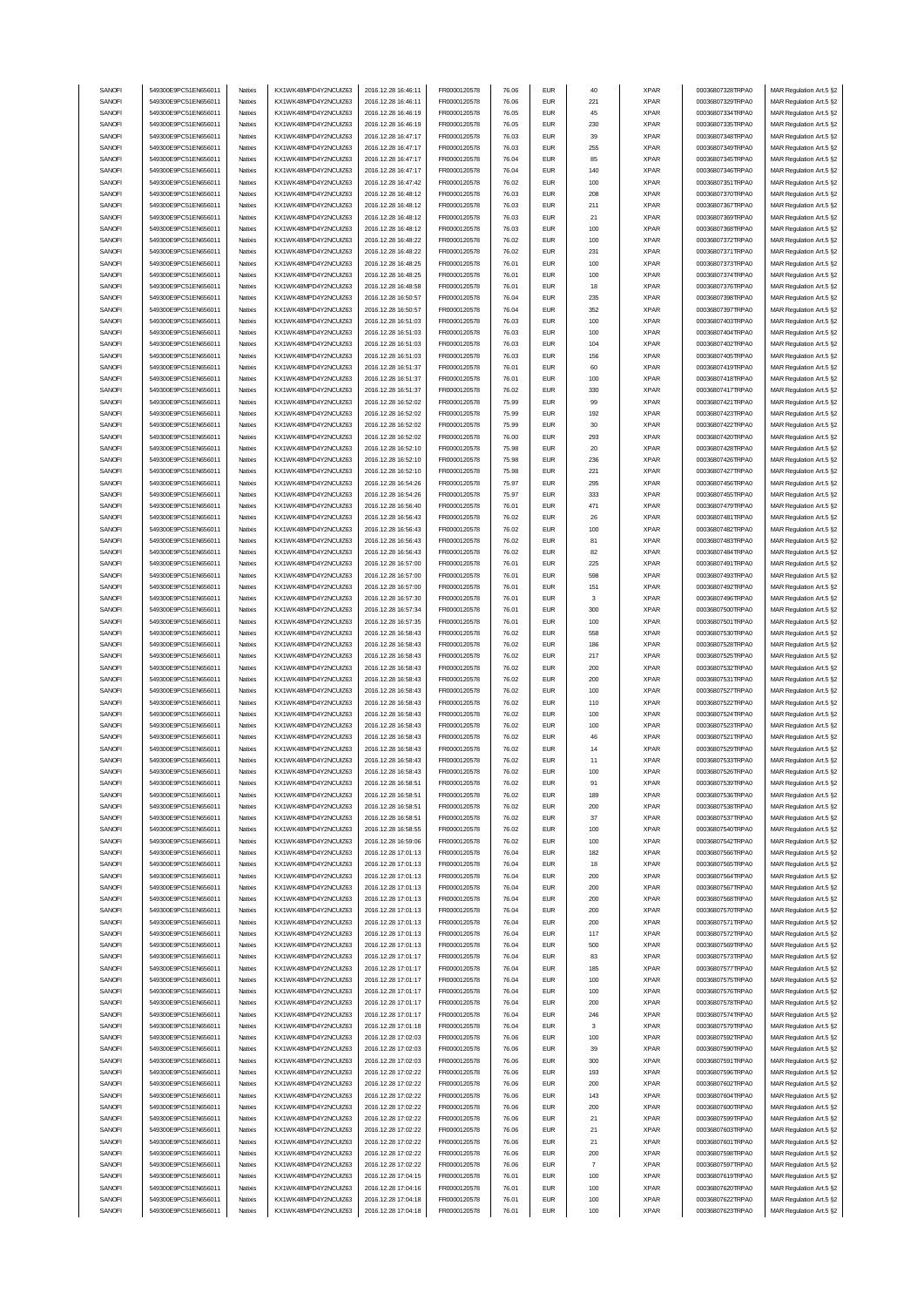| SANOFI | 549300E9PC51EN656011 | Natixis  | KX1WK48MPD4Y2NCUIZ63 | 2016.12.28 16:46:11 | FR0000120578        | 76.06 | <b>EUR</b>                  | 40             | <b>XPAR</b> | 00036807328TRPA0 | MAR Regulation Art.5 §2 |
|--------|----------------------|----------|----------------------|---------------------|---------------------|-------|-----------------------------|----------------|-------------|------------------|-------------------------|
| SANOFI | 549300E9PC51EN656011 | Natixis  | KX1WK48MPD4Y2NCUIZ63 | 2016.12.28 16:46:11 | FR0000120578        | 76.06 | <b>EUR</b>                  | 221            | <b>XPAR</b> | 00036807329TRPA0 | MAR Regulation Art.5 §2 |
| SANOFI | 549300E9PC51EN656011 | Natixis  | KX1WK48MPD4Y2NCUIZ63 | 2016.12.28 16:46:19 | FR0000120578        | 76.05 | <b>EUR</b>                  | 45             | <b>XPAR</b> | 00036807334TRPA0 | MAR Regulation Art.5 §2 |
|        | 549300E9PC51EN656011 | Natixis  | KX1WK48MPD4Y2NCUIZ63 |                     |                     |       | <b>EUR</b>                  |                |             |                  |                         |
| SANOFI |                      |          |                      | 2016.12.28 16:46:19 | FR0000120578        | 76.05 |                             | 230            | <b>XPAR</b> | 00036807335TRPA0 | MAR Regulation Art.5 §2 |
| SANOFI | 549300E9PC51EN656011 | Natixis  | KX1WK48MPD4Y2NCUIZ63 | 2016.12.28 16:47:17 | FR0000120578        | 76.03 | <b>EUR</b>                  | 39             | <b>XPAR</b> | 00036807348TRPA0 | MAR Regulation Art.5 §2 |
| SANOFI | 549300E9PC51EN656011 | Natixis  | KX1WK48MPD4Y2NCUIZ63 | 2016.12.28 16:47:17 | FR0000120578        | 76.03 | <b>EUR</b>                  | 255            | <b>XPAR</b> | 00036807349TRPA0 | MAR Regulation Art.5 §2 |
| SANOFI | 549300E9PC51EN656011 | Natixis  | KX1WK48MPD4Y2NCUIZ63 | 2016.12.28 16:47:17 | FR0000120578        | 76.04 | <b>EUR</b>                  | 85             | <b>XPAR</b> | 00036807345TRPA0 | MAR Regulation Art.5 §2 |
| SANOFI | 549300E9PC51EN656011 | Natixis  | KX1WK48MPD4Y2NCUIZ63 | 2016.12.28 16:47:17 | FR0000120578        | 76.04 | <b>EUR</b>                  | 140            | <b>XPAR</b> | 00036807346TRPA0 | MAR Regulation Art.5 §2 |
| SANOFI | 549300E9PC51EN656011 | Natixis  | KX1WK48MPD4Y2NCUIZ63 | 2016.12.28 16:47:42 | FR0000120578        | 76.02 | <b>EUR</b>                  | 100            | <b>XPAR</b> | 00036807351TRPA0 | MAR Regulation Art.5 §2 |
|        |                      |          |                      |                     |                     |       |                             |                |             |                  |                         |
| SANOFI | 549300E9PC51EN656011 | Natixis  | KX1WK48MPD4Y2NCUIZ63 | 2016.12.28 16:48:12 | FR0000120578        | 76.03 | <b>EUR</b>                  | 208            | <b>XPAR</b> | 00036807370TRPA0 | MAR Regulation Art.5 §2 |
| SANOFI | 549300E9PC51EN656011 | Natixis  | KX1WK48MPD4Y2NCUIZ63 | 2016.12.28 16:48:12 | FR0000120578        | 76.03 | <b>EUR</b>                  | 211            | <b>XPAR</b> | 00036807367TRPA0 | MAR Regulation Art.5 §2 |
| SANOFI | 549300E9PC51EN656011 | Natixis  | KX1WK48MPD4Y2NCUIZ63 | 2016.12.28 16:48:12 | FR0000120578        | 76.03 | <b>EUR</b>                  | 21             | <b>XPAR</b> | 00036807369TRPA0 | MAR Regulation Art.5 §2 |
| SANOFI | 549300E9PC51EN656011 | Natixis  | KX1WK48MPD4Y2NCUIZ63 | 2016.12.28 16:48:12 | FR0000120578        | 76.03 | <b>EUR</b>                  | 100            | <b>XPAR</b> | 00036807368TRPA0 | MAR Regulation Art.5 §2 |
| SANOFI | 549300E9PC51EN656011 | Natixis  | KX1WK48MPD4Y2NCUIZ63 | 2016.12.28 16:48:22 | FR0000120578        | 76.02 | <b>EUR</b>                  | 100            | <b>XPAR</b> | 00036807372TRPA0 | MAR Regulation Art.5 §2 |
|        |                      |          |                      |                     |                     |       |                             |                |             |                  |                         |
| SANOFI | 549300E9PC51EN656011 | Natixis  | KX1WK48MPD4Y2NCUIZ63 | 2016.12.28 16:48:22 | FR0000120578        | 76.02 | <b>EUR</b>                  | 231            | <b>XPAR</b> | 00036807371TRPA0 | MAR Regulation Art.5 §2 |
| SANOFI | 549300E9PC51EN656011 | Natixis  | KX1WK48MPD4Y2NCUIZ63 | 2016.12.28 16:48:25 | FR0000120578        | 76.01 | <b>EUR</b>                  | 100            | <b>XPAR</b> | 00036807373TRPA0 | MAR Regulation Art.5 §2 |
| SANOFI | 549300E9PC51EN656011 | Natixis  | KX1WK48MPD4Y2NCUIZ63 | 2016.12.28 16:48:25 | FR0000120578        | 76.01 | <b>EUR</b>                  | 100            | <b>XPAR</b> | 00036807374TRPA0 | MAR Regulation Art.5 §2 |
| SANOFI | 549300E9PC51EN656011 | Natixis  | KX1WK48MPD4Y2NCUIZ63 | 2016.12.28 16:48:58 | FR0000120578        | 76.01 | <b>EUR</b>                  | 18             | <b>XPAR</b> | 00036807376TRPA0 | MAR Regulation Art.5 §2 |
| SANOFI | 549300E9PC51EN656011 | Natixis  | KX1WK48MPD4Y2NCUIZ63 | 2016.12.28 16:50:57 | FR0000120578        | 76.04 | <b>EUR</b>                  | 235            | <b>XPAR</b> | 00036807398TRPA0 | MAR Regulation Art.5 §2 |
| SANOFI | 549300E9PC51EN656011 | Natixis  | KX1WK48MPD4Y2NCUIZ63 | 2016.12.28 16:50:57 | FR0000120578        | 76.04 | <b>EUR</b>                  | 352            | <b>XPAR</b> | 00036807397TRPA0 |                         |
|        |                      |          |                      |                     |                     |       |                             |                |             |                  | MAR Regulation Art.5 §2 |
| SANOFI | 549300E9PC51EN656011 | Natixis  | KX1WK48MPD4Y2NCUIZ63 | 2016.12.28 16:51:03 | FR0000120578        | 76.03 | <b>EUR</b>                  | 100            | <b>XPAR</b> | 00036807403TRPA0 | MAR Regulation Art.5 §2 |
| SANOFI | 549300E9PC51EN656011 | Natixis  | KX1WK48MPD4Y2NCUIZ63 | 2016.12.28 16:51:03 | FR0000120578        | 76.03 | <b>EUR</b>                  | 100            | <b>XPAR</b> | 00036807404TRPA0 | MAR Regulation Art.5 §2 |
| SANOFI | 549300E9PC51EN656011 | Natixis  | KX1WK48MPD4Y2NCUIZ63 | 2016.12.28 16:51:03 | FR0000120578        | 76.03 | <b>EUR</b>                  | 104            | <b>XPAR</b> | 00036807402TRPA0 | MAR Regulation Art.5 §2 |
| SANOFI | 549300E9PC51EN656011 | Natixis  | KX1WK48MPD4Y2NCUIZ63 | 2016.12.28 16:51:03 | FR0000120578        | 76.03 | <b>EUR</b>                  | 156            | <b>XPAR</b> | 00036807405TRPA0 | MAR Regulation Art.5 §2 |
| SANOFI | 549300E9PC51EN656011 | Natixis  | KX1WK48MPD4Y2NCUIZ63 | 2016.12.28 16:51:37 | FR0000120578        | 76.01 | <b>EUR</b>                  | 60             | <b>XPAR</b> | 00036807419TRPA0 | MAR Regulation Art.5 §2 |
| SANOFI | 549300E9PC51EN656011 | Natixis  | KX1WK48MPD4Y2NCUIZ63 | 2016.12.28 16:51:37 |                     | 76.01 | <b>EUR</b>                  | 100            | <b>XPAR</b> | 00036807418TRPA0 | MAR Regulation Art.5 §2 |
|        |                      |          |                      |                     | FR0000120578        |       |                             |                |             |                  |                         |
| SANOFI | 549300E9PC51EN656011 | Natixis  | KX1WK48MPD4Y2NCUIZ63 | 2016.12.28 16:51:37 | FR0000120578        | 76.02 | <b>EUR</b>                  | 330            | <b>XPAR</b> | 00036807417TRPA0 | MAR Regulation Art.5 §2 |
| SANOFI | 549300E9PC51EN656011 | Natixis  | KX1WK48MPD4Y2NCUIZ63 | 2016.12.28 16:52:02 | FR0000120578        | 75.99 | <b>EUR</b>                  | 99             | <b>XPAR</b> | 00036807421TRPA0 | MAR Regulation Art.5 §2 |
| SANOFI | 549300E9PC51EN656011 | Natixis  | KX1WK48MPD4Y2NCUIZ63 | 2016.12.28 16:52:02 | FR0000120578        | 75.99 | <b>EUR</b>                  | 192            | <b>XPAR</b> | 00036807423TRPA0 | MAR Regulation Art.5 §2 |
| SANOFI | 549300E9PC51EN656011 | Natixis  | KX1WK48MPD4Y2NCUIZ63 | 2016.12.28 16:52:02 | FR0000120578        | 75.99 | <b>EUR</b>                  | 30             | <b>XPAR</b> | 00036807422TRPA0 | MAR Regulation Art.5 §2 |
| SANOFI | 549300E9PC51EN656011 | Natixis  | KX1WK48MPD4Y2NCUIZ63 | 2016.12.28 16:52:02 | FR0000120578        | 76.00 | <b>EUR</b>                  | 293            | <b>XPAR</b> | 00036807420TRPA0 | MAR Regulation Art.5 §2 |
|        |                      |          |                      |                     |                     |       |                             |                |             |                  |                         |
| SANOFI | 549300E9PC51EN656011 | Natixis  | KX1WK48MPD4Y2NCUIZ63 | 2016.12.28 16:52:10 | FR0000120578        | 75.98 | <b>EUR</b>                  | 20             | <b>XPAR</b> | 00036807428TRPA0 | MAR Regulation Art.5 §2 |
| SANOFI | 549300E9PC51EN656011 | Natixis  | KX1WK48MPD4Y2NCUIZ63 | 2016.12.28 16:52:10 | FR0000120578        | 75.98 | <b>EUR</b>                  | 236            | <b>XPAR</b> | 00036807426TRPA0 | MAR Regulation Art.5 §2 |
| SANOFI | 549300E9PC51EN656011 | Natixis  | KX1WK48MPD4Y2NCUIZ63 | 2016.12.28 16:52:10 | FR0000120578        | 75.98 | <b>EUR</b>                  | 221            | <b>XPAR</b> | 00036807427TRPA0 | MAR Regulation Art.5 §2 |
| SANOFI | 549300E9PC51EN656011 | Natixis  | KX1WK48MPD4Y2NCUIZ63 | 2016.12.28 16:54:26 | FR0000120578        | 75.97 | <b>EUR</b>                  | 295            | <b>XPAR</b> | 00036807456TRPA0 | MAR Regulation Art.5 §2 |
| SANOFI | 549300E9PC51EN656011 | Natixis  | KX1WK48MPD4Y2NCUIZ63 | 2016.12.28 16:54:26 | FR0000120578        | 75.97 | <b>EUR</b>                  | 333            | <b>XPAR</b> | 00036807455TRPA0 | MAR Regulation Art.5 §2 |
|        |                      |          |                      |                     |                     |       |                             |                |             |                  |                         |
| SANOFI | 549300E9PC51EN656011 | Natixis  | KX1WK48MPD4Y2NCUIZ63 | 2016.12.28 16:56:40 | FR0000120578        | 76.01 | <b>EUR</b>                  | 471            | <b>XPAR</b> | 00036807479TRPA0 | MAR Regulation Art.5 §2 |
| SANOFI | 549300E9PC51EN656011 | Natixis  | KX1WK48MPD4Y2NCUIZ63 | 2016.12.28 16:56:43 | FR0000120578        | 76.02 | <b>EUR</b>                  | 26             | <b>XPAR</b> | 00036807481TRPA0 | MAR Regulation Art.5 §2 |
| SANOFI | 549300E9PC51EN656011 | Natixis  | KX1WK48MPD4Y2NCUIZ63 | 2016.12.28 16:56:43 | FR0000120578        | 76.02 | <b>EUR</b>                  | 100            | <b>XPAR</b> | 00036807482TRPA0 | MAR Regulation Art.5 §2 |
| SANOFI | 549300E9PC51EN656011 | Natixis  | KX1WK48MPD4Y2NCUIZ63 | 2016.12.28 16:56:43 | FR0000120578        | 76.02 | <b>EUR</b>                  | 81             | <b>XPAR</b> | 00036807483TRPA0 | MAR Regulation Art.5 §2 |
| SANOFI | 549300E9PC51EN656011 | Natixis  | KX1WK48MPD4Y2NCUIZ63 | 2016.12.28 16:56:43 | FR0000120578        | 76.02 | <b>EUR</b>                  | 82             | <b>XPAR</b> | 00036807484TRPA0 | MAR Regulation Art.5 §2 |
|        |                      |          |                      |                     |                     |       |                             |                |             |                  |                         |
| SANOFI | 549300E9PC51EN656011 | Natixis  | KX1WK48MPD4Y2NCUIZ63 | 2016.12.28 16:57:00 | FR0000120578        | 76.01 | <b>EUR</b>                  | 225            | <b>XPAR</b> | 00036807491TRPA0 | MAR Regulation Art.5 §2 |
| SANOFI | 549300E9PC51EN656011 | Natixis  | KX1WK48MPD4Y2NCUIZ63 | 2016.12.28 16:57:00 | FR0000120578        | 76.01 | <b>EUR</b>                  | 598            | <b>XPAR</b> | 00036807493TRPA0 | MAR Regulation Art.5 §2 |
| SANOFI | 549300E9PC51EN656011 | Natixis  | KX1WK48MPD4Y2NCUIZ63 | 2016.12.28 16:57:00 | FR0000120578        | 76.01 | <b>EUR</b>                  | 151            | <b>XPAR</b> | 00036807492TRPA0 | MAR Regulation Art.5 §2 |
| SANOFI | 549300E9PC51EN656011 | Natixis  | KX1WK48MPD4Y2NCUIZ63 | 2016.12.28 16:57:30 | FR0000120578        | 76.01 | <b>EUR</b>                  | 3              | <b>XPAR</b> | 00036807496TRPA0 | MAR Regulation Art.5 §2 |
| SANOFI | 549300E9PC51EN656011 | Natixis  | KX1WK48MPD4Y2NCUIZ63 | 2016.12.28 16:57:34 | FR0000120578        | 76.01 | <b>EUR</b>                  | 300            | <b>XPAR</b> | 00036807500TRPA0 | MAR Regulation Art.5 §2 |
| SANOFI | 549300E9PC51EN656011 | Natixis  |                      |                     |                     | 76.01 | <b>EUR</b>                  |                |             |                  |                         |
|        |                      |          | KX1WK48MPD4Y2NCUIZ63 | 2016.12.28 16:57:35 | FR0000120578        |       |                             | 100            | <b>XPAR</b> | 00036807501TRPA0 | MAR Regulation Art.5 §2 |
| SANOFI | 549300E9PC51EN656011 | Natixis  | KX1WK48MPD4Y2NCUIZ63 | 2016.12.28 16:58:43 | FR0000120578        | 76.02 | <b>EUR</b>                  | 558            | <b>XPAR</b> | 00036807530TRPA0 | MAR Regulation Art.5 §2 |
| SANOFI | 549300E9PC51EN656011 | Natixis  | KX1WK48MPD4Y2NCUIZ63 | 2016.12.28 16:58:43 | FR0000120578        | 76.02 | <b>EUR</b>                  | 186            | <b>XPAR</b> | 00036807528TRPA0 | MAR Regulation Art.5 §2 |
| SANOFI | 549300E9PC51EN656011 | Natixis  | KX1WK48MPD4Y2NCUIZ63 | 2016.12.28 16:58:43 | FR0000120578        | 76.02 | <b>EUR</b>                  | 217            | <b>XPAR</b> | 00036807525TRPA0 | MAR Regulation Art.5 §2 |
| SANOFI | 549300E9PC51EN656011 | Natixis  | KX1WK48MPD4Y2NCUIZ63 | 2016.12.28 16:58:43 | FR0000120578        | 76.02 | <b>EUR</b>                  | 200            | <b>XPAR</b> | 00036807532TRPA0 | MAR Regulation Art.5 §2 |
| SANOFI | 549300E9PC51EN656011 | Natixis  | KX1WK48MPD4Y2NCUIZ63 | 2016.12.28 16:58:43 | FR0000120578        | 76.02 | <b>EUR</b>                  | 200            | <b>XPAR</b> | 00036807531TRPA0 | MAR Regulation Art.5 §2 |
|        |                      |          | KX1WK48MPD4Y2NCUIZ63 |                     |                     |       |                             |                |             | 00036807527TRPA0 |                         |
| SANOFI | 549300E9PC51EN656011 | Natixis  |                      | 2016.12.28 16:58:43 | FR0000120578        | 76.02 | <b>EUR</b>                  | 100            | <b>XPAR</b> |                  | MAR Regulation Art.5 §2 |
| SANOFI | 549300E9PC51EN656011 | Natixis  | KX1WK48MPD4Y2NCUIZ63 | 2016.12.28 16:58:43 | FR0000120578        | 76.02 | <b>EUR</b>                  | 110            | <b>XPAR</b> | 00036807522TRPA0 | MAR Regulation Art.5 §2 |
| SANOFI | 549300E9PC51EN656011 | Natixis  | KX1WK48MPD4Y2NCUIZ63 | 2016.12.28 16:58:43 | FR0000120578        | 76.02 | <b>EUR</b>                  | 100            | <b>XPAR</b> | 00036807524TRPA0 | MAR Regulation Art.5 §2 |
| SANOFI | 549300E9PC51EN656011 | Natixis  | KX1WK48MPD4Y2NCUIZ63 | 2016.12.28 16:58:43 | FR0000120578        | 76.02 | <b>EUR</b>                  | 100            | <b>XPAR</b> | 00036807523TRPA0 | MAR Regulation Art.5 §2 |
| SANOFI | 549300E9PC51EN656011 | Natixis  | KX1WK48MPD4Y2NCUIZ63 | 2016.12.28 16:58:43 | FR0000120578        | 76.02 | <b>EUR</b>                  | 46             | <b>XPAR</b> | 00036807521TRPA0 | MAR Regulation Art.5 §2 |
| SANOFI | 549300E9PC51EN656011 | Natixis  | KX1WK48MPD4Y2NCUIZ63 | 2016.12.28 16:58:43 | FR0000120578        | 76.02 | <b>EUR</b>                  | 14             | <b>XPAR</b> | 00036807529TRPA0 | MAR Regulation Art.5 §2 |
|        |                      |          |                      |                     |                     |       |                             |                |             |                  |                         |
| SANOFI | 549300E9PC51EN656011 | Natixis  | KX1WK48MPD4Y2NCUIZ63 | 2016.12.28 16:58:43 | FR0000120578        | 76.02 | <b>EUR</b>                  | 11             | <b>XPAR</b> | 00036807533TRPA0 | MAR Regulation Art.5 §2 |
| SANUH  | 549300E9PC51EN656011 | rvatixis | KX1WK48MPD4Y2NCUIZ63 | 2016.12.28 16:58:43 | <b>FR00001205/8</b> | 76.UZ | EUM                         | าบน            | <b>XPAR</b> | 00036807526TRPAU | MAR Regulation Art.5 §2 |
| SANOFI | 549300E9PC51EN656011 | Natixis  | KX1WK48MPD4Y2NCUIZ63 | 2016.12.28 16:58:51 | FR0000120578        | 76.02 | <b>EUR</b>                  | 91             | <b>XPAR</b> | 00036807539TRPA0 | MAR Regulation Art.5 §2 |
| SANOFI | 549300E9PC51EN656011 | Natixis  | KX1WK48MPD4Y2NCUIZ63 | 2016.12.28 16:58:51 | FR0000120578        | 76.02 | <b>EUR</b>                  | 189            | <b>XPAR</b> | 00036807536TRPA0 | MAR Regulation Art.5 §2 |
| SANOFI | 549300E9PC51EN656011 | Natixis  | KX1WK48MPD4Y2NCUIZ63 | 2016.12.28 16:58:51 | FR0000120578        | 76.02 | <b>EUR</b>                  | 200            | <b>XPAR</b> | 00036807538TRPA0 | MAR Regulation Art.5 §2 |
| SANOFI | 549300E9PC51EN656011 | Natixis  | KX1WK48MPD4Y2NCUIZ63 | 2016.12.28 16:58:51 | FR0000120578        | 76.02 | <b>EUR</b>                  | 37             | <b>XPAR</b> | 00036807537TRPA0 | MAR Regulation Art.5 §2 |
|        |                      |          |                      |                     |                     |       |                             |                |             |                  |                         |
| SANOFI | 549300E9PC51EN656011 | Natixis  | KX1WK48MPD4Y2NCUIZ63 | 2016.12.28 16:58:55 | FR0000120578        | 76.02 | <b>EUR</b>                  | 100            | <b>XPAR</b> | 00036807540TRPA0 | MAR Regulation Art.5 §2 |
| SANOFI | 549300E9PC51EN656011 | Natixis  | KX1WK48MPD4Y2NCUIZ63 | 2016.12.28 16:59:06 | FR0000120578        | 76.02 | <b>EUR</b>                  | 100            | <b>XPAR</b> | 00036807542TRPA0 | MAR Regulation Art.5 §2 |
| SANOFI | 549300E9PC51EN656011 | Natixis  | KX1WK48MPD4Y2NCUIZ63 | 2016.12.28 17:01:13 | FR0000120578        | 76.04 | <b>EUR</b>                  | 182            | <b>XPAR</b> | 00036807566TRPA0 | MAR Regulation Art.5 §2 |
| SANOFI | 549300E9PC51EN656011 | Natixis  | KX1WK48MPD4Y2NCUIZ63 | 2016.12.28 17:01:13 | FR0000120578        | 76.04 | <b>EUR</b>                  | 18             | <b>XPAR</b> | 00036807565TRPA0 | MAR Regulation Art.5 §2 |
| SANOFI | 549300E9PC51EN656011 | Natixis  | KX1WK48MPD4Y2NCUIZ63 | 2016.12.28 17:01:13 | FR0000120578        | 76.04 | <b>EUR</b>                  | 200            | <b>XPAR</b> | 00036807564TRPA0 | MAR Regulation Art.5 §2 |
| SANOFI | 549300E9PC51EN656011 | Natixis  | KX1WK48MPD4Y2NCUIZ63 | 2016.12.28 17:01:13 | FR0000120578        | 76.04 | <b>EUR</b>                  | 200            | <b>XPAR</b> | 00036807567TRPA0 | MAR Regulation Art.5 §2 |
| SANOFI | 549300E9PC51EN656011 | Natixis  | KX1WK48MPD4Y2NCUIZ63 | 2016.12.28 17:01:13 | FR0000120578        | 76.04 | <b>EUR</b>                  | 200            | <b>XPAR</b> | 00036807568TRPA0 | MAR Regulation Art.5 §2 |
|        |                      |          |                      |                     |                     |       |                             |                |             |                  |                         |
| SANOFI | 549300E9PC51EN656011 | Natixis  | KX1WK48MPD4Y2NCUIZ63 | 2016.12.28 17:01:13 | FR0000120578        | 76.04 | $\ensuremath{\mathsf{EUR}}$ | 200            | <b>XPAR</b> | 00036807570TRPA0 | MAR Regulation Art.5 §2 |
| SANOFI | 549300E9PC51EN656011 | Natixis  | KX1WK48MPD4Y2NCUIZ63 | 2016.12.28 17:01:13 | FR0000120578        | 76.04 | <b>EUR</b>                  | 200            | <b>XPAR</b> | 00036807571TRPA0 | MAR Regulation Art.5 §2 |
| SANOFI | 549300E9PC51EN656011 | Natixis  | KX1WK48MPD4Y2NCUIZ63 | 2016.12.28 17:01:13 | FR0000120578        | 76.04 | <b>EUR</b>                  | 117            | <b>XPAR</b> | 00036807572TRPA0 | MAR Regulation Art.5 §2 |
| SANOFI | 549300E9PC51EN656011 | Natixis  | KX1WK48MPD4Y2NCUIZ63 | 2016.12.28 17:01:13 | FR0000120578        | 76.04 | <b>EUR</b>                  | 500            | <b>XPAR</b> | 00036807569TRPA0 | MAR Regulation Art.5 §2 |
| SANOFI | 549300E9PC51EN656011 | Natixis  | KX1WK48MPD4Y2NCUIZ63 | 2016.12.28 17:01:17 | FR0000120578        | 76.04 | <b>EUR</b>                  | 83             | <b>XPAR</b> | 00036807573TRPA0 | MAR Regulation Art.5 §2 |
| SANOFI | 549300E9PC51EN656011 | Natixis  | KX1WK48MPD4Y2NCUIZ63 | 2016.12.28 17:01:17 | FR0000120578        | 76.04 | <b>EUR</b>                  | 185            | <b>XPAR</b> | 00036807577TRPA0 | MAR Regulation Art.5 §2 |
|        |                      |          |                      |                     |                     |       |                             |                |             |                  |                         |
| SANOFI | 549300E9PC51EN656011 | Natixis  | KX1WK48MPD4Y2NCUIZ63 | 2016.12.28 17:01:17 | FR0000120578        | 76.04 | <b>EUR</b>                  | 100            | <b>XPAR</b> | 00036807575TRPA0 | MAR Regulation Art.5 §2 |
| SANOFI | 549300E9PC51EN656011 | Natixis  | KX1WK48MPD4Y2NCUIZ63 | 2016.12.28 17:01:17 | FR0000120578        | 76.04 | <b>EUR</b>                  | 100            | <b>XPAR</b> | 00036807576TRPA0 | MAR Regulation Art.5 §2 |
| SANOFI | 549300E9PC51EN656011 | Natixis  | KX1WK48MPD4Y2NCUIZ63 | 2016.12.28 17:01:17 | FR0000120578        | 76.04 | <b>EUR</b>                  | 200            | <b>XPAR</b> | 00036807578TRPA0 | MAR Regulation Art.5 §2 |
| SANOFI | 549300E9PC51EN656011 | Natixis  | KX1WK48MPD4Y2NCUIZ63 | 2016.12.28 17:01:17 | FR0000120578        | 76.04 | <b>EUR</b>                  | 246            | <b>XPAR</b> | 00036807574TRPA0 | MAR Regulation Art.5 §2 |
| SANOFI | 549300E9PC51EN656011 | Natixis  | KX1WK48MPD4Y2NCUIZ63 | 2016.12.28 17:01:18 | FR0000120578        | 76.04 | <b>EUR</b>                  | 3              | <b>XPAR</b> | 00036807579TRPA0 | MAR Regulation Art.5 §2 |
|        |                      |          |                      |                     |                     |       |                             |                |             |                  |                         |
| SANOFI | 549300E9PC51EN656011 | Natixis  | KX1WK48MPD4Y2NCUIZ63 | 2016.12.28 17:02:03 | FR0000120578        | 76.06 | <b>EUR</b>                  | 100            | <b>XPAR</b> | 00036807592TRPA0 | MAR Regulation Art.5 §2 |
| SANOFI | 549300E9PC51EN656011 | Natixis  | KX1WK48MPD4Y2NCUIZ63 | 2016.12.28 17:02:03 | FR0000120578        | 76.06 | <b>EUR</b>                  | 39             | <b>XPAR</b> | 00036807590TRPA0 | MAR Regulation Art.5 §2 |
| SANOFI | 549300E9PC51EN656011 | Natixis  | KX1WK48MPD4Y2NCUIZ63 | 2016.12.28 17:02:03 | FR0000120578        | 76.06 | <b>EUR</b>                  | 300            | <b>XPAR</b> | 00036807591TRPA0 | MAR Regulation Art.5 §2 |
| SANOFI | 549300E9PC51EN656011 | Natixis  | KX1WK48MPD4Y2NCUIZ63 | 2016.12.28 17:02:22 | FR0000120578        | 76.06 | <b>EUR</b>                  | 193            | <b>XPAR</b> | 00036807596TRPA0 | MAR Regulation Art.5 §2 |
| SANOFI | 549300E9PC51EN656011 | Natixis  | KX1WK48MPD4Y2NCUIZ63 | 2016.12.28 17:02:22 | FR0000120578        | 76.06 | <b>EUR</b>                  | 200            | <b>XPAR</b> | 00036807602TRPA0 | MAR Regulation Art.5 §2 |
| SANOFI | 549300E9PC51EN656011 |          | KX1WK48MPD4Y2NCUIZ63 | 2016.12.28 17:02:22 | FR0000120578        |       | <b>EUR</b>                  |                |             |                  |                         |
|        |                      | Natixis  |                      |                     |                     | 76.06 |                             | 143            | <b>XPAR</b> | 00036807604TRPA0 | MAR Regulation Art.5 §2 |
| SANOFI | 549300E9PC51EN656011 | Natixis  | KX1WK48MPD4Y2NCUIZ63 | 2016.12.28 17:02:22 | FR0000120578        | 76.06 | <b>EUR</b>                  | 200            | <b>XPAR</b> | 00036807600TRPA0 | MAR Regulation Art.5 §2 |
| SANOFI | 549300E9PC51EN656011 | Natixis  | KX1WK48MPD4Y2NCUIZ63 | 2016.12.28 17:02:22 | FR0000120578        | 76.06 | <b>EUR</b>                  | 21             | <b>XPAR</b> | 00036807599TRPA0 | MAR Regulation Art.5 §2 |
| SANOFI | 549300E9PC51EN656011 | Natixis  | KX1WK48MPD4Y2NCUIZ63 | 2016.12.28 17:02:22 | FR0000120578        | 76.06 | <b>EUR</b>                  | 21             | <b>XPAR</b> | 00036807603TRPA0 | MAR Regulation Art.5 §2 |
| SANOFI | 549300E9PC51EN656011 | Natixis  | KX1WK48MPD4Y2NCUIZ63 | 2016.12.28 17:02:22 | FR0000120578        | 76.06 | <b>EUR</b>                  | 21             | <b>XPAR</b> | 00036807601TRPA0 | MAR Regulation Art.5 §2 |
|        |                      |          |                      |                     | FR0000120578        |       | <b>EUR</b>                  | 200            | <b>XPAR</b> | 00036807598TRPA0 | MAR Regulation Art.5 §2 |
|        |                      |          |                      |                     |                     |       |                             |                |             |                  |                         |
| SANOFI | 549300E9PC51EN656011 | Natixis  | KX1WK48MPD4Y2NCUIZ63 | 2016.12.28 17:02:22 |                     | 76.06 |                             |                |             |                  |                         |
| SANOFI | 549300E9PC51EN656011 | Natixis  | KX1WK48MPD4Y2NCUIZ63 | 2016.12.28 17:02:22 | FR0000120578        | 76.06 | <b>EUR</b>                  | $\overline{7}$ | <b>XPAR</b> | 00036807597TRPA0 | MAR Regulation Art.5 §2 |
| SANOFI | 549300E9PC51EN656011 | Natixis  | KX1WK48MPD4Y2NCUIZ63 | 2016.12.28 17:04:15 | FR0000120578        | 76.01 | <b>EUR</b>                  | 100            | <b>XPAR</b> | 00036807619TRPA0 | MAR Regulation Art.5 §2 |
| SANOFI | 549300E9PC51EN656011 | Natixis  | KX1WK48MPD4Y2NCUIZ63 | 2016.12.28 17:04:16 | FR0000120578        | 76.01 | <b>EUR</b>                  | 100            | <b>XPAR</b> | 00036807620TRPA0 | MAR Regulation Art.5 §2 |
| SANOFI | 549300E9PC51EN656011 | Natixis  | KX1WK48MPD4Y2NCUIZ63 | 2016.12.28 17:04:18 | FR0000120578        | 76.01 | <b>EUR</b>                  | 100            | <b>XPAR</b> | 00036807622TRPA0 | MAR Regulation Art.5 §2 |
| SANOFI | 549300E9PC51EN656011 | Natixis  | KX1WK48MPD4Y2NCUIZ63 | 2016.12.28 17:04:18 | FR0000120578        | 76.01 | <b>EUR</b>                  | 100            | <b>XPAR</b> | 00036807623TRPA0 | MAR Regulation Art.5 §2 |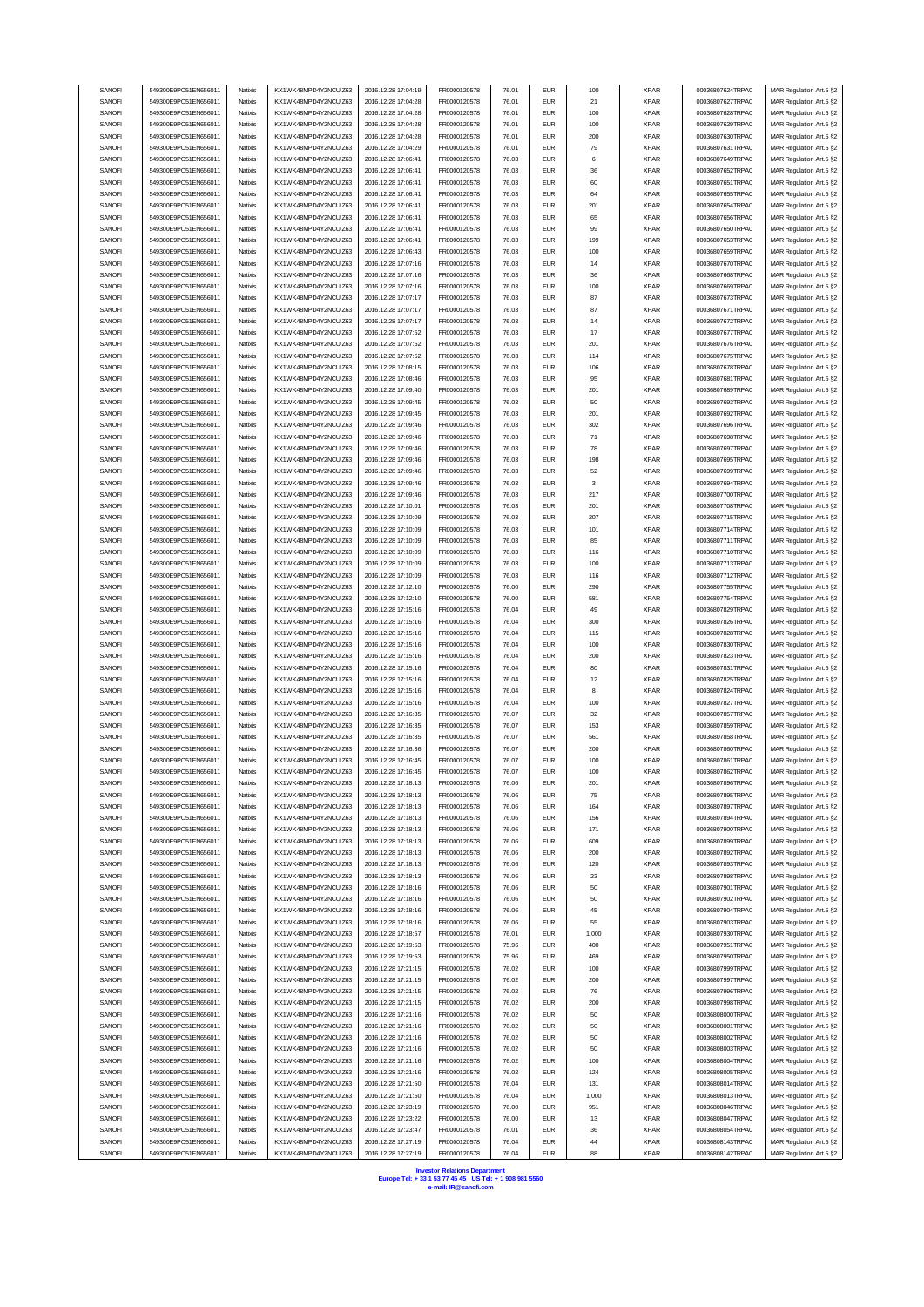| SANOFI | 549300E9PC51EN656011 | Natixis | KX1WK48MPD4Y2NCUIZ63  | 2016.12.28 17:04:19 | FR0000120578 | 76.01 | <b>EUR</b> | 100    | <b>XPAR</b> | 00036807624TRPA0 | MAR Regulation Art.5 §2 |  |
|--------|----------------------|---------|-----------------------|---------------------|--------------|-------|------------|--------|-------------|------------------|-------------------------|--|
| SANOFI | 549300E9PC51EN656011 | Natixis | KX1WK48MPD4Y2NCUIZ63  | 2016.12.28 17:04:28 | FR0000120578 | 76.01 | <b>EUR</b> | 21     | <b>XPAR</b> | 00036807627TRPA0 | MAR Regulation Art.5 §2 |  |
| SANOFI | 549300E9PC51EN656011 | Natixis | KX1WK48MPD4Y2NCUIZ63  | 2016.12.28 17:04:28 | FR0000120578 | 76.01 | <b>EUR</b> | 100    | <b>XPAR</b> | 00036807628TRPA0 | MAR Regulation Art.5 §2 |  |
|        |                      |         |                       |                     |              |       |            |        |             |                  |                         |  |
| SANOFI | 549300E9PC51EN656011 | Natixis | KX1WK48MPD4Y2NCUIZ63  | 2016.12.28 17:04:28 | FR0000120578 | 76.01 | <b>EUR</b> | 100    | <b>XPAR</b> | 00036807629TRPA0 | MAR Regulation Art.5 §2 |  |
| SANOFI | 549300E9PC51EN656011 | Natixis | KX1WK48MPD4Y2NCUIZ63  | 2016.12.28 17:04:28 | FR0000120578 | 76.01 | <b>EUR</b> | 200    | <b>XPAR</b> | 00036807630TRPA0 | MAR Regulation Art.5 §2 |  |
| SANOFI | 549300E9PC51EN656011 | Natixis | KX1WK48MPD4Y2NCUIZ63  | 2016.12.28 17:04:29 | FR0000120578 | 76.01 | <b>EUR</b> | 79     | <b>XPAR</b> | 00036807631TRPA0 | MAR Regulation Art.5 §2 |  |
| SANOFI | 549300E9PC51EN656011 | Natixis | KX1WK48MPD4Y2NCUIZ63  | 2016.12.28 17:06:41 | FR0000120578 | 76.03 | <b>EUR</b> | 6      | <b>XPAR</b> | 00036807649TRPA0 | MAR Regulation Art.5 §2 |  |
| SANOFI | 549300E9PC51EN656011 | Natixis | KX1WK48MPD4Y2NCUIZ63  | 2016.12.28 17:06:41 | FR0000120578 | 76.03 | <b>EUR</b> | 36     | <b>XPAR</b> | 00036807652TRPA0 | MAR Regulation Art.5 §2 |  |
| SANOFI | 549300E9PC51EN656011 | Natixis | KX1WK48MPD4Y2NCUIZ63  | 2016.12.28 17:06:41 | FR0000120578 | 76.03 | <b>EUR</b> | 60     | <b>XPAR</b> | 00036807651TRPA0 | MAR Regulation Art.5 §2 |  |
|        |                      |         |                       |                     |              |       |            |        |             |                  |                         |  |
| SANOFI | 549300E9PC51EN656011 | Natixis | KX1WK48MPD4Y2NCUIZ63  | 2016.12.28 17:06:41 | FR0000120578 | 76.03 | <b>EUR</b> | 64     | <b>XPAR</b> | 00036807655TRPA0 | MAR Regulation Art.5 §2 |  |
| SANOFI | 549300E9PC51EN656011 | Natixis | KX1WK48MPD4Y2NCUIZ63  | 2016.12.28 17:06:41 | FR0000120578 | 76.03 | <b>EUR</b> | 201    | <b>XPAR</b> | 00036807654TRPA0 | MAR Regulation Art.5 §2 |  |
| SANOFI | 549300E9PC51EN656011 | Natixis | KX1WK48MPD4Y2NCUIZ63  | 2016.12.28 17:06:41 | FR0000120578 | 76.03 | <b>EUR</b> | 65     | <b>XPAR</b> | 00036807656TRPA0 | MAR Regulation Art.5 §2 |  |
| SANOFI | 549300E9PC51EN656011 | Natixis | KX1WK48MPD4Y2NCUIZ63  | 2016.12.28 17:06:41 | FR0000120578 | 76.03 | <b>EUR</b> | 99     | <b>XPAR</b> | 00036807650TRPA0 | MAR Regulation Art.5 §2 |  |
| SANOFI | 549300E9PC51EN656011 | Natixis | KX1WK48MPD4Y2NCUIZ63  | 2016.12.28 17:06:41 | FR0000120578 | 76.03 | <b>EUR</b> | 199    | <b>XPAR</b> | 00036807653TRPA0 | MAR Regulation Art.5 §2 |  |
|        |                      |         |                       |                     |              |       |            |        |             |                  |                         |  |
| SANOFI | 549300E9PC51EN656011 | Natixis | KX1WK48MPD4Y2NCUIZ63  | 2016.12.28 17:06:43 | FR0000120578 | 76.03 | <b>EUR</b> | 100    | <b>XPAR</b> | 00036807659TRPA0 | MAR Regulation Art.5 §2 |  |
| SANOFI | 549300E9PC51EN656011 | Natixis | KX1WK48MPD4Y2NCUIZ63  | 2016.12.28 17:07:16 | FR0000120578 | 76.03 | <b>EUR</b> | 14     | <b>XPAR</b> | 00036807670TRPA0 | MAR Regulation Art.5 §2 |  |
| SANOFI | 549300E9PC51EN656011 | Natixis | KX1WK48MPD4Y2NCUIZ63  | 2016.12.28 17:07:16 | FR0000120578 | 76.03 | <b>EUR</b> | 36     | <b>XPAR</b> | 00036807668TRPA0 | MAR Regulation Art.5 §2 |  |
| SANOFI | 549300E9PC51EN656011 | Natixis | KX1WK48MPD4Y2NCUIZ63  | 2016.12.28 17:07:16 | FR0000120578 | 76.03 | <b>EUR</b> | 100    | <b>XPAR</b> | 00036807669TRPA0 | MAR Regulation Art.5 §2 |  |
| SANOFI | 549300E9PC51EN656011 | Natixis | KX1WK48MPD4Y2NCUIZ63  | 2016.12.28 17:07:17 | FR0000120578 | 76.03 | <b>EUR</b> | 87     | <b>XPAR</b> | 00036807673TRPA0 | MAR Regulation Art.5 §2 |  |
| SANOF  | 549300E9PC51EN656011 | Natixis | KX1WK48MPD4Y2NCUIZ63  | 2016.12.28 17:07:17 | FR0000120578 | 76.03 | <b>EUR</b> | 87     | <b>XPAR</b> | 00036807671TRPA0 | MAR Regulation Art.5 §2 |  |
|        |                      |         |                       |                     |              |       |            |        |             |                  |                         |  |
| SANOFI | 549300E9PC51EN656011 | Natixis | KX1WK48MPD4Y2NCUIZ63  | 2016.12.28 17:07:17 | FR0000120578 | 76.03 | <b>EUR</b> | 14     | <b>XPAR</b> | 00036807672TRPA0 | MAR Regulation Art.5 §2 |  |
| SANOFI | 549300E9PC51EN656011 | Natixis | KX1WK48MPD4Y2NCUIZ63  | 2016.12.28 17:07:52 | FR0000120578 | 76.03 | <b>EUR</b> | 17     | <b>XPAR</b> | 00036807677TRPA0 | MAR Regulation Art.5 §2 |  |
| SANOF  | 549300E9PC51EN656011 | Natixis | KX1WK48MPD4Y2NCUIZ63  | 2016.12.28 17:07:52 | FR0000120578 | 76.03 | <b>EUR</b> | 201    | <b>XPAR</b> | 00036807676TRPA0 | MAR Regulation Art.5 §2 |  |
| SANOF  | 549300E9PC51EN656011 | Natixis | KX1WK48MPD4Y2NCUIZ63  | 2016.12.28 17:07:52 | FR0000120578 | 76.03 | <b>EUR</b> | 114    | <b>XPAR</b> | 00036807675TRPA0 | MAR Regulation Art.5 §2 |  |
| SANOFI | 549300E9PC51EN656011 | Natixis | KX1WK48MPD4Y2NCUIZ63  | 2016.12.28 17:08:15 | FR0000120578 | 76.03 | <b>EUR</b> | 106    | <b>XPAR</b> | 00036807678TRPA0 | MAR Regulation Art.5 §2 |  |
| SANOFI | 549300E9PC51EN656011 | Natixis | KX1WK48MPD4Y2NCUIZ63  | 2016.12.28 17:08:46 | FR0000120578 | 76.03 | <b>EUR</b> | 95     | <b>XPAR</b> | 00036807681TRPA0 | MAR Regulation Art.5 §2 |  |
|        |                      |         | KX1WK48MPD4Y2NCUIZ63  |                     |              |       |            |        |             |                  |                         |  |
| SANOFI | 549300E9PC51EN656011 | Natixis |                       | 2016.12.28 17:09:40 | FR0000120578 | 76.03 | <b>EUR</b> | 201    | <b>XPAR</b> | 00036807689TRPA0 | MAR Regulation Art.5 §2 |  |
| SANOFI | 549300E9PC51EN656011 | Natixis | KX1WK48MPD4Y2NCUIZ63  | 2016.12.28 17:09:45 | FR0000120578 | 76.03 | <b>EUR</b> | 50     | <b>XPAR</b> | 00036807693TRPA0 | MAR Regulation Art.5 §2 |  |
| SANOFI | 549300E9PC51EN656011 | Natixis | KX1WK48MPD4Y2NCUIZ63  | 2016.12.28 17:09:45 | FR0000120578 | 76.03 | <b>EUR</b> | 201    | <b>XPAR</b> | 00036807692TRPA0 | MAR Regulation Art.5 §2 |  |
| SANOFI | 549300E9PC51EN656011 | Natixis | KX1WK48MPD4Y2NCUIZ63  | 2016.12.28 17:09:46 | FR0000120578 | 76.03 | <b>EUR</b> | 302    | <b>XPAR</b> | 00036807696TRPA0 | MAR Regulation Art.5 §2 |  |
| SANOFI | 549300E9PC51EN656011 | Natixis | KX1WK48MPD4Y2NCUIZ63  | 2016.12.28 17:09:46 | FR0000120578 | 76.03 | <b>EUR</b> | $71\,$ | <b>XPAR</b> | 00036807698TRPA0 | MAR Regulation Art.5 §2 |  |
| SANOF  | 549300E9PC51EN656011 | Natixis | KX1WK48MPD4Y2NCUIZ63  | 2016.12.28 17:09:46 | FR0000120578 | 76.03 | <b>EUR</b> | 78     | <b>XPAR</b> | 00036807697TRPA0 | MAR Regulation Art.5 §2 |  |
|        |                      |         |                       |                     |              |       |            |        |             |                  |                         |  |
| SANOFI | 549300E9PC51EN656011 | Natixis | KX1WK48MPD4Y2NCUIZ63  | 2016.12.28 17:09:46 | FR0000120578 | 76.03 | <b>EUR</b> | 198    | <b>XPAR</b> | 00036807695TRPA0 | MAR Regulation Art.5 §2 |  |
| SANOFI | 549300E9PC51EN656011 | Natixis | KX1WK48MPD4Y2NCUIZ63  | 2016.12.28 17:09:46 | FR0000120578 | 76.03 | <b>EUR</b> | 52     | <b>XPAR</b> | 00036807699TRPA0 | MAR Regulation Art.5 §2 |  |
| SANOFI | 549300E9PC51EN656011 | Natixis | KX1WK48MPD4Y2NCUIZ63  | 2016.12.28 17:09:46 | FR0000120578 | 76.03 | <b>EUR</b> | 3      | <b>XPAR</b> | 00036807694TRPA0 | MAR Regulation Art.5 §2 |  |
| SANOF  | 549300E9PC51EN656011 | Natixis | KX1WK48MPD4Y2NCUIZ63  | 2016.12.28 17:09:46 | FR0000120578 | 76.03 | <b>EUR</b> | 217    | <b>XPAR</b> | 00036807700TRPA0 | MAR Regulation Art.5 §2 |  |
| SANOFI | 549300E9PC51EN656011 | Natixis | KX1WK48MPD4Y2NCUIZ63  | 2016.12.28 17:10:01 | FR0000120578 | 76.03 | <b>EUR</b> | 201    | <b>XPAR</b> | 00036807708TRPA0 | MAR Regulation Art.5 §2 |  |
|        | 549300E9PC51EN656011 |         |                       | 2016.12.28 17:10:09 |              |       | <b>EUR</b> |        |             |                  |                         |  |
| SANOFI |                      | Natixis | KX1WK48MPD4Y2NCUIZ63  |                     | FR0000120578 | 76.03 |            | 207    | <b>XPAR</b> | 00036807715TRPA0 | MAR Regulation Art.5 §2 |  |
| SANOFI | 549300E9PC51EN656011 | Natixis | KX1WK48MPD4Y2NCUIZ63  | 2016.12.28 17:10:09 | FR0000120578 | 76.03 | <b>EUR</b> | 101    | <b>XPAR</b> | 00036807714TRPA0 | MAR Regulation Art.5 §2 |  |
| SANOFI | 549300E9PC51EN656011 | Natixis | KX1WK48MPD4Y2NCUIZ63  | 2016.12.28 17:10:09 | FR0000120578 | 76.03 | <b>EUR</b> | 85     | <b>XPAR</b> | 00036807711TRPA0 | MAR Regulation Art.5 §2 |  |
| SANOFI | 549300E9PC51EN656011 | Natixis | KX1WK48MPD4Y2NCUIZ63  | 2016.12.28 17:10:09 | FR0000120578 | 76.03 | <b>EUR</b> | 116    | <b>XPAR</b> | 00036807710TRPA0 | MAR Regulation Art.5 §2 |  |
| SANOFI | 549300E9PC51EN656011 | Natixis | KX1WK48MPD4Y2NCUIZ63  | 2016.12.28 17:10:09 | FR0000120578 | 76.03 | <b>EUR</b> | 100    | <b>XPAR</b> | 00036807713TRPA0 | MAR Regulation Art.5 §2 |  |
| SANOFI | 549300E9PC51EN656011 | Natixis | KX1WK48MPD4Y2NCUIZ63  | 2016.12.28 17:10:09 | FR0000120578 | 76.03 | <b>EUR</b> | 116    | <b>XPAR</b> | 00036807712TRPA0 | MAR Regulation Art.5 §2 |  |
| SANOF  |                      | Natixis |                       |                     |              | 76.00 | <b>EUR</b> |        | <b>XPAR</b> |                  |                         |  |
|        | 549300E9PC51EN656011 |         | KX1WK48MPD4Y2NCUIZ63  | 2016.12.28 17:12:10 | FR0000120578 |       |            | 290    |             | 00036807755TRPA0 | MAR Regulation Art.5 §2 |  |
| SANOF  | 549300E9PC51EN656011 | Natixis | KX1WK48MPD4Y2NCUIZ63  | 2016.12.28 17:12:10 | FR0000120578 | 76.00 | <b>EUR</b> | 581    | <b>XPAR</b> | 00036807754TRPA0 | MAR Regulation Art.5 §2 |  |
| SANOF  | 549300E9PC51EN656011 | Natixis | KX1WK48MPD4Y2NCUIZ63  | 2016.12.28 17:15:16 | FR0000120578 | 76.04 | <b>EUR</b> | 49     | <b>XPAR</b> | 00036807829TRPA0 | MAR Regulation Art.5 §2 |  |
| SANOFI | 549300E9PC51EN656011 | Natixis | KX1WK48MPD4Y2NCUIZ63  | 2016.12.28 17:15:16 | FR0000120578 | 76.04 | <b>EUR</b> | 300    | <b>XPAR</b> | 00036807826TRPA0 | MAR Regulation Art.5 §2 |  |
| SANOF  | 549300E9PC51EN656011 | Natixis | KX1WK48MPD4Y2NCUIZ63  | 2016.12.28 17:15:16 | FR0000120578 | 76.04 | <b>EUR</b> | 115    | <b>XPAR</b> | 00036807828TRPA0 | MAR Regulation Art.5 §2 |  |
| SANOF  | 549300E9PC51EN656011 | Natixis | KX1WK48MPD4Y2NCUIZ63  | 2016.12.28 17:15:16 | FR0000120578 | 76.04 | <b>EUR</b> | 100    | <b>XPAR</b> | 00036807830TRPA0 | MAR Regulation Art.5 §2 |  |
| SANOFI | 549300E9PC51EN656011 | Natixis | KX1WK48MPD4Y2NCUIZ63  | 2016.12.28 17:15:16 | FR0000120578 | 76.04 | <b>EUR</b> | 200    | <b>XPAR</b> | 00036807823TRPA0 | MAR Regulation Art.5 §2 |  |
|        |                      |         |                       |                     |              |       |            |        |             |                  |                         |  |
| SANOFI | 549300E9PC51EN656011 | Natixis | KX1WK48MPD4Y2NCUIZ63  | 2016.12.28 17:15:16 | FR0000120578 | 76.04 | <b>EUR</b> | 80     | <b>XPAR</b> | 00036807831TRPA0 | MAR Regulation Art.5 §2 |  |
| SANOFI | 549300E9PC51EN656011 | Natixis | KX1WK48MPD4Y2NCUIZ63  | 2016.12.28 17:15:16 | FR0000120578 | 76.04 | <b>EUR</b> | 12     | <b>XPAR</b> | 00036807825TRPA0 | MAR Regulation Art.5 §2 |  |
| SANOFI | 549300E9PC51EN656011 | Natixis | KX1WK48MPD4Y2NCUIZ63  | 2016.12.28 17:15:16 | FR0000120578 | 76.04 | <b>EUR</b> | 8      | <b>XPAR</b> | 00036807824TRPA0 | MAR Regulation Art.5 §2 |  |
| SANOFI | 549300E9PC51EN656011 | Natixis | KX1WK48MPD4Y2NCUIZ63  | 2016.12.28 17:15:16 | FR0000120578 | 76.04 | <b>EUR</b> | 100    | <b>XPAR</b> | 00036807827TRPA0 | MAR Regulation Art.5 §2 |  |
| SANOFI | 549300E9PC51EN656011 | Natixis | KX1WK48MPD4Y2NCUIZ63  | 2016.12.28 17:16:35 | FR0000120578 | 76.07 | <b>EUR</b> | 32     | <b>XPAR</b> | 00036807857TRPA0 | MAR Regulation Art.5 §2 |  |
| SANOFI | 549300E9PC51EN656011 | Natixis | KX1WK48MPD4Y2NCUIZ63  | 2016.12.28 17:16:35 | FR0000120578 | 76.07 | <b>EUR</b> | 153    | <b>XPAR</b> | 00036807859TRPA0 | MAR Regulation Art.5 §2 |  |
|        |                      |         |                       |                     |              |       |            |        |             |                  |                         |  |
| SANOFI | 549300E9PC51EN656011 | Natixis | KX1WK48MPD4Y2NCUIZ63  | 2016.12.28 17:16:35 | FR0000120578 | 76.07 | <b>EUR</b> | 561    | <b>XPAR</b> | 00036807858TRPA0 | MAR Regulation Art.5 §2 |  |
| SANOFI | 549300E9PC51EN656011 | Natixis | KX1WK48MPD4Y2NCUIZ63  | 2016.12.28 17:16:36 | FR0000120578 | 76.07 | <b>EUR</b> | 200    | <b>XPAR</b> | 00036807860TRPA0 | MAR Regulation Art.5 §2 |  |
| SANOFI | 549300E9PC51EN656011 | Natixis | KX1WK48MPD4Y2NCUIZ63  | 2016.12.28 17:16:45 | FR0000120578 | 76.07 | <b>EUR</b> | 100    | <b>XPAR</b> | 00036807861TRPA0 | MAR Regulation Art.5 §2 |  |
| SANOF  | 549300E9PC51EN656011 | Natixis | KX1WK48MPD4Y2NCLIIZ63 | 2016.12.28 17:16:45 | FR0000120578 | 76.07 | <b>EUR</b> | 100    | <b>XPAR</b> | 00036807862TRPA0 | MAR Regulation Art.5 §2 |  |
| SANOFI | 549300E9PC51EN656011 | Natixis | KX1WK48MPD4Y2NCUIZ63  | 2016.12.28 17:18:13 | FR0000120578 | 76.06 | <b>EUR</b> | 201    | <b>XPAR</b> | 00036807896TRPA0 | MAR Regulation Art.5 §2 |  |
| SANOFI | 549300E9PC51EN656011 | Natixis | KX1WK48MPD4Y2NCUIZ63  | 2016.12.28 17:18:13 | FR0000120578 | 76.06 | <b>EUR</b> | 75     | <b>XPAR</b> | 00036807895TRPA0 | MAR Regulation Art.5 §2 |  |
|        |                      |         |                       |                     |              |       |            |        |             |                  |                         |  |
| SANOFI | 549300E9PC51EN656011 | Natixis | KX1WK48MPD4Y2NCUIZ63  | 2016.12.28 17:18:13 | FR0000120578 | 76.06 | <b>EUR</b> | 164    | <b>XPAR</b> | 00036807897TRPA0 | MAR Regulation Art.5 §2 |  |
| SANOFI | 549300E9PC51EN656011 | Natixis | KX1WK48MPD4Y2NCUIZ63  | 2016.12.28 17:18:13 | FR0000120578 | 76.06 | <b>EUR</b> | 156    | <b>XPAR</b> | 00036807894TRPA0 | MAR Regulation Art.5 §2 |  |
| SANOFI | 549300E9PC51EN656011 | Natixis | KX1WK48MPD4Y2NCUIZ63  | 2016.12.28 17:18:13 | FR0000120578 | 76.06 | <b>EUR</b> | 171    | <b>XPAR</b> | 00036807900TRPA0 | MAR Regulation Art.5 §2 |  |
| SANOFI | 549300E9PC51EN656011 | Natixis | KX1WK48MPD4Y2NCUIZ63  | 2016.12.28 17:18:13 | FR0000120578 | 76.06 | <b>EUR</b> | 609    | <b>XPAR</b> | 00036807899TRPA0 | MAR Regulation Art.5 §2 |  |
| SANOFI | 549300E9PC51EN656011 | Natixis | KX1WK48MPD4Y2NCUIZ63  | 2016.12.28 17:18:13 | FR0000120578 | 76.06 | <b>EUR</b> | 200    | <b>XPAR</b> | 00036807892TRPA0 | MAR Regulation Art.5 §2 |  |
| SANOFI | 549300E9PC51EN656011 | Natixis | KX1WK48MPD4Y2NCUIZ63  | 2016.12.28 17:18:13 | FR0000120578 | 76.06 | <b>EUR</b> | 120    | <b>XPAR</b> | 00036807893TRPA0 | MAR Regulation Art.5 §2 |  |
| SANOFI | 549300E9PC51EN656011 | Natixis | KX1WK48MPD4Y2NCUIZ63  | 2016.12.28 17:18:13 | FR0000120578 | 76.06 | <b>EUR</b> | 23     | <b>XPAR</b> | 00036807898TRPA0 | MAR Regulation Art.5 §2 |  |
|        |                      |         |                       |                     |              |       | <b>EUR</b> |        |             | 00036807901TRPA0 |                         |  |
| SANOFI | 549300E9PC51EN656011 | Natixis | KX1WK48MPD4Y2NCUIZ63  | 2016.12.28 17:18:16 | FR0000120578 | 76.06 |            | 50     | <b>XPAR</b> |                  | MAR Regulation Art.5 §2 |  |
| SANOFI | 549300E9PC51EN656011 | Natixis | KX1WK48MPD4Y2NCUIZ63  | 2016.12.28 17:18:16 | FR0000120578 | 76.06 | <b>EUR</b> | 50     | <b>XPAR</b> | 00036807902TRPA0 | MAR Regulation Art.5 §2 |  |
| SANOFI | 549300E9PC51EN656011 | Natixis | KX1WK48MPD4Y2NCUIZ63  | 2016.12.28 17:18:16 | FR0000120578 | 76.06 | <b>EUR</b> | 45     | <b>XPAR</b> | 00036807904TRPA0 | MAR Regulation Art.5 §2 |  |
| SANOFI | 549300E9PC51EN656011 | Natixis | KX1WK48MPD4Y2NCUIZ63  | 2016.12.28 17:18:16 | FR0000120578 | 76.06 | <b>EUR</b> | 55     | <b>XPAR</b> | 00036807903TRPA0 | MAR Regulation Art.5 §2 |  |
| SANOFI | 549300E9PC51EN656011 | Natixis | KX1WK48MPD4Y2NCLIIZ63 | 2016.12.28 17:18:57 | FR0000120578 | 76.01 | <b>EUR</b> | 1,000  | <b>XPAR</b> | 00036807930TRPA0 | MAR Regulation Art.5 §2 |  |
| SANOFI | 549300E9PC51EN656011 | Natixis | KX1WK48MPD4Y2NCUIZ63  | 2016.12.28 17:19:53 | FR0000120578 | 75.96 | <b>EUR</b> | 400    | <b>XPAR</b> | 00036807951TRPA0 | MAR Regulation Art.5 §2 |  |
|        |                      |         |                       |                     |              |       |            |        |             |                  |                         |  |
| SANOFI | 549300E9PC51EN656011 | Natixis | KX1WK48MPD4Y2NCUIZ63  | 2016.12.28 17:19:53 | FR0000120578 | 75.96 | <b>EUR</b> | 469    | <b>XPAR</b> | 00036807950TRPA0 | MAR Regulation Art.5 §2 |  |
| SANOFI | 549300E9PC51EN656011 | Natixis | KX1WK48MPD4Y2NCUIZ63  | 2016.12.28 17:21:15 | FR0000120578 | 76.02 | <b>EUR</b> | 100    | <b>XPAR</b> | 00036807999TRPA0 | MAR Regulation Art.5 §2 |  |
| SANOFI | 549300E9PC51EN656011 | Natixis | KX1WK48MPD4Y2NCUIZ63  | 2016.12.28 17:21:15 | FR0000120578 | 76.02 | <b>EUR</b> | 200    | <b>XPAR</b> | 00036807997TRPA0 | MAR Regulation Art.5 §2 |  |
| SANOFI | 549300E9PC51EN656011 | Natixis | KX1WK48MPD4Y2NCUIZ63  | 2016.12.28 17:21:15 | FR0000120578 | 76.02 | <b>EUR</b> | 76     | <b>XPAR</b> | 00036807996TRPA0 | MAR Regulation Art.5 §2 |  |
| SANOFI | 549300E9PC51EN656011 | Natixis | KX1WK48MPD4Y2NCUIZ63  | 2016.12.28 17:21:15 | FR0000120578 | 76.02 | <b>EUR</b> | 200    | <b>XPAR</b> | 00036807998TRPA0 | MAR Regulation Art.5 §2 |  |
| SANOFI | 549300E9PC51EN656011 | Natixis | KX1WK48MPD4Y2NCUIZ63  | 2016.12.28 17:21:16 | FR0000120578 | 76.02 | <b>EUR</b> | 50     | <b>XPAR</b> | 00036808000TRPA0 | MAR Regulation Art.5 §2 |  |
|        |                      |         |                       |                     |              |       |            |        |             |                  |                         |  |
| SANOFI | 549300E9PC51EN656011 | Natixis | KX1WK48MPD4Y2NCUIZ63  | 2016.12.28 17:21:16 | FR0000120578 | 76.02 | <b>EUR</b> | 50     | <b>XPAR</b> | 00036808001TRPA0 | MAR Regulation Art.5 §2 |  |
| SANOFI | 549300E9PC51EN656011 | Natixis | KX1WK48MPD4Y2NCUIZ63  | 2016.12.28 17:21:16 | FR0000120578 | 76.02 | <b>EUR</b> | 50     | <b>XPAR</b> | 00036808002TRPA0 | MAR Regulation Art.5 §2 |  |
| SANOFI | 549300E9PC51EN656011 | Natixis | KX1WK48MPD4Y2NCUIZ63  | 2016.12.28 17:21:16 | FR0000120578 | 76.02 | <b>EUR</b> | 50     | <b>XPAR</b> | 00036808003TRPA0 | MAR Regulation Art.5 §2 |  |
| SANOFI | 549300E9PC51EN656011 | Natixis | KX1WK48MPD4Y2NCUIZ63  | 2016.12.28 17:21:16 | FR0000120578 | 76.02 | <b>EUR</b> | 100    | <b>XPAR</b> | 00036808004TRPA0 | MAR Regulation Art.5 §2 |  |
| SANOFI | 549300E9PC51EN656011 | Natixis | KX1WK48MPD4Y2NCUIZ63  | 2016.12.28 17:21:16 | FR0000120578 | 76.02 | <b>EUR</b> | 124    | <b>XPAR</b> | 00036808005TRPA0 | MAR Regulation Art.5 §2 |  |
| SANOFI | 549300E9PC51EN656011 | Natixis | KX1WK48MPD4Y2NCUIZ63  | 2016.12.28 17:21:50 | FR0000120578 | 76.04 | <b>EUR</b> | 131    | <b>XPAR</b> | 00036808014TRPA0 | MAR Regulation Art.5 §2 |  |
|        |                      |         |                       |                     |              |       |            |        |             |                  |                         |  |
| SANOFI | 549300E9PC51EN656011 | Natixis | KX1WK48MPD4Y2NCUIZ63  | 2016.12.28 17:21:50 | FR0000120578 | 76.04 | <b>EUR</b> | 1,000  | <b>XPAR</b> | 00036808013TRPA0 | MAR Regulation Art.5 §2 |  |
| SANOFI | 549300E9PC51EN656011 | Natixis | KX1WK48MPD4Y2NCUIZ63  | 2016.12.28 17:23:19 | FR0000120578 | 76.00 | <b>EUR</b> | 951    | <b>XPAR</b> | 00036808046TRPA0 | MAR Regulation Art.5 §2 |  |
| SANOFI | 549300E9PC51EN656011 | Natixis | KX1WK48MPD4Y2NCUIZ63  | 2016.12.28 17:23:22 | FR0000120578 | 76.00 | <b>EUR</b> | 13     | <b>XPAR</b> | 00036808047TRPA0 | MAR Regulation Art.5 §2 |  |
| SANOFI | 549300E9PC51EN656011 | Natixis | KX1WK48MPD4Y2NCUIZ63  | 2016.12.28 17:23:47 | FR0000120578 | 76.01 | <b>EUR</b> | 36     | <b>XPAR</b> | 00036808054TRPA0 | MAR Regulation Art.5 §2 |  |
| SANOFI | 549300E9PC51EN656011 | Natixis | KX1WK48MPD4Y2NCUIZ63  | 2016.12.28 17:27:19 | FR0000120578 | 76.04 | <b>EUR</b> | 44     | <b>XPAR</b> | 00036808143TRPA0 | MAR Regulation Art.5 §2 |  |
| SANOFI | 549300E9PC51EN656011 | Natixis | KX1WK48MPD4Y2NCUIZ63  | 2016.12.28 17:27:19 | FR0000120578 | 76.04 | <b>EUR</b> | 88     | <b>XPAR</b> | 00036808142TRPA0 | MAR Regulation Art.5 §2 |  |
|        |                      |         |                       |                     |              |       |            |        |             |                  |                         |  |

**Investor Relations Department Europe Tel: + 33 1 53 77 45 45 US Tel: + 1 908 981 5560 e-mail: IR@sanofi.com**